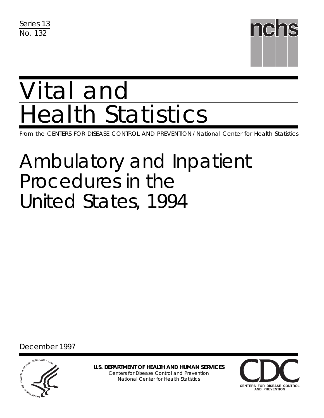Series 13 No. 132



# Vital and Health Statistics

From the CENTERS FOR DISEASE CONTROL AND PREVENTION / National Center for Health Statistics

# Ambulatory and Inpatient Procedures in the United States, 1994

December 1997



**U.S. DEPARTMENT OF HEALTH AND HUMAN SERVICES** Centers for Disease Control and Prevention National Center for Health Statistics

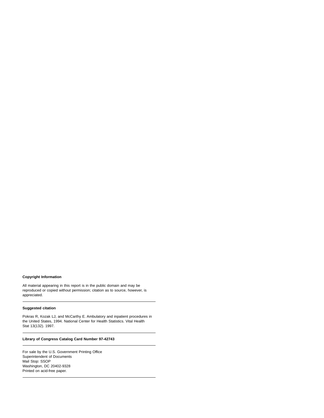#### **Copyright Information**

All material appearing in this report is in the public domain and may be reproduced or copied without permission; citation as to source, however, is appreciated.

#### **Suggested citation**

Pokras R, Kozak LJ, and McCarthy E. Ambulatory and inpatient procedures in the United States, 1994. National Center for Health Statistics. Vital Health Stat 13(132). 1997.

#### **Library of Congress Catalog Card Number 97-42743**

For sale by the U.S. Government Printing Office Superintendent of Documents Mail Stop: SSOP Washington, DC 20402-9328 Printed on acid-free paper.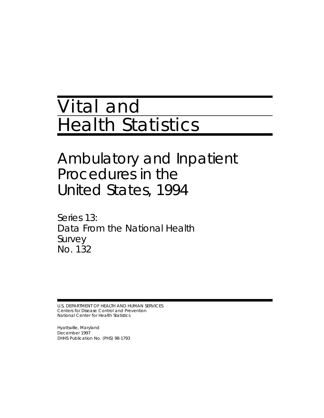# Vital and Health Statistics

# Ambulatory and Inpatient Procedures in the United States, 1994

Series 13: Data From the National Health Survey No. 132

U.S. DEPARTMENT OF HEALTH AND HUMAN SERVICES Centers for Disease Control and Prevention National Center for Health Statistics

Hyattsville, Maryland December 1997 DHHS Publication No. (PHS) 98-1793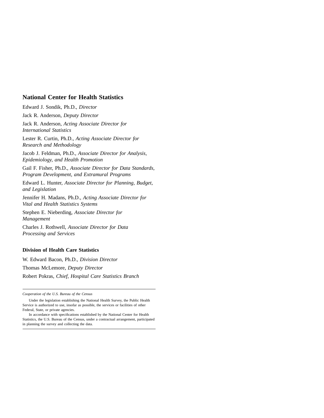#### **National Center for Health Statistics**

Edward J. Sondik, Ph.D., *Director*

Jack R. Anderson, *Deputy Director*

Jack R. Anderson, *Acting Associate Director for International Statistics*

Lester R. Curtin, Ph.D., *Acting Associate Director for Research and Methodology*

Jacob J. Feldman, Ph.D., *Associate Director for Analysis, Epidemiology, and Health Promotion*

Gail F. Fisher, Ph.D., *Associate Director for Data Standards, Program Development, and Extramural Programs*

Edward L. Hunter, *Associate Director for Planning, Budget, and Legislation*

Jennifer H. Madans, Ph.D., *Acting Associate Director for Vital and Health Statistics Systems*

Stephen E. Nieberding, *Associate Director for Management*

Charles J. Rothwell, *Associate Director for Data Processing and Services*

#### **Division of Health Care Statistics**

W. Edward Bacon, Ph.D., *Division Director* Thomas McLemore, *Deputy Director* Robert Pokras, *Chief, Hospital Care Statistics Branch*

*Cooperation of the U.S. Bureau of the Census*

Under the legislation establishing the National Health Survey, the Public Health Service is authorized to use, insofar as possible, the services or facilities of other Federal, State, or private agencies.

In accordance with specifications established by the National Center for Health Statistics, the U.S. Bureau of the Census, under a contractual arrangement, participated in planning the survey and collecting the data.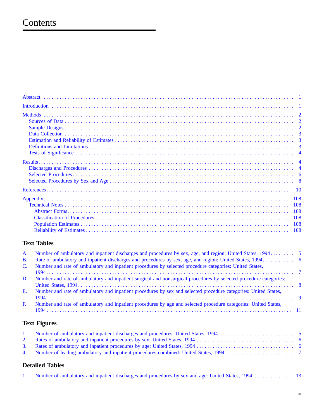# Contents

## **Text Tables**

| <b>B.</b>      |                                                                                                                   |  |
|----------------|-------------------------------------------------------------------------------------------------------------------|--|
| $\mathbf{C}$ . | Number and rate of ambulatory and inpatient procedures by selected procedure categories: United States,           |  |
|                |                                                                                                                   |  |
| D.             | Number and rate of ambulatory and inpatient surgical and nonsurgical procedures by selected procedure categories: |  |
|                |                                                                                                                   |  |
| E.             | Number and rate of ambulatory and inpatient procedures by sex and selected procedure categories: United States,   |  |
|                |                                                                                                                   |  |
| $F_{\cdot}$    | Number and rate of ambulatory and inpatient procedures by age and selected procedure categories: United States,   |  |
|                |                                                                                                                   |  |
|                |                                                                                                                   |  |

# **Text Figures**

# **Detailed Tables**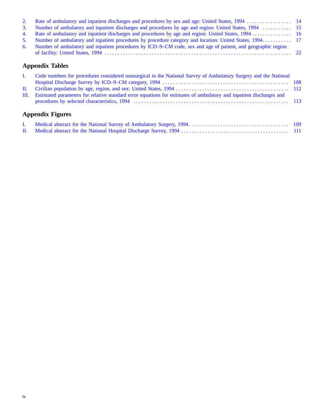| 3. Number of ambulatory and inpatient discharges and procedures by age and region: United States, 1994  15       |  |
|------------------------------------------------------------------------------------------------------------------|--|
|                                                                                                                  |  |
| 5. Number of ambulatory and inpatient procedures by procedure category and location: United States, 1994 17      |  |
| 6. Number of ambulatory and inpatient procedures by ICD–9–CM code, sex and age of patient, and geographic region |  |
|                                                                                                                  |  |

# **Appendix Tables**

| I. Code numbers for procedures considered nonsurgical in the National Survey of Ambulatory Surgery and the National      |  |
|--------------------------------------------------------------------------------------------------------------------------|--|
|                                                                                                                          |  |
|                                                                                                                          |  |
| III. Estimated parameters for relative standard error equations for estimates of ambulatory and inpatient discharges and |  |
|                                                                                                                          |  |
|                                                                                                                          |  |

# **Appendix Figures**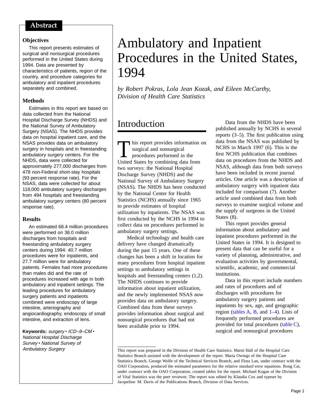### <span id="page-6-0"></span>Abstract

#### **Objectives**

This report presents estimates of surgical and nonsurgical procedures performed in the United States during 1994. Data are presented by characteristics of patients, region of the country, and procedure categories for ambulatory and inpatient procedures separately and combined.

#### **Methods**

Estimates in this report are based on data collected from the National Hospital Discharge Survey (NHDS) and the National Survey of Ambulatory Surgery (NSAS). The NHDS provides data on hospital inpatient care, and the NSAS provides data on ambulatory surgery in hospitals and in freestanding ambulatory surgery centers. For the NHDS, data were collected for approximately 277,000 discharges from 478 non-Federal short-stay hospitals (93 percent response rate). For the NSAS, data were collected for about 118,000 ambulatory surgery discharges from 494 hospitals and freestanding ambulatory surgery centers (80 percent response rate).

#### **Results**

An estimated 68.4 million procedures were performed on 38.0 million discharges from hospitals and freestanding ambulatory surgery centers during 1994: 40.7 million procedures were for inpatients, and 27.7 million were for ambulatory patients. Females had more procedures than males did and the rate of procedures increased with age in both ambulatory and inpatient settings. The leading procedures for ambulatory surgery patients and inpatients combined were endoscopy of large intestine, arteriography and angiocardiography, endoscopy of small intestine, and extraction of lens.

Keywords: surgery · ICD-9-CM · National Hospital Discharge Survey · National Survey of Ambulatory Surgery

# Ambulatory and Inpatient Procedures in the United States, 1994

*by Robert Pokras, Lola Jean Kozak, and Eileen McCarthy, Division of Health Care Statistics*

# Introduction

This report provides information on surgical and nonsurgical procedures performed in the United States by combining data from two surveys: the National Hospital Discharge Survey (NHDS) and the National Survey of Ambulatory Surgery (NSAS). The NHDS has been conducted by the National Center for Health Statistics (NCHS) annually since 1965 to provide estimates of hospital utilization by inpatients. The NSAS was first conducted by the NCHS in 1994 to collect data on procedures performed in ambulatory surgery settings.

Medical technology and health care delivery have changed dramatically during the past 15 years. One of these changes has been a shift in location for many procedures from hospital inpatient settings to ambulatory settings in hospitals and freestanding centers (1,2). The NHDS continues to provide information about inpatient utilization, and the newly implemented NSAS now provides data on ambulatory surgery. Combined data from these surveys provides information about surgical and nonsurgical procedures that had not been available prior to 1994.

Data from the NHDS have been published annually by NCHS in several reports (3–5). The first publication using data from the NSAS was published by NCHS in March 1997 (6). This is the first NCHS publication that combines data on procedures from the NHDS and NSAS, although data from both surveys have been included in recent journal articles. One article was a description of ambulatory surgery with inpatient data included for comparison (7). Another article used combined data from both surveys to examine surgical volume and the supply of surgeons in the United States (8).

This report provides general information about ambulatory and inpatient procedures performed in the United States in 1994. It is designed to present data that can be useful for a variety of planning, administrative, and evaluation activities by governmental, scientific, academic, and commercial institutions.

Data in this report include numbers and rates of procedures and of discharges with procedures for ambulatory surgery patients and inpatients by sex, age, and geographic regio[n \(tables A,](#page-10-0) [B,](#page-11-0) and  $1-4$ ). Lists of frequently performed procedures are provided for total procedures [\(table C\),](#page-12-0) surgical and nonsurgical procedures

This report was prepared in the Division of Health Care Statistics. Marni Hall of the Hospital Care Statistics Branch assisted with the development of the report. Maria Owings of the Hospital Care Statistics Branch, George Wolfe of the Technical Services Branch, and Flora Lan, under contract with the OAO Corporation, produced the estimated parameters for the relative standard error equations. Rong Cai, under contract with the OAO Corporation, created tables for the report. Michael Kogan of the Division of Vital Statistics was the peer reviewer. The report was edited by Klaudia Cox and typeset by Jacqueline M. Davis of the Publications Branch, Division of Data Services.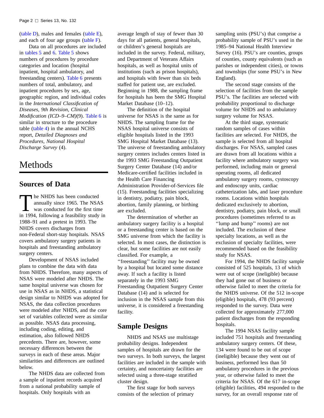<span id="page-7-0"></span>[\(table D\), m](#page-13-0)ales and females [\(table E\),](#page-14-0) and each of four age group[s \(table F\).](#page-16-0)

Data on a[ll pr](#page-27-0)ocedures are included in [tables 5](#page-22-0) and 6. [Table 5](#page-22-0) shows numbers of procedures by procedure categories and location (hospital inpatient, hospital ambulatory, and freestanding centers). [Table 6](#page-27-0) presents numbers of total, ambulatory, and inpatient procedures by sex, age, geographic region, and individual codes in the *International Classification of Diseases, 9th Revision, Clinical Modification (ICD–9–CM)*(9). [Table 6](#page-27-0) is similar in structure to the procedure tabl[e \(table 4\) in](#page-21-0) the annual NCHS report, *Detailed Diagnoses and Procedures, National Hospital Discharge Survey* (4).

# Methods

## **Sources of Data**

The NHDS has been conducted<br>annually since 1965. The NSA<br>was conducted for the first tin<br>in 1004, following a footbility study annually since 1965. The NSAS was conducted for the first time in 1994, following a feasibility study in 1988–91 and a pretest in 1993. The NHDS covers discharges from non-Federal short-stay hospitals. NSAS covers ambulatory surgery patients in hospitals and freestanding ambulatory surgery centers.

Development of NSAS included plans to combine the data with data from NHDS. Therefore, many aspects of NSAS were modeled after NHDS. The same hospital universe was chosen for use in NSAS as in NHDS, a statistical design similar to NHDS was adopted for NSAS, the data collection procedures were modeled after NHDS, and the core set of variables collected were as similar as possible. NSAS data processing, including coding, editing, and estimation, also followed NHDS precedents. There are, however, some necessary differences between the surveys in each of these areas. Major similarities and differences are outlined below.

The NHDS data are collected from a sample of inpatient records acquired from a national probability sample of hospitals. Only hospitals with an

average length of stay of fewer than 30 days for all patients, general hospitals, or children's general hospitals are included in the survey. Federal, military, and Department of Veterans Affairs hospitals, as well as hospital units of institutions (such as prison hospitals), and hospitals with fewer than six beds staffed for patient use, are excluded. Beginning in 1988, the sampling frame for hospitals has been the SMG Hospital Market Database (10–12).

The definition of the hospital universe for NSAS is the same as for NHDS. The sampling frame for the NSAS hospital universe consists of eligible hospitals listed in the 1993 SMG Hospital Market Database (13). The universe of freestanding ambulatory surgery centers includes centers listed in the 1993 SMG Freestanding Outpatient Surgery Center Database (14) and/or Medicare-certified facilities included in the Health Care Financing Administration Provider-of-Services file (15). Freestanding facilities specializing in dentistry, podiatry, pain block, abortion, family planning, or birthing are excluded.

The determination of whether an ambulatory surgery facility is a hospital or a freestanding center is based on the SMG universe from which the facility is selected. In most cases, the distinction is clear, but some facilities are not easily classified. For example, a ''freestanding'' facility may be owned by a hospital but located some distance away. If such a facility is listed separately in the 1993 SMG Freestanding Outpatient Surgery Center Database (14) and is selected for inclusion in the NSAS sample from this universe, it is considered a freestanding facility.

### **Sample Designs**

NHDS and NSAS use multistage probability designs. Independent samples of hospitals are drawn for the two surveys. In both surveys, the largest facilities are included in the sample with certainty, and noncertainty facilities are selected using a three-stage stratified cluster design.

The first stage for both surveys consists of the selection of primary

sampling units (PSU's) that comprise a probability sample of PSU's used in the 1985–94 National Health Interview Survey (16). PSU's are counties, groups of counties, county equivalents (such as parishes or independent cities), or towns and townships (for some PSU's in New England).

The second stage consists of the selection of facilities from the sample PSU's. The facilities are selected with probability proportional to discharge volume for NHDS and to ambulatory surgery volume for NSAS.

At the third stage, systematic random samples of cases within facilities are selected. For NHDS, the sample is selected from all hospital discharges. For NSAS, sampled cases are drawn from all locations within a facility where ambulatory surgery was performed, including main or general operating rooms, all dedicated ambulatory surgery rooms, cystoscopy and endoscopy units, cardiac catheterization labs, and laser procedure rooms. Locations within hospitals dedicated exclusively to abortion, dentistry, podiatry, pain block, or small procedures (sometimes referred to as ''lump and bump'' rooms) are not included. The exclusion of these specialty locations, as well as the exclusion of specialty facilities, were recommended based on the feasibility study for NSAS.

For 1994, the NHDS facility sample consisted of 525 hospitals, 13 of which were out of scope (ineligible) because they had gone out of business or otherwise failed to meet the criteria for the NHDS universe. Of the 512 in-scope (eligible) hospitals, 478 (93 percent) responded to the survey. Data were collected for approximately 277,000 patient discharges from the responding hospitals.

The 1994 NSAS facility sample included 751 hospitals and freestanding ambulatory surgery centers. Of these, 134 were found to be out of scope (ineligible) because they went out of business, performed less than 50 ambulatory procedures in the previous year, or otherwise failed to meet the criteria for NSAS. Of the 617 in-scope (eligible) facilities, 494 responded to the survey, for an overall response rate of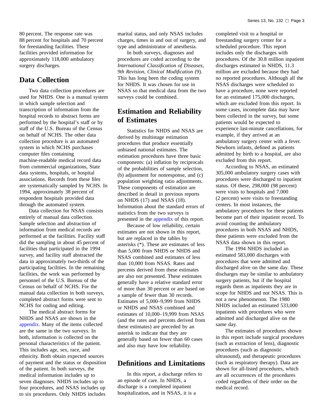<span id="page-8-0"></span>80 percent. The response rate was 88 percent for hospitals and 70 percent for freestanding facilities. These facilities provided information for approximately 118,000 ambulatory surgery discharges.

### **Data Collection**

Two data collection procedures are used for NHDS. One is a manual system in which sample selection and transcription of information from the hospital records to abstract forms are performed by the hospital's staff or by staff of the U.S. Bureau of the Census on behalf of NCHS. The other data collection procedure is an automated system in which NCHS purchases computer files containing machine-readable medical record data from commercial organizations, State data systems, hospitals, or hospital associations. Records from these files are systematically sampled by NCHS. In 1994, approximately 38 percent of respondent hospitals provided data through the automated system.

Data collection for NSAS consists entirely of manual data collection. Sample selection and abstraction of information from medical records are performed at the facilities. Facility staff did the sampling in about 45 percent of facilities that participated in the 1994 survey, and facility staff abstracted the data in approximately two-thirds of the participating facilities. In the remaining facilities, the work was performed by personnel of the U.S. Bureau of the Census on behalf of NCHS. For the manual data collection in both surveys, completed abstract forms were sent to NCHS for coding and editing.

The medical abstract forms for NHDS and NSAS are shown in the [appendix. M](#page-113-0)any of the items collected are the same in the two surveys. In both, information is collected on the personal characteristics of the patient. This includes age, sex, race, and ethnicity. Both obtain expected sources of payment and the status or disposition of the patient. In both surveys, the medical information includes up to seven diagnoses. NHDS includes up to four procedures, and NSAS includes up to six procedures. Only NHDS includes

marital status, and only NSAS includes charges, times in and out of surgery, and type and administrator of anesthesia.

In both surveys, diagnoses and procedures are coded according to the *International Classification of Diseases, 9th Revision, Clinical Modification* (9). This has long been the coding system for NHDS. It was chosen for use in NSAS so that medical data from the two surveys could be combined.

## **Estimation and Reliability of Estimates**

Statistics for NHDS and NSAS are derived by multistage estimation procedures that produce essentially unbiased national estimates. The estimation procedures have three basic components: (a) inflation by reciprocals of the probabilities of sample selection, (b) adjustment for nonresponse, and (c) population weighting ratio adjustments. These components of estimation are described in detail in previous reports on NHDS (17) and NSAS (18). Information about the standard errors of statistics from the two surveys is presented in the [appendix](#page-113-0) of this report.

Because of low reliability, certain estimates are not shown in this report, but are replaced in the tables by asterisks (\*). These are estimates of less than 5,000 from NHDS or NHDS and NSAS combined and estimates of less than 10,000 from NSAS. Rates and percents derived from these estimates are also not presented. These estimates generally have a relative standard error of more than 30 percent or are based on a sample of fewer than 30 records. Estimates of 5,000–9,999 from NHDS or NHDS and NSAS combined and estimates of 10,000–19,999 from NSAS (and the rates and percents derived from these estimates) are preceded by an asterisk to indicate that they are generally based on fewer than 60 cases and also may have low reliability.

## **Definitions and Limitations**

In this report, a discharge refers to an episode of care. In NHDS, a discharge is a completed inpatient hospitalization, and in NSAS, it is a

completed visit to a hospital or freestanding surgery center for a scheduled procedure. This report includes only the discharges with procedures. Of the 30.8 million inpatient discharges estimated in NHDS, 11.3 million are excluded because they had no reported procedures. Although all the NSAS discharges were scheduled to have a procedure, none were reported for an estimated 175,000 discharges, which are excluded from this report. In some cases, incomplete data may have been collected in the survey, but some patients would be expected to experience last-minute cancellations, for example, if they arrived at an ambulatory surgery center with a fever. Newborn infants, defined as patients admitted by birth to a hospital, are also excluded from this report.

According to NSAS, an estimated 305,000 ambulatory surgery cases with procedures were discharged to inpatient status. Of these, 298,000 (98 percent) were visits to hospitals and 7,000 (2 percent) were visits to freestanding centers. In most instances, the ambulatory procedures for these patients become part of their inpatient record. To avoid counting the ambulatory procedures in both NSAS and NHDS, these patients were excluded from the NSAS data shown in this report.

The 1994 NHDS included an estimated 583,000 discharges with procedures that were admitted and discharged alive on the same day. These discharges may be similar to ambulatory surgery patients, but if the hospital regards them as inpatients they are in scope for NHDS and not NSAS. This is not a new phenomenon. The 1980 NHDS included an estimated 533,000 inpatients with procedures who were admitted and discharged alive on the same day.

The estimates of procedures shown in this report include surgical procedures (such as extraction of lens), diagnostic procedures (such as diagnostic ultrasound), and therapeutic procedures (such as respiratory therapy). Data are shown for all-listed procedures, which are all occurrences of the procedures coded regardless of their order on the medical record.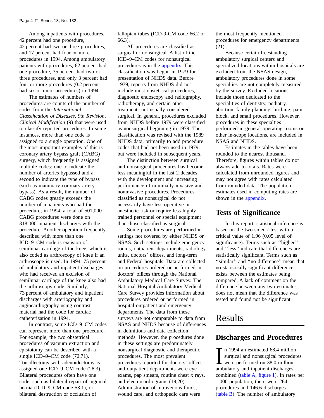<span id="page-9-0"></span>Among inpatients with procedures, 42 percent had one procedure, 42 percent had two or three procedures, and 17 percent had four or more procedures in 1994. Among ambulatory patients with procedures, 62 percent had one procedure, 35 percent had two or three procedures, and only 3 percent had four or more procedures (0.2 percent had six or more procedures) in 1994.

The estimates of numbers of procedures are counts of the number of codes from the *International Classification of Diseases, 9th Revision, Clinical Modification* (9) that were used to classify reported procedures. In some instances, more than one code is assigned to a single operation. One of the most important examples of this is coronary artery bypass graft (CABG) surgery, which frequently is assigned multiple codes: one to indicate the number of arteries bypassed and a second to indicate the type of bypass (such as mammary-coronary artery bypass). As a result, the number of CABG codes greatly exceeds the number of inpatients who had the procedure; in 1994, a total of 501,000 CABG procedures were done on 318,000 inpatient discharges with the procedure. Another operation frequently described with more than one ICD–9–CM code is excision of semilunar cartilage of the knee, which is also coded as arthroscopy of knee if an arthroscope is used. In 1994, 75 percent of ambulatory and inpatient discharges who had received an excision of semilunar cartilage of the knee also had the arthroscopy code. Similarly, 73 percent of ambulatory and inpatient discharges with arteriography and angiocardiography using contrast material had the code for cardiac catheterization in 1994.

In contrast, some ICD–9–CM codes can represent more than one procedure. For example, the two obstetrical procedures of vacuum extraction and episiotomy can be described with a single ICD–9–CM code (72.71). Tonsillectomy with adenoidectomy is assigned one ICD–9–CM code (28.3). Bilateral procedures often have one code, such as bilateral repair of inguinal hernia (ICD–9–CM code 53.1), or bilateral destruction or occlusion of

fallopian tubes (ICD-9-CM code 66.2 or 66.3).

All procedures are classified as surgical or nonsurgical. A list of the ICD–9–CM codes for nonsurgical procedures is in the [appendix.](#page-113-0) This classification was begun in 1979 for presentation of NHDS data. Before 1979, reports from NHDS did not include most obstetrical procedures, diagnostic endoscopy and radiography, radiotherapy, and certain other treatments not usually considered surgical. In general, procedures excluded from NHDS before 1979 were classified as nonsurgical beginning in 1979. The classification was revised with the 1989 NHDS data, primarily to add procedure codes that had not been used in 1979, but were included in subsequent years.

The distinction between surgical and nonsurgical procedures has become less meaningful in the last 2 decades with the development and increasing performance of minimally invasive and noninvasive procedures. Procedures classified as nonsurgical do not necessarily have less operative or anesthetic risk or require less highly trained personnel or special equipment than those classified as surgical.

Some procedures are performed in settings not covered by either NHDS or NSAS. Such settings include emergency rooms, outpatient departments, radiology units, doctors' offices, and long-term and Federal hospitals. Data are collected on procedures ordered or performed in doctors' offices through the National Ambulatory Medical Care Survey. The National Hospital Ambulatory Medical Care Survey provides information about procedures ordered or performed in hospital outpatient and emergency departments. The data from these surveys are not comparable to data from NSAS and NHDS because of differences in definitions and data collection methods. However, the procedures done in these settings are predominately nonsurgical diagnostic and therapeutic procedures. The most prevalent procedures reported for doctors' offices and outpatient departments were eye exams, pap smears, routine chest x rays, and electrocardiograms (19,20). Administration of intravenous fluids, wound care, and orthopedic care were

the most frequently mentioned procedures for emergency departments (21).

Because certain freestanding ambulatory surgical centers and specialized locations within hospitals are excluded from the NSAS design, ambulatory procedures done in some specialties are not completely measured by the survey. Excluded locations include those dedicated to the specialities of dentistry, podiatry, abortion, family planning, birthing, pain block, and small procedures. However, procedures in these specialties performed in general operating rooms or other in-scope locations, are included in NSAS and NHDS.

Estimates in the tables have been rounded to the nearest thousand. Therefore, figures within tables do not always add to totals. Rates were calculated from unrounded figures and may not agree with rates calculated from rounded data. The population estimates used in computing rates are shown in the [appendix.](#page-113-0)

## **Tests of Significance**

In this report, statistical inference is based on the two-sided *t*-test with a critical value of 1.96 (0.05 level of significance). Terms such as ''higher'' and ''less'' indicate that differences are statistically significant. Terms such as "similar" and "no difference" mean that no statistically significant difference exists between the estimates being compared. A lack of comment on the difference between any two estimates does not mean that the difference was tested and found not be significant.

# Results

## **Discharges and Procedures**

In 1994 an estimated 68.4 million<br>surgical and nonsurgical proceder<br>were performed on 38.0 million<br>ambulatory and inpatient discharges n 1994 an estimated 68.4 million surgical and nonsurgical procedures were performed on 38.0 million combine[d \(table A,](#page-10-0) [figure 1\). I](#page-10-0)n rates per 1,000 population, there were 264.1 procedures and 146.6 discharges [\(table B\). T](#page-11-0)he number of ambulatory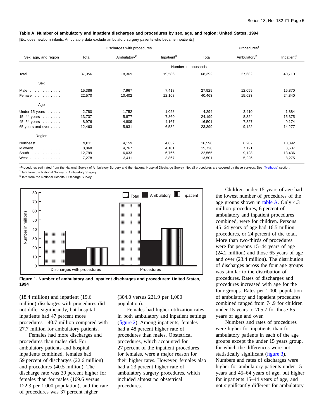#### <span id="page-10-0"></span>**Table A. Number of ambulatory and inpatient discharges and procedures by sex, age, and region: United States, 1994**

[Excludes newborn infants. Ambulatory data exclude ambulatory surgery patients who became inpatients]

|                      |        | Discharges with procedures |                        |                     | Procedures <sup>1</sup> |                        |  |
|----------------------|--------|----------------------------|------------------------|---------------------|-------------------------|------------------------|--|
| Sex, age, and region | Total  | Ambulatory <sup>2</sup>    | Inpatient <sup>3</sup> | Total               | Ambulatory <sup>2</sup> | Inpatient <sup>3</sup> |  |
|                      |        |                            |                        | Number in thousands |                         |                        |  |
| Total                | 37,956 | 18,369                     | 19,586                 | 68,392              | 27,682                  | 40,710                 |  |
| Sex                  |        |                            |                        |                     |                         |                        |  |
| Male                 | 15,386 | 7,967                      | 7,418                  | 27,929              | 12,059                  | 15,870                 |  |
| Female               | 22,570 | 10,402                     | 12,168                 | 40,463              | 15,623                  | 24,840                 |  |
| Age                  |        |                            |                        |                     |                         |                        |  |
| Under 15 years       | 2,780  | 1,752                      | 1,028                  | 4,294               | 2,410                   | 1,884                  |  |
| 15-44 years          | 13,737 | 5,877                      | 7,860                  | 24,199              | 8,824                   | 15,375                 |  |
| 45-64 years          | 8,976  | 4,809                      | 4,167                  | 16,501              | 7,327                   | 9,174                  |  |
| 65 years and over    | 12,463 | 5,931                      | 6,532                  | 23,399              | 9,122                   | 14,277                 |  |
| Region               |        |                            |                        |                     |                         |                        |  |
| Northeast            | 9,011  | 4,159                      | 4,852                  | 16,598              | 6,207                   | 10,392                 |  |
| Midwest              | 8,868  | 4,767                      | 4,101                  | 15,728              | 7,121                   | 8,607                  |  |
| South $\ldots$ ,     | 12,799 | 6,033                      | 6,766                  | 22,565              | 9,128                   | 13,436                 |  |
| West $\dots$         | 7,278  | 3,411                      | 3,867                  | 13,501              | 5,226                   | 8,275                  |  |

<sup>1</sup>Procedures estimated from the National Survey of Ambulatory Surgery and the National Hospital Discharge Survey. Not all procedures are covered by these surveys. See "Methods" section. <sup>2</sup>Data from the National Survey of Ambulatory Surgery.

<sup>3</sup>Data from the National Hospital Discharge Survey.





(18.4 million) and inpatient (19.6 million) discharges with procedures did not differ significantly, but hospital inpatients had 47 percent more procedures—40.7 million compared with 27.7 million for ambulatory patients.

Females had more discharges and procedures than males did. For ambulatory patients and hospital inpatients combined, females had 59 percent of discharges (22.6 million) and procedures (40.5 million). The discharge rate was 39 percent higher for females than for males (169.6 versus 122.3 per 1,000 population), and the rate of procedures was 37 percent higher

(304.0 versus 221.9 per 1,000 population).

Females had higher utilization rates in both ambulatory and inpatient settings [\(figure 2\).](#page-11-0) Among inpatients, females had a 48 percent higher rate of procedures than males. Obstetrical procedures, which accounted for 27 percent of the inpatient procedures for females, were a major reason for their higher rates. However, females also had a 23 percent higher rate of ambulatory surgery procedures, which included almost no obstetrical procedures.

Children under 15 years of age had the lowest number of procedures of the age groups shown in table A. Only 4.3 million procedures, 6 percent of ambulatory and inpatient procedures combined, were for children. Persons 45–64 years of age had 16.5 million procedures, or 24 percent of the total. More than two-thirds of procedures were for persons 15–44 years of age (24.2 million) and those 65 years of age and over (23.4 million). The distribution of discharges across the four age groups was similar to the distribution of procedures. Rates of discharges and procedures increased with age for the four groups. Rates per 1,000 population of ambulatory and inpatient procedures combined ranged from 74.9 for children under 15 years to 705.7 for those 65 years of age and over.

Numbers and rates of procedures were higher for inpatients than for ambulatory patients in each of the age groups except the under 15 years group, for which the differences were not statistically significa[nt \(figure 3\).](#page-11-0) Numbers and rates of discharges were higher for ambulatory patients under 15 years and 45–64 years of age, but higher for inpatients 15–44 years of age, and not significantly different for ambulatory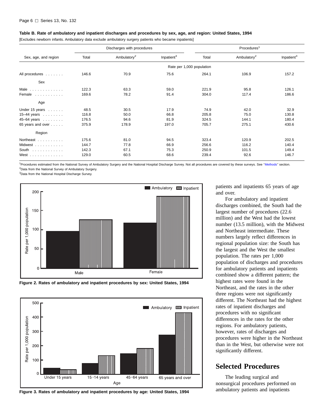#### <span id="page-11-0"></span>**Table B. Rate of ambulatory and inpatient discharges and procedures by sex, age, and region: United States, 1994**

[Excludes newborn infants. Ambulatory data exclude ambulatory surgery patients who became inpatients]

|                             |       | Discharges with procedures |                        |                           | Procedures <sup>1</sup> |                        |  |
|-----------------------------|-------|----------------------------|------------------------|---------------------------|-------------------------|------------------------|--|
| Sex, age, and region        | Total | Ambulatory <sup>2</sup>    | Inpatient <sup>3</sup> | Total                     | Ambulatory <sup>2</sup> | Inpatient <sup>3</sup> |  |
|                             |       |                            |                        | Rate per 1,000 population |                         |                        |  |
| All procedures              | 146.6 | 70.9                       | 75.6                   | 264.1                     | 106.9                   | 157.2                  |  |
| Sex                         |       |                            |                        |                           |                         |                        |  |
| Male                        | 122.3 | 63.3                       | 59.0                   | 221.9                     | 95.8                    | 126.1                  |  |
| Female                      | 169.6 | 78.2                       | 91.4                   | 304.0                     | 117.4                   | 186.6                  |  |
| Age                         |       |                            |                        |                           |                         |                        |  |
| Under $15$ years $\ldots$ . | 48.5  | 30.5                       | 17.9                   | 74.9                      | 42.0                    | 32.9                   |  |
| 15-44 years $\ldots \ldots$ | 116.8 | 50.0                       | 66.8                   | 205.8                     | 75.0                    | 130.8                  |  |
| 45-64 years $ \dots$        | 176.5 | 94.6                       | 81.9                   | 324.5                     | 144.1                   | 180.4                  |  |
| 65 years and over           | 375.9 | 178.9                      | 197.0                  | 705.7                     | 275.1                   | 430.6                  |  |
| Region                      |       |                            |                        |                           |                         |                        |  |
| Northeast                   | 175.6 | 81.0                       | 94.5                   | 323.4                     | 120.9                   | 202.5                  |  |
| Midwest                     | 144.7 | 77.8                       | 66.9                   | 256.6                     | 116.2                   | 140.4                  |  |
| South $\ldots$ , $\ldots$   | 142.3 | 67.1                       | 75.3                   | 250.9                     | 101.5                   | 149.4                  |  |
| West $\ldots$               | 129.0 | 60.5                       | 68.6                   | 239.4                     | 92.6                    | 146.7                  |  |

<sup>1</sup>Procedures estimated from the National Survey of Ambulatory Surgery and the National Hospital Discharge Survey. Not all procedures are covered by these surveys. See "Methods" section. <sup>2</sup>Data from the National Survey of Ambulatory Surgery.

<sup>3</sup>Data from the National Hospital Discharge Survey.







**Figure 3. Rates of ambulatory and inpatient procedures by age: United States, 1994**

patients and inpatients 65 years of age and over.

For ambulatory and inpatient discharges combined, the South had the largest number of procedures (22.6 million) and the West had the lowest number (13.5 million), with the Midwest and Northeast intermediate. These numbers largely reflect differences in regional population size: the South has the largest and the West the smallest population. The rates per 1,000 population of discharges and procedures for ambulatory patients and inpatients combined show a different pattern; the highest rates were found in the Northeast, and the rates in the other three regions were not significantly different. The Northeast had the highest rates of inpatient discharges and procedures with no significant differences in the rates for the other regions. For ambulatory patients, however, rates of discharges and procedures were higher in the Northeast than in the West, but otherwise were not significantly different.

## **Selected Procedures**

The leading surgical and nonsurgical procedures performed on ambulatory patients and inpatients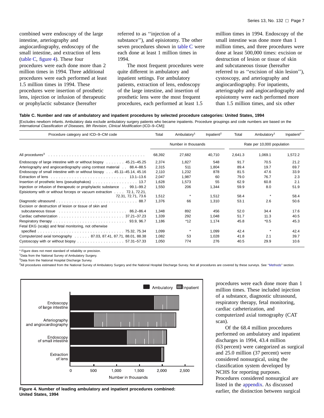<span id="page-12-0"></span>combined were endoscopy of the large intestine, arteriography and angiocardiography, endoscopy of the small intestine, and extraction of lens (table C, figure 4). These four procedures were each done more than 2 million times in 1994. Three additional procedures were each performed at least 1.5 million times in 1994. These procedures were insertion of prosthetic lens, injection or infusion of therapeutic or prophylactic substance (hereafter

referred to as ''injection of a substance''), and episiotomy. The other seven procedures shown in table C were each done at least 1 million times in 1994.

The most frequent procedures were quite different in ambulatory and inpatient settings. For ambulatory patients, extraction of lens, endoscopy of the large intestine, and insertion of prosthetic lens were the most frequent procedures, each performed at least 1.5

million times in 1994. Endoscopy of the small intestine was done more than 1 million times, and three procedures were done at least 500,000 times: excision or destruction of lesion or tissue of skin and subcutaneous tissue (hereafter referred to as ''excision of skin lesion''), cystoscopy, and arteriography and angiocardiography. For inpatients, arteriography and angiocardiography and episiotomy were each performed more than 1.5 million times, and six other

#### **Table C. Number and rate of ambulatory and inpatient procedures by selected procedure categories: United States, 1994**

[Excludes newborn infants. Ambulatory data exclude ambulatory surgery patients who became inpatients. Procedure groupings and code numbers are based on the International Classification of Diseases, 9th Revision, Clinical Modification (ICD–9–CM)]

| Procedure category and ICD-9-CM code                                                                | Total  | Ambulatory <sup>1</sup> | Inpatient <sup>2</sup> | Total   | Ambulatory <sup>1</sup>    | Inpatient <sup>2</sup> |
|-----------------------------------------------------------------------------------------------------|--------|-------------------------|------------------------|---------|----------------------------|------------------------|
|                                                                                                     |        | Number in thousands     |                        |         | Rate per 10,000 population |                        |
|                                                                                                     | 68,392 | 27,682                  | 40,710                 | 2,641.3 | 1,069.1                    | 1,572.2                |
| Endoscopy of large intestine with or without biopsy  45.21–45.25                                    | 2,374  | 1,827                   | 548                    | 91.7    | 70.5                       | 21.2                   |
| Arteriography and angiocardiography using contrast material 88.4–88.5                               | 2,315  | 511                     | 1,804                  | 89.4    | 19.7                       | 69.7                   |
| Endoscopy of small intestine with or without biospy 45.11-45.14, 45.16                              | 2,110  | 1,232                   | 878                    | 81.5    | 47.6                       | 33.9                   |
|                                                                                                     | 2,047  | 1,987                   | 60                     | 79.0    | 76.7                       | 2.3                    |
| Insertion of prosthetic lens (pseudophakos) 13.7                                                    | 1,628  | 1,573                   | 55                     | 62.9    | 60.8                       | 2.1                    |
| Injection or infusion of therapeutic or prophylactic substance 99.1–99.2                            | 1,550  | 206                     | 1,344                  | 59.9    | 8.0                        | 51.9                   |
| Episiotomy with or without forceps or vacuum extraction $\ldots$ 72.1, 72.21,<br>72.31. 72.71. 73.6 | 1,512  |                         | 1,512                  | 58.4    |                            | 58.4                   |
|                                                                                                     | 1,376  | 66                      | 1,310                  | 53.1    | 2.6                        | 50.6                   |
| Excision or destruction of lesion or tissue of skin and                                             |        |                         |                        |         |                            |                        |
|                                                                                                     | 1,348  | 892                     | 456                    | 52.0    | 34.4                       | 17.6                   |
|                                                                                                     | 1,339  | 292                     | 1,048                  | 51.7    | 11.3                       | 40.5                   |
|                                                                                                     | 1.186  | $*12$                   | 1.174                  | 45.8    | $*0.5$                     | 45.3                   |
| Fetal EKG (scalp) and fetal monitoring, not otherwise                                               |        |                         |                        |         |                            |                        |
|                                                                                                     | 1,099  |                         | 1,099                  | 42.4    |                            | 42.4                   |
| Computerized axial tomography 87.03, 87.41, 87.71, 88.01, 88.38                                     | 1,082  | 53                      | 1,028                  | 41.8    | 2.1                        | 39.7                   |
| Cystoscopy with or without biopsy 57.31-57.33                                                       | 1,050  | 774                     | 276                    | 40.5    | 29.9                       | 10.6                   |

\* Figure does not meet standard of reliability or precision.

1Data from the National Survey of Ambulatory Surgery.

<sup>2</sup>Data from the National Hospital Discharge Survey.

3All procedures estimated from the National Survey of Ambulatory Surgery and the National Hospital Discharge Survey. Not all procedures are covered by these surveys. Se[e ''Methods'' secti](#page-7-0)on.



**Figure 4. Number of leading ambulatory and inpatient procedures combined: United States, 1994**

procedures were each done more than 1 million times. These included injection of a substance, diagnostic ultrasound, respiratory therapy, fetal monitoring, cardiac catheterization, and computerized axial tomography (CAT scan).

Of the 68.4 million procedures performed on ambulatory and inpatient discharges in 1994, 43.4 million (63 percent) were categorized as surgical and 25.0 million (37 percent) were considered nonsurgical, using the classification system developed by NCHS for reporting purposes. Procedures considered nonsurgical are listed in the [appendix. A](#page-113-0)s discussed earlier, the distinction between surgical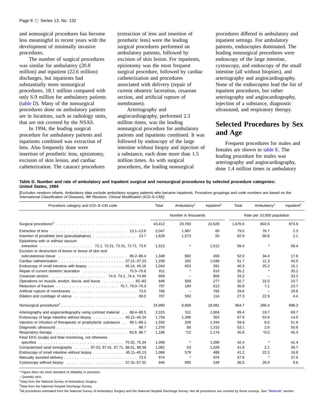<span id="page-13-0"></span>and nonsurgical procedures has become less meaningful in recent years with the development of minimally invasive procedures.

The number of surgical procedures was similar for ambulatory (20.8 million) and inpatient (22.6 million) discharges, but inpatients had substantially more nonsurgical procedures, 18.1 million compared with only 6.9 million for ambulatory patients (table D). Many of the nonsurgical procedures done on ambulatory patients are in locations, such as radiology units, that are not covered by the NSAS.

In 1994, the leading surgical procedure for ambulatory patients and inpatients combined was extraction of lens. Also frequently done were insertion of prosthetic lens, episiotomy, excision of skin lesion, and cardiac catheterization. The cataract procedures (extraction of lens and insertion of prosthetic lens) were the leading surgical procedures performed on ambulatory patients, followed by excision of skin lesion. For inpatients, episiotomy was the most frequent surgical procedure, followed by cardiac catheterization and procedures associated with delivery (repair of current obstetric laceration, cesarean section, and artificial rupture of membranes).

Arteriography and angiocardiography, performed 2.3 million times, was the leading nonsurgical procedure for ambulatory patients and inpatients combined. It was followed by endoscopy of the large intestine without biopsy and injection of a substance, each done more than 1.5 million times. As with surgical procedures, the leading nonsurgical

procedures differed in ambulatory and inpatient settings. For ambulatory patients, endoscopies dominated. The leading nonsurgical procedures were endoscopy of the large intestine, cystoscopy, and endoscopy of the small intestine (all without biopsies), and arteriography and angiocardiography. None of the endoscopies lead the list of inpatient procedures, but rather arteriography and angiocardiography, injection of a substance, diagnostic ultrasound, and respiratory therapy.

## **Selected Procedures by Sex and Age**

Frequent procedures for males and females are shown in [table E. T](#page-14-0)he leading procedure for males was arteriography and angiocardiography, done 1.4 million times in ambulatory

#### **Table D. Number and rate of ambulatory and inpatient surgical and nonsurgical procedures by selected procedure categories: United States, 1994**

[Excludes newborn infants. Ambulatory data exclude ambulatory surgery patients who became inpatients. Procedure groupings and code numbers are based on the International Classification of Diseases, 9th Revision, Clinical Modification (ICD–9–CM)]

| Procedure category and ICD-9-CM code                                                                                                                                                                                           | Total  | Ambulatory <sup>1</sup> | Inpatient <sup>2</sup> | Total   | Ambulatory <sup>1</sup>    | Inpatient <sup>2</sup> |  |
|--------------------------------------------------------------------------------------------------------------------------------------------------------------------------------------------------------------------------------|--------|-------------------------|------------------------|---------|----------------------------|------------------------|--|
|                                                                                                                                                                                                                                |        | Number in thousands     |                        |         | Rate per 10,000 population |                        |  |
|                                                                                                                                                                                                                                | 43,412 | 20,783                  | 22,629                 | 1,676.6 | 802.6                      | 873.9                  |  |
|                                                                                                                                                                                                                                | 2.047  | 1.987                   | 60                     | 79.0    | 76.7                       | 2.3                    |  |
|                                                                                                                                                                                                                                | 1,628  | 1,573                   | 55                     | 62.9    | 60.8                       | 2.1                    |  |
| Episiotomy with or without vacuum                                                                                                                                                                                              |        |                         |                        |         |                            |                        |  |
|                                                                                                                                                                                                                                | 1,512  | $\star$                 | 1,512                  | 58.4    | $\star$                    | 58.4                   |  |
| Excision or destruction of lesion or tissue of skin and                                                                                                                                                                        |        |                         |                        |         |                            |                        |  |
| subcutaneous tissue contained and subset of the container and subset of the subset of the subset of the subset of the subset of the subset of the subset of the subset of the subset of the subset of the subset of the subset | 1,348  | 892                     | 456                    | 52.0    | 34.4                       | 17.6                   |  |
|                                                                                                                                                                                                                                | 1,339  | 292                     | 1,048                  | 51.7    | 11.3                       | 40.5                   |  |
| Endoscopy of small intestine with biopsy 45.14, 45.16                                                                                                                                                                          | 1,044  | 653                     | 391                    | 40.3    | 25.2                       | 15.1                   |  |
| Repair of current obstetric laceration 75.5–75.6                                                                                                                                                                               | 911    |                         | 910                    | 35.2    |                            | 35.2                   |  |
|                                                                                                                                                                                                                                | 858    |                         | 858                    | 33.2    |                            | 33.2                   |  |
| Operations on muscle, tendon, fascia, and bursa 82-83                                                                                                                                                                          | 846    | 569                     | 277                    | 32.7    | 22.0                       | 10.7                   |  |
|                                                                                                                                                                                                                                | 797    | 184                     | 613                    | 30.8    | 7.1                        | 23.7                   |  |
|                                                                                                                                                                                                                                | 766    | $\qquad \qquad -$       | 766                    | 29.6    |                            | 29.6                   |  |
|                                                                                                                                                                                                                                | 707    | 593                     | 114                    | 27.3    | 22.9                       | 4.4                    |  |
| Nonsurgical procedures <sup>3</sup>                                                                                                                                                                                            | 24,980 | 6.899                   | 18.081                 | 964.7   | 266.4                      | 698.3                  |  |
| Arteriography and angiocardiography using contrast material 88.4-88.5                                                                                                                                                          | 2,315  | 511                     | 1,804                  | 89.4    | 19.7                       | 69.7                   |  |
| Endoscopy of large intestine without biopsy 45.21–45.24                                                                                                                                                                        | 1.759  | 1,396                   | 363                    | 67.9    | 53.9                       | 14.0                   |  |
| Injection or infustion of therapeutic or prophylactic substance 99.1–99.2                                                                                                                                                      | 1,550  | 206                     | 1,344                  | 59.9    | 8.0                        | 51.9                   |  |
|                                                                                                                                                                                                                                | 1.376  | 66                      | 1,310                  | 53.1    | 2.6                        | 50.6                   |  |
|                                                                                                                                                                                                                                | 1.186  | $*12$                   | 1,174                  | 45.8    | $*0.5$                     | 45.3                   |  |
| Fetal EKG (scalp) and fetal monitoring, not otherwise                                                                                                                                                                          |        |                         |                        |         |                            |                        |  |
|                                                                                                                                                                                                                                | 1,099  | $\star$                 | 1,099                  | 42.4    | $\star$                    | 42.4                   |  |
| Computerized axial tomography 87.03, 87.41, 87.71, 88.01, 88.38                                                                                                                                                                | 1.082  | 53                      | 1.028                  | 41.8    | 2.1                        | 39.7                   |  |
| Endoscopy of small intestine without biopsy 45.11-45.13                                                                                                                                                                        | 1,066  | 578                     | 488                    | 41.2    | 22.3                       | 18.8                   |  |
|                                                                                                                                                                                                                                | 974    | $\star$                 | 974                    | 37.6    | $\star$                    | 37.6                   |  |
|                                                                                                                                                                                                                                | 945    | 695                     | 249                    | 36.5    | 26.9                       | 9.6                    |  |

\* Figure does not meet standard of reliability or precision.

– Quantity zero.

1Data from the National Survey of Ambulatory Surgery.

<sup>2</sup>Data from the National Hospital Discharge Survey.

3All procedures estimated from the National Survey of Ambulatory Surgery and the National Hospital Discharge Survey. Not all procedures are covered by these surveys. See "Methods" section.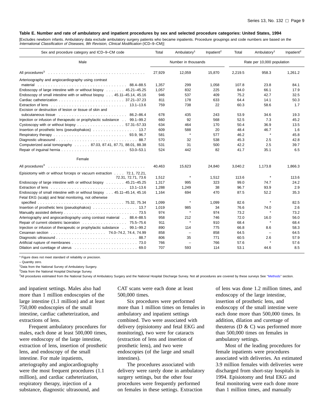#### <span id="page-14-0"></span>**Table E. Number and rate of ambulatory and inpatient procedures by sex and selected procedure categories: United States, 1994**

[Excludes newborn infants. Ambulatory data exclude ambulatory surgery patients who became inpatients. Procedure groupings and code numbers are based on the International Classification of Diseases, 9th Revision, Clinical Modification (ICD–9–CM)]

| Sex and procedure category and ICD-9-CM code                                                                                    | Total      | Ambulatory <sup>1</sup>        | Inpatient <sup>2</sup> | Total        | Ambulatory <sup>1</sup>    | Inpatient <sup>2</sup> |  |
|---------------------------------------------------------------------------------------------------------------------------------|------------|--------------------------------|------------------------|--------------|----------------------------|------------------------|--|
| Male                                                                                                                            |            | Number in thousands            |                        |              | Rate per 10,000 population |                        |  |
|                                                                                                                                 | 27,929     | 12,059                         | 15,870                 | 2,219.5      | 958.3                      | 1,261.2                |  |
| Arterioography and angiocardiography using contrast                                                                             |            |                                |                        |              |                            |                        |  |
|                                                                                                                                 | 1,357      | 299                            | 1,058                  | 107.8        | 23.8                       | 84.1                   |  |
| Endoscopy of large intestine with or without biopsy 45.21–45.25                                                                 | 1.057      | 832                            | 225                    | 84.0         | 66.1                       | 17.9                   |  |
| Endoscopy of small intestine with or without biopsy 45.11–45.14, 45.16                                                          | 946        | 537                            | 409                    | 75.2         | 42.7                       | 32.5                   |  |
|                                                                                                                                 | 811        | 178                            | 633                    | 64.4         | 14.1                       | 50.3                   |  |
|                                                                                                                                 | 759        | 738                            | 22                     | 60.3         | 58.6                       | 1.7                    |  |
| Excision or destruction of lesion or tissue of skin and                                                                         |            |                                |                        |              |                            |                        |  |
| subcutaneous tissue contained and subset of the container subset of the subset of the subset of the subset of $86.2-86.4$       | 678        | 435                            | 243                    | 53.9         | 34.6                       | 19.3                   |  |
| Injection or infusion of therapeutic or prophylactic substance 99.1–99.2                                                        | 660        | 92                             | 568                    | 52.5         | 7.3                        | 45.2                   |  |
| Cystoscopy with or without biopsy 57.31-57.33                                                                                   | 634        | 464                            | 170                    | 50.4         | 36.9                       | 13.5                   |  |
| Insertion of prosthetic lens (pseudophakos) 13.7                                                                                | 609        | 588                            | 20                     | 48.4         | 46.7                       | 1.6                    |  |
|                                                                                                                                 | 581        | $\star$                        | 577                    | 46.2         | $\star$                    | 45.8                   |  |
|                                                                                                                                 | 570        | 32                             | 538                    | 45.3         | 2.5                        | 42.8                   |  |
| Computerized axial tomography 87.03, 87.41, 87.71, 88.01, 88.38                                                                 | 531        | 31                             | 500                    | 42.2         | 2.5                        | 39.7                   |  |
|                                                                                                                                 | 524        | 442                            | 82                     | 41.7         | 35.1                       | 6.5                    |  |
| Female                                                                                                                          |            |                                |                        |              |                            |                        |  |
|                                                                                                                                 | 40,463     | 15,623                         | 24,840                 | 3,040.2      | 1,173.8                    | 1,866.3                |  |
| Episiotomy with or without forceps or vacuum extraction 72.1, 72.21,                                                            |            |                                |                        |              |                            |                        |  |
| 72.31, 72.71, 73.6                                                                                                              | 1,512      | $\pmb{\ast}$                   | 1,512                  | 113.6        | $\star$                    | 113.6                  |  |
| Endoscopy of large intestine with or without biopsy 45.21-45.25                                                                 | 1,317      | 995                            | 323                    | 99.0         | 74.7                       | 24.2                   |  |
|                                                                                                                                 | 1,288      | 1,249                          | 38                     | 96.7         | 93.9                       | 2.9                    |  |
| Endoscopy of small intestine with or without biopsy 45.11–45.14, 45.16<br>Fetal EKG (scalp) and fetal monitoring, not otherwise | 1.164      | 694                            | 470                    | 87.5         | 52.2                       | 35.3                   |  |
|                                                                                                                                 | 1,099      | $\pmb{\ast}$                   | 1,099                  | 82.6         | $\star$                    | 82.5                   |  |
| Insertion of prosthetic lens (pseudophakos) 13.7                                                                                | 1,019      | 985                            | 34                     | 76.6         | 74.0                       | 2.6                    |  |
|                                                                                                                                 | 974        | $\star$                        | 974                    | 73.2         | $\star$                    | 73.2                   |  |
| Arteriography and angiocardiography using contrast material 88.4-88.5                                                           | 958        | 212                            | 746                    | 72.0         | 16.0                       | 56.0                   |  |
| Repair of current obstetric laceration 75.5–75.6                                                                                | 911        | $\star$                        | 910                    | 68.4         | $\star$                    | 68.4                   |  |
| Injection or infusion of therapeutic or prophylactic substance 99.1–99.2                                                        | 890        | 114                            | 775                    | 66.8         | 8.6                        | 58.3                   |  |
|                                                                                                                                 |            |                                |                        |              | $\equiv$                   |                        |  |
|                                                                                                                                 | 858        | $\overline{\phantom{m}}$<br>35 | 858                    | 64.5<br>60.5 | 2.6                        | 64.5                   |  |
|                                                                                                                                 | 806<br>766 |                                | 771<br>766             | 57.6         |                            | 57.9<br>57.6           |  |
|                                                                                                                                 |            |                                |                        |              |                            |                        |  |
|                                                                                                                                 | 707        | 593                            | 114                    | 53.1         | 44.6                       | 8.5                    |  |

\* Figure does not meet standard of reliability or precision.

– Quantity zero.

1Data from the National Survey of Ambulatory Surgery.

2Data from the National Hospital Discharge Survey.

3All procedures estimated from the National Survey of Ambulatory Surgery and the National Hospital Discharge Survey. Not all procedures are covered by these surveys See "Methods" section.

and inpatient settings. Males also had more than 1 million endoscopies of the large intestine (1.1 million) and at least 750,000 endoscopies of the small intestine, cardiac catheterization, and extractions of lens.

Frequent ambulatory procedures for males, each done at least 500,000 times, were endoscopy of the large intestine, extraction of lens, insertion of prosthetic lens, and endoscopy of the small intestine. For male inpatients, arteriography and angiocardiography were the most frequent procedures (1.1 million), and cardiac catheterization, respiratory therapy, injection of a substance, diagnostic ultrasound, and

CAT scans were each done at least 500,000 times.

Six procedures were performed more than 1 million times on females in ambulatory and inpatient settings combined. Two were associated with delivery (episiotomy and fetal EKG and monitoring), two were for cataracts (extraction of lens and insertion of prosthetic lens), and two were endoscopies (of the large and small intestines).

The procedures associated with delivery were rarely done in ambulatory surgery settings, but the other four procedures were frequently performed on females in these settings. Extraction

of lens was done 1.2 million times, and endoscopy of the large intestine, insertion of prosthetic lens, and endoscopy of the small intestine were each done more than 500,000 times. In addition, dilation and curettage of theuterus ( $D \& C$ ) was performed more than 500,000 times on females in ambulatory settings.

Most of the leading procedures for female inpatients were procedures associated with deliveries. An estimated 3.9 million females with deliveries were discharged from short-stay hospitals in 1994. Episiotomy and fetal EKG and fetal monitoring were each done more than 1 million times, and manually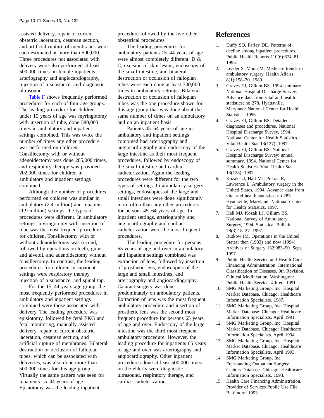<span id="page-15-0"></span>assisted delivery, repair of current obstetric laceration, cesarean section, and artificial rupture of membranes were each estimated at more than 500,000. Three procedures not associated with delivery were also performed at least 500,000 times on female inpatients: arteriography and angiocardiography, injection of a substance, and diagnostic ultrasound.

[Table F](#page-16-0) shows frequently performed procedures for each of four age groups. The leading procedure for children under 15 years of age was myringotomy with insertion of tube, done 580,000 times in ambulatory and inpatient settings combined. This was twice the number of times any other procedure was performed on children. Tonsillectomy with or without adenoidectomy was done 285,000 times, and respiratory therapy was provided 202,000 times for children in ambulatory and inpatient settings combined.

Although the number of procedures performed on children was similar in ambulatory (2.4 million) and inpatient (1.9 million) settings, the types of procedures were different. In ambulatory settings, myringotomy with insertion of tube was the most frequent procedure for children. Tonsillectomy with or without adenoidectomy was second, followed by operations on teeth, gums, and alveoli, and adenoidectomy without tonsillectomy. In contrast, the leading procedures for children in inpatient settings were respiratory therapy, injection of a substance, and spinal tap.

For the 15–44 years age group, the most frequently performed procedures in ambulatory and inpatient settings combined were those associated with delivery. The leading procedure was episiotomy, followed by fetal EKG and fetal monitoring, manually assisted delivery, repair of current obstetric laceration, cesarean section, and artificial rupture of membranes. Bilateral destruction or occlusion of fallopian tubes, which can be associated with deliveries, was also done more than 500,000 times for this age group. Virtually the same pattern was seen for inpatients 15–44 years of age. Episiotomy was the leading inpatient

procedure followed by the five other obstetrical procedures.

The leading procedures for ambulatory patients 15–44 years of age were almost completely different. D & C, excision of skin lesion, endoscopy of the small intestine, and bilateral destruction or occlusion of fallopian tubes were each done at least 300,000 times in ambulatory settings. Bilateral destruction or occlusion of fallopian tubes was the one procedure shown for this age group that was done about the same number of times on an ambulatory and on an inpatient basis.

Patients 45–64 years of age in ambulatory and inpatient settings combined had arteriography and angiocardiography and endoscopy of the large intestine as their most frequent procedures, followed by endoscopy of the small intestine and cardiac catheterization. Again the leading procedures were different for the two types of settings. In ambulatory surgery settings, endoscopies of the large and small intestines were done significantly more often than any other procedures for persons 45–64 years of age. In inpatient settings, arteriography and angiocardiography and cardiac catheterization were the most frequent procedures.

The leading procedure for persons 65 years of age and over in ambulatory and inpatient settings combined was extraction of lens, followed by insertion of prosthetic lens, endoscopies of the large and small intestines, and arteriography and angiocardiography. Cataract surgery was done predominately on ambulatory patients. Extraction of lens was the most frequent ambulatory procedure and insertion of prosthetic lens was the second most frequent procedure for persons 65 years of age and over. Endoscopy of the large intestine was the third most frequent ambulatory procedure. However, the leading procedure for inpatients 65 years of age and over was arteriography and angiocardiography. Other inpatient procedures done at least 500,000 times on the elderly were diagnostic ultrasound, respiratory therapy, and cardiac catheterization.

### **References**

- 1. Duffy SQ, Farley DE. Patterns of decline among inpatient procedures. Public Health Reports 110(6):674–81. 1995.
- 2. Leader S, Moon M. Medicare trends in ambulatory surgery. Health Affairs 8(1):158–70. 1989.
- 3. Graves EJ, Gillum BS. 1994 summary: National Hospital Discharge Survey. Advance data from vital and health statistics; no 278. Hyattsville, Maryland: National Center for Health Statistics. 1996.
- 4. Graves EJ, Gillum BS. Detailed diagnoses and procedures, National Hospital Discharge Survey, 1994. National Center for Health Statistics. Vital Health Stat 13(127). 1997.
- 5. Graves EJ, Gillum BS. National Hospital Discharge Survey: annual summary, 1994. National Center for Health Statistics. Vital Health Stat 13(128). 1997.
- 6. Kozak LJ, Hall MJ, Pokras R, Lawrence L. Ambulatory surgery in the United States, 1994. Advance data from vital and health statistics; no 283. Hyattsville, Maryland: National Center for Health Statistics. 1997.
- 7. Hall MJ, Kozak LJ, Gillum BS. National Survey of Ambulatory Surgery, 1994. Statistical Bulletin 78(3):18–27. 1997.
- 8. Rutkow IM. Operations in the United States: then (1983) and now (1994). Archives of Surgery 132:983–90. Sept. 1997.
- 9. Public Health Service and Health Care Financing Administration. International Classification of Diseases, 9th Revision, Clinical Modification. Washington: Public Health Service. 4th ed. 1991.
- 10. SMG Marketing Group, Inc. Hospital Market Database. Chicago: Healthcare Information Specialists. 1987.
- 11. SMG Marketing Group, Inc. Hospital Market Database. Chicago: Healthcare Information Specialists. April 1991.
- 12. SMG Marketing Group, Inc. Hospital Market Database. Chicago: Healthcare Information Specialists. April 1994.
- 13. SMG Marketing Group, Inc. Hospital Market Database. Chicago: Healthcare Information Specialists. April 1993.
- 14. SMG Marketing Group, Inc. Freestanding Outpatient Surgery Centers Database. Chicago: Healthcare Information Specialists. 1993.
- 15. Health Care Financing Administration. Provider of Services Public Use File. Baltimore: 1993.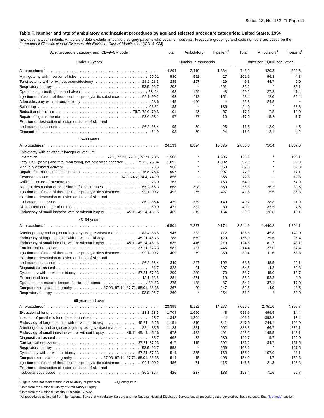#### <span id="page-16-0"></span>**Table F. Number and rate of ambulatory and inpatient procedures by age and selected procedure categories: United States, 1994**

[Excludes newborn infants. Ambulatory data exclude ambulatory surgery patients who became inpatients. Procedure groupings and code numbers are based on the<br>International Classification of Diseases, 9th Revision, Clinical M

| Age, procedure category, and ICD-9-CM code                                                                                                                                                                                     | Total      | Ambulatory <sup>1</sup>  | Inpatient <sup>2</sup> | Total        | Ambulatory <sup>1</sup>     | Inpatient <sup>2</sup> |
|--------------------------------------------------------------------------------------------------------------------------------------------------------------------------------------------------------------------------------|------------|--------------------------|------------------------|--------------|-----------------------------|------------------------|
| Under 15 years                                                                                                                                                                                                                 |            | Number in thousands      |                        |              | Rates per 10,000 population |                        |
|                                                                                                                                                                                                                                | 4,294      | 2,410                    | 1,884                  | 748.9        | 420.3                       | 328.6                  |
| Myringotomy with insertion of tube contact and subset of tube contact and subset of tube contact and tube material of tube contact and tube material and tube material of tube material and tube material material material ma | 580        | 552                      | 27                     | 101.1        | 96.3                        | 4.8                    |
| Tonsillectomy with or without adenoidectomy  28.2–28.3                                                                                                                                                                         | 285        | 257                      | 29                     | 49.8         | 44.7                        | 5.0                    |
|                                                                                                                                                                                                                                | 202        | $\pmb{\ast}$             | 201                    | 35.2         | $\star$                     | 35.1                   |
|                                                                                                                                                                                                                                | 168        | 159                      | *8                     | 29.2         | 27.8                        | $*1.4$                 |
| Injection or infusion of therapeutic or prophylactic substance  99.1–99.2                                                                                                                                                      | 163        | *12                      | 151                    | 28.4         | $*2.0$                      | 26.4                   |
| Adenoidectomy without tonsillectomy  28.6                                                                                                                                                                                      | 145        | 140                      | $\pmb{\ast}$           | 25.3         | 24.5                        | $\star$                |
|                                                                                                                                                                                                                                | 138        | $\star$                  | 136                    | 24.0         | $\pmb{\ast}$                | 23.8                   |
|                                                                                                                                                                                                                                | 101        | 43                       | 57                     | 17.6         | 7.5                         | 10.0                   |
|                                                                                                                                                                                                                                | 97         | 87                       | 10                     | 17.0         | 15.2                        | 1.7                    |
| Excision or destruction of lesion or tissue of skin and                                                                                                                                                                        | 95         | 69                       | 26                     | 16.5         | 12.0                        | 4.5                    |
|                                                                                                                                                                                                                                | 93         | 69                       | 24                     | 16.3         | 12.1                        | 4.2                    |
|                                                                                                                                                                                                                                |            |                          |                        |              |                             |                        |
| $15 - 44$ years                                                                                                                                                                                                                |            |                          |                        |              |                             |                        |
|                                                                                                                                                                                                                                | 24,199     | 8,824                    | 15,375                 | 2,058.0      | 750.4                       | 1,307.6                |
| Episiotomy with or without forceps or vacuum                                                                                                                                                                                   |            |                          |                        |              |                             |                        |
|                                                                                                                                                                                                                                | 1,506      |                          | 1,506                  | 128.1        |                             | 128.1                  |
| Fetal EKG (scalp) and fetal monitoring, not otherwise specified 75.32, 75.34                                                                                                                                                   | 1,092      |                          | 1,092                  | 92.9         |                             | 92.9                   |
|                                                                                                                                                                                                                                | 968<br>907 |                          | 968<br>907             | 82.3<br>77.2 |                             | 82.3                   |
|                                                                                                                                                                                                                                | 856        | $\overline{\phantom{0}}$ | 856                    | 72.8         | ÷                           | 77.1<br>72.8           |
|                                                                                                                                                                                                                                | 763        |                          | 763                    | 64.9         | ÷                           | 64.9                   |
| Bilateral destruction or occlusion of fallopian tubes 66.2–66.3                                                                                                                                                                | 668        | 308                      | 360                    | 56.8         | 26.2                        | 30.6                   |
| Injection or infusion of therapeutic or prophylactic substance  99.1–99.2                                                                                                                                                      | 492        | 65                       | 427                    | 41.8         | 5.5                         | 36.3                   |
| Excision or destruction of lesion or tissue of skin and                                                                                                                                                                        |            |                          |                        |              |                             |                        |
|                                                                                                                                                                                                                                | 479        | 339                      | 140                    | 40.7         | 28.8                        | 11.9                   |
| Dilation and curettage of uterus enterchanger and contained a series of the series of the series of the series                                                                                                                 | 471        | 382                      | 89                     | 40.1         | 32.5                        | 7.5                    |
| Endoscopy of small intestine with or without biopsy  45.11–45.14, 45.16                                                                                                                                                        | 469        | 315                      | 154                    | 39.9         | 26.8                        | 13.1                   |
| 45-64 years                                                                                                                                                                                                                    |            |                          |                        |              |                             |                        |
|                                                                                                                                                                                                                                | 16,501     | 7,327                    | 9,174                  | 3,244.9      | 1,440.8                     | 1,804.1                |
| Arterioography and angiocardiography using contrast material  88.4–88.5                                                                                                                                                        | 945        | 233                      | 712                    | 185.8        | 45.8                        | 140.0                  |
| Endoscopy of large intestine with or without biopsy  45.21–45.25                                                                                                                                                               | 788        | 659                      | 129                    | 155.0        | 129.6                       | 25.4                   |
| Endoscopy of small intestine with or without biopsy  45.11–45.14, 45.16                                                                                                                                                        | 635        | 416                      | 219                    | 124.8        | 81.7                        | 43.1                   |
|                                                                                                                                                                                                                                | 582        | 137                      | 445                    | 114.4        | 27.0                        | 87.4                   |
| Injection or infusion of therapeutic or prophylactic substance  99.1–99.2<br>Excision or destruction of lesion or tissue of skin and                                                                                           | 409        | 59                       | 350                    | 80.4         | 11.6                        | 68.8                   |
| subcutaneous tissue contact and the contact of the contact of the contact of the contact of the substitution of $86.2-86.4$                                                                                                    | 349        | 247                      | 102                    | 68.6         | 48.5                        | 20.1                   |
|                                                                                                                                                                                                                                | 328        | 21                       | 307                    | 64.5         | 4.2                         | 60.3                   |
| Cystoscopy with or without biopsy $\ldots \ldots \ldots \ldots \ldots \ldots \ldots \ldots 57.31-57.33$                                                                                                                        | 299        | 229                      | 70                     | 58.7         | 45.0                        | 13.7                   |
|                                                                                                                                                                                                                                | 281        | 271                      | 10                     | 55.3         | 53.3                        | 2.0                    |
| Operations on muscle, tendon, fascia, and bursa 82–83                                                                                                                                                                          | 275        | 188                      | 87                     | 54.1         | 37.1                        | 17.0                   |
| Computerized axial tomography 87.03, 87.41, 87.71, 88.01, 88.38                                                                                                                                                                | 267        | 20                       | 247                    | 52.5         | 4.0                         | 48.5                   |
|                                                                                                                                                                                                                                | 260        |                          | 254                    | 51.2         |                             | 50.0                   |
| 65 years and over                                                                                                                                                                                                              |            |                          |                        |              |                             |                        |
| All procedures <sup>3</sup>                                                                                                                                                                                                    | 23,399     | 9,122                    | 14,277                 | 7,056.7      | 2,751.0                     | 4,305.7                |
| Extraction of lens $\ldots \ldots \ldots \ldots \ldots \ldots \ldots \ldots \ldots \ldots \ldots \ldots \ldots$ 13.1-13.6                                                                                                      | 1,704      | 1,656                    | 48                     | 513.9        | 499.5                       | 14.4                   |
|                                                                                                                                                                                                                                | 1,348      | 1,304                    | 44                     | 406.6        | 393.2                       | 13.4                   |
| Endoscopy of large intestine with or without biopsy  45.21–45.25                                                                                                                                                               | 1,151      | 810                      | 341                    | 347.0        | 244.1                       | 102.9                  |
| Arterioography and angiocardiography using contrast material  88.4–88.5                                                                                                                                                        | 1,123      | 221                      | 902                    | 338.8        | 66.7                        | 272.1                  |
| Endoscopy of small intestine with or without biopsy  45.11–45.14, 45.16                                                                                                                                                        | 973        | 482                      | 491                    | 293.5        | 145.5                       | 148.1                  |
|                                                                                                                                                                                                                                | 662        | 32                       | 630                    | 199.7        | 9.7                         | 190.0                  |
|                                                                                                                                                                                                                                | 617        | 115                      | 502                    | 186.2        | 34.7                        | 151.5                  |
|                                                                                                                                                                                                                                | 558        |                          | 556                    | 168.2        |                             | 167.5                  |
|                                                                                                                                                                                                                                | 514        | 355                      | 160                    | 155.2        | 107.0                       | 48.1                   |
| Computerized axial tomography 87.03, 87.41, 87.71, 88.01, 88.38                                                                                                                                                                | 514        | 15                       | 498                    | 154.9        | 4.7                         | 150.3                  |
| Injection or infusion of therapeutic or prophylactic substance  99.1–99.2<br>Excision or destruction of lesion or tissue of skin and                                                                                           | 486        | 71                       | 415                    | 146.6        | 21.3                        | 125.3                  |
| subcutaneous tissue contact to the contract of the contract of the contract of the substitution of $86.2-86.4$                                                                                                                 | 426        | 237                      | 188                    | 128.4        | 71.6                        | 56.7                   |
|                                                                                                                                                                                                                                |            |                          |                        |              |                             |                        |

\* Figure does not meet standard of reliability or precision. – Quantity zero.

1Data from the National Survey of Ambulatory Surgery.

2Data from the National Hospital Discharge Survey.

<sup>3</sup>All procedures estimated from the National Survey of Ambulatory Surgery and the National Hospital Discharge Survey. Not all procedures are covered by these surveys. See "Methods" section.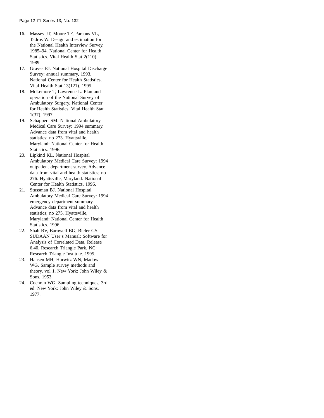- 16. Massey JT, Moore TF, Parsons VL, Tadros W. Design and estimation for the National Health Interview Survey, 1985–94. National Center for Health Statistics. Vital Health Stat 2(110). 1989.
- 17. Graves EJ. National Hospital Discharge Survey: annual summary, 1993. National Center for Health Statistics. Vital Health Stat 13(121). 1995.
- 18. McLemore T, Lawrence L. Plan and operation of the National Survey of Ambulatory Surgery. National Center for Health Statistics. Vital Health Stat 1(37). 1997.
- 19. Schappert SM. National Ambulatory Medical Care Survey: 1994 summary. Advance data from vital and health statistics; no 273. Hyattsville, Maryland: National Center for Health Statistics. 1996.
- 20. Lipkind KL. National Hospital Ambulatory Medical Care Survey: 1994 outpatient department survey. Advance data from vital and health statistics; no 276. Hyattsville, Maryland: National Center for Health Statistics. 1996.
- 21. Stussman BJ. National Hospital Ambulatory Medical Care Survey: 1994 emergency department summary. Advance data from vital and health statistics; no 275. Hyattsville, Maryland: National Center for Health Statistics. 1996.
- 22. Shah BV, Barnwell BG, Bieler GS. SUDAAN User's Manual: Software for Analysis of Correlated Data, Release 6.40. Research Triangle Park, NC: Research Triangle Institute. 1995.
- 23. Hansen MH, Hurwitz WN, Madow WG. Sample survey methods and theory, vol 1. New York: John Wiley & Sons. 1953.
- 24. Cochran WG. Sampling techniques, 3rd ed. New York: John Wiley & Sons. 1977.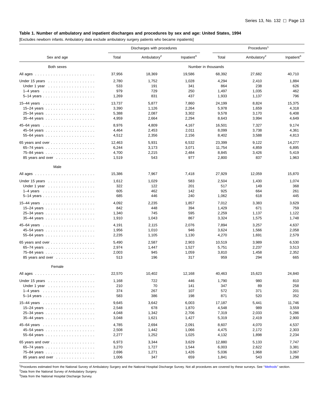#### <span id="page-18-0"></span>**Table 1. Number of ambulatory and inpatient discharges and procedures by sex and age: United States, 1994**

[Excludes newborn infants. Ambulatory data exclude ambulatory surgery patients who became inpatients]

|                                                         |        | Discharges with procedures |                        | Procedures <sup>1</sup> |                         |                        |  |
|---------------------------------------------------------|--------|----------------------------|------------------------|-------------------------|-------------------------|------------------------|--|
| Sex and age                                             | Total  | Ambulatory <sup>2</sup>    | Inpatient <sup>3</sup> | Total                   | Ambulatory <sup>2</sup> | Inpatient <sup>3</sup> |  |
| Both sexes                                              |        |                            |                        | Number in thousands     |                         |                        |  |
| All ages                                                | 37,956 | 18,369                     | 19,586                 | 68,392                  | 27,682                  | 40,710                 |  |
| Under 15 years                                          | 2,780  | 1,752                      | 1,028                  | 4,294                   | 2,410                   | 1,884                  |  |
| Under 1 year $\ldots \ldots \ldots \ldots \ldots$       | 533    | 191                        | 341                    | 864                     | 238                     | 626                    |  |
| $1-4$ years $\ldots \ldots \ldots \ldots \ldots \ldots$ | 979    | 729                        | 250                    | 1,497                   | 1,035                   | 462                    |  |
|                                                         | 1,269  | 831                        | 437                    | 1,933                   | 1,137                   | 796                    |  |
|                                                         | 13,737 | 5,877                      | 7,860                  | 24,199                  | 8,824                   | 15,375                 |  |
|                                                         | 3,390  | 1,126                      | 2,264                  | 5,978                   | 1,659                   | 4,318                  |  |
|                                                         | 5,388  | 2,087                      | 3,302                  | 9,578                   | 3,170                   | 6,408                  |  |
|                                                         | 4,959  | 2,664                      | 2,294                  | 8,643                   | 3,994                   | 4,649                  |  |
|                                                         | 8,976  | 4,809                      | 4,167                  | 16,501                  | 7,327                   | 9,174                  |  |
|                                                         | 4,464  | 2,453                      | 2,011                  | 8,099                   | 3,738                   | 4,361                  |  |
|                                                         | 4,512  | 2,356                      | 2,156                  | 8,402                   | 3,588                   | 4,813                  |  |
| 65 years and over $\ldots \ldots \ldots \ldots \ldots$  | 12,463 | 5,931                      | 6,532                  | 23,399                  | 9,122                   | 14,277                 |  |
|                                                         | 6,244  | 3,173                      | 3,071                  | 11,754                  | 4,859                   | 6,895                  |  |
|                                                         | 4,700  | 2,215                      | 2,484                  | 8,845                   | 3,426                   | 5,419                  |  |
| 85 years and over                                       | 1,519  | 543                        | 977                    | 2,800                   | 837                     | 1,963                  |  |
| Male                                                    |        |                            |                        |                         |                         |                        |  |
|                                                         | 15,386 | 7,967                      | 7,418                  | 27,929                  | 12,059                  | 15,870                 |  |
| Under 15 years                                          | 1,612  | 1,029                      | 583                    | 2,504                   | 1,430                   | 1,074                  |  |
| Under 1 year $\ldots \ldots \ldots \ldots \ldots$       | 322    | 122                        | 201                    | 517                     | 149                     | 368                    |  |
| $1-4$ years $\ldots \ldots \ldots \ldots \ldots \ldots$ | 605    | 462                        | 142                    | 925                     | 664                     | 261                    |  |
|                                                         | 685    | 446                        | 240                    | 1,062                   | 618                     | 445                    |  |
|                                                         | 4,092  | 2,235                      | 1,857                  | 7,012                   | 3,383                   | 3,629                  |  |
|                                                         | 842    | 448                        | 394                    | 1,429                   | 671                     | 759                    |  |
|                                                         | 1,340  | 745                        | 595                    | 2,259                   | 1,137                   | 1,122                  |  |
|                                                         | 1,910  | 1,043                      | 867                    | 3,324                   | 1,575                   | 1,748                  |  |
|                                                         | 4,191  | 2,115                      | 2,076                  | 7,894                   | 3,257                   | 4,637                  |  |
|                                                         | 1,956  | 1,010                      | 946                    | 3,624                   | 1,566                   | 2,058                  |  |
|                                                         | 2,235  | 1,105                      | 1,130                  | 4,270                   | 1,691                   | 2,579                  |  |
| 65 years and over                                       | 5,490  | 2,587                      | 2,903                  | 10,519                  | 3,989                   | 6,530                  |  |
|                                                         | 2,974  | 1,447                      | 1,527                  | 5,751                   | 2,237                   | 3,513                  |  |
|                                                         | 2,003  | 945                        | 1,059                  | 3,810                   | 1,458                   | 2,352                  |  |
| 85 years and over                                       | 513    | 196                        | 317                    | 959                     | 294                     | 665                    |  |
| Female                                                  |        |                            |                        |                         |                         |                        |  |
|                                                         | 22,570 | 10,402                     | 12,168                 | 40,463                  | 15,623                  | 24,840                 |  |
| Under 15 years                                          | 1,168  | 722                        | 446                    | 1,790                   | 980                     | 810                    |  |
| Under 1 year                                            | 210    | 70                         | 141                    | 347                     | 89                      | 258                    |  |
|                                                         | 374    | 267                        | 107                    | 572                     | 371                     | 201                    |  |
|                                                         | 583    | 386                        | 198                    | 871                     | 520                     | 352                    |  |
|                                                         | 9,645  | 3,642                      | 6,003                  | 17,187                  | 5,441                   | 11,746                 |  |
|                                                         | 2,548  | 678                        | 1,870                  | 4,548                   | 989                     | 3,559                  |  |
|                                                         | 4,048  | 1,342                      | 2,706                  | 7,319                   | 2,033                   | 5,286                  |  |
|                                                         | 3,048  | 1,621                      | 1,427                  | 5,319                   | 2,419                   | 2,900                  |  |
|                                                         | 4,785  | 2,694                      | 2,091                  | 8,607                   | 4,070                   | 4,537                  |  |
|                                                         | 2,508  | 1,442                      | 1,066                  | 4,475                   | 2,172                   | 2,303                  |  |
|                                                         | 2,277  | 1,252                      | 1,025                  | 4,132                   | 1,898                   | 2,234                  |  |
| 65 years and over $\ldots \ldots \ldots \ldots \ldots$  | 6,973  | 3,344                      | 3,629                  | 12,880                  | 5,133                   | 7,747                  |  |
|                                                         | 3,270  | 1,727                      | 1,544                  | 6,003                   | 2,622                   | 3,381                  |  |
|                                                         | 2,696  | 1,271                      | 1,426                  | 5,036                   | 1,968                   | 3,067                  |  |
| 85 years and over                                       | 1,006  | 347                        | 659                    | 1,841                   | 543                     | 1,298                  |  |

<sup>1</sup>Procedures estimated from the National Survey of Ambulatory Surgery and the National Hospital Discharge Survey. Not all procedures are covered by these surveys. See "Methods" section. 2Data from the National Survey of Ambulatory Surgery.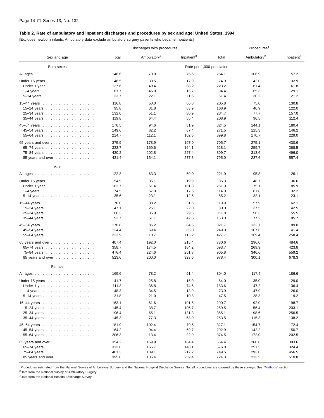#### <span id="page-19-0"></span>**Table 2. Rate of ambulatory and inpatient discharges and procedures by sex and age: United States, 1994**

[Excludes newborn infants. Ambulatory data exclude ambulatory surgery patients who became inpatients]

|                                                         |       | Discharges with procedures |                        | Procedures <sup>1</sup>   |                         |                        |  |
|---------------------------------------------------------|-------|----------------------------|------------------------|---------------------------|-------------------------|------------------------|--|
| Sex and age                                             | Total | Ambulatory <sup>2</sup>    | Inpatient <sup>3</sup> | Total                     | Ambulatory <sup>2</sup> | Inpatient <sup>3</sup> |  |
| Both sexes                                              |       |                            |                        | Rate per 1,000 population |                         |                        |  |
|                                                         | 146.6 | 70.9                       | 75.6                   | 264.1                     | 106.9                   | 157.2                  |  |
| Under 15 years $\ldots \ldots \ldots \ldots \ldots$     | 48.5  | 30.5                       | 17.9                   | 74.9                      | 42.0                    | 32.9                   |  |
| Under 1 year $\ldots \ldots \ldots \ldots \ldots$       | 137.6 | 49.4                       | 88.2                   | 223.2                     | 61.4                    | 161.8                  |  |
| $1-4$ years $\ldots \ldots \ldots \ldots \ldots \ldots$ | 61.7  | 46.0                       | 15.7                   | 94.4                      | 65.3                    | 29.1                   |  |
|                                                         | 33.7  | 22.1                       | 11.6                   | 51.4                      | 30.2                    | 21.2                   |  |
| 15-44 years $\ldots \ldots \ldots \ldots \ldots$        | 116.8 | 50.0                       | 66.8                   | 205.8                     | 75.0                    | 130.8                  |  |
|                                                         | 95.8  | 31.8                       | 63.9                   | 168.9                     | 46.9                    | 122.0                  |  |
|                                                         | 132.0 | 51.1                       | 80.9                   | 234.7                     | 77.7                    | 157.0                  |  |
|                                                         | 119.8 | 64.4                       | 55.4                   | 208.9                     | 96.5                    | 112.4                  |  |
|                                                         | 176.5 | 94.6                       | 81.9                   | 324.5                     | 144.1                   | 180.4                  |  |
|                                                         | 149.6 | 82.2                       | 67.4                   | 271.5                     | 125.3                   | 146.2                  |  |
|                                                         | 214.7 | 112.1                      | 102.6                  | 399.8                     | 170.7                   | 229.0                  |  |
| 65 years and over $\ldots \ldots \ldots \ldots \ldots$  | 375.9 | 178.9                      | 197.0                  | 705.7                     | 275.1                   | 430.6                  |  |
|                                                         | 333.7 | 169.6                      | 164.1                  | 628.1                     | 259.7                   | 368.5                  |  |
|                                                         | 430.2 | 202.8                      | 227.4                  | 809.7                     | 313.6                   | 496.0                  |  |
| 85 years and over                                       | 431.4 | 154.1                      | 277.3                  | 795.0                     | 237.6                   | 557.4                  |  |
| Male                                                    |       |                            |                        |                           |                         |                        |  |
|                                                         | 122.3 | 63.3                       | 59.0                   | 221.9                     | 95.8                    | 126.1                  |  |
| Under 15 years                                          | 54.9  | 35.1                       | 19.9                   | 85.3                      | 48.7                    | 36.6                   |  |
| Under 1 year $\ldots \ldots \ldots \ldots \ldots$       | 162.7 | 61.4                       | 101.3                  | 261.0                     | 75.1                    | 185.9                  |  |
|                                                         | 74.5  | 57.0                       | 17.5                   | 114.0                     | 81.8                    | 32.2                   |  |
|                                                         | 35.6  | 23.1                       | 12.5                   | 55.2                      | 32.1                    | 23.1                   |  |
|                                                         | 70.0  | 38.2                       | 31.8                   | 119.9                     | 57.9                    | 62.1                   |  |
|                                                         | 47.1  | 25.1                       | 22.0                   | 80.0                      | 37.5                    | 42.5                   |  |
|                                                         | 66.3  | 36.9                       | 29.5                   | 111.8                     | 56.3                    | 55.5                   |  |
|                                                         | 93.7  | 51.1                       | 42.5                   | 163.0                     | 77.2                    | 85.7                   |  |
|                                                         | 170.8 | 86.2                       | 84.6                   | 321.7                     | 132.7                   | 189.0                  |  |
|                                                         | 134.4 | 69.4                       | 65.0                   | 249.0                     | 107.6                   | 141.4                  |  |
|                                                         | 223.9 | 110.7                      | 113.2                  | 427.7                     | 169.4                   | 258.4                  |  |
| 65 years and over $\ldots \ldots \ldots \ldots \ldots$  | 407.4 | 192.0                      | 215.4                  | 780.6                     | 296.0                   | 484.6                  |  |
|                                                         | 358.7 | 174.5                      | 184.2                  | 693.7                     | 269.9                   | 423.8                  |  |
|                                                         | 476.4 | 224.6                      | 251.8                  | 905.8                     | 346.6                   | 559.2                  |  |
| 85 years and over                                       | 523.6 | 200.0                      | 323.6                  | 978.4                     | 300.1                   | 678.3                  |  |
| Female                                                  |       |                            |                        |                           |                         |                        |  |
|                                                         | 169.6 | 78.2                       | 91.4                   | 304.0                     | 117.4                   | 186.6                  |  |
| Under 15 years                                          | 41.7  | 25.8                       | 15.9                   | 64.0                      | 35.0                    | 29.0                   |  |
| Under 1 year                                            | 111.3 | 36.8                       | 74.5                   | 183.6                     | 47.2                    | 136.4                  |  |
|                                                         | 48.3  | 34.5                       | 13.9                   | 73.9                      | 47.9                    | 26.0                   |  |
|                                                         | 31.8  | 21.0                       | 10.8                   | 47.5                      | 28.3                    | 19.2                   |  |
| 15–44 years $\ldots \ldots \ldots \ldots \ldots$        | 163.1 | 61.6                       | 101.5                  | 290.7                     | 92.0                    | 198.7                  |  |
|                                                         | 145.4 | 38.7                       | 106.7                  | 259.5                     | 56.4                    | 203.1                  |  |
|                                                         | 196.4 | 65.1                       | 131.3                  | 355.1                     | 98.6                    | 256.5                  |  |
|                                                         | 145.3 | 77.3                       | 68.0                   | 253.5                     | 115.3                   | 138.2                  |  |
|                                                         | 181.9 | 102.4                      | 79.5                   | 327.1                     | 154.7                   | 172.4                  |  |
|                                                         | 164.2 | 94.4                       | 69.7                   | 292.9                     | 142.2                   | 150.7                  |  |
|                                                         | 206.3 | 113.4                      | 92.9                   | 374.5                     | 172.0                   | 202.5                  |  |
| 65 years and over $\ldots \ldots \ldots \ldots \ldots$  | 354.2 | 169.9                      | 184.4                  | 654.4                     | 260.8                   | 393.6                  |  |
|                                                         | 313.8 | 165.7                      | 148.1                  | 576.0                     | 251.5                   | 324.4                  |  |
|                                                         | 401.3 | 189.1                      | 212.2                  | 749.5                     | 293.0                   | 456.5                  |  |
| 85 years and over                                       | 395.8 | 136.4                      | 259.4                  | 724.3                     | 213.5                   | 510.8                  |  |
|                                                         |       |                            |                        |                           |                         |                        |  |

<sup>1</sup>Procedures estimated from the National Survey of Ambulatory Surgery and the National Hospital Discharge Survey. Not all procedures are covered by these surveys. See "Methods" section. 2Data from the National Survey of Ambulatory Surgery.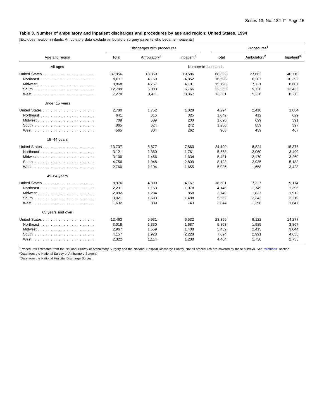#### <span id="page-20-0"></span>**Table 3. Number of ambulatory and inpatient discharges and procedures by age and region: United States, 1994**

[Excludes newborn infants. Ambulatory data exclude ambulatory surgery patients who became inpatients]

|                                                   |        | Discharges with procedures |                        |                     | Procedures <sup>1</sup> |                        |  |  |
|---------------------------------------------------|--------|----------------------------|------------------------|---------------------|-------------------------|------------------------|--|--|
| Age and region                                    | Total  | Ambulatory <sup>2</sup>    | Inpatient <sup>3</sup> | Total               | Ambulatory <sup>2</sup> | Inpatient <sup>3</sup> |  |  |
| All ages                                          |        |                            |                        | Number in thousands |                         |                        |  |  |
|                                                   | 37,956 | 18,369                     | 19,586                 | 68,392              | 27,682                  | 40,710                 |  |  |
|                                                   | 9,011  | 4,159                      | 4,852                  | 16,598              | 6,207                   | 10,392                 |  |  |
| Midwest                                           | 8,868  | 4.767                      | 4,101                  | 15,728              | 7,121                   | 8,607                  |  |  |
| South $\ldots \ldots \ldots \ldots \ldots \ldots$ | 12,799 | 6,033                      | 6,766                  | 22,565              | 9,128                   | 13,436                 |  |  |
|                                                   | 7,278  | 3,411                      | 3,867                  | 13,501              | 5,226                   | 8,275                  |  |  |
| Under 15 years                                    |        |                            |                        |                     |                         |                        |  |  |
|                                                   | 2,780  | 1,752                      | 1,028                  | 4,294               | 2,410                   | 1,884                  |  |  |
|                                                   | 641    | 316                        | 325                    | 1,042               | 412                     | 629                    |  |  |
|                                                   | 709    | 509                        | 200                    | 1,090               | 699                     | 391                    |  |  |
|                                                   | 865    | 624                        | 242                    | 1,256               | 859                     | 397                    |  |  |
|                                                   | 565    | 304                        | 262                    | 906                 | 439                     | 467                    |  |  |
| $15-44$ years                                     |        |                            |                        |                     |                         |                        |  |  |
|                                                   | 13,737 | 5,877                      | 7.860                  | 24,199              | 8,824                   | 15.375                 |  |  |
|                                                   | 3,121  | 1,360                      | 1,761                  | 5,558               | 2,060                   | 3,499                  |  |  |
|                                                   | 3,100  | 1,466                      | 1,634                  | 5,431               | 2,170                   | 3,260                  |  |  |
|                                                   | 4,756  | 1,948                      | 2,809                  | 8,123               | 2,935                   | 5,188                  |  |  |
|                                                   | 2,760  | 1,104                      | 1,655                  | 5,086               | 1,658                   | 3,428                  |  |  |
| 45-64 years                                       |        |                            |                        |                     |                         |                        |  |  |
|                                                   | 8,976  | 4,809                      | 4,167                  | 16,501              | 7,327                   | 9,174                  |  |  |
|                                                   | 2,231  | 1,153                      | 1,078                  | 4,146               | 1,749                   | 2,396                  |  |  |
| Midwest                                           | 2,092  | 1,234                      | 858                    | 3,749               | 1,837                   | 1,912                  |  |  |
|                                                   | 3,021  | 1,533                      | 1,488                  | 5,562               | 2,343                   | 3,219                  |  |  |
|                                                   | 1,632  | 889                        | 743                    | 3,044               | 1,398                   | 1,647                  |  |  |
| 65 years and over                                 |        |                            |                        |                     |                         |                        |  |  |
|                                                   | 12,463 | 5,931                      | 6,532                  | 23,399              | 9,122                   | 14,277                 |  |  |
|                                                   | 3,018  | 1,330                      | 1.687                  | 5,853               | 1,985                   | 3,867                  |  |  |
|                                                   | 2,967  | 1,559                      | 1,408                  | 5,459               | 2,415                   | 3,044                  |  |  |
| South $\ldots \ldots \ldots \ldots \ldots \ldots$ | 4,157  | 1,928                      | 2,228                  | 7,624               | 2,991                   | 4,633                  |  |  |
|                                                   | 2,322  | 1,114                      | 1,208                  | 4,464               | 1,730                   | 2,733                  |  |  |

1Procedures estimated from the National Survey of Ambulatory Surgery and the National Hospital Discharge Survey. Not all procedures are covered by these surveys. S[ee ''Methods'' sec](#page-7-0)tion. 2Data from the National Survey of Ambulatory Surgery.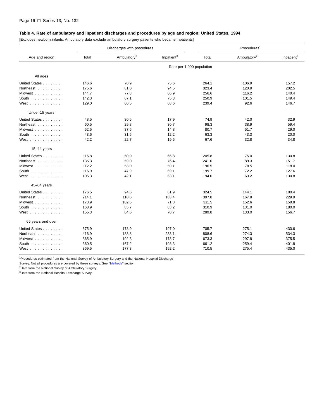#### <span id="page-21-0"></span>**Table 4. Rate of ambulatory and inpatient discharges and procedures by age and region: United States, 1994**

[Excludes newborn infants. Ambulatory data exclude ambulatory surgery patients who became inpatients]

|                                      |       | Discharges with procedures |                        | Procedures <sup>1</sup>   |                         |                        |  |  |
|--------------------------------------|-------|----------------------------|------------------------|---------------------------|-------------------------|------------------------|--|--|
| Age and region                       | Total | Ambulatory <sup>2</sup>    | Inpatient <sup>3</sup> | Total                     | Ambulatory <sup>2</sup> | Inpatient <sup>3</sup> |  |  |
|                                      |       |                            |                        | Rate per 1,000 population |                         |                        |  |  |
| All ages                             |       |                            |                        |                           |                         |                        |  |  |
| United States                        | 146.6 | 70.9                       | 75.6                   | 264.1                     | 106.9                   | 157.2                  |  |  |
| Northeast                            | 175.6 | 81.0                       | 94.5                   | 323.4                     | 120.9                   | 202.5                  |  |  |
| Midwest                              | 144.7 | 77.8                       | 66.9                   | 256.6                     | 116.2                   | 140.4                  |  |  |
| South $\ldots$                       | 142.3 | 67.1                       | 75.3                   | 250.9                     | 101.5                   | 149.4                  |  |  |
| West $\ldots$                        | 129.0 | 60.5                       | 68.6                   | 239.4                     | 92.6                    | 146.7                  |  |  |
| Under 15 years                       |       |                            |                        |                           |                         |                        |  |  |
| United States                        | 48.5  | 30.5                       | 17.9                   | 74.9                      | 42.0                    | 32.9                   |  |  |
| Northeast                            | 60.5  | 29.8                       | 30.7                   | 98.3                      | 38.9                    | 59.4                   |  |  |
| Midwest                              | 52.5  | 37.6                       | 14.8                   | 80.7                      | 51.7                    | 29.0                   |  |  |
| South $\ldots$                       | 43.6  | 31.5                       | 12.2                   | 63.3                      | 43.3                    | 20.0                   |  |  |
| West                                 | 42.2  | 22.7                       | 19.5                   | 67.6                      | 32.8                    | 34.8                   |  |  |
| $15-44$ years                        |       |                            |                        |                           |                         |                        |  |  |
| United States                        | 116.8 | 50.0                       | 66.8                   | 205.8                     | 75.0                    | 130.8                  |  |  |
| Northeast                            | 135.3 | 59.0                       | 76.4                   | 241.0                     | 89.3                    | 151.7                  |  |  |
| Midwest                              | 112.2 | 53.0                       | 59.1                   | 196.5                     | 78.5                    | 118.0                  |  |  |
| South $\ldots$ , $\ldots$ , $\ldots$ | 116.9 | 47.9                       | 69.1                   | 199.7                     | 72.2                    | 127.6                  |  |  |
| West $\ldots \ldots \ldots \ldots$   | 105.3 | 42.1                       | 63.1                   | 194.0                     | 63.2                    | 130.8                  |  |  |
| $45 - 64$ years                      |       |                            |                        |                           |                         |                        |  |  |
| United States                        | 176.5 | 94.6                       | 81.9                   | 324.5                     | 144.1                   | 180.4                  |  |  |
| Northeast                            | 214.1 | 110.6                      | 103.4                  | 397.8                     | 167.8                   | 229.9                  |  |  |
| Midwest                              | 173.9 | 102.5                      | 71.3                   | 311.5                     | 152.6                   | 158.8                  |  |  |
| South $\ldots$ , $\ldots$            | 168.9 | 85.7                       | 83.2                   | 310.9                     | 131.0                   | 180.0                  |  |  |
| West                                 | 155.3 | 84.6                       | 70.7                   | 289.8                     | 133.0                   | 156.7                  |  |  |
| 65 years and over                    |       |                            |                        |                           |                         |                        |  |  |
| United States                        | 375.9 | 178.9                      | 197.0                  | 705.7                     | 275.1                   | 430.6                  |  |  |
| Northeast                            | 416.9 | 183.8                      | 233.1                  | 808.6                     | 274.3                   | 534.3                  |  |  |
| Midwest                              | 365.9 | 192.3                      | 173.7                  | 673.3                     | 297.8                   | 375.5                  |  |  |
| South $\ldots$                       | 360.5 | 167.2                      | 193.3                  | 661.2                     | 259.4                   | 401.8                  |  |  |
| West                                 | 369.5 | 177.3                      | 192.2                  | 710.5                     | 275.4                   | 435.0                  |  |  |

1Procedures estimated from the National Survey of Ambulatory Surgery and the National Hospital Discharge

Survey. Not all procedures are covered by these surveys. S[ee ''Methods'' sec](#page-7-0)tion.

2Data from the National Survey of Ambulatory Surgery.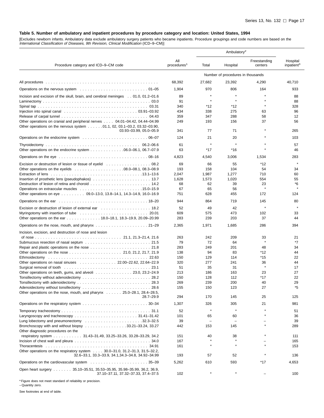<span id="page-22-0"></span>[Excludes newborn infants. Ambulatory data exclude ambulatory surgery patients who became inpatients. Procedure groupings and code numbers are based on the International Classification of Diseases, 9th Revision, Clinical Modification (ICD–9–CM)]

|                                                                                                                                                                            |                                |            | Ambulatory <sup>2</sup>           |                         |                                    |
|----------------------------------------------------------------------------------------------------------------------------------------------------------------------------|--------------------------------|------------|-----------------------------------|-------------------------|------------------------------------|
| Procedure category and ICD-9-CM code                                                                                                                                       | All<br>procedures <sup>1</sup> | Total      | Hospital                          | Freestanding<br>centers | Hospital<br>inpatient <sup>3</sup> |
|                                                                                                                                                                            |                                |            | Number of procedures in thousands |                         |                                    |
|                                                                                                                                                                            | 68,392                         | 27,682     | 23,392                            | 4,290                   | 40,710                             |
|                                                                                                                                                                            | 1,904                          | 970        | 806                               | 164                     | 933                                |
| Incision and excision of the skull, brain, and cerebral meninges 01.0, 01.2–01.6                                                                                           | 89                             | $\star$    | $\star$                           |                         | 88                                 |
|                                                                                                                                                                            | 91                             | $\star$    |                                   |                         | 88                                 |
|                                                                                                                                                                            | 340                            | $*12$      | $*12$                             | $\star$                 | 328                                |
|                                                                                                                                                                            | 434                            | 338        | 275                               | 63                      | 96                                 |
| Other operations on cranial and peripheral nerves 04.01-04.42, 04.44-04.99                                                                                                 | 359<br>249                     | 347<br>193 | 288<br>156                        | 58<br>37                | 12<br>56                           |
| Other operations on the nervous system $\,\ldots\,$ 01.1, 02, 03.1–03.2, 03.32–03.90,                                                                                      |                                |            |                                   |                         |                                    |
| $03.93 - 03.99, 05.0 - 05.9$                                                                                                                                               | 341                            | 77         | 71                                |                         | 265                                |
|                                                                                                                                                                            | 124                            | 21         | 20                                |                         | 103                                |
|                                                                                                                                                                            | 61                             | $\star$    | $\star$                           |                         | 57                                 |
| Other operations on the endocrine system $\ldots \ldots \ldots \ldots$ . 06.0–06.1, 06.7–07.9                                                                              | 63                             | *17        | $*16$                             |                         | 46                                 |
|                                                                                                                                                                            | 4,823                          | 4,540      | 3,006                             | 1,534                   | 283                                |
| Excision or destruction of lesion or tissue of eyelid  08.2                                                                                                                | 69                             | 66         | 55                                | *12                     | $\star$                            |
| Other operations on the eyelids $\ldots \ldots \ldots \ldots \ldots \ldots \ldots 08.0-08.1, 08.3-08.9$                                                                    | 193                            | 158        | 104                               | 54                      | 34                                 |
|                                                                                                                                                                            | 2,047                          | 1,987      | 1,277                             | 710                     | 60                                 |
|                                                                                                                                                                            | 1,628                          | 1,573      | 1,020                             | 554                     | 55                                 |
|                                                                                                                                                                            | 68<br>67                       | 62<br>65   | 39<br>56                          | 23                      | *6<br>$\star$                      |
| Other operations on eye 09.0–13.0, 13.8–14.1, 14.3–14.9, 16.0–16.9                                                                                                         | 751                            | 628        | 455                               | 172                     | 124                                |
| Operations on the ear end contained and contained a series of the contained of the contained of the contained                                                              | 944                            | 864        | 719                               | 145                     | 80                                 |
|                                                                                                                                                                            | 52                             | 49         | 42                                | $\star$                 | $\star$                            |
| Myringotomy with insertion of tube $\ldots \ldots \ldots \ldots \ldots \ldots \ldots \ldots \ldots$<br>20.01                                                               | 609                            | 575        | 473                               | 102                     | 33                                 |
| Other operations on the ear 18.0-18.1, 18.3-19.9, 20.09-20.99                                                                                                              | 283                            | 239        | 203                               | 37                      | 44                                 |
| Operations on the nose, mouth, and pharynx $\ldots$ , , , , ,  21–29                                                                                                       | 2,365                          | 1,971      | 1,685                             | 286                     | 394                                |
| Incision, excision, and destruction of nose and lesion                                                                                                                     |                                |            |                                   |                         |                                    |
|                                                                                                                                                                            | 263<br>79                      | 242<br>72  | 209<br>64                         | 33<br>$\star$           | 21<br>*7                           |
|                                                                                                                                                                            | 283                            | 249        | 201                               | 48                      | 34                                 |
|                                                                                                                                                                            | 138                            | 94         | 83                                | *12                     | 44                                 |
|                                                                                                                                                                            | 150                            | 129        | 114                               | *15                     | 22                                 |
| Other operations on nasal sinuses 22.00–22.62, 22.64–22.9                                                                                                                  | 320                            | 277        | 241                               | 36                      | 44                                 |
| Surgical removal of tooth enterpresent contained and serve in the server of the server server in the server of                                                             | 51                             | 35         | 31                                | $\pmb{\ast}$            | 17                                 |
| Other operations on teeth, gums, and alveoli 23.0, 23.2-24.9                                                                                                               | 213<br>150                     | 186<br>128 | 163<br>112                        | 23<br>*17               | 27<br>22                           |
|                                                                                                                                                                            | 269                            | 239        | 200                               | 40                      | 29                                 |
| Adenoidectomy without tonsillectomy  28.6                                                                                                                                  | 155                            | 150        | 123                               | 27                      | *5                                 |
| Other operations on the nose, mouth, and pharynx $\ldots$ 25.0–28.1, 28.4–28.5,                                                                                            |                                |            |                                   |                         |                                    |
| $28.7 - 29.9$                                                                                                                                                              | 294                            | 170        | 145                               | 25                      | 125                                |
| Operations on the respiratory system 30–34                                                                                                                                 | 1,307                          | 326        | 305                               | 21                      | 981                                |
|                                                                                                                                                                            | 52                             | $\star$    |                                   |                         | 51                                 |
|                                                                                                                                                                            | 101                            | 65         | 60                                |                         | 36                                 |
| Lung lobectomy and pneumonectomy entertainment in the union of the set of the union of the union of the union o<br>Bronchoscopy with and without biopsy 33.21–33.24, 33.27 | 39<br>442                      | 153        | 145                               |                         | 39<br>289                          |
| Other diagnostic procedures on the                                                                                                                                         |                                |            |                                   |                         |                                    |
| respiratory system 31.43-31.49, 33.25-33.26, 33.28-33.29, 34.2                                                                                                             | 151                            | 40         | 38                                |                         | 111                                |
| Incision of chest wall and pleura $\ldots \ldots \ldots \ldots \ldots \ldots \ldots \ldots \ldots \ldots$ . 34.0                                                           | 167                            |            |                                   |                         | 165                                |
|                                                                                                                                                                            | 161                            | $\star$    |                                   |                         | 153                                |
| Other operations on the respiratory system 30.0–31.0, 31.2–31.3, 31.5–32.2,<br>32.6-33.1, 33.3-33.9, 34.1, 34.3-34.8, 34.92-34.99                                          | 193                            | 57         | 52                                |                         | 136                                |
|                                                                                                                                                                            | 5,262                          | 610        | 593                               | *17                     | 4,653                              |
| Open heart surgery 35.10-35.51, 35.53-35.95, 35.98-35.99, 36.2, 36.9,                                                                                                      |                                |            |                                   |                         |                                    |
| 37.10-37.11, 37.32-37.33, 37.4-37.5                                                                                                                                        | 102                            |            |                                   |                         | 100                                |

\* Figure does not meet standard of reliability or precision. – Quantity zero.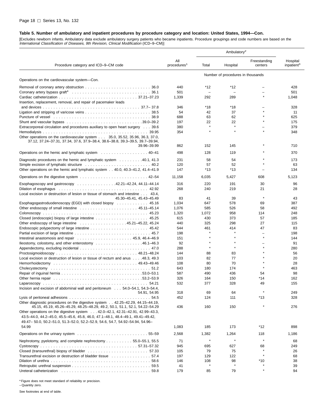[Excludes newborn infants. Ambulatory data exclude ambulatory surgery patients who became inpatients. Procedure groupings and code numbers are based on the International Classification of Diseases, 9th Revision, Clinical Modification (ICD–9–CM)]

| Procedure category and ICD-9-CM code<br>Operations on the cardiovascular system-Con.<br>Intestinal anastomosis and repair $\ldots \ldots \ldots \ldots \ldots \ldots \ldots \ldots$ 45.9, 46.4–46.9<br>lleostomy, colostomy, and other enterostomy $\ldots \ldots \ldots \ldots \ldots \ldots$ 46.1–46.3<br>Local excision or destruction of lesion or tissue of rectum and anus 48.3, 49.3<br>Other diagnostic procedures on the digestive system 42.25-42.29, 44.15-44.19,<br>Other operations on the digestive system 42.0-42.1, 42.31-42.91, 42.99-43.3,<br>49.47 - 50.0, 50.2 - 51.0, 51.3 - 52.0, 52.2 - 52.9, 54.6, 54.7, 54.92 - 54.94, 54.96 -<br>54.99<br>Nephrotomy, pyelotomy, and complete nephrectomy 55.0–55.1, 55.5 | All<br>procedures <sup>1</sup> | Total                    | Hospital                          | Freestanding<br>centers | Hospital<br>inpatient <sup>3</sup> |
|-------------------------------------------------------------------------------------------------------------------------------------------------------------------------------------------------------------------------------------------------------------------------------------------------------------------------------------------------------------------------------------------------------------------------------------------------------------------------------------------------------------------------------------------------------------------------------------------------------------------------------------------------------------------------------------------------------------------------------------|--------------------------------|--------------------------|-----------------------------------|-------------------------|------------------------------------|
|                                                                                                                                                                                                                                                                                                                                                                                                                                                                                                                                                                                                                                                                                                                                     |                                |                          | Number of procedures in thousands |                         |                                    |
|                                                                                                                                                                                                                                                                                                                                                                                                                                                                                                                                                                                                                                                                                                                                     |                                |                          |                                   |                         |                                    |
|                                                                                                                                                                                                                                                                                                                                                                                                                                                                                                                                                                                                                                                                                                                                     | 440                            | *12                      | $*12$                             |                         | 428                                |
|                                                                                                                                                                                                                                                                                                                                                                                                                                                                                                                                                                                                                                                                                                                                     | 501                            | $\overline{\phantom{0}}$ | $\overline{\phantom{0}}$          |                         | 501                                |
| Insertion, replacement, removal, and repair of pacemaker leads                                                                                                                                                                                                                                                                                                                                                                                                                                                                                                                                                                                                                                                                      | 1,339                          | 292                      | 289                               | $\star$                 | 1,048                              |
|                                                                                                                                                                                                                                                                                                                                                                                                                                                                                                                                                                                                                                                                                                                                     | 346                            | *18                      | *18                               |                         | 328                                |
|                                                                                                                                                                                                                                                                                                                                                                                                                                                                                                                                                                                                                                                                                                                                     | 54                             | 42                       | 37                                |                         | 11                                 |
|                                                                                                                                                                                                                                                                                                                                                                                                                                                                                                                                                                                                                                                                                                                                     | 688                            | 63                       | 62                                |                         | 625                                |
| Shunt and vascular bypass $\ldots \ldots \ldots \ldots \ldots \ldots \ldots \ldots \ldots \ldots \ldots$ 39.0–39.2                                                                                                                                                                                                                                                                                                                                                                                                                                                                                                                                                                                                                  | 197                            | 22                       | 22                                |                         | 175                                |
| Extracorporeal circulation and procedures auxiliary to open heart surgery 39.6                                                                                                                                                                                                                                                                                                                                                                                                                                                                                                                                                                                                                                                      | 380                            | $\star$                  |                                   |                         | 379                                |
| Other operations on the cardiovascular system 35.0, 35.52, 35.96, 36.3, 37.0,<br>37.12, 37.24–37.31, 37.34, 37.6, 37.9–38.4, 38.6–38.8, 39.3–39.5, 39.7–39.94,                                                                                                                                                                                                                                                                                                                                                                                                                                                                                                                                                                      | 354                            |                          | $\star$                           |                         | 348                                |
| 39.96-39.99                                                                                                                                                                                                                                                                                                                                                                                                                                                                                                                                                                                                                                                                                                                         | 862                            | 152                      | 145                               |                         | 710                                |
| Operations on the hemic and lymphatic system 40–41                                                                                                                                                                                                                                                                                                                                                                                                                                                                                                                                                                                                                                                                                  | 498                            | 128                      | 119                               |                         | 370                                |
| Diagnostic procedures on the hemic and lymphatic system 40.1, 41.3                                                                                                                                                                                                                                                                                                                                                                                                                                                                                                                                                                                                                                                                  | 231                            | 58                       | 54                                |                         | 173                                |
|                                                                                                                                                                                                                                                                                                                                                                                                                                                                                                                                                                                                                                                                                                                                     | 120                            | 57                       | 52                                |                         | 63                                 |
| Other operations on the hemic and lymphatic system 40.0, 40.3–41.2, 41.4–41.9                                                                                                                                                                                                                                                                                                                                                                                                                                                                                                                                                                                                                                                       | 147                            | $*13$                    | $*13$                             |                         | 134                                |
|                                                                                                                                                                                                                                                                                                                                                                                                                                                                                                                                                                                                                                                                                                                                     | 11,158                         | 6,035                    | 5,427                             | 608                     | 5,123                              |
| Esophagoscopy and gastroscopy $\ldots \ldots \ldots \ldots \ldots 42.21 - 42.24$ , 44.11-44.14                                                                                                                                                                                                                                                                                                                                                                                                                                                                                                                                                                                                                                      | 316                            | 220                      | 191                               | 30                      | 96                                 |
|                                                                                                                                                                                                                                                                                                                                                                                                                                                                                                                                                                                                                                                                                                                                     | 268                            | 240                      | 219                               | 21                      | 28                                 |
| Local excision or destruction of lesion or tissue of stomach and intestine 43.4,                                                                                                                                                                                                                                                                                                                                                                                                                                                                                                                                                                                                                                                    |                                |                          |                                   |                         |                                    |
| 45.30-45.41, 45.43-45.49                                                                                                                                                                                                                                                                                                                                                                                                                                                                                                                                                                                                                                                                                                            | 83                             | 41                       | 39                                | $\star$                 | 43                                 |
| Esophagogastroduodenoscopy (EGD) with closed biopsy  45.16                                                                                                                                                                                                                                                                                                                                                                                                                                                                                                                                                                                                                                                                          | 1,034                          | 647                      | 578                               | 69                      | 387                                |
|                                                                                                                                                                                                                                                                                                                                                                                                                                                                                                                                                                                                                                                                                                                                     | 1,076                          | 585                      | 526                               | 58                      | 492                                |
|                                                                                                                                                                                                                                                                                                                                                                                                                                                                                                                                                                                                                                                                                                                                     | 1,320                          | 1,072                    | 958                               | 114                     | 248                                |
|                                                                                                                                                                                                                                                                                                                                                                                                                                                                                                                                                                                                                                                                                                                                     | 615                            | 430                      | 373                               | 57                      | 185                                |
| Other endoscopy of large intestine $\ldots \ldots \ldots \ldots \ldots \ldots 45.21-45.22$ , 45.24                                                                                                                                                                                                                                                                                                                                                                                                                                                                                                                                                                                                                                  | 440                            | 325                      | 298                               | 27                      | 115                                |
|                                                                                                                                                                                                                                                                                                                                                                                                                                                                                                                                                                                                                                                                                                                                     | 544                            | 461                      | 414                               | 47                      | 83                                 |
|                                                                                                                                                                                                                                                                                                                                                                                                                                                                                                                                                                                                                                                                                                                                     | 198                            |                          |                                   | Ē,                      | 198                                |
|                                                                                                                                                                                                                                                                                                                                                                                                                                                                                                                                                                                                                                                                                                                                     | 151                            |                          |                                   |                         | 144                                |
|                                                                                                                                                                                                                                                                                                                                                                                                                                                                                                                                                                                                                                                                                                                                     | 92                             | $\star$                  | $\star$                           |                         | 91                                 |
|                                                                                                                                                                                                                                                                                                                                                                                                                                                                                                                                                                                                                                                                                                                                     | 288<br>144                     | 88                       | 83                                |                         | 280<br>56                          |
|                                                                                                                                                                                                                                                                                                                                                                                                                                                                                                                                                                                                                                                                                                                                     | 103                            | 82                       | 77                                |                         | 20                                 |
|                                                                                                                                                                                                                                                                                                                                                                                                                                                                                                                                                                                                                                                                                                                                     | 108                            | 80                       | 70                                |                         | 28                                 |
|                                                                                                                                                                                                                                                                                                                                                                                                                                                                                                                                                                                                                                                                                                                                     | 643                            | 180                      | 174                               |                         | 463                                |
|                                                                                                                                                                                                                                                                                                                                                                                                                                                                                                                                                                                                                                                                                                                                     | 587                            | 490                      | 436                               | 54                      | 98                                 |
|                                                                                                                                                                                                                                                                                                                                                                                                                                                                                                                                                                                                                                                                                                                                     | 326                            | 164                      | 150                               | *14                     | 162                                |
|                                                                                                                                                                                                                                                                                                                                                                                                                                                                                                                                                                                                                                                                                                                                     | 532                            | 377                      | 328                               | 49                      | 155                                |
| Incision and excision of abdominal wall and peritoneum 54.0–54.1, 54.3–54.4,                                                                                                                                                                                                                                                                                                                                                                                                                                                                                                                                                                                                                                                        |                                |                          |                                   |                         |                                    |
| 54.91, 54.95                                                                                                                                                                                                                                                                                                                                                                                                                                                                                                                                                                                                                                                                                                                        | 318                            | 69                       | 64                                | $\star$                 | 249                                |
|                                                                                                                                                                                                                                                                                                                                                                                                                                                                                                                                                                                                                                                                                                                                     | 452                            | 124                      | 111                               | *13                     | 328                                |
| 45.15, 45.19, 45.26–45.29, 48.25–48.29, 49.2, 50.1, 51.1, 52.1, 54.22–54.29                                                                                                                                                                                                                                                                                                                                                                                                                                                                                                                                                                                                                                                         | 436                            | 160                      | 150                               |                         | 276                                |
| 43.5-44.0, 44.2-45.0, 45.5-45.6, 45.8, 46.0, 47.1-48.1, 48.4-49.1, 49.41-49.42,                                                                                                                                                                                                                                                                                                                                                                                                                                                                                                                                                                                                                                                     |                                |                          |                                   |                         |                                    |
|                                                                                                                                                                                                                                                                                                                                                                                                                                                                                                                                                                                                                                                                                                                                     | 1,083                          | 185                      | 173                               | *12                     | 898                                |
|                                                                                                                                                                                                                                                                                                                                                                                                                                                                                                                                                                                                                                                                                                                                     | 2,568                          | 1,382                    | 1,264                             | 118                     | 1,186                              |
|                                                                                                                                                                                                                                                                                                                                                                                                                                                                                                                                                                                                                                                                                                                                     | 71                             | $\star$                  |                                   | $\star$                 | 68                                 |
|                                                                                                                                                                                                                                                                                                                                                                                                                                                                                                                                                                                                                                                                                                                                     | 945                            | 695                      | 627                               | 68                      | 249                                |
|                                                                                                                                                                                                                                                                                                                                                                                                                                                                                                                                                                                                                                                                                                                                     | 105                            | 79                       | 75                                |                         | 26                                 |
| Transurethral excision or destruction of bladder tissue 57.4                                                                                                                                                                                                                                                                                                                                                                                                                                                                                                                                                                                                                                                                        | 197                            | 129                      | 122                               | $\star$                 | 68                                 |
|                                                                                                                                                                                                                                                                                                                                                                                                                                                                                                                                                                                                                                                                                                                                     | 146                            | 108                      | 98                                | *10                     | 38                                 |
|                                                                                                                                                                                                                                                                                                                                                                                                                                                                                                                                                                                                                                                                                                                                     | 41                             |                          |                                   |                         | 39                                 |
| Ureteral catheterization enterstanding to the contract of the contract of the contract of the contract of the c                                                                                                                                                                                                                                                                                                                                                                                                                                                                                                                                                                                                                     | 179                            | 85                       | 79                                |                         | 94                                 |

\* Figure does not meet standard of reliability or precision.

– Quantity zero.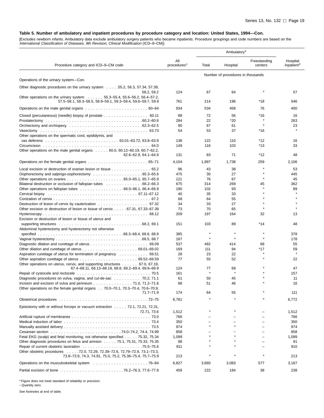[Excludes newborn infants. Ambulatory data exclude ambulatory surgery patients who became inpatients. Procedure groupings and code numbers are based on the International Classification of Diseases, 9th Revision, Clinical Modification (ICD–9–CM)]

| Procedure category and ICD-9-CM code                                                                                                                  | All<br>procedures <sup>1</sup> | Total                             | Hospital     | Freestanding<br>centers | Hospital<br>inpatient <sup>3</sup> |
|-------------------------------------------------------------------------------------------------------------------------------------------------------|--------------------------------|-----------------------------------|--------------|-------------------------|------------------------------------|
|                                                                                                                                                       |                                | Number of procedures in thousands |              |                         |                                    |
| Operations of the urinary system-Con.                                                                                                                 |                                |                                   |              |                         |                                    |
| Other diagnostic procedures on the urinary system 55.2, 56.3, 57.34, 57.39,<br>58.2, 59.2                                                             | 124                            | 67                                | 64           |                         | 57                                 |
| Other operations on the urinary system $\ldots \ldots 55.3-55.4, 55.6-56.2, 56.4-57.2$<br>57.5-58.1, 58.3-58.5, 58.9-59.1, 59.3-59.4, 59.6-59.7, 59.9 | 761                            | 214                               | 196          | *18                     | 546                                |
|                                                                                                                                                       | 934                            | 534                               | 458          | 76                      | 400                                |
| Closed (percutaneous) (needle) biopsy of prostate 60.11                                                                                               | 88                             | 72                                | 56           | $*16$                   | 16                                 |
|                                                                                                                                                       | 284                            | 22                                | *20          |                         | 263                                |
|                                                                                                                                                       | 90                             | 67                                | 61           | $\star$                 | 23                                 |
| Other operations on the spermatic cord, epididymis, and                                                                                               | 54                             | 53                                | 37           | *16                     |                                    |
|                                                                                                                                                       | 138                            | 122                               | 110          | *12                     | 16                                 |
|                                                                                                                                                       | 149                            | 116                               | 103          | $*13$                   | 33                                 |
| Other operations on the male genital organs $\ldots$ . 60.0, 60.12–60.19, 60.7–62.2,                                                                  |                                |                                   |              |                         |                                    |
| 62.6-62.9, 64.1-64.9                                                                                                                                  | 131                            | 83                                | 71           | *12                     | 48                                 |
|                                                                                                                                                       | 4,104                          | 1,997                             | 1,738        | 259                     | 2,106                              |
| Local excision or destruction of ovarian lesion or tissue 65.2                                                                                        | 96                             | 43                                | 38           |                         | 53                                 |
|                                                                                                                                                       | 475                            | 30                                | 27           |                         | 445                                |
|                                                                                                                                                       | 121                            | 76                                | 67           |                         | 45                                 |
| Bilateral destruction or occlusion of fallopian tubes 66.2–66.3                                                                                       | 675                            | 314                               | 269          | 45                      | 362                                |
|                                                                                                                                                       | 190                            | 102                               | 93           |                         | 89                                 |
|                                                                                                                                                       | 40                             | 35                                | 33           |                         |                                    |
|                                                                                                                                                       | 68                             | 64                                | 55           |                         |                                    |
|                                                                                                                                                       | 34                             | 33                                | 27           |                         |                                    |
| Other excision or destruction of lesion or tissue of cervix 67.31, 67.33–67.39                                                                        | 73                             | 70                                | 65           |                         |                                    |
| Excision or destruction of lesion or tissue of uterus and                                                                                             | 209                            | 197                               | 164          | 32                      | 13                                 |
| supporting structures et al., where the content of the content of the content of the content of the content of                                        | 151                            | 103                               | 89           | *14                     | 48                                 |
| Abdominal hysterectomy and hysterectomy not otherwise                                                                                                 |                                | $\star$                           |              |                         |                                    |
|                                                                                                                                                       | 385                            | $\star$                           | $\pmb{\ast}$ | $\pmb{\ast}$            | 378                                |
|                                                                                                                                                       | 187                            |                                   |              |                         | 178                                |
|                                                                                                                                                       | 537<br>169                     | 482                               | 414<br>94    | 68<br>$*17$             | 55<br>59                           |
|                                                                                                                                                       | 28                             | 111<br>23                         | 22           |                         |                                    |
| Aspiration curettage of uterus for termination of pregnancy  69.51                                                                                    | 77                             | 55                                | 52           |                         | 22                                 |
| Other operations on uterus, cervix, and supporting structures 67.0, 67.19,                                                                            |                                |                                   |              |                         |                                    |
| 67.4-68.11, 68.13-68.19, 68.8, 69.2-69.4, 69.6-69.9                                                                                                   | 124                            | 77                                | 69           |                         | 47                                 |
|                                                                                                                                                       | 161                            |                                   |              |                         | 157                                |
| Diagnostic procedures on vulva, vagina, and cul-de-sac 70.2, 71.1                                                                                     | 61                             | 50                                | 45           |                         | 11                                 |
| Incision and excision of vulva and perineum 71.0, 71.2-71.6                                                                                           | 68                             | 51                                | 46           |                         | 16                                 |
| Other operations on the female genital organs 70.0–70.1, 70.3–70.4, 70.6–70.9,                                                                        |                                |                                   |              |                         |                                    |
| $71.7 - 71.9$                                                                                                                                         | 174                            | 64                                | 55           |                         | 111                                |
|                                                                                                                                                       | 6,781                          |                                   |              |                         | 6,772                              |
| Episiotomy with or without forceps or vacuum extraction 72.1, 72.21, 72.31,                                                                           |                                |                                   |              |                         |                                    |
| 72.71, 73.6                                                                                                                                           | 1,512                          |                                   |              |                         | 1,512                              |
|                                                                                                                                                       | 766                            |                                   |              |                         | 766                                |
|                                                                                                                                                       | 350                            |                                   |              |                         | 350                                |
|                                                                                                                                                       | 974                            |                                   |              |                         | 974                                |
|                                                                                                                                                       | 858                            |                                   |              |                         | 858                                |
| Fetal EKG (scalp) and fetal monitoring, not otherwise specified 75.32, 75.34                                                                          | 1,099                          |                                   |              |                         | 1,099                              |
| Other diagnostic procedures on fetus and amnion 75.1, 75.31, 75.33, 75.35                                                                             | 98                             |                                   |              |                         | 91                                 |
|                                                                                                                                                       | 911                            |                                   |              |                         | 910                                |
| Other obstetric procedures 72.0, 72.29, 72.39–72.6, 72.79–72.9, 73.1–73.3,<br>73.8-73.9, 74.3, 74.91, 75.0, 75.2, 75.36-75.4, 75.7-75.9               | 213                            | $\star$                           |              | $\pmb{\ast}$            | 213                                |
|                                                                                                                                                       | 6,827                          | 3,660                             | 3,083        | 577                     | 3,167                              |
|                                                                                                                                                       | 459                            | 222                               | 184          | 38                      | 238                                |

\* Figure does not meet standard of reliability or precision. – Quantity zero.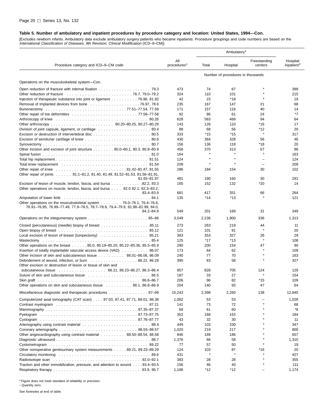[Excludes newborn infants. Ambulatory data exclude ambulatory surgery patients who became inpatients. Procedure groupings and code numbers are based on the International Classification of Diseases, 9th Revision, Clinical Modification (ICD–9–CM)]

| Procedure category and ICD-9-CM code                                                                                                                                                                                           | All<br>procedures <sup>1</sup> | Total        | Hospital                          | Freestanding<br>centers  | Hospital<br>inpatient <sup>3</sup> |
|--------------------------------------------------------------------------------------------------------------------------------------------------------------------------------------------------------------------------------|--------------------------------|--------------|-----------------------------------|--------------------------|------------------------------------|
|                                                                                                                                                                                                                                |                                |              | Number of procedures in thousands |                          |                                    |
| Operations on the musculoskeletal system--Con.                                                                                                                                                                                 |                                |              |                                   |                          |                                    |
|                                                                                                                                                                                                                                | 473                            | 74           | 67                                |                          | 399                                |
|                                                                                                                                                                                                                                | 324                            | 110          | 101                               |                          | 215                                |
| Injection of therapeutic substance into joint or ligament 76.96, 81.92                                                                                                                                                         | 42                             | 23           | *18                               |                          | 19                                 |
|                                                                                                                                                                                                                                | 235                            | 167          | 147                               | 21                       | 68                                 |
|                                                                                                                                                                                                                                | 171                            | 157          | 116                               | 40                       | 14                                 |
|                                                                                                                                                                                                                                | 92                             | 86           | 61                                | 24                       | *7                                 |
| Arthroscopy of knee educational contract to the contract of the contract of the contract of the contract of the contract of the contract of the contract of the contract of the contract of the contract of the contract of th | 628                            | 563          | 469                               | 94                       | 64                                 |
|                                                                                                                                                                                                                                | 143<br>88                      | 126<br>68    | 110<br>56                         | $*16$<br>*12             | 17<br>20                           |
|                                                                                                                                                                                                                                | 333                            | $*15$        | $*15$                             | $\star$                  | 317                                |
|                                                                                                                                                                                                                                | 430                            | 384          | 328                               | 56                       | 46                                 |
|                                                                                                                                                                                                                                | 156                            | 136          | 118                               | *18                      | 20                                 |
| Other incision and excision of joint structure 80.0–80.1, 80.3, 80.8–80.9                                                                                                                                                      | 458                            | 370          | 313                               | 57                       | 88                                 |
|                                                                                                                                                                                                                                | 164                            |              |                                   | $\star$                  | 163                                |
|                                                                                                                                                                                                                                | 124                            | $\pmb{\ast}$ | $\star$                           | ÷                        | 124                                |
|                                                                                                                                                                                                                                | 209                            | $\star$      | $\star$                           | $\overline{\phantom{0}}$ | 209                                |
| Other repair of joints 81.1-81.2, 81.40, 81.49, 81.52-81.53, 81.56-81.91,                                                                                                                                                      | 286                            | 184          | 154                               | 30                       | 102                                |
| 81.93-81.97                                                                                                                                                                                                                    | 481                            | 190          | 160                               | 30                       | 291                                |
| Excision of lesion of muscle, tendon, fascia, and bursa 82.2, 83.3<br>Other operations on muscle, tendon, fascia, and bursa 82.0 82.1, 82.3–83.2,                                                                              | 165                            | 152          | 132                               | *20                      | 14                                 |
| 83.4-83.9                                                                                                                                                                                                                      | 681                            | 417          | 351                               | 66                       | 264                                |
| Amputation of lower limb                                                                                                                                                                                                       | 135                            | $*14$        | $*13$                             |                          | 121                                |
| Other operations on the musculoskeletal system 76.0–76.1, 76.4–76.6,<br>76.91–76.95, 76.99–77.49, 77.9–78.5, 78.7–78.9, 79.4–79.9, 81.98–81.99, 84.0,                                                                          |                                |              |                                   |                          |                                    |
| 84.2-84.9                                                                                                                                                                                                                      | 549                            | 201          | 169                               | 31                       | 349                                |
|                                                                                                                                                                                                                                | 3,549                          | 2,236        | 1,900                             | 336                      | 1,313                              |
|                                                                                                                                                                                                                                | 273                            | 263          | 219                               | 44                       | 11                                 |
|                                                                                                                                                                                                                                | 121                            | 101          | 91                                | $\star$                  | 20                                 |
| Local excision of lesion of breast (lumpectomy)  85.21                                                                                                                                                                         | 383                            | 353          | 327                               | 26<br>$\star$            | 29                                 |
| Mastectomy<br>Other operations on the breast 85.0, 85.19–85.20, 85.22–85.36, 85.5–85.9                                                                                                                                         | 125<br>290                     | $*17$<br>200 | $*13$<br>154                      | 47                       | 108<br>90                          |
| Insertion of totally implantable vascular access device (VAD) 86.07                                                                                                                                                            | 173                            | 64           | 62                                |                          | 109                                |
| Other incision of skin and subcutaneous tissue 86.01-86.06, 86.09                                                                                                                                                              | 240                            | 77           | 70                                |                          | 163                                |
| Debridement of wound, infection, or burn 86.22, 86.28                                                                                                                                                                          | 390                            | 63           | 58                                |                          | 327                                |
| Other excision or destruction of lesion or tissue of skin and                                                                                                                                                                  |                                |              |                                   |                          |                                    |
| subcutaneous tissue 86.21, 86.23–86.27, 86.3–86.4                                                                                                                                                                              | 957                            | 828          | 705                               | 124                      | 129                                |
|                                                                                                                                                                                                                                | 187                            | 33           | 27                                |                          | 154                                |
|                                                                                                                                                                                                                                | 206                            | 96           | 82                                | $*15$                    | 109                                |
| Other operations on skin and subcutaneous tissue 86.1, 86.8–86.9                                                                                                                                                               | 204                            | 140          | 93                                | 47                       | 64                                 |
| Miscellaneous diagnostic and therapeutic procedures 87–99                                                                                                                                                                      | 15,243                         | 2,398        | 2,260                             | 138                      | 12,845                             |
| Computerized axial tomography (CAT scan) 87.03, 87.41, 87.71, 88.01, 88.38                                                                                                                                                     | 1,082                          | 53           | 53                                |                          | 1,028                              |
|                                                                                                                                                                                                                                | 141                            | 73           | 72                                |                          | 68                                 |
|                                                                                                                                                                                                                                | 69                             | 61           | 60                                |                          | *8                                 |
|                                                                                                                                                                                                                                | 352                            | 168          | 163                               |                          | 184                                |
|                                                                                                                                                                                                                                | 43<br>449                      | 32<br>103    | 30<br>100                         |                          | 11<br>347                          |
|                                                                                                                                                                                                                                | 1,020                          | 219          | 217                               |                          | 800                                |
| Other angiocardiography using contrast material 88.50-88.54, 88.58                                                                                                                                                             | 846                            | 189          | 186                               |                          | 657                                |
|                                                                                                                                                                                                                                | 1,376                          | 66           | 58                                |                          | 1,310                              |
|                                                                                                                                                                                                                                | 77                             | 57           | 50                                |                          | 19                                 |
| Other nonoperative genitourinary system measurements 89.21, 89.23–89.29                                                                                                                                                        | 124                            | 103          | 87                                | *16                      | 20                                 |
|                                                                                                                                                                                                                                | 431                            | ×            | $\star$                           |                          | 427                                |
|                                                                                                                                                                                                                                | 383                            | 28           | 28                                |                          | 355                                |
| Traction and other immobilization, pressure, and attention to wound 93.4–93.5                                                                                                                                                  | 156                            | 46           | 40                                |                          | 111                                |
|                                                                                                                                                                                                                                | 1,186                          | *12          | $*12$                             |                          | 1,174                              |

\* Figure does not meet standard of reliability or precision. – Quantity zero.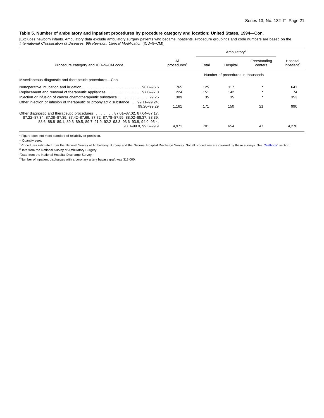[Excludes newborn infants. Ambulatory data exclude ambulatory surgery patients who became inpatients. Procedure groupings and code numbers are based on the International Classification of Diseases, 9th Revision, Clinical Modification (ICD–9–CM)]

| Procedure category and ICD-9-CM code                                                                                                                                                                                                | All<br>procedures <sup>1</sup> | Total | Hospital                          | Freestanding<br>centers | Hospital<br>inpatient <sup>3</sup> |
|-------------------------------------------------------------------------------------------------------------------------------------------------------------------------------------------------------------------------------------|--------------------------------|-------|-----------------------------------|-------------------------|------------------------------------|
|                                                                                                                                                                                                                                     |                                |       | Number of procedures in thousands |                         |                                    |
| Miscellaneous diagnostic and therapeutic procedures-Con.                                                                                                                                                                            |                                |       |                                   |                         |                                    |
|                                                                                                                                                                                                                                     | 765                            | 125   | 117                               |                         | 641                                |
| Replacement and removal of the rapeutic appliances 97.0–97.8                                                                                                                                                                        | 224                            | 151   | 142                               |                         | 74                                 |
| Injection or infusion of cancer chemotherapeutic substance 99.25                                                                                                                                                                    | 389                            | 35    | 35                                |                         | 353                                |
| Other injection or infusion of therapeutic or prophylactic substance 99.11–99.24,<br>99.26-99.29                                                                                                                                    | 1.161                          | 171   | 150                               | 21                      | 990                                |
| Other diagnostic and therapeutic procedures  87.01–87.02, 87.04–87.17,<br>87.22-87.34, 87.38-87.39, 87.42-87.69, 87.72, 87.78-87.99, 88.02-88.37, 88.39,<br>88.6, 88.8-89.1, 89.3-89.5, 89.7-91.9, 92.2-93.3, 93.6-93.8, 94.0-95.4, |                                |       |                                   |                         |                                    |
| 98.0-99.0. 99.3-99.9                                                                                                                                                                                                                | 4.971                          | 701   | 654                               | 47                      | 4.270                              |

\* Figure does not meet standard of reliability or precision.

– Quantity zero.

1Procedures estimated from the National Survey of Ambulatory Surgery and the National Hospital Discharge Survey. Not all procedures are covered by these surveys. S[ee ''Methods'' sec](#page-7-0)tion. 2Data from the National Survey of Ambulatory Surgery.

3Data from the National Hospital Discharge Survey.

4Number of inpatient discharges with a coronary artery bypass graft was 318,000.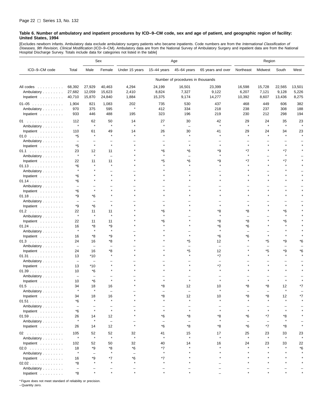<span id="page-27-0"></span>[Excludes newborn infants. Ambulatory data exclude ambulatory surgery patients who became inpatients. Code numbers are from the *International Classification of*<br>*Diseases, 9th Revision, Clinical Modification* (ICD–9–CM). Hospital Discharge Survey. Totals include data for categories not listed in the table]

|                                      |                                |                            | Sex                            | Age                      |                           |                                   |                           | Region                    |                                  |                                |                          |
|--------------------------------------|--------------------------------|----------------------------|--------------------------------|--------------------------|---------------------------|-----------------------------------|---------------------------|---------------------------|----------------------------------|--------------------------------|--------------------------|
| ICD-9-CM code                        | Total                          | Male                       | Female                         | Under 15 years           | $15-44$ years             | 45-64 years                       | 65 years and over         | Northeast                 | Midwest                          | South                          | West                     |
|                                      |                                |                            |                                |                          |                           | Number of procedures in thousands |                           |                           |                                  |                                |                          |
| All codes<br>Ambulatory<br>Inpatient | 68,392<br>27,682<br>40,710     | 27,929<br>12,059<br>15,870 | 40,463<br>15,623<br>24,840     | 4,294<br>2,410<br>1,884  | 24,199<br>8,824<br>15,375 | 16,501<br>7,327<br>9,174          | 23,399<br>9,122<br>14,277 | 16,598<br>6,207<br>10,392 | 15,728<br>7,121<br>8,607         | 22,565<br>9,128<br>13,436      | 13,501<br>5,226<br>8,275 |
| $01-05$                              | 1,904                          | 821                        | 1,083                          | 202                      | 735                       | 530                               | 437                       | 468                       | 449                              | 606                            | 382                      |
| Ambulatory                           | 970                            | 375                        | 595                            | $\star$                  | 412                       | 334                               | 218                       | 238                       | 237                              | 308                            | 188                      |
| Inpatient                            | 933                            | 446                        | 488                            | 195                      | 323                       | 196                               | 219                       | 230                       | 212                              | 298                            | 194                      |
| 01                                   | 112                            | 62                         | 50                             | 14                       | 27                        | 30                                | 42                        | 29                        | 24                               | 35                             | 23                       |
| Ambulatory                           | $\star$                        | $\star$                    | $\star$                        | $\star$                  | $\star$                   |                                   | $\star$                   | $\star$                   | $\pmb{\ast}$                     | $\star$                        |                          |
| Inpatient<br>01.0                    | 110<br>*5                      | 61                         | 49<br>$\star$                  | 14                       | 26                        | 30                                | 41                        | 29                        | 24<br>$\star$                    | 34                             | 23                       |
| Ambulatory                           | $\overline{\phantom{0}}$       |                            |                                |                          |                           |                                   |                           |                           |                                  |                                |                          |
| Inpatient                            | *5                             | $\star$                    | $\star$                        |                          | $\star$                   |                                   |                           | $\star$                   |                                  | $\star$                        |                          |
| 01.1                                 | 23<br>$\star$                  | 12<br>$\star$              | 11                             |                          | *6<br>$\star$             | *6                                | *9                        | $*7$<br>$\star$           |                                  | $*7$<br>$\star$                |                          |
| Ambulatory                           | 22                             | 11                         | $\overline{\phantom{a}}$<br>11 |                          | *5                        | *6                                | ٠9                        | *7                        |                                  | $*7$                           |                          |
| Inpatient<br>01.13                   | *6                             |                            |                                |                          |                           |                                   |                           |                           |                                  |                                |                          |
| Ambulatory                           | $\star$                        |                            |                                |                          |                           |                                   |                           |                           |                                  |                                |                          |
| Inpatient                            | *6                             |                            |                                |                          |                           |                                   |                           |                           | $\star$                          |                                |                          |
| 01.14                                | *6                             |                            |                                |                          |                           |                                   |                           |                           |                                  |                                |                          |
| Ambulatory<br>Inpatient              | $\overline{\phantom{0}}$<br>*6 |                            |                                |                          |                           |                                   |                           |                           |                                  |                                |                          |
| 01.18                                | *9                             | *6                         |                                |                          |                           |                                   |                           |                           |                                  |                                |                          |
| Ambulatory                           | $\overline{\phantom{0}}$       | $\overline{\phantom{0}}$   |                                |                          |                           |                                   |                           |                           |                                  |                                |                          |
| Inpatient                            | *9                             | *6                         | $\star$                        |                          | $\star$                   |                                   |                           | $\star$                   |                                  |                                |                          |
| 01.2                                 | 22<br>$\star$                  | 11<br>$\star$              | 11<br>$\star$                  |                          | *6<br>$\star$             |                                   | *8                        | *8                        |                                  | *6<br>$\star$                  |                          |
| Ambulatory<br>Inpatient              | 22                             | 11                         | 11                             |                          | *6                        |                                   | *8                        | $\equiv$<br>*8            |                                  | *6                             |                          |
| 01.24                                | 16                             | *8                         | *9                             |                          |                           |                                   | *6                        | *6                        |                                  |                                |                          |
| Ambulatory                           | $\star$                        | $\star$                    | $\star$                        |                          |                           |                                   |                           |                           |                                  |                                |                          |
| Inpatient                            | 16                             | *8                         | *9                             |                          |                           |                                   | *6                        | *6<br>$\star$             | $\star$                          |                                |                          |
| 01.3<br>Ambulatory                   | 24<br>$\overline{\phantom{m}}$ | 16<br>$\equiv$             | *8<br>$\overline{\phantom{0}}$ |                          |                           | *5                                | 12<br>÷                   |                           | *5<br>$\overline{\phantom{0}}$   | *9<br>$\overline{\phantom{0}}$ | *6                       |
| Inpatient                            | 24                             | 16                         | *8                             |                          |                           | *5                                | 12                        | $\star$                   | *5                               | *9                             | *6                       |
| 01.31                                | 13                             | $*10$                      | $\star$                        |                          |                           |                                   | *7                        |                           | $\star$                          |                                |                          |
| Ambulatory                           | $\overline{\phantom{a}}$       | $\overline{\phantom{0}}$   |                                |                          |                           |                                   |                           |                           |                                  |                                |                          |
| Inpatient $\ldots$ ,                 | 13                             | $*10$                      |                                |                          |                           |                                   | *7                        |                           |                                  |                                |                          |
| 01.39<br>Ambulatory                  | 10<br>$\overline{\phantom{0}}$ | *6<br>÷                    |                                |                          |                           |                                   |                           |                           |                                  |                                |                          |
| Inpatient $\ldots$ ,                 | 10                             | *6                         | $\star$                        |                          |                           |                                   |                           |                           | 大                                | $\star$                        |                          |
| 01.5                                 | 34                             | 18                         | 16                             |                          | *8                        | 12                                | 10                        | *8                        | *8                               | 12                             | *7                       |
| Ambulatory                           |                                |                            |                                |                          |                           | ÷                                 | $\star$                   |                           |                                  | $\star$                        |                          |
| Inpatient<br>01.51                   | 34<br>*6                       | 18<br>$\star$              | 16<br>$\star$                  |                          | *8                        | 12<br>$\star$                     | 10<br>$\star$             | *8<br>$\star$             | *8<br>$\star$                    | 12<br>$\star$                  | *7                       |
| Ambulatory                           | $\overline{\phantom{a}}$       |                            | $\overline{\phantom{0}}$       |                          |                           |                                   |                           |                           |                                  |                                |                          |
| Inpatient                            | *6                             | $\star$                    | $\star$                        |                          | $\star$                   |                                   |                           | $\star$                   | $\star$                          | $\star$                        |                          |
| 01.59                                | 26                             | 14                         | 12                             |                          | *6                        | *8                                | *8                        | *6                        | *7                               | *8                             |                          |
| Ambulatory                           | $\star$                        | $\star$                    | $\overline{\phantom{m}}$       | $\star$                  | *6                        |                                   | *8                        | *6                        | $\overline{\phantom{0}}$<br>$*7$ | *8                             |                          |
| Inpatient                            | 26                             | 14                         | 12                             |                          |                           | *8                                |                           |                           |                                  |                                |                          |
| 02                                   | 105<br>$\star$                 | 52<br>$\star$              | 52<br>$\pmb{\ast}$             | 32<br>$\star$            | 41<br>$\star$             | 15<br>$\star$                     | 17<br>$\star$             | 25<br>$\star$             | 23<br>$\pmb{\ast}$               | 33<br>$\star$                  | 23                       |
| Ambulatory<br>Inpatient              | 102                            | 52                         | 50                             | 32                       | 40                        | 14                                | 16                        | 24                        | 23                               | 33                             | 22                       |
| $02.0$                               | 18                             | *9                         | *8                             | $^{\star}6$              | *7                        |                                   |                           |                           | $\star$                          |                                | $*6$                     |
| Ambulatory                           | $\star$                        | $\overline{\phantom{0}}$   | $\star$                        | $\overline{\phantom{0}}$ | $\star$                   |                                   |                           |                           |                                  |                                |                          |
| Inpatient $\ldots \ldots \ldots$     | 16                             | *9                         | *7                             | *6                       | *7                        |                                   |                           |                           |                                  |                                |                          |
| 02.02<br>Ambulatory                  | *8<br>$\overline{\phantom{a}}$ |                            |                                |                          |                           |                                   |                           |                           |                                  |                                |                          |
| Inpatient                            | *8                             |                            | $\star$                        | $\star$                  |                           |                                   |                           |                           |                                  |                                |                          |

\* Figure does not meet standard of reliability or precision.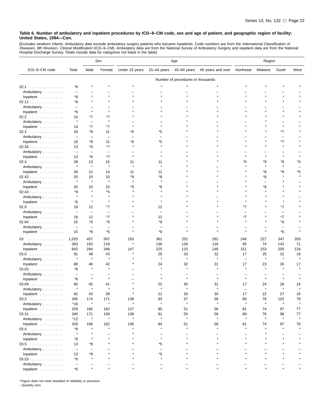[Excludes newborn infants. Ambulatory data exclude ambulatory surgery patients who became inpatients. Code numbers are from the *International Classification of*<br>*Diseases, 9th Revision, Clinical Modification* (ICD–9–CM).

|                                                |                          |                          | Sex                      | Age            |                          |                                   | Region            |                          |               |                          |      |
|------------------------------------------------|--------------------------|--------------------------|--------------------------|----------------|--------------------------|-----------------------------------|-------------------|--------------------------|---------------|--------------------------|------|
| ICD-9-CM code                                  | Total                    | Male                     | Female                   | Under 15 years | 15-44 years              | 45-64 years                       | 65 years and over | Northeast                | Midwest       | South                    | West |
|                                                |                          |                          |                          |                |                          | Number of procedures in thousands |                   |                          |               |                          |      |
| 02.1                                           | *8                       |                          |                          |                |                          |                                   |                   |                          |               |                          |      |
| Ambulatory                                     | $\overline{\phantom{0}}$ |                          |                          |                |                          |                                   |                   |                          |               |                          |      |
| Inpatient                                      | *8                       |                          |                          |                |                          |                                   |                   |                          |               | $\star$                  |      |
| 02.12                                          | *6                       |                          |                          |                |                          |                                   |                   |                          |               |                          |      |
| Ambulatory                                     | $\overline{\phantom{a}}$ | $\overline{\phantom{0}}$ |                          |                |                          |                                   |                   |                          |               |                          |      |
| Inpatient                                      | *6                       | $\star$                  |                          |                |                          |                                   |                   |                          |               |                          |      |
| 02.2                                           | 14                       | *7                       | *7                       |                |                          |                                   |                   |                          |               |                          |      |
| Ambulatory                                     | $\pmb{\ast}$             | $\overline{\phantom{0}}$ |                          |                |                          |                                   |                   |                          |               |                          |      |
| Inpatient                                      | 14                       | $*7$                     | $*7$                     |                |                          |                                   |                   |                          |               | $\star$                  |      |
| 02.3                                           | 18                       | *8                       | 11                       | *6             | *5                       |                                   |                   |                          |               | *7                       |      |
| Ambulatory                                     | $\overline{\phantom{a}}$ | ÷                        | $\overline{\phantom{0}}$ | -              |                          |                                   |                   |                          |               | L,                       |      |
| Inpatient                                      | 18                       | *8                       | 11                       | *6             | *5                       |                                   |                   |                          |               | $*7$                     |      |
| 02.34                                          | 13                       | *6                       | *7                       |                |                          |                                   |                   |                          |               |                          |      |
| Ambulatory                                     | $\overline{\phantom{0}}$ | $\overline{\phantom{0}}$ | $\overline{\phantom{0}}$ |                |                          |                                   |                   |                          |               |                          |      |
| Inpatient                                      | 13                       | *6                       | $*7$                     | $\star$        |                          |                                   |                   |                          |               | $\star$                  |      |
| 02.4                                           | 28                       | 13                       | 15                       | 11             | 11                       |                                   |                   | *5                       | *9            | *9                       | *5   |
| Ambulatory                                     | $\star$                  | $\star$                  | $\star$                  | $\star$        | $\star$                  |                                   |                   |                          | $\star$       | $\star$                  |      |
| Inpatient                                      | 26                       | 12                       | 14                       | 11             | 11                       |                                   |                   |                          | *8            | *8                       | *5   |
| 02.42                                          | 20                       | 10                       | 10                       | *9             | *8                       |                                   |                   |                          | *8            |                          |      |
| Ambulatory                                     | $\star$                  | $\star$                  | $\star$                  |                |                          |                                   |                   |                          |               |                          |      |
| Inpatient                                      | 20                       | 10                       | 10                       | *9             | *8                       |                                   |                   |                          | *8            |                          |      |
| 02.43                                          | *8                       |                          | *5                       |                |                          |                                   |                   |                          |               |                          |      |
| Ambulatory                                     | $\star$                  |                          | $\star$                  |                |                          |                                   |                   |                          |               |                          |      |
| Inpatient                                      | *6                       | $\star$                  |                          |                | $\star$                  |                                   |                   |                          |               |                          |      |
| 02.9                                           | 19                       | 12                       | *7                       |                | 12                       |                                   |                   | *7                       |               | *7                       |      |
| Ambulatory                                     | $\overline{\phantom{0}}$ | $\qquad \qquad -$        | $\overline{\phantom{0}}$ |                | $\overline{\phantom{0}}$ |                                   |                   |                          |               | Ē,                       |      |
| Inpatient                                      | 19                       | 12                       | *7                       |                | 12                       |                                   |                   | *7                       |               | *7                       |      |
| 02.94                                          | 15                       | *9                       | *6                       |                | *9                       |                                   |                   |                          |               | *6                       |      |
| Ambulatory                                     | $\overline{\phantom{m}}$ | $\overline{\phantom{0}}$ | $\overline{\phantom{0}}$ |                | $\overline{\phantom{0}}$ |                                   |                   |                          | $\star$       | $\overline{\phantom{0}}$ |      |
| Inpatient                                      | 15                       | *9                       | *6                       |                | *9                       |                                   |                   |                          |               | $*6$                     |      |
| 03                                             | 1,025                    | 457                      | 567                      | 150            | 361                      | 252                               | 262               | 246                      | 227           | 347                      | 205  |
| Ambulatory                                     | 383                      | 163                      | 219                      | $\star$        | 136                      | 128                               | 116               | 95                       | 74            | 142                      | 71   |
| Inpatient                                      | 642                      | 294                      | 348                      | 147            | 225                      | 123                               | 146               | 151                      | 153           | 205                      | 134  |
| $03.0$                                         | 91                       | 48                       | 43                       |                | 25                       | 33                                | 32                | 17                       | 25            | 31                       | 18   |
| Ambulatory                                     | $\star$                  | $\star$                  | $\star$                  |                | $\star$                  | $\star$                           | $\star$           | $\overline{\phantom{0}}$ | $\star$       | $\star$                  |      |
| Inpatient                                      | 88                       | 46                       | 42                       |                | 24                       | 32                                | 31                | 17                       | 23            | 30                       | 17   |
| 03.02                                          | *6                       | $\star$                  | $\star$                  |                |                          |                                   |                   |                          |               |                          |      |
| Ambulatory                                     | $\overline{\phantom{0}}$ | ÷                        |                          |                |                          |                                   |                   |                          |               |                          |      |
| Inpatient                                      | *6                       | $\star$                  | $\star$                  |                |                          |                                   |                   |                          |               |                          |      |
| $03.09$                                        | 85                       | 45<br>$\star$            | 41<br>$\star$            |                | 22                       | 30<br>$\star$                     | 31                | 17                       | 24            | 28                       | 16   |
| Ambulatory                                     |                          |                          |                          |                |                          |                                   |                   |                          |               |                          |      |
| Inpatient                                      | 82                       | 43                       | 39                       |                | 21                       | 30                                | 30                | 17                       | 22            | 27                       | 16   |
| $03.3$                                         | 345                      | 174<br>$\star$           | 171<br>$\pmb{\ast}$      | 138<br>$\star$ | 93<br>$\star$            | 57<br>$\star$                     | 56<br>$\star$     | 89<br>$\star$            | 76<br>$\star$ | 102<br>$\star$           | 78   |
| Ambulatory<br>Inpatient $\ldots \ldots \ldots$ | $*16$<br>329             | 166                      | 162                      | 137            | 85                       | 51                                | 56                | 81                       | 74            | 97                       | 77   |
| 03.31                                          |                          | 171                      | 169                      | 138            | 91                       | 55                                | 56                | 89                       | 76            | 98                       | 77   |
| Ambulatory                                     | 340<br>*12               | $\star$                  | $\pmb{\ast}$             | $\star$        | $\pmb{\ast}$             | $\star$                           | $\star$           | $\star$                  | $\star$       | $\star$                  |      |
| Inpatient                                      | 328                      | 166                      | 162                      | 136            | 84                       | 51                                | 56                | 81                       | 74            | 97                       | 76   |
| $03.4$                                         | *8                       | $\star$                  | $\star$                  |                |                          |                                   |                   |                          |               |                          |      |
| Ambulatory                                     | $\star$                  |                          |                          |                |                          |                                   |                   |                          |               |                          |      |
| Inpatient $\ldots \ldots \ldots$               | *8                       |                          |                          |                | $\star$                  |                                   |                   |                          |               |                          |      |
| 03.5                                           | 13                       | *8                       |                          |                | *5                       |                                   |                   |                          |               |                          |      |
| Ambulatory                                     | $\overline{\phantom{m}}$ | ÷                        |                          |                | $\overline{\phantom{0}}$ |                                   |                   |                          |               |                          |      |
| Inpatient $\ldots \ldots \ldots$               | 13                       | *8                       |                          |                | *5                       |                                   |                   |                          |               |                          |      |
| 03.53                                          | *6                       |                          |                          |                |                          |                                   |                   |                          |               |                          |      |
| Ambulatory                                     | $\overline{\phantom{0}}$ |                          |                          |                |                          |                                   |                   |                          |               |                          |      |
| Inpatient                                      | *6                       |                          |                          |                |                          |                                   |                   |                          |               |                          |      |

\* Figure does not meet standard of reliability or precision. – Quantity zero.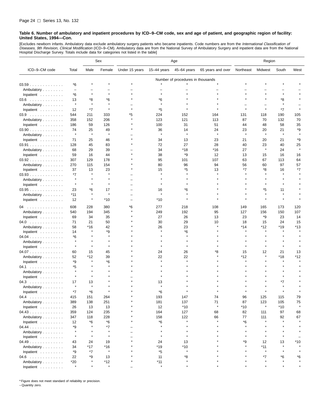[Excludes newborn infants. Ambulatory data exclude ambulatory surgery patients who became inpatients. Code numbers are from the *International Classification of*<br>*Diseases, 9th Revision, Clinical Modification* (ICD–9–CM). Hospital Discharge Survey. Totals include data for categories not listed in the table]

|                                  |                          |                          | Sex          | Age            |             |                                   |                   | Region       |         |              |               |
|----------------------------------|--------------------------|--------------------------|--------------|----------------|-------------|-----------------------------------|-------------------|--------------|---------|--------------|---------------|
| ICD-9-CM code                    | Total                    | Male                     | Female       | Under 15 years | 15–44 years | 45-64 years                       | 65 years and over | Northeast    | Midwest | South        | West          |
|                                  |                          |                          |              |                |             | Number of procedures in thousands |                   |              |         |              |               |
| 03.59                            | *6                       |                          |              |                |             |                                   |                   |              |         |              |               |
| Ambulatory                       | $\overline{\phantom{0}}$ | $\overline{\phantom{0}}$ |              |                |             |                                   |                   |              |         |              |               |
| Inpatient                        | *6                       | $\star$                  | $\star$      |                |             |                                   |                   |              |         |              |               |
| $03.6$                           | 13                       | *8                       | *6           |                | *6          |                                   |                   |              |         | *8           |               |
| Ambulatory                       | $\star$                  | $\star$                  | $\pmb{\ast}$ |                |             |                                   |                   |              |         | $\star$      |               |
| Inpatient                        | 12                       | $*7$                     |              |                | *5          |                                   |                   |              |         | *7           |               |
| 03.9                             | 544                      | 211                      | 333          | *5             | 224         | 152                               | 164               | 131          | 118     | 190          | 105           |
| Ambulatory                       | 358                      | 152                      | 206          |                | 123         | 121                               | 113               | 87           | 70      | 132          | 70            |
| Inpatient                        | 186                      | 59                       | 126          |                | 100         | 31                                | 51                | 44           | 48      | 58           | 35            |
| $03.90$                          | 74                       | 25                       | 49           |                | 36          | 14                                | 24                | 23           | 20      | 21           | *9            |
| Ambulatory                       | $\pmb{\ast}$             | $\pmb{\ast}$             | $\star$      |                | $\star$     | $\star$                           | ۸                 | $\pmb{\ast}$ | $\star$ | $\pmb{\ast}$ | $\star$       |
| Inpatient                        | 71                       | 25                       | 46           |                | 34          | 13                                | 23                | 21           | 20      | 21           | *9            |
| 03.91                            | 128                      | 45                       | 83           |                | 72          | 27                                | 28                | 40           | 23      | 40           | 25            |
| Ambulatory                       | 68                       | 29                       | 39           |                | 34          | *18                               | *16               | 27           | $\star$ | 24           | $\star$       |
| Inpatient                        | 59                       | 16                       | 44           |                | 38          | *9                                | 12                | 13           | 15      | 16           | 16            |
| 03.92                            | 307                      | 129                      | 178          |                | 95          | 101                               | 107               | 63           | 67      | 113          | 64            |
| Ambulatory                       | 270                      | 115                      | 154          |                | 80          | 96                                | 94                | 56           | 60      | 97           | 57            |
| Inpatient                        | 37                       | 13                       | 23           |                | 15          | *5                                | 13                | $*7$         | *8      | 16           | *7            |
| 03.93                            | *7                       | $\star$                  | $\star$      |                |             |                                   |                   |              |         | $\star$      |               |
| Ambulatory                       | $\star$                  |                          |              |                |             |                                   |                   |              |         |              |               |
| Inpatient                        |                          |                          |              |                |             |                                   |                   |              |         |              |               |
| 03.95                            | 23                       | *6                       | 17           |                | 16          | *6                                |                   |              | *5      | 11           |               |
| Ambulatory                       | $*11$                    | $\star$                  | $\pmb{\ast}$ |                |             |                                   |                   |              |         |              |               |
| Inpatient                        | 12                       | $\star$                  | $*10$        |                | *10         |                                   |                   |              | $\star$ | $\pmb{\ast}$ |               |
| 04<br>$\sim$ $\sim$              | 608                      | 228                      | 380          | *6             | 277         | 218                               | 108               | 149          | 165     | 173          | 120           |
| Ambulatory                       | 540                      | 194                      | 345          |                | 249         | 192                               | 95                | 127          | 156     | 150          | 107           |
| Inpatient                        | 69                       | 34                       | 35           |                | 27          | 26                                | 13                | 23           | *9      | 23           | 14            |
| 04.0                             | 71                       | 21                       | 50           |                | 30          | 29                                | 10                | 18           | 15      | 24           | 15            |
| Ambulatory                       | 58                       | *16                      | 42           |                | 26          | 23                                |                   | *14          | *12     | *19          | *13           |
| Inpatient                        | 14                       |                          | *9           |                |             | *6                                |                   |              | $\star$ |              |               |
| $04.04$                          | *6                       |                          |              |                |             |                                   |                   |              |         |              |               |
| Ambulatory                       | $\star$                  | $\star$                  | $\star$      |                |             |                                   |                   |              |         |              |               |
| Inpatient                        | $\star$                  | $\star$                  | $\pmb{\ast}$ |                |             |                                   |                   | $\star$      |         | $\star$      |               |
|                                  | 60                       | 15                       | 45           |                | 24          | 26                                | *8                | 15           | 12      | 21           | 13            |
| 04.07                            | 52                       | *12                      | 39           |                | 22          | 22                                |                   | *12          | $\star$ | *18          | *12           |
| Ambulatory<br>Inpatient          | *9                       | $\star$                  | *6           |                |             |                                   |                   | À            |         | $\star$      |               |
|                                  | *5                       |                          |              |                |             |                                   |                   |              |         |              |               |
| 04.1                             | $\star$                  |                          |              |                |             |                                   |                   |              |         |              |               |
| Ambulatory                       | $\star$                  | $\star$                  |              |                |             |                                   |                   |              |         |              |               |
| Inpatient                        |                          |                          |              |                |             |                                   |                   |              |         | *7           |               |
| 04.3                             | 17<br>$\star$            | 13<br>$\star$            |              |                | 13          |                                   |                   |              |         |              |               |
| Ambulatory                       |                          |                          |              |                |             |                                   |                   |              |         |              |               |
| Inpatient $\ldots \ldots \ldots$ | *7                       | *6                       |              |                | *6          |                                   |                   |              |         |              |               |
| 04.4                             | 415                      | 151                      | 264          |                | 193         | 147                               | 74                | 96           | 125     | 115          | 79            |
| Ambulatory                       | 389                      | 138                      | 251          |                | 181         | 137                               | 71<br>$\star$     | 87           | 123     | 105          | 75<br>$\star$ |
| Inpatient                        | 26                       | 13                       | 13           |                | 12          | $*10$                             |                   | *10          | $\star$ | $*10$        |               |
| 04.43                            | 359                      | 124                      | 235          |                | 164         | 127                               | 68                | 82           | 111     | 97           | 68            |
| Ambulatory                       | 347                      | 118                      | 228          |                | 158         | 122                               | 66                | 77           | 111     | 92           | 67            |
| Inpatient $\ldots \ldots \ldots$ | 12                       | *6                       | *6           |                | *6          | $\star$                           |                   | *6           | $\star$ | $\star$      |               |
| 04.44                            | *9                       |                          | *7           |                |             |                                   |                   |              |         |              |               |
| Ambulatory                       | $\star$                  |                          | $\star$      |                |             |                                   |                   |              |         |              |               |
| Inpatient $\ldots \ldots \ldots$ | $\star$                  | $\star$                  | $\star$      |                | $\star$     |                                   |                   |              |         | $\star$      |               |
| 04.49                            | 43                       | 24                       | 19           |                | 24          | 13                                |                   | *9           | 12      | 13           | *10           |
| Ambulatory                       | 34                       | *17                      | *16          |                | $*19$       | $*10$                             |                   |              | $*11$   | $\star$      |               |
| Inpatient                        | *9                       | $*7$                     | $\pmb{\ast}$ |                | *5          | $\star$                           |                   |              | $\star$ |              |               |
| 04.6                             | 22                       | *9                       | 13           |                | 11          | *8                                |                   |              | *7      | *6           | *6            |
| Ambulatory                       | $*20$                    |                          | *12          |                | $*11$       |                                   |                   |              |         |              |               |
| Inpatient $\ldots$ , $\ldots$    | $\star$                  |                          | $\pmb{\ast}$ |                | $\star$     |                                   |                   |              |         |              |               |

\* Figure does not meet standard of reliability or precision.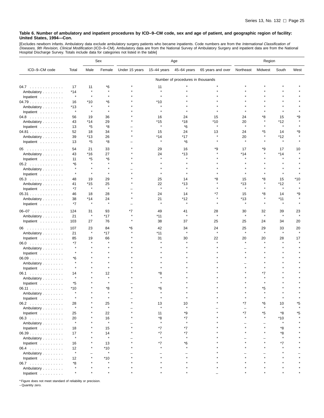[Excludes newborn infants. Ambulatory data exclude ambulatory surgery patients who became inpatients. Code numbers are from the *International Classification of*<br>*Diseases, 9th Revision, Clinical Modification* (ICD–9–CM).

|               |               |                                   | Sex           | Age            |               |               | Region            |               |                    |                       |         |  |
|---------------|---------------|-----------------------------------|---------------|----------------|---------------|---------------|-------------------|---------------|--------------------|-----------------------|---------|--|
| ICD-9-CM code | Total         | Male                              | Female        | Under 15 years | 15-44 years   | 45-64 years   | 65 years and over | Northeast     | Midwest            | South                 | West    |  |
|               |               | Number of procedures in thousands |               |                |               |               |                   |               |                    |                       |         |  |
| 04.7          | 17            | 11                                | *6            |                | 11            |               |                   |               |                    |                       |         |  |
| Ambulatory    | $*14$         | $\star$                           | $\star$       |                | $\star$       |               |                   |               |                    |                       |         |  |
| Inpatient     | $\star$       | $\pmb{\ast}$                      |               |                |               |               |                   |               |                    |                       |         |  |
| 04.79         | 16            | $*10$                             | *6            |                | *10           |               |                   |               |                    |                       |         |  |
| Ambulatory    | *13           | $\star$                           | $\star$       |                | $\star$       |               |                   |               |                    |                       |         |  |
| Inpatient     | $\star$       | $\pmb{\ast}$                      |               |                |               |               |                   |               |                    |                       |         |  |
| 04.8          | 56            | 19                                | 36            |                | 16            | 24            | 15                | 24            | *8                 | 15                    | ٠9      |  |
| Ambulatory    | 43            | *14                               | 29            |                | *15           | *18           | *10               | 20            |                    | *12                   |         |  |
| Inpatient     | 13            | *5                                | *8            |                | $\star$       | *6            | $\star$           | $\star$       |                    | $\star$               |         |  |
| 04.81         | 52            | 18                                | 34            |                | 15            | 24            | 13                | 24            | *5                 | 14                    | ٠9      |  |
| Ambulatory    | 39            | $*13$                             | 26            |                | *14           | *17           | $\star$           | 20            |                    | *12                   |         |  |
| Inpatient     | 13            | *5                                | *8            |                | $\star$       | *6            | $\star$           | $\star$       |                    | $\star$               |         |  |
|               |               |                                   |               |                |               |               |                   |               |                    |                       |         |  |
| 05            | 54            | 21                                | 33            |                | 29            | 16            | *9                | 17            | *9                 | 17                    | 10      |  |
| Ambulatory    | 43            | $*16$                             | 27            |                | 24            | $*13$         |                   | $*14$         |                    | $*14$<br>$\pmb{\ast}$ |         |  |
| Inpatient     | 11            | *5                                | *6            |                | $\star$       | $\star$       |                   |               |                    |                       |         |  |
| 05.2          | *6            | $\star$                           | $\star$       |                |               |               |                   |               |                    |                       |         |  |
| Ambulatory    | $\star$       |                                   |               |                |               |               |                   |               |                    |                       |         |  |
| Inpatient     | $\star$       | $\star$                           | $\star$       |                | $\star$       |               |                   |               |                    | $\star$               |         |  |
| 05.3          | 48            | 19                                | 29            |                | 25            | 14            | *8                | 15            | *8                 | 15                    | *10     |  |
| Ambulatory    | 41            | $*15$                             | 25            |                | 22            | $*13$         |                   | $*13$         |                    | $*12$                 |         |  |
| Inpatient     | $*7$          | $\pmb{\ast}$                      | $\star$       |                | $\star$       | $\star$       |                   | $\star$       | $\star$            | $\star$               |         |  |
| 05.31         | 46            | 18                                | 28            |                | 24            | 14            | *7                | 15            | *8                 | 14                    | *9      |  |
| Ambulatory    | 38            | $*14$                             | 24            |                | 21            | *12           |                   | *13           |                    | $*11$                 |         |  |
| Inpatient     | *7            | $\pmb{\ast}$                      | $\star$       |                |               | $\pmb{\ast}$  |                   |               |                    |                       |         |  |
| $06 - 07$     | 124           | 31                                | 93            | *7             | 49            | 41            | 28                | 30            | 32                 | 39                    | 23      |  |
| Ambulatory    | 21            | $\star$                           | *17           |                | *11           | $\star$       | $\star$           | $\star$       | $\star$            | $\star$               | $\star$ |  |
| Inpatient     | 103           | 27                                | 76            |                | 38            | 37            | 25                | 25            | 24                 | 34                    | 20      |  |
|               |               |                                   |               |                |               |               |                   |               |                    |                       |         |  |
| 06            | 107           | 23<br>$\star$                     | 84            | *6             | 42            | 34<br>$\star$ | 24<br>$\star$     | 25<br>$\star$ | 29<br>$\pmb{\ast}$ | 33<br>$\star$         | 20      |  |
| Ambulatory    | 21            |                                   | $*17$         |                | $*11$         |               |                   |               |                    |                       |         |  |
| Inpatient     | 85            | 19<br>$\star$                     | 66<br>$\star$ |                | 31            | 30            | 22                | 20            | 20                 | 28<br>$\pmb{\ast}$    | 17      |  |
| $06.0$        | *7<br>$\star$ |                                   |               |                |               |               |                   |               |                    |                       |         |  |
| Ambulatory    | $\star$       |                                   |               |                |               |               |                   |               |                    |                       |         |  |
| Inpatient     |               |                                   |               |                |               |               |                   |               |                    |                       |         |  |
| 06.09         | *6<br>$\star$ |                                   |               |                |               |               |                   |               |                    |                       |         |  |
| Ambulatory    | $\star$       |                                   |               |                |               |               |                   |               |                    |                       |         |  |
| Inpatient     |               |                                   |               |                |               |               |                   |               |                    |                       |         |  |
| 06.1          | 14<br>$\star$ |                                   | 12            |                | *8            |               |                   |               | *7                 |                       |         |  |
| Ambulatory    |               |                                   |               |                |               |               |                   |               |                    |                       |         |  |
| Inpatient     | *5            |                                   |               |                |               |               |                   |               |                    |                       |         |  |
| 06.11         | $*10$         |                                   | *8            |                | *6            |               |                   |               | *5                 |                       |         |  |
| Ambulatory    |               |                                   |               |                |               |               |                   |               |                    |                       |         |  |
| Inpatient     |               |                                   | $\star$       |                |               |               |                   |               |                    |                       |         |  |
| 06.2          | 28<br>$\star$ |                                   | 25            |                | 13<br>$\star$ | 10<br>$\star$ |                   | $*7$          | *6                 | 10                    | *5      |  |
| Ambulatory    |               |                                   | $\star$       |                |               |               |                   |               |                    |                       |         |  |
| Inpatient     | 25            |                                   | 22            |                | 11            | *9            |                   | *7            | *5                 | *8                    | *5      |  |
| 06.3          | 20            |                                   | 16            |                | *8            | *7            |                   |               |                    | $*10$                 |         |  |
| Ambulatory    | $\star$       |                                   | $\star$       |                | $\star$       | $\star$       |                   |               |                    |                       |         |  |
| Inpatient     | 18            |                                   | 15            |                | *7            | *7            |                   |               |                    | *8                    |         |  |
| 06.39         | 17            |                                   | 14            |                | *7            | *7            |                   |               |                    | *8                    |         |  |
| Ambulatory    | $\star$       |                                   | $\star$       |                |               |               |                   |               |                    | $\star$               |         |  |
| Inpatient     | 16            |                                   | 13            |                | *7            | *6            |                   |               |                    | *7                    |         |  |
| 06.4          | 12            |                                   | *10           |                |               |               |                   |               |                    |                       |         |  |
| Ambulatory    | $\star$       |                                   | $\star$       |                |               |               |                   |               |                    |                       |         |  |
| Inpatient     | 12            |                                   | $*10$         |                |               |               |                   |               |                    |                       |         |  |
| 06.7          | *8            |                                   |               |                |               |               |                   |               |                    |                       |         |  |
| Ambulatory    | $\star$       |                                   |               |                |               |               |                   |               |                    |                       |         |  |
| Inpatient     | $\star$       |                                   |               |                |               |               |                   |               |                    |                       |         |  |

\* Figure does not meet standard of reliability or precision.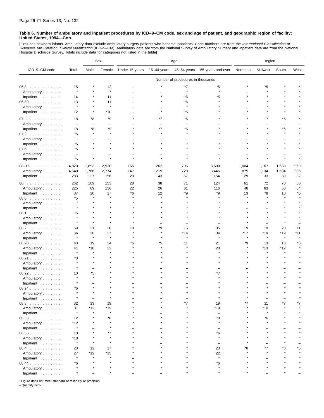[Excludes newborn infants. Ambulatory data exclude ambulatory surgery patients who became inpatients. Code numbers are from the *International Classification of*<br>*Diseases, 9th Revision, Clinical Modification* (ICD–9–CM). Hospital Discharge Survey. Totals include data for categories not listed in the table]

|                                  |                          |                          | Sex                      | Age            |               |                                   | Region                   |           |         |         |       |
|----------------------------------|--------------------------|--------------------------|--------------------------|----------------|---------------|-----------------------------------|--------------------------|-----------|---------|---------|-------|
| ICD-9-CM code                    | Total                    | Male                     | Female                   | Under 15 years | $15-44$ years | 45-64 years                       | 65 years and over        | Northeast | Midwest | South   | West  |
|                                  |                          |                          |                          |                |               | Number of procedures in thousands |                          |           |         |         |       |
| $06.8$                           | 15                       |                          | 12                       |                |               | *7                                | *5                       |           | *5      |         |       |
| Ambulatory                       | $\star$                  |                          | $\star$                  |                |               | $\star$                           | $\star$                  |           |         |         |       |
| Inpatient $\ldots \ldots \ldots$ | 14                       |                          | 11                       |                |               | *6                                | *5                       |           |         |         |       |
| 06.89                            | 13                       |                          | 11                       |                |               | *6                                |                          |           |         |         |       |
| Ambulatory                       | $\star$                  |                          | $\star$                  |                |               |                                   |                          |           |         |         |       |
| Inpatient                        | 12                       | $\star$                  | *10                      |                |               | *5                                |                          |           |         |         |       |
| 07                               | 18                       | *8                       | *9                       |                | *7            | *6                                |                          |           |         | *6      |       |
| Ambulatory                       | $\overline{\phantom{a}}$ | $\overline{\phantom{0}}$ | $\overline{\phantom{0}}$ |                | $\equiv$      | $\equiv$                          |                          |           |         | L.      |       |
| Inpatient                        | 18                       | *8                       | *9                       |                | $*7$          | $*6$                              |                          |           |         | $*6$    |       |
| 07.2                             | *5                       | $\star$                  | $\star$                  |                |               |                                   |                          |           |         | $\star$ |       |
| Ambulatory                       | $\overline{\phantom{a}}$ |                          |                          |                |               |                                   |                          |           |         |         |       |
| Inpatient                        | *5                       |                          |                          |                |               |                                   |                          |           |         |         |       |
| 07.6                             | *5                       |                          |                          |                |               |                                   |                          |           |         |         |       |
| Ambulatory                       | $\overline{\phantom{a}}$ |                          |                          |                |               |                                   |                          |           |         |         |       |
| Inpatient                        | *5                       | $\star$                  |                          |                |               |                                   |                          |           |         |         |       |
| $08 - 16$                        | 4,823                    | 1,893                    | 2,930                    | 166            | 262           | 795                               | 3,600                    | 1,004     | 1,167   | 1,683   | 969   |
| Ambulatory                       | 4,540                    | 1,766                    | 2,774                    | 147            | 219           | 728                               | 3,446                    | 875       | 1,134   | 1,594   | 936   |
| Inpatient                        | 283                      | 127                      | 156                      | 20             | 43            | 67                                | 154                      | 129       | 33      | 89      | 32    |
| 08<br>.                          | 262                      | 109                      | 153                      | 28             | 38            | 71                                | 124                      | 61        | 72      | 70      | 60    |
| Ambulatory                       | 225                      | 89                       | 136                      | 22             | 26            | 61                                | 116                      | 48        | 63      | 60      | 54    |
| Inpatient $\ldots$ ,             | 37                       | 20                       | 17                       | *6             | 12            | *9                                | *9                       | 13        | *8      | 10      | *6    |
| 08.0                             | *5                       |                          |                          |                |               |                                   |                          |           |         |         |       |
| Ambulatory                       |                          |                          |                          |                |               |                                   |                          |           |         |         |       |
| Inpatient                        |                          |                          |                          |                |               |                                   |                          |           |         |         |       |
| 08.1                             | *5                       |                          |                          |                |               |                                   |                          |           |         |         |       |
| Ambulatory                       |                          |                          |                          |                |               |                                   |                          |           |         |         |       |
| Inpatient                        |                          |                          |                          |                |               |                                   |                          |           |         |         |       |
| 08.2                             | 69                       | 31                       | 38                       | 10             | ٠9            | 15                                | 35                       | 19        | 19      | 20      | 11    |
| Ambulatory                       | 66                       | 30                       | 37                       |                |               | $*14$                             | 34                       | $*17$     | $*19$   | $*19$   | $*11$ |
| Inpatient                        | $\star$                  | $\pmb{\ast}$             | $\star$                  |                |               | $\star$                           | $\star$                  | $\star$   | $\star$ | $\star$ |       |
| 08.20                            | 43                       | 19                       | 24                       | *6             | *5            | 11                                | 21                       | *9        | 13      | 13      | *8    |
| Ambulatory                       | 41                       | *18                      | 22                       |                |               |                                   | 20                       |           | $*13$   | *12     |       |
| Inpatient                        | $\star$                  |                          |                          |                |               |                                   |                          |           |         | $\star$ |       |
| 08.21                            | *8                       |                          |                          |                |               |                                   |                          |           |         |         |       |
| Ambulatory                       |                          |                          |                          |                |               |                                   |                          |           |         |         |       |
| Inpatient                        |                          |                          |                          |                |               |                                   |                          |           |         |         |       |
| 08.22                            | 10                       | *5                       |                          |                |               |                                   |                          |           |         |         |       |
| Ambulatory                       |                          |                          |                          |                |               |                                   |                          |           |         |         |       |
| Inpatient                        |                          |                          |                          |                |               |                                   |                          |           |         |         |       |
| 08.24                            | *6                       |                          |                          |                |               |                                   |                          |           |         |         |       |
| Ambulatory                       |                          |                          |                          |                |               |                                   |                          |           |         |         |       |
| Inpatient                        |                          |                          |                          |                |               |                                   | $\star$                  |           |         |         |       |
| 08.3                             | 32                       | 13                       | 19                       |                |               | *7                                | 19                       | $*7$      | 11      | *7      | *7    |
| Ambulatory                       | 31                       | $*12$                    | $*19$                    |                |               |                                   | *19                      |           | $*10$   |         |       |
| Inpatient                        | $\star$                  | $\star$                  | $\star$                  |                |               |                                   | $\overline{\phantom{0}}$ |           | $\star$ |         |       |
| 08.33                            | 12                       |                          | *8                       |                |               |                                   | *8                       |           | *6      |         |       |
| Ambulatory                       | $*12$                    |                          | $\star$                  |                |               |                                   |                          |           | $\star$ |         |       |
| Inpatient $\ldots \ldots \ldots$ | $\star$                  |                          |                          |                |               |                                   |                          |           |         |         |       |
| 08.36                            | 10                       |                          | *7                       |                |               |                                   | *6                       |           |         |         |       |
| Ambulatory                       | *10                      |                          |                          |                |               |                                   |                          |           |         |         |       |
| Inpatient                        | $\star$                  |                          |                          |                |               |                                   |                          |           |         |         |       |
| 08.4                             | 28                       | 12                       | 17                       |                |               |                                   | 23                       |           | *7      | ۴8      | ۴5    |
| Ambulatory                       | 27                       | $*12$                    | *15                      |                |               |                                   | 22                       |           |         |         |       |
| Inpatient                        |                          |                          |                          |                |               |                                   | $\pmb{\ast}$             |           |         |         |       |
| 08.44                            | *6                       |                          |                          |                |               |                                   | *6                       |           |         |         |       |
| Ambulatory                       |                          |                          |                          |                |               |                                   |                          |           |         |         |       |
| Inpatient                        |                          |                          |                          |                |               |                                   |                          |           |         |         |       |

\* Figure does not meet standard of reliability or precision.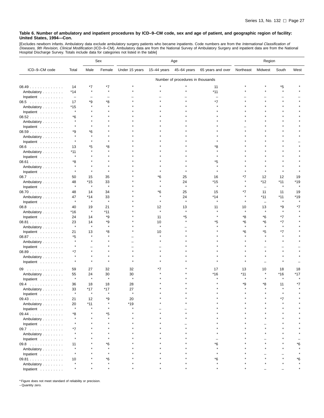[Excludes newborn infants. Ambulatory data exclude ambulatory surgery patients who became inpatients. Code numbers are from the *International Classification of*<br>*Diseases, 9th Revision, Clinical Modification* (ICD–9–CM).

|                     |                          |                                   | Sex           | Age            |               |                    |                       | Region        |                          |                  |      |  |
|---------------------|--------------------------|-----------------------------------|---------------|----------------|---------------|--------------------|-----------------------|---------------|--------------------------|------------------|------|--|
| ICD-9-CM code       | Total                    | Male                              | Female        | Under 15 years | 15-44 years   | 45-64 years        | 65 years and over     | Northeast     | Midwest                  | South            | West |  |
|                     |                          | Number of procedures in thousands |               |                |               |                    |                       |               |                          |                  |      |  |
| 08.49               | 14                       | *7                                | *7            |                |               |                    | 11                    |               |                          | *5               |      |  |
| Ambulatory          | $*14$                    |                                   | $\star$       |                |               |                    | $*11$                 |               |                          | $\star$          |      |  |
| Inpatient           | $\overline{\phantom{a}}$ |                                   |               |                |               |                    |                       |               |                          |                  |      |  |
| 08.5                | 17                       | *9                                | *8            |                |               |                    | *7                    |               |                          |                  |      |  |
| Ambulatory          | *15                      | $\star$                           | $\star$       |                |               |                    |                       |               |                          |                  |      |  |
| Inpatient           | $\star$                  |                                   |               |                |               |                    |                       |               |                          |                  |      |  |
| 08.52               | *6                       |                                   |               |                |               |                    |                       |               |                          |                  |      |  |
| Ambulatory          |                          |                                   |               |                |               |                    |                       |               |                          |                  |      |  |
| Inpatient           |                          |                                   |               |                |               |                    |                       |               |                          |                  |      |  |
|                     | *9                       | *6                                |               |                |               |                    |                       |               |                          |                  |      |  |
| 08.59<br>Ambulatory | $\star$                  |                                   |               |                |               |                    |                       |               |                          |                  |      |  |
| Inpatient           |                          |                                   |               |                |               |                    |                       |               |                          |                  |      |  |
|                     | 13                       | *5                                | *8            |                |               |                    | *8                    |               |                          |                  |      |  |
| $08.6$              | *11                      |                                   |               |                |               |                    |                       |               |                          |                  |      |  |
| Ambulatory          | $\pmb{\ast}$             |                                   |               |                |               |                    |                       |               |                          |                  |      |  |
| Inpatient           |                          |                                   |               |                |               |                    |                       |               |                          |                  |      |  |
| 08.61               | *8<br>$\star$            |                                   |               |                |               |                    | *5                    |               |                          |                  |      |  |
| Ambulatory          |                          |                                   |               |                |               |                    |                       |               |                          |                  |      |  |
| Inpatient           |                          |                                   |               |                |               |                    |                       |               |                          |                  |      |  |
| 08.7                | 50                       | 15                                | 35            |                | *6            | 25                 | 16                    | *7            | 12                       | 12               | 19   |  |
| Ambulatory          | 48<br>$\pmb{\ast}$       | $*15$<br>$\star$                  | 33<br>$\star$ |                |               | 24<br>$\pmb{\ast}$ | $*15$<br>$\pmb{\ast}$ |               | *12                      | $*11$<br>$\star$ | *19  |  |
| Inpatient           |                          |                                   |               |                |               |                    |                       |               | $\qquad \qquad -$        |                  |      |  |
| 08.70               | 48                       | 14                                | 34            |                | *6            | 25                 | 15                    | *7            | 11                       | 11               | 19   |  |
| Ambulatory          | 47<br>$\pmb{\ast}$       | *14<br>$\star$                    | 33<br>$\star$ |                | $\star$       | 24<br>$\star$      | *14<br>$\star$        |               | *11                      | $*11$            | *19  |  |
| Inpatient           |                          |                                   |               |                |               |                    |                       |               | $\overline{\phantom{0}}$ |                  |      |  |
| 08.8                | 40                       | 19                                | 21            |                | 12<br>$\star$ | 13<br>$\star$      | 11                    | 10<br>$\star$ | 13<br>$\star$            | *9<br>$\star$    | *7   |  |
| Ambulatory          | *16                      | $\star$                           | *11           |                |               |                    |                       |               |                          |                  |      |  |
| Inpatient           | 24                       | 14                                | *9            |                | 11            | *5                 |                       | *8            | *6                       | $*7$             |      |  |
| 08.81               | 23                       | 14                                | *9            |                | 10            |                    | *5                    | *6            | *6                       | $*7$             |      |  |
| Ambulatory          | $\star$                  | $\star$                           | $\star$       |                | $\star$       |                    |                       | $\star$       | $\star$                  | $\star$          |      |  |
| Inpatient           | 21                       | 13                                | *8            |                | 10            |                    |                       | *6            | *5                       | *7               |      |  |
| 08.87               | *5                       |                                   |               |                |               |                    |                       |               |                          |                  |      |  |
| Ambulatory          | $\star$                  |                                   |               |                |               |                    |                       |               |                          |                  |      |  |
| Inpatient           | $\star$                  |                                   |               |                |               |                    |                       |               |                          |                  |      |  |
| 08.89               | *7                       |                                   |               |                |               |                    |                       |               |                          |                  |      |  |
| Ambulatory          | $\star$                  |                                   |               |                |               |                    |                       |               |                          |                  |      |  |
| Inpatient           | $\star$                  | $\star$                           |               |                |               |                    |                       |               |                          |                  |      |  |
| 09                  | 59                       | 27                                | 32            | 32             |               |                    | 17                    | 13            | 10                       | 18               | 18   |  |
| Ambulatory          | 55                       | 24                                | 30            | 30             |               |                    | $*16$                 | $*11$         |                          | $*16$            | *17  |  |
| Inpatient           | $\star$                  | $\star$                           | $\star$       | $\star$        |               |                    |                       |               |                          | $\star$          |      |  |
| 09.4<br>.           | 36                       | 18                                | 18            | 28             |               |                    |                       | *9            | *8                       | 11               | *7   |  |
| Ambulatory          | 33                       | $*17$                             | $*17$         | 27             |               |                    |                       |               |                          |                  |      |  |
| Inpatient           |                          |                                   |               |                |               |                    |                       |               |                          |                  |      |  |
| 09.43               | 21                       | 12                                | *9            | 20             |               |                    |                       |               |                          |                  |      |  |
| Ambulatory          | 20                       | $*11$                             | $\star$       | $*19$          |               |                    |                       |               |                          |                  |      |  |
| Inpatient           | $\star$                  |                                   | $\star$       |                |               |                    |                       |               |                          |                  |      |  |
| $09.44$             | *8                       |                                   | *5            |                |               |                    |                       |               |                          |                  |      |  |
| Ambulatory          |                          |                                   | $\star$       |                |               |                    |                       |               |                          |                  |      |  |
| Inpatient           |                          |                                   |               |                |               |                    |                       |               |                          |                  |      |  |
| 09.7                | *7                       |                                   |               |                |               |                    |                       |               |                          |                  |      |  |
| Ambulatory          |                          |                                   |               |                |               |                    |                       |               |                          |                  |      |  |
| Inpatient           |                          |                                   |               |                |               |                    |                       |               |                          |                  |      |  |
| 09.8                | 11                       |                                   | *6            |                |               |                    | *6                    |               |                          |                  | *6   |  |
| Ambulatory          |                          |                                   |               |                |               |                    |                       |               |                          |                  |      |  |
|                     |                          |                                   |               |                |               |                    |                       |               |                          |                  |      |  |
| Inpatient<br>09.81  |                          |                                   | *6            |                |               |                    | *6                    |               |                          |                  | *6   |  |
|                     | 10                       |                                   | $\star$       |                |               |                    |                       |               |                          |                  |      |  |
| Ambulatory          | $\star$                  |                                   |               |                |               |                    |                       |               |                          |                  |      |  |
| Inpatient           |                          |                                   |               |                |               |                    |                       |               |                          |                  |      |  |

\* Figure does not meet standard of reliability or precision. – Quantity zero.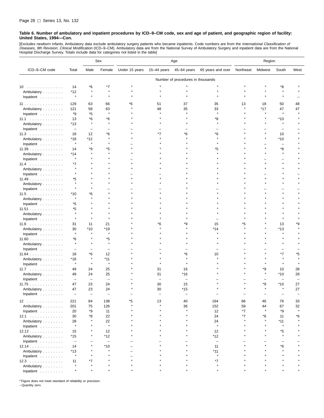[Excludes newborn infants. Ambulatory data exclude ambulatory surgery patients who became inpatients. Code numbers are from the *International Classification of*<br>*Diseases, 9th Revision, Clinical Modification* (ICD–9–CM). Hospital Discharge Survey. Totals include data for categories not listed in the table]

|                                  |                          |                                   | Sex                      | Age            |             |                          |                          | Region    |         |                  |         |  |
|----------------------------------|--------------------------|-----------------------------------|--------------------------|----------------|-------------|--------------------------|--------------------------|-----------|---------|------------------|---------|--|
| ICD-9-CM code                    | Total                    | Male                              | Female                   | Under 15 years | 15-44 years | 45-64 years              | 65 years and over        | Northeast | Midwest | South            | West    |  |
|                                  |                          | Number of procedures in thousands |                          |                |             |                          |                          |           |         |                  |         |  |
| 10                               | 14                       | *6                                | *7                       |                |             |                          |                          |           |         | *8               |         |  |
| Ambulatory                       | *12                      | $\star$                           |                          |                | $\star$     |                          |                          |           |         | $\star$          |         |  |
| Inpatient                        | $\pmb{\ast}$             | $\star$                           |                          |                |             |                          |                          |           |         |                  |         |  |
|                                  |                          |                                   |                          |                |             |                          |                          |           |         |                  |         |  |
| 11                               | 129                      | 63                                | 66                       | *6             | 51          | 37                       | 35                       | 13        | 18      | 50               | 48      |  |
| Ambulatory                       | 121                      | 58                                | 63<br>$\star$            |                | 48          | 35                       | 33<br>$\star$            |           | *17     | 47<br>$\star$    | 47      |  |
| Inpatient                        | *9                       | *5                                |                          |                |             |                          |                          |           |         |                  |         |  |
| 11.1                             | 13                       | *6                                | *6<br>$\star$            |                |             |                          | *8                       |           |         | $*10$<br>$\star$ |         |  |
| Ambulatory                       | *13                      | $\star$                           |                          |                |             |                          | $\star$                  |           |         |                  |         |  |
| Inpatient                        | $\overline{\phantom{m}}$ | $\overline{\phantom{0}}$          |                          |                |             |                          |                          |           |         |                  |         |  |
| 11.3                             | 18                       | 12                                | *6                       |                | *7          | *6                       | *6                       |           |         | 10               |         |  |
| Ambulatory                       | *18                      | *12<br>$\star$                    | $\star$                  |                |             |                          | $\star$                  |           |         | $*10$            |         |  |
| Inpatient                        | $\star$                  |                                   |                          |                |             |                          |                          |           |         |                  |         |  |
| 11.39                            | 14                       | *9                                | *5                       |                |             |                          | *5                       |           |         | *8               |         |  |
| Ambulatory                       | *14<br>$\star$           |                                   |                          |                |             |                          |                          |           |         |                  |         |  |
| Inpatient                        |                          |                                   |                          |                |             |                          |                          |           |         |                  |         |  |
| 11.4                             | *7                       |                                   |                          |                |             |                          |                          |           |         |                  |         |  |
| Ambulatory                       | $\star$                  |                                   |                          |                |             |                          |                          |           |         |                  |         |  |
| Inpatient $\ldots$ ,             |                          |                                   |                          |                |             |                          |                          |           |         |                  |         |  |
| 11.49                            | *5<br>$\star$            |                                   |                          |                |             |                          |                          |           |         |                  |         |  |
| Ambulatory                       |                          |                                   |                          |                |             |                          |                          |           |         |                  |         |  |
| Inpatient                        | $\star$                  |                                   |                          |                |             |                          |                          |           |         |                  |         |  |
| $11.5$                           | *10<br>$\star$           | *6                                |                          |                |             |                          |                          |           |         |                  |         |  |
| Ambulatory                       |                          |                                   |                          |                |             |                          |                          |           |         |                  |         |  |
| Inpatient                        | *5                       |                                   |                          |                |             |                          |                          |           |         |                  |         |  |
| 11.51                            | *5                       |                                   |                          |                |             |                          |                          |           |         |                  |         |  |
| Ambulatory                       | $\star$<br>$\star$       |                                   |                          |                |             |                          |                          |           |         |                  |         |  |
| Inpatient                        |                          |                                   |                          |                |             |                          |                          |           |         |                  |         |  |
| $11.6$                           | 31                       | 11                                | 21                       |                | ۴6          | ٠9                       | 15                       | *5        |         | 13               | *9      |  |
| Ambulatory                       | 30<br>$\star$            | *10                               | $*19$<br>$\star$         |                |             |                          | *14                      |           |         | *13              |         |  |
| Inpatient                        |                          |                                   |                          |                |             |                          |                          |           |         |                  |         |  |
| 11.60                            | *6<br>$\star$            |                                   | *5<br>$\star$            |                |             |                          |                          |           |         |                  |         |  |
| Ambulatory                       |                          |                                   |                          |                |             |                          |                          |           |         |                  |         |  |
| Inpatient $\ldots$ ,             | $\overline{\phantom{a}}$ |                                   | $\overline{\phantom{0}}$ |                |             |                          |                          |           |         |                  |         |  |
| 11.64                            | 18                       | *6<br>$\star$                     | 12                       |                |             | *6                       | 10                       |           |         | *7               | *5      |  |
| Ambulatory                       | *16<br>$\star$           | $\star$                           | *11<br>$\star$           |                |             |                          |                          |           |         |                  |         |  |
| Inpatient                        |                          |                                   |                          |                |             |                          |                          |           |         |                  |         |  |
| 11.7                             | 49                       | 24                                | 25                       |                | 31          | 16                       |                          |           | *9      | 10               | 28      |  |
| Ambulatory                       | 49                       | 24                                | 25                       |                | 31          | *16                      |                          |           |         | $*10$            | 28      |  |
| Inpatient                        | $\overline{\phantom{m}}$ | $\overline{\phantom{0}}$          | $\overline{\phantom{a}}$ |                |             | $\overline{\phantom{0}}$ |                          |           |         |                  |         |  |
| 11.75                            | 47                       | 23                                | 24                       |                | 30          | 15                       |                          |           | *9      | $*10$<br>$\star$ | 27      |  |
| Ambulatory<br>Inpatient          | 47                       | 23                                | 24                       |                | 30          | $*15$                    |                          |           |         |                  | 27      |  |
| 12                               | 221                      | 84                                | 138                      | *5             | 13          | 40                       | 164                      | 66        | 46      | 76               | 33      |  |
| Ambulatory                       | 201                      | 75                                | 126                      |                | $\star$     | 36                       | 152                      | 59        | 44      | 67               | 32      |  |
| Inpatient                        | 20                       | *9                                | 11                       |                |             |                          | 12                       | *7        | $\star$ | *9               | $\star$ |  |
| 12.1                             | 30                       | *8                                | 22                       |                |             |                          | 24                       | *7        | *6      | 11               | *6      |  |
| Ambulatory                       | 28                       |                                   | 22                       |                |             |                          | 24                       |           |         | *11              |         |  |
| Inpatient                        | $\star$                  |                                   | $\star$                  |                |             |                          | $\star$                  |           |         | $\star$          |         |  |
| 12.12                            | 15                       |                                   | 12                       |                |             |                          | 12                       |           |         | *5               |         |  |
| Ambulatory                       | *15                      |                                   | *12                      |                |             |                          | *12                      |           |         | $\star$          |         |  |
| Inpatient                        | $\overline{\phantom{a}}$ |                                   | $\qquad \qquad -$        |                |             |                          | $\overline{\phantom{a}}$ |           |         |                  |         |  |
| 12.14                            | 14                       |                                   | *10                      |                |             |                          | 11                       |           |         | *6               |         |  |
| Ambulatory                       | $*13$                    |                                   |                          |                |             |                          | $*11$                    |           |         | $\star$          |         |  |
| Inpatient                        | $\star$                  |                                   |                          |                |             |                          | $\star$                  |           |         |                  |         |  |
| $12.3$                           | 11                       | *7                                |                          |                |             |                          | *7                       |           |         |                  |         |  |
| Ambulatory                       |                          |                                   |                          |                |             |                          |                          |           |         |                  |         |  |
| Inpatient $\ldots \ldots \ldots$ |                          |                                   |                          |                |             |                          |                          |           |         |                  |         |  |

\* Figure does not meet standard of reliability or precision.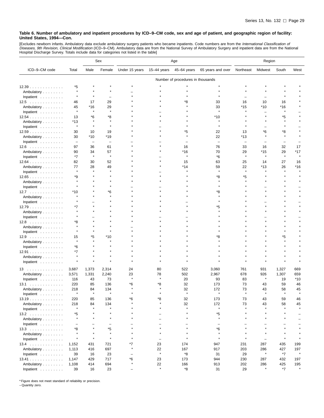[Excludes newborn infants. Ambulatory data exclude ambulatory surgery patients who became inpatients. Code numbers are from the *International Classification of*<br>*Diseases, 9th Revision, Clinical Modification* (ICD–9–CM).

|                                    |                          |                          | Sex                               | Age            |                          |                |                          | Region        |                |               |              |  |  |
|------------------------------------|--------------------------|--------------------------|-----------------------------------|----------------|--------------------------|----------------|--------------------------|---------------|----------------|---------------|--------------|--|--|
| ICD-9-CM code                      | Total                    | Male                     | Female                            | Under 15 years | 15-44 years              | 45-64 years    | 65 years and over        | Northeast     | Midwest        | South         | West         |  |  |
|                                    |                          |                          | Number of procedures in thousands |                |                          |                |                          |               |                |               |              |  |  |
| 12.39                              | *5                       |                          |                                   |                |                          |                |                          |               |                |               |              |  |  |
| Ambulatory                         | $\pmb{\ast}$             |                          |                                   |                |                          |                |                          |               |                |               |              |  |  |
| Inpatient                          |                          |                          |                                   |                |                          |                |                          |               |                |               |              |  |  |
| $12.5$                             | 46                       | 17                       | 29                                |                |                          | *8             | 33                       | 16            | 10             | 16            |              |  |  |
| Ambulatory                         | 45                       | *16                      | 29                                |                |                          |                | 33                       | *15           | $*10$          | $*16$         |              |  |  |
| Inpatient                          | ×                        | $\star$                  |                                   |                |                          |                | $\mathbf{r}$             |               |                |               |              |  |  |
| 12.54                              | 13                       | *6                       | *8                                |                |                          |                | *10                      |               |                | *5            |              |  |  |
| Ambulatory                         | *13                      |                          |                                   |                |                          |                |                          |               |                |               |              |  |  |
|                                    | ×                        | $\star$                  | $\star$                           |                |                          |                |                          |               |                |               |              |  |  |
| Inpatient                          | 30                       | 10                       | 19                                |                |                          | *5             | 22                       | 13            | *6             | *8            |              |  |  |
| 12.59<br>Ambulatory                | 30                       | *10                      | *19                               |                |                          | $\star$        | 22                       | *13           |                |               |              |  |  |
| Inpatient                          | $\qquad \qquad -$        | $\overline{\phantom{0}}$ | $\overline{\phantom{0}}$          |                |                          |                | $\overline{\phantom{0}}$ |               |                |               |              |  |  |
|                                    |                          |                          |                                   |                |                          |                |                          |               |                |               |              |  |  |
| $12.6$                             | 97                       | 36                       | 61                                |                |                          | 16             | 76                       | 33            | 16             | 32            | 17           |  |  |
| Ambulatory                         | 90                       | 34<br>$\star$            | 57<br>$\star$                     |                |                          | *16<br>$\star$ | 70                       | 29<br>$\star$ | *15<br>$\star$ | 29<br>$\star$ | *17          |  |  |
| Inpatient                          | *7                       |                          |                                   |                |                          |                | *6                       |               |                |               |              |  |  |
| 12.64                              | 82                       | 30                       | 52                                |                |                          | 15             | 63                       | 25            | 14             | 27            | 16           |  |  |
| Ambulatory                         | 77<br>$\pmb{\ast}$       | 28<br>$\star$            | 49                                |                |                          | *14            | 59<br>$\star$            | 22<br>$\star$ | $*13$          | 26            | *16          |  |  |
| Inpatient                          |                          |                          |                                   |                |                          |                |                          |               |                |               |              |  |  |
| 12.65                              | *9                       |                          |                                   |                |                          |                | *8                       | *5            |                |               |              |  |  |
| Ambulatory                         | $\star$                  |                          |                                   |                |                          |                |                          |               |                |               |              |  |  |
| Inpatient                          |                          |                          |                                   |                |                          |                |                          |               |                |               |              |  |  |
| $12.7 \ldots \ldots \ldots \ldots$ | $*10$                    |                          | *6                                |                |                          |                | *8                       |               |                |               |              |  |  |
| Ambulatory                         |                          |                          |                                   |                |                          |                |                          |               |                |               |              |  |  |
| Inpatient                          | ٠                        |                          |                                   |                |                          |                |                          |               |                |               |              |  |  |
| 12.79                              | *7                       |                          |                                   |                |                          |                | *5                       |               |                |               |              |  |  |
| Ambulatory                         |                          |                          |                                   |                |                          |                |                          |               |                |               |              |  |  |
| Inpatient                          |                          |                          |                                   |                |                          |                |                          |               |                |               |              |  |  |
| 12.8                               | *8                       |                          |                                   |                |                          |                |                          |               |                |               |              |  |  |
| Ambulatory                         | $\pmb{\ast}$             |                          |                                   |                |                          |                |                          |               |                |               |              |  |  |
| Inpatient $\ldots$ ,               |                          |                          |                                   |                |                          |                |                          |               |                |               |              |  |  |
| $12.9$                             | 15                       | *5                       | $*10$                             |                |                          |                |                          |               |                | *5            |              |  |  |
| Ambulatory                         |                          |                          |                                   |                |                          |                |                          |               |                |               |              |  |  |
| Inpatient                          | *6                       |                          |                                   |                |                          |                |                          |               |                |               |              |  |  |
| 12.91                              | *7                       |                          |                                   |                |                          |                |                          |               |                |               |              |  |  |
| Ambulatory                         |                          |                          |                                   |                |                          |                |                          |               |                |               |              |  |  |
| Inpatient                          |                          |                          |                                   |                |                          |                |                          |               |                |               |              |  |  |
| 13                                 | 3,687                    | 1,373                    | 2,314                             | 24             | 80                       | 522            | 3,060                    | 761           | 931            | 1,327         | 669          |  |  |
| Ambulatory                         | 3,571                    | 1,331                    | 2,240                             | 23             | 78                       | 502            | 2,967                    | 678           | 926            | 1,307         | 659          |  |  |
| Inpatient                          | 116                      | 43                       | 73                                | $\star$        |                          | 20             | 93                       | 83            | $\star$        | 19            | *10          |  |  |
| 13.1<br>.                          | 220                      | 85                       | 136                               | *6             | *8                       | 32             | 173                      | 73            | 43             | 59            | 46           |  |  |
| Ambulatory                         | 218                      | 84                       | 134                               | $\star$        | $\star$                  | 32             | 172                      | 73            | 43             | 58            | 45           |  |  |
| Inpatient                          |                          | $\star$                  | $\star$                           |                |                          | $\pmb{\ast}$   |                          |               | $\star$        | $\star$       | $\star$      |  |  |
| 13.19                              | 220                      | 85                       | 136                               | *6             | *8                       | 32             | 173                      | 73            | 43             | 59            | 46           |  |  |
| Ambulatory                         | 218                      | 84                       | 134                               |                | $\star$                  | 32             | 172                      | 73            | 43             | 58            | 45           |  |  |
| Inpatient                          | $\star$                  | $\star$                  | $\star$                           |                | $\star$                  | $\star$        | $\star$                  | $\star$       | $\star$        |               |              |  |  |
| $13.2$                             | *5                       | $\star$                  | $\star$                           |                |                          | $\star$        | *5                       | $\star$       |                |               |              |  |  |
| Ambulatory                         | $\star$                  | $\star$                  | $\star$                           | $\star$        | $\equiv$                 | $\star$        | $\star$                  | $\star$       | $\star$        | $\star$       |              |  |  |
| Inpatient                          | $\overline{\phantom{0}}$ |                          | -                                 |                |                          |                | ÷                        |               |                |               |              |  |  |
| $13.3$                             | *8                       |                          | *5                                |                |                          |                | $*6$                     |               |                |               |              |  |  |
| Ambulatory                         | $\star$                  | $\star$                  | $\star$                           | $\star$        | $\star$                  | $\star$        | $\star$                  | $\star$       | $\star$        |               |              |  |  |
| Inpatient                          | $\star$                  | $\star$                  | $\star$                           | $\star$        | $\overline{\phantom{0}}$ | $\star$        | $\star$                  | $\star$       | ÷              | $\star$       |              |  |  |
| $13.4$                             | 1,152                    | 431                      | 721                               | *7             | 23                       | 174            | 947                      | 231           | 287            | 435           | 199          |  |  |
| Ambulatory                         | 1,113                    | 416                      | 697                               | $\star$        | 22                       | 167            | 917                      | 203           | 286            | 427           | 197          |  |  |
| Inpatient                          | 39                       | 16                       | 23                                |                | $\star$                  | *8             | 31                       | 29            | $\star$        | *7            | $\pmb{\ast}$ |  |  |
| 13.41                              | 1,147                    | 429                      | 717                               | *6             | 23                       | 173            | 944                      | 230           | 287            | 432           | 197          |  |  |
| Ambulatory                         | 1,108                    | 414                      | 694                               | $\star$        | 22                       | 166            | 913                      | 202           | 286            | 425           | 195          |  |  |
| Inpatient                          | 39                       | 16                       | 23                                |                | $\star$                  | $^*{\bf 8}$    | 31                       | 29            | $\star$        | $*7$          | $\star$      |  |  |

\* Figure does not meet standard of reliability or precision.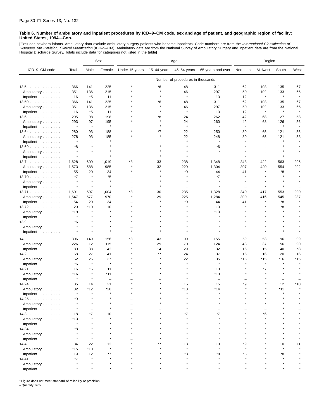[Excludes newborn infants. Ambulatory data exclude ambulatory surgery patients who became inpatients. Code numbers are from the *International Classification of*<br>*Diseases, 9th Revision, Clinical Modification* (ICD–9–CM). Hospital Discharge Survey. Totals include data for categories not listed in the table]

|                                    |                |                          | Sex                      | Age            |                 |                                   | Region                   |           |              |              |              |
|------------------------------------|----------------|--------------------------|--------------------------|----------------|-----------------|-----------------------------------|--------------------------|-----------|--------------|--------------|--------------|
| ICD-9-CM code                      | Total          | Male                     | Female                   | Under 15 years | $15 - 44$ years | 45-64 years                       | 65 years and over        | Northeast | Midwest      | South        | West         |
|                                    |                |                          |                          |                |                 | Number of procedures in thousands |                          |           |              |              |              |
| $13.5$                             | 366            | 141                      | 225                      |                | *6              | 48                                | 311                      | 62        | 103          | 135          | 67           |
| Ambulatory                         | 351            | 136                      | 215                      |                | $\star$         | 46                                | 297                      | 50        | 102          | 133          | 65           |
| Inpatient                          | 16             | *5                       | 11                       |                |                 | $\star$                           | 13                       | 12        | $\star$      | $\pmb{\ast}$ | $\star$      |
| 13.59                              | 366            | 141                      | 225                      |                | *6              | 48                                | 311                      | 62        | 103          | 135          | 67           |
| Ambulatory                         | 351            | 136                      | 215                      |                |                 | 46                                | 297                      | 50        | 102          | 133          | 65           |
| Inpatient                          | 16             | *5                       | 11                       |                |                 | $\star$                           | 13                       | 12        | $\pmb{\ast}$ | $\pmb{\ast}$ | $\pmb{\ast}$ |
| $13.6 \ldots \ldots \ldots \ldots$ | 295            | 98                       | 198                      |                | *8              | 24                                | 262                      | 42        | 68           | 127          | 58           |
| Ambulatory                         | 293            | 97                       | 195                      |                |                 | 24                                | 260                      | 42        | 68           | 126          | 56           |
| Inpatient                          | $\star$        | $\star$                  | $\star$                  |                | $\star$         | $\star$                           | $\pmb{\ast}$             | $\star$   | ۰            | $\pmb{\ast}$ | $\pmb{\ast}$ |
|                                    | 280            | 93                       | 188                      |                | *7              | 22                                | 250                      | 39        | 65           | 121          | 55           |
| 13.64                              | 278            | 93                       | 185                      |                |                 | 22                                | 248                      | 39        | 65           | 121          | 53           |
| Ambulatory                         | $\star$        | $\overline{\phantom{0}}$ | $\star$                  |                |                 | $\star$                           | $\star$                  | $\star$   | L.           | $\star$      |              |
| Inpatient                          |                | $\star$                  |                          |                |                 |                                   | *6                       |           |              |              |              |
| 13.69                              | *8<br>$\star$  | $\star$                  |                          |                |                 |                                   |                          |           |              |              |              |
| Ambulatory                         | $\star$        |                          |                          |                |                 |                                   |                          |           |              | $\star$      |              |
| Inpatient                          |                | $\overline{\phantom{0}}$ |                          |                |                 |                                   |                          |           |              |              |              |
| $13.7 \ldots \ldots \ldots \ldots$ | 1,628          | 609                      | 1,019                    | *8             | 33              | 238                               | 1,348                    | 348       | 422          | 563          | 296          |
| Ambulatory                         | 1,573          | 588                      | 985                      |                | 32              | 229                               | 1,304                    | 307       | 420          | 554          | 292          |
| Inpatient                          | 55             | 20                       | 34                       |                |                 | *9                                | 44                       | 41        |              | *8           |              |
| 13.70                              | *7             | $\star$                  | *5                       |                |                 |                                   | $*7$                     | $\star$   |              | $\star$      |              |
| Ambulatory                         | $\star$        | $\star$                  |                          |                |                 |                                   |                          |           |              |              |              |
| Inpatient                          | $\star$        | $\star$                  | $\star$                  |                |                 |                                   |                          |           | $\star$      | $\star$      |              |
| 13.71                              | 1,601          | 597                      | 1,004                    | *8             | 30              | 235                               | 1,328                    | 340       | 417          | 553          | 290          |
| Ambulatory                         | 1,547          | 577                      | 970                      | $\star$        | 29              | 225                               | 1,284                    | 300       | 416          | 545          | 287          |
| Inpatient                          | 54             | 20                       | 34                       |                |                 | *9                                | 44                       | 41        |              | *8           |              |
| 13.72                              | 20             | $*10$                    | 10                       |                |                 |                                   | 13                       |           |              | *8           |              |
| Ambulatory                         | *19            | $\star$                  | À                        |                |                 |                                   | $*13$                    |           |              | $\star$      |              |
| Inpatient $\ldots$ ,               | $\pmb{\ast}$   |                          |                          |                |                 |                                   |                          |           |              |              |              |
| $13.9$                             | *6             |                          | $\star$                  |                |                 |                                   |                          |           |              |              |              |
| Ambulatory                         |                | $\star$                  | $\star$                  |                |                 |                                   |                          |           |              |              |              |
| Inpatient                          | $\star$        | $\star$                  | $\star$                  |                |                 |                                   |                          |           |              |              |              |
| 14                                 | 306            | 149                      | 156                      | *8             | 43              | 99                                | 155                      | 59        | 53           | 96           | 99           |
| Ambulatory                         | 226            | 112                      | 115                      |                | 29              | 70                                | 124                      | 43        | 37           | 56           | 90           |
| Inpatient                          | 80             | 38                       | 42                       |                | 14              | 29                                | 32                       | 16        | 15           | 40           | *8           |
| $14.2$                             | 68             | 27                       | 41                       |                | *7              | 24                                | 37                       | 16        | 16           | 20           | 16           |
| Ambulatory                         | 62             | 25                       | 37                       |                |                 | 22                                | 35                       | *15       | $*15$        | *16          | $*15$        |
| Inpatient                          | *6             | $\star$                  | Å                        |                |                 |                                   | $\star$                  |           | $\star$      |              |              |
| 14.21                              | 16             | *6                       | 11                       |                |                 |                                   | 13                       |           | *7           |              |              |
| Ambulatory                         | *16            | $\star$                  | *11                      |                |                 |                                   | *13                      |           |              |              |              |
| Inpatient                          | $\star$        | $\star$                  | $\overline{\phantom{m}}$ |                |                 |                                   | $\overline{\phantom{0}}$ |           |              |              |              |
| 14.24                              | 35             | 14                       | 21                       |                |                 | 15                                | 15                       | *9        |              | 12           | *10          |
| Ambulatory                         | 32             | *12                      | *20                      |                |                 | $*13$                             | *14                      | $\star$   |              | $*11$        |              |
| Inpatient                          | $\star$        | $\star$                  | $\star$                  |                |                 |                                   |                          |           |              | $\star$      |              |
| 14.25                              | *9             |                          |                          |                |                 |                                   |                          |           |              |              |              |
| Ambulatory                         |                |                          |                          |                |                 |                                   |                          |           |              |              |              |
| Inpatient                          |                |                          |                          |                |                 |                                   |                          |           |              |              |              |
|                                    |                | *7                       | 10                       |                |                 |                                   |                          |           | *6           |              |              |
| $14.3$                             | 18             |                          |                          |                |                 |                                   |                          |           |              |              |              |
| Ambulatory                         | *13<br>$\star$ |                          |                          |                |                 |                                   |                          |           |              |              |              |
| Inpatient<br>14.34                 | *8             |                          |                          |                |                 |                                   |                          |           |              |              |              |
|                                    |                |                          |                          |                |                 |                                   |                          |           |              |              |              |
| Ambulatory                         | $\star$        | $\star$                  |                          |                |                 |                                   |                          |           |              |              |              |
| Inpatient                          |                |                          |                          |                |                 |                                   |                          |           |              |              |              |
| $14.4$                             | 34             | 22                       | 12<br>$\star$            |                |                 | 13                                | 13                       | *9        |              | 10           | 11           |
| Ambulatory                         | $*15$          | $*10$                    |                          |                |                 |                                   |                          |           |              |              |              |
| Inpatient                          | 19             | 12                       | $*7$                     |                |                 | *8                                | *8                       | *5        |              | *8           |              |
| 14.41                              | *7             | $\star$                  |                          |                |                 |                                   |                          |           |              |              |              |
| Ambulatory                         |                |                          |                          |                |                 |                                   |                          |           |              |              |              |
| Inpatient                          |                |                          |                          |                |                 |                                   |                          |           |              |              |              |

\* Figure does not meet standard of reliability or precision.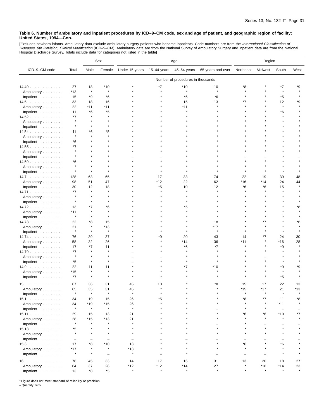[Excludes newborn infants. Ambulatory data exclude ambulatory surgery patients who became inpatients. Code numbers are from the *International Classification of*<br>*Diseases, 9th Revision, Clinical Modification* (ICD–9–CM).

|                                    |                          |                          | Sex                      | Age                      |             |                                   | Region            |                          |                          |                   |         |
|------------------------------------|--------------------------|--------------------------|--------------------------|--------------------------|-------------|-----------------------------------|-------------------|--------------------------|--------------------------|-------------------|---------|
| ICD-9-CM code                      | Total                    | Male                     | Female                   | Under 15 years           | 15-44 years | 45-64 years                       | 65 years and over | Northeast                | Midwest                  | South             | West    |
|                                    |                          |                          |                          |                          |             | Number of procedures in thousands |                   |                          |                          |                   |         |
| 14.49                              | 27                       | 18                       | *10                      |                          | *7          | $*10$                             | 10                | *8                       |                          | *7                | *9      |
| Ambulatory                         | $*13$                    | $\star$                  | ×                        |                          |             | $\star$                           | Å                 |                          |                          | $\star$           |         |
| Inpatient                          | 15                       | *9                       | *6                       |                          |             | *6                                | *6                |                          |                          | *5                |         |
| $14.5$                             | 33                       | 18                       | 16                       |                          |             | 15                                | 13                | *7                       |                          | 12                | *9      |
| Ambulatory                         | 22                       | $*11$                    | $*11$                    |                          |             | *11                               |                   |                          |                          | $\star$           |         |
| Inpatient                          | 11                       | *6                       | *5                       |                          |             |                                   |                   |                          |                          | *6                |         |
| 14.52                              | *7                       |                          | ۸                        |                          |             |                                   |                   |                          |                          |                   |         |
| Ambulatory                         | $\star$                  |                          | $\star$                  |                          |             |                                   |                   |                          |                          |                   |         |
| Inpatient                          | $\star$                  |                          |                          |                          |             |                                   |                   |                          |                          |                   |         |
| 14.54                              | 11                       | *6                       | *5                       |                          |             |                                   |                   |                          |                          |                   |         |
| Ambulatory                         | $\star$                  |                          | $\star$                  |                          |             |                                   |                   |                          |                          |                   |         |
| Inpatient                          | *6                       |                          |                          |                          |             |                                   |                   |                          |                          |                   |         |
| 14.55                              | *7                       |                          |                          |                          |             |                                   |                   |                          |                          |                   |         |
| Ambulatory                         |                          |                          |                          |                          |             |                                   |                   |                          |                          |                   |         |
| Inpatient                          |                          |                          |                          |                          |             |                                   |                   |                          |                          |                   |         |
| 14.59                              | *6                       |                          |                          |                          |             |                                   |                   |                          |                          |                   |         |
| Ambulatory                         | $\star$                  |                          |                          |                          |             |                                   |                   |                          |                          |                   |         |
| Inpatient                          |                          |                          |                          |                          |             |                                   |                   |                          |                          |                   |         |
| $14.7 \ldots \ldots \ldots \ldots$ | 128                      | 63                       | 65                       |                          | 17          | 33                                | 74                | 22                       | 19                       | 39                | 48      |
| Ambulatory                         | 98                       | 51                       | 47                       |                          | *12         | 22                                | 62                | *16                      | *14                      | 24                | 44      |
| Inpatient                          | 30                       | 12                       | 18                       |                          | *5          | 10                                | 12                | *6                       | *6                       | 15                |         |
| 14.71                              | *7                       | $\star$                  | $\star$                  |                          |             |                                   |                   |                          |                          |                   |         |
| Ambulatory                         | $\star$                  |                          |                          |                          |             |                                   |                   |                          |                          |                   |         |
| Inpatient                          |                          |                          |                          |                          |             |                                   |                   |                          |                          |                   |         |
| 14.72                              | 13                       | *7                       | *6                       |                          |             | *5                                |                   |                          |                          |                   | ۴8      |
| Ambulatory                         | $*11$                    |                          |                          |                          |             |                                   |                   |                          |                          |                   |         |
| Inpatient                          | $\star$                  |                          |                          |                          |             |                                   |                   |                          |                          |                   |         |
| 14.73                              | 22                       | *8                       | 15                       |                          |             |                                   | 18                |                          |                          |                   | *6      |
| Ambulatory                         | 21                       | $\star$                  | *13                      |                          |             |                                   | *17               |                          |                          |                   |         |
| Inpatient                          | $\star$                  | $\star$                  | $\star$                  |                          |             |                                   | $\star$           |                          |                          |                   |         |
| 14.74                              | 76                       | 39                       | 37                       |                          | *9          | 20                                | 43                | 14                       | *7                       | 24                | 30      |
| Ambulatory                         | 58                       | 32                       | 26                       |                          |             | *14                               | 36                | *11                      |                          | *16               | 28      |
| Inpatient                          | 17                       | *7                       | 11                       |                          |             | *6                                | $*7$              |                          |                          | *9                |         |
| 14.79                              | *7                       | $\star$                  |                          |                          |             |                                   |                   |                          |                          |                   |         |
| Ambulatory                         | $\star$                  |                          |                          |                          |             |                                   |                   |                          |                          |                   |         |
| Inpatient $\ldots$ ,               | *5                       | $\star$                  | ٠                        |                          |             |                                   |                   |                          |                          |                   |         |
| 14.9                               | 22                       | 11                       | 11                       |                          |             | *7                                | *10               |                          |                          | *9                | *9      |
| Ambulatory                         | $*15$                    | $\star$                  | ۸                        |                          |             |                                   |                   |                          |                          | $\star$           |         |
| Inpatient                          | *7                       | $\star$                  | $\star$                  |                          |             |                                   |                   |                          |                          | *5                |         |
| .<br>15                            | 67                       | 36                       | 31                       | 45                       | 10          |                                   | *8                | 15                       | 17                       | 22                | 13      |
| Ambulatory                         | 65                       | 35                       | 31                       | 45                       |             |                                   |                   | *15                      | $*17$                    | 21                | *13     |
| Inpatient                          |                          |                          |                          |                          |             |                                   |                   |                          |                          |                   |         |
| 15.1                               | 34                       | 19                       | 15                       | 26                       | *5          |                                   |                   | *8                       | *7                       | 11                | *8      |
| Ambulatory                         | 34                       | *19                      | $*15$                    | 26                       | $\star$     |                                   |                   | $\star$                  |                          | $*11$             |         |
| Inpatient                          | $\star$                  | $\pmb{\ast}$             | $\star$                  | $\pmb{\ast}$             |             |                                   |                   | $\star$                  | $\star$                  | $\qquad \qquad -$ |         |
| 15.11                              | 29                       | 15                       | 13                       | 21                       |             |                                   |                   | *6                       | *6                       | $*10$             | *7      |
| Ambulatory                         | 28                       | $*15$                    | $*13$                    | 21                       |             |                                   |                   |                          |                          | $\star$           |         |
| Inpatient                          | $\star$                  |                          |                          |                          |             |                                   |                   |                          |                          |                   |         |
| 15.13                              | *5                       |                          | $\star$                  | $\star$                  |             |                                   |                   |                          |                          | $\star$           |         |
| Ambulatory                         | $\star$                  |                          | $\star$                  | $\star$                  |             |                                   |                   |                          |                          |                   |         |
| Inpatient                          | $\overline{\phantom{m}}$ | $\overline{\phantom{0}}$ | $\overline{\phantom{m}}$ | $\overline{\phantom{m}}$ |             |                                   |                   |                          |                          |                   |         |
| $15.3$                             | 17                       | *8                       | $*10$                    | 13                       |             |                                   | $\star$           | *6                       |                          | *6                |         |
| Ambulatory                         | $*17$                    | $\star$                  | $\star$                  | $*13$                    |             |                                   | $\star$           | $\star$                  |                          | $\star$           |         |
| Inpatient                          | $\star$                  | $\star$                  | $\overline{\phantom{0}}$ | $\star$                  |             |                                   |                   | $\overline{\phantom{0}}$ | $\overline{\phantom{0}}$ | $\star$           |         |
| 16                                 | 78                       | 45                       | 33                       | 14                       | 17          | 16                                | 31                | 13                       | 20                       | 18                | 27      |
| Ambulatory                         | 64                       | 37                       | 28                       | *12                      | *12         | $*14$                             | 27                | $\star$                  | $*18$                    | $*14$             | 23      |
| Inpatient                          | 13                       | *8                       | $^\star 5$               | $\star$                  | $\star$     | $\star$                           | $\star$           |                          | $\star$                  |                   | $\star$ |
|                                    |                          |                          |                          |                          |             |                                   |                   |                          |                          |                   |         |

\* Figure does not meet standard of reliability or precision.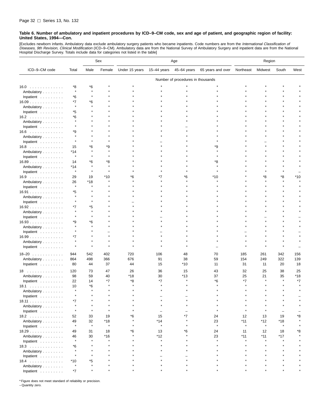[Excludes newborn infants. Ambulatory data exclude ambulatory surgery patients who became inpatients. Code numbers are from the *International Classification of*<br>*Diseases, 9th Revision, Clinical Modification* (ICD–9–CM). Hospital Discharge Survey. Totals include data for categories not listed in the table]

|                                    |               |                | Sex                 | Age            |                     |                                   | Region            |                |                |                     |      |
|------------------------------------|---------------|----------------|---------------------|----------------|---------------------|-----------------------------------|-------------------|----------------|----------------|---------------------|------|
| ICD-9-CM code                      | Total         | Male           | Female              | Under 15 years | 15-44 years         | 45-64 years                       | 65 years and over | Northeast      | Midwest        | South               | West |
|                                    |               |                |                     |                |                     | Number of procedures in thousands |                   |                |                |                     |      |
| $16.0 \ldots \ldots \ldots \ldots$ | *8            | *6             |                     |                |                     |                                   |                   |                |                |                     |      |
| Ambulatory                         | $\star$       | $\star$        |                     |                |                     |                                   |                   |                |                |                     |      |
| Inpatient $\ldots \ldots \ldots$   | *6            |                |                     |                |                     |                                   |                   |                |                |                     |      |
| 16.09                              | *7            | *6             |                     |                |                     |                                   |                   |                |                |                     |      |
| Ambulatory                         | $\star$       |                |                     |                |                     |                                   |                   |                |                |                     |      |
| Inpatient                          | *5            |                |                     |                |                     |                                   |                   |                |                |                     |      |
| $16.2$                             | *6            |                |                     |                |                     |                                   |                   |                |                |                     |      |
| Ambulatory                         |               |                |                     |                |                     |                                   |                   |                |                |                     |      |
| Inpatient                          |               |                |                     |                |                     |                                   |                   |                |                |                     |      |
| $16.6$                             | *9            |                |                     |                |                     |                                   |                   |                |                |                     |      |
| Ambulatory                         | $\star$       |                |                     |                |                     |                                   |                   |                |                |                     |      |
| Inpatient                          | $\star$       |                |                     |                |                     |                                   |                   |                |                |                     |      |
| $16.8$                             | 15            | *6             | *9                  |                |                     |                                   | ٠9                |                |                |                     |      |
| Ambulatory                         | *14           |                |                     |                |                     |                                   |                   |                |                |                     |      |
| Inpatient $\ldots \ldots \ldots$   | $\pmb{\ast}$  |                |                     |                |                     |                                   |                   |                |                |                     |      |
| 16.89                              | 14            | *6             | *8                  |                |                     |                                   | *8                |                |                |                     |      |
| Ambulatory                         | *14           | $\star$        |                     |                |                     |                                   |                   |                |                |                     |      |
| Inpatient                          | $\star$       | $\star$        |                     |                |                     |                                   |                   |                |                |                     |      |
| $16.9$                             | 29            | 19             | *10                 | *6             | *7                  | ۴6                                | *10               |                | *8             | *8                  | *10  |
| Ambulatory                         | 26            | *18<br>$\star$ |                     |                |                     |                                   |                   |                |                |                     |      |
| Inpatient                          | $\star$       |                |                     |                |                     |                                   |                   |                |                |                     |      |
| 16.91                              | *5<br>$\star$ |                |                     |                |                     |                                   |                   |                |                |                     |      |
| Ambulatory                         |               | 大              |                     |                |                     |                                   |                   |                |                |                     |      |
| Inpatient                          |               |                |                     |                |                     |                                   |                   |                |                |                     |      |
| 16.92                              | *7            | *5             |                     |                |                     |                                   |                   |                |                |                     |      |
| Ambulatory                         |               |                |                     |                |                     |                                   |                   |                |                |                     |      |
| Inpatient                          | *9            | *6             |                     |                |                     |                                   |                   |                |                |                     |      |
| 16.93<br>Ambulatory                |               |                |                     |                |                     |                                   |                   |                |                |                     |      |
| Inpatient                          |               |                |                     |                |                     |                                   |                   |                |                |                     |      |
| $16.99$                            | *7            |                |                     |                |                     |                                   |                   |                |                |                     |      |
| Ambulatory                         |               |                |                     |                |                     |                                   |                   |                |                |                     |      |
| Inpatient                          |               | $\star$        |                     |                |                     |                                   |                   |                |                |                     |      |
|                                    |               |                |                     |                |                     |                                   |                   |                |                |                     |      |
| $18 - 20$                          | 944           | 542            | 402                 | 720            | 106                 | 48                                | 70                | 185            | 261            | 342                 | 156  |
| Ambulatory                         | 864           | 498            | 366                 | 676            | 91                  | 38                                | 59                | 154            | 249            | 322                 | 139  |
| Inpatient                          | 80            | 44             | 37                  | 44             | 15                  | *10                               | 11                | 31             | 11             | 20                  | 18   |
| 18                                 | 120           | 73             | 47                  | 26             | 36                  | 15                                | 43                | 32             | 25             | 38                  | 25   |
| Ambulatory                         | 98            | 59             | 40                  | *18            | 30                  | *13                               | 37                | 25             | 21             | 35                  | *18  |
| Inpatient                          | 22            | 14             | *7                  | *8             | *7                  |                                   | *6                | $*7$           |                | $\star$             | *7   |
| 18.1                               | 10            | *6             |                     |                |                     |                                   |                   |                |                |                     |      |
| Ambulatory                         | $\star$       | $\star$        |                     |                |                     |                                   |                   |                |                |                     |      |
| Inpatient $\ldots \ldots \ldots$   |               |                |                     |                |                     |                                   |                   |                |                |                     |      |
| 18.11                              | *7            |                |                     |                |                     |                                   |                   |                |                |                     |      |
| Ambulatory                         | $\star$       | $\star$        |                     |                |                     |                                   |                   |                |                |                     |      |
| Inpatient                          |               |                |                     |                |                     |                                   |                   |                |                |                     |      |
| 18.2                               | 52            | 33             | 19                  | *6             | 15                  | *7                                | 24                | 12             | 13             | 19                  | *8   |
| Ambulatory                         | 49<br>$\star$ | 32<br>$\star$  | *18<br>$\pmb{\ast}$ |                | *14<br>$\pmb{\ast}$ |                                   | 23<br>$\star$     | *11<br>$\star$ | *12<br>$\star$ | *18<br>$\pmb{\ast}$ |      |
| Inpatient                          |               |                |                     | *6             |                     | *6                                | 24                |                | 12             |                     | *8   |
| 18.29<br>Ambulatory                | 49<br>46      | 31<br>30       | 18<br>$*16$         |                | 13<br>*12           |                                   | 23                | 11<br>$*11$    | *11            | 18<br>*17           |      |
| Inpatient                          | $\star$       | $\star$        | $\star$             |                | $\star$             |                                   |                   | $\star$        |                | $\star$             |      |
| $18.3$                             | *6            |                |                     |                |                     |                                   |                   |                |                |                     |      |
| Ambulatory                         |               |                |                     |                |                     |                                   |                   |                |                |                     |      |
| Inpatient                          | $\star$       |                |                     |                |                     |                                   |                   |                |                |                     |      |
| $18.4$                             | $*10$         | *5             |                     |                |                     |                                   |                   |                |                |                     |      |
| Ambulatory                         | $\star$       |                |                     |                |                     |                                   |                   |                |                |                     |      |
| Inpatient                          | *7            |                |                     |                |                     |                                   |                   |                |                |                     |      |

\* Figure does not meet standard of reliability or precision.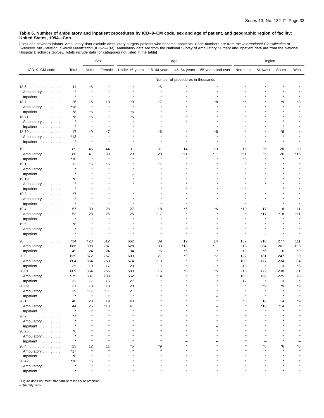[Excludes newborn infants. Ambulatory data exclude ambulatory surgery patients who became inpatients. Code numbers are from the *International Classification of*<br>*Diseases, 9th Revision, Clinical Modification* (ICD–9–CM).

|                                  |         |              | Sex          | Age            |             |                                   | Region            |           |         |         |       |
|----------------------------------|---------|--------------|--------------|----------------|-------------|-----------------------------------|-------------------|-----------|---------|---------|-------|
| ICD-9-CM code                    | Total   | Male         | Female       | Under 15 years | 15-44 years | 45-64 years                       | 65 years and over | Northeast | Midwest | South   | West  |
|                                  |         |              |              |                |             | Number of procedures in thousands |                   |           |         |         |       |
| $18.6$                           | 11      | *6           |              |                | *5          |                                   |                   |           |         |         |       |
| Ambulatory                       | $\star$ | $\pmb{\ast}$ |              |                | $\star$     |                                   |                   |           |         |         |       |
| Inpatient                        | $\star$ |              |              |                |             |                                   |                   |           |         |         |       |
| 18.7                             | 26      | 15           | 10           | *9             | *7          |                                   | *8                | *5        |         | *9      | *8    |
| Ambulatory                       | *18     | $\pmb{\ast}$ | $\star$      | $\star$        |             |                                   |                   |           |         | $\star$ |       |
| Inpatient                        | *8      | *6           |              | *6             |             |                                   |                   |           |         |         |       |
| 18.71                            | *8      | $*5$         |              | *5             |             |                                   |                   |           |         |         |       |
| Ambulatory                       | $\star$ | $\star$      |              |                |             |                                   |                   |           |         |         |       |
| Inpatient                        | $\star$ | ۸            |              |                |             |                                   |                   |           |         |         |       |
| 18.79                            | 17      | *9           | *7           |                | *6          |                                   | *6                |           |         | *6      |       |
| Ambulatory                       | *13     | $\star$      | $\star$      |                |             |                                   |                   |           |         | $\star$ |       |
| Inpatient                        | $\star$ | $\star$      |              |                |             |                                   |                   |           |         |         |       |
|                                  |         |              |              |                |             |                                   |                   |           |         |         |       |
| 19                               | 89      | 46           | 44           | 31             | 31          | 14                                | 13                | 16        | 26      | 28      | 20    |
| Ambulatory                       | 80      | 41           | 39           | 29             | 28          | *11                               | *11               | *11       | 25      | 26      | *18   |
| Inpatient                        | *10     | $\star$      | $\pmb{\ast}$ |                | $\star$     |                                   |                   | *6        |         | $\star$ |       |
| 19.1                             | 12      | *6           | *6           |                | $*7$        |                                   |                   |           |         |         |       |
| Ambulatory                       | $\star$ |              |              |                |             |                                   |                   |           |         |         |       |
| Inpatient                        | $\star$ |              |              |                |             |                                   |                   |           |         |         |       |
| 19.19                            | *8      |              |              |                |             |                                   |                   |           |         |         |       |
| Ambulatory                       | $\star$ |              |              |                |             |                                   |                   |           |         |         |       |
| Inpatient                        | $\star$ |              |              |                |             |                                   |                   |           |         |         |       |
| $19.3$                           | *7      |              |              |                |             |                                   |                   |           |         |         |       |
| Ambulatory                       |         |              |              |                |             |                                   |                   |           |         |         |       |
| Inpatient                        |         |              |              |                |             |                                   |                   |           |         |         |       |
| $19.4$                           | 57      | 30           | 28           | 27             | 18          | *6                                | *6                | *10       | 17      | 18      | 11    |
| Ambulatory                       | 53      | 28           | 26           | 25             | *17         |                                   |                   |           | $*17$   | *18     | $*11$ |
| Inpatient                        | $\star$ | $\star$      | $\star$      | $\star$        |             |                                   |                   |           | $\star$ | $\star$ |       |
| $19.5$                           | *8      |              |              |                |             |                                   |                   |           |         |         |       |
| Ambulatory                       |         |              |              |                |             |                                   |                   |           |         |         |       |
| Inpatient                        | $\star$ | $\star$      |              |                |             |                                   |                   |           |         |         |       |
| 20                               | 734     | 423          | 312          | 662            | 39          | 19                                | 14                | 137       | 210     | 277     | 111   |
| Ambulatory                       | 686     | 398          | 287          | 628            | 33          | *13                               | *11               | 118       | 204     | 261     | 103   |
| Inpatient                        | 49      | 24           | 24           | 34             | *6          | *6                                |                   | 19        | *6      | 16      | *9    |
| 20.0                             | 639     | 372          | 267          | 603            | 21          | *9                                | *7                | 122       | 181     | 247     | 90    |
| Ambulatory                       | 604     | 354          | 250          | 574            | *19         |                                   |                   | 109       | 177     | 234     | 84    |
| Inpatient                        | 35      | 18           | 17           | 29             | $\star$     |                                   |                   | 13        | $\star$ | 13      | *6    |
| 20.01                            | 609     | 354          | 255          | 580            | 16          | *8                                | *5                | 118       | 172     | 238     | 81    |
| Ambulatory                       | 575     | 337          | 238          | 552            | *14         |                                   |                   | 106       | 168     | 225     | 76    |
| Inpatient                        | 33      | 17           | 16           | 27             |             |                                   |                   | 12        | $\star$ | 13      |       |
| 20.09                            | 31      | 18           | 13           | 23             |             |                                   |                   |           | *9      | *9      | *9    |
| Ambulatory                       | 29      | $*17$        | $*11$        | 21             |             |                                   |                   | $\star$   |         | $\star$ |       |
| Inpatient                        |         |              |              |                |             |                                   |                   |           |         |         |       |
| 20.1                             | 46      | 28           | 19           | 43             |             |                                   |                   | *6        | 16      | 14      | *9    |
| Ambulatory                       | 44      | 26           | $*18$        | 41             |             |                                   |                   |           | $*16$   | $*14$   |       |
| Inpatient                        |         |              |              |                |             |                                   |                   |           |         |         |       |
| 20.2                             | *7      |              |              |                |             |                                   |                   |           |         |         |       |
| Ambulatory                       |         |              |              |                |             |                                   |                   |           |         |         |       |
| Inpatient                        |         |              |              |                |             |                                   |                   |           |         |         |       |
| 20.23                            | *6      |              |              |                |             |                                   |                   |           |         |         |       |
| Ambulatory                       |         |              |              |                |             |                                   |                   |           |         |         |       |
| Inpatient                        | $\star$ |              |              |                |             |                                   |                   |           |         |         |       |
| 20.4                             | 23      | 12           | 11           | *5             | ٠9          |                                   |                   |           | *6      | *6      | *6    |
| Ambulatory                       | $*17$   | $\star$      |              |                |             |                                   |                   |           |         |         |       |
| Inpatient $\ldots \ldots \ldots$ | *6      |              |              |                |             |                                   |                   |           |         |         |       |
| 20.42                            | *10     | *6           |              |                |             |                                   |                   |           |         |         |       |
| Ambulatory                       |         |              |              |                |             |                                   |                   |           |         |         |       |
| Inpatient                        |         |              |              |                |             |                                   |                   |           |         |         |       |
|                                  |         |              |              |                |             |                                   |                   |           |         |         |       |

\* Figure does not meet standard of reliability or precision.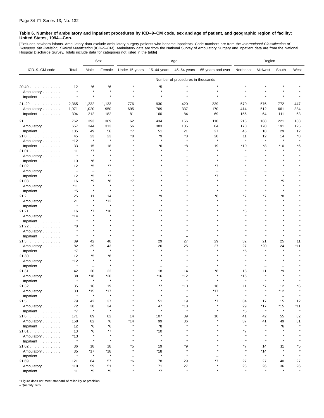[Excludes newborn infants. Ambulatory data exclude ambulatory surgery patients who became inpatients. Code numbers are from the *International Classification of*<br>*Diseases, 9th Revision, Clinical Modification* (ICD–9–CM). Hospital Discharge Survey. Totals include data for categories not listed in the table]

|                                           |                          |                          | Sex            | Age            |                |                                   | Region            |                |               |               |         |
|-------------------------------------------|--------------------------|--------------------------|----------------|----------------|----------------|-----------------------------------|-------------------|----------------|---------------|---------------|---------|
| ICD-9-CM code                             | Total                    | Male                     | Female         | Under 15 years | $15-44$ years  | 45-64 years                       | 65 years and over | Northeast      | Midwest       | South         | West    |
|                                           |                          |                          |                |                |                | Number of procedures in thousands |                   |                |               |               |         |
| 20.49                                     | 12                       | *6                       | *6             |                | *5             |                                   |                   |                |               |               |         |
| Ambulatory                                | $\star$                  | $\star$                  | $\star$        |                | $\star$        |                                   |                   |                |               |               |         |
| Inpatient                                 |                          | $\star$                  |                |                |                |                                   |                   |                |               |               |         |
|                                           |                          |                          |                |                |                |                                   |                   |                |               |               |         |
| $21 - 29$                                 | 2,365                    | 1,232                    | 1,133          | 776            | 930            | 420                               | 239               | 570            | 576           | 772           | 447     |
| Ambulatory                                | 1,971                    | 1,020                    | 950            | 695            | 769            | 337                               | 170               | 414            | 512           | 661           | 384     |
| Inpatient                                 | 394                      | 212                      | 182            | 81             | 160            | 84                                | 69                | 156            | 64            | 111           | 63      |
| 21                                        | 762                      | 393                      | 369            | 62             | 434            | 156                               | 110               | 216            | 188           | 221           | 138     |
| Ambulatory                                | 657                      | 344                      | 313            | 56             | 383            | 135                               | 84                | 170            | 170           | 191           | 125     |
| Inpatient                                 | 105                      | 49                       | 56             | *7             | 51             | 21                                | 27                | 46             | 18            | 29            | 12      |
| 21.0                                      | 45                       | 23                       | 23             | *8             | *9             | *8                                | 20                | 11             | 12            | 14            | *8      |
| Ambulatory                                | *12                      | $\star$                  | $\star$        |                |                |                                   | $\star$           | $\lambda$      | $\star$       |               |         |
| Inpatient                                 | 33                       | 15                       | 18             |                | *6             | *8                                | 19                | *10            | *8            | *10           | *6      |
| 21.01                                     | 11                       | *7                       | $\star$        |                |                |                                   |                   | $\star$        |               |               |         |
| Ambulatory                                | $\star$                  | $\star$                  |                |                |                |                                   |                   |                |               |               |         |
| Inpatient                                 | 10                       | *6                       |                |                |                |                                   |                   |                |               |               |         |
| 21.02                                     | 12                       | *5                       | *7             |                |                |                                   | *7                |                |               |               |         |
| Ambulatory                                | $\overline{\phantom{m}}$ | $\overline{\phantom{0}}$ |                |                |                |                                   |                   |                |               |               |         |
| Inpatient                                 | 12                       | *5                       | *7             | $\star$        |                |                                   | *7                |                |               | $\star$       |         |
| 21.03                                     | 16                       | *9                       | *8             | *7             |                |                                   |                   |                |               | *5            |         |
| Ambulatory                                | $*11$                    | $\star$                  | $\star$        |                |                |                                   |                   |                |               | $\star$       |         |
| Inpatient                                 | *5                       | $\pmb{\ast}$             | $\star$        |                |                |                                   |                   |                |               | $\star$       |         |
| 21.2                                      | 25                       | 11                       | 14             |                | ٠9             |                                   | *8                | *7             | *7            | *8            |         |
| Ambulatory                                | 21                       | $\pmb{\ast}$             | *12            |                |                |                                   |                   |                |               |               |         |
| Inpatient                                 | $\star$                  | $\star$                  | $\star$        |                |                |                                   |                   |                |               |               |         |
| 21.21                                     | 16                       | *7                       | $*10$          |                | *7             |                                   |                   | *6             |               |               |         |
| Ambulatory                                | *14                      |                          |                |                |                |                                   |                   |                |               |               |         |
| Inpatient                                 | $\star$                  |                          |                |                |                |                                   |                   |                |               |               |         |
| 21.22                                     | *8                       |                          |                |                |                |                                   |                   |                |               |               |         |
| Ambulatory                                |                          |                          |                |                |                |                                   |                   |                |               |               |         |
| Inpatient                                 | $\star$                  |                          | $\star$        |                |                |                                   |                   |                |               |               |         |
| 21.3                                      | 89                       | 42                       | 48             |                | 29             | 27                                | 29                | 32             | 21            | 25            | 11      |
| Ambulatory                                | 82                       | 39<br>$\star$            | 43<br>$\star$  |                | 26             | 25<br>$\star$                     | 27                | 27             | $*20$         | 24<br>$\star$ | $*11$   |
| Inpatient                                 | *7                       |                          |                |                |                |                                   |                   | *5             |               |               |         |
| 21.30                                     | 12                       | *5<br>$\pmb{\ast}$       | *6             |                |                |                                   |                   |                |               |               |         |
| Ambulatory                                | *12<br>$\star$           |                          | $\star$        |                |                |                                   |                   |                |               |               |         |
| Inpatient                                 |                          | $\overline{\phantom{0}}$ |                |                |                |                                   |                   |                |               |               |         |
| 21.31                                     | 42                       | 20                       | 22             |                | 18             | 14                                | *8                | 18             | 11            | *9<br>$\star$ |         |
| Ambulatory                                | 38<br>$\star$            | *18<br>$\pmb{\ast}$      | *20<br>$\star$ |                | *16<br>$\star$ | *12<br>$\star$                    |                   | *16<br>$\star$ |               | $\star$       |         |
| Inpatient                                 |                          |                          |                |                | *7             |                                   |                   |                |               |               |         |
| 21.32                                     | 35<br>33                 | 16<br>$*15$              | 19<br>*17      |                |                | *10                               | 18<br>*17         | 11<br>×        | *7<br>$\star$ | 12<br>*12     | *6      |
| Ambulatory                                |                          |                          |                |                |                |                                   |                   |                |               |               |         |
| Inpatient<br>21.5                         | 79                       | 42                       | 37             |                | 51             | 19                                | *7                | 34             | 17            | 15            | 12      |
|                                           | 72                       | 38                       | 34             |                | 47             | *18                               |                   | 29             | $*17$         | *15           | *11     |
| Ambulatory                                | $*7$                     | $\pmb{\ast}$             | $\star$        |                | $\star$        | $\star$                           |                   | *5             | $\star$       | $\star$       | $\star$ |
| Inpatient<br>21.6                         | 171                      | 89                       | 82             | 14             | 107            | 39                                | 10                | 41             | 42            | 55            | 32      |
| Ambulatory                                | 158                      | 82                       | 76             | $*14$          | 99             | 36                                |                   | 37             | 41            | 49            | 31      |
| Inpatient $\ldots \ldots \ldots$          | 12                       | *6                       | *6             |                | *8             | $\star$                           |                   | $\star$        | $\star$       | *6            |         |
|                                           | 13                       | *6                       | *7             | $\star$        | $*10$          | $\star$                           |                   | $*7$           |               |               |         |
| 21.61<br>Ambulatory                       | $*13$                    |                          | $\star$        |                | $\pmb{\ast}$   |                                   |                   | $\star$        |               |               |         |
|                                           | $\star$                  | $\star$                  | $\star$        | $\star$        | $\star$        | $\star$                           |                   | $\star$        |               | $\star$       |         |
| Inpatient $\ldots \ldots \ldots$<br>21.62 | 36                       | 18                       | 18             | *5             | 19             | *9                                |                   | *7             | 14            | 11            | *5      |
| Ambulatory                                | 35                       | $*17$                    | $*18$          | $\star$        | $*18$          | $\star$                           |                   | $\star$        | $*14$         | $\star$       |         |
| Inpatient                                 | $\star$                  | $\star$                  | $\star$        |                | $\star$        | $\star$                           |                   | $\star$        | $\star$       | $\star$       |         |
| 21.69                                     | 121                      | 64                       | 57             | *6             | 78             | 29                                | $*7$              | 27             | 27            | 40            | 27      |
| Ambulatory                                | 110                      | 59                       | 51             |                | 71             | 27                                |                   | 23             | 26            | 36            | 26      |
| Inpatient                                 | 11                       | *5                       | *5             |                | $*7$           | $\star$                           |                   |                |               |               |         |
|                                           |                          |                          |                |                |                |                                   |                   |                |               |               |         |

\* Figure does not meet standard of reliability or precision.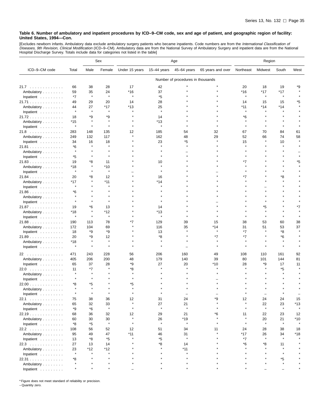[Excludes newborn infants. Ambulatory data exclude ambulatory surgery patients who became inpatients. Code numbers are from the *International Classification of*<br>*Diseases, 9th Revision, Clinical Modification* (ICD–9–CM).

|               |                |                | Sex            | Age            |               |                                   |                   | Region       |         |               |         |
|---------------|----------------|----------------|----------------|----------------|---------------|-----------------------------------|-------------------|--------------|---------|---------------|---------|
| ICD-9-CM code | Total          | Male           | Female         | Under 15 years | $15-44$ years | 45-64 years                       | 65 years and over | Northeast    | Midwest | South         | West    |
|               |                |                |                |                |               | Number of procedures in thousands |                   |              |         |               |         |
| 21.7          | 66             | 38             | 28             | 17             | 42            |                                   |                   | 20           | 18      | 19            | *9      |
| Ambulatory    | 59             | 35             | 24             | *16            | 37            |                                   |                   | $*16$        | $*17$   | $*17$         |         |
| Inpatient     | *7             | $\star$        | $\pmb{\ast}$   | $\pmb{\ast}$   | *5            |                                   |                   | $\pmb{\ast}$ | $\star$ | $\pmb{\ast}$  |         |
| 21.71         | 49             | 29             | 20             | 14             | 28            |                                   |                   | 14           | 15      | 15            | *5      |
| Ambulatory    | 44             | 27             | *17            | *13            | 25            |                                   |                   | $*11$        | $*14$   | $*14$         |         |
| Inpatient     | $\star$        | $\star$        | $\pmb{\ast}$   |                | $\lambda$     |                                   |                   |              |         |               |         |
| 21.72         | 18             | *9             | *9             |                | 14            |                                   |                   | *6           |         |               |         |
| Ambulatory    | *15            | $\star$        | $\star$        |                | *13           |                                   |                   |              |         |               |         |
| Inpatient     | $\star$        | $\star$        | $\star$        |                | $\pmb{\ast}$  |                                   |                   | $\star$      |         |               |         |
| 21.8          | 283            | 148            | 135            | 12             | 185           | 54                                | 32                | 67           | 70      | 84            | 61      |
| Ambulatory    | 249            | 132            | 117            | $\star$        | 162           | 48                                | 29                | 52           | 66      | 74            | 58      |
| Inpatient     | 34             | 16             | 18             |                | 23            | *5                                |                   | 15           |         | 10            |         |
| 21.81         | *6             |                |                |                |               |                                   |                   |              |         |               |         |
| Ambulatory    | $\star$        |                |                |                |               |                                   |                   |              |         |               |         |
|               | *5             | $\star$        |                |                |               |                                   |                   |              |         |               |         |
| Inpatient     |                | *8             |                |                |               |                                   |                   | *7           |         |               | *5      |
| 21.83         | 19<br>*18      | $\star$        | 11<br>$*10$    |                | 10<br>$\star$ |                                   |                   |              |         |               |         |
| Ambulatory    | $\star$        |                | $\star$        |                |               |                                   |                   |              |         |               |         |
| Inpatient     | 20             | *8             | 12             |                |               |                                   |                   | *7           |         | *8            |         |
| 21.84         |                |                |                |                | 16            |                                   |                   |              |         |               |         |
| Ambulatory    | *17<br>$\star$ |                | *11            |                | *14<br>A      |                                   |                   |              |         |               |         |
| Inpatient     |                |                |                |                |               |                                   |                   |              |         |               |         |
| $21.86$       | *6             |                |                |                |               |                                   |                   |              |         |               |         |
| Ambulatory    |                | $\star$        |                |                |               |                                   |                   |              |         |               |         |
| Inpatient     |                |                |                |                |               |                                   |                   |              |         |               |         |
| 21.87         | 19             | *6<br>$\star$  | 13             |                | 14            |                                   |                   |              | *5      |               | *7      |
| Ambulatory    | *18            | $\star$        | *12<br>$\star$ |                | *13<br>A      |                                   |                   |              |         |               |         |
| Inpatient     | $\star$        |                |                |                |               |                                   |                   |              |         |               |         |
| 21.88         | 190            | 113            | 78             | *7             | 129           | 39                                | 15                | 38           | 53      | 60            | 38      |
| Ambulatory    | 172            | 104            | 69             |                | 116           | 35<br>×                           | *14<br>$\star$    | 31           | 51      | 53            | 37      |
| Inpatient     | 18             | *9             | *9             |                | 13            |                                   |                   | $*7$         |         | *8            |         |
| 21.89         | 20             | *9             | 12             |                | *8            |                                   | $*7$              | $*7$         |         | *6            |         |
| Ambulatory    | *18            | $\star$        |                |                |               |                                   |                   |              |         |               |         |
| Inpatient     | $\star$        | $\star$        | $\star$        |                | $\star$       |                                   |                   |              | $\star$ | $\star$       |         |
| 22            | 471            | 243            | 228            | 56             | 206           | 160                               | 49                | 108          | 110     | 161           | 92      |
| Ambulatory    | 405            | 206            | 200            | 48             | 179           | 140                               | 39                | 80           | 101     | 144           | 81      |
| Inpatient     | 65             | 37             | 28             | *9             | 27            | 20                                | *10               | 28           | *9      | 17            | 11      |
| 22.0          | 11             | *7             | $\star$        | *8             |               |                                   |                   |              |         | *5            |         |
| Ambulatory    |                | $\star$        |                |                |               |                                   |                   |              |         |               |         |
| Inpatient     |                |                |                |                |               |                                   |                   |              |         |               |         |
| 22.00         | *8             | *5             |                | *5             |               |                                   |                   |              |         |               |         |
| Ambulatory    |                | $\star$        |                |                |               |                                   |                   |              |         |               |         |
| Inpatient     |                |                |                |                |               |                                   |                   |              |         |               |         |
| 22.1          | 75             | 38             | 36             | 12             | 31            | 24                                | *9                | 12           | 24      | 24            | 15      |
| Ambulatory    | 65             | 32             | 33             | $\star$        | 27            | 21                                |                   | $\star$      | 22      | 23            | $*13$   |
| Inpatient     | *9             | *6             | $\star$        | $\star$        | $\pmb{\ast}$  | $\star$                           |                   | $\star$      | $\star$ | $\pmb{\ast}$  | $\star$ |
| 22.19         | 68             | 36             | 32             | 12             | 29            | 21                                | *6                | 11           | 22      | 23            | 12      |
| Ambulatory    | 60             | 30             | 30             | $\pmb{\ast}$   | 26            | *19                               |                   | $\star$      | 20      | 21            | $*10$   |
| Inpatient     | *8             | *5             | $\pmb{\ast}$   |                | $\star$       | $\star$                           |                   | $\star$      | $\star$ | $\pmb{\ast}$  |         |
| 22.2          | 108            | 56             | 52             | 12             | 51            | 34                                | 11                | 24           | 28      | 38            | 18      |
|               | 95             | 49             | 47             | $*11$          | 46            | 31                                |                   | $*17$        | 26      | 34            | $*18$   |
| Ambulatory    |                | *8             | *5             |                | *5            | $\star$                           |                   | *7           | $\star$ | $\star$       |         |
| Inpatient     | 13             |                |                |                | *8            |                                   |                   | *6           |         |               |         |
| 22.3          | 27             | 13             | 14             |                | $\star$       | 14<br>$*11$                       |                   |              | *8      | 11            |         |
| Ambulatory    | 23<br>$\star$  | *12<br>$\star$ | *12<br>$\star$ |                |               |                                   |                   |              |         |               |         |
| Inpatient     |                |                |                |                |               |                                   |                   |              |         |               |         |
| 22.31         | *8<br>$\star$  |                |                |                |               |                                   |                   |              |         | *5<br>$\star$ |         |
| Ambulatory    | $\star$        |                |                |                |               | $\star$                           |                   |              |         |               |         |
| Inpatient     |                |                |                |                |               |                                   |                   |              |         |               |         |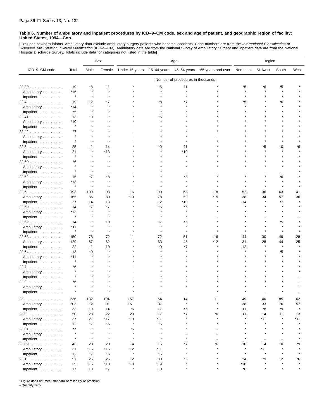[Excludes newborn infants. Ambulatory data exclude ambulatory surgery patients who became inpatients. Code numbers are from the *International Classification of*<br>*Diseases, 9th Revision, Clinical Modification* (ICD–9–CM). Hospital Discharge Survey. Totals include data for categories not listed in the table]

|               |                |         | Sex          | Age            |             |                                   | Region                   |              |                          |         |         |
|---------------|----------------|---------|--------------|----------------|-------------|-----------------------------------|--------------------------|--------------|--------------------------|---------|---------|
| ICD-9-CM code | Total          | Male    | Female       | Under 15 years | 15-44 years | 45-64 years                       | 65 years and over        | Northeast    | Midwest                  | South   | West    |
|               |                |         |              |                |             | Number of procedures in thousands |                          |              |                          |         |         |
| 22.39         | 19             | *8      | 11           |                | *5          | 11                                |                          | *5           | *6                       | *5      |         |
| Ambulatory    | *16            | $\star$ | $\pmb{\ast}$ |                | $\star$     | $\star$                           |                          |              |                          |         |         |
| Inpatient     | $\pmb{\ast}$   | $\star$ | $\star$      |                |             |                                   |                          |              |                          |         |         |
| 22.4          | 19             | 12      | *7           |                | *8          |                                   |                          | *5           |                          | *6      |         |
| Ambulatory    | *14            | $\star$ |              |                |             |                                   |                          |              |                          |         |         |
|               | *5             |         |              |                |             |                                   |                          |              |                          |         |         |
| Inpatient     | 13             | *9      |              |                | *5          |                                   |                          |              |                          |         |         |
| 22.41         |                |         |              |                |             |                                   |                          |              |                          |         |         |
| Ambulatory    | *10<br>$\star$ |         |              |                |             |                                   |                          |              |                          |         |         |
| Inpatient     |                |         |              |                |             |                                   |                          |              |                          |         |         |
| 22.42         | *7<br>$\star$  |         |              |                |             |                                   |                          |              |                          |         |         |
| Ambulatory    | $\star$        |         |              |                |             |                                   |                          |              |                          |         |         |
| Inpatient     |                |         |              |                |             |                                   |                          |              |                          |         |         |
| 22.5          | 25             | 11      | 14           |                | *9          | 11                                |                          |              | *5                       | 10      | ۴6      |
| Ambulatory    | 21             |         | *13          |                |             | *10                               |                          |              |                          |         |         |
| Inpatient     | $\star$        |         |              |                |             |                                   |                          |              |                          |         |         |
| $22.50$       | *6             |         |              |                |             |                                   |                          |              |                          |         |         |
| Ambulatory    | $\star$        |         |              |                |             |                                   |                          |              |                          |         |         |
| Inpatient     |                |         |              |                |             |                                   |                          |              |                          |         |         |
| 22.52         | 15             | *7      | *8           |                |             | *8                                |                          |              |                          | *6      |         |
| Ambulatory    | *13            | $\star$ |              |                |             |                                   |                          |              |                          |         |         |
| Inpatient     | $\star$        | $\star$ | $\star$      |                |             |                                   |                          |              |                          | $\star$ |         |
| 22.6          | 193            | 100     | 93           | 16             | 90          | 68                                | 18                       | 52           | 36                       | 63      | 41      |
| Ambulatory    | 165            | 86      | 80           | *13            | 78          | 59                                | *15                      | 38           | 34                       | 57      | 36      |
| Inpatient     | 27             | 14      | 13           |                | 12          | *10                               |                          | 14           |                          | *7      |         |
| 22.60         | 14             | *7      | *7           |                | *5          | *6                                |                          |              |                          |         |         |
| Ambulatory    | *13            |         | $\star$      |                | $\star$     |                                   |                          |              |                          |         |         |
| Inpatient     | $\star$        |         |              |                |             |                                   |                          |              |                          |         |         |
| 22.62         | 14             |         | *9           |                | *7          | *5                                |                          |              |                          | *5      |         |
| Ambulatory    | *11            |         | $\pmb{\ast}$ |                |             |                                   |                          |              |                          |         |         |
| Inpatient     | $\pmb{\ast}$   | $\star$ | $\pmb{\ast}$ |                |             |                                   |                          |              |                          |         |         |
| 22.63         | 150            | 78      | 72           | 11             | 72          | 51                                | 16                       | 44           | 30                       | 49      | 28      |
| Ambulatory    | 129            | 67      | 62           |                | 63          | 45                                | *12                      | 31           | 28                       | 44      | 25      |
| Inpatient     | 22             | 11      | 10           |                | *9          | *7                                |                          | 12           |                          |         |         |
| $22.64$       | 13             | *9      |              |                |             |                                   |                          |              |                          | *5      |         |
| Ambulatory    | *11            |         |              |                |             |                                   |                          |              |                          |         |         |
| Inpatient     | $\star$        |         |              |                |             |                                   |                          |              |                          |         |         |
| 22.7          | *6             |         |              |                |             |                                   |                          |              |                          |         |         |
| Ambulatory    |                |         |              |                |             |                                   |                          |              |                          |         |         |
| Inpatient     |                |         |              |                |             |                                   |                          |              |                          |         |         |
| $22.9$        | *6             |         |              |                |             |                                   |                          |              |                          |         |         |
| Ambulatory    |                |         |              |                |             |                                   |                          |              |                          |         |         |
|               |                |         |              |                |             |                                   |                          |              |                          |         |         |
| Inpatient     |                |         |              |                |             |                                   |                          |              |                          |         |         |
| 23            | 236            | 132     | 104          | 157            | 54          | 14                                | 11                       | 49           | 40                       | 85      | 62      |
| Ambulatory    | 203            | 112     | 91           | 151            | 37          | $\star$                           | $\pmb{\ast}$             | 38           | 33                       | 76      | 57      |
| Inpatient     | 33             | 19      | 14           | $*6$           | 17          | *5                                | $\star$                  | 11           | *8                       | *9      | $\star$ |
| 23.0          | 50             | 28      | 22           | 20             | 17          | $^\star 7$                        | *6                       | 11           | 14                       | 11      | 13      |
| Ambulatory    | 37             | 21      | *17          | *19            | *11         | $\star$                           | $\star$                  | $\star$      | $*11$                    | $\star$ | *11     |
| Inpatient     | 12             | *7      | *5           | $\star$        | *6          |                                   | $\star$                  |              | $\star$                  |         |         |
| 23.01         | $*7$           | $\star$ | $\pmb{\ast}$ | *6             | $\star$     |                                   |                          |              | $\star$                  |         |         |
| Ambulatory    | $\star$        | $\star$ | $\star$      | $\star$        | $\star$     | $\overline{\phantom{0}}$          | $\overline{\phantom{0}}$ |              | $\star$                  |         |         |
| Inpatient     | $\star$        | $\star$ | $\star$      | $\star$        | $\star$     | $\star$                           | $\equiv$                 | $\star$      | $\overline{\phantom{0}}$ |         |         |
| $23.09$       | 43             | 23      | 20           | 14             | 16          | $*7$                              | *6                       | 10           | 14                       | 10      | *9      |
| Ambulatory    | 31             | *16     | $*15$        | *12            | *11         | $\star$                           | $\star$                  | $\pmb{\ast}$ | $*11$                    | $\star$ |         |
| Inpatient     | 12             | *7      | *5           | $\star$        | *5          | $\star$                           | $\star$                  | $\star$      | $\star$                  | $\star$ |         |
| 23.1          | 51             | 26      | 25           | 12             | 30          | *6                                |                          | 24           | *9                       | 12      | *6      |
| Ambulatory    | 35             | $*16$   | *18          | $*10$          | $*19$       | $\star$                           | $\star$                  | $*18$        | $\pmb{\ast}$             | $\star$ | $\star$ |
| Inpatient     | 17             | 10      | *7           | $\star$        | 10          | $\star$                           | $\star$                  | *6           | $\pmb{\ast}$             | $\star$ | $\star$ |

\* Figure does not meet standard of reliability or precision.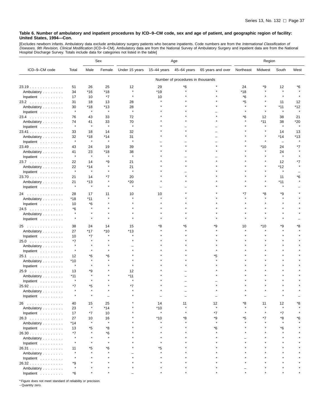[Excludes newborn infants. Ambulatory data exclude ambulatory surgery patients who became inpatients. Code numbers are from the *International Classification of*<br>*Diseases, 9th Revision, Clinical Modification* (ICD–9–CM).

|                                                                          |              |              | Sex     | Age            |             |                                   | Region            |           |         |                   |         |
|--------------------------------------------------------------------------|--------------|--------------|---------|----------------|-------------|-----------------------------------|-------------------|-----------|---------|-------------------|---------|
| ICD-9-CM code                                                            | Total        | Male         | Female  | Under 15 years | 15-44 years | 45-64 years                       | 65 years and over | Northeast | Midwest | South             | West    |
|                                                                          |              |              |         |                |             | Number of procedures in thousands |                   |           |         |                   |         |
| 23.19                                                                    | 51           | 26           | 25      | 12             | 29          | *6                                |                   | 24        | *9      | 12                | *6      |
| Ambulatory                                                               | 34           | $*16$        | *18     |                | $*19$       |                                   |                   | *18       |         | $\star$           |         |
| Inpatient                                                                | 17           | 10           | *7      | $\pmb{\ast}$   | 10          |                                   |                   | *6        |         |                   |         |
| 23.2                                                                     | 31           | 18           | 13      | 28             |             |                                   |                   | *5        |         | 11                | 12      |
| Ambulatory                                                               | 30           | *18          | *13     | 28             |             |                                   |                   | $\star$   |         | $*11$             | *12     |
| Inpatient                                                                | $\pmb{\ast}$ | $\star$      | $\star$ | $\star$        |             |                                   |                   |           |         | $\star$           |         |
| $23.4$                                                                   | 76           | 43           | 33      | 72             |             |                                   |                   | *6        | 12      | 38                | 21      |
| Ambulatory                                                               | 74           | 41           | 33      | 70             |             |                                   |                   |           | *11     | 38                | *20     |
| Inpatient                                                                | $\pmb{\ast}$ | $\star$      | $\star$ | $\star$        |             |                                   |                   |           |         | $\star$           | $\star$ |
| 23.41                                                                    | 33           | 18           | 14      | 32             |             |                                   |                   |           |         | 14                | 13      |
| Ambulatory                                                               | 32           | *18          | *14     | 31             |             |                                   |                   |           |         | *14               | *13     |
| Inpatient                                                                | $\pmb{\ast}$ | $\star$      | $\star$ | $\pmb{\ast}$   |             |                                   |                   |           |         | $\qquad \qquad -$ |         |
| 23.49                                                                    | 43           | 24           | 19      | 39             |             |                                   |                   |           | *10     | 24                | *7      |
| Ambulatory                                                               | 41           | 23           | *18     | 38             |             |                                   |                   |           |         | 24                |         |
| Inpatient                                                                | $\pmb{\ast}$ | $\star$      | $\star$ | $\pmb{\ast}$   |             |                                   |                   |           |         | $\star$           |         |
| 23.7                                                                     | 22           | 14           | *9      | 21             |             |                                   |                   |           |         | 12                | *7      |
| Ambulatory                                                               | 22           | *14          | $\star$ | 21             |             |                                   |                   |           |         | *12               |         |
| Inpatient                                                                | $\pmb{\ast}$ | $\star$      |         | $\star$        |             |                                   |                   |           |         | $\star$           |         |
| 23.70                                                                    | 21           | 14           | *7      | 20             |             |                                   |                   |           |         | 11                | *6      |
| Ambulatory                                                               | 21           | *13          | $\star$ | $*20$          |             |                                   |                   |           |         | $*11$             |         |
| Inpatient                                                                | $\pmb{\ast}$ | $\star$      | $\star$ | $\star$        |             |                                   |                   |           |         |                   |         |
| 24                                                                       | 28           | 17           | 11      | 10             | 10          |                                   |                   | *7        | ۴8      | *9                |         |
| Ambulatory                                                               | *18          | $*11$        |         |                |             |                                   |                   |           |         |                   |         |
| Inpatient                                                                | 10           | *6           |         |                |             |                                   |                   |           |         |                   |         |
| 24.5                                                                     | *6           |              |         |                |             |                                   |                   |           |         |                   |         |
| Ambulatory                                                               | $\star$      | $\star$      |         |                |             |                                   |                   |           |         |                   |         |
| Inpatient                                                                | $\star$      | $\star$      |         |                |             |                                   |                   |           |         |                   |         |
| 25<br>. The second property is a set of the second part of $\mathcal{A}$ | 38           | 24           | 14      | 15             | *8          | *6                                | ٠9                | 10        | *10     | *9                | ۴8      |
| Ambulatory                                                               | 27           | $*17$        | *10     | *13            |             |                                   |                   |           |         |                   |         |
| Inpatient                                                                | 10           | *7           | $\star$ |                |             |                                   |                   |           |         |                   |         |
| 25.0                                                                     | *7           |              |         |                |             |                                   |                   |           |         |                   |         |
| Ambulatory                                                               | $\star$      | $\star$      |         |                |             |                                   |                   |           |         |                   |         |
| Inpatient                                                                | $\pmb{\ast}$ |              |         |                |             |                                   |                   |           |         |                   |         |
| 25.1                                                                     | 12           | *6           | *6      |                |             |                                   | *5                |           |         |                   |         |
| Ambulatory                                                               | *10          |              |         |                |             |                                   |                   |           |         |                   |         |
| Inpatient                                                                | $\pmb{\ast}$ | $\star$      |         |                |             |                                   |                   |           |         |                   |         |
| 25.9                                                                     | 13           | *9           |         | 12             |             |                                   |                   |           |         |                   |         |
| Ambulatory                                                               | *11          |              |         | *11            |             |                                   |                   |           |         |                   |         |
| Inpatient                                                                | $\pmb{\ast}$ | $\star$      |         | $\star$        |             |                                   |                   |           |         |                   |         |
| 25.92                                                                    | *7           | *5           |         | *7             |             |                                   |                   |           |         |                   |         |
| Ambulatory                                                               |              | $\star$      |         |                |             |                                   |                   |           |         |                   |         |
| Inpatient                                                                |              |              |         |                |             |                                   |                   |           |         |                   |         |
| 26                                                                       | 40           | 15           | 25      |                | 14          | 11                                | 12                | *8        | 11      | 12                | ۴8      |
| Ambulatory                                                               | 23           | $\pmb{\ast}$ | *14     |                | $*10$       |                                   | $\star$           |           |         |                   |         |
| Inpatient                                                                | 17           | *7           | 10      |                | $\star$     |                                   | $*7$              | $\star$   | $\star$ | $*7$              |         |
| 26.3                                                                     | 27           | 10           | 16      |                | $*10$       | *8                                | *9                | *5        | *7      | *8                | *6      |
| Ambulatory                                                               | *14          | $\star$      | $\star$ |                |             |                                   | $\star$           |           |         |                   |         |
| Inpatient                                                                | 13           | *5           | *8      |                |             |                                   | *6                |           |         | *6                |         |
| $26.30$                                                                  | *7           |              | *6      |                |             |                                   |                   |           |         |                   |         |
| Ambulatory                                                               | $\pmb{\ast}$ |              | $\star$ |                |             |                                   |                   |           |         |                   |         |
| Inpatient                                                                |              |              | $\star$ |                |             |                                   |                   |           |         |                   |         |
| 26.31                                                                    | 11           | *5           | *6      |                | *5          |                                   |                   |           |         |                   |         |
| Ambulatory                                                               | $\star$      |              |         |                |             |                                   |                   |           |         |                   |         |
| Inpatient                                                                |              |              |         |                |             |                                   |                   |           |         |                   |         |
| 26.32                                                                    | *9           |              |         |                |             |                                   |                   |           |         |                   |         |
| Ambulatory                                                               | $\pmb{\ast}$ |              |         |                |             |                                   |                   |           |         |                   |         |
| Inpatient                                                                | *6           |              |         |                |             |                                   |                   |           |         |                   |         |

\* Figure does not meet standard of reliability or precision.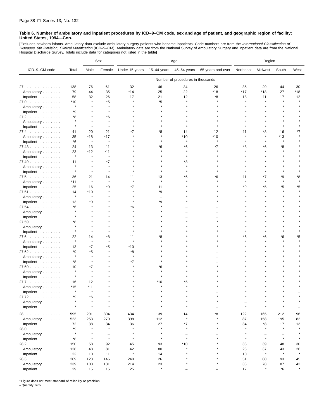[Excludes newborn infants. Ambulatory data exclude ambulatory surgery patients who became inpatients. Code numbers are from the *International Classification of*<br>*Diseases, 9th Revision, Clinical Modification* (ICD–9–CM). Hospital Discharge Survey. Totals include data for categories not listed in the table]

|                                  |               |         | Sex                      | Age            |              |                                   | Region            |           |                          |                          |         |
|----------------------------------|---------------|---------|--------------------------|----------------|--------------|-----------------------------------|-------------------|-----------|--------------------------|--------------------------|---------|
| ICD-9-CM code                    | Total         | Male    | Female                   | Under 15 years | 15-44 years  | 45-64 years                       | 65 years and over | Northeast | Midwest                  | South                    | West    |
|                                  |               |         |                          |                |              | Number of procedures in thousands |                   |           |                          |                          |         |
| 27                               | 138           | 76      | 61                       | 32             | 46           | 34                                | 26                | 35        | 29                       | 44                       | 30      |
| Ambulatory                       | 79            | 44      | 35                       | *14            | 25           | 22                                | $*18$             | *17       | *18                      | 27                       | *18     |
| Inpatient                        | 58            | 32      | 26                       | 17             | 21           | 12                                | *8                | 18        | 11                       | 17                       | 12      |
| 27.0                             | *10           | $\star$ | *5                       |                | *5           |                                   |                   |           |                          |                          |         |
| Ambulatory                       | $\star$       |         |                          |                |              |                                   |                   |           |                          |                          |         |
| Inpatient                        | *9            |         |                          |                |              |                                   |                   |           |                          |                          |         |
|                                  | *8            |         | *6                       |                |              |                                   |                   |           |                          |                          |         |
| 27.2                             |               |         |                          |                |              |                                   |                   |           |                          |                          |         |
| Ambulatory                       | $\star$       | $\star$ |                          |                |              |                                   |                   |           |                          |                          |         |
| Inpatient                        |               |         |                          |                |              |                                   |                   |           |                          |                          |         |
| 27.4                             | 41            | 20      | 21                       | *7             | *8           | 14                                | 12                | 11        | *8                       | 16                       | *7      |
| Ambulatory                       | 35            | *18     | *17                      |                |              | *10                               | *10<br>$\star$    |           |                          | *13                      |         |
| Inpatient                        | *6            | $\star$ | $\pmb{\ast}$             |                |              | $\star$                           |                   |           |                          | $\pmb{\ast}$             |         |
| 27.43                            | 24            | 13      | 11                       |                | *6           | *6                                | *7                | *8        | *6                       | *8                       |         |
| Ambulatory                       | 23            | *12     | *11                      |                |              |                                   |                   |           |                          |                          |         |
| Inpatient                        | $\star$       | $\star$ | $\star$                  |                |              |                                   |                   |           |                          |                          |         |
| $27.49$                          | 11            |         | *7                       |                |              | *8                                |                   |           |                          |                          |         |
| Ambulatory                       |               |         |                          |                |              |                                   |                   |           |                          |                          |         |
| Inpatient                        |               | $\star$ |                          |                |              |                                   |                   |           |                          |                          |         |
| 27.5                             | 36            | 21      | 14                       | 11             | 13           | *6                                | ۴6                | 11        | *7                       | *9                       | *8      |
| Ambulatory                       | *11           | $\star$ |                          |                |              |                                   |                   |           |                          |                          |         |
| Inpatient                        | 25            | 16      | *9                       | *7             | 11           |                                   |                   | *9        | *5                       | *5                       | *5      |
| 27.51                            | 14            | $*10$   |                          |                | *9           |                                   |                   |           |                          |                          |         |
| Ambulatory                       | $\star$       | $\star$ |                          |                |              |                                   |                   |           |                          |                          |         |
| Inpatient                        | 13            | *9      |                          |                | *9           |                                   |                   |           |                          |                          |         |
| 27.54                            | *6            |         |                          | *6             |              |                                   |                   |           |                          |                          |         |
| Ambulatory                       |               |         |                          |                |              |                                   |                   |           |                          |                          |         |
|                                  |               |         |                          |                |              |                                   |                   |           |                          |                          |         |
| Inpatient                        |               |         |                          |                |              |                                   |                   |           |                          |                          |         |
| $27.59$                          | *8<br>$\star$ |         |                          |                |              |                                   |                   |           |                          |                          |         |
| Ambulatory                       | $\star$       |         |                          |                |              |                                   |                   |           |                          |                          |         |
| Inpatient                        |               |         |                          |                |              |                                   |                   |           |                          |                          |         |
| 27.6                             | 22<br>$\star$ | 14      | *8                       | 11             | *8           |                                   |                   | *5        | Έ                        | *6                       | *5      |
| Ambulatory                       |               |         |                          |                |              |                                   |                   |           |                          |                          |         |
| Inpatient                        | 13            | *7      | *5                       | *10            |              |                                   |                   |           |                          |                          |         |
| $27.62$                          | *9            | *5      |                          | *8             |              |                                   |                   |           |                          |                          |         |
| Ambulatory                       | $\star$       | $\star$ |                          |                |              |                                   |                   |           |                          |                          |         |
| Inpatient                        | *8            | $\star$ |                          | *7             |              |                                   |                   |           |                          |                          |         |
| 27.69                            | 10            | *7      |                          |                | *6           |                                   |                   |           |                          |                          |         |
| Ambulatory                       | $\star$       | ۸       |                          |                |              |                                   |                   |           |                          |                          |         |
| Inpatient                        |               | $\star$ |                          |                |              |                                   |                   |           |                          |                          |         |
| 27.7                             | 16            | 12      |                          |                | *10          |                                   |                   |           |                          |                          |         |
| Ambulatory                       | *15           | $*11$   |                          |                |              |                                   |                   |           |                          |                          |         |
| Inpatient $\ldots \ldots \ldots$ | $\star$       | $\star$ |                          |                |              |                                   |                   |           |                          |                          |         |
| 27.72                            | *9            | *6      |                          |                |              |                                   |                   |           |                          |                          |         |
| Ambulatory                       |               | $\star$ |                          |                |              |                                   |                   | -         |                          |                          |         |
| Inpatient                        | $\star$       | $\star$ | $\star$                  | $\star$        | $\star$      |                                   |                   | $\star$   | $\star$                  | $\star$                  |         |
|                                  |               |         |                          |                |              |                                   |                   |           |                          |                          |         |
| 28                               | 595           | 291     | 304                      | 434            | 139          | 14                                | *8                | 122       | 165                      | 212                      | 96      |
| Ambulatory                       | 523           | 253     | 270                      | 398            | 112          | $\star$                           |                   | 87        | 158                      | 195                      | 82      |
| Inpatient                        | 72            | 38      | 34                       | 36             | 27           | *7                                |                   | 34        | *8                       | 17                       | 13      |
| 28.0                             | *9            | $\star$ | $\star$                  |                | $\star$      |                                   |                   | $\star$   | $\star$                  | $\pmb{\ast}$             | $\star$ |
| Ambulatory                       | $\star$       |         | $\overline{\phantom{0}}$ | $\star$        | $\star$      | $\equiv$                          |                   | $\star$   | $\overline{\phantom{0}}$ | $\overline{\phantom{0}}$ |         |
| Inpatient                        | *8            | $\star$ | $\pmb{\ast}$             | $\star$        | $\pmb{\ast}$ | $\star$                           |                   | $\star$   | $\star$                  | $\pmb{\ast}$             |         |
| 28.2                             | 150           | 58      | 92                       | 45             | 93           | $*10$                             |                   | 33        | 39                       | 48                       | 30      |
| Ambulatory                       | 128           | 48      | 81                       | 42             | 80           |                                   |                   | 23        | 37                       | 43                       | 26      |
| Inpatient                        | 22            | 10      | 11                       | $\star$        | 14           |                                   |                   | 10        | $\star$                  | $\pmb{\ast}$             | $\star$ |
| 28.3                             | 269           | 123     | 146                      | 240            | 26           |                                   |                   | 51        | 80                       | 93                       | 45      |
| Ambulatory                       | 239           | 108     | 131                      | 214            | 23           |                                   |                   | 33        | 78                       | 87                       | 42      |
| Inpatient                        | 29            | 15      | 15                       | 25             | $\pmb{\ast}$ |                                   |                   | 17        | $\star$                  | *6                       | $\star$ |

\* Figure does not meet standard of reliability or precision.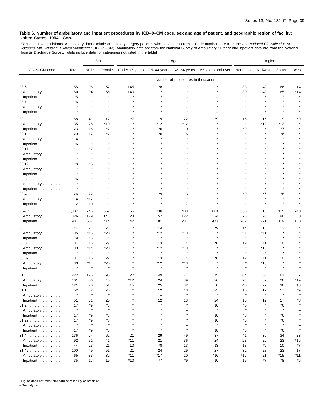[Excludes newborn infants. Ambulatory data exclude ambulatory surgery patients who became inpatients. Code numbers are from the *International Classification of*<br>*Diseases, 9th Revision, Clinical Modification* (ICD–9–CM).

|                                  |               |              | Sex            | Age            |                          |                                   | Region            |                    |                  |              |      |
|----------------------------------|---------------|--------------|----------------|----------------|--------------------------|-----------------------------------|-------------------|--------------------|------------------|--------------|------|
| ICD-9-CM code                    | Total         | Male         | Female         | Under 15 years | 15-44 years              | 45-64 years                       | 65 years and over | Northeast          | Midwest          | South        | West |
|                                  |               |              |                |                |                          | Number of procedures in thousands |                   |                    |                  |              |      |
| 28.6<br>.                        | 155           | 98           | 57             | 145            | *8                       |                                   |                   | 33                 | 42               | 66           | 14   |
| Ambulatory                       | 150           | 94           | 56             | 140            |                          |                                   |                   | 30                 | 42               | 65           | *14  |
| Inpatient                        | *5            | $\star$      | $\star$        | $\star$        |                          |                                   |                   | $\star$            | $\star$          | $\star$      |      |
| 28.7                             | *6            |              |                |                |                          |                                   |                   |                    |                  |              |      |
| Ambulatory                       | $\star$       | $\star$      |                |                |                          |                                   |                   |                    |                  |              |      |
| Inpatient                        | $\star$       | $\pmb{\ast}$ |                |                |                          |                                   |                   |                    |                  |              |      |
|                                  |               |              |                | *7             |                          |                                   | *9                |                    |                  |              | *9   |
| 29<br>.<br>Ambulatory            | 58<br>35      | 41<br>25     | 17<br>*10      |                | 19<br>*12                | 22<br>*12                         |                   | 15<br>$\star$      | 15<br>*12        | 19<br>*12    |      |
| Inpatient                        | 23            | 16           | *7             |                | *6                       | 10                                |                   | *9                 | $\star$          | *7           |      |
| 29.1                             | 20            | 12           | *7             |                | *6                       | *6                                |                   |                    |                  | *6           |      |
| Ambulatory                       | *14           | $\star$      |                |                |                          |                                   |                   |                    |                  | $\star$      |      |
| Inpatient                        | *6            | $\star$      |                |                |                          |                                   |                   |                    |                  |              |      |
| 29.11                            | 11            | *7           |                |                |                          |                                   |                   |                    |                  |              |      |
| Ambulatory                       | $\star$       | $\star$      |                |                |                          |                                   |                   |                    |                  |              |      |
| Inpatient                        |               |              |                |                |                          |                                   |                   |                    |                  |              |      |
| 29.12                            | *8            | *5           |                |                |                          |                                   |                   |                    |                  |              |      |
| Ambulatory                       |               |              |                |                |                          |                                   |                   |                    |                  |              |      |
| Inpatient                        |               |              |                |                |                          |                                   |                   |                    |                  |              |      |
| 29.3                             | *6            |              |                |                |                          |                                   |                   |                    |                  |              |      |
| Ambulatory                       |               |              |                |                |                          |                                   |                   |                    |                  |              |      |
| Inpatient                        | $\star$       | $\star$      |                |                |                          |                                   |                   |                    |                  |              |      |
| 29.4                             | 26            | 22           |                |                | *9                       | 13                                |                   | *9                 | *6               | *8           |      |
| Ambulatory                       | *14           | *12          |                |                |                          |                                   |                   |                    |                  |              |      |
| Inpatient                        | 12            | 10           |                |                |                          | *7                                |                   |                    |                  |              |      |
|                                  |               |              |                |                |                          |                                   |                   |                    |                  |              |      |
| $30 - 34$                        | 1,307         | 746          | 562            | 65             | 238                      | 403                               | 601               | 336                | 316              | 415          | 240  |
| Ambulatory                       | 326           | 179          | 148            | 23             | 57                       | 122                               | 124               | 75                 | 95               | 96           | 60   |
| Inpatient                        | 981           | 567          | 414            | 42             | 181                      | 281                               | 477               | 262                | 221              | 319          | 180  |
| 30                               | 44            | 21           | 23             |                | 14                       | 17                                | *9                | 14                 | 13               | 13           |      |
| Ambulatory                       | 35            | $*15$        | $*20$          |                | *12                      | *13                               | $\star$           | *11                | $*11$            | $\pmb{\ast}$ |      |
| Inpatient                        | *9            | $*6$         | $\star$        |                | $\star$                  | $\star$                           |                   | $\star$            | $\star$          |              |      |
| $30.0$                           | 37            | 15           | 22             |                | 13                       | 14                                | *6                | 12                 | 11               | 10           |      |
| Ambulatory                       | 33            | *14          | *20            |                | *12                      | *13                               |                   | $\star$            | $*10$            |              |      |
| Inpatient                        | $\star$       | $\pmb{\ast}$ | $\star$        |                | $\star$                  | $\star$                           | $\star$           | $\star$            | $\star$          | $\star$      |      |
| $30.09$                          | 37            | 15           | 22             |                | 13                       | 14                                | *6                | 12                 | 11               | 10           |      |
| Ambulatory                       | 33<br>$\star$ | $*14$        | *20<br>$\star$ |                | *12<br>$\star$           | *13<br>$\star$                    |                   | $\star$<br>$\star$ | $*10$<br>$\star$ | $\star$      |      |
| Inpatient                        |               | $\pmb{\ast}$ |                |                |                          |                                   |                   |                    |                  |              |      |
| 31                               | 222           | 126          | 96             | 27             | 49                       | 71                                | 75                | 64                 | 60               | 61           | 37   |
| Ambulatory                       | 101           | 56           | 45             | $*12$          | 24                       | 39                                | 26                | 24                 | 32               | 26           | *19  |
| Inpatient $\ldots$ ,             | 121           | 70           | 51             | 15             | 25                       | 32                                | 50                | 40                 | 27               | 36           | 18   |
| 31.1                             | 52            | 32           | 20             | $\lambda$      | 12                       | 13                                | 25                | 15                 | 12               | 17           | *9   |
| Ambulatory                       |               |              |                |                | $\overline{\phantom{0}}$ |                                   | $\star$           |                    |                  |              |      |
| Inpatient                        | 51            | 31           | 20             |                | 12                       | 13                                | 24                | 15                 | 12               | 17           | *8   |
| $31.2$                           | 17            | *9           | *8             |                |                          |                                   | 10                | *5                 |                  | *6           |      |
| Ambulatory                       | $\star$       | $\star$      | $\pmb{\ast}$   |                |                          |                                   | $\star$           | $\star$            |                  | $\pmb{\ast}$ |      |
| Inpatient $\ldots \ldots \ldots$ | 17            | *9           | *8             |                |                          | $\star$                           | 10                | *5                 |                  | *6           |      |
| 31.29                            | 17            | *9           | *8             |                |                          | $\star$                           | 10                | *5                 |                  | *6           |      |
| Ambulatory                       | $\star$       | $\star$      | $\star$        |                |                          | $\qquad \qquad$                   | $\star$           | $\star$            |                  | $\star$      |      |
| Inpatient                        | 17            | *9           | *8             |                |                          | $\star$                           | 10                | *5                 | $\star$          | *6           |      |
| $31.4$                           | 136           | 74           | 62             | 21             | 29                       | 49                                | 37                | 41                 | 39               | 34           | 23   |
| Ambulatory                       | 92            | 51           | 41             | $*11$          | 21                       | 36                                | 24                | 23                 | 29               | 23           | *16  |
| Inpatient                        | 44            | 23           | 21             | 10             | *8                       | 13                                | 13                | 18                 | *9               | 10           | *7   |
| 31.42                            | 100           | 49           | 51             | 21             | 24                       | 29                                | 27                | 32                 | 28               | 23           | 17   |
| Ambulatory                       | 65            | 33           | 32             | $*11$          | $*17$                    | 20                                | *16               | *17                | 21               | *15          | *11  |
| Inpatient                        | 35            | 17           | 19             | $*10$          | $*7$                     | *9                                | 10                | 15                 | *7               | *8           | *6   |

\* Figure does not meet standard of reliability or precision.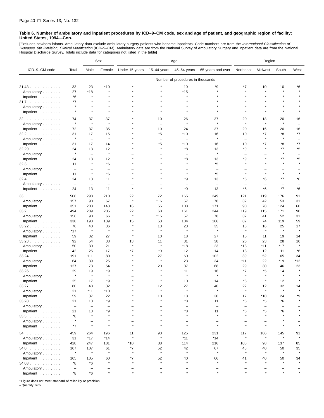[Excludes newborn infants. Ambulatory data exclude ambulatory surgery patients who became inpatients. Code numbers are from the *International Classification of*<br>*Diseases, 9th Revision, Clinical Modification* (ICD–9–CM). Hospital Discharge Survey. Totals include data for categories not listed in the table]

|                         |                                |                          | Sex                                 | Age            |                   |                                     | Region                         |                                |               |                                  |                          |
|-------------------------|--------------------------------|--------------------------|-------------------------------------|----------------|-------------------|-------------------------------------|--------------------------------|--------------------------------|---------------|----------------------------------|--------------------------|
| ICD-9-CM code           | Total                          | Male                     | Female                              | Under 15 years | $15-44$ years     | 45-64 years                         | 65 years and over              | Northeast                      | Midwest       | South                            | West                     |
|                         |                                |                          |                                     |                |                   | Number of procedures in thousands   |                                |                                |               |                                  |                          |
| 31.43                   | 33                             | 23                       | $*10$                               |                |                   | 19                                  | *9                             | *7                             | 10            | 10                               | *6                       |
| Ambulatory              | 27                             | *18                      |                                     |                |                   | *15                                 |                                | $\star$                        | $\star$       | $\star$                          |                          |
| Inpatient               | *6                             | $\pmb{\ast}$             | $\star$                             |                |                   | $\star$                             |                                | $\star$                        |               | $\star$                          |                          |
| 31.7                    | $*7$                           | $\pmb{\ast}$             |                                     |                |                   |                                     |                                |                                |               |                                  |                          |
| Ambulatory              | $\star$                        | $\star$                  |                                     |                |                   |                                     |                                |                                |               | $\star$                          |                          |
| Inpatient               | $\star$                        | $\star$                  | $\star$                             |                |                   |                                     |                                |                                |               |                                  |                          |
| 32                      | 74<br>$\star$                  | 37<br>$\star$            | 37<br>$\star$                       |                | 10                | 26<br>$\star$                       | 37                             | 20<br>$\star$                  | 18<br>$\star$ | 20<br>$\star$                    | 16                       |
| Ambulatory              |                                |                          |                                     |                | $\equiv$          |                                     |                                |                                |               |                                  | $\overline{\phantom{0}}$ |
| Inpatient               | 72                             | 37                       | 35                                  |                | 10                | 24                                  | 37                             | 20                             | 16            | 20                               | 16                       |
| 32.2                    | 31<br>$\star$                  | 17                       | 15<br>$\star$                       |                | *5                | *10                                 | 16<br>$\star$                  | 10                             | *7<br>$\star$ | *8<br>$\star$                    | *7                       |
| Ambulatory              |                                | $\qquad \qquad -$        |                                     |                | $\qquad \qquad -$ | $\overline{\phantom{0}}$            |                                |                                |               |                                  |                          |
| Inpatient               | 31                             | 17                       | 14                                  |                | *5<br>$\star$     | *10                                 | 16                             | 10                             | *7<br>$\star$ | *8                               | *7                       |
| 32.29                   | 24<br>$\star$                  | 13                       | 12<br>$\star$                       |                |                   | *8                                  | 13<br>$\star$                  | *9                             |               | $*7$<br>$\star$                  | *5                       |
| Ambulatory              |                                | $\qquad \qquad -$        |                                     |                |                   | $\overline{\phantom{0}}$            |                                | $\overline{\phantom{0}}$       |               |                                  | $\overline{\phantom{0}}$ |
| Inpatient               | 24                             | 13<br>$\star$            | 12                                  |                |                   | *8<br>$\star$                       | 13                             | *9<br>$\star$                  |               | *7<br>$\star$                    | *5<br>$\star$            |
| $32.3$                  | 11                             |                          | *6                                  |                |                   |                                     | *5                             |                                |               |                                  |                          |
| Ambulatory              | $\overline{\phantom{a}}$       | $\star$                  | $\overline{\phantom{0}}$            |                |                   | $\star$                             | $\overline{\phantom{0}}$       | $\star$                        | $\star$       | $\star$                          |                          |
| Inpatient               | 11                             |                          | *6                                  |                |                   |                                     | *5                             |                                |               |                                  |                          |
| $32.4$                  | 24                             | 13                       | 11                                  |                |                   | *9                                  | 13                             | *5                             | *6            | *7                               | *6                       |
| Ambulatory<br>Inpatient | $\overline{\phantom{m}}$<br>24 | $\qquad \qquad -$<br>13  | $\overline{\phantom{0}}$<br>11      |                |                   | $\equiv$<br>*9                      | $\overline{\phantom{m}}$<br>13 | $\overline{\phantom{0}}$<br>*5 | Ē,<br>*6      | $\overline{\phantom{0}}$<br>$*7$ | *6                       |
| 33                      | 508                            | 298                      | 210                                 | 22             | 72                | 165                                 | 249                            | 121                            | 119           | 176                              | 91                       |
| Ambulatory              | 157                            | 90                       | 67                                  | $\star$        | *16               | 57                                  | 78                             | 32                             | 42            | 53                               | 31                       |
| Inpatient               | 351                            | 208                      | 143                                 | 16             | 55                | 108                                 | 171                            | 90                             | 78            | 124                              | 60                       |
|                         | 494                            | 289                      | 205                                 | 22             | 68                | 161                                 | 244                            | 119                            | 115           | 171                              | 90                       |
| 33.2                    |                                |                          | 66                                  | $\star$        | *15               | 57                                  |                                | 32                             | 41            |                                  |                          |
| Ambulatory              | 156<br>338                     | 90<br>198                | 139                                 | 15             | 53                | 104                                 | 78<br>166                      | 87                             | 74            | 52                               | 31                       |
| Inpatient               | 76                             | 40                       | 36                                  |                | 13                | 23                                  | 35                             | 18                             | 16            | 119<br>25                        | 59<br>17                 |
| 33.22                   | *17                            | $\pmb{\ast}$             | $\star$                             |                | $\pmb{\ast}$      | $\star$                             | $\star$                        | $\star$                        | $\star$       | $\star$                          |                          |
| Ambulatory              |                                |                          |                                     |                |                   |                                     |                                |                                |               |                                  |                          |
| Inpatient               | 59                             | 32                       | 27<br>38                            |                | 10                | 18<br>31                            | 27<br>38                       | 15                             | 11<br>23      | 19                               | 14                       |
| 33.23                   | 92                             | 54                       | 21                                  | 13<br>$\star$  | 11<br>$\star$     | $*18$                               | 23                             | 26                             | *11           | 28<br>*17                        | 16<br>$\star$            |
| Ambulatory              | 50                             | 30                       |                                     |                |                   |                                     |                                | *13                            |               |                                  |                          |
| Inpatient               | 42                             | 25                       | 17                                  | *7             | *9                | 12                                  | 14                             | 13                             | 12            | 11                               | *6                       |
| 33.24                   | 191                            | 111                      | 80                                  |                | 27<br>$\star$     | 60<br>23                            | 102                            | 39                             | 52            | 65                               | 34                       |
| Ambulatory              | 64                             | 39                       | 25                                  |                |                   |                                     | 34                             | *11                            | 22            | *19                              | *12                      |
| Inpatient               | 127                            | 73                       | 54                                  |                | 20                | 37                                  | 68                             | 29                             | 30            | 46                               | 23                       |
| $33.26$                 | 29<br>$\star$                  | 19<br>$\star$            | *9<br>$\star$                       |                |                   | 11<br>$\star$                       | 16<br>$\star$                  | $*7$<br>$\star$                | *5            | 14<br>$\pmb{\ast}$               |                          |
| Ambulatory              |                                |                          |                                     |                |                   |                                     |                                |                                | $\star$       |                                  |                          |
| Inpatient $\ldots$ ,    | 25                             | 17                       | *9                                  |                |                   | 10                                  | 14                             | *6                             |               | 12                               |                          |
| 33.27                   | 80                             | 48                       | 32                                  |                | 12<br>$\star$     | 27<br>$\star$                       | 40<br>$\star$                  | 22<br>$\star$                  | 12<br>$\star$ | 32<br>$\star$                    | 14                       |
| Ambulatory              | 21                             | *11                      | $*10$                               |                |                   |                                     |                                |                                |               |                                  |                          |
| Inpatient               | 59                             | 37                       | 22                                  |                | 10<br>$\star$     | 18                                  | 30                             | 17                             | $*10$         | 24                               | *9                       |
| 33.28                   | 21                             | 13                       | *9                                  |                |                   | *8                                  | 11                             | *6                             | *5            | *6                               |                          |
| Ambulatory              | $\overline{\phantom{m}}$       | $\qquad \qquad -$        | L.                                  |                |                   | $\overline{\phantom{0}}$            | $\overline{\phantom{0}}$       | $\qquad \qquad -$              |               | L.                               |                          |
| Inpatient               | 21                             | 13<br>$\pmb{\ast}$       | *9<br>$\star$                       |                |                   | *8<br>$\star$                       | 11<br>$\star$                  | *6<br>$\star$                  | *5<br>$\star$ | *6<br>$\star$                    |                          |
| $33.3$                  | *8                             |                          |                                     |                |                   |                                     |                                |                                |               |                                  |                          |
| Ambulatory              |                                | -<br>$\star$             | $\star$                             | $\star$        |                   | $\overline{\phantom{0}}$<br>$\star$ | -<br>$\star$                   | -<br>$\star$                   | $\star$       |                                  |                          |
| Inpatient               | *7                             |                          |                                     |                |                   |                                     |                                |                                |               |                                  |                          |
| 34                      | 459                            | 264                      | 196                                 | 11<br>$\star$  | 93                | 125                                 | 231                            | 117                            | 106           | 145                              | 91                       |
| Ambulatory              | 31                             | $*17$                    | $*14$                               |                | $\star$           | $*11$                               | $*14$                          | $\pmb{\ast}$                   | $\star$       | $\pmb{\ast}$                     | $\star$                  |
| Inpatient               | 428                            | 247                      | 181                                 | *10            | 88                | 114                                 | 216                            | 108                            | 98            | 137                              | 85                       |
| $34.0$                  | 167                            | 107                      | 61                                  | *7<br>$\star$  | 52                | 42                                  | 67                             | 43                             | 40            | 50                               | 35                       |
| Ambulatory              | $\star$                        | $\star$                  | $\star$                             |                | $\star$           | $\star$                             | $\star$                        | $\star$                        |               | $\pmb{\ast}$                     | $\star$                  |
| Inpatient               | 165                            | 105                      | 60                                  | *7             | 52                | 40                                  | 66                             | 41                             | 40            | 50                               | 34                       |
| $34.03$                 | *8                             | *6                       | $\pmb{\ast}$                        |                | $\star$           | $\star$                             | $\star$                        | $\star$                        |               |                                  |                          |
| Ambulatory              | $\overline{\phantom{a}}$       | $\overline{\phantom{0}}$ | $\overline{\phantom{0}}$<br>$\star$ |                | $\star$           | $\star$                             | $\equiv$                       |                                |               |                                  |                          |
| Inpatient $\ldots$ ,    | *8                             | $^*6$                    |                                     |                |                   |                                     | $\star$                        | $\star$                        |               |                                  |                          |

\* Figure does not meet standard of reliability or precision.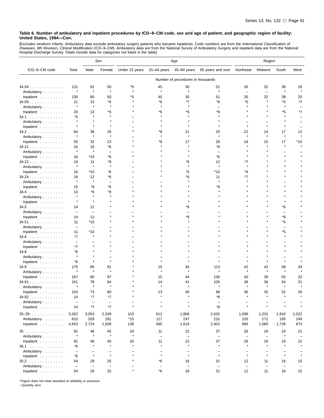[Excludes newborn infants. Ambulatory data exclude ambulatory surgery patients who became inpatients. Code numbers are from the *International Classification of*<br>*Diseases, 9th Revision, Clinical Modification* (ICD–9–CM).

|                                                |                          |                          | Sex                            | Age                      |                                |                                   | Region                         |                                |                                |                                |              |
|------------------------------------------------|--------------------------|--------------------------|--------------------------------|--------------------------|--------------------------------|-----------------------------------|--------------------------------|--------------------------------|--------------------------------|--------------------------------|--------------|
| ICD-9-CM code                                  | Total                    | Male                     | Female                         | Under 15 years           | $15-44$ years                  | 45-64 years                       | 65 years and over              | Northeast                      | Midwest                        | South                          | West         |
|                                                |                          |                          |                                |                          |                                | Number of procedures in thousands |                                |                                |                                |                                |              |
| 34.04                                          | 131                      | 81                       | 50                             | *5                       | 45                             | 30                                | 51                             | 35                             | 32                             | 38                             | 26           |
| Ambulatory                                     | $\star$                  | $\star$                  | $\star$                        | $\star$                  | $\star$                        | $\star$                           | $\star$                        | $\overline{\phantom{m}}$       | $\overline{\phantom{0}}$       | $\star$                        |              |
| Inpatient $\ldots \ldots \ldots$               | 130                      | 80                       | 50                             | *5                       | 45                             | 30                                | 51                             | 35                             | 32                             | 38                             | 25           |
| $34.09$                                        | 21                       | 15                       | *6                             |                          | *6                             | *7                                | *8                             | *5                             |                                | *5                             | $*7$         |
| Ambulatory                                     | $\pmb{\ast}$             | $\pmb{\ast}$             | $\star$                        |                          | $\star$                        |                                   |                                |                                |                                | $\star$                        |              |
| Inpatient                                      | 20                       | 13                       | *6                             |                          | *6                             | *6                                | *8                             |                                |                                | *5                             | *7           |
| 34.1                                           | *5                       |                          |                                |                          |                                |                                   |                                |                                |                                |                                |              |
| Ambulatory                                     |                          |                          |                                |                          |                                |                                   |                                |                                |                                |                                |              |
| Inpatient                                      | $\star$                  | $\star$                  | $\star$                        |                          |                                |                                   |                                |                                | $\star$                        | $\star$                        |              |
| $34.2$                                         | 64<br>$\star$            | 38<br>$\pmb{\ast}$       | 26<br>$\star$                  |                          | *9                             | 21                                | 33<br>$\star$                  | 22<br>$\star$                  | 14<br>$\star$                  | 17<br>$\star$                  | 12           |
| Ambulatory                                     |                          |                          |                                |                          |                                |                                   |                                |                                |                                |                                |              |
| Inpatient                                      | 55                       | 32                       | 23                             |                          | *8                             | 17                                | 29                             | 18                             | 10                             | 17                             | $*10$        |
| 34.21                                          | 16<br>$\star$            | 10<br>$\star$            | *6<br>$\overline{\phantom{0}}$ |                          |                                |                                   | *6                             |                                |                                |                                |              |
| Ambulatory<br>Inpatient                        | 16                       | *10                      | *6                             |                          |                                |                                   | *6                             |                                |                                |                                |              |
| 34.22                                          | 19                       | 11                       | *8                             |                          |                                | *6                                | 12                             | *7                             |                                |                                |              |
| Ambulatory                                     | $\star$                  | $\pmb{\ast}$             | $\star$                        |                          |                                |                                   | $\star$                        |                                |                                |                                |              |
| Inpatient $\ldots$ ,                           | 16                       | *10                      | *6                             |                          |                                | *5                                | *10                            | *6                             |                                |                                |              |
| $34.24$                                        | 18                       | 12                       | *6                             |                          |                                | *6                                | 11                             | *7                             |                                |                                |              |
| Ambulatory                                     | $\star$                  | $\pmb{\ast}$             |                                |                          |                                |                                   |                                |                                |                                |                                |              |
| Inpatient                                      | 15                       | *8                       | *6                             |                          |                                |                                   | ٠9                             |                                |                                |                                |              |
| $34.4$                                         | 13                       | *6                       | *8                             |                          |                                |                                   |                                |                                |                                |                                |              |
| Ambulatory                                     |                          |                          |                                |                          |                                |                                   |                                |                                |                                |                                |              |
| Inpatient                                      | $\star$                  | $\star$                  |                                |                          |                                |                                   |                                |                                |                                |                                |              |
| $34.5$                                         | 14                       | 12                       |                                |                          |                                | *6                                |                                |                                |                                | *6                             |              |
| Ambulatory                                     | $\overline{\phantom{0}}$ | $\overline{\phantom{0}}$ |                                |                          |                                |                                   |                                |                                |                                |                                |              |
| Inpatient                                      | 14                       | 12                       |                                |                          |                                | *6                                |                                |                                | $\star$                        | *6                             |              |
| 34.51                                          | 11                       | *10                      |                                |                          |                                |                                   |                                |                                |                                | *5<br>$\overline{\phantom{0}}$ |              |
| Ambulatory<br>Inpatient                        | $\qquad \qquad -$<br>11  | *10                      |                                |                          |                                |                                   |                                |                                |                                | *5                             |              |
| $34.6$                                         | $*7$                     | $\star$                  |                                |                          |                                |                                   |                                |                                |                                | $\star$                        |              |
| Ambulatory                                     | $\overline{\phantom{m}}$ |                          |                                |                          |                                |                                   |                                |                                |                                |                                |              |
| Inpatient                                      | *7                       |                          |                                |                          |                                |                                   |                                |                                |                                |                                |              |
| $34.8$                                         | *6                       |                          |                                |                          |                                |                                   |                                |                                |                                |                                |              |
| Ambulatory                                     | $\star$                  |                          |                                |                          |                                |                                   |                                |                                |                                |                                |              |
| Inpatient                                      | *6                       |                          |                                |                          |                                |                                   |                                |                                |                                | $\star$                        |              |
| $34.9$                                         | 175                      | 85                       | 91                             |                          | 15                             | 45                                | 113                            | 42                             | 42                             | 58                             | 34           |
| Ambulatory                                     | $\star$                  | $\pmb{\ast}$             | Å                              |                          | $\star$                        |                                   | $\star$                        |                                | $\star$                        | $\star$                        |              |
| Inpatient                                      | 167                      | 80                       | 87                             |                          | 15                             | 44                                | 106                            | 40                             | 39                             | 55                             | 33           |
| 34.91                                          | 161                      | 78<br>$\star$            | 84<br>Å                        |                          | 14                             | 41                                | 105                            | 38                             | 38                             | 54                             | 31           |
| Ambulatory                                     |                          |                          |                                |                          |                                |                                   |                                |                                |                                |                                |              |
| Inpatient<br>34.92                             | 153<br>14                | 73<br>*7                 | 80<br>*7                       | $\star$                  | 13<br>$\star$                  | 40<br>$\star$                     | 98<br>*8                       | 36                             | 35                             | 52                             | 30           |
| Ambulatory                                     | $\overline{\phantom{a}}$ | $\overline{\phantom{a}}$ | $\overline{\phantom{m}}$       | $\overline{\phantom{0}}$ | $\overline{\phantom{0}}$       | $\overline{\phantom{0}}$          | $\overline{\phantom{m}}$       | $\overline{\phantom{0}}$       |                                |                                |              |
| Inpatient                                      | 14                       | *7                       | $*7$                           | $\star$                  | $\star$                        | $\star$                           | *8                             | $\star$                        | $\star$                        |                                |              |
|                                                |                          |                          |                                |                          |                                |                                   |                                |                                |                                |                                |              |
| $35 - 39$<br>Ambulatory                        | 5,262<br>610             | 3,053<br>329             | 2,209<br>281                   | 153<br>$*15$             | 612<br>117                     | 1,866<br>247                      | 2,632<br>231                   | 1,099<br>105                   | 1,231<br>171                   | 1,910<br>185                   | 1,022<br>149 |
| Inpatient                                      | 4,653                    | 2,724                    | 1,928                          | 138                      | 495                            | 1,619                             | 2,401                          | 994                            | 1,060                          | 1,726                          | 873          |
|                                                |                          |                          |                                |                          |                                |                                   |                                |                                |                                |                                |              |
| 35                                             | 91<br>$\star$            | 46<br>$\pmb{\ast}$       | 45<br>$\star$                  | 20<br>$\star$            | 11                             | 22                                | 37                             | 26                             | 19                             | 24<br>$\star$                  | 22           |
| Ambulatory<br>Inpatient $\ldots \ldots \ldots$ | 91                       | 46                       | 45                             | 20                       | $\overline{\phantom{a}}$<br>11 | $\qquad \qquad -$<br>22           | $\overline{\phantom{a}}$<br>37 | $\overline{\phantom{a}}$<br>26 | $\overline{\phantom{0}}$<br>19 | 24                             | 22           |
| 35.1                                           | *6                       | $\star$                  | $\star$                        | $\star$                  | $\star$                        | $\star$                           | $\star$                        | $\star$                        | $\star$                        | $\star$                        |              |
| Ambulatory                                     | $\overline{\phantom{a}}$ |                          | $\qquad \qquad -$              | -                        |                                | -                                 | $\overline{\phantom{0}}$       | $\overline{\phantom{m}}$       |                                |                                |              |
| Inpatient $\ldots \ldots \ldots$               | *6                       | $\star$                  | $\star$                        | $\star$                  | $\star$                        | $\star$                           | $\star$                        | $\star$                        | $\star$                        | $\star$                        |              |
| $35.2$                                         | 54                       | 29                       | 25                             |                          | *6                             | 16                                | 31                             | 12                             | 11                             | 16                             | 15           |
| Ambulatory                                     | $\overline{\phantom{a}}$ | $\qquad \qquad -$        | $\qquad \qquad -$              |                          |                                | $\overline{\phantom{a}}$          | $\overline{\phantom{a}}$       | $\overline{\phantom{a}}$       | $\qquad \qquad -$              | $\overline{\phantom{a}}$       |              |
| Inpatient                                      | 54                       | 29                       | 25                             | $\star$                  | $^*6$                          | 16                                | 31                             | 12                             | 11                             | 16                             | 15           |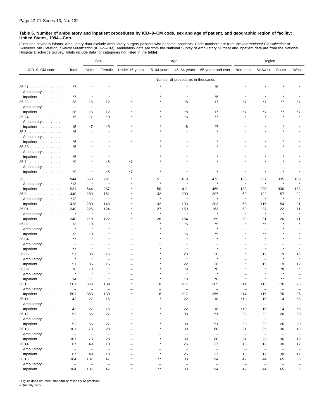[Excludes newborn infants. Ambulatory data exclude ambulatory surgery patients who became inpatients. Code numbers are from the *International Classification of*<br>*Diseases, 9th Revision, Clinical Modification* (ICD–9–CM). Hospital Discharge Survey. Totals include data for categories not listed in the table]

|                                  |                          |                          | Sex                      | Age                                 |                   |                                   | Region                   |                          |                          |                          |                          |
|----------------------------------|--------------------------|--------------------------|--------------------------|-------------------------------------|-------------------|-----------------------------------|--------------------------|--------------------------|--------------------------|--------------------------|--------------------------|
| ICD-9-CM code                    | Total                    | Male                     | Female                   | Under 15 years                      | 15-44 years       | 45-64 years                       | 65 years and over        | Northeast                | Midwest                  | South                    | West                     |
|                                  |                          |                          |                          |                                     |                   | Number of procedures in thousands |                          |                          |                          |                          |                          |
| 35.21                            | *7                       |                          |                          |                                     |                   |                                   | *5                       |                          |                          |                          |                          |
| Ambulatory                       | $\overline{\phantom{0}}$ |                          |                          |                                     |                   |                                   | $\qquad \qquad -$        |                          |                          |                          |                          |
| Inpatient                        | *7                       | $\star$                  | $\pmb{\ast}$             |                                     |                   |                                   | *5                       | $\star$                  |                          | $\star$                  |                          |
| 35.22                            | 28                       | 16                       | 12                       |                                     |                   | *8                                | 17                       | *7                       | *7                       | *7                       | *7                       |
| Ambulatory                       | $\overline{\phantom{a}}$ | $\qquad \qquad -$        | $\overline{\phantom{0}}$ |                                     |                   |                                   | $\overline{\phantom{0}}$ |                          |                          | $\overline{\phantom{0}}$ |                          |
| Inpatient                        | 28                       | 16                       | 12                       |                                     |                   | *8                                | 17                       | *7                       | *7                       | *7                       | *7                       |
| 35.24                            | 15                       | *7                       | *9                       |                                     |                   | *6                                | *7                       | $\star$                  |                          | $\star$                  |                          |
| Ambulatory                       | $\overline{\phantom{a}}$ | $\overline{\phantom{0}}$ | $\overline{\phantom{0}}$ |                                     |                   |                                   | $\overline{\phantom{0}}$ |                          |                          |                          |                          |
| Inpatient                        | 15                       | *7                       | *9                       |                                     |                   | *6                                | *7                       |                          |                          |                          |                          |
| $35.3$                           | *6                       | $\star$                  | $\star$                  |                                     |                   |                                   |                          |                          |                          |                          |                          |
| Ambulatory                       | $\overline{\phantom{0}}$ |                          |                          |                                     |                   |                                   |                          |                          |                          |                          |                          |
| Inpatient                        | *6                       | $\star$                  |                          |                                     |                   |                                   |                          |                          |                          |                          |                          |
| 35.33                            | *5                       |                          |                          |                                     |                   |                                   |                          |                          |                          |                          |                          |
| Ambulatory                       | $\overline{\phantom{0}}$ |                          |                          |                                     |                   |                                   |                          |                          |                          |                          |                          |
| Inpatient                        | *5                       |                          | $\pmb{\ast}$             |                                     |                   |                                   |                          |                          |                          |                          |                          |
| 35.7                             | *9                       | $\star$                  | *5                       | *7                                  |                   |                                   |                          |                          |                          |                          |                          |
| Ambulatory                       | $\overline{\phantom{0}}$ | ۳                        | $\qquad \qquad -$        |                                     |                   |                                   |                          |                          |                          |                          |                          |
| Inpatient                        | *9                       | $\star$                  | *5                       | *7                                  |                   |                                   |                          |                          | $\star$                  | $\pmb{\ast}$             |                          |
| 36.                              | 944                      | 653                      | 291                      |                                     | 51                | 419                               | 473                      | 183                      | 237                      | 335                      | 189                      |
| Ambulatory                       | $*13$                    | $\star$                  | $\pmb{\ast}$             |                                     | $\star$           | $\star$                           | $\star$                  | $\star$                  | $\star$                  | $\pmb{\ast}$             |                          |
| Inpatient                        | 931                      | 644                      | 287                      |                                     | 50                | 411                               | 469                      | 183                      | 230                      | 330                      | 188                      |
| $36.0$                           | 440                      | 289                      | 151                      |                                     | 32                | 200                               | 207                      | 69                       | 122                      | 157                      | 92                       |
| Ambulatory                       | *12                      | $\pmb{\ast}$             | $\star$                  |                                     | $\star$           | $\star$                           | $\star$                  | $\star$                  | $\star$                  | $\star$                  | $\star$                  |
| Inpatient                        | 428                      | 280                      | 148                      |                                     | 32                | 193                               | 203                      | 68                       | 115                      | 154                      | 91                       |
| $36.01$                          | 349                      | 225                      | 124                      |                                     | 27                | 159                               | 163                      | 59                       | 97                       | 122                      | 71                       |
| Ambulatory                       | $\star$                  | $\star$                  | $\pmb{\ast}$             |                                     | $\star$           | $\star$                           | $\star$                  | $\star$                  | $\star$                  | $\pmb{\ast}$             |                          |
| Inpatient                        | 340                      | 218                      | 122                      |                                     | 26                | 154                               | 159                      | 59                       | 91                       | 120                      | 71                       |
| $36.02$                          | 13                       | 10                       | $\star$                  |                                     |                   | *6                                | *5                       | $\star$                  | *5                       |                          |                          |
| Ambulatory                       | $\star$                  | $\star$                  |                          |                                     |                   |                                   | $\star$                  |                          |                          |                          |                          |
| Inpatient                        | 13                       | 10                       |                          |                                     |                   | *6                                | *5                       |                          | *5                       |                          |                          |
| 36.04                            | *7                       | ź,                       |                          |                                     |                   |                                   |                          |                          |                          |                          |                          |
| Ambulatory                       | $\overline{\phantom{0}}$ |                          |                          |                                     |                   |                                   |                          |                          |                          |                          |                          |
| Inpatient                        | *7                       | $\star$                  | $\star$                  |                                     |                   |                                   | $\star$                  |                          | $\star$                  | $\star$                  |                          |
| 36.05                            | 51                       | 35                       | 16                       |                                     |                   | 23                                | 26                       |                          | 15                       | 19                       | 12                       |
| Ambulatory                       | $\pmb{\ast}$             | $\star$                  | L.                       |                                     |                   | $\star$                           | $\star$                  |                          | ÷                        | $\star$                  |                          |
| Inpatient                        | 51                       | 35                       | 16                       |                                     |                   | 22                                | 26                       |                          | 15                       | 19                       | 12                       |
| $36.09$                          | 16                       | 13                       | $\star$                  |                                     |                   | *9                                | $*6$                     |                          | $\star$                  | *8                       |                          |
| Ambulatory                       | $\star$                  | $\star$                  |                          |                                     |                   |                                   |                          |                          |                          |                          |                          |
| Inpatient                        | 14                       | 11                       | $\pmb{\ast}$             |                                     |                   | *8                                | *6                       |                          | $\star$                  | $*7$                     |                          |
| 36.1                             | 501                      | 363                      | 139                      |                                     | 18                | 217                               | 265                      | 114                      | 115                      | 176                      | 96                       |
| Ambulatory                       | $\overline{\phantom{0}}$ |                          | L.                       |                                     |                   |                                   |                          |                          |                          |                          |                          |
| Inpatient                        | 501                      | 363                      | 139                      |                                     | 18                | 217                               | 265                      | 114                      | 115                      | 176                      | 96                       |
| 36.11                            | 42                       | 27                       | 15                       | -                                   |                   | 22                                | 18                       | *10                      | 10                       | 14                       | *8                       |
| Ambulatory                       | $\overline{\phantom{m}}$ | $\overline{\phantom{m}}$ | $\qquad \qquad -$        | $\overline{\phantom{0}}$            |                   | $\overline{\phantom{a}}$          | $\overline{\phantom{a}}$ | $\overline{\phantom{m}}$ | $\overline{\phantom{a}}$ | $\qquad \qquad -$        | $\overline{\phantom{0}}$ |
| Inpatient $\ldots \ldots \ldots$ | 42                       | 27                       | 15                       | $\overline{\phantom{0}}$<br>$\star$ |                   | 22                                | 18                       | *10                      | 10                       | 14                       | *8                       |
| 36.12                            | 92                       | 65                       | 27                       |                                     |                   | 38                                | 51                       | 23                       | 22                       | 26                       | 20                       |
| Ambulatory                       | $\overline{\phantom{m}}$ | $\overline{\phantom{m}}$ | $\overline{\phantom{a}}$ | $\star$                             |                   | $\overline{\phantom{m}}$          | $\overline{\phantom{a}}$ | $\overline{\phantom{m}}$ | $\overline{\phantom{a}}$ | $\overline{\phantom{m}}$ |                          |
| Inpatient                        | 92                       | 65                       | 27                       |                                     |                   | 38                                | 51                       | 23                       | 22                       | 26                       | 20                       |
| 36.13                            | 101                      | 73                       | 28                       |                                     |                   | 39                                | 60                       | 21                       | 25                       | 36                       | 19                       |
| Ambulatory                       | $\overline{\phantom{a}}$ | $\overline{\phantom{a}}$ | $\overline{\phantom{a}}$ |                                     |                   | $\overline{\phantom{m}}$          | $\overline{\phantom{m}}$ | $\overline{\phantom{m}}$ | $\qquad \qquad -$        | $\qquad \qquad -$        | $\overline{\phantom{m}}$ |
| Inpatient                        | 101                      | 73                       | 28                       |                                     |                   | 39                                | 60                       | 21                       | 25                       | 36                       | 19                       |
| 36.14                            | 67                       | 49                       | 18                       | $\overline{\phantom{0}}$            |                   | 26                                | 37                       | 13                       | 12                       | 30                       | 12                       |
| Ambulatory                       | $\overline{\phantom{a}}$ | $\overline{\phantom{a}}$ | $\overline{\phantom{a}}$ |                                     | $\star$           | $\qquad \qquad -$                 | $\overline{\phantom{a}}$ | $\overline{\phantom{a}}$ | $\qquad \qquad -$        | $\qquad \qquad -$        | $\qquad \qquad -$        |
| Inpatient                        | 67                       | 49                       | 18                       | $\star$                             |                   | 26                                | 37                       | 13                       | 12                       | 30                       | 12                       |
| 36.15                            | 184                      | 137                      | 47                       |                                     | *7                | 83                                | 94                       | 42                       | 44                       | 65                       | 33                       |
| Ambulatory                       | $\overline{\phantom{a}}$ | -                        | $\overline{\phantom{a}}$ | $\star$                             | $\qquad \qquad -$ | $\overline{\phantom{0}}$          | $\qquad \qquad -$        | $\qquad \qquad -$        | $\overline{\phantom{a}}$ | $\qquad \qquad -$        | -                        |
| Inpatient                        | 184                      | 137                      | 47                       |                                     | *7                | 83                                | 94                       | 42                       | 44                       | 65                       | 33                       |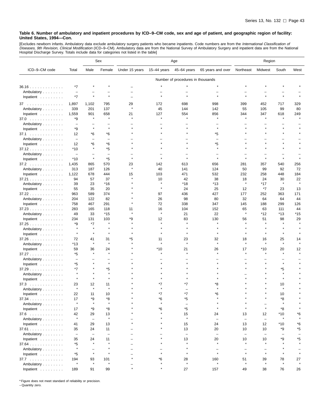[Excludes newborn infants. Ambulatory data exclude ambulatory surgery patients who became inpatients. Code numbers are from the *International Classification of*<br>*Diseases, 9th Revision, Clinical Modification* (ICD–9–CM).

|                                  |                                |                                | Sex                            | Age            |              |                                   | Region                  |                                |                                |              |           |
|----------------------------------|--------------------------------|--------------------------------|--------------------------------|----------------|--------------|-----------------------------------|-------------------------|--------------------------------|--------------------------------|--------------|-----------|
| ICD-9-CM code                    | Total                          | Male                           | Female                         | Under 15 years | 15–44 years  | 45-64 years                       | 65 years and over       | Northeast                      | Midwest                        | South        | West      |
|                                  |                                |                                |                                |                |              | Number of procedures in thousands |                         |                                |                                |              |           |
| 36.16                            | *7                             |                                |                                |                |              |                                   |                         |                                |                                |              |           |
| Ambulatory                       | $\overline{\phantom{a}}$       |                                |                                |                |              |                                   |                         |                                |                                |              |           |
| Inpatient                        | $*7$                           |                                |                                |                |              |                                   |                         |                                |                                |              |           |
| 37                               | 1,897                          | 1,102                          | 795                            | 29             | 172          | 698                               | 998                     | 399                            | 452                            | 717          | 329       |
| Ambulatory                       | 339                            | 201                            | 137                            | $\star$        | 45           | 144                               | 142                     | 55                             | 105                            | 99           | 80        |
| Inpatient                        | 1,559                          | 901                            | 658                            | 21             | 127          | 554                               | 856                     | 344                            | 347                            | 618          | 249       |
| 37.0                             | *9                             | $\star$                        | $\star$                        |                |              |                                   | $\star$                 | $\star$                        | $\star$                        | $\star$      |           |
| Ambulatory                       | $\overline{\phantom{a}}$       |                                |                                |                |              |                                   |                         |                                |                                |              |           |
| Inpatient                        | *9                             | $\star$                        | $\star$                        |                |              |                                   | $\star$                 |                                |                                |              |           |
| 37.1                             | 12                             | *6                             | *6                             |                |              |                                   | *5                      |                                |                                |              |           |
| Ambulatory                       | $\overline{\phantom{m}}$       | ۳                              | $\overline{\phantom{0}}$       |                |              |                                   |                         |                                |                                |              |           |
| Inpatient                        | 12                             | *6                             | *6                             |                |              |                                   | *5                      |                                |                                | $\star$      |           |
| 37.12                            | $*10$                          | $\pmb{\ast}$                   | *5                             |                |              |                                   | $\star$                 |                                |                                |              |           |
| Ambulatory                       | $\overline{\phantom{a}}$       |                                |                                |                |              |                                   |                         |                                |                                | $\star$      |           |
| Inpatient                        | *10                            | $\pmb{\ast}$                   | *5                             |                |              |                                   |                         |                                |                                |              |           |
| 37.2                             | 1,435                          | 865                            | 570                            | 23             | 142          | 613                               | 656                     | 281                            | 357                            | 540          | 256       |
| Ambulatory                       | 313                            | 187<br>678                     | 126<br>444                     |                | 40<br>103    | 141<br>471                        | 124<br>532              | 50<br>232                      | 99<br>258                      | 92<br>448    | 72<br>184 |
| Inpatient<br>37.21               | 1,122<br>94                    | 57                             | 37                             | 15             | 10           | 42                                | 38                      | 18                             | 24                             | 30           | 22        |
| Ambulatory                       | 39                             | 23                             | $*16$                          |                | $\star$      | *18                               | *13                     | $\pmb{\ast}$                   | *17                            | $\pmb{\ast}$ | $\star$   |
| Inpatient                        | 55                             | 35                             | 20                             |                | $\pmb{\ast}$ | 24                                | 25                      | 12                             | *7                             | 23           | 13        |
| 37.22                            | 963                            | 589                            | 374                            |                | 97           | 436                               | 427                     | 177                            | 252                            | 363          | 171       |
| Ambulatory                       | 204                            | 122                            | 82                             |                | 26           | 98                                | 80                      | 32                             | 64                             | 64           | 44        |
| Inpatient                        | 758                            | 467                            | 291                            |                | 72           | 338                               | 347                     | 145                            | 188                            | 299          | 126       |
| 37.23                            | 283                            | 165                            | 118                            | 11             | 16           | 104                               | 152                     | 65                             | 63                             | 111          | 44        |
| Ambulatory                       | 49                             | 33                             | $*15$                          |                | $\star$      | 21                                | 22                      | $\pmb{\ast}$                   | $*12$                          | *13          | *15       |
| Inpatient                        | 234                            | 131                            | 103                            | *9             | 12           | 83                                | 130                     | 56                             | 51                             | 98           | 29        |
| 37.25                            | *9                             | $*7$                           | $\pmb{\ast}$                   |                |              |                                   |                         |                                | $\star$                        | $\star$      |           |
| Ambulatory                       |                                |                                |                                |                |              |                                   |                         |                                |                                |              |           |
| Inpatient                        | $\star$                        | $\star$                        | $\star$                        |                |              |                                   |                         |                                |                                | $\star$      |           |
| 37.26                            | 72                             | 41                             | 31                             | *5             | 11           | 23                                | 32                      | 18                             | 16                             | 25           | 14        |
| Ambulatory                       | *13                            | $\star$                        | $\star$                        |                | $\star$      | $\star$                           |                         | $\star$                        | $\star$                        | $\star$      |           |
| Inpatient                        | 59                             | 36                             | 24<br>$\star$                  |                | $*10$        | 21                                | 26                      | 17                             | $*10$                          | 20           | 12        |
| 37.27                            | *5                             |                                |                                |                |              |                                   |                         |                                |                                |              |           |
| Ambulatory<br>Inpatient          | *5                             |                                | $\star$                        |                |              |                                   |                         |                                |                                | $\star$      |           |
| 37.29                            | *7                             |                                | *5                             |                |              |                                   |                         |                                |                                | *5           |           |
| Ambulatory                       |                                |                                | $\pmb{\ast}$                   |                |              |                                   |                         |                                |                                |              |           |
| Inpatient                        |                                |                                |                                |                |              |                                   |                         |                                |                                |              |           |
| 37.3<br>.                        | 23                             | 12                             | 11                             |                | *7           | *7                                | *8                      |                                |                                | 10           |           |
| Ambulatory                       |                                | $\pmb{\ast}$                   | $\pmb{\ast}$                   |                |              |                                   |                         |                                |                                |              |           |
| Inpatient                        | 22                             | 11                             | 10                             |                |              |                                   |                         |                                |                                | 10           |           |
| 37.34                            | 17                             | *9                             | *8                             |                | *6           | *5                                |                         |                                |                                | *8           |           |
| Ambulatory                       | $\star$                        | $\star$                        | $\pmb{\ast}$                   |                | $\star$      | $\qquad \qquad -$                 |                         |                                |                                | $\star$      |           |
| Inpatient $\ldots \ldots \ldots$ | 17                             | *9                             | *8                             |                | *6           | *5                                |                         |                                | $\star$                        | *8           |           |
| $37.6$                           | 42                             | 29                             | 13                             |                |              | 15                                | 24                      | 13                             | 12                             | *10          | *6        |
| Ambulatory                       | $\star$                        | ÷                              | $\pmb{\ast}$                   |                |              | $\star$                           | $\qquad \qquad -$       | $\overline{\phantom{m}}$       | $\qquad \qquad -$              |              |           |
| Inpatient                        | 41                             | 29                             | 13                             |                |              | 15                                | 24                      | 13                             | 12                             | *10          | *6        |
| $37.61$                          | 35                             | 24                             | 11                             |                |              | 13                                | 20                      | 10                             | 10                             | *9           | *5        |
| Ambulatory<br>Inpatient          | $\overline{\phantom{a}}$<br>35 | $\overline{\phantom{0}}$<br>24 | $\overline{\phantom{0}}$<br>11 |                |              | $\overline{\phantom{m}}$<br>13    | $\qquad \qquad -$<br>20 | $\overline{\phantom{m}}$<br>10 | $\overline{\phantom{0}}$<br>10 | *9           | *5        |
| $37.64$                          | *5                             | $\star$                        | $\star$                        |                |              | $\star$                           | $\star$                 |                                |                                |              |           |
| Ambulatory                       | $\star$                        |                                |                                |                |              | $\star$                           |                         |                                |                                |              |           |
| Inpatient                        | *5                             | $\star$                        | $\star$                        |                |              | $\star$                           | $\star$                 | $\star$                        | $\star$                        | $\star$      |           |
| 37.7                             | 194                            | 93                             | 101                            |                | *6           | 28                                | 160                     | 51                             | 39                             | 78           | 27        |
| Ambulatory                       | $\star$                        | $\pmb{\ast}$                   | $\pmb{\ast}$                   |                |              | $\star$                           | $\star$                 |                                | $\star$                        | $\star$      |           |
| Inpatient $\ldots$ ,             | 189                            | 91                             | 99                             |                |              | 27                                | 157                     | 49                             | 38                             | 76           | 26        |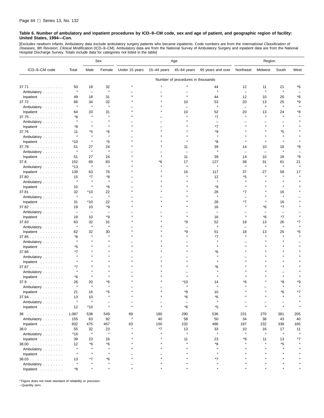[Excludes newborn infants. Ambulatory data exclude ambulatory surgery patients who became inpatients. Code numbers are from the *International Classification of*<br>*Diseases, 9th Revision, Clinical Modification* (ICD–9–CM). Hospital Discharge Survey. Totals include data for categories not listed in the table]

|                                  |                          |                          | Sex                | Age            |               |                                   | Region                   |                          |               |                    |      |
|----------------------------------|--------------------------|--------------------------|--------------------|----------------|---------------|-----------------------------------|--------------------------|--------------------------|---------------|--------------------|------|
| ICD-9-CM code                    | Total                    | Male                     | Female             | Under 15 years | $15-44$ years | 45-64 years                       | 65 years and over        | Northeast                | Midwest       | South              | West |
|                                  |                          |                          |                    |                |               | Number of procedures in thousands |                          |                          |               |                    |      |
| 37.71                            | 50                       | 18                       | 32                 |                |               |                                   | 44                       | 12                       | 11            | 21                 | *6   |
| Ambulatory                       | $\star$                  | $\overline{\phantom{m}}$ | $\pmb{\ast}$       |                |               |                                   | $\star$                  | $\overline{\phantom{0}}$ | $\star$       | $\star$            |      |
| Inpatient                        | 49                       | 18                       | 31                 |                |               |                                   | 44                       | 12                       | 10            | 20                 | *6   |
| 37.72                            | 66                       | 34                       | 32                 |                |               | 10                                | 53                       | 20                       | 13            | 25                 | *9   |
| Ambulatory                       | $\star$                  | $\star$                  | $\pmb{\ast}$       |                |               |                                   | $\star$                  | L.                       | $\star$       | $\star$            |      |
| Inpatient                        | 64                       | 33                       | 31                 |                |               | 10                                | 52                       | 20                       | 13            | 24                 | *8   |
| 37.75                            | *8                       | $\pmb{\ast}$             |                    |                |               |                                   | *7                       |                          |               |                    |      |
| Ambulatory                       |                          |                          |                    |                |               |                                   |                          |                          |               |                    |      |
| Inpatient                        | *8                       | $\star$                  |                    |                |               |                                   | *7                       |                          |               |                    |      |
| 37.76                            | 11                       | *5                       | *6                 |                |               |                                   | *9                       |                          |               | *5                 |      |
| Ambulatory                       | $\star$                  | $\star$                  | $\star$            |                |               |                                   | $\star$                  |                          |               |                    |      |
| Inpatient                        | *10                      | $\pmb{\ast}$             | *5                 |                |               |                                   | *8                       |                          |               |                    |      |
| 37.78                            | 51                       | 27                       | 24                 |                |               | 11                                | 39                       | 14                       | 10            | 18                 | *9   |
| Ambulatory                       | $\star$                  | $\pmb{\ast}$             | $\pmb{\ast}$       |                |               |                                   | $\star$                  | $\overline{\phantom{0}}$ | ÷             | $\star$            |      |
| Inpatient                        | 51                       | 27                       | 24                 |                |               | 11                                | 39                       | 14                       | 10            | 18                 | *9   |
| $37.8$                           | 152                      | 69<br>$\star$            | 83<br>$\star$      |                | *6            | 17                                | 127<br>$\star$           | 38<br>$\star$            | 31<br>$\star$ | 61<br>$\pmb{\ast}$ | 21   |
| Ambulatory                       | *13                      |                          |                    |                |               |                                   |                          |                          |               |                    |      |
| Inpatient                        | 139                      | 63                       | 76                 |                |               | 16                                | 117                      | 37                       | 27            | 58<br>$\star$      | 17   |
| 37.80                            | 15<br>$\star$            | $*7$<br>$\pmb{\ast}$     | *8<br>$\pmb{\ast}$ |                |               |                                   | 12                       | *5                       |               |                    |      |
| Ambulatory                       |                          | $\star$                  | *6                 |                |               |                                   | *9                       |                          |               |                    |      |
| Inpatient                        | 10<br>32                 | *10                      | 22                 |                |               |                                   | 28                       | *7                       |               | 16                 |      |
| 37.81<br>Ambulatory              | $\star$                  | $\qquad \qquad -$        | $\star$            |                |               |                                   | $\star$                  |                          |               | $\star$            |      |
| Inpatient                        | 31                       | *10                      | 22                 |                |               |                                   | 28                       | *7                       |               | 16                 |      |
| 37.82                            | 19                       | 10                       | *9                 |                |               |                                   | 16                       | $\star$                  | *6            | *7                 |      |
| Ambulatory                       | $\overline{\phantom{a}}$ | $\qquad \qquad -$        | L,                 |                |               |                                   | $\overline{\phantom{0}}$ |                          |               | L.                 |      |
| Inpatient                        | 19                       | 10                       | *9                 |                |               |                                   | 16                       |                          | *6            | *7                 |      |
| 37.83                            | 63                       | 32                       | 31                 |                |               | *9                                | 52                       | 18                       | 13            | 26                 | *7   |
| Ambulatory                       | $\star$                  | ×                        | $\star$            |                |               |                                   | $\star$                  | $\overline{\phantom{0}}$ | $\star$       | $\star$            |      |
| Inpatient                        | 62                       | 32                       | 30                 |                |               | *9                                | 51                       | 18                       | 13            | 25                 | *6   |
| 37.85                            | *8                       | $\star$                  |                    |                |               |                                   | *7                       |                          |               | $\star$            |      |
| Ambulatory                       |                          |                          |                    |                |               |                                   |                          |                          |               |                    |      |
| Inpatient                        | *5                       |                          |                    |                |               |                                   |                          |                          |               |                    |      |
| $37.86$                          | *7                       |                          |                    |                |               |                                   | *6                       |                          |               |                    |      |
| Ambulatory                       |                          |                          |                    |                |               |                                   |                          |                          |               |                    |      |
| Inpatient                        |                          |                          |                    |                |               |                                   |                          |                          |               |                    |      |
| 37.87                            | *7                       |                          |                    |                |               |                                   | *6                       |                          |               |                    |      |
| Ambulatory                       | *6                       |                          |                    |                |               |                                   |                          |                          |               |                    |      |
| Inpatient<br>37.9                | 26                       | 20                       | *6                 |                |               | *10                               | 14                       | 6'                       |               | *8                 | *9   |
| Ambulatory                       |                          | 大                        |                    |                |               |                                   |                          |                          |               |                    |      |
| Inpatient                        | 21                       | 16                       | *5                 |                |               | *9                                | 10                       |                          |               | *6                 | $*7$ |
| $37.94$                          | 13                       | 10                       |                    |                |               | *6                                | *6                       |                          |               |                    |      |
| Ambulatory                       | $\star$                  | $\star$                  |                    |                |               | $\equiv$                          | $\star$                  |                          |               |                    |      |
| Inpatient                        | 12                       | *10                      | $\star$            |                |               | $*6$                              | *5                       | $\star$                  |               |                    |      |
| 38                               | 1,087                    | 538                      | 549                | 69             | 190           | 290                               | 536                      | 231                      | 270           | 381                | 205  |
| Ambulatory                       | 155                      | 63                       | 92                 | $\star$        | 40            | 58                                | 50                       | 34                       | 38            | 43                 | 40   |
| Inpatient                        | 932                      | 475                      | 457                | 63             | 150           | 232                               | 486                      | 197                      | 232           | 338                | 165  |
| 38.0                             | 55                       | 32                       | 23                 |                | *7            | 13                                | 33                       | 10                       | 16            | 17                 | 11   |
| Ambulatory                       | *16                      | $\star$                  | $\pmb{\ast}$       |                |               | $\star$                           | $\star$                  | $\star$                  | $\star$       | $\star$            |      |
| Inpatient                        | 39                       | 23                       | 16                 |                |               | 11                                | 23                       | *8                       | 11            | 13                 | *7   |
| $38.00$                          | 12                       | *6                       | *6                 |                |               |                                   | *8                       |                          |               | *5                 |      |
| Ambulatory                       | $\star$                  | $\star$                  | $\star$            |                |               |                                   | $\star$                  |                          |               | $\star$            |      |
| Inpatient $\ldots \ldots \ldots$ | $\star$                  | $\star$                  | $\star$            |                |               |                                   | $\star$                  |                          |               |                    |      |
| 38.03                            | 13                       | *7                       | *6                 |                |               |                                   | *7                       |                          |               |                    |      |
| Ambulatory                       | $\star$                  |                          | $\star$            |                |               |                                   |                          |                          |               |                    |      |
| Inpatient                        | *8                       |                          |                    |                |               |                                   |                          |                          |               |                    |      |

\* Figure does not meet standard of reliability or precision.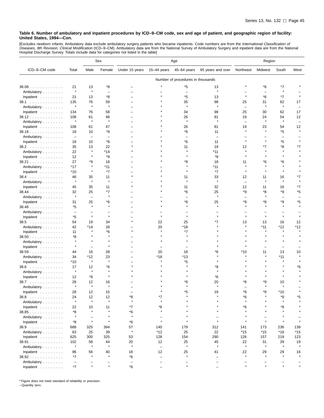[Excludes newborn infants. Ambulatory data exclude ambulatory surgery patients who became inpatients. Code numbers are from the *International Classification of*<br>*Diseases, 9th Revision, Clinical Modification* (ICD–9–CM).

|               |                          |                          | Sex                      | Age                      |                          |                                     | Region            |                          |                          |                          |               |
|---------------|--------------------------|--------------------------|--------------------------|--------------------------|--------------------------|-------------------------------------|-------------------|--------------------------|--------------------------|--------------------------|---------------|
| ICD-9-CM code | Total                    | Male                     | Female                   | Under 15 years           | $15-44$ years            | 45-64 years                         | 65 years and over | Northeast                | Midwest                  | South                    | West          |
|               |                          |                          |                          |                          |                          | Number of procedures in thousands   |                   |                          |                          |                          |               |
| 38.08         | 21                       | 13                       | *8                       |                          |                          | *5                                  | 13                |                          | *6                       | *7                       |               |
| Ambulatory    | $\star$                  | $\star$                  | $\overline{\phantom{0}}$ |                          |                          | $\overline{\phantom{0}}$            | $\star$           |                          | $\overline{\phantom{m}}$ | $\star$                  |               |
| Inpatient     | 21                       | 13                       | *8                       |                          |                          | *5                                  | 13                | $\star$                  | *6                       | $*7$                     |               |
| 38.1          | 135                      | 76                       | 59                       |                          |                          | 35                                  | 98                | 25                       | 31                       | 62                       | 17            |
| Ambulatory    | $\star$                  | $\star$                  | $\star$                  |                          |                          | $\star$                             | $\star$           | $\overline{\phantom{0}}$ | $\star$                  | $\pmb{\ast}$             |               |
| Inpatient     | 134                      | 76                       | 58                       |                          |                          | 34                                  | 98                | 25                       | 30                       | 62                       | 17            |
| 38.12         | 108                      | 61                       | 48                       |                          |                          | 26                                  | 81                | 19                       | 24                       | 54                       | 12            |
| Ambulatory    |                          | $\pmb{\ast}$             | $\star$                  |                          |                          | À                                   |                   | $\overline{\phantom{0}}$ | $\star$                  |                          |               |
| Inpatient     | 108                      | 61                       | 47                       |                          |                          | 26                                  | 81                | 19                       | 23                       | 54                       | 12            |
| 38.18         | 18                       | 10                       | *8                       |                          |                          | *6                                  | 11                |                          |                          | *5                       |               |
| Ambulatory    | $\overline{\phantom{m}}$ | $\overline{\phantom{0}}$ | $\overline{\phantom{0}}$ |                          |                          |                                     |                   |                          |                          | $\overline{\phantom{0}}$ |               |
| Inpatient     | 18                       | 10                       | *8                       |                          |                          | *6                                  | 11                | $\star$                  |                          | *5                       |               |
| 38.2          | 35                       | 13                       | 22                       |                          |                          | 11                                  | 19                | 12                       | *7                       | *8                       | *7            |
| Ambulatory    | 22                       | $\star$                  | $*14$                    |                          |                          | $\star$                             | *11               |                          |                          |                          |               |
| Inpatient     | 12                       | ×                        | *8                       |                          |                          | $\star$                             | *8                |                          |                          |                          |               |
| 38.21         | 27                       | *9                       | 18                       |                          |                          | *8                                  | 18                | 11                       | *6                       | *6                       |               |
| Ambulatory    | *17                      | $\star$                  | $*11$                    |                          |                          |                                     | *11               |                          |                          |                          |               |
| Inpatient     | $*10$                    | $\star$                  | $*7$                     |                          |                          |                                     | *7                | $\star$                  |                          |                          |               |
| $38.4$        | 46                       | 35                       | 11                       | $\star$                  |                          | 11                                  | 33                | 12                       | 11                       | 16                       | *7            |
| Ambulatory    | $\star$                  | $\star$                  | $\star$                  |                          |                          |                                     |                   | $\overline{\phantom{0}}$ | $\star$                  |                          |               |
| Inpatient     | 45                       | 35                       | 11                       |                          |                          | 11                                  | 32                | 12                       | 11                       | 16                       | *7            |
| $38.44$       | 32                       | 25                       | *7                       |                          |                          | *6                                  | 25                | *9                       | *8                       | *9                       | *5            |
| Ambulatory    | $\star$                  | $\qquad \qquad -$        | $\pmb{\ast}$             |                          |                          | $\equiv$                            | $\star$           | $\overline{\phantom{0}}$ |                          | Ē,                       |               |
| Inpatient     | 31                       | 25                       | *6                       |                          |                          | *6                                  | 25                | *9                       | *8                       | *9                       | *5            |
| 38.48         | *5                       | $\star$                  | $\star$                  |                          |                          | $\star$                             | ۸                 | $\star$                  |                          | $\star$                  |               |
| Ambulatory    | $\overline{\phantom{0}}$ |                          |                          |                          |                          |                                     |                   |                          |                          |                          |               |
| Inpatient     | *5                       | $\star$                  | $\star$                  |                          |                          |                                     |                   |                          |                          |                          |               |
| 38.5          | 54                       | 19                       | 34                       | $\star$                  | 22                       | 25                                  | *7                | 13                       | 13                       | 16                       | 12            |
| Ambulatory    | 42                       | *14                      | 28                       |                          | 20                       | *18                                 |                   |                          | *11                      | *12                      | *12           |
| Inpatient     | 11                       | $\star$                  | *6                       |                          |                          | *7                                  |                   |                          |                          | $\star$                  |               |
| $38.50$       | *8                       | 大                        |                          |                          |                          | $\star$                             |                   |                          |                          |                          |               |
| Ambulatory    |                          | $\pmb{\ast}$             |                          |                          |                          |                                     |                   |                          |                          |                          |               |
| Inpatient     | $\star$                  | $\overline{\phantom{0}}$ | $\pmb{\ast}$             |                          |                          |                                     |                   |                          |                          | $\overline{\phantom{0}}$ |               |
| 38.59         | 44                       | 16                       | 28                       |                          | 20                       | 18                                  | *6                | *10                      | 11                       | 13                       | 10            |
| Ambulatory    | 34                       | *12                      | 23                       |                          | *18                      | *13                                 |                   |                          |                          | *11                      |               |
| Inpatient     | $*10$                    | $\star$                  | $\star$                  |                          |                          | *5                                  |                   |                          |                          | $\star$                  |               |
| $38.6$        | 17                       | 12                       | *6                       |                          |                          |                                     | *8                |                          |                          |                          | *6            |
| Ambulatory    | $\star$                  | $\star$                  | $\pmb{\ast}$             |                          |                          |                                     |                   |                          |                          |                          |               |
| Inpatient     | 12                       | *8                       | $\star$                  |                          |                          |                                     | *6                |                          |                          |                          |               |
| 38.7          | 28                       | 12                       | 16                       |                          |                          | *6                                  | 20                | *8                       | *9                       | 10                       |               |
| Ambulatory    | $\ast$                   | $\star$                  |                          |                          |                          |                                     |                   |                          |                          |                          |               |
| Inpatient     | 28                       | 12                       | 15                       |                          |                          | *5                                  | 19                | *8                       | *9                       | $*10$                    |               |
| 38.8<br>.     | 24                       | 12                       | 12                       | *8                       | *7                       |                                     |                   | *6                       |                          | *9                       | *5            |
| Ambulatory    | $\star$                  | $\star$                  | $\star$                  | $\star$                  | $\star$                  |                                     |                   | $\star$                  |                          | $\star$                  |               |
| Inpatient     | 22                       | 10                       | 11                       | $*7$                     | *6                       |                                     |                   | *6                       |                          | *8                       |               |
| 38.85         | *8                       | $\star$                  |                          | *6                       |                          |                                     |                   |                          |                          |                          |               |
| Ambulatory    | $\star$                  | L.                       | $\pmb{\ast}$             | $\star$                  |                          |                                     |                   |                          |                          |                          |               |
|               | *8                       | $\star$                  | $\pmb{\ast}$             | *6                       | $\star$                  |                                     |                   |                          |                          |                          |               |
| Inpatient     |                          |                          |                          |                          |                          |                                     |                   |                          |                          |                          |               |
| 38.9          | 688                      | 325                      | 364                      | 57<br>$\star$            | 140                      | 179                                 | 312               | 141                      | 173                      | 236                      | 138           |
| Ambulatory    | 63                       | 25                       | 39                       |                          | *12                      | 25                                  | 22                | $*15$                    | $*15$                    | *18                      | $*15$         |
| Inpatient     | 625                      | 300                      | 325                      | 53                       | 128                      | 154                                 | 290               | 126                      | 157                      | 219                      | 123           |
| 38.91         | 102<br>$\star$           | 58<br>$\star$            | 44<br>$\star$            | 20<br>$\star$            | 12                       | 25<br>$\star$                       | 45<br>$\star$     | 22<br>$\star$            | 31<br>$\star$            | 29<br>$\star$            | 19<br>$\star$ |
| Ambulatory    |                          |                          |                          |                          | $\overline{\phantom{m}}$ |                                     |                   |                          |                          |                          |               |
| Inpatient     | 96                       | 56<br>$\star$            | 40<br>$\star$            | 18                       | 12                       | 25<br>$\star$                       | 41                | 22<br>$\star$            | 29                       | 29                       | 16            |
| 38.92         | *7                       |                          |                          | *6                       | $\overline{\phantom{m}}$ |                                     |                   |                          |                          |                          |               |
| Ambulatory    | $\overline{\phantom{a}}$ | $\star$                  | $\star$                  | $\overline{\phantom{m}}$ | $\overline{\phantom{0}}$ | $\overline{\phantom{0}}$<br>$\star$ |                   | $\star$                  |                          |                          | $\star$       |
| Inpatient     | $^{\star}7$              |                          |                          | *6                       |                          |                                     |                   |                          |                          |                          |               |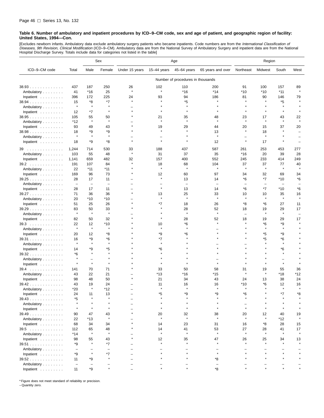[Excludes newborn infants. Ambulatory data exclude ambulatory surgery patients who became inpatients. Code numbers are from the *International Classification of*<br>*Diseases, 9th Revision, Clinical Modification* (ICD–9–CM). Hospital Discharge Survey. Totals include data for categories not listed in the table]

|                                  |                          |                          | Sex                      | Age            |               |                                   | Region                   |                          |               |                          |                    |
|----------------------------------|--------------------------|--------------------------|--------------------------|----------------|---------------|-----------------------------------|--------------------------|--------------------------|---------------|--------------------------|--------------------|
| ICD-9-CM code                    | Total                    | Male                     | Female                   | Under 15 years | $15-44$ years | 45-64 years                       | 65 years and over        | Northeast                | Midwest       | South                    | West               |
|                                  |                          |                          |                          |                |               | Number of procedures in thousands |                          |                          |               |                          |                    |
| $38.93$                          | 437                      | 187                      | 250                      | 26             | 102           | 110                               | 200                      | 91                       | 100           | 157                      | 89                 |
| Ambulatory                       | 41                       | $*16$                    | 25                       | $\star$        | $\star$       | $*16$                             | $*14$                    | *10                      | *10           | $*11$                    | $\star$            |
| Inpatient                        | 396                      | 172                      | 225                      | 24             | 93            | 94                                | 186                      | 81                       | 90            | 146                      | 79                 |
| $38.94$                          | 15                       | *8                       | *7                       | $\star$        |               | *5                                | $\star$                  |                          | $\star$       | *5                       |                    |
| Ambulatory                       | $\star$                  | $\star$                  | $\star$                  |                |               |                                   |                          | $\star$                  |               | $\star$                  |                    |
| Inpatient                        | 12                       | *7                       | $\pmb{\ast}$             |                |               |                                   |                          | $\star$                  | $\star$       | $\star$                  |                    |
| 38.95                            | 105                      | 55                       | 50                       |                | 21            | 35                                | 48                       | 23                       | 17            | 43                       | 22                 |
| Ambulatory                       | *12                      | $\star$                  | $\star$                  |                |               |                                   |                          | À                        | $\star$       |                          |                    |
| Inpatient                        | 93                       | 49                       | 43                       |                | 19            | 29                                | 44                       | 20                       | 15            | 37                       | 20                 |
| 38.98                            | 18                       | *9                       | *9                       |                |               |                                   | 13                       | $\star$                  | 18            |                          |                    |
| Ambulatory                       | $\star$                  | $\star$                  | $\star$                  |                |               |                                   | $\star$                  |                          | $\star$       |                          |                    |
| Inpatient                        | 18                       | *9                       | *8                       |                |               |                                   | 12                       | $\pmb{\ast}$             | 17            |                          |                    |
|                                  |                          |                          |                          |                |               |                                   |                          |                          |               |                          |                    |
| 39                               | 1,244                    | 714                      | 530                      | 33<br>$\star$  | 188           | 437                               | 587                      | 261                      | 253           | 453                      | 277                |
| Ambulatory                       | 103                      | 55                       | 48                       |                | 31            | 37                                | 35                       | $*16$                    | 20            | 39                       | 28                 |
| Inpatient                        | 1,141                    | 659                      | 482                      | 32<br>$\star$  | 157           | 400                               | 552                      | 245                      | 233           | 414                      | 249                |
| 39.2                             | 191<br>22                | 107<br>$*11$             | 84<br>*11                |                | 18<br>$\star$ | 68<br>$\star$                     | 104<br>$\star$           | 37<br>$\star$            | 37<br>$\star$ | 77<br>$\pmb{\ast}$       | 40<br>$\star$      |
| Ambulatory                       |                          |                          |                          |                |               |                                   |                          |                          |               |                          |                    |
| Inpatient                        | 169                      | 96                       | 73                       |                | 12            | 60                                | 97                       | 34                       | 32            | 69                       | 34                 |
| 39.25                            | 28                       | 17                       | 11                       |                |               | 13                                | 14                       | *6                       | *7            | *10                      | *6                 |
| Ambulatory                       | $\overline{\phantom{a}}$ | $\qquad \qquad -$        | $\overline{\phantom{a}}$ |                | $\star$       | $\overline{\phantom{0}}$          | $\overline{\phantom{0}}$ | $\overline{\phantom{0}}$ | ÷             | $\overline{\phantom{0}}$ |                    |
| Inpatient                        | 28                       | 17                       | 11                       |                |               | 13                                | 14                       | *6                       | $*7$          | *10                      | *6                 |
| 39.27                            | 71                       | 36                       | 36                       |                | 13<br>$\star$ | 25<br>$\star$                     | 33<br>$\star$            | 10<br>$\star$            | 10<br>$\star$ | 35<br>$\star$            | 16<br>$\pmb{\ast}$ |
| Ambulatory                       | 20                       | $*10$                    | *10                      |                |               |                                   |                          |                          |               |                          |                    |
| Inpatient                        | 51                       | 25                       | 26                       |                | *7            | 18                                | 26                       | *8                       | *6            | 27                       | 11                 |
| 39.29                            | 83<br>$\star$            | 50<br>$\star$            | 33<br>$\pmb{\ast}$       |                |               | 28<br>$\star$                     | 52<br>$\star$            | 18                       | 19<br>$\star$ | 29<br>$\pmb{\ast}$       | 17                 |
| Ambulatory                       |                          |                          |                          |                |               |                                   |                          | $\equiv$                 |               |                          |                    |
| Inpatient                        | 82                       | 50                       | 32                       |                |               | 28                                | 52                       | 18                       | 19            | 29                       | 17                 |
| $39.3$                           | 22<br>$\star$            | 12<br>$\star$            | $*10$<br>$\star$         |                | 10<br>$\star$ | *6<br>$\star$                     |                          |                          | *6<br>$\star$ | *9<br>$\star$            |                    |
| Ambulatory                       |                          |                          |                          |                |               |                                   |                          |                          |               |                          |                    |
| Inpatient                        | 20                       | 12                       | *8                       |                | *9            | *6                                |                          |                          | *5            | *9                       |                    |
| 39.31                            | 16<br>$\star$            | *9<br>$\star$            | *6<br>$\star$            |                | *7<br>$\star$ |                                   |                          |                          | *5            | *6<br>$\star$            |                    |
| Ambulatory                       |                          |                          |                          |                |               |                                   |                          |                          |               |                          |                    |
| Inpatient                        | 14                       | *9<br>$\star$            | *5                       |                | *6            |                                   |                          |                          |               | *6                       |                    |
| 39.32                            | *6<br>$\star$            |                          |                          |                |               |                                   |                          |                          |               |                          |                    |
| Ambulatory                       |                          | ÷<br>$\star$             |                          |                |               |                                   |                          |                          |               | $\star$                  |                    |
| Inpatient                        |                          |                          |                          |                |               |                                   |                          |                          |               |                          |                    |
| $39.4$                           | 141                      | 70                       | 71                       |                | 33            | 50                                | 58                       | 31<br>$\star$            | 19<br>$\star$ | 55                       | 36                 |
| Ambulatory                       | 43                       | 22                       | 21                       |                | *13           | *16                               | *15                      |                          |               | *18                      | *12                |
| Inpatient                        | 98                       | 48                       | 50                       |                | 21            | 34                                | 43                       | 24                       | 13            | 38                       | 24                 |
| 39.42                            | 43                       | 19<br>$\star$            | 24                       |                | 11            | 16                                | 16<br>$\star$            | *10                      | *6            | 12<br>$\star$            | 16<br>$\pmb{\ast}$ |
| Ambulatory                       | *20                      |                          | *12                      |                |               |                                   |                          |                          |               |                          |                    |
| Inpatient                        | 24                       | 11                       | 13                       |                | *5            | ∗q                                | *Q                       | *ᠷ                       |               | $*7$                     | *Ջ                 |
| 39.43                            | *5                       |                          |                          |                |               |                                   |                          |                          |               |                          |                    |
| Ambulatory                       |                          |                          |                          |                |               |                                   |                          |                          |               |                          |                    |
| Inpatient $\ldots \ldots \ldots$ |                          |                          |                          |                |               |                                   |                          |                          |               |                          |                    |
| $39.49$                          | 90                       | 47                       | 43                       |                | 20            | 32<br>$\star$                     | 38<br>$\star$            | 20                       | 12            | 40                       | 19                 |
| Ambulatory                       | 22                       | *13                      | $\star$                  |                | $\star$       |                                   |                          | $\star$                  | $\star$       | *12                      |                    |
| Inpatient                        | 68                       | 34                       | 34                       |                | 14            | 23                                | 31                       | 16                       | *8            | 28                       | 15                 |
| $39.5$                           | 112                      | 65                       | 48                       |                | 14            | 41                                | 53<br>$\star$            | 27                       | 28            | 41                       | 17                 |
| Ambulatory                       | *14                      | $\star$                  | $\star$                  |                |               |                                   |                          | $\star$                  | $\star$       |                          |                    |
| Inpatient                        | 98                       | 55                       | 43                       |                | 12            | 35                                | 47                       | 26                       | 25            | 34                       | 13                 |
| 39.51                            | *9                       | $\star$                  | $*7$                     |                |               |                                   |                          |                          |               |                          |                    |
| Ambulatory                       | $\overline{\phantom{0}}$ |                          | $\overline{\phantom{0}}$ |                |               |                                   |                          |                          |               |                          |                    |
| Inpatient                        | *9                       | $\star$                  | *7                       |                |               |                                   | $\star$                  |                          |               |                          |                    |
| 39.52                            | 11                       | *9                       |                          |                |               |                                   | *8                       |                          |               |                          |                    |
| Ambulatory                       | $\overline{\phantom{m}}$ | $\overline{\phantom{0}}$ |                          |                |               |                                   |                          |                          |               |                          |                    |
| Inpatient                        | 11                       | *9                       |                          |                |               |                                   | *8                       |                          |               |                          |                    |

\* Figure does not meet standard of reliability or precision.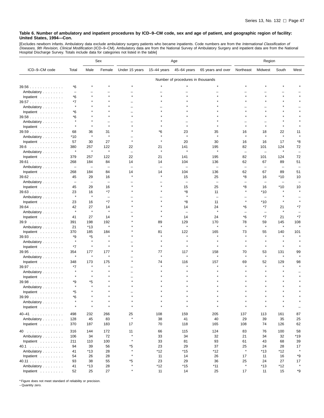[Excludes newborn infants. Ambulatory data exclude ambulatory surgery patients who became inpatients. Code numbers are from the *International Classification of*<br>*Diseases, 9th Revision, Clinical Modification* (ICD–9–CM).

|                                  |                          |                          | Sex<br>Age               |                |                          | Region                            |                          |                                |                                |                          |          |
|----------------------------------|--------------------------|--------------------------|--------------------------|----------------|--------------------------|-----------------------------------|--------------------------|--------------------------------|--------------------------------|--------------------------|----------|
| ICD-9-CM code                    | Total                    | Male                     | Female                   | Under 15 years | 15–44 years              | 45-64 years                       | 65 years and over        | Northeast                      | Midwest                        | South                    | West     |
|                                  |                          |                          |                          |                |                          | Number of procedures in thousands |                          |                                |                                |                          |          |
| $39.56$                          | *6                       |                          |                          |                |                          |                                   |                          |                                |                                |                          |          |
| Ambulatory                       | $\overline{\phantom{0}}$ |                          |                          |                |                          |                                   |                          |                                |                                |                          |          |
| Inpatient                        | *6                       |                          |                          |                |                          |                                   |                          |                                |                                |                          |          |
| 39.57                            | *7                       |                          |                          |                |                          |                                   |                          |                                |                                |                          |          |
| Ambulatory                       | $\star$                  |                          |                          |                |                          |                                   |                          |                                |                                |                          |          |
| Inpatient                        | *6                       |                          |                          |                |                          |                                   |                          |                                |                                |                          |          |
| 39.58                            | *6                       |                          |                          |                |                          |                                   |                          |                                |                                |                          |          |
| Ambulatory                       | $\star$                  |                          |                          |                |                          |                                   |                          |                                |                                |                          |          |
| Inpatient                        | $\star$                  |                          |                          |                |                          |                                   |                          |                                |                                |                          |          |
| $39.59$                          | 68                       | 36                       | 31                       |                | *6                       | 23                                | 35                       | 16                             | 18                             | 22                       | 11       |
| Ambulatory                       | *10                      | $\star$                  | $\star$                  |                |                          | $\star$                           | $\bullet$                | $\star$                        | $\star$                        | $\pmb{\ast}$             |          |
| Inpatient                        | 57                       | 30                       | 27                       |                |                          | 20                                | 30                       | 16                             | 16                             | 17                       | *8       |
| 39.6                             | 380                      | 257                      | 122                      | 22             | 21                       | 141                               | 195                      | 82                             | 101                            | 124                      | 72       |
| Ambulatory                       | $\star$                  | $\star$                  | $\star$                  | ۰              | $\star$                  | $\star$                           | $\star$                  | $\overline{\phantom{0}}$       | ۳                              | $\pmb{\ast}$             |          |
| Inpatient                        | 379                      | 257                      | 122                      | 22             | 21                       | 141                               | 195                      | 82                             | 101                            | 124                      | 72       |
| $39.61$                          | 268                      | 184                      | 84                       | 14             | 14                       | 104                               | 136                      | 62                             | 67                             | 89                       | 51       |
| Ambulatory                       | $\overline{\phantom{m}}$ | ۳                        | $\overline{\phantom{0}}$ | ۳              | $\overline{\phantom{0}}$ | $\overline{\phantom{0}}$          | $\overline{\phantom{0}}$ | $\overline{\phantom{0}}$       | ۳                              | $\overline{\phantom{0}}$ |          |
| Inpatient                        | 268                      | 184                      | 84                       | 14             | 14                       | 104                               | 136                      | 62                             | 67                             | 89                       | 51       |
| $39.62$                          | 45                       | 29                       | 16                       |                |                          | 15                                | 25                       | *8                             | 16                             | *10                      | 10       |
| Ambulatory                       | $\overline{\phantom{a}}$ | $\overline{\phantom{0}}$ | $\overline{\phantom{a}}$ |                |                          |                                   |                          | -                              | $\overline{\phantom{a}}$       | $\overline{\phantom{0}}$ |          |
| Inpatient                        | 45                       | 29                       | 16                       |                |                          | 15                                | 25                       | *8<br>$\star$                  | 16                             | *10                      | 10       |
| 39.63                            | 23<br>$\star$            | 16<br>$\star$            | *7                       |                |                          | *8<br>$\star$                     | 11                       |                                | $*10$                          |                          |          |
| Ambulatory                       |                          |                          | L.                       |                |                          |                                   | $\equiv$                 | $\star$                        | $\overline{\phantom{0}}$       |                          |          |
| Inpatient                        | 23                       | 16                       | $*7$                     |                |                          | *8                                | 11                       |                                | $*10$                          |                          | *7       |
| $39.64$                          | 42<br>$\star$            | 27<br>$\star$            | 14<br>$\star$            |                |                          | 14<br>$\equiv$                    | 24<br>$\star$            | *6<br>$\overline{\phantom{0}}$ | *7<br>$\overline{\phantom{m}}$ | 21<br>$\pmb{\ast}$       |          |
| Ambulatory                       |                          | 27                       | 14                       |                |                          | 14                                | 24                       | *6                             | $*7$                           | 21                       | *7       |
| Inpatient                        | 41                       |                          |                          |                |                          | 129                               | 170                      | 78                             | 59                             |                          |          |
| 39.9<br>Ambulatory               | 391<br>21                | 198<br>$*13$             | 192<br>$\star$           |                | 89<br>$\star$            | $\star$                           | $\star$                  | $\star$                        | $\star$                        | 145<br>$\star$           | 108      |
| Inpatient                        | 370                      | 185                      | 184                      |                | 81                       | 122                               | 165                      | 73                             | 55                             | 140                      | 101      |
| 39.93                            | *9                       | *5                       |                          |                |                          |                                   |                          |                                |                                |                          |          |
| Ambulatory                       | $\star$                  | $\star$                  |                          |                |                          |                                   |                          |                                |                                |                          |          |
| Inpatient                        | *7                       | $\star$                  | $\star$                  |                |                          |                                   |                          | $\star$                        | $\star$                        | $\star$                  |          |
| $39.95$                          | 354                      | 177                      | 177                      |                | 77                       | 117                               | 158                      | 70                             | 53                             | 131                      | 99       |
| Ambulatory                       | $\star$                  | $\star$                  | $\star$                  |                | $\star$                  | $\star$                           | $\star$                  | $\star$                        | $\star$                        | $\star$                  |          |
| Inpatient                        | 348                      | 173                      | 175                      |                | 74                       | 116                               | 157                      | 69                             | 52                             | 129                      | 98       |
| 39.97                            | *7                       |                          |                          |                |                          |                                   |                          |                                |                                |                          |          |
| Ambulatory                       | $\star$                  |                          |                          |                |                          |                                   |                          |                                |                                |                          |          |
| Inpatient                        |                          | $\star$                  |                          |                |                          |                                   |                          |                                |                                |                          |          |
| $39.98$                          | *9                       | *5                       |                          |                |                          |                                   |                          |                                |                                |                          |          |
| Ambulatory                       |                          |                          |                          |                |                          |                                   |                          |                                |                                |                          |          |
| Inpatient $\ldots \ldots \ldots$ | *5                       |                          |                          |                |                          |                                   |                          |                                |                                |                          |          |
| 39.99                            | *6                       |                          |                          |                |                          |                                   |                          |                                |                                |                          |          |
| Ambulatory                       | $\star$                  |                          | $\star$                  | $\star$        |                          |                                   | $\star$                  |                                |                                |                          |          |
| Inpatient                        | $\star$                  | $\star$                  | $\star$                  | $\star$        | $\star$                  | $\star$                           | $\star$                  | $\star$                        | $\star$                        | $\star$                  |          |
| $40 - 41$                        | 498                      | 232                      | 266                      | 25             | 108                      | 159                               | 205                      | 137                            | 113                            | 161                      | 87       |
| Ambulatory                       | 128                      | 45                       | 83                       | $\star$        | 38                       | 41                                | 40                       | 29                             | 39                             | 35                       | 25       |
| Inpatient                        | 370                      | 187                      | 183                      | 17             | 70                       | 118                               | 165                      | 108                            | 74                             | 126                      | 62       |
|                                  |                          |                          |                          |                |                          |                                   |                          |                                |                                |                          |          |
| 40                               | 316                      | 144                      | 172                      | 11<br>$\star$  | 66                       | 115                               | 124<br>32                | 83                             | 76                             | 100                      | 58       |
| Ambulatory                       | 106<br>211               | 34                       | 72<br>100                | $\star$        | 33<br>33                 | 34<br>81                          | 93                       | 21<br>61                       | 34<br>43                       | 32<br>68                 | *19      |
| Inpatient<br>40.1                | 94                       | 110<br>39                | 56                       | *5             | 23                       | 29                                | 37                       | 25                             | 24                             | 28                       | 39<br>17 |
| Ambulatory                       | 41                       | *13                      | 28                       | $\star$        | $*12$                    | *15                               | *12                      | $\star$                        | *13                            | *12                      | $\star$  |
| Inpatient                        | 54                       | 26                       | 28                       | $\star$        | 11                       | 14                                | 26                       | 17                             | 11                             | 16                       | *9       |
| 40.11                            | 93                       | 38                       | 55                       | *5             | 23                       | 29                                | 36                       | 25                             | 24                             | 27                       | 17       |
| Ambulatory                       | 41                       | *13                      | 28                       | $\star$        | $*12$                    | $*15$                             | $*11$                    | $\star$                        | $*13$                          | *12                      | $\star$  |
| Inpatient                        | 52                       | 25                       | 27                       | $\star$        | 11                       | 14                                | 25                       | 17                             | 11                             | 15                       | *9       |

\* Figure does not meet standard of reliability or precision.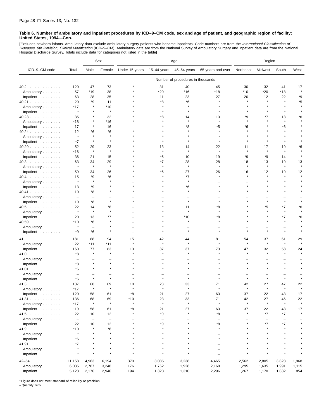[Excludes newborn infants. Ambulatory data exclude ambulatory surgery patients who became inpatients. Code numbers are from the *International Classification of*<br>*Diseases, 9th Revision, Clinical Modification* (ICD–9–CM). Hospital Discharge Survey. Totals include data for categories not listed in the table]

|                      |                          |                          | Sex                      | Age            |                   |                                   | Region                   |           |                          |                   |                |
|----------------------|--------------------------|--------------------------|--------------------------|----------------|-------------------|-----------------------------------|--------------------------|-----------|--------------------------|-------------------|----------------|
| ICD-9-CM code        | Total                    | Male                     | Female                   | Under 15 years | 15-44 years       | 45-64 years                       | 65 years and over        | Northeast | Midwest                  | South             | West           |
|                      |                          |                          |                          |                |                   | Number of procedures in thousands |                          |           |                          |                   |                |
| 40.2                 | 120                      | 47                       | 73                       |                | 31                | 40                                | 45                       | 30        | 32                       | 41                | 17             |
| Ambulatory           | 57                       | *19                      | 38                       |                | $*20$             | $*16$                             | $*18$                    | $*10$     | $*20$                    | *18               |                |
| Inpatient            | 63                       | 28                       | 35                       |                | 11                | 23                                | 27                       | 20        | 12                       | 22                | *9             |
| 40.21                | 20                       | *9                       | 11                       |                | *8                | *6                                |                          |           | $\star$                  |                   | *5             |
| Ambulatory           | *17                      |                          | $*10$                    |                |                   |                                   |                          |           |                          |                   |                |
| Inpatient $\ldots$ , | $\star$                  |                          | $\star$                  |                |                   |                                   |                          |           |                          |                   |                |
| 40.23                | 35                       |                          | 32                       |                | *8                | 14                                | 13                       | *9        | *7                       | 13                | ۴6             |
| Ambulatory           | *18                      |                          | *16                      |                |                   |                                   |                          |           |                          | $\star$           |                |
| Inpatient $\ldots$ , | 17                       |                          | 16                       |                |                   | *8                                | *5                       | *6        |                          | *6                |                |
| 40.24                | 12                       | *6                       | *6                       |                |                   |                                   |                          |           |                          |                   |                |
| Ambulatory           | $\star$                  |                          | $\star$                  |                |                   |                                   |                          |           |                          |                   |                |
| Inpatient            | $*7$                     |                          | $\star$                  |                |                   |                                   |                          |           |                          |                   |                |
| 40.29                | 52                       | 29                       | 23                       |                | 13                | 14                                | 22                       | 11        | 17                       | 19                | ۴6             |
| Ambulatory           | *16                      | $\pmb{\ast}$             | $\star$                  |                |                   |                                   | $\star$                  |           | $\star$                  | $\star$           |                |
| Inpatient            | 36                       | 21                       | 15                       |                | *6                | 10                                | 19                       | *9        | *9                       | 14                |                |
| $40.3$               | 63<br>$\star$            | 34<br>$\star$            | 29                       |                | *7                | 28<br>$\star$                     | 28                       | 18        | 13<br>$\star$            | 19                | 13             |
| Ambulatory           |                          |                          | $\star$                  |                |                   |                                   |                          |           |                          |                   |                |
| Inpatient            | 59                       | 34                       | 26                       |                | *6                | 27                                | 26                       | 16        | 12<br>$\star$            | 19<br>$\star$     | 12             |
| 40.4                 | 15<br>$\star$            | *9<br>$\star$            | *6                       |                |                   | *7                                |                          |           |                          |                   |                |
| Ambulatory           |                          | *9                       |                          |                |                   | *6                                |                          |           |                          |                   |                |
| Inpatient<br>40.41   | 13<br>10                 | *8                       |                          |                |                   |                                   |                          |           |                          |                   |                |
| Ambulatory           | $\overline{\phantom{0}}$ | $\overline{\phantom{0}}$ |                          |                |                   |                                   |                          |           |                          |                   |                |
| Inpatient            | 10                       | *8                       | $\star$                  |                |                   |                                   |                          |           | $\star$                  | $\star$           |                |
| $40.5$               | 22                       | 14                       | *8                       |                |                   | 11                                | *8                       |           | *5                       | *7                | *6             |
| Ambulatory           | $\star$                  | $\star$                  | $\star$                  |                |                   | $\star$                           |                          |           | $\star$                  | $\star$           |                |
| Inpatient            | 20                       | 13                       | *7                       |                |                   | *10                               | *8                       |           |                          | *7                | *6             |
| 40.59                | *10                      | *6                       |                          |                |                   |                                   |                          |           |                          | $\star$           |                |
| Ambulatory           | $\star$                  | $\overline{\phantom{0}}$ |                          |                |                   |                                   |                          |           |                          |                   |                |
| Inpatient            | *9                       | $*6$                     |                          |                |                   |                                   |                          |           | $\star$                  | $\star$           |                |
| 41                   | 181                      | 88                       | 94                       | 15             | 42                | 44                                | 81                       | 54        | 37                       | 61                | 29             |
| Ambulatory           | 22                       | $*11$                    | *11                      | $\star$        | $\star$           |                                   |                          |           | $\star$                  | $\star$           |                |
| Inpatient            | 160                      | 77                       | 83                       | 13             | 37                | 37                                | 73                       | 47        | 32                       | 58                | 24             |
| 41.0                 | *8                       |                          | $\star$                  |                |                   |                                   |                          |           | $\star$                  | $\star$           |                |
| Ambulatory           | $\overline{\phantom{a}}$ |                          |                          |                |                   |                                   |                          |           |                          |                   |                |
| Inpatient            | *8                       |                          |                          |                |                   |                                   |                          |           |                          |                   |                |
| 41.01                | *6                       |                          |                          |                |                   |                                   |                          |           |                          |                   |                |
| Ambulatory           | $\overline{\phantom{0}}$ |                          |                          |                |                   |                                   |                          |           |                          |                   |                |
| Inpatient            | *6                       | $\star$                  | $\star$                  |                |                   |                                   |                          |           | $\star$                  | $\star$           |                |
| 41.3                 | 137                      | 68                       | 69                       | 10             | 23                | 33                                | 71                       | 42        | 27                       | 47                | 22             |
| Ambulatory           | *17                      | $\star$                  | $\star$                  |                | $\star$           |                                   |                          |           |                          |                   |                |
| Inpatient            | 120                      | 58                       | 61                       | *8             | 21                | 27                                | 63                       | 37        | 22                       | 43                | 17             |
| 41.31                | 136                      | 68                       | 69                       | *10            | 23                | 33                                | 71                       | 42        | 27                       | 46                | 22             |
| Ambulatory           | $*17$                    | $\pmb{\ast}$             | $\star$                  | $\star$        | $\star$           | $\star$                           | $\star$                  | $\star$   | $\pmb{\ast}$             | $\star$           |                |
| Inpatient            | 119                      | 58                       | 61                       | *8             | 21                | 27                                | 63                       | 37        | 22                       | 43                | 17             |
| 41.5                 | 22                       | 10                       | 12                       | $\star$        | *9                | $\star$                           | *8                       | $\star$   | $*7$                     | $*7$              |                |
| Ambulatory           | $\overline{\phantom{a}}$ | $\qquad \qquad -$        | $\overline{\phantom{a}}$ | $\star$        | $\qquad \qquad -$ |                                   | $\overline{\phantom{0}}$ | $\star$   | $\overline{\phantom{0}}$ | $\qquad \qquad -$ |                |
| Inpatient            | 22<br>*10                | 10<br>$\star$            | 12<br>*6                 |                | *9<br>$\star$     |                                   | *8<br>$\star$            |           | *7<br>$\star$            | *7<br>$\star$     |                |
| 41.9<br>Ambulatory   | $\star$                  |                          | $\star$                  |                |                   |                                   |                          |           |                          | $\star$           |                |
| Inpatient            | *6                       |                          | $\star$                  |                |                   |                                   |                          |           | $\star$                  | $\star$           |                |
| 41.91                | *7                       |                          | $\star$                  | $\star$        |                   |                                   |                          |           | $\star$                  | $\star$           |                |
| Ambulatory           |                          |                          | $\star$                  | $\star$        |                   |                                   |                          |           |                          |                   |                |
| Inpatient            | $\star$                  |                          | $\star$                  | $\star$        |                   |                                   |                          |           |                          |                   |                |
| $42 - 54$            | 11,158                   | 4,963                    | 6,194                    | 370            | 3,085             | 3,238                             | 4,465                    | 2,562     | 2,805                    |                   |                |
| Ambulatory           | 6,035                    | 2,787                    | 3,248                    | 176            | 1,762             | 1,928                             | 2,168                    | 1,295     | 1,635                    | 3,823<br>1,991    | 1,968<br>1,115 |
| Inpatient            | 5,123                    | 2,176                    | 2,946                    | 194            | 1,323             | 1,310                             | 2,296                    | 1,267     | 1,170                    | 1,832             | 854            |

\* Figure does not meet standard of reliability or precision.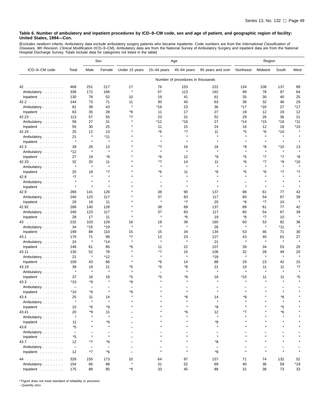[Excludes newborn infants. Ambulatory data exclude ambulatory surgery patients who became inpatients. Code numbers are from the *International Classification of*<br>*Diseases, 9th Revision, Clinical Modification* (ICD–9–CM).

|                         |                          |                          | Sex                      | Age                      |                 |                                   | Region                   |           |         |              |              |
|-------------------------|--------------------------|--------------------------|--------------------------|--------------------------|-----------------|-----------------------------------|--------------------------|-----------|---------|--------------|--------------|
| ICD-9-CM code           | Total                    | Male                     | Female                   | Under 15 years           | $15 - 44$ years | 45-64 years                       | 65 years and over        | Northeast | Midwest | South        | West         |
|                         |                          |                          |                          |                          |                 | Number of procedures in thousands |                          |           |         |              |              |
| 42                      | 468                      | 251                      | 217                      | 17                       | 76              | 153                               | 222                      | 134       | 108     | 137          | 89           |
| Ambulatory              | 338                      | 172                      | 166                      | $\star$                  | 57              | 113                               | 162                      | 99        | 78      | 97           | 64           |
| Inpatient               | 130                      | 78                       | 52                       | 10                       | 19              | 41                                | 61                       | 35        | 30      | 40           | 25           |
| 42.2                    | 144                      | 73                       | 71                       | 11                       | 30              | 40                                | 63                       | 36        | 32      | 46           | 29           |
| Ambulatory              | 81                       | 39                       | 43                       | $\star$                  | *19             | 23                                | 36                       | *17       | $*20$   | 27           | *17          |
| Inpatient               | 63                       | 35                       | 28                       | *8                       | 11              | 17                                | 27                       | 19        | 12      | 19           | 12           |
| 42.23                   | 113                      | 57                       | 55                       | *7                       | 23              | 31                                | 52                       | 29        | 26      | 36           | 21           |
| Ambulatory              | 58                       | 27                       | 31                       |                          | *12             | *16                               | 27                       | *14       | *15     | *18          | *11          |
| Inpatient               | 55                       | 30                       | 25                       |                          | 11              | 15                                | 24                       | 16        | 12      | 18           | *10          |
| 42.24                   | 25                       | 12                       | 13                       |                          | *6              | *7                                | 11                       | *5        | *6      | $*10$        |              |
| Ambulatory              | 21                       | $\star$                  | $*11$                    |                          | $\star$         | $\star$                           | ۸                        | $\star$   |         | $\star$      |              |
| Inpatient $\ldots$ ,    | $\star$                  | $\star$                  | $\star$                  |                          | $\star$         | $\star$                           | $\star$                  | $\star$   |         | $\star$      |              |
| 42.3                    | 39                       | 26                       | 13                       |                          | *7              | 16                                | 16                       | *8        | *8      | *10          | 13           |
| Ambulatory              | *12                      | $\star$                  | $\star$                  |                          | $\star$         | $\star$                           | ٨                        | $\star$   | $\star$ | $\pmb{\ast}$ |              |
| Inpatient $\ldots$ ,    | 27                       | 19                       | *8                       |                          | *6              | 12                                | *9                       | *5        | *7      | *7           | *8           |
| 42.33                   | 32                       | 20                       | 11                       |                          | *7              | 14                                | 11                       | *6        | $*7$    | *9           | *10          |
| Ambulatory              | $\star$                  | $\star$                  | $\star$                  |                          | $\star$         | $\star$                           | $\pmb{\ast}$             | $\star$   | $\star$ | $\star$      | $\star$      |
| Inpatient $\ldots$ ,    | 25                       | 18                       | *7                       |                          | *6              | 11                                | *8                       | *5        | *6      | *7           | *7           |
| 42.8                    | *7                       | $\star$                  | $\star$                  |                          | $\star$         |                                   |                          | $\star$   |         | $\star$      |              |
| Ambulatory              | $\star$                  | $\star$                  |                          |                          |                 |                                   |                          |           |         |              |              |
| Inpatient $\ldots$ ,    | $\star$                  | $\star$                  | $\star$                  |                          | $\star$         |                                   |                          | $\star$   |         | $\star$      |              |
| 42.9                    | 269                      | 141                      | 128                      |                          | 38              | 90                                | 137                      | 88        | 61      | 77           | 42           |
| Ambulatory              | 240                      | 123                      | 117                      |                          | 37              | 83                                | 117                      | 80        | 54      | 67           | 39           |
| Inpatient $\ldots$ ,    | 29                       | 18                       | 11                       |                          | $\star$         | *7                                | 20                       | *8        | *7      | 10           | $\star$      |
| 42.92                   | 268                      | 140                      | 128                      |                          | 38              | 89                                | 137                      | 88        | 61      | 77           | 42           |
| Ambulatory              | 240                      | 123                      | 117                      |                          | 37              | 83                                | 117                      | 80        | 54      | 67           | 39           |
| Inpatient $\ldots$ ,    | 28                       | 17                       | 11                       |                          | $\star$         | *6                                | 19                       | *8        | *7      | 10           | $\pmb{\ast}$ |
| 43                      | 232                      | 103                      | 129                      | 16                       | 18              | 39                                | 160                      | 60        | 53      | 82           | 38           |
| Ambulatory              | 34                       | $*15$                    | *19                      |                          | $\pmb{\ast}$    | $\pmb{\ast}$                      | 26                       | $\star$   | $\star$ | *11          | $\star$      |
| Inpatient               | 199                      | 88                       | 110                      | 15                       | 15              | 34                                | 134                      | 53        | 46      | 71           | 30           |
| 43.1                    | 170                      | 71                       | 99                       | *7                       | 12              | 23                                | 127                      | 43        | 40      | 61           | 27           |
| Ambulatory              | 24                       | $\star$                  | $*14$                    | $\star$                  | $\star$         | Å                                 | 21                       | $\star$   | $\star$ | $\pmb{\ast}$ | $\star$      |
| Inpatient               | 146                      | 61                       | 85                       | *6                       | 11              | 22                                | 107                      | 39        | 34      | 53           | 20           |
| 43.11                   | 130                      | 52                       | 78                       |                          | *7              | 15                                | 106                      | 32        | 28      | 49           | 20           |
| Ambulatory              | 21                       | $\star$                  | $*12$                    |                          | $\star$         | $\star$                           | $*18$                    | $\star$   | $\star$ | $\star$      | $\star$      |
| Inpatient               | 109                      | 43                       | 66                       |                          | *6              | 14                                | 88                       | 29        | 23      | 42           | 15           |
| 43.19                   | 39                       | 19                       | 21                       | *5                       | *5              | *8                                | 21                       | 10        | 11      | 11           | *7           |
| Ambulatory              | $\star$                  | $\star$                  | $\pmb{\ast}$             | $\star$                  | ۳               | $\star$                           | ×                        | $\star$   | $\star$ | $\star$      |              |
| Inpatient               | 37                       | 18                       | 19                       | *5                       | *5              | *8                                | 18                       | *10       | 11      | 11           | *5           |
| 43.3                    | *10                      | *9                       | $\star$                  | *9                       | $\star$         |                                   |                          |           |         | $\star$      |              |
| Ambulatory              | $\overline{\phantom{a}}$ | ۳                        | -                        | $\overline{\phantom{0}}$ |                 |                                   |                          |           |         |              |              |
|                         | $*10$                    | *9                       |                          | *9                       |                 |                                   |                          |           |         |              |              |
| Inpatient<br>43.4       | 25                       | 11                       | 14                       |                          |                 | *8                                | 14                       | *8        |         | *8           |              |
| Ambulatory              | $\star$                  | $\star$                  | $\star$                  |                          |                 | $\star$                           | $\star$                  | $\star$   |         | $\star$      |              |
|                         | 15                       | *6                       | *9                       |                          |                 |                                   | *9                       |           |         | *5           |              |
| Inpatient               |                          | *9                       |                          |                          |                 | *6                                |                          | *7        |         | *6           |              |
| 43.41                   | 20<br>$\star$            |                          | 11<br>$\star$            |                          |                 | $\star$                           | 12<br>$\star$            | $\star$   |         | $\star$      |              |
| Ambulatory<br>Inpatient |                          |                          | *6                       |                          |                 |                                   | *8                       |           |         |              |              |
|                         | 11                       |                          | $\star$                  |                          |                 |                                   | $\star$                  |           |         |              |              |
| 43.6                    | *5                       |                          |                          |                          |                 |                                   |                          |           |         |              |              |
| Ambulatory              | $\overline{\phantom{m}}$ | $\star$                  | $\star$                  |                          |                 |                                   | $\equiv$<br>$\star$      |           |         | $\star$      |              |
| Inpatient               | *5                       |                          |                          |                          |                 |                                   |                          |           |         |              |              |
| $43.7$                  | 12                       | *7                       | *6                       |                          |                 |                                   | *8                       |           |         |              |              |
| Ambulatory              | $\overline{\phantom{a}}$ | $\overline{\phantom{a}}$ | $\overline{\phantom{0}}$ |                          |                 | $\star$                           | $\overline{\phantom{0}}$ | $\star$   |         |              |              |
| Inpatient               | 12                       | *7                       | *6                       |                          |                 |                                   | *8                       |           |         |              |              |
| 44                      | 328                      | 155                      | 173                      | 10                       | 64              | 97                                | 157                      | 71        | 74      | 132          | 52           |
| Ambulatory              | 154                      | 66                       | 88                       | $\star$                  | 31              | 52                                | 69                       | 40        | 36      | 59           | $*19$        |
| Inpatient               | 175                      | 89                       | 85                       | *9                       | 33              | 45                                | 88                       | 31        | 38      | 73           | 33           |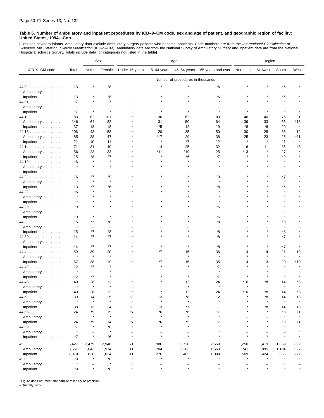[Excludes newborn infants. Ambulatory data exclude ambulatory surgery patients who became inpatients. Code numbers are from the *International Classification of*<br>*Diseases, 9th Revision, Clinical Modification* (ICD–9–CM). Hospital Discharge Survey. Totals include data for categories not listed in the table]

|                         |                          |                                | Sex                      | Age                      |             |                                     | Region                              |                                     |         |                          |         |
|-------------------------|--------------------------|--------------------------------|--------------------------|--------------------------|-------------|-------------------------------------|-------------------------------------|-------------------------------------|---------|--------------------------|---------|
| ICD-9-CM code           | Total                    | Male                           | Female                   | Under 15 years           | 15-44 years | 45-64 years                         | 65 years and over                   | Northeast                           | Midwest | South                    | West    |
|                         |                          |                                |                          |                          |             | Number of procedures in thousands   |                                     |                                     |         |                          |         |
| 44.0                    | 13                       |                                | *8                       |                          |             |                                     | *6                                  |                                     |         | *6                       |         |
| Ambulatory              | $\overline{\phantom{m}}$ |                                |                          |                          |             |                                     |                                     |                                     |         |                          |         |
| Inpatient               | 13                       |                                | *8                       |                          |             |                                     | *6                                  |                                     |         | *6                       |         |
| 44.01                   | $*7$                     |                                | $\star$                  |                          |             |                                     |                                     |                                     |         | $\star$                  |         |
| Ambulatory              | $\overline{\phantom{m}}$ |                                |                          |                          |             |                                     |                                     |                                     |         |                          |         |
| Inpatient               | $*7$                     | $\star$                        | $\star$                  |                          |             |                                     |                                     |                                     |         |                          |         |
| 44.1                    | 183                      | 82                             | 101                      |                          | 36          | 62                                  | 83                                  | 46                                  | 40      | 76                       | 21      |
| Ambulatory              | 146                      | 64                             | 82                       |                          | 31          | 50                                  | 64                                  | 39                                  | 33      | 56                       | *18     |
| Inpatient               | 37                       | 18                             | 18                       |                          | *5          | 12                                  | 19                                  | *8                                  | *6      | 20                       | $\star$ |
| 44.13                   | 106                      | 48                             | 58                       |                          | 20          | 35                                  | 50                                  | 30                                  | 28      | 36                       | 12      |
| Ambulatory              | 85                       | 38                             | 47                       |                          | *17         | 29                                  | 38                                  | 25                                  | 23      | 26                       | $*11$   |
| Inpatient               | 21                       | 10                             | 11                       |                          | $\star$     | *7                                  | 12                                  | $\star$                             | $\star$ | 11                       | $\star$ |
| 44.14                   | 71                       | 31                             | 40                       |                          | 14          | 25                                  | 32                                  | 16                                  | 11      | 36                       | *8      |
| Ambulatory              | 56                       | 23                             | 33                       |                          | *11         | *19                                 | 25                                  | *13                                 |         | 27                       |         |
| Inpatient               | 15                       | *8                             | *7                       |                          |             | *6                                  | *7                                  |                                     |         | *9                       |         |
| 44.19                   | *6<br>$\star$            |                                | Å                        |                          |             |                                     |                                     |                                     |         | $\star$                  |         |
| Ambulatory              |                          |                                |                          |                          |             |                                     |                                     |                                     |         |                          |         |
| Inpatient               | $\equiv$                 | $\overline{\phantom{0}}$       |                          |                          |             |                                     |                                     |                                     |         | $\overline{\phantom{0}}$ |         |
| 44.2                    | 16<br>$\star$            | *7<br>$\star$                  | *9<br>$\star$            |                          |             |                                     | 10                                  |                                     |         | *7<br>$\star$            |         |
| Ambulatory              |                          | *7                             | *6                       |                          |             |                                     | *8                                  |                                     |         | *6                       |         |
| Inpatient<br>44.22      | 13<br>*6                 |                                |                          |                          |             |                                     |                                     |                                     |         |                          |         |
| Ambulatory              |                          |                                |                          |                          |             |                                     |                                     |                                     |         |                          |         |
| Inpatient               | $\star$                  |                                |                          |                          |             |                                     |                                     |                                     |         |                          |         |
| 44.29                   | *9                       |                                |                          |                          |             |                                     | *5                                  |                                     |         |                          |         |
| Ambulatory              | $\overline{\phantom{0}}$ |                                |                          |                          |             |                                     |                                     |                                     |         |                          |         |
| Inpatient               | *9                       | $\star$                        | $\star$                  |                          |             |                                     | *5                                  |                                     |         |                          |         |
| 44.3                    | 15                       | $*7$                           | *8                       |                          |             |                                     | *8                                  |                                     | $\star$ | *8                       |         |
| Ambulatory              | $\overline{\phantom{m}}$ | $\qquad \qquad -$              | $\overline{\phantom{0}}$ |                          |             |                                     |                                     |                                     |         | $\overline{\phantom{0}}$ |         |
| Inpatient               | 15                       | $*7$                           | *8                       |                          |             |                                     | *8                                  |                                     |         | *8                       |         |
| 44.39                   | 14                       | $*7$                           | *7                       |                          |             |                                     | *8                                  |                                     |         | $*7$                     |         |
| Ambulatory              | $\qquad \qquad -$        | $\qquad \qquad -$              | $\overline{\phantom{0}}$ |                          |             |                                     |                                     |                                     |         |                          |         |
| Inpatient               | 14                       | *7                             | *7                       |                          |             |                                     | *8                                  |                                     | $\star$ | *7                       |         |
| 44.4                    | 59                       | 39                             | 20                       |                          | *7          | 16                                  | 36                                  | 14                                  | 14      | 21                       | 10      |
| Ambulatory              | $\star$                  | $\star$                        | $\star$                  |                          |             | $\star$                             | $\star$                             |                                     | $\star$ | $\star$                  |         |
| Inpatient               | 57                       | 38                             | 19<br>$\star$            |                          | *7          | 15<br>$\star$                       | 35                                  | 14                                  | 13      | 20                       | *10     |
| 44.42                   | 12<br>$\star$            | *7                             |                          |                          |             |                                     | *7                                  |                                     |         |                          |         |
| Ambulatory<br>Inpatient | 12                       | $\overline{\phantom{0}}$<br>*7 | $\star$                  |                          |             |                                     | *7                                  |                                     |         |                          |         |
| 44.43                   | 40                       | 28                             | 12                       |                          |             | 12                                  | 24                                  | *10                                 | *8      | 14                       | *8      |
| Ambulatory              |                          | $\star$                        | $\star$                  |                          |             |                                     |                                     |                                     |         |                          |         |
| Inpatient               | 40                       | 28                             | 12                       |                          |             | 12                                  | 24                                  | $*10$                               | *8      | 14                       | *8      |
| 44.6<br>.               | 39                       | 14                             | 25                       | *7                       | 13          | *8                                  | 12                                  |                                     | *8      | 14                       | 13      |
| Ambulatory              | $\star$                  | $\star$                        | $\star$                  | $\star$                  | $\star$     | $\star$                             | $\pmb{\ast}$                        |                                     | $\star$ | $\star$                  | $\star$ |
| Inpatient               | 38                       | 13                             | 24                       | $*7$                     | 13          | *7                                  | 11                                  |                                     | *8      | 14                       | 13      |
| 44.66                   | 24                       | *9                             | 15                       | *5                       | *6          | *6                                  | $*7$                                |                                     |         | *8                       | 11      |
| Ambulatory              | $\star$                  | $\star$                        | $\star$                  | $\overline{\phantom{m}}$ | $\star$     | $\star$                             | $\star$                             |                                     |         | $\star$                  |         |
| Inpatient               | 24                       | *9                             | 14                       | *5                       | *6          | *5                                  | *7                                  |                                     |         | *8                       | 11      |
| 44.69                   | *7                       |                                | *6                       | $\star$                  | $\star$     | $\star$                             |                                     |                                     |         |                          |         |
| Ambulatory              | $\star$                  |                                | $\star$                  | $\overline{\phantom{0}}$ |             |                                     |                                     |                                     |         |                          |         |
| Inpatient               | *7                       | $\star$                        | *6                       | $\star$                  |             |                                     |                                     |                                     |         |                          |         |
| 45                      | 5,427                    | 2,479                          | 2,948                    | 60                       | 980         | 1,728                               | 2,659                               | 1,250                               | 1,419   | 1,859                    | 899     |
| Ambulatory              | 3,557                    | 1,643                          | 1,914                    | 30                       | 704         | 1,263                               | 1,560                               | 741                                 | 995     | 1,194                    | 627     |
| Inpatient               | 1,870                    | 836                            | 1,034                    | 30                       | 276         | 465                                 | 1,099                               | 509                                 | 424     | 665                      | 272     |
| 45.0                    | *9                       | $\star$                        | *6                       | $\star$                  |             | $\star$                             |                                     | $\star$                             |         |                          |         |
| Ambulatory              | $\star$                  | $\overline{\phantom{0}}$       | $\star$                  |                          |             | $\overline{\phantom{0}}$<br>$\star$ | $\overline{\phantom{0}}$<br>$\star$ | $\overline{\phantom{0}}$<br>$\star$ | $\star$ |                          |         |
| Inpatient               | *9                       | $\star$                        | *6                       |                          |             |                                     |                                     |                                     |         |                          |         |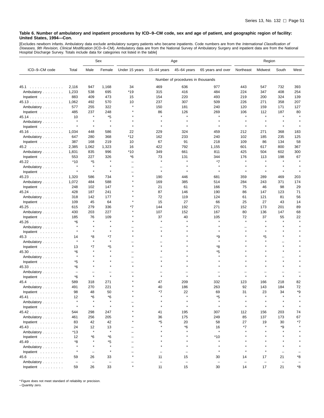[Excludes newborn infants. Ambulatory data exclude ambulatory surgery patients who became inpatients. Code numbers are from the *International Classification of*<br>*Diseases, 9th Revision, Clinical Modification* (ICD–9–CM).

|                      |                    |                          | Sex               | Age            |                   |                                   | Region                   |                   |                          |               |         |
|----------------------|--------------------|--------------------------|-------------------|----------------|-------------------|-----------------------------------|--------------------------|-------------------|--------------------------|---------------|---------|
| ICD-9-CM code        | Total              | Male                     | Female            | Under 15 years | $15-44$ years     | 45-64 years                       | 65 years and over        | Northeast         | Midwest                  | South         | West    |
|                      |                    |                          |                   |                |                   | Number of procedures in thousands |                          |                   |                          |               |         |
| 45.1                 | 2,116              | 947                      | 1,168             | 34             | 469               | 636                               | 977                      | 443               | 547                      | 732           | 393     |
| Ambulatory           | 1,233              | 538                      | 695               | *19            | 315               | 416                               | 484                      | 224               | 347                      | 408           | 254     |
| Inpatient            | 883                | 409                      | 473               | 15             | 154               | 220                               | 493                      | 219               | 200                      | 324           | 139     |
| 45.13                | 1,062              | 492                      | 570               | 10             | 237               | 307                               | 509                      | 226               | 271                      | 358           | 207     |
| Ambulatory           | 577                | 255                      | 322               | $\star$        | 150               | 181                               | 240                      | 120               | 159                      | 171           | 127     |
|                      | 485                | 237                      | 248               |                | 86                | 126                               | 269                      | 106               | 112                      | 187           | 80      |
| Inpatient $\ldots$ , |                    | $\star$                  | *5                |                | $\star$           | $\star$                           | $\star$                  | $\star$           | $\star$                  | $\pmb{\ast}$  |         |
| 45.14                | 10<br>$\pmb{\ast}$ | $\star$                  |                   |                |                   |                                   |                          |                   |                          |               |         |
| Ambulatory           | $\star$            | $\star$                  | $\star$           |                | $\star$           | $\star$                           | $\star$                  | $\star$           | $\star$                  | $\star$       | $\star$ |
| Inpatient            |                    |                          |                   |                |                   |                                   |                          |                   |                          |               |         |
| 45.16                | 1,034              | 448                      | 586               | 22             | 229               | 324                               | 459                      | 212               | 271                      | 368           | 183     |
| Ambulatory           | 647                | 280                      | 368               | *12            | 162               | 233                               | 240                      | 102               | 185                      | 235           | 125     |
| Inpatient $\ldots$ , | 387                | 168                      | 219               | 10             | 67                | 91                                | 218                      | 109               | 86                       | 134           | 58      |
| 45.2                 | 2,385              | 1,062                    | 1,323             | 16             | 422               | 792                               | 1,155                    | 601               | 617                      | 800           | 367     |
| Ambulatory           | 1,831              | 835                      | 996               | *10            | 349               | 661                               | 811                      | 425               | 504                      | 602           | 300     |
| Inpatient $\ldots$ , | 553                | 227                      | 326               | *6             | 73                | 131                               | 344                      | 176               | 113                      | 198           | 67      |
| 45.22                | $*10$              | *5                       |                   |                | $\star$           | $\pmb{\ast}$                      | $*7$                     |                   |                          |               |         |
| Ambulatory           | $\star$            | $\pmb{\ast}$             | $\star$           |                |                   | $\star$                           | $\star$                  |                   |                          | $\star$       |         |
| Inpatient $\ldots$ , | $\star$            | $\star$                  | $\star$           |                | $\star$           |                                   | $\star$                  | $\star$           | $\star$                  | $\star$       |         |
| 45.23                | 1,320              | 586                      | 734               |                | 190               | 446                               | 681                      | 359               | 289                      | 469           | 203     |
| Ambulatory           | 1,072              | 484                      | 588               |                | 169               | 385                               | 514                      | 284               | 243                      | 371           | 174     |
| Inpatient $\ldots$ , | 248                | 102                      | 147               |                | 21                | 61                                | 166                      | 75                | 46                       | 98            | 29      |
| 45.24                | 428                | 187                      | 241               |                | 87                | 146                               | 190                      | 86                | 147                      | 123           | 71      |
| Ambulatory           | 318                | 142                      | 177               |                | 72                | 119                               | 124                      | 61                | 121                      | 81            | 56      |
| Inpatient $\ldots$ , | 109                | 45                       | 64                |                | 15                | 27                                | 66                       | 25                | 27                       | 43            | 14      |
|                      |                    |                          |                   |                |                   |                                   |                          |                   |                          |               |         |
| 45.25                | 615                | 279                      | 336               | *7             | 144               | 192                               | 271                      | 152               | 173                      | 201           | 89      |
| Ambulatory           | 430                | 203                      | 227               |                | 107               | 152                               | 167                      | 80                | 136                      | 147           | 68      |
| Inpatient $\ldots$ , | 185                | 76<br>$\star$            | 109<br>$\star$    |                | 37<br>$\star$     | 40                                | 105<br>$\star$           | 72<br>$\star$     | 37<br>$\star$            | 55<br>$\star$ | 22      |
| 45.26                | *6                 |                          |                   |                |                   |                                   |                          |                   |                          |               |         |
| Ambulatory           | ×                  | $\star$                  |                   |                |                   |                                   |                          |                   |                          |               |         |
| Inpatient            | $\star$            | $\star$                  | $\star$           |                |                   |                                   |                          |                   |                          |               |         |
| 45.3                 | 14                 | *8                       | *7                |                |                   |                                   | *9                       |                   | *5                       | $\star$       |         |
| Ambulatory           | $\pmb{\ast}$       | $\star$                  | $\star$           |                |                   |                                   | $\star$                  |                   |                          |               |         |
| Inpatient            | 13                 | *7                       | *5                |                |                   |                                   | *8                       |                   |                          |               |         |
| 45.30                | *6                 | $\star$                  | $\star$           |                |                   |                                   | *5                       |                   |                          | $\star$       |         |
| Ambulatory           | $\pmb{\ast}$       | $\star$                  |                   |                |                   |                                   | $\star$                  |                   |                          |               |         |
| Inpatient            | *5                 | $\star$                  | $\star$           |                |                   |                                   |                          |                   |                          | $\star$       |         |
| 45.33                | *6                 | $\star$                  | $\star$           |                |                   |                                   |                          |                   |                          |               |         |
| Ambulatory           | $\qquad \qquad -$  |                          |                   |                |                   |                                   |                          |                   |                          |               |         |
| Inpatient            | *6                 | $\star$                  | $\star$           |                | $\star$           |                                   |                          | $\star$           | $\star$                  | $\pmb{\ast}$  |         |
| 45.4                 | 589                | 318                      | 271               |                | 47                | 209                               | 332                      | 123               | 166                      | 218           | 82      |
| Ambulatory           | 491                | 270                      | 221               |                | 40                | 186                               | 263                      | 92                | 143                      | 184           | 72      |
| Inpatient            | 98                 | 48                       | 50                |                | $*7$              | 22                                | 69                       | 31                | 23                       | 34            | *9      |
| 45.41                | 12                 | *6                       | *6                |                |                   |                                   | $^\star 5$               |                   |                          |               |         |
| Ambulatory           | $\star$            | $\star$                  | $\star$           |                |                   |                                   | $\star$                  | $\star$           |                          |               |         |
|                      | $\star$            | $\star$                  | $\star$           |                |                   |                                   | $\star$                  | $\star$           | $\star$                  | $\star$       |         |
| Inpatient            |                    |                          |                   |                |                   |                                   |                          |                   |                          |               |         |
| 45.42                | 544                | 298                      | 247               |                | 41                | 195                               | 307                      | 112               | 156                      | 203           | 74      |
| Ambulatory           | 461                | 256                      | 205               |                | 36                | 175                               | 249                      | 85                | 137                      | 173           | 67      |
| Inpatient            | 83                 | 42                       | 42                |                | *5                | 20                                | 58                       | 27                | 19                       | 30            | *7      |
| 45.43                | 24                 | 12                       | 13                |                | $\star$           | *6                                | 16                       | *7                |                          | *9            |         |
| Ambulatory           | *13                | $\star$                  | $\star$           |                |                   | $\star$                           | $\star$                  |                   |                          | $\star$       |         |
| Inpatient            | 12                 | *6                       | *6                |                |                   |                                   | $*10$                    |                   |                          |               |         |
| 45.49                | *8                 | $\star$                  | *5                |                |                   | $\star$                           |                          |                   |                          |               |         |
| Ambulatory           | $\star$            | $\star$                  | $\star$           |                |                   | $\star$                           | $\star$                  |                   |                          |               |         |
| Inpatient            | $\star$            | $\overline{\phantom{a}}$ | $\star$           |                |                   | $\overline{\phantom{0}}$          | $\star$                  | $\star$           |                          |               |         |
| $45.6$               | 59                 | 26                       | 33                |                | 11                | 15                                | 30                       | 14                | 17                       | 21            | *8      |
| Ambulatory           | $\qquad \qquad -$  | $\overline{\phantom{a}}$ | $\qquad \qquad -$ |                | $\qquad \qquad -$ |                                   | $\overline{\phantom{a}}$ | $\qquad \qquad -$ | $\overline{\phantom{a}}$ |               |         |
| Inpatient            | 59                 | 26                       | 33                |                | 11                | 15                                | 30                       | 14                | 17                       | 21            | *8      |

\* Figure does not meet standard of reliability or precision.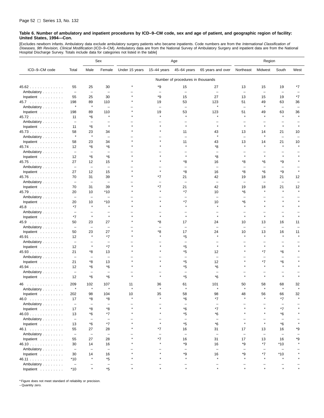[Excludes newborn infants. Ambulatory data exclude ambulatory surgery patients who became inpatients. Code numbers are from the *International Classification of*<br>*Diseases, 9th Revision, Clinical Modification* (ICD–9–CM). Hospital Discharge Survey. Totals include data for categories not listed in the table]

|                                  |                          |                          | Sex                      | Age            |                          |                                   | Region                   |                          |                          |                          |         |
|----------------------------------|--------------------------|--------------------------|--------------------------|----------------|--------------------------|-----------------------------------|--------------------------|--------------------------|--------------------------|--------------------------|---------|
| ICD-9-CM code                    | Total                    | Male                     | Female                   | Under 15 years | $15 - 44$ years          | 45-64 years                       | 65 years and over        | Northeast                | Midwest                  | South                    | West    |
|                                  |                          |                          |                          |                |                          | Number of procedures in thousands |                          |                          |                          |                          |         |
| 45.62                            | 55                       | 25                       | 30                       |                | *9                       | 15                                | 27                       | 13                       | 15                       | 19                       | *7      |
| Ambulatory                       | $\overline{\phantom{m}}$ | $\overline{\phantom{0}}$ | $\overline{\phantom{m}}$ |                | $\overline{\phantom{0}}$ | $\overline{\phantom{m}}$          | $\overline{\phantom{m}}$ | $\overline{\phantom{0}}$ | $\overline{\phantom{0}}$ | $\overline{\phantom{0}}$ |         |
| Inpatient                        | 55                       | 25                       | 30                       |                | *9                       | 15                                | 27                       | 13                       | 15                       | 19                       | *7      |
| 45.7                             | 198                      | 89                       | 110                      |                | 19                       | 53                                | 123                      | 51                       | 49                       | 63                       | 36      |
| Ambulatory                       | $\star$                  | $\pmb{\ast}$             | L.                       |                | $\overline{\phantom{0}}$ | $\overline{\phantom{m}}$          | $\star$                  | ÷                        | $\pmb{\ast}$             | $\qquad \qquad -$        |         |
| Inpatient                        | 198                      | 89                       | 110                      |                | 19                       | 53                                | 123                      | 51                       | 49                       | 63                       | 36      |
| 45.72                            | 11                       | *6                       |                          |                |                          |                                   |                          | $\star$                  |                          | $\star$                  |         |
| Ambulatory                       | $\overline{\phantom{m}}$ | $\qquad \qquad -$        | $\overline{\phantom{0}}$ |                |                          |                                   |                          |                          |                          |                          |         |
| Inpatient                        | 11                       | $*6$                     | $\pmb{\ast}$             |                |                          |                                   | $\star$                  | $\star$                  | $\star$                  | $\star$                  | $\star$ |
| 45.73                            | 58                       | 23                       | 34                       |                |                          | 11                                | 43                       | 13                       | 14                       | 21                       | 10      |
| Ambulatory                       | $\star$                  | $\pmb{\ast}$             | $\overline{\phantom{a}}$ |                |                          |                                   | $\star$                  | $\overline{\phantom{0}}$ | $\pmb{\ast}$             | ÷                        |         |
| Inpatient                        | 58                       | 23                       | 34                       |                |                          | 11                                | 43                       | 13                       | 14                       | 21                       | 10      |
| 45.74                            | 12                       | *6                       | *6                       |                |                          |                                   | *8                       | $\star$                  |                          |                          |         |
| Ambulatory                       | $\overline{\phantom{m}}$ | $\qquad \qquad -$        | $\overline{\phantom{0}}$ |                |                          |                                   | $\overline{\phantom{0}}$ |                          |                          |                          |         |
| Inpatient                        | 12                       | *6                       | *6                       |                |                          |                                   | *8                       | $\star$                  |                          | $\star$                  |         |
| 45.75                            | 27                       | 12                       | 15                       |                |                          | *8                                | 16                       | *8                       | *6                       | *9                       |         |
| Ambulatory                       | $\overline{\phantom{m}}$ | $\overline{\phantom{a}}$ | $\overline{\phantom{0}}$ |                |                          |                                   | $\equiv$                 | ÷                        | Ē,                       | $\qquad \qquad -$        |         |
| Inpatient                        | 27                       | 12                       | 15                       |                |                          | *8                                | 16                       | *8                       | *6                       | *9                       | $\star$ |
| 45.76                            | 70                       | 31                       | 39                       |                | *7                       | 21                                | 42                       | 19                       | 18                       | 21                       | 12      |
| Ambulatory                       | $\overline{\phantom{m}}$ | $\overline{\phantom{a}}$ | $\overline{\phantom{m}}$ |                | -                        | $\overline{\phantom{m}}$          | $\overline{\phantom{m}}$ | $\overline{\phantom{0}}$ | -                        | $\overline{\phantom{a}}$ | -       |
| Inpatient                        | 70                       | 31                       | 39                       |                | *7                       | 21                                | 42                       | 19                       | 18                       | 21                       | 12      |
| 45.79                            | 20                       | 10                       | $*10$                    |                |                          | *7                                | 10                       | *6                       |                          |                          |         |
| Ambulatory                       | $\overline{\phantom{m}}$ | $\qquad \qquad -$        | $\overline{\phantom{0}}$ |                |                          | $\overline{\phantom{0}}$          | $\overline{\phantom{0}}$ | -                        |                          |                          |         |
| Inpatient                        | 20                       | 10                       | $*10$                    |                |                          | *7                                | 10                       | *6                       |                          | $\star$                  | $\star$ |
| $45.8$                           | *7                       | $\star$                  | $\star$                  |                |                          | $\star$                           | $\star$                  | $\star$                  |                          |                          |         |
| Ambulatory                       | $\qquad \qquad -$        | $\overline{\phantom{0}}$ |                          |                |                          |                                   |                          |                          |                          |                          |         |
| Inpatient                        | *7                       | $\star$                  | $\star$                  |                |                          |                                   | $\star$                  | $\star$                  |                          |                          |         |
| 45.9                             | 50                       | 23                       | 27                       |                | *8                       | 17                                | 24                       | 10                       | 13                       | 16                       | 11      |
| Ambulatory                       | $\overline{\phantom{m}}$ | $\qquad \qquad -$        | $\overline{\phantom{0}}$ |                |                          | $\overline{\phantom{0}}$          | $\equiv$                 | $\overline{\phantom{0}}$ | $\qquad \qquad -$        | $\qquad \qquad -$        |         |
| Inpatient                        | 50                       | 23                       | 27                       |                | *8                       | 17                                | 24                       | 10                       | 13                       | 16                       | 11      |
| 45.91                            | 12                       | $\pmb{\ast}$             | $*7$                     |                |                          | *5                                | $\star$                  | $\star$                  | $\star$                  | $\star$                  |         |
| Ambulatory                       | $\overline{\phantom{a}}$ | ۳                        | $\overline{\phantom{0}}$ |                |                          |                                   |                          |                          |                          |                          |         |
| Inpatient                        | 12                       | $\pmb{\ast}$             | *7                       |                |                          | *5                                | $\star$                  |                          | $\star$                  | $\star$                  |         |
| 45.93                            | 21                       | *8                       | 13                       |                |                          | *5                                | 12                       | $\star$                  | *7                       | *6                       |         |
| Ambulatory                       | $\overline{\phantom{m}}$ | ۰                        | $\overline{\phantom{0}}$ |                |                          | $\overline{\phantom{m}}$          | $\equiv$                 |                          | ÷                        | -                        |         |
| Inpatient                        | 21                       | *8                       | 13                       |                |                          | *5                                | 12                       |                          | *7<br>$\star$            | *6<br>$\star$            |         |
| $45.94$                          | 12                       | *6                       | *6                       |                |                          | *5                                | *6                       |                          |                          |                          |         |
| Ambulatory                       | $\overline{\phantom{m}}$ | -                        | $\overline{\phantom{0}}$ |                |                          |                                   |                          |                          |                          |                          |         |
| Inpatient                        | 12                       | *6                       | *6                       |                |                          | *5                                | *6                       |                          |                          |                          |         |
| 46<br>.                          | 209                      | 102                      | 107                      | 11             | 36                       | 61                                | 101                      | 50                       | 58                       | 68                       | 32      |
| Ambulatory                       | $\star$                  | $\star$                  | $\star$                  | $\star$        |                          |                                   |                          | $\star$                  |                          | $\star$                  | $\star$ |
| Inpatient                        | 202                      | 98                       | 104                      | 10             | 35                       | 58                                | 98                       | 48                       | 56                       | 66                       | 32      |
| 46.0                             | 17                       | *8                       | *8                       |                |                          | *6                                | *7                       |                          |                          | *7                       |         |
| Ambulatory                       | $\overline{\phantom{m}}$ | $\overline{\phantom{0}}$ | $\overline{\phantom{0}}$ |                |                          | $\overline{\phantom{m}}$          | $\overline{\phantom{m}}$ |                          |                          | $\overline{\phantom{0}}$ |         |
| Inpatient $\ldots \ldots \ldots$ | 17                       | *8                       | *8                       |                |                          | *6                                | *7                       |                          |                          | $*7$                     |         |
| 46.03                            | 13                       | *6                       | *7                       |                |                          | *5                                | *6                       |                          |                          | $*6$                     |         |
| Ambulatory                       | $\overline{\phantom{m}}$ | $\overline{\phantom{0}}$ | $\overline{\phantom{0}}$ |                |                          | $\equiv$                          | $\overline{\phantom{a}}$ |                          |                          | $\overline{\phantom{0}}$ |         |
| Inpatient                        | 13                       | *6                       | *7                       |                | $\star$                  | *5                                | *6                       | $\star$                  | $\pmb{\ast}$             | $*6$                     |         |
| 46.1                             | 55                       | 27                       | 28                       |                | *7                       | 16                                | 31                       | 17                       | 13                       | 16                       | *9      |
| Ambulatory                       | $\overline{\phantom{a}}$ | $\overline{\phantom{a}}$ | $\overline{\phantom{a}}$ |                |                          | $\overline{\phantom{m}}$          | $\overline{\phantom{m}}$ | $\overline{\phantom{a}}$ | $\qquad \qquad -$        | $\overline{\phantom{0}}$ |         |
| Inpatient                        | 55                       | 27                       | 28                       |                | *7                       | 16                                | 31                       | 17                       | 13                       | 16                       | *9      |
| 46.10                            | 30                       | 14                       | 16                       |                |                          | *9                                | 16                       | *9                       | *7                       | $*10$                    |         |
| Ambulatory                       | $\overline{\phantom{a}}$ | $\qquad \qquad -$        | $\overline{\phantom{a}}$ |                |                          | $\overline{\phantom{0}}$          | $\overline{\phantom{0}}$ | $\overline{\phantom{0}}$ | $\overline{\phantom{0}}$ |                          |         |
| Inpatient                        | 30                       | 14                       | 16                       |                |                          | *9                                | 16                       | *9                       | *7                       | $*10$                    |         |
| 46.11                            | $*10$                    | $\pmb{\ast}$             | *5                       |                |                          |                                   | $\star$                  | $\star$                  |                          |                          |         |
| Ambulatory                       | $\overline{\phantom{m}}$ |                          | $\qquad \qquad -$        |                |                          |                                   | -                        |                          |                          |                          |         |
| Inpatient                        | $*10$                    |                          | *5                       |                |                          |                                   | $\star$                  |                          |                          |                          |         |

\* Figure does not meet standard of reliability or precision.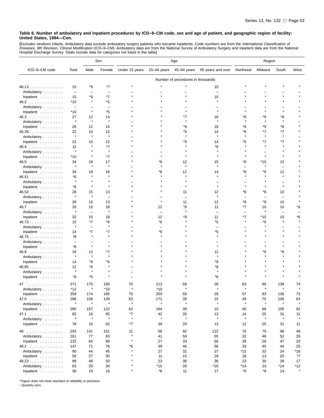[Excludes newborn infants. Ambulatory data exclude ambulatory surgery patients who became inpatients. Code numbers are from the *International Classification of*<br>*Diseases, 9th Revision, Clinical Modification* (ICD–9–CM).

|                                  |                          |                          | Sex                      | Age            |              |                                   | Region                   |           |                          |                          |                |
|----------------------------------|--------------------------|--------------------------|--------------------------|----------------|--------------|-----------------------------------|--------------------------|-----------|--------------------------|--------------------------|----------------|
| ICD-9-CM code                    | Total                    | Male                     | Female                   | Under 15 years | 15-44 years  | 45-64 years                       | 65 years and over        | Northeast | Midwest                  | South                    | West           |
|                                  |                          |                          |                          |                |              | Number of procedures in thousands |                          |           |                          |                          |                |
| 46.13                            | 15                       | *9                       | *7                       |                |              |                                   | 10                       |           |                          |                          |                |
| Ambulatory                       | $\overline{\phantom{m}}$ | $\overline{\phantom{0}}$ | $\overline{\phantom{0}}$ |                |              |                                   |                          |           |                          |                          |                |
| Inpatient                        | 15                       | *9                       | *7                       |                |              |                                   | 10                       |           |                          |                          |                |
| 46.2                             | $*10$                    | $\star$                  | *5                       |                |              |                                   | $\star$                  |           |                          |                          |                |
| Ambulatory                       | $\overline{\phantom{m}}$ | ۳                        | $\overline{\phantom{0}}$ |                |              |                                   |                          |           |                          |                          |                |
| Inpatient                        | *10                      | $\star$                  | *5                       |                |              |                                   |                          |           |                          |                          |                |
| 46.3                             | 27                       | 12                       | 14                       |                |              | *7                                | 16                       | *6        | *9                       | *8                       |                |
| Ambulatory                       | $\star$                  | $\star$                  | $\pmb{\ast}$             |                |              |                                   |                          |           |                          |                          |                |
| Inpatient                        | 26                       | 12                       | 14                       |                |              | *6                                | 16                       | *6        | *9                       | *8                       |                |
| 46.39                            | 22                       | 10                       | 12                       |                |              | *5                                | 14                       | *6        | *7                       | $*7$                     |                |
| Ambulatory                       | $\star$                  | $\star$                  | $\star$                  |                |              | $\star$                           | $\star$                  | $\star$   | $\star$                  | $\star$                  |                |
| Inpatient                        | 22                       | 10                       | 12                       |                |              | *5                                | 14                       | *5        | *7                       | *7                       |                |
| 46.4                             | 11                       |                          | *7                       |                |              |                                   | *6                       |           |                          |                          |                |
| Ambulatory                       | $\star$                  | $\pmb{\ast}$             | $\star$                  |                |              |                                   |                          |           |                          |                          |                |
| Inpatient                        | *10                      | $\pmb{\ast}$             | $*7$                     |                |              |                                   |                          |           | $\star$                  |                          |                |
| $46.5$                           | 34                       | 18                       | 17                       |                | *6           | 12                                | 15                       | *8        | *10                      | 12                       |                |
| Ambulatory                       | $\star$                  | $\star$                  | $\pmb{\ast}$             |                |              | $\star$                           | $\star$                  |           | $\star$                  | $\overline{\phantom{0}}$ |                |
| Inpatient                        | 34                       | 18                       | 16                       |                | *6           | 12                                | 14                       | *8        | *9                       | 12                       |                |
| 46.51                            | *6                       | $\star$                  | $\star$                  |                |              |                                   | $\star$                  |           |                          | $\star$                  |                |
| Ambulatory                       |                          |                          |                          |                |              |                                   |                          |           |                          |                          |                |
| Inpatient                        | *6                       | $\star$                  |                          |                |              |                                   |                          |           |                          |                          |                |
| 46.52                            | 28                       | 15                       | 13                       |                |              | 11                                | 12                       | *6        | *8                       | 10                       |                |
| Ambulatory                       |                          | $\star$                  | $\overline{\phantom{0}}$ |                |              |                                   | $\star$                  |           | $\overline{\phantom{0}}$ | $\overline{\phantom{0}}$ |                |
| Inpatient                        | 28                       | 15                       | 13                       |                | $\star$      | 11                                | 12                       | *6        | *8                       | 10                       |                |
| 46.7                             | 33                       | 15                       | 18                       |                | 12           | *9                                | 11                       | *7        | 10                       | 10                       | *6             |
| Ambulatory                       | $\star$                  | $\qquad \qquad -$        | $\pmb{\ast}$             |                |              |                                   | $\overline{\phantom{0}}$ |           | $\star$                  |                          |                |
| Inpatient                        | 32                       | 15                       | 18                       |                | 12           | *8                                | 11                       | *7        | *10                      | 10                       | *6             |
| 46.73                            | 15                       | *7                       | *8                       |                | *6           |                                   | *5                       | $\star$   | *5                       |                          |                |
| Ambulatory                       |                          | $\qquad \qquad -$        |                          |                |              |                                   |                          |           |                          |                          |                |
| Inpatient                        | 14                       | *7                       | *7                       |                | *6           |                                   | *5                       |           |                          |                          |                |
| 46.75                            | *8                       | $\star$                  |                          |                |              |                                   |                          |           |                          |                          |                |
| Ambulatory                       | $\overline{\phantom{0}}$ |                          |                          |                |              |                                   |                          |           |                          |                          |                |
| Inpatient                        | *8                       | $\star$                  |                          |                |              |                                   |                          |           |                          |                          |                |
| $46.8$                           | 18                       | 12                       | *7                       |                |              |                                   | 11                       |           | *6                       | *6                       |                |
| Ambulatory                       | $\star$                  | $\pmb{\ast}$             | $\star$                  |                |              |                                   | ×                        |           |                          |                          |                |
| Inpatient                        | 14                       | *9                       | *5                       |                |              |                                   | *9                       |           |                          |                          |                |
| 46.85                            | 12                       | *8                       |                          |                |              |                                   | *8                       |           |                          |                          |                |
| Ambulatory                       | $\star$                  | $\star$                  |                          |                |              |                                   | $\star$                  |           |                          |                          |                |
| Inpatient                        | *8                       | *5                       |                          |                |              |                                   | *6                       |           |                          |                          |                |
| .<br>47.                         | 371                      | 175                      | 195                      | 70             | 213          | 59                                | 28                       | 63        | 95                       | 138                      | 74             |
| Ambulatory                       | *12                      | $\star$                  | $*10$                    | $\star$        | $*10$        | $\star$                           | ۸                        |           |                          |                          |                |
| Inpatient                        | 359                      | 174                      | 185                      | 70             | 203          | 59                                | 28                       | 57        | 93                       | 136                      | 73             |
| 47.0                             | 288                      | 158                      | 129                      | 63             | 171          | 39                                | 15                       | 49        | 70                       | 106                      | 63             |
| Ambulatory                       | $\star$                  | $\star$                  | $\star$                  | $\star$        | $\pmb{\ast}$ | $\star$                           | $\star$                  | $\star$   | $\star$                  | $\star$                  | $\star$        |
| Inpatient $\ldots \ldots \ldots$ | 280                      | 157                      | 122                      | 62             | 164          | 39                                | 15                       | 45        | 68                       | 105                      | 62             |
| 47.1                             | 82                       | 16                       | 65                       | *7             | 42           | 20                                | 13                       | 14        | 25                       | 31                       | 11             |
| Ambulatory                       | $\star$                  | $\star$                  | $\star$                  | $\star$        | $\star$      | $\star$                           | $\star$                  | $\star$   | $\star$                  | $\pmb{\ast}$             | $\star$        |
| Inpatient $\ldots \ldots \ldots$ | 78                       | 16                       | 62                       | *7             | 39           | 20                                | 13                       | 12        | 25                       | 31                       | 11             |
|                                  |                          |                          |                          |                |              |                                   |                          |           |                          |                          |                |
| 48                               | 293                      | 141                      | 151                      | 11<br>$\star$  | 68           | 92                                | 122                      | 70        | 75                       | 98                       | 49             |
| Ambulatory                       | 161                      | 77                       | 83                       | $\star$        | 41           | 59                                | 55                       | 32        | 48                       | 52                       | 29             |
| Inpatient $\ldots \ldots \ldots$ | 132                      | 64                       | 68                       |                | 27           | 33                                | 66                       | 39        | 26                       | 47                       | 20             |
| 48.2                             | 147                      | 71                       | 76                       | *6             | 39           | 46                                | 56                       | 33        | 45                       | 44                       | 25             |
| Ambulatory                       | 90                       | 44                       | 45                       |                | 27           | 32                                | 27                       | *15       | 32                       | 24                       | *18            |
| Inpatient                        | 58                       | 27                       | 30                       |                | 11           | 15                                | 29                       | 18        | 13                       | 20                       | *7             |
| 48.23                            | 98                       | 48                       | 50                       |                | 23           | 36                                | 36                       | 23        | 30                       | 28                       | 17             |
| Ambulatory                       | 63                       | 29                       | 34                       | $\star$        | $*15$        | 26                                | $*20$                    | $*14$     | 23                       | $*14$                    | *12<br>$\star$ |
| Inpatient $\ldots \ldots \ldots$ | 36                       | 19                       | 16                       |                | *8           | 11                                | 17                       | *9        | *8                       | 14                       |                |

\* Figure does not meet standard of reliability or precision.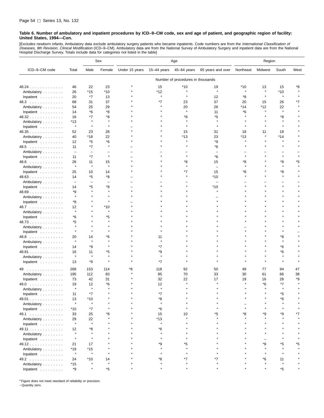[Excludes newborn infants. Ambulatory data exclude ambulatory surgery patients who became inpatients. Code numbers are from the *International Classification of*<br>*Diseases, 9th Revision, Clinical Modification* (ICD–9–CM). Hospital Discharge Survey. Totals include data for categories not listed in the table]

|                                  |                          |              | Sex                      | Age            |             |                                   | Region                   |           |         |           |      |
|----------------------------------|--------------------------|--------------|--------------------------|----------------|-------------|-----------------------------------|--------------------------|-----------|---------|-----------|------|
| ICD-9-CM code                    | Total                    | Male         | Female                   | Under 15 years | 15-44 years | 45-64 years                       | 65 years and over        | Northeast | Midwest | South     | West |
|                                  |                          |              |                          |                |             | Number of procedures in thousands |                          |           |         |           |      |
| 48.24                            | 46                       | 22           | 23                       |                | 15          | $*10$                             | 19                       | *10       | 13      | 15        | *8   |
| Ambulatory                       | 26                       | $*15$        | *10                      |                | *12         | $\lambda$                         | $\star$                  |           | $\star$ | $*10$     |      |
| Inpatient                        | 20                       | *7           | 13                       |                | $\star$     | $\star$                           | 12                       | *8        | $\star$ | $\star$   |      |
| 48.3                             | 68                       | 31           | 37                       |                | *7          | 23                                | 37                       | 20        | 15      | 26        | *7   |
| Ambulatory                       | 54                       | 25           | 29                       |                |             | 20                                | 26                       | *14       | *12     | 22        |      |
| Inpatient                        | 14                       | $*6$         | *8                       |                |             | $\star$                           | 11                       | *6        |         | $\star$   |      |
| 48.32                            | 16                       | *7           | *8                       |                |             | *8                                | *5                       |           |         | *8        |      |
| Ambulatory                       | $*13$                    |              |                          |                |             |                                   |                          |           |         |           |      |
| Inpatient                        | $\star$                  | $\star$      | $\star$                  |                |             | $\star$                           | $\star$                  |           |         | $\star$   |      |
| 48.35                            | 52                       | 23           | 28                       |                |             | 15                                | 31                       | 18        | 11      | 18        |      |
| Ambulatory                       | 40                       | *18          | 22                       |                |             | *13                               | 23                       | $*13$     |         | *14       |      |
| Inpatient                        | 12                       | *5           | *6                       |                |             | $\star$                           | *9                       | $\star$   |         | $\star$   |      |
| 48.5                             | 11                       | *7           | $\star$                  |                |             |                                   | *6                       |           |         |           |      |
| Ambulatory                       | $\overline{\phantom{m}}$ | ÷            |                          |                |             |                                   |                          |           |         |           |      |
| Inpatient                        | 11                       | *7           | $\star$                  |                |             |                                   | *6                       |           |         | $\star$   |      |
| $48.6$                           | 26                       | 11           | 15                       |                |             | *8                                | 15                       | *8        |         | *8        | *5   |
| Ambulatory                       | $\star$                  | $\pmb{\ast}$ | $\star$                  |                |             |                                   | $\overline{\phantom{0}}$ |           |         | $\star$   |      |
| Inpatient                        | 25                       | 10           | 14                       |                |             | *7                                | 15                       | *8        |         | *8        |      |
| 48.63                            | 14                       | *5           | *8                       |                |             |                                   | *10                      |           |         | $\star$   |      |
| Ambulatory                       | $\overline{\phantom{a}}$ | ۰            | $\overline{\phantom{m}}$ |                |             |                                   |                          |           |         |           |      |
| Inpatient $\ldots$ ,             | 14                       | *5           | *8                       |                |             |                                   | *10                      |           |         |           |      |
| 48.69                            | *9                       | $\star$      |                          |                |             |                                   |                          |           |         |           |      |
| Ambulatory                       | $\star$                  |              |                          |                |             |                                   |                          |           |         |           |      |
| Inpatient                        | *8                       |              |                          |                |             |                                   |                          |           |         |           |      |
| 48.7                             | 12                       |              | $*10$                    |                |             |                                   |                          |           |         |           |      |
| Ambulatory                       | $\star$                  |              |                          |                |             |                                   |                          |           |         |           |      |
| Inpatient                        | *6                       |              | *5                       |                |             |                                   |                          |           |         |           |      |
| 48.73                            | *5                       |              |                          |                |             |                                   |                          |           |         |           |      |
| Ambulatory                       | $\star$                  |              |                          |                |             |                                   |                          |           |         |           |      |
| Inpatient                        | $\star$                  |              |                          |                |             |                                   |                          |           |         |           |      |
| 48.8                             | 20                       | 14           | *6                       |                | 11          |                                   |                          |           |         | *8        |      |
| Ambulatory                       |                          | $\star$      |                          |                |             |                                   |                          |           |         | $\bullet$ |      |
| Inpatient                        | 14                       | *9           | $\star$                  |                | *7          |                                   |                          |           |         | *6        |      |
| 48.81                            | 16                       | 11           | *5                       |                | *9          |                                   |                          |           |         | *6        |      |
| Ambulatory                       | $\star$                  | $\pmb{\ast}$ |                          |                | $\star$     |                                   |                          |           |         | $\star$   |      |
| Inpatient                        | 13                       | *9           | $\star$                  |                | $*7$        |                                   |                          |           |         |           |      |
| .<br>49                          | 268                      | 153          | 114                      | *8             | 118         | 92                                | 50                       | 49        | 77      | 94        | 47   |
| Ambulatory                       | 195                      | 112          | 83                       |                | 85          | 70                                | 33                       | 30        | 61      | 66        | 38   |
| Inpatient                        | 73                       | 42           | 31                       |                | 32          | 22                                | 17                       | 19        | 16      | 28        | *9   |
| 49.0<br>.                        | 19                       | 12           | *6                       |                | 12          |                                   |                          |           | *6      | *7        |      |
| Ambulatory                       | $\star$                  | $\star$      | $\star$                  |                | $\star$     |                                   |                          |           |         |           |      |
| Inpatient                        | 11                       | $*7$         |                          |                | $*7$        |                                   |                          |           |         | $*$       |      |
| 49.01                            | 13                       | $*10$        |                          |                | *8          |                                   |                          |           |         | *6        |      |
| Ambulatory                       | $\star$                  | $\star$      |                          |                | $\star$     |                                   |                          |           |         |           |      |
| Inpatient $\ldots \ldots \ldots$ | $*10$                    | *7           |                          |                | *6          |                                   |                          |           |         |           |      |
| 49.1                             | 33                       | 25           | *8                       |                | 15          | 10                                | ۴5                       | *8        | *9      | *9        | ٠7   |
| Ambulatory                       | 29                       | 22           |                          |                | *13         |                                   |                          |           |         |           |      |
| Inpatient                        | $\star$                  | $\pmb{\ast}$ |                          |                | $\star$     |                                   |                          |           |         |           |      |
| 49.11                            | 12                       | *8           |                          |                | *6          |                                   |                          |           |         |           |      |
| Ambulatory                       | $\star$                  |              |                          |                |             |                                   |                          |           |         |           |      |
| Inpatient                        | $\star$                  | $\star$      |                          |                |             |                                   |                          |           |         |           |      |
| 49.12                            | 21                       | 17           |                          |                | *9          | *5                                |                          |           | *8      | *5        | *5   |
| Ambulatory                       | *19                      | $*15$        |                          |                |             |                                   |                          |           |         |           |      |
| Inpatient                        | $\star$                  | $\pmb{\ast}$ |                          |                |             |                                   |                          |           |         |           |      |
| 49.2                             | 24                       | $*10$        | 14                       |                | *8          | *7                                | *7                       |           | *6      | 11        |      |
| Ambulatory                       | $*15$                    |              |                          |                |             |                                   |                          |           |         |           |      |
| Inpatient                        | *9                       |              | *5                       |                |             |                                   |                          |           |         | *5        |      |

\* Figure does not meet standard of reliability or precision.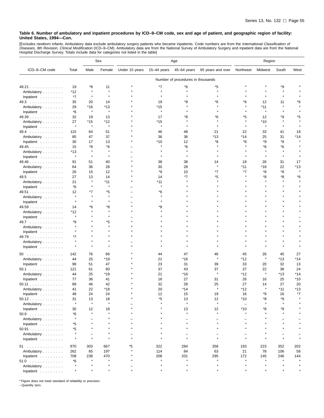[Excludes newborn infants. Ambulatory data exclude ambulatory surgery patients who became inpatients. Code numbers are from the *International Classification of*<br>*Diseases, 9th Revision, Clinical Modification* (ICD–9–CM).

|                                  |              |              | Sex          | Age            |               |                                   | Region            |                          |         |           |         |
|----------------------------------|--------------|--------------|--------------|----------------|---------------|-----------------------------------|-------------------|--------------------------|---------|-----------|---------|
| ICD-9-CM code                    | Total        | Male         | Female       | Under 15 years | $15-44$ years | 45-64 years                       | 65 years and over | Northeast                | Midwest | South     | West    |
|                                  |              |              |              |                |               | Number of procedures in thousands |                   |                          |         |           |         |
| 49.21                            | 19           | *8           | 11           |                | *7            | *6                                | *5                |                          |         | *9        |         |
| Ambulatory                       | $*12$        | $\star$      |              |                | $\star$       | $\star$                           | $\star$           |                          |         | $\lambda$ |         |
| Inpatient                        | *7           | $\star$      | $\star$      |                |               |                                   |                   |                          |         |           |         |
| 49.3                             | 35           | 20           | 14           |                | 19            | *8                                | *6                | *6                       | 12      | 11        | *6      |
| Ambulatory                       | 29           | $*16$        | *13          |                | $*15$         |                                   |                   | $\star$                  | $*11$   | $\star$   |         |
| Inpatient                        | *6           | $\star$      | $\star$      |                | $\star$       |                                   |                   | $\star$                  | $\star$ |           |         |
| 49.39                            | 32           | 19           | 13           |                | 17            | *8                                | *6                | *5                       | 12      | *9        | *5      |
| Ambulatory                       | 27           | *15          | *12          |                | *15           |                                   |                   |                          | *10     |           |         |
| Inpatient                        | $\star$      | $\star$      | $\star$      |                | $\star$       | $\star$                           | $\star$           | $\star$                  | $\star$ | $\star$   |         |
| 49.4                             | 115          | 64           | 51           |                | 46            | 48                                | 21                | 22                       | 33      | 41        | 19      |
| Ambulatory                       | 85           | 47           | 37           |                | 36            | 36                                | *13               | *14                      | 25      | 31        | *14     |
| Inpatient                        | 30           | 17           | 13           |                | *10           | 12                                | *8                | *8                       | *9      | *9        |         |
| 49.45                            | 15           | *8           | *6           |                |               | *6                                |                   |                          | *6      | *6        |         |
| Ambulatory                       | $*13$        | $\star$      |              |                |               |                                   |                   |                          |         |           |         |
| Inpatient                        | $\pmb{\ast}$ | $\star$      | $\star$      |                |               | $\star$                           |                   |                          |         |           |         |
| 49.46                            | 91           | 51           | 40           |                | 38            | 38                                | 14                | 18                       | 26      | 31        | 17      |
| Ambulatory                       | 64           | 36           | 28           |                | 30            | 28                                | $\star$           | *11                      | *18     | 22        | *13     |
| Inpatient                        | 26           | 15           | 12           |                | *9            | 10                                | *7                | *7                       | *8      | *8        | $\star$ |
| 49.5                             | 27           | 13           | 14           |                | 14            | *7                                | *5                |                          | *8      | *8        | *6      |
| Ambulatory                       | 21           | $\star$      | *11          |                | *11           |                                   |                   |                          |         |           |         |
| Inpatient                        | *6           | $\star$      | $\pmb{\ast}$ |                | $\star$       |                                   |                   |                          |         |           |         |
| 49.51                            | 12           | *7           | *5           |                | *6            |                                   |                   |                          |         |           |         |
| Ambulatory                       |              | $\star$      | $\pmb{\ast}$ |                |               |                                   |                   |                          |         |           |         |
| Inpatient                        | $\star$      | $\star$      |              |                |               |                                   |                   |                          |         |           |         |
| 49.59                            | 14           | *6           | *8           |                | *8            |                                   |                   |                          |         |           |         |
| Ambulatory                       | *12          | $\star$      |              |                |               |                                   |                   |                          |         |           |         |
| Inpatient                        | $\star$      |              |              |                |               |                                   |                   |                          |         |           |         |
| 49.7                             | *9           |              | *5           |                |               |                                   |                   |                          |         |           |         |
| Ambulatory                       |              |              |              |                |               |                                   |                   |                          |         |           |         |
| Inpatient                        |              |              |              |                |               |                                   |                   |                          |         |           |         |
| 49.79                            | $*7$         |              |              |                |               |                                   |                   |                          |         |           |         |
| Ambulatory                       |              | ۸            |              |                |               |                                   |                   |                          |         |           |         |
| Inpatient                        |              | $\pmb{\ast}$ |              |                |               |                                   |                   |                          |         |           |         |
| 50                               | 142          | 76           | 66           |                | 44            | 47                                | 46                | 45                       | 26      | 45        | 27      |
| Ambulatory                       | 44           | 25           | *19          |                | 21            | *16                               | $\star$           | *12                      | $\star$ | *13       | *14     |
| Inpatient                        | 98           | 51           | 47           |                | 23            | 31                                | 39                | 33                       | 20      | 32        | 13      |
| 50.1                             | 121          | 61           | 60           |                | 37            | 43                                | 37                | 37                       | 22      | 38        | 24      |
| Ambulatory                       | 44           | 25           | *19          |                | 21            | *16                               | ×                 | *12                      | $\star$ | *13       | *14     |
| Inpatient                        | 77           | 36           | 41           |                | 16            | 27                                | 31                | 26                       | 16      | 25        | *10     |
| 50.11                            | 89           | 46           | 42           |                | 32            | 28                                | 25                | 27                       | 14      | 27        | 20      |
| Ambulatory                       | 41           | 22           | *18          |                | 20            | *14                               | $\star$           | *12                      | $\star$ | *11       | *13     |
| Inpatient                        | 48           | 24           | 24           |                | 12            | 15                                | 19                | 16                       | *9      | 16        | $*7$    |
| 50.12                            | 31           | 13           | 18           |                | *5            | 13                                | 12                | *10                      | *8      | *9        |         |
| Ambulatory                       | $\star$      | $\star$      | $\star$      |                |               | $\star$                           | $\star$           | $\overline{\phantom{a}}$ |         | $\star$   |         |
| Inpatient $\ldots \ldots \ldots$ | 30           | 12           | 18           |                |               | 13                                | 12                | $*10$                    | *8      | *9        |         |
| $50.9$                           | *6           | ۸            | $\star$      |                |               | $\star$                           | $\star$           | $\star$                  |         | $\star$   |         |
| Ambulatory                       | $\star$      |              |              |                |               |                                   |                   |                          |         |           |         |
| Inpatient $\ldots \ldots \ldots$ | *5           |              |              |                |               | $\star$                           | $\star$           |                          |         |           |         |
| 50.91                            | *5           |              |              |                |               |                                   |                   |                          |         |           |         |
| Ambulatory                       |              | -            |              |                |               |                                   |                   |                          |         |           |         |
| Inpatient                        | $\star$      | $\star$      |              |                |               | $\star$                           | $\star$           | $\star$                  |         | $\star$   |         |
| 51                               | 970          | 303          | 667          | *5             | 322           | 284                               | 358               | 193                      | 223     | 352       | 202     |
| Ambulatory                       | 262          | 65           | 197          |                | 114           | 84                                | 63                | 21                       | 78      | 106       | 58      |
| Inpatient                        | 708          | 238          | 470          |                | 208           | 201                               | 295               | 172                      | 145     | 246       | 144     |
| 51.0                             | $*6$         | $\star$      | $\pmb{\ast}$ |                | $\star$       |                                   |                   | $\star$                  |         |           |         |
| Ambulatory                       |              |              |              |                |               | $\star$                           |                   |                          |         |           |         |
| Inpatient                        | $\star$      | $\star$      | $\star$      |                |               | $\star$                           | $\star$           |                          |         |           |         |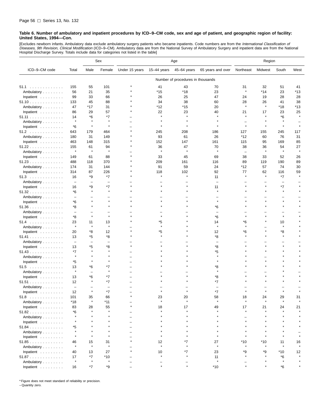[Excludes newborn infants. Ambulatory data exclude ambulatory surgery patients who became inpatients. Code numbers are from the *International Classification of*<br>*Diseases, 9th Revision, Clinical Modification* (ICD–9–CM). Hospital Discharge Survey. Totals include data for categories not listed in the table]

|                                  |                                |                                | Sex                            | Age            |               |                                   |                          | Region                   |               |           |      |
|----------------------------------|--------------------------------|--------------------------------|--------------------------------|----------------|---------------|-----------------------------------|--------------------------|--------------------------|---------------|-----------|------|
| ICD-9-CM code                    | Total                          | Male                           | Female                         | Under 15 years | $15-44$ years | 45-64 years                       | 65 years and over        | Northeast                | Midwest       | South     | West |
|                                  |                                |                                |                                |                |               | Number of procedures in thousands |                          |                          |               |           |      |
| 51.1                             | 155                            | 55                             | 101                            |                | 41            | 43                                | 70                       | 31                       | 32            | 51        | 41   |
| Ambulatory                       | 56                             | 21                             | 35                             |                | $*15$         | *18                               | 23                       | $\star$                  | $*14$         | 23        | *13  |
| Inpatient                        | 99                             | 33                             | 66                             |                | 26            | 25                                | 47                       | 24                       | 19            | 28        | 28   |
| 51.10                            | 133                            | 45                             | 88                             |                | 34            | 38                                | 60                       | 28                       | 26            | 41        | 38   |
| Ambulatory                       | 47                             | *17                            | 31                             |                | *12           | *15                               | 20                       | $\star$                  | $\star$       | *18       | *13  |
| Inpatient                        | 86                             | 29                             | 57                             |                | 22            | 23                                | 40                       | 21                       | 17            | 23        | 25   |
| 51.11                            | 14                             | *6                             | *7                             |                |               |                                   |                          |                          | $\star$       | *6        |      |
| Ambulatory                       | $\pmb{\ast}$                   | 大                              |                                |                |               |                                   |                          |                          |               |           |      |
| Inpatient                        | *6                             | $\star$                        | $\star$                        |                |               |                                   |                          | $\star$                  | $\star$       | $\star$   |      |
| 51.2                             | 643                            | 179                            | 464                            |                | 245           | 208                               | 186                      | 127                      | 155           | 245       | 117  |
| Ambulatory                       | 180                            | 31                             | 149                            |                | 93            | 61                                | 26                       | *12                      | 60            | 76        | 31   |
| Inpatient                        | 463                            | 148                            | 315                            |                | 152           | 147                               | 161                      | 115                      | 95            | 169       | 85   |
| 51.22                            | 155                            | 61                             | 94                             |                | 36            | 47                                | 70                       | 38                       | 36            | 54        | 27   |
| Ambulatory                       | $\pmb{\ast}$                   | $\star$                        | $\star$                        |                | $\star$       |                                   | $\star$                  | $\overline{\phantom{0}}$ | $\star$       | $\star$   |      |
| Inpatient                        | 149                            | 61                             | 88                             |                | 33            | 45                                | 69                       | 38                       | 33            | 52        | 26   |
| 51.23                            | 488                            | 118                            | 370                            |                | 209           | 161                               | 116                      | 89                       | 119           | 190       | 89   |
| Ambulatory                       | 174                            | 31                             | 144                            |                | 91            | 59                                | 24                       | *12                      | 57            | 74        | 30   |
| Inpatient                        | 314                            | 87                             | 226                            |                | 118           | 102                               | 92                       | 77                       | 62<br>$\star$ | 116<br>*7 | 59   |
| 51.3                             | 16                             | *9                             | *7                             |                |               |                                   | 11                       |                          |               |           |      |
| Ambulatory                       | $\overline{\phantom{m}}$<br>16 | $\overline{\phantom{0}}$<br>*9 | $\overline{\phantom{0}}$<br>*7 |                |               |                                   | 11                       |                          |               | *7        |      |
| Inpatient<br>51.32               | *6                             |                                | $\star$                        |                |               |                                   |                          |                          |               | $\star$   |      |
| Ambulatory                       | $\overline{\phantom{0}}$       |                                |                                |                |               |                                   |                          |                          |               |           |      |
| Inpatient                        | *6                             | $\star$                        | $\star$                        |                |               |                                   | $\star$                  |                          |               | $\star$   |      |
| 51.36                            | *8                             |                                |                                |                |               |                                   | *6                       |                          |               |           |      |
| Ambulatory                       | $\overline{\phantom{0}}$       |                                |                                |                |               |                                   | $\overline{\phantom{0}}$ |                          |               |           |      |
| Inpatient                        | *8                             | $\star$                        | $\star$                        |                |               |                                   | *6                       |                          |               | $\star$   |      |
| 51.4                             | 23                             | 11                             | 13                             |                | *5            |                                   | 14                       | *6                       |               | 10        |      |
| Ambulatory                       | $\pmb{\ast}$                   | $\star$                        | $\star$                        |                | $\star$       |                                   | $\star$                  | $\star$                  |               | $\star$   |      |
| Inpatient                        | 20                             | *8                             | 12                             |                | *5            |                                   | 12                       | *6                       |               | *8        |      |
| 51.41                            | 13                             | *5                             | *8                             |                |               |                                   | *8                       |                          |               | $\star$   |      |
| Ambulatory                       | $\overline{\phantom{m}}$       | $\overline{\phantom{0}}$       | L.                             |                |               |                                   | $\overline{\phantom{0}}$ |                          |               |           |      |
| Inpatient                        | 13                             | *5                             | *8                             |                |               |                                   | *8                       |                          |               |           |      |
| 51.43                            | $*7$<br>$\star$                | ×                              | $\star$                        |                |               |                                   | *5<br>$\star$            |                          |               |           |      |
| Ambulatory                       |                                | $\pmb{\ast}$                   |                                |                |               |                                   | $\star$                  |                          |               |           |      |
| Inpatient                        | *5                             |                                | *7                             |                |               |                                   |                          |                          |               |           |      |
| 51.5                             | 13<br>$\pmb{\ast}$             | *6<br>$\overline{\phantom{0}}$ | $\star$                        |                |               |                                   | *8<br>$\star$            |                          |               |           |      |
| Ambulatory<br>Inpatient          | 13                             | *6                             | *7                             |                |               |                                   | *8                       |                          |               |           |      |
| 51.51                            | 12                             | ×                              | *7                             |                |               |                                   | *7                       |                          |               |           |      |
| Ambulatory                       | $\qquad \qquad -$              |                                | -                              |                |               |                                   |                          |                          |               |           |      |
| Inpatient $\ldots \ldots \ldots$ | 12                             |                                | $*7$                           |                |               |                                   | $*7$                     |                          |               |           |      |
| 51.8                             | 101                            | 35                             | 66                             |                | 23            | 20                                | 58                       | 18                       | 24            | 29        | 31   |
| Ambulatory                       | $*18$                          | $\pmb{\ast}$                   | *11                            |                | $\star$       | $\star$                           | $\star$                  | $\star$                  | $\star$       |           |      |
| Inpatient $\ldots \ldots \ldots$ | 83                             | 28                             | 55                             |                | 18            | 17                                | 49                       | 17                       | 21            | 24        | 21   |
| 51.82                            | *6                             |                                | $\star$                        |                |               |                                   |                          |                          |               |           |      |
| Ambulatory                       | $\star$                        |                                |                                |                |               |                                   |                          |                          |               |           |      |
| Inpatient                        |                                |                                |                                |                |               |                                   |                          |                          |               |           |      |
| 51.84                            | *5                             |                                |                                |                |               |                                   |                          |                          |               |           |      |
| Ambulatory                       | $\star$                        |                                |                                |                |               |                                   |                          |                          |               |           |      |
| Inpatient                        | $\star$                        |                                |                                |                |               |                                   |                          |                          |               |           |      |
| 51.85                            | 46                             | 15                             | 31                             |                | 12            | *7                                | 27                       | *10                      | $*10$         | 11        | 16   |
| Ambulatory                       | $\star$                        | ×                              | $\pmb{\ast}$                   |                |               |                                   | $\star$                  |                          |               |           |      |
| Inpatient                        | 40                             | 13                             | 27                             |                | 10<br>$\star$ | *7                                | 23                       | *9                       | *9            | *10       | 12   |
| 51.87                            | 17<br>$\pmb{\ast}$             | $*7$<br>$\star$                | $*10$<br>$\pmb{\ast}$          |                |               |                                   | 11<br>$\star$            |                          |               | *6        |      |
| Ambulatory<br>Inpatient          | 16                             | $^{\star}7$                    | *9                             |                |               |                                   | *10                      |                          |               | *6        |      |

\* Figure does not meet standard of reliability or precision.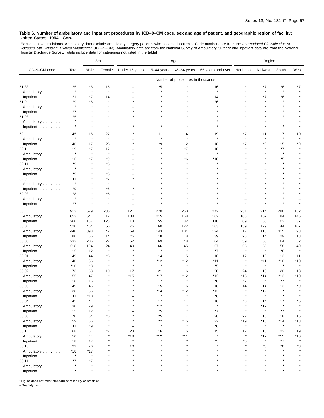[Excludes newborn infants. Ambulatory data exclude ambulatory surgery patients who became inpatients. Code numbers are from the *International Classification of*<br>*Diseases, 9th Revision, Clinical Modification* (ICD–9–CM).

|                                  |                  |                 | Sex               | Age                      |               |                                   |                   | Region    |         |              |         |
|----------------------------------|------------------|-----------------|-------------------|--------------------------|---------------|-----------------------------------|-------------------|-----------|---------|--------------|---------|
| ICD-9-CM code                    | Total            | Male            | Female            | Under 15 years           | $15-44$ years | 45-64 years                       | 65 years and over | Northeast | Midwest | South        | West    |
|                                  |                  |                 |                   |                          |               | Number of procedures in thousands |                   |           |         |              |         |
| 51.88                            | 25               | *8              | 16                |                          | *5            |                                   | 16                |           | *7      | *6           |         |
| Ambulatory                       | $\star$          | $\star$         | $\star$           |                          | $\star$       |                                   | $\star$           |           | $\star$ | $\pmb{\ast}$ |         |
| Inpatient                        | 21               | *7              | 14                |                          |               |                                   | 14                |           | *7      | *6           |         |
| 51.9                             | *9               | *5              | $\pmb{\ast}$      |                          |               |                                   | *6                |           |         |              |         |
| Ambulatory                       | $\star$          | $\star$         |                   |                          |               |                                   |                   |           |         |              |         |
| Inpatient                        | *7               |                 |                   |                          |               |                                   |                   |           |         |              |         |
| 51.98                            | *5               |                 |                   |                          |               |                                   |                   |           |         |              |         |
| Ambulatory                       | $\star$          |                 |                   |                          |               |                                   |                   |           |         | -            |         |
| Inpatient                        | $\star$          |                 | $\pmb{\ast}$      |                          |               |                                   |                   |           |         |              |         |
| 52                               | 45               | 18              | 27                |                          | 11            | 14                                | 19                | *7        | 11      | 17           | 10      |
| Ambulatory                       | $\star$          | $\star$         | $\pmb{\ast}$      |                          |               |                                   | $\star$           |           | $\star$ | $\star$      |         |
| Inpatient                        | 40               | 17              | 23                |                          | *9            | 12                                | 18                | *7        | *9      | 15           | *9      |
| 52.1                             | 19               | *7              | 12                |                          |               | *7                                | 10                |           |         | *7           |         |
| Ambulatory                       | $\star$          | $\star$         | $\pmb{\ast}$      |                          |               | $\star$                           | $\star$           |           |         | $\star$      |         |
| Inpatient                        | 16               | *7              | *9                |                          |               | *6                                | *10               |           |         | *5           |         |
| 52.11                            | *9               | $\star$         | *5                |                          |               |                                   |                   |           |         | $\star$      |         |
| Ambulatory                       | $\star$          |                 | $\qquad \qquad -$ |                          |               |                                   |                   |           |         |              |         |
| Inpatient                        | *9               |                 | *5                |                          |               |                                   |                   |           |         |              |         |
| 52.9                             | 11               |                 | *7                | $\star$                  |               |                                   |                   |           |         |              |         |
| Ambulatory                       |                  |                 | $\pmb{\ast}$      |                          |               |                                   |                   |           |         |              |         |
| Inpatient                        | *9               |                 | *6                | $\star$                  |               |                                   |                   |           |         |              |         |
| 52.93                            | *8               |                 | *6                |                          |               |                                   |                   |           |         |              |         |
| Ambulatory                       | $\star$          |                 | $\pmb{\ast}$      |                          |               |                                   |                   |           |         |              |         |
| Inpatient                        | *7               |                 |                   |                          |               |                                   |                   |           |         |              |         |
| 53.                              | 913              | 679             | 235               | 121                      | 270           | 250                               | 272               | 231       | 214     | 286          | 182     |
| Ambulatory                       | 653              | 541             | 112               | 108                      | 215           | 168                               | 162               | 163       | 162     | 184          | 145     |
| Inpatient                        | 260              | 137             | 123               | 13                       | 55            | 82                                | 110               | 69        | 53      | 102          | 37      |
| $53.0$                           | 520              | 464             | 56                | 75                       | 160           | 122                               | 163               | 139       | 129     | 144          | 107     |
| Ambulatory                       | 440              | 398             | 42                | 69                       | 143           | 104                               | 124               | 117       | 115     | 115          | 93      |
| Inpatient                        | 80               | 66              | 14                | *5                       | 18            | 18                                | 39                | 23        | 14      | 29           | 13      |
| $53.00$                          | 233              | 206             | 27                | 52                       | 69            | 48                                | 64                | 59        | 58      | 64           | 52      |
| Ambulatory                       | 218              | 194             | 24                | 49                       | 66            | 45                                | 57                | 56        | 55      | 58           | 49      |
| Inpatient                        | 15               | 12              | $\star$           |                          | $\star$       | $\star$                           | $*7$              | $\star$   | $\star$ | *6           | $\star$ |
| 53.01                            | 49               | 44              | *5                |                          | 14            | 15                                | 16                | 12        | 13      | 13           | 11      |
| Ambulatory                       | 40               | 36              | $\star$           |                          | *12           | *12                               | *11               | $\star$   | *11     | *10          | *10     |
| Inpatient                        | *10              | *8              | $\star$           | $\star$                  | $\pmb{\ast}$  | $\pmb{\ast}$                      | *5                | $\star$   | $\star$ | $\pmb{\ast}$ | $\star$ |
| 53.02                            | 73               | 63              | 10                | 17                       | 21            | 16                                | 20                | 24        | 16      | 20           | 13      |
| Ambulatory                       | 55               | 47              | $\pmb{\ast}$      | *15                      | *17           | *12                               | *12               | *18       | *14     | *13          | *10     |
| Inpatient                        | 18               | 16              |                   |                          | $\pmb{\ast}$  | $\star$                           | *8                | $*7$      | $\star$ | *7           | $\star$ |
| 53.03                            | 49               | 46              |                   |                          | 15            | 16                                | 18                | 14        | 14      | 13           | *9      |
| Ambulatory                       | 38               | 36              |                   |                          | $*14$         | *12                               | *12               | $\star$   | *12     | $\star$      |         |
| Inpatient                        | 11               | $*10$           |                   |                          |               |                                   | *6                |           |         |              |         |
| 53.04                            | 45               | 41              |                   |                          | 17            | 11                                | 16                | *8        | 14      | 17           | *6      |
| Ambulatory                       | 30               | 29              |                   |                          | $*12$         | $\star$                           | $\star$           | $\star$   | $*12$   | $\pmb{\ast}$ |         |
| Inpatient                        | 15               | 12              |                   |                          | *5            | $\star$                           | $*7$              | $\star$   | $\star$ | *7           |         |
| $53.05$                          | 70               | 64              | *6                |                          | 25            | 17                                | 28                | 22        | 15      | 18           | 16      |
| Ambulatory                       | 59               | 56              |                   |                          | 22            | *15                               | 22                | *19       | *13     | *14          | *13     |
| Inpatient                        | 11               | *9              | $\star$           | $\overline{\phantom{0}}$ | $\pmb{\ast}$  | $\star$                           | *6                | $\star$   | $\star$ | $\pmb{\ast}$ | $\star$ |
| 53.1                             | 68               | 61              | *7                | 23                       | 16            | 15                                | 15                | 12        | 15      | 22           | 19      |
| Ambulatory                       | 50               | 44              | $\star$           | *18                      | *12           | $*11$                             | $\star$           | $\star$   | *12     | *15          | *16     |
| Inpatient $\ldots \ldots \ldots$ | 18               | 17              |                   | $\star$                  | $\star$       |                                   | *5                | *5        | $\star$ | *7           | $\star$ |
| 53.10                            | 22               | 20              |                   | 10                       |               |                                   |                   |           | *5      | *6           | *8      |
| Ambulatory                       | $*18$<br>$\star$ | *17<br>$\star$  |                   |                          |               |                                   |                   |           |         |              |         |
| Inpatient                        |                  |                 |                   |                          |               |                                   |                   |           |         |              |         |
| 53.11                            | $*7$             | $*7$<br>$\star$ |                   |                          |               |                                   |                   |           |         | $\star$      |         |
| Ambulatory                       |                  |                 | $\star$           |                          |               |                                   |                   |           |         |              |         |
| Inpatient                        |                  |                 |                   |                          |               |                                   |                   |           |         |              |         |

\* Figure does not meet standard of reliability or precision.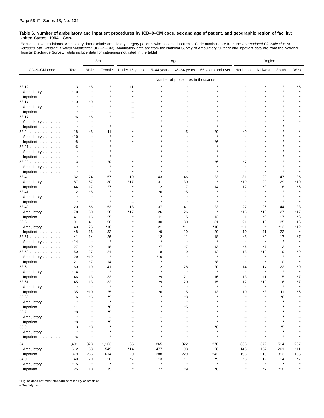[Excludes newborn infants. Ambulatory data exclude ambulatory surgery patients who became inpatients. Code numbers are from the *International Classification of*<br>*Diseases, 9th Revision, Clinical Modification* (ICD–9–CM). Hospital Discharge Survey. Totals include data for categories not listed in the table]

|                         |         |               | Sex                      | Age            |               |                                   | Region            |                 |               |              |                |
|-------------------------|---------|---------------|--------------------------|----------------|---------------|-----------------------------------|-------------------|-----------------|---------------|--------------|----------------|
| ICD-9-CM code           | Total   | Male          | Female                   | Under 15 years | $15-44$ years | 45-64 years                       | 65 years and over | Northeast       | Midwest       | South        | West           |
|                         |         |               |                          |                |               | Number of procedures in thousands |                   |                 |               |              |                |
| 53.12                   | 13      | *8            |                          | 11             |               |                                   |                   |                 |               |              | *5             |
| Ambulatory              | $*10$   | $\star$       |                          | $\star$        |               |                                   |                   |                 |               |              |                |
| Inpatient               | $\star$ | $\star$       |                          | $\star$        |               |                                   |                   |                 |               |              |                |
| 53.14                   | *10     | *9            |                          |                |               |                                   |                   |                 |               |              |                |
| Ambulatory              |         | $\star$       |                          |                |               |                                   |                   |                 |               |              |                |
| Inpatient               |         | $\star$       |                          |                |               |                                   |                   |                 |               |              |                |
| 53.17                   | *6      | *6            |                          |                |               |                                   |                   |                 |               |              |                |
| Ambulatory              |         |               |                          |                |               |                                   |                   |                 |               |              |                |
| Inpatient               | $\star$ | $\star$       | $\star$                  |                |               |                                   |                   |                 |               |              |                |
| 53.2                    | 18      | *8            | 11                       |                |               | *5                                | *9                | *9              |               |              |                |
| Ambulatory              | *10     | $\star$       |                          |                |               |                                   | $\star$           |                 |               |              |                |
| Inpatient               | *8      |               |                          |                |               |                                   | *6                |                 |               |              |                |
| 53.21                   | *6      |               |                          |                |               |                                   |                   |                 |               |              |                |
| Ambulatory              |         |               |                          |                |               |                                   |                   |                 |               |              |                |
| Inpatient               |         |               |                          |                |               |                                   |                   |                 |               |              |                |
|                         | 13      |               | *9                       |                |               |                                   | *6                | *7              |               |              |                |
| 53.29                   | $\star$ |               | $\star$                  |                |               |                                   |                   |                 |               |              |                |
| Ambulatory<br>Inpatient | $\star$ | $\star$       | $\star$                  |                |               |                                   |                   |                 |               |              |                |
| $53.4$                  | 132     | 74            | 57                       | 19             | 43            | 46                                | 23                | 31              | 29            | 47           | 25             |
|                         | 87      | 57            | 30                       | *17            | 31            | 30                                |                   | *19             | 20            | 29           | *19            |
| Ambulatory              |         |               |                          |                |               |                                   |                   |                 | *9            |              |                |
| Inpatient               | 44      | 17            | 27<br>$\star$            |                | 12            | 17                                | 14                | 12              |               | 18           | *6             |
| 53.41                   | 12      | *8<br>$\star$ |                          |                | *6            | *5<br>$\star$                     |                   |                 |               |              |                |
| Ambulatory              | $\star$ | $\star$       | $\star$                  |                | $\star$       |                                   |                   | À               |               | $\star$      |                |
| Inpatient               |         |               |                          |                |               |                                   |                   |                 |               |              |                |
| 53.49                   | 120     | 66            | 53                       | 18             | 37            | 41                                | 23<br>$\star$     | 27              | 26            | 44           | 23             |
| Ambulatory              | 78      | 50            | 28                       | *17            | 26            | 26                                |                   | *16             | *18           | 27           | *17            |
| Inpatient               | 41      | 16            | 25                       |                | 11            | 15                                | 13                | 11              | *8            | 17           | *6             |
| $53.5$                  | 91      | 41            | 50                       |                | 30            | 30                                | 31                | 21              | 19<br>$\star$ | 35           | 16             |
| Ambulatory              | 43      | 25            | *18                      |                | 21            | *11                               | *10               | *11             |               | $*13$        | *12<br>$\star$ |
| Inpatient               | 48      | 16            | 32                       |                | *9            | 19                                | 20                | 10              | 11            | 22           |                |
| 53.51                   | 41      | 14            | 26                       |                | 12            | 11<br>$\star$                     | 18<br>$\star$     | *8<br>$\lambda$ | *9            | 17           | *7             |
| Ambulatory              | *14     | $\star$       | Å                        |                | $\pmb{\ast}$  |                                   |                   |                 | $\star$       | $\pmb{\ast}$ |                |
| Inpatient               | 27      | *9            | 18                       |                | *7            | *7                                | 13                | *6              | *7            | 12           |                |
| 53.59                   | 50      | 27            | 24                       |                | 18            | 19                                | 12                | 13              | $*10$         | 19           | *9             |
| Ambulatory              | 29      | *19           | $\star$                  |                | *16           | $\star$                           | $\star$           | Å               |               | $\star$      |                |
| Inpatient               | 21      | $*7$          | 14                       |                | $\star$       | 11                                | *8                | $\star$         | $\star$       | 10           |                |
| $53.6$                  | 60      | 19            | 41                       |                | 12            | 28                                | 20                | 14              | 14            | 22           | *9             |
| Ambulatory              | *14     | $\star$       | $\star$                  |                | $\pmb{\ast}$  | $\star$                           | $\star$           | Å               | $\star$       | $\pmb{\ast}$ |                |
| Inpatient               | 46      | 13            | 33                       |                | *9            | 21                                | 16                | 13              | 11            | 15           | *7             |
| $53.61$                 | 45      | 13            | 32                       |                | *9            | 20                                | 15                | 12              | $*10$         | 16           | *7             |
| Ambulatory              |         | $\star$       | Å                        |                |               |                                   |                   |                 |               |              |                |
| Inpatient               | 35      | $*10$         | 25                       |                | *6            | 15                                | 13                | 10              | *8            | 11           | *6             |
| 53.69                   | 16      | *6            | *9                       |                |               | *8                                |                   |                 |               | *6           |                |
| Ambulatory              | $\star$ |               | $\star$                  |                |               | $\star$                           |                   |                 |               |              |                |
| Inpatient               | 11      |               | *8                       |                |               | *5                                |                   |                 |               |              |                |
| $53.7$                  | *8      |               | *5                       |                |               |                                   |                   |                 |               |              |                |
| Ambulatory              | $\star$ |               | $\overline{\phantom{a}}$ |                |               |                                   |                   |                 |               |              |                |
| Inpatient               | *8      |               | *5                       |                |               |                                   |                   |                 |               |              |                |
| $53.9$                  | 13      | *8            | $\star$                  |                |               |                                   | *6                |                 |               | *5           |                |
| Ambulatory              | $\star$ | $\star$       | $\star$                  |                |               |                                   | $\star$           |                 |               | $\star$      |                |
| Inpatient               | *6      | $\star$       |                          |                |               |                                   | $\star$           |                 |               |              |                |
| 54                      | 1,491   | 328           | 1,163                    | 35             | 865           | 322                               | 270               | 338             | 372           | 514          | 267            |
| Ambulatory              | 612     | 63            | 549                      | *14            | 477           | 93                                | 28                | 143             | 157           | 201          | 111            |
| Inpatient               | 879     | 265           | 614                      | 20             | 388           | 229                               | 242               | 196             | 215           | 313          | 156            |
| 54.0                    | 40      | 20            | 20                       | *7             | 13            | 11                                | *9                | *8              | 12            | 14           | *7             |
| Ambulatory              | *15     | $\star$       | $\star$                  | $\star$        | $\star$       | $\star$                           | $\star$           | $\star$         | $\star$       | $\star$      |                |
| Inpatient               | 25      | 10            | 15                       | $\star$        | *7            | *9                                | *8                | $\star$         | *7            | $*10$        | $\star$        |
|                         |         |               |                          |                |               |                                   |                   |                 |               |              |                |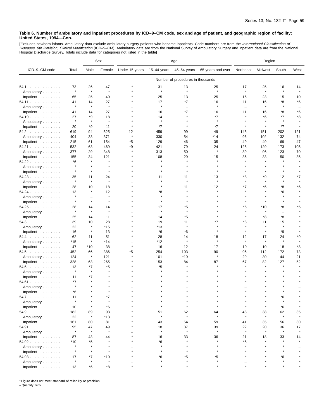[Excludes newborn infants. Ambulatory data exclude ambulatory surgery patients who became inpatients. Code numbers are from the *International Classification of*<br>*Diseases, 9th Revision, Clinical Modification* (ICD–9–CM).

|                                  |         |                          | Sex          | Age            |              |                                   |                   | Region                   |         |                          |         |
|----------------------------------|---------|--------------------------|--------------|----------------|--------------|-----------------------------------|-------------------|--------------------------|---------|--------------------------|---------|
| ICD-9-CM code                    | Total   | Male                     | Female       | Under 15 years | 15-44 years  | 45-64 years                       | 65 years and over | Northeast                | Midwest | South                    | West    |
|                                  |         |                          |              |                |              | Number of procedures in thousands |                   |                          |         |                          |         |
| 54.1                             | 73      | 26                       | 47           |                | 31           | 13                                | 25                | 17                       | 25      | 16                       | 14      |
| Ambulatory                       | $\star$ | $\star$                  | $\pmb{\ast}$ |                | $\star$      | $\star$                           | $\pmb{\ast}$      | $\star$                  | $\star$ | $\star$                  | $\star$ |
| Inpatient                        | 65      | 25                       | 40           |                | 25           | 13                                | 25                | 16                       | 23      | 15                       | 10      |
| 54.11                            | 41      | 14                       | 27           |                | 17           | $*7$                              | 16                | 11                       | 16      | *8                       | *6      |
| Ambulatory                       | $\star$ | $\star$                  | $\star$      |                | $\star$      | $\equiv$                          | $\star$           | $\overline{\phantom{0}}$ | $\star$ | $\star$                  |         |
| Inpatient                        | 41      | 14                       | 27           |                | 16           | *7                                | 16                | 11                       | 16      | *8                       | *6      |
| 54.19                            | 27      | *9                       | 18           |                | 14           |                                   | $*7$              |                          | *6      | *7                       | *8      |
| Ambulatory                       |         | $\star$                  | $\pmb{\ast}$ |                |              |                                   |                   |                          |         |                          |         |
| Inpatient                        | 20      | *9                       | 11           |                | $*7$         | $\star$                           | $*7$              |                          | $\star$ | $*7$                     |         |
| 54.2                             | 619     | 94                       | 525          | 12             | 459          | 99                                | 49                | 145                      | 151     | 202                      | 121     |
| Ambulatory                       | 404     | 33                       | 371          | $\star$        | 330          | 54                                | *14               | 96                       | 102     | 132                      | 74      |
| Inpatient                        | 215     | 61                       | 154          | *5             | 129          | 46                                | 35                | 49                       | 49      | 69                       | 47      |
| 54.21                            | 532     | 63                       | 469          | *9             | 421          | 79                                | 24                | 125                      | 129     | 173                      | 105     |
| Ambulatory                       | 377     | 29                       | 348          |                | 313          | 50                                | $\star$           | 89                       | 96      | 123                      | 70      |
| Inpatient                        | 155     | 34                       | 121          |                | 108          | 29                                | 15                | 36                       | 33      | 50                       | 35      |
| 54.22                            | *6      | $\star$                  |              |                | $\pmb{\ast}$ | $\star$                           | $\star$           |                          |         |                          |         |
| Ambulatory                       | $\star$ |                          |              |                |              | $\star$                           |                   |                          |         |                          |         |
| Inpatient                        | $\star$ |                          |              |                |              |                                   |                   |                          |         |                          |         |
| 54.23                            | 35      | 11                       | 24           |                | 11           | 11                                | 13                | *8                       | *9      | 12                       | *7      |
| Ambulatory                       | $\star$ | $\star$                  | $\pmb{\ast}$ |                |              |                                   |                   |                          |         | $\star$                  |         |
| Inpatient                        | 28      | 10                       | 18           |                | $\star$      | 11                                | 12                | *7                       | *6      | *8                       | *6      |
| $54.24$                          | 13      | $\pmb{\ast}$             | 12           |                | *8           |                                   |                   |                          |         | *6                       |         |
| Ambulatory                       | $\star$ | $\overline{\phantom{0}}$ | $\star$      |                |              |                                   |                   |                          |         |                          |         |
| Inpatient                        | $\star$ | $\star$                  | $\pmb{\ast}$ |                | $\star$      | $\star$                           |                   | $\star$                  | $\star$ | $\star$                  |         |
| 54.25                            | 28      | 14                       | 14           |                | 17           | *5                                |                   | *5                       | *10     | *8                       | *5      |
| Ambulatory                       | $\star$ | $\star$                  | $\star$      |                | $\star$      | $\star$                           |                   |                          | $\star$ | $\overline{\phantom{0}}$ |         |
| Inpatient                        | 25      | 14                       | 11           |                | 14           | *5                                |                   |                          | *8      | *8                       |         |
| $54.3$                           | 39      | 10                       | 28           |                | 19           | 11                                | *7                | *8                       | 11      | 15                       |         |
| Ambulatory                       | 22      | $\star$                  | $*15$        |                | *13          | $\star$                           |                   | $\star$                  | $\star$ | $\star$                  |         |
| Inpatient                        | 16      | ×                        | 13           |                | *6           | *6                                |                   | $\star$                  | $\star$ | *9                       |         |
| $54.4$                           | 62      | 11                       | 51           |                | 28           | 14                                | 18                | 12                       | 17      | 24                       | *9      |
| Ambulatory                       | *15     | $\star$                  | *14          |                | *12          | À                                 |                   | $\star$                  | $\star$ |                          |         |
| Inpatient                        | 47      | *10                      | 38           | $\star$        | 16           | 12                                | 17                | 10                       | 10      | 18                       | *8      |
| $54.5$                           | 452     | 66                       | 386          | *5             | 254          | 103                               | 90                | 96                       | 112     | 172                      | 73      |
| Ambulatory                       | 124     | $\star$                  | 121          |                | 101          | *19                               | $\pmb{\ast}$      | 29                       | 30      | 44                       | 21      |
| Inpatient                        | 328     | 63                       | 265          |                | 153          | 84                                | 87                | 67                       | 82      | 127                      | 52      |
| $54.6$                           | 13      | *7                       | *5           |                | *5           |                                   |                   |                          |         |                          |         |
| Ambulatory                       | $\star$ | $\star$                  |              |                |              |                                   |                   |                          |         |                          |         |
| Inpatient                        | 11      | *7                       |              |                |              |                                   |                   |                          |         |                          |         |
| 54.61                            | *7      |                          |              |                |              |                                   |                   |                          |         |                          |         |
| Ambulatory                       |         |                          |              |                |              |                                   |                   |                          |         |                          |         |
| Inpatient $\ldots \ldots \ldots$ | *6      |                          |              |                |              |                                   |                   |                          |         |                          |         |
| $54.7$                           | 11      |                          | *7           |                |              |                                   |                   |                          |         | *6                       |         |
| Ambulatory                       |         |                          |              |                |              |                                   |                   |                          |         |                          |         |
| Inpatient                        | 10      | $\star$                  | *6           |                |              |                                   |                   |                          |         | *6                       |         |
| $54.9$                           | 182     | 89                       | 93           |                | 51           | 62                                | 64                | 48                       | 38      | 62                       | 35      |
| Ambulatory                       | 22      | $\star$                  | *13          |                | $\pmb{\ast}$ | $\star$                           | $\pmb{\ast}$      | $\star$                  | $\star$ | $\pmb{\ast}$             | $\star$ |
| Inpatient                        | 161     | 80                       | 81           |                | 43           | 54                                | 59                | 41                       | 35      | 56                       | 30      |
| 54.91                            | 95      | 47                       | 49           |                | 18           | 37                                | 39                | 22                       | 20      | 36                       | 17      |
| Ambulatory                       | $\star$ | $\star$                  | $\pmb{\ast}$ |                | $\pmb{\ast}$ | $\star$                           | $\star$           | $\star$                  | $\star$ | $\star$                  |         |
| Inpatient                        | 87      | 43                       | 44           |                | 16           | 33                                | 36                | 21                       | 18      | 33                       | 14      |
| 54.92                            | $*10$   | *5                       |              |                | *6           |                                   |                   | *5                       |         |                          |         |
| Ambulatory                       | $\star$ |                          |              |                |              | $\star$                           |                   |                          |         |                          |         |
| Inpatient $\ldots \ldots \ldots$ | $\star$ |                          |              |                |              |                                   |                   |                          |         |                          |         |
| $54.93$                          | 17      | *7                       | *10          |                | *6           | *5                                | *5                |                          |         | *6                       |         |
| Ambulatory                       | $\star$ | $\star$                  |              |                |              | $\star$                           | $\star$           |                          |         |                          |         |
| Inpatient $\ldots$ ,             | 13      | $*6$                     | *8           |                |              |                                   |                   |                          |         |                          |         |

\* Figure does not meet standard of reliability or precision.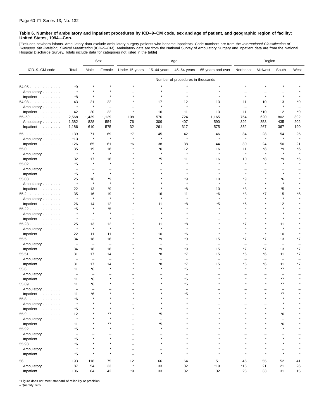[Excludes newborn infants. Ambulatory data exclude ambulatory surgery patients who became inpatients. Code numbers are from the *International Classification of*<br>*Diseases, 9th Revision, Clinical Modification* (ICD–9–CM). Hospital Discharge Survey. Totals include data for categories not listed in the table]

|                    |                          |                          | Sex                      | Age            |                          |                                   | Region                   |                          |                          |                          |      |
|--------------------|--------------------------|--------------------------|--------------------------|----------------|--------------------------|-----------------------------------|--------------------------|--------------------------|--------------------------|--------------------------|------|
| ICD-9-CM code      | Total                    | Male                     | Female                   | Under 15 years | $15 - 44$ years          | 45-64 years                       | 65 years and over        | Northeast                | Midwest                  | South                    | West |
|                    |                          |                          |                          |                |                          | Number of procedures in thousands |                          |                          |                          |                          |      |
| 54.95              | *9                       |                          |                          |                |                          |                                   |                          |                          |                          |                          |      |
| Ambulatory         | $\star$                  |                          |                          |                |                          |                                   |                          |                          |                          |                          |      |
| Inpatient          | *8                       |                          | $\star$                  |                |                          |                                   |                          | $\star$                  |                          | $\star$                  |      |
| $54.98$            | 43                       | 21                       | 22                       |                | 17                       | 12                                | 13                       | 11                       | 10                       | 13                       | *9   |
| Ambulatory         | $\star$                  | $\pmb{\ast}$             | $\overline{\phantom{0}}$ |                | $\star$                  | $\star$                           | $\star$                  | L.                       | $\star$                  | $\pmb{\ast}$             |      |
| Inpatient          | 42                       | 20                       | 22                       |                | 16                       | 11                                | 13                       | 11                       | $*10$                    | 12                       | *9   |
| $55 - 59$          | 2,568                    | 1,439                    | 1,129                    | 108            | 570                      | 724                               | 1,165                    | 754                      | 620                      | 802                      | 392  |
| Ambulatory         | 1,382                    | 828                      | 554                      | 76             | 309                      | 407                               | 590                      | 392                      | 353                      | 435                      | 202  |
| Inpatient          | 1,186                    | 610                      | 575                      | 32             | 261                      | 317                               | 575                      | 362                      | 267                      | 367                      | 190  |
| 55                 | 139                      | 71                       | 69                       | *7             | 45                       | 42                                | 46                       | 34                       | 28                       | 54                       | 25   |
| Ambulatory         | $*13$                    | $\pmb{\ast}$             | $\star$                  | $\lambda$      | $\star$                  | $\star$                           | $\star$                  | $\star$                  | $\star$                  | $\pmb{\ast}$             |      |
| Inpatient          | 126                      | 65                       | 61                       | *6             | 38                       | 38                                | 44                       | 30                       | 24                       | 50                       | 21   |
| 55.0               | 35                       | 19                       | 16                       |                | *6                       | 12                                | 16                       | 11                       | *8                       | *9                       | *6   |
| Ambulatory         | $\star$                  | $\pmb{\ast}$             | $\star$                  |                |                          | $\star$                           | $\star$                  | $\star$                  |                          |                          |      |
| Inpatient          | 32                       | 17                       | 16                       |                | *5                       | 11                                | 16                       | 10                       | *8                       | *9                       | *5   |
| $55.02$            | *5                       | $\star$                  | $\star$                  |                |                          |                                   |                          |                          |                          |                          |      |
| Ambulatory         | $\qquad \qquad -$        |                          |                          |                |                          |                                   |                          |                          |                          |                          |      |
| Inpatient          | *5                       | $\star$                  | $\star$                  |                |                          |                                   |                          |                          |                          |                          |      |
| 55.03              | 25                       | 16                       | *9                       |                |                          | *9                                | 10                       | *9                       |                          | *6                       |      |
| Ambulatory         | $\star$                  | $\star$                  | $\star$                  |                |                          | $\star$                           | $\pmb{\ast}$             | $\star$                  |                          | $\star$                  |      |
| Inpatient          | 22                       | 13                       | *9                       |                |                          | *8                                | 10                       | *8                       |                          | *5                       |      |
| 55.2               | 35                       | 16                       | 19                       |                | 16                       | 11                                | *6                       | *8                       | *7                       | 15                       | *5   |
| Ambulatory         | $\star$                  | $\star$                  | $\star$                  |                | $\star$                  | $\star$                           | $\star$                  | $\star$                  |                          | $\pmb{\ast}$             |      |
| Inpatient          | 26                       | 14                       | 12                       |                | 11                       | *8                                | *5                       | *6                       |                          | 12                       |      |
| 55.22              | *5                       |                          | *5                       |                |                          |                                   |                          |                          |                          | $\star$                  |      |
| Ambulatory         | $\star$                  | $\star$                  | $\star$                  |                |                          |                                   |                          |                          |                          |                          |      |
| Inpatient          | $\star$                  | $\overline{\phantom{0}}$ | $\star$                  |                |                          |                                   |                          |                          |                          |                          |      |
| 55.23              | 25                       | 13                       | 12                       |                | 11                       | *8                                |                          | *7                       |                          | 11                       |      |
| Ambulatory         | $\star$                  | $\star$                  | $\star$                  |                | $\star$                  | $\star$                           |                          |                          |                          | $\star$                  |      |
| Inpatient          | 22                       | 11                       | 11                       |                | 10                       | *6                                |                          | $\star$                  |                          | 10                       |      |
| $55.5$             | 34                       | 18                       | 16                       |                | *9                       | *9                                | 15                       | *7                       | *7                       | 13                       | *7   |
| Ambulatory         | $\qquad \qquad -$        | $\overline{\phantom{0}}$ | $\overline{\phantom{m}}$ |                |                          |                                   | $\equiv$                 | $\overline{\phantom{0}}$ | $\overline{\phantom{0}}$ | $\overline{\phantom{0}}$ |      |
| Inpatient          | 34                       | 18                       | 16                       |                | *9                       | *9                                | 15                       | *7                       | *7                       | 13                       | *7   |
| $55.51$            | 31                       | 17                       | 14                       |                | *8                       | $*7$                              | 15                       | *6                       | *6                       | 11                       | *7   |
| Ambulatory         | $\overline{\phantom{m}}$ | $\overline{\phantom{0}}$ | $\qquad \qquad$          |                |                          |                                   | $\overline{\phantom{0}}$ | $\overline{\phantom{0}}$ |                          | $\overline{\phantom{0}}$ |      |
| Inpatient          | 31                       | 17                       | 14                       |                | *8                       | $*7$                              | 15                       | *6                       | *6                       | 11                       | *7   |
| $55.6$             | 11                       | *6                       | $\star$                  |                |                          | *5                                |                          |                          |                          | $*7$                     |      |
| Ambulatory         | $\overline{\phantom{0}}$ | $\overline{\phantom{0}}$ |                          |                |                          | $\qquad \qquad$                   |                          |                          |                          | $\overline{\phantom{0}}$ |      |
| Inpatient          | 11                       | *6                       |                          |                |                          | *5                                |                          |                          |                          | *7                       |      |
| $55.69$            | 11                       | *6                       |                          |                |                          | *5                                |                          |                          |                          | *7                       |      |
| Ambulatory         | $\overline{\phantom{a}}$ | $\overline{\phantom{0}}$ |                          |                |                          |                                   |                          |                          |                          |                          |      |
| Inpatient          | 11                       | $*_{\mathsf{G}}$         |                          |                |                          | *5                                |                          |                          |                          | $*7$                     |      |
| $55.8$             | *6                       |                          |                          |                |                          |                                   |                          |                          |                          |                          |      |
| Ambulatory         | $\star$                  |                          |                          |                |                          |                                   |                          |                          |                          |                          |      |
| Inpatient          | *5                       |                          | $\star$                  |                |                          |                                   |                          |                          |                          |                          |      |
|                    | 12                       |                          | *7                       |                | *5                       |                                   |                          |                          |                          | *6                       |      |
| 55.9<br>Ambulatory | $\star$                  |                          | $\star$                  |                | $\overline{\phantom{a}}$ |                                   |                          |                          |                          | $\overline{\phantom{0}}$ |      |
|                    |                          |                          |                          |                | *5                       |                                   |                          |                          |                          | *6                       |      |
| Inpatient          | 11<br>*5                 |                          | *7<br>$\star$            |                |                          |                                   |                          |                          |                          | $\star$                  |      |
| 55.92              |                          |                          |                          |                |                          |                                   |                          |                          |                          |                          |      |
| Ambulatory         | $\overline{\phantom{0}}$ |                          | $\star$                  |                |                          |                                   |                          |                          |                          |                          |      |
| Inpatient          | *5                       |                          |                          |                |                          |                                   |                          |                          |                          |                          |      |
| 55.93              | *6<br>$\star$            |                          |                          |                |                          |                                   |                          |                          |                          |                          |      |
| Ambulatory         |                          | $\star$                  | $\star$                  |                | $\star$                  |                                   |                          |                          |                          | $\star$                  |      |
| Inpatient          | *5                       |                          |                          | $\equiv$       |                          |                                   |                          |                          |                          |                          |      |
| 56                 | 193                      | 118                      | 75                       | 12             | 66                       | 64                                | 51                       | 46                       | 55                       | 52                       | 41   |
| Ambulatory         | 87                       | 54                       | 33                       | $\star$        | 33                       | 32                                | $*19$                    | $*18$                    | 21                       | 21                       | 26   |
| Inpatient          | 106                      | 64                       | 42                       | *9             | 33                       | 32                                | 32                       | 28                       | 33                       | 31                       | 15   |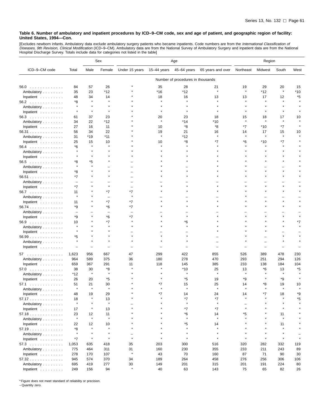[Excludes newborn infants. Ambulatory data exclude ambulatory surgery patients who became inpatients. Code numbers are from the *International Classification of*<br>*Diseases, 9th Revision, Clinical Modification* (ICD–9–CM).

|                                  |                          |               | Sex          | Age            |                 |                                   | Region            |           |         |           |      |
|----------------------------------|--------------------------|---------------|--------------|----------------|-----------------|-----------------------------------|-------------------|-----------|---------|-----------|------|
| ICD-9-CM code                    | Total                    | Male          | Female       | Under 15 years | $15 - 44$ years | 45-64 years                       | 65 years and over | Northeast | Midwest | South     | West |
|                                  |                          |               |              |                |                 | Number of procedures in thousands |                   |           |         |           |      |
| $56.0$                           | 84                       | 57            | 26           |                | 35              | 28                                | 21                | 19        | 29      | 20        | 15   |
| Ambulatory                       | 35                       | 23            | *12          |                | *16             | *12                               | $\star$           | $\star$   | *12     | $\star$   | *10  |
| Inpatient                        | 48                       | 34            | 14           |                | 18              | 16                                | 13                | 13        | 17      | 12        | *5   |
| 56.2                             | *8                       | $\star$       |              |                | $\star$         | $\star$                           |                   |           |         |           |      |
| Ambulatory                       | $\star$                  | $\pmb{\ast}$  |              |                |                 |                                   |                   |           |         |           |      |
| Inpatient                        | $\star$                  | $\star$       |              |                |                 |                                   |                   |           |         |           |      |
| $56.3$                           | 61                       | 37            | 23           |                | 20              | 23                                | 18                | 15        | 18      | 17        | 10   |
| Ambulatory                       | 34                       | 22            | *12          |                |                 | *14                               | *10               |           | $\star$ |           |      |
| Inpatient                        | 27                       | 16            | 11           |                | 10              | *8                                | *8                | *7        | *10     | *7        |      |
| 56.31                            | 56                       | 34            | 22           |                | 19              | 21                                | 16                | 14        | 17      | 15        | 10   |
|                                  | 31                       | *19           | $*11$        |                | $\star$         | *12                               | $\star$           | $\star$   | $\star$ | $\star$   |      |
| Ambulatory                       | 25                       |               | 10           |                | 10              | *8                                | *7                | *6        | *10     | *7        |      |
| Inpatient                        |                          | 15<br>$\star$ |              |                |                 |                                   |                   |           |         |           |      |
| $56.4$                           | *6                       |               |              |                |                 |                                   |                   |           |         |           |      |
| Ambulatory                       |                          |               |              |                |                 |                                   |                   |           |         |           |      |
| Inpatient                        |                          |               |              |                |                 |                                   |                   |           |         |           |      |
| $56.5$                           | *8<br>$\star$            | *5            |              |                |                 |                                   |                   |           |         |           |      |
| Ambulatory                       |                          |               |              |                |                 |                                   |                   |           |         |           |      |
| Inpatient                        | *8                       | $\star$       |              |                |                 |                                   |                   |           |         |           |      |
| 56.51                            | *7                       |               |              |                |                 |                                   |                   |           |         |           |      |
| Ambulatory                       | $\overline{\phantom{0}}$ |               |              |                |                 |                                   |                   |           |         |           |      |
| Inpatient                        | *7                       |               |              |                |                 |                                   |                   |           |         |           |      |
| 56.7                             | 11                       |               | *7           | *7<br>$\star$  |                 |                                   |                   |           |         |           |      |
| Ambulatory                       |                          |               | L.           |                |                 |                                   |                   |           |         | $\star$   |      |
| Inpatient                        | 11                       |               | *7           | *7             |                 |                                   |                   |           |         |           |      |
| 56.74                            | *9                       |               | *6           | *7             |                 |                                   |                   |           |         |           |      |
| Ambulatory                       |                          |               |              |                |                 |                                   |                   |           |         |           |      |
| Inpatient                        | *9                       |               | *6           | *7             |                 |                                   |                   |           |         |           |      |
| 56.9                             | 10                       |               | $*7$         |                |                 | *6                                |                   |           |         |           | *7   |
| Ambulatory                       |                          |               |              |                |                 |                                   |                   |           |         |           |      |
| Inpatient                        |                          |               |              |                |                 |                                   |                   |           |         |           |      |
| 56.99                            | *5                       |               |              |                |                 |                                   |                   |           |         |           |      |
| Ambulatory                       | $\pmb{\ast}$             | $\pmb{\ast}$  |              |                |                 |                                   |                   |           |         |           |      |
| Inpatient                        |                          | ÷             |              |                |                 |                                   |                   |           |         |           |      |
| 57                               | 1,623                    | 956           | 667          | 47             | 299             | 422                               | 855               | 526       | 389     | 478       | 230  |
| Ambulatory                       | 964                      | 589           | 375          | 36             | 180             | 278                               | 470               | 293       | 251     | 294       | 126  |
| Inpatient                        | 659                      | 367           | 291          | 11             | 118             | 145                               | 385               | 233       | 138     | 184       | 104  |
| 57.0                             | 38                       | 30            | *8           |                |                 | *10                               | 25                | 13        | *6      | 13        | *5   |
| Ambulatory                       | *12                      | $\star$       | $\pmb{\ast}$ |                |                 |                                   | $\star$           |           |         |           |      |
| Inpatient                        | 26                       | 20            | *5           |                |                 | *5                                | 19                | *9        |         | *9        |      |
| 57.1<br>.                        | 51                       | 21            | 30           |                | *7              | 15                                | 25                | 14        | *8      | 19        | 10   |
| Ambulatory                       | $\star$                  | $\star$       | $\star$      |                |                 | $\star$                           | $\pmb{\ast}$      |           |         | $\lambda$ |      |
| Inpatient                        | 48                       | 19            | 29           |                |                 | 14                                | 24                |           |         | 18        | *۵   |
| 57.17                            | 18                       |               | 13           |                |                 | *7                                | *7                |           |         |           | *5   |
| Ambulatory                       | $\star$                  |               | $\star$      |                |                 | $\star$                           | $\star$           |           |         |           |      |
| Inpatient $\ldots \ldots \ldots$ | 17                       |               | 13           |                |                 | *7                                | *7                |           |         |           |      |
| 57.18                            | 23                       | 12            | 11           |                |                 | *6                                | 14                | *5        |         | 11        |      |
| Ambulatory                       | $\star$                  | $\star$       | $\star$      |                |                 | $\star$                           | $\star$           |           |         | $\star$   |      |
|                                  | 22                       | 12            | 10           |                |                 | *5                                | 14                |           |         | 11        |      |
| Inpatient<br>57.19               | *8                       | $\star$       | $\star$      |                |                 | $\star$                           |                   |           |         | $\star$   |      |
| Ambulatory                       | $\star$                  | $\star$       |              |                |                 | $\star$                           | $\star$           |           |         |           |      |
|                                  | *7                       | $\star$       | $\star$      | $\star$        |                 | $\star$                           | $\star$           |           | $\star$ | $\star$   |      |
| Inpatient                        |                          |               |              |                |                 |                                   |                   |           |         |           |      |
| $57.3$                           | 1,053                    | 635           | 418          | 35             | 203             | 300                               | 516               | 320       | 282     | 332       | 119  |
| Ambulatory                       | 775                      | 464           | 311          | 31<br>$\star$  | 160             | 230                               | 355               | 233       | 211     | 243       | 89   |
| Inpatient $\ldots \ldots \ldots$ | 278                      | 170           | 107          |                | 43              | 70                                | 160               | 87        | 71      | 90        | 30   |
| 57.32                            | 945                      | 574           | 370          | 34             | 189             | 264                               | 458               | 276       | 256     | 306       | 106  |
| Ambulatory                       | 695                      | 419           | 277          | 30<br>$\star$  | 149             | 201                               | 315               | 201       | 191     | 224       | 80   |
| Inpatient                        | 249                      | 156           | 94           |                | 40              | 63                                | 143               | 75        | 65      | 82        | 26   |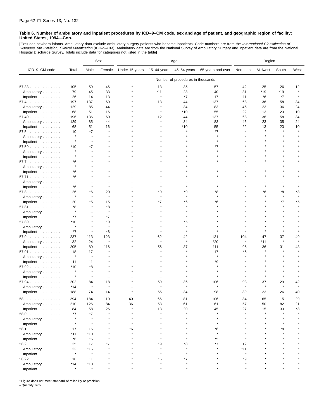[Excludes newborn infants. Ambulatory data exclude ambulatory surgery patients who became inpatients. Code numbers are from the *International Classification of*<br>*Diseases, 9th Revision, Clinical Modification* (ICD–9–CM). Hospital Discharge Survey. Totals include data for categories not listed in the table]

|                                                |                          |                | Sex          | Age            |             |                                   |                   | Region    |         |         |      |
|------------------------------------------------|--------------------------|----------------|--------------|----------------|-------------|-----------------------------------|-------------------|-----------|---------|---------|------|
| ICD-9-CM code                                  | Total                    | Male           | Female       | Under 15 years | 15-44 years | 45-64 years                       | 65 years and over | Northeast | Midwest | South   | West |
|                                                |                          |                |              |                |             | Number of procedures in thousands |                   |           |         |         |      |
| 57.33                                          | 105                      | 59             | 46           |                | 13          | 35                                | 57                | 42        | 25      | 26      | 12   |
| Ambulatory                                     | 79                       | 45             | 33           |                | *11         | 28                                | 40                | 31        | *19     | *19     |      |
| Inpatient                                      | 26                       | 14             | 13           |                | ×           | $*7$                              | 17                | 11        | *6      | $*7$    |      |
| 57.4                                           | 197                      | 137            | 60           |                | 13          | 44                                | 137               | 68        | 36      | 58      | 34   |
| Ambulatory                                     | 129                      | 85             | 44           |                | $\star$     | 34                                | 83                | 46        | 23      | 36      | 24   |
| Inpatient                                      | 68                       | 51             | 16           |                |             | *10                               | 55                | 22        | 13      | 23      | 10   |
| 57.49                                          | 196                      | 136            | 60           |                | 12          | 44                                | 137               | 68        | 36      | 58      | 34   |
| Ambulatory                                     | 129                      | 85             | 44           |                |             | 34                                | 83                | 46        | 23      | 35      | 24   |
| Inpatient                                      | 68                       | 51             | 16           |                |             | *10                               | 55                | 22        | 13      | 23      | 10   |
| $57.5$                                         | 10                       | $*7$           | $\pmb{\ast}$ |                |             |                                   | $*7$              |           |         |         |      |
| Ambulatory                                     | $\star$                  | $\star$        |              |                |             |                                   |                   |           |         |         |      |
| Inpatient                                      | $\star$                  | $\star$        |              |                |             |                                   |                   |           |         |         |      |
| 57.59                                          | *10                      | *7             |              |                |             |                                   | *7                |           |         |         |      |
| Ambulatory                                     |                          |                |              |                |             |                                   |                   |           |         |         |      |
| Inpatient                                      | $\star$                  |                |              |                |             |                                   |                   |           |         |         |      |
| 57.7                                           | *6                       |                |              |                |             |                                   |                   |           |         |         |      |
| Ambulatory                                     | $\star$                  |                |              |                |             |                                   |                   |           |         |         |      |
| Inpatient                                      | *6                       |                |              |                |             |                                   |                   |           |         |         |      |
| 57.71                                          | *6                       |                |              |                |             |                                   |                   |           |         |         |      |
| Ambulatory                                     | $\overline{\phantom{0}}$ |                |              |                |             |                                   |                   |           |         |         |      |
| Inpatient                                      | *6                       | $\star$        | $\star$      |                |             |                                   |                   |           |         |         |      |
| $57.8$                                         | 26                       | *6             | 20           |                | *9          | *9                                | *8                |           | *6      | *8      | *8   |
| Ambulatory                                     | $\star$                  | $\star$        | $\star$      |                | $\star$     | $\star$                           | $\star$           |           |         | $\star$ |      |
| Inpatient                                      | 20                       | *5             | 15           |                | *7          | *6                                | *6                |           |         | $*7$    | *5   |
| 57.81                                          | *8                       |                | *8           |                |             |                                   |                   |           |         |         |      |
| Ambulatory                                     | $\star$                  |                | $\star$      |                |             |                                   |                   |           |         |         |      |
| Inpatient                                      | *7                       | $\star$        | *7           |                |             |                                   |                   |           |         |         |      |
| 57.89                                          | $*10$                    |                | *9           |                |             | *5                                |                   |           |         |         |      |
| Ambulatory                                     | $\star$                  |                | $\star$      |                |             |                                   |                   |           |         |         |      |
| Inpatient                                      | *7                       | $\star$        | *6           |                |             |                                   |                   |           |         |         |      |
| $57.9$                                         | 237                      | 113            | 123          |                | 62          | 42                                | 131               | 104       | 47      | 37      | 49   |
| Ambulatory                                     | 32                       | 24             | $\star$      |                | $\star$     | $\pmb{\ast}$                      | *20               | Å         | *11     |         |      |
| Inpatient                                      | 205                      | 89             | 116          |                | 56          | 37                                | 111               | 95        | 36      | 31      | 43   |
|                                                | 18                       | 17             |              |                |             |                                   | 17                | *6        |         |         |      |
| 57.91                                          | $\star$                  | $\star$        |              |                |             |                                   | $\pmb{\ast}$      |           |         |         |      |
| Ambulatory<br>Inpatient                        | 11                       | 11             |              |                |             |                                   | *9                |           |         |         |      |
| 57.92                                          | $*10$                    | *8             |              |                |             |                                   |                   |           |         |         |      |
|                                                | $\star$                  | $\star$        |              |                |             |                                   |                   |           |         |         |      |
| Ambulatory                                     | $\star$                  | $\star$        |              |                |             |                                   |                   |           |         |         |      |
| Inpatient                                      | 202                      |                | 118          |                | 59          |                                   | 106               |           | 37      | 29      | 42   |
| $57.94$                                        | *14                      | 84             |              |                |             | 36                                |                   | 93        |         |         |      |
| Ambulatory<br>Inpatient $\ldots \ldots \ldots$ | 188                      | 74             | 114          |                | 55          | 34                                | 98                | 89        | 33      | 26      | 40   |
| 58<br>.                                        | 294                      | 184            | 110          | 40             | 66          | 81                                | 106               | 84        | 65      | 115     | 29   |
| Ambulatory                                     | 210                      | 126            | 84           | 36             | 53          | 61                                | 61                | 57        | 50      | 82      | 21   |
| Inpatient                                      | 84                       | 58             | 26           | $\star$        | 13          | 20                                | 45                | 27        | 15      | 33      | *8   |
| 58.0                                           | *7                       | *7             | $\star$      |                | $\star$     | $\star$                           | $\star$           | $\star$   | $\star$ |         |      |
| Ambulatory                                     | $\star$                  | $\star$        |              |                | $\star$     |                                   | $\star$           | $\star$   |         | $\star$ |      |
|                                                | $\star$                  | $\star$        |              |                |             |                                   | $\star$           |           |         |         |      |
| Inpatient<br>58.1                              | 17                       | 16             |              | *6             |             |                                   | *6                |           |         | *8      |      |
|                                                | *11                      | *10            |              |                |             |                                   | $\star$           |           |         |         |      |
| Ambulatory                                     | *6                       | $*6$           |              |                |             |                                   | *5                | $\star$   |         |         |      |
| Inpatient                                      | 25                       | 17             | *7           |                | *9          | *8                                | $*7$              | 12        |         |         |      |
| 58.2                                           |                          |                |              |                | $\star$     | $\star$                           |                   | *11       |         |         |      |
| Ambulatory                                     | 22<br>$\star$            | *16<br>$\star$ |              |                |             |                                   |                   | $\star$   |         |         |      |
| Inpatient                                      |                          |                |              |                |             | *7                                |                   |           |         |         |      |
| 58.22                                          | 16                       | 11             |              |                | *6          |                                   |                   | *9        |         |         |      |
| Ambulatory<br>Inpatient                        | $*14$<br>$\star$         | *10<br>$\star$ |              |                |             | $\star$                           |                   |           |         |         |      |
|                                                |                          |                |              |                |             |                                   |                   |           |         |         |      |

\* Figure does not meet standard of reliability or precision.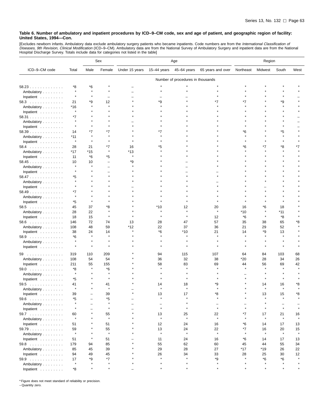[Excludes newborn infants. Ambulatory data exclude ambulatory surgery patients who became inpatients. Code numbers are from the *International Classification of*<br>*Diseases, 9th Revision, Clinical Modification* (ICD–9–CM).

|               |                     |                 | Sex                      | Age                 |             |                                   |                   | Region    |              |              |         |
|---------------|---------------------|-----------------|--------------------------|---------------------|-------------|-----------------------------------|-------------------|-----------|--------------|--------------|---------|
| ICD-9-CM code | Total               | Male            | Female                   | Under 15 years      | 15–44 years | 45-64 years                       | 65 years and over | Northeast | Midwest      | South        | West    |
|               |                     |                 |                          |                     |             | Number of procedures in thousands |                   |           |              |              |         |
| 58.23         | *8                  | *6              |                          |                     |             |                                   |                   |           |              |              |         |
| Ambulatory    | $\star$             |                 |                          |                     |             |                                   |                   |           |              |              |         |
| Inpatient     | $\star$             |                 |                          |                     |             |                                   |                   |           |              |              |         |
| 58.3          | 21                  | *9              | 12                       |                     | *9          |                                   |                   | *7        |              | *9           |         |
| Ambulatory    | *16                 | $\star$         | $\star$                  |                     |             |                                   |                   |           |              |              |         |
| Inpatient     | $\star$             |                 |                          |                     |             |                                   |                   |           |              |              |         |
| 58.31         | *7                  |                 |                          |                     |             |                                   |                   |           |              |              |         |
| Ambulatory    | $\star$             |                 |                          |                     |             |                                   |                   |           |              |              |         |
|               | $\star$             |                 |                          |                     |             |                                   |                   |           |              |              |         |
| Inpatient     |                     | *7              | *7                       |                     | *7          |                                   |                   |           |              | *5           |         |
| 58.39         | 14                  | $\lambda$       | $\star$                  |                     |             |                                   |                   | *6        |              |              |         |
| Ambulatory    | *11<br>$\pmb{\ast}$ | $\star$         |                          |                     |             |                                   |                   |           |              |              |         |
| Inpatient     |                     |                 |                          |                     |             |                                   |                   |           |              |              |         |
| $58.4$        | 28                  | 21              | *7<br>$\star$            | 16                  | *5          |                                   |                   | *6        | *7           | *8           | *7      |
| Ambulatory    | $*17$               | $*15$           |                          | *13<br>$\pmb{\ast}$ |             |                                   |                   |           |              |              |         |
| Inpatient     | 11                  | *6              | *5                       |                     |             |                                   |                   |           |              |              |         |
| 58.45         | 10<br>$\star$       | 10<br>$\lambda$ | $\overline{\phantom{0}}$ | *9                  |             |                                   |                   |           |              |              |         |
| Ambulatory    |                     |                 |                          |                     |             |                                   |                   |           |              |              |         |
| Inpatient     |                     |                 |                          |                     |             |                                   |                   |           |              |              |         |
| 58.47         | *5                  |                 |                          |                     |             |                                   |                   |           |              |              |         |
| Ambulatory    | $\star$             |                 |                          |                     |             |                                   |                   |           |              |              |         |
| Inpatient     | $\star$             |                 |                          |                     |             |                                   |                   |           |              |              |         |
| $58.49$       | *7                  |                 |                          |                     |             |                                   |                   |           |              |              |         |
| Ambulatory    | $\star$             |                 |                          |                     |             |                                   |                   |           |              |              |         |
| Inpatient     | *5                  | $\star$         |                          |                     |             |                                   |                   |           |              |              |         |
| 58.5          | 45                  | 37              | *8                       |                     | *10         | 12                                | 20                | 16        | *6           | 18           |         |
| Ambulatory    | 28                  | 22              | $\star$                  |                     |             | $\star$                           | $\star$           | *10       |              | *11          |         |
| Inpatient     | 18                  | 15              | $\pmb{\ast}$             |                     |             |                                   | 12                | *6        |              | *8           |         |
| 58.6          | 146                 | 72              | 74                       | 13                  | 28          | 47                                | 57                | 35        | 38           | 65           | *8      |
| Ambulatory    | 108                 | 48              | 59                       | *12                 | 22          | 37                                | 36                | 21        | 29           | 52           |         |
| Inpatient     | 38                  | 24              | 14                       |                     | *6          | *10                               | 21                | 14        | *9           | 13           |         |
| $58.9$        | *6                  | $\pmb{\ast}$    | $\pmb{\ast}$             |                     |             |                                   |                   |           |              |              |         |
| Ambulatory    | $\star$             | $\lambda$       |                          |                     |             |                                   |                   |           |              |              |         |
| Inpatient     | $\star$             | $\star$         |                          |                     |             |                                   |                   |           |              |              |         |
|               |                     |                 |                          |                     |             |                                   |                   |           |              |              |         |
| 59            | 319                 | 110             | 209                      |                     | 94          | 115                               | 107               | 64        | 84           | 103          | 68      |
| Ambulatory    | 108                 | 54              | 54                       |                     | 36          | 32                                | 38                | *20       | 28           | 34           | 26      |
| Inpatient     | 211                 | 55<br>大         | 155                      |                     | 58<br>大     | 83                                | 69                | 44        | 56           | 69           | 42      |
| 59.0          | *8                  |                 | *6                       |                     |             |                                   |                   |           |              |              |         |
| Ambulatory    | $\star$             |                 |                          |                     |             |                                   |                   |           |              |              |         |
| Inpatient     | *5                  |                 |                          |                     |             |                                   |                   |           |              |              |         |
| 59.5<br>.     | 41                  |                 | 41<br>$\pmb{\ast}$       |                     | 14          | 18                                | *9                |           | 14           | 16           | *8      |
| Ambulatory    |                     |                 |                          |                     |             |                                   |                   |           |              |              |         |
| Inpatient     | 39                  |                 | 39                       |                     | 13          |                                   |                   |           | 13           | 15           | *8      |
| $59.6$        | *5                  |                 | *5                       |                     |             |                                   |                   |           |              |              |         |
| Ambulatory    | $\star$             |                 | $\pmb{\ast}$             |                     |             |                                   |                   |           |              |              |         |
| Inpatient     |                     |                 | $\star$                  |                     | $\star$     |                                   | $\star$           |           |              |              |         |
| 59.7          | 60                  |                 | 55                       |                     | 13          | 25                                | 22                | *7        | 17           | 21           | 16      |
| Ambulatory    | $\star$             |                 | $\pmb{\ast}$             |                     | $\star$     | $\pmb{\ast}$                      | $\star$           |           | $\star$      | $\star$      | $\star$ |
| Inpatient     | 51                  |                 | 51                       |                     | 12          | 24                                | 16                | *6        | 14           | 17           | 13      |
| 59.79         | 59                  |                 | 55                       |                     | 13          | 24                                | 22                | *7        | 16           | 20           | 15      |
| Ambulatory    | $\star$             |                 | $\pmb{\ast}$             |                     | $\star$     | $\pmb{\ast}$                      | $\star$           | $\star$   | $\pmb{\ast}$ | $\pmb{\ast}$ | $\star$ |
| Inpatient     | 51                  |                 | 51                       |                     | 11          | 24                                | 16                | *6        | 14           | 17           | 13      |
| $59.8$        | 179                 | 94              | 85                       |                     | 55          | 62                                | 60                | 45        | 44           | 55           | 34      |
| Ambulatory    | 85                  | 45              | 39                       |                     | 29          | 28                                | 27                | *17       | *19          | 26           | 22      |
| Inpatient     | 94                  | 49              | 45                       |                     | 26          | 34                                | 33                | 28        | 25           | 30           | 12      |
| 59.9          | 17                  | *9              | *7                       |                     |             |                                   | *9                |           | *6           | *6           |         |
| Ambulatory    | $\star$             |                 | $\star$                  |                     |             | $\star$                           | $\star$           |           |              |              |         |
| Inpatient     | *8                  |                 | $\star$                  |                     |             | $\star$                           | $\star$           |           |              |              |         |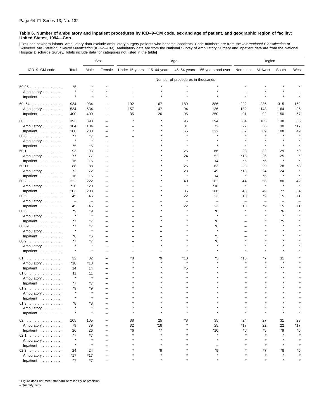[Excludes newborn infants. Ambulatory data exclude ambulatory surgery patients who became inpatients. Code numbers are from the *International Classification of*<br>*Diseases, 9th Revision, Clinical Modification* (ICD–9–CM). Hospital Discharge Survey. Totals include data for categories not listed in the table]

|                    |                          |                          | Sex                      | Age            |               |                                   |                          | Region                   |                          |                          |         |
|--------------------|--------------------------|--------------------------|--------------------------|----------------|---------------|-----------------------------------|--------------------------|--------------------------|--------------------------|--------------------------|---------|
| ICD-9-CM code      | Total                    | Male                     | Female                   | Under 15 years | $15-44$ years | 45-64 years                       | 65 years and over        | Northeast                | Midwest                  | South                    | West    |
|                    |                          |                          |                          |                |               | Number of procedures in thousands |                          |                          |                          |                          |         |
| 59.95              | *5                       |                          |                          |                |               |                                   |                          |                          |                          |                          |         |
| Ambulatory         | $\star$                  |                          |                          |                |               |                                   |                          |                          |                          |                          |         |
| Inpatient          | $\star$                  | $\star$                  |                          |                |               |                                   |                          | $\star$                  |                          |                          |         |
| $60 - 64$          | 934                      | 934                      |                          | 192            | 167           | 189                               | 386                      | 222                      | 236                      | 315                      | 162     |
| Ambulatory         | 534                      | 534                      | -                        | 157            | 147           | 94                                | 136                      | 132                      | 143                      | 164                      | 95      |
| Inpatient          | 400                      | 400                      | -                        | 35             | 20            | 95                                | 250                      | 91                       | 92                       | 150                      | 67      |
|                    |                          |                          |                          |                |               |                                   |                          |                          |                          |                          |         |
| 60                 | 393                      | 393                      | -                        |                |               | 96                                | 294                      | 84                       | 105                      | 138                      | 66      |
| Ambulatory         | 104                      | 104                      |                          |                |               | 31                                | 72                       | 22                       | 36                       | 30                       | *17     |
| Inpatient          | 288                      | 288                      | -                        |                |               | 65<br>$\star$                     | 222<br>$\star$           | 62<br>$\star$            | 69                       | 108                      | 49      |
| 60.0               | *7<br>$\star$            | *7<br>$\star$            | -                        |                |               |                                   |                          |                          |                          |                          |         |
| Ambulatory         |                          |                          | $\equiv$                 |                |               | $\star$                           |                          | $\star$                  |                          | $\star$                  |         |
| Inpatient          | *5                       | *5                       | -                        |                |               |                                   |                          |                          |                          |                          |         |
| 60.1               | 93<br>77                 | 93<br>77                 | -<br>-                   |                |               | 26<br>24                          | 66<br>52                 | 23<br>*18                | 32<br>26                 | 29<br>25                 | *9      |
| Ambulatory         | 16                       |                          |                          |                |               | $\star$                           | 14                       | *5                       | *6                       | $\star$                  |         |
| Inpatient<br>60.11 | 88                       | 16<br>88                 | -<br>-                   |                |               | 25                                | 63                       | 23                       | 29                       | 28                       | *8      |
| Ambulatory         | 72                       | 72                       | -                        |                |               | 23                                | 49                       | *18                      | 24                       | 24                       |         |
| Inpatient          | 16                       | 16                       | $\overline{\phantom{0}}$ |                |               | $\star$                           | 14                       | $\star$                  | *6                       | $\star$                  |         |
| 60.2               | 222                      | 222                      | -                        |                |               | 40                                | 182                      | 44                       | 56                       | 80                       | 42      |
| Ambulatory         | *20                      | $*20$                    | $\overline{\phantom{0}}$ |                |               | $\star$                           | *16                      | $\star$                  | $\star$                  | $\star$                  | $\star$ |
| Inpatient          | 203                      | 203                      | -                        |                |               | 36                                | 166                      | 43                       | 49                       | 77                       | 34      |
| 60.5               | 45                       | 45                       | -                        |                |               | 22                                | 23                       | 10                       | *9                       | 15                       | 11      |
| Ambulatory         | $\overline{\phantom{a}}$ | $\overline{\phantom{0}}$ | -                        |                |               | $\overline{\phantom{0}}$          | $\overline{\phantom{0}}$ | $\overline{\phantom{0}}$ | $\overline{\phantom{0}}$ | $\overline{\phantom{0}}$ |         |
| Inpatient          | 45                       | 45                       | -                        |                |               | 22                                | 23                       | 10                       | *9                       | 15                       | 11      |
| 60.6               | *9                       | *9                       | -                        |                |               | $\star$                           | *8                       |                          |                          | *6                       |         |
| Ambulatory         | $\star$                  | $\star$                  | -                        |                |               |                                   | $\star$                  |                          |                          | $\star$                  |         |
| Inpatient          | *7                       | *7                       |                          |                |               |                                   | $*6$                     |                          |                          | *5                       |         |
| $60.69$            | *7                       | *7                       | $\overline{\phantom{0}}$ |                |               |                                   | *6                       |                          |                          |                          |         |
| Ambulatory         | $\star$                  | $\star$                  | -                        |                |               |                                   | $\star$                  |                          |                          |                          |         |
| Inpatient          | *6                       | *6                       |                          |                |               |                                   | *5                       |                          |                          |                          |         |
| 60.9               | *7                       | *7                       | -                        |                |               |                                   | *6                       |                          |                          |                          |         |
| Ambulatory         | $\star$                  | $\star$                  | -                        |                |               |                                   | $\star$                  |                          |                          |                          |         |
| Inpatient          | $\star$                  |                          |                          |                |               |                                   |                          |                          |                          |                          |         |
| 61                 | 32                       | 32                       | -                        | *8             | *9            | *10                               | *5                       | *10                      | *7                       | 11                       |         |
| Ambulatory         | *18                      | *18                      | $\overline{\phantom{0}}$ |                |               |                                   |                          |                          |                          | $\star$                  |         |
| Inpatient          | 14                       | 14                       | -                        |                |               | *5                                |                          |                          |                          | *7                       |         |
| 61.0               | 11                       | 11                       | -                        |                |               |                                   |                          |                          |                          | $\mathbf{r}$             |         |
| Ambulatory         | $\star$                  | $\star$                  | -                        |                |               |                                   |                          |                          |                          |                          |         |
| Inpatient          | *7                       | *7                       | -                        |                |               |                                   |                          |                          |                          |                          |         |
| 61.2               | *9                       | *9                       |                          |                |               |                                   |                          |                          |                          |                          |         |
| Ambulatory         |                          |                          |                          |                |               |                                   |                          |                          |                          |                          |         |
| Inpatient          |                          |                          |                          |                |               |                                   |                          |                          |                          |                          |         |
| 61.3               | *8                       | *8                       |                          |                |               |                                   |                          |                          |                          |                          |         |
| Ambulatory         | $\star$                  |                          |                          |                |               |                                   |                          |                          |                          |                          |         |
| Inpatient          |                          |                          |                          |                |               |                                   |                          |                          |                          |                          |         |
| 62                 | 105                      | 105                      |                          | 38             | 25            | *8                                | 35                       | 24                       | 27                       | 31                       | 23      |
| Ambulatory         | 79                       | 79                       | $\overline{\phantom{0}}$ | 32             | $*18$         |                                   | 25                       | *17                      | 22                       | 22                       | $*17$   |
| Inpatient          | 26                       | 26                       |                          | *6             | *7            |                                   | *10                      | *6                       | *5                       | *9                       | *6      |
| 62.1               | *7                       | *7                       |                          |                |               |                                   |                          |                          |                          |                          |         |
| Ambulatory         | $\star$                  |                          |                          |                |               |                                   | $\star$                  |                          |                          |                          |         |
| Inpatient          | $\star$                  |                          |                          |                |               |                                   |                          |                          |                          |                          |         |
| 62.3               | 24                       | 24                       |                          |                | *9            |                                   | *9                       |                          | *7                       | *8                       | *6      |
| Ambulatory         | *17                      | *17                      | -                        |                |               |                                   |                          |                          |                          |                          |         |
| Inpatient          | $*7$                     | $^{\star}7$              |                          |                |               |                                   |                          |                          |                          |                          |         |

\* Figure does not meet standard of reliability or precision.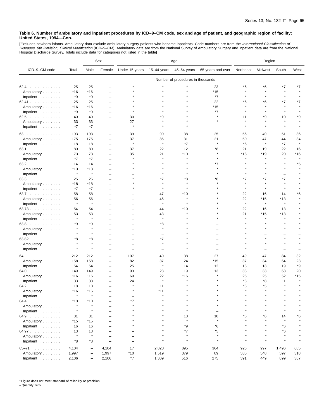[Excludes newborn infants. Ambulatory data exclude ambulatory surgery patients who became inpatients. Code numbers are from the *International Classification of*<br>*Diseases, 9th Revision, Clinical Modification* (ICD–9–CM).

|                         |               |                          | Sex                      | Age            |               |                                   |                   | Region        |                  |                  |         |
|-------------------------|---------------|--------------------------|--------------------------|----------------|---------------|-----------------------------------|-------------------|---------------|------------------|------------------|---------|
| ICD-9-CM code           | Total         | Male                     | Female                   | Under 15 years | 15-44 years   | 45-64 years                       | 65 years and over | Northeast     | Midwest          | South            | West    |
|                         |               |                          |                          |                |               | Number of procedures in thousands |                   |               |                  |                  |         |
| 62.4                    | 25            | 25                       |                          |                |               |                                   | 23                | *6            | *6               | *7               | *7      |
| Ambulatory              | *16           | $*16$                    |                          |                |               |                                   | *15               | $\star$       |                  |                  |         |
| Inpatient               | *9            | *9                       |                          |                |               |                                   | $*7$              |               |                  |                  |         |
| 62.41                   | 25            | 25                       |                          |                |               |                                   | 22                | *6            | *6               | *7               | *7      |
| Ambulatory              | *16           | $*16$                    |                          |                |               |                                   | *15               |               |                  |                  |         |
| Inpatient               | *9            | *9                       |                          |                |               |                                   | *7                |               |                  | $\star$          |         |
| 62.5                    | 40            | 40                       |                          | 30             | ٠9            |                                   |                   | 11            | *9               | 10               | *9      |
| Ambulatory              | 33            | 33                       | $\qquad \qquad$          | 27             |               |                                   |                   |               |                  |                  |         |
| Inpatient               | $*7$          | $*7$                     |                          | Å              |               |                                   |                   |               |                  |                  |         |
| 63                      | 193           | 193                      |                          | 39             | 90            | 38                                | 25                | 56            | 49               | 51               | 36      |
| Ambulatory              | 175           | 175                      |                          | 37             | 86            | 31                                | 21                | 50            | 47               | 44               | 34      |
| Inpatient $\ldots$ ,    | 18            | 18                       | $\qquad \qquad$          | $\pmb{\ast}$   | $\star$       | $*7$                              |                   | *6            | $\star$          | *7               |         |
| 63.1                    | 80            | 80                       |                          | 37             | 22            | 12                                | *8                | 21            | 19               | 22               | 16      |
| Ambulatory              | 73            | 73                       |                          | 35             | 21            | $*10$                             |                   | *18           | $*19$            | 20               | *16     |
| Inpatient               | *7            | $*7$                     | $\overline{\phantom{0}}$ |                |               |                                   |                   |               |                  |                  | $\star$ |
| 63.2                    | 14            | 14                       |                          |                |               |                                   | *7                |               |                  |                  | *5      |
| Ambulatory              | $*13$         | *13                      |                          |                |               |                                   |                   |               |                  |                  |         |
| Inpatient $\ldots$ ,    | $\star$       | $\star$                  |                          |                |               |                                   |                   |               |                  |                  |         |
| 63.3                    | 25            | 25                       |                          |                | *7            | *8                                | *8                | *7            | *7               | *7               |         |
| Ambulatory              | *18           | $*18$                    |                          |                |               |                                   |                   | $\star$       |                  | $\star$          |         |
| Inpatient               | *7            | *7                       |                          |                |               |                                   |                   |               |                  |                  |         |
| 63.7                    | 58            | 58                       |                          |                | 47            | *10                               |                   | 22            | 16               | 14               | *6      |
| Ambulatory              | 56<br>$\star$ | 56<br>$\pmb{\ast}$       |                          |                | 46<br>$\star$ |                                   |                   | 22<br>$\star$ | $*15$<br>$\star$ | $*13$<br>$\star$ |         |
| Inpatient               |               |                          |                          |                |               |                                   |                   |               |                  |                  |         |
| 63.73                   | 54            | 54                       |                          |                | 44            | *10                               |                   | 22            | 16               | 13               |         |
| Ambulatory              | 53<br>$\star$ | 53<br>$\pmb{\ast}$       |                          |                | 43<br>$\star$ |                                   |                   | 21            | $*15$<br>$\star$ | $*13$<br>$\star$ |         |
| Inpatient               |               |                          |                          |                |               |                                   |                   |               |                  | $\star$          |         |
| 63.8                    | *9            | *9<br>$\pmb{\ast}$       |                          |                | *8            |                                   |                   |               |                  |                  |         |
| Ambulatory              |               | $\star$                  |                          |                |               |                                   |                   |               |                  |                  |         |
| Inpatient<br>63.82      | *8            | *8                       |                          |                | *7            |                                   |                   |               |                  |                  |         |
|                         |               | $\pmb{\ast}$             |                          |                |               |                                   |                   |               |                  |                  |         |
| Ambulatory<br>Inpatient | $\star$       |                          |                          |                |               |                                   |                   |               |                  |                  |         |
| 64                      | 212           | 212                      |                          | 107            | 40            | 38                                | 27                | 49            | 47               | 84               | 32      |
| Ambulatory              | 158           | 158                      | $\qquad \qquad$          | 82             | 37            | 24                                | *15               | 37            | 34               | 64               | 23      |
| Inpatient               | 54            | 54                       | $\overline{\phantom{0}}$ | 25             | $\star$       | 14                                | 12                | 13            | 13               | 19               | *9      |
| 64.0                    | 149           | 149                      |                          | 93             | 23            | 19                                | 13                | 33            | 33               | 63               | 20      |
| Ambulatory              | 116           | 116                      | $\qquad \qquad$          | 69             | 22            | *16                               |                   | 25            | 25               | 52               | *15     |
| Inpatient $\ldots$ ,    | 33            | 33                       |                          | 24             | $\star$       |                                   |                   | *8            | *8               | 11               |         |
| 64.2                    | 18            | 18                       |                          |                | 11            |                                   |                   | *6            | *5               |                  |         |
| Ambulatory              | *16           | $*16$                    |                          |                | *11           |                                   |                   |               |                  |                  |         |
| Inpatient               |               |                          |                          |                |               |                                   |                   |               |                  |                  |         |
| 64.4                    | $*10$         | $*10$                    |                          | $*7$           |               |                                   |                   |               |                  |                  |         |
| Ambulatory              | $\star$       | $\star$                  |                          |                |               |                                   |                   |               |                  |                  |         |
| Inpatient               | $\star$       | $\pmb{\ast}$             | $\equiv$                 |                |               | $\star$                           |                   |               |                  | $\star$          |         |
| 64.9                    | 31            | 31                       |                          |                |               | 13                                | 10                | *5            | *6               | 14               | *6      |
| Ambulatory              | *15           | *15                      |                          |                |               | $\star$                           | $\star$           |               |                  | $\star$          |         |
| Inpatient               | 16            | 16                       |                          | $\star$        |               | *9                                | *6                |               |                  | *6               |         |
| 64.97                   | 13            | 13                       |                          |                |               | $*7$                              | *5                |               |                  | *6               |         |
| Ambulatory              | $\star$       | $\star$                  |                          |                |               | $\star$                           | $\star$           |               |                  | $\star$          |         |
| Inpatient               | *8            | *8                       | $\equiv$                 | $\equiv$       | $\star$       | $\star$                           | $\star$           | $\star$       | $\star$          | $\star$          |         |
| $65 - 71$               | 4,104         | $\overline{\phantom{0}}$ | 4,104                    | 17             | 2,828         | 895                               | 364               | 926           | 997              | 1,496            | 685     |
| Ambulatory              | 1,997         | $\qquad \qquad -$        | 1,997                    | $*10$          | 1,519         | 379                               | 89                | 535           | 548              | 597              | 318     |
| Inpatient               | 2,106         | $\qquad \qquad -$        | 2,106                    | $^\star 7$     | 1,309         | 516                               | 275               | 391           | 449              | 899              | 367     |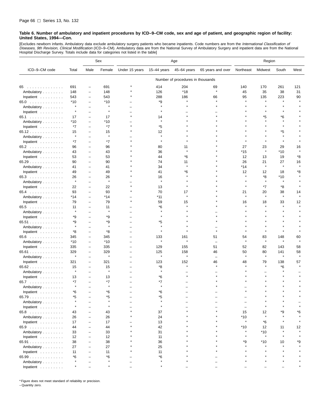[Excludes newborn infants. Ambulatory data exclude ambulatory surgery patients who became inpatients. Code numbers are from the *International Classification of*<br>*Diseases, 9th Revision, Clinical Modification* (ICD–9–CM). Hospital Discharge Survey. Totals include data for categories not listed in the table]

|                                  |         |                          | Sex          | Age                      |              |                                   |                          | Region    |         |              |         |
|----------------------------------|---------|--------------------------|--------------|--------------------------|--------------|-----------------------------------|--------------------------|-----------|---------|--------------|---------|
| ICD-9-CM code                    | Total   | Male                     | Female       | Under 15 years           | 15-44 years  | 45-64 years                       | 65 years and over        | Northeast | Midwest | South        | West    |
|                                  |         |                          |              |                          |              | Number of procedures in thousands |                          |           |         |              |         |
| 65                               | 691     | $\overline{\phantom{0}}$ | 691          |                          | 414          | 204                               | 69                       | 140       | 170     | 261          | 121     |
| Ambulatory                       | 148     | $\overline{\phantom{0}}$ | 148          |                          | 126          | $*18$                             | $\star$                  | 45        | 35      | 38           | 31      |
| Inpatient                        | 543     | ÷                        | 543          |                          | 288          | 186                               | 66                       | 95        | 135     | 223          | 90      |
| 65.0                             | $*10$   | ۳                        | $*10$        |                          | *9           | $\star$                           |                          |           | $\star$ |              |         |
| Ambulatory                       | $\star$ | $\overline{\phantom{0}}$ | $\star$      |                          | $\star$      |                                   |                          |           |         |              |         |
| Inpatient                        | $\star$ | Ē,                       | $\pmb{\ast}$ |                          |              |                                   |                          |           |         |              |         |
| 65.1                             | 17      | -                        | 17           |                          | 14           |                                   |                          |           | *5      | *6           |         |
| Ambulatory                       | *10     | ۳                        | *10          |                          |              |                                   |                          |           |         |              |         |
| Inpatient                        | $*7$    | Ē,                       | *7           |                          | *5           |                                   |                          |           |         |              |         |
| 65.12                            | 15      | ÷                        | 15           |                          | 12           |                                   |                          |           |         | *5           |         |
| Ambulatory                       | $\star$ | -                        | $\star$      |                          |              |                                   |                          |           |         | $\star$      |         |
| Inpatient                        | *7      | $\overline{\phantom{0}}$ | *7           |                          | $\star$      |                                   |                          |           |         | $\star$      |         |
| 65.2                             | 96      | ÷                        | 96           |                          | 80           | 11                                |                          | 27        | 23      | 29           | 16      |
| Ambulatory                       | 43      | $\overline{\phantom{0}}$ | 43           |                          | 36           |                                   |                          | *15       | $\star$ | *10          |         |
| Inpatient                        | 53      | $\overline{\phantom{0}}$ | 53           |                          | 44           | *6                                |                          | 12        | 13      | 19           | *8      |
| 65.29                            | 90      | Ē,                       | 90           |                          | 74           | 11                                |                          | 26        | 21      | 27           | 16      |
| Ambulatory                       | 41      | $\overline{\phantom{0}}$ | 41           |                          | 34           | $\star$                           |                          | *14       | $\star$ | $\star$      | $\star$ |
| Inpatient                        | 49      | -                        | 49           |                          | 41           | *6                                |                          | 12        | 12      | 18           | *8      |
| 65.3                             | 26      | -                        | 26           |                          | 16           |                                   |                          | $\lambda$ | *8      | *10          |         |
| Ambulatory                       | $\star$ | $\overline{\phantom{0}}$ | $\star$      |                          |              |                                   |                          |           | $\star$ |              |         |
| Inpatient                        | 22      | ۳                        | 22           |                          | 13           | $\star$                           |                          | $\star$   | *7      | *8           |         |
| 65.4                             | 93      | ÷                        | 93           |                          | 70           | 17                                |                          | 21        | 20      | 38           | 14      |
| Ambulatory                       | *14     | $\overline{\phantom{0}}$ | *14          |                          | *11          | $\star$                           |                          | $\star$   | $\star$ | $\star$      |         |
| Inpatient                        | 79      | ÷                        | 79           | $\star$                  | 59           | 15                                |                          | 16        | 18      | 33           | 12      |
| 65.5                             | 11      | -                        | 11           |                          | *6           |                                   |                          |           |         |              |         |
| Ambulatory                       | $\star$ |                          | $\star$      |                          |              |                                   |                          |           |         |              |         |
| Inpatient                        | *9      | $\overline{\phantom{0}}$ | *9           |                          |              |                                   |                          |           |         |              |         |
| 65.51                            | *9      |                          | *9           |                          | *5           |                                   |                          |           |         |              |         |
| Ambulatory                       | $\star$ | Ē,                       | $\star$      |                          | $\star$      |                                   |                          |           |         |              |         |
| Inpatient                        | *8      | $\overline{\phantom{0}}$ | *8           | $\overline{\phantom{0}}$ |              |                                   |                          |           |         |              |         |
| 65.6                             | 345     | ۳                        | 345          |                          | 133          | 161                               | 51                       | 54        | 83      | 148          | 60      |
| Ambulatory                       | $*10$   | $\overline{\phantom{0}}$ | *10          |                          | $\pmb{\ast}$ |                                   | $\overline{\phantom{m}}$ |           | $\star$ |              |         |
| Inpatient                        | 335     | $\overline{\phantom{0}}$ | 335          | $\overline{\phantom{0}}$ | 129          | 155                               | 51                       | 52        | 82      | 143          | 58      |
| 65.61                            | 329     | $\qquad \qquad -$        | 329          |                          | 125          | 158                               | 46                       | 50        | 80      | 141          | 58      |
| Ambulatory                       | $\star$ | $\overline{\phantom{0}}$ | $\pmb{\ast}$ |                          | $\pmb{\ast}$ | $\star$                           | $\overline{\phantom{m}}$ | $\star$   | $\star$ | $\star$      | $\star$ |
| Inpatient                        | 321     | $\overline{\phantom{0}}$ | 321          | $\overline{\phantom{0}}$ | 123          | 152                               | 46                       | 48        | 79      | 138          | 57      |
| 65.62                            | 15      | -                        | 15           |                          | *8           | $\star$                           | $\lambda$                |           | $\star$ | *6           |         |
| Ambulatory                       | $\star$ | -                        | $\pmb{\ast}$ |                          |              |                                   |                          |           |         |              |         |
| Inpatient                        | 13      | $\overline{\phantom{0}}$ | 13           |                          | *6           |                                   |                          |           |         |              |         |
| 65.7                             | $*7$    |                          | *7           |                          | *7           |                                   |                          |           |         |              |         |
| Ambulatory                       |         |                          | $\pmb{\ast}$ |                          |              |                                   |                          |           |         |              |         |
| Inpatient $\ldots \ldots \ldots$ | *6      |                          | *6           |                          | *6           |                                   |                          |           |         |              |         |
| 65.79                            | *5      |                          | *5           |                          | *5           |                                   |                          |           |         |              |         |
| Ambulatory                       |         |                          |              |                          |              |                                   |                          |           |         |              |         |
| Inpatient                        | $\star$ |                          |              |                          |              |                                   |                          |           |         |              |         |
| 65.8                             | 43      |                          | 43           |                          | 37           |                                   |                          | 15        | 12      | *9           | *6      |
| Ambulatory                       | 26      |                          | 26           |                          | 24           |                                   |                          | $*10$     | $\star$ |              |         |
| Inpatient $\ldots \ldots \ldots$ | 17      |                          | 17           |                          | 13           |                                   |                          | $\star$   | *6      |              |         |
| 65.9                             | 44      |                          | 44           |                          | 42           |                                   |                          | *10       | 12      | 11           | 12      |
| Ambulatory                       | 33      |                          | 33           |                          | 31           |                                   |                          | $\star$   | $*10$   | $\pmb{\ast}$ |         |
| Inpatient                        | 12      | $\overline{\phantom{0}}$ | 12           |                          | 11           |                                   |                          |           | $\star$ |              |         |
| 65.91                            | 38      |                          | 38           |                          | 36           |                                   |                          | *9        | $*10$   | 10           | *9      |
| Ambulatory                       | 27      | Ē,                       | 27           |                          | 25           |                                   |                          |           |         |              |         |
| Inpatient                        | 11      |                          | 11           |                          | 11           |                                   |                          |           |         |              |         |
| 65.99                            | *6      |                          | *6           |                          | *6           |                                   |                          |           |         |              |         |
| Ambulatory                       | $\star$ |                          | $\pmb{\ast}$ |                          |              |                                   |                          |           |         |              |         |
| Inpatient $\ldots$ , $\ldots$    | $\star$ |                          |              |                          |              |                                   |                          |           |         |              |         |

\* Figure does not meet standard of reliability or precision.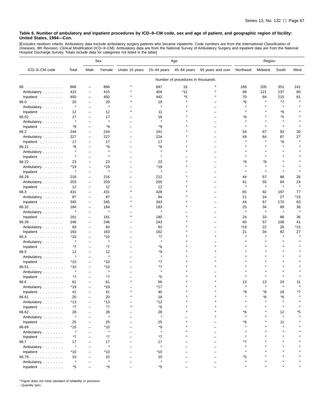[Excludes newborn infants. Ambulatory data exclude ambulatory surgery patients who became inpatients. Code numbers are from the *International Classification of*<br>*Diseases, 9th Revision, Clinical Modification* (ICD–9–CM).

|                                                                                                                      |                |                          | Sex          | Age                      |                |                                   | Region            |               |               |                    |               |
|----------------------------------------------------------------------------------------------------------------------|----------------|--------------------------|--------------|--------------------------|----------------|-----------------------------------|-------------------|---------------|---------------|--------------------|---------------|
| ICD-9-CM code                                                                                                        | Total          | Male                     | Female       | Under 15 years           | 15-44 years    | 45-64 years                       | 65 years and over | Northeast     | Midwest       | South              | West          |
|                                                                                                                      |                |                          |              |                          |                | Number of procedures in thousands |                   |               |               |                    |               |
| 66<br>$\mathcal{A}$ . The set of the set of the set of the set of the set of the set of the set of the $\mathcal{A}$ | 866            | $\overline{\phantom{0}}$ | 866          |                          | 847            | 16                                |                   | 168           | 205           | 351                | 141           |
| Ambulatory                                                                                                           | 415            | $\overline{\phantom{0}}$ | 415          |                          | 404            | $*11$                             |                   | 98            | 121           | 137                | 60            |
| Inpatient                                                                                                            | 450            | $\overline{\phantom{0}}$ | 450          |                          | 442            | *5                                |                   | 70            | 84            | 215                | 81            |
| 66.0                                                                                                                 | 20             | $\overline{\phantom{0}}$ | 20           |                          | 19             |                                   |                   | *6            |               | *7                 |               |
| Ambulatory                                                                                                           | $\star$        | $\overline{\phantom{0}}$ | $\pmb{\ast}$ |                          | $\pmb{\ast}$   |                                   |                   |               |               | $\star$            |               |
| Inpatient                                                                                                            | 12             | $\overline{\phantom{0}}$ | 12           |                          | 11             |                                   |                   |               |               | *6                 |               |
| 66.02                                                                                                                | 17             | $\overline{\phantom{0}}$ | 17           |                          | 16             |                                   |                   | *6            |               | *5                 |               |
| Ambulatory                                                                                                           | $\star$        | -                        | $\ast$       |                          | $\star$        |                                   |                   |               |               | $\star$            |               |
| Inpatient                                                                                                            | *9             | $\overline{\phantom{0}}$ | *9           |                          | *9             |                                   |                   |               |               | $\pmb{\ast}$       |               |
| 66.2                                                                                                                 | 244            | $\overline{\phantom{0}}$ | 244          | $\overline{\phantom{0}}$ | 241            |                                   |                   | 54            | 67            | 93                 | 30            |
| Ambulatory                                                                                                           | 227            | $\qquad \qquad -$        | 227          |                          | 224            |                                   |                   | 49            | 64            | 87                 | 27            |
| Inpatient                                                                                                            | 17             | -                        | 17           |                          | 17             |                                   |                   |               |               | *6                 |               |
| 66.21                                                                                                                | *6             | $\overline{\phantom{0}}$ | *6           |                          | *6             |                                   |                   |               |               |                    |               |
| Ambulatory                                                                                                           | $\star$        |                          | $\star$      |                          | $\star$        |                                   |                   |               |               |                    |               |
| Inpatient                                                                                                            | $\star$        | ۳                        |              |                          | $\star$        |                                   |                   |               |               |                    |               |
| 66.22                                                                                                                | 23             | $\overline{\phantom{0}}$ | 23           |                          | 23             |                                   |                   | *9            | *8            |                    |               |
| Ambulatory                                                                                                           | *19            | -                        | $*19$        |                          | *19            |                                   |                   |               |               |                    |               |
|                                                                                                                      | $\star$        | -                        | $\pmb{\ast}$ |                          | $\pmb{\ast}$   |                                   |                   |               |               |                    |               |
| Inpatient                                                                                                            | 216            | $\overline{\phantom{0}}$ | 216          |                          | 212            |                                   |                   | 44            | 57            | 88                 | 26            |
| 66.29                                                                                                                |                |                          |              |                          |                |                                   |                   |               |               |                    |               |
| Ambulatory                                                                                                           | 203            | $\qquad \qquad -$        | 203          |                          | 200            |                                   |                   | 41<br>$\star$ | 55<br>$\star$ | 84<br>$\pmb{\ast}$ | 24<br>$\star$ |
| Inpatient                                                                                                            | 12             | $\overline{\phantom{0}}$ | 12           | $\star$                  | 12             |                                   |                   |               |               |                    |               |
| 66.3                                                                                                                 | 431            | $\qquad \qquad -$        | 431          |                          | 428            |                                   |                   | 65            | 92            | 197                | 77            |
| Ambulatory                                                                                                           | 87             | $\qquad \qquad -$        | 87           |                          | 84             |                                   |                   | 21            | 24            | 27                 | *15           |
| Inpatient                                                                                                            | 345            | $\overline{\phantom{0}}$ | 345          |                          | 343            |                                   |                   | 44            | 67            | 170                | 63            |
| 66.32                                                                                                                | 184<br>$\star$ | $\overline{\phantom{0}}$ | 184          |                          | 183<br>$\star$ |                                   |                   | 25            | 34<br>$\star$ | 89<br>$\pmb{\ast}$ | 36            |
| Ambulatory                                                                                                           |                | $\overline{\phantom{0}}$ |              |                          |                |                                   |                   |               |               |                    |               |
| Inpatient                                                                                                            | 181            | $\overline{\phantom{0}}$ | 181          |                          | 180            |                                   |                   | 24            | 33            | 88                 | 36            |
| 66.39                                                                                                                | 246            | $\overline{\phantom{0}}$ | 246          |                          | 243            |                                   |                   | 40            | 57            | 108                | 41            |
| Ambulatory                                                                                                           | 83             | $\overline{\phantom{0}}$ | 83           |                          | 81             |                                   |                   | *19           | 22            | 26                 | *15           |
| Inpatient                                                                                                            | 163            | -                        | 163          |                          | 162            |                                   |                   | 21            | 34            | 82<br>$\pmb{\ast}$ | 27            |
| 66.4                                                                                                                 | $*10$          | -                        | *10          |                          | *7<br>$\star$  |                                   |                   |               |               |                    |               |
| Ambulatory                                                                                                           | $\star$        | $\overline{\phantom{0}}$ | $\star$      |                          |                |                                   |                   |               |               |                    |               |
| Inpatient                                                                                                            | *7             | $\overline{\phantom{0}}$ | *7           |                          | *6             |                                   |                   |               |               |                    |               |
| 66.5                                                                                                                 | 12             | $\overline{\phantom{0}}$ | 12           |                          | *9             |                                   |                   |               |               |                    |               |
| Ambulatory                                                                                                           | $\star$        | $\overline{\phantom{0}}$ | $\star$      |                          | $\star$        |                                   |                   |               |               |                    |               |
| Inpatient                                                                                                            | $*10$          | $\overline{\phantom{0}}$ | $*10$        |                          | *7             |                                   |                   |               |               |                    |               |
| $66.51$                                                                                                              | $*10$          | $\overline{\phantom{0}}$ | *10          |                          | *7             |                                   |                   |               |               |                    |               |
| Ambulatory                                                                                                           | $\star$        | -                        | $\star$      |                          | $\star$        |                                   |                   |               |               |                    |               |
| Inpatient                                                                                                            | *7             | $\overline{\phantom{0}}$ | *7           |                          | *5             |                                   |                   |               |               |                    |               |
| 66.6                                                                                                                 | 61             |                          | 61           |                          | 56             |                                   |                   | 13            | 13            | 24                 | 11            |
| Ambulatory                                                                                                           | *19            | ۳                        | *19          |                          | *17            |                                   |                   |               |               |                    |               |
| Inpatient                                                                                                            | 41             | $\equiv$                 | 41           |                          | 40             |                                   |                   | *۹            | *8            | 18                 | $*7$          |
| 66.61                                                                                                                | 20             |                          | 20           |                          | 18             |                                   |                   |               | *6            | *6                 |               |
| Ambulatory                                                                                                           | $*13$          |                          | *13          |                          | *12            |                                   |                   |               |               |                    |               |
| Inpatient $\ldots \ldots \ldots$                                                                                     | $*7$           |                          | *7           |                          | *6             |                                   |                   |               |               |                    |               |
| 66.62                                                                                                                | 28             | $\overline{\phantom{0}}$ | 28           |                          | 28             |                                   |                   | *6            |               | 12                 | *5            |
| Ambulatory                                                                                                           | $\star$        |                          | $\pmb{\ast}$ |                          | $\pmb{\ast}$   |                                   |                   | $\star$       |               | $\pmb{\ast}$       |               |
| Inpatient                                                                                                            | 25             |                          | 25           |                          | 25             |                                   |                   | *6            |               | 11                 |               |
| 66.69                                                                                                                | $*10$          |                          | $*10$        |                          | *9             |                                   |                   |               |               |                    |               |
| Ambulatory                                                                                                           | $\pmb{\ast}$   |                          | $\pmb{\ast}$ |                          | $\pmb{\ast}$   |                                   |                   |               |               |                    |               |
| Inpatient                                                                                                            | *7             |                          | *7           | $\overline{\phantom{0}}$ | *7             |                                   |                   |               |               |                    |               |
| 66.7                                                                                                                 | 17             |                          | 17           |                          | 17             |                                   |                   | *7            |               |                    |               |
| Ambulatory                                                                                                           | $\pmb{\ast}$   |                          | $\pmb{\ast}$ |                          | $\pmb{\ast}$   |                                   |                   |               |               |                    |               |
| Inpatient                                                                                                            | $*10$          | $\equiv$                 | $*10$        |                          | *10            |                                   |                   |               |               |                    |               |
| 66.79                                                                                                                | 10             | Ē,                       | 10           |                          | 10             |                                   |                   | *5            |               |                    |               |
| Ambulatory                                                                                                           | $\star$        |                          | $\star$      |                          |                |                                   |                   |               |               |                    |               |
| Inpatient                                                                                                            | *5             | $\overline{\phantom{0}}$ | *5           |                          | *5             |                                   |                   |               |               |                    |               |

\* Figure does not meet standard of reliability or precision.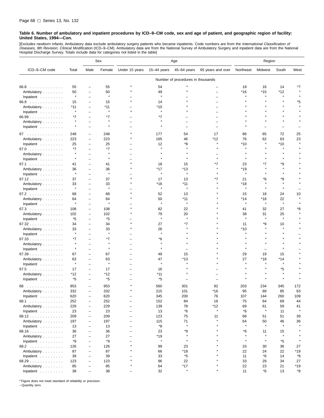[Excludes newborn infants. Ambulatory data exclude ambulatory surgery patients who became inpatients. Code numbers are from the *International Classification of*<br>*Diseases, 9th Revision, Clinical Modification* (ICD–9–CM). Hospital Discharge Survey. Totals include data for categories not listed in the table]

|               |         |                          | Sex          | Age                      |             |                                   | Region            |              |         |              |           |
|---------------|---------|--------------------------|--------------|--------------------------|-------------|-----------------------------------|-------------------|--------------|---------|--------------|-----------|
| ICD-9-CM code | Total   | Male                     | Female       | Under 15 years           | 15-44 years | 45-64 years                       | 65 years and over | Northeast    | Midwest | South        | West      |
|               |         |                          |              |                          |             | Number of procedures in thousands |                   |              |         |              |           |
| 66.8          | 55      | -                        | 55           |                          | 54          |                                   |                   | 18           | 16      | 14           | *7        |
| Ambulatory    | 50      | -                        | 50           |                          | 49          |                                   |                   | *16          | $*15$   | *12          |           |
| Inpatient     | $\star$ | $\overline{\phantom{0}}$ | $\pmb{\ast}$ |                          | $\star$     |                                   |                   |              |         |              |           |
| 66.9          | 15      | -                        | 15           |                          | 14          |                                   |                   |              |         |              | *5        |
| Ambulatory    | $*11$   | $\overline{\phantom{0}}$ | $*11$        |                          | *10         |                                   |                   |              |         |              |           |
| Inpatient     | $\star$ | -                        | $\pmb{\ast}$ | $\star$                  | $\star$     |                                   |                   |              |         |              |           |
| 66.99         | *7      |                          | *7           |                          | *7          |                                   |                   |              |         |              |           |
| Ambulatory    | $\star$ | -                        |              |                          |             |                                   |                   |              |         |              |           |
| Inpatient     | $\star$ |                          | $\pmb{\ast}$ |                          |             |                                   |                   |              |         |              |           |
| 67            | 248     | -                        | 248          |                          | 177         | 54                                | 17                | 86           | 65      | 72           | 25        |
| Ambulatory    | 223     | -                        | 223          |                          | 165         | 46                                | *12               | 76           | 62      | 63           | 23        |
| Inpatient     | 25      | $\overline{\phantom{0}}$ | 25           |                          | 12          | *8                                |                   | $*10$        |         | *10          |           |
| 67.0          | *7      | -                        | *7           |                          |             |                                   |                   |              |         |              |           |
| Ambulatory    | $\star$ |                          |              |                          |             |                                   |                   |              |         |              |           |
| Inpatient     | $\star$ |                          | $\pmb{\ast}$ |                          |             |                                   |                   |              |         |              |           |
| 67.1          | 41      | -                        | 41           | $\star$                  | 18          | 15                                | *7                | 23           | *7      | *9           |           |
| Ambulatory    | 36      | -                        | 36           |                          | *17         | *13                               |                   | *19          |         | $\star$      |           |
| Inpatient     | $\star$ | -                        | $\star$      |                          | $\star$     | $\star$                           |                   |              |         |              |           |
| 67.12         | 37      | $\overline{\phantom{0}}$ | 37           |                          | 17          | 13                                | *7                | 21           | *6      | *9           |           |
| Ambulatory    | 33      | -                        | 33           |                          | *16         | *11                               |                   | *18          |         | $\star$      |           |
| Inpatient     | $\star$ | $\overline{\phantom{0}}$ | $\star$      |                          | $\star$     | $\star$                           |                   | $\star$      |         | $\star$      |           |
| 67.2          | 68      | -                        | 68           |                          | 52          | 13                                |                   | 15           | 18      | 24           | 10        |
| Ambulatory    | 64      | -                        | 64           |                          | 50          | $*11$                             |                   | *14          | *18     | 22           |           |
| Inpatient     |         | -                        |              |                          |             | Å                                 |                   |              | $\star$ | $\pmb{\ast}$ |           |
| 67.3          | 108     | -                        | 108          |                          | 82          | 22                                |                   | 41           | 32      | 27           | *8        |
| Ambulatory    | 102     | $\overline{\phantom{0}}$ | 102          |                          | 79          | 20                                |                   | 38           | 31      | 25           |           |
| Inpatient     | *5      | -                        | *5           |                          | $\star$     | $\star$                           |                   | $\pmb{\ast}$ | $\star$ | $\pmb{\ast}$ |           |
| 67.32         | 34      | -                        | 34           |                          | 27          | *7                                |                   | 11           | *9      | 10           |           |
| Ambulatory    | 33      | $\overline{\phantom{0}}$ | 33           |                          | 26          |                                   |                   | *10          |         |              |           |
| Inpatient     | $\star$ | L,                       | $\pmb{\ast}$ |                          |             |                                   |                   |              |         |              |           |
| 67.33         | *7      | -                        | *7           |                          | *6          |                                   |                   |              |         |              |           |
| Ambulatory    | $\star$ |                          | $\star$      |                          |             |                                   |                   |              |         |              |           |
| Inpatient     | $\star$ | -                        |              |                          |             |                                   |                   |              |         |              |           |
| 67.39         | 67      | -                        | 67           |                          | 49          | 15                                |                   | 29           | 19      | 15           |           |
| Ambulatory    | 63      | -                        | 63           |                          | 47          | *13                               |                   | 27           | *18     | *14          |           |
| Inpatient     | $\star$ | -                        | $\pmb{\ast}$ |                          | $\star$     |                                   |                   |              |         | $\star$      |           |
| 67.5          | 17      | -                        | 17           |                          | 16          |                                   |                   |              |         | *5           |           |
| Ambulatory    | *12     | -                        | *12          |                          | *11         |                                   |                   |              |         |              |           |
| Inpatient     | *5      | $\overline{\phantom{0}}$ | *5           |                          | *5          |                                   |                   |              |         |              |           |
| 68.           | 953     | -                        | 953          |                          | 560         | 301                               | 92                | 203          | 234     | 345          | 172       |
| Ambulatory    | 332     | L,                       | 332          |                          | 215         | 101                               | $*16$             | 95           | 89      | 85           | 63        |
| Inpatient     | 620     | -                        | 620          | -                        | 345         | 200                               | 76                | 107          | 144     | 260          | 109       |
| 68.1          | 252     | -                        | 252          |                          | 152         | 84                                | 16                | 75           | 64      | 69           | 44        |
| Ambulatory    | 229     | $\overline{\phantom{0}}$ | 229          | $\overline{\phantom{0}}$ | 139         | 78                                | $*12$             | 69           | 61      | 59           | 41        |
| Inpatient     | 23      | L,                       | 23           | $\overline{\phantom{0}}$ | 13          | *6                                | $\star$           | *6           | $\star$ | 11           | $\star$   |
| 68.12         | 209     | -                        | 209          | -                        | 123         | 75                                | 11                | 68           | 51      | 51           | 39        |
| Ambulatory    | 197     | -                        | 197          | -                        | 115         | 71                                | Å                 | 64           | 50      | 46           | 36        |
| Inpatient     | 13      | $\overline{\phantom{0}}$ | 13           | -                        | *8          | $\star$                           | $\star$           | $\star$      | $\star$ | $\star$      |           |
| 68.16         | 36      | $\overline{\phantom{a}}$ | 36           | $\overline{\phantom{0}}$ | 23          | *9                                | $\star$           | *6           | 11      | 15           |           |
| Ambulatory    | 27      | -                        | 27           | -                        | *19         | $\star$                           | $\star$           | $\star$      | $\star$ | $\pmb{\ast}$ |           |
| Inpatient     | *9      | L,                       | *9           |                          | $\star$     | $\star$                           |                   | $\star$      | $\star$ | *5           |           |
| 68.2          | 126     | $\overline{\phantom{0}}$ | 126          | $\star$                  | 99          | 23                                |                   | 33           | 30      | 36           | 27        |
| Ambulatory    | 87      | -                        | 87           | $\star$                  | 66          | *18                               |                   | 22           | 24      | 22           | *19       |
| Inpatient     | 39      | -                        | 39           |                          | 33          | *5                                |                   | 11           | *6      | 14           | *8        |
| 68.29         | 123     | $\overline{\phantom{0}}$ | 123          | $\star$                  | 96          | 22                                | $\star$           | 33           | 29      | 34           | 27        |
| Ambulatory    | 85      |                          | 85           |                          | 64          | $*17$                             |                   | 22           | 23      | 21           | *19       |
| Inpatient     | 38      | L,                       | 38           |                          | 32          | $\star$                           |                   | 11           | *6      | 13           | $\rm ^*8$ |

\* Figure does not meet standard of reliability or precision.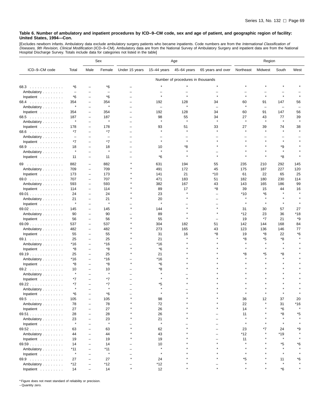[Excludes newborn infants. Ambulatory data exclude ambulatory surgery patients who became inpatients. Code numbers are from the *International Classification of*<br>*Diseases, 9th Revision, Clinical Modification* (ICD–9–CM).

|                                  |                          |                          | Sex                      | Age                      |                          |                                   | Region            |           |                          |                          |         |
|----------------------------------|--------------------------|--------------------------|--------------------------|--------------------------|--------------------------|-----------------------------------|-------------------|-----------|--------------------------|--------------------------|---------|
| ICD-9-CM code                    | Total                    | Male                     | Female                   | Under 15 years           | $15-44$ years            | 45-64 years                       | 65 years and over | Northeast | Midwest                  | South                    | West    |
|                                  |                          |                          |                          |                          |                          | Number of procedures in thousands |                   |           |                          |                          |         |
| 68.3                             | *6                       |                          | *6                       |                          |                          |                                   |                   |           |                          |                          |         |
| Ambulatory                       | $\overline{\phantom{m}}$ |                          | $\overline{\phantom{0}}$ |                          |                          |                                   |                   |           |                          |                          |         |
| Inpatient                        | *6                       | $\overline{\phantom{0}}$ | *6                       | $\overline{\phantom{0}}$ | $\star$                  |                                   | $\star$           | $\star$   | $\star$                  | $\star$                  |         |
| 68.4                             | 354                      | ÷                        | 354                      |                          | 192                      | 128                               | 34                | 60        | 91                       | 147                      | 56      |
| Ambulatory                       | $\star$                  | $\overline{\phantom{0}}$ | $\star$                  |                          | $\overline{\phantom{0}}$ | $\star$                           |                   | $\star$   | $\overline{\phantom{0}}$ | $\overline{\phantom{0}}$ |         |
| Inpatient                        | 354                      | $\overline{\phantom{0}}$ | 354                      | L.                       | 192                      | 128                               | 34                | 60        | 91                       | 147                      | 56      |
| 68.5                             | 187                      | ÷                        | 187                      |                          | 98                       | 55                                | 34                | 27        | 43                       | 77                       | 39      |
| Ambulatory                       | $\star$                  | -                        | $\pmb{\ast}$             |                          |                          | ×                                 |                   | $\star$   | $\star$                  | $\pmb{\ast}$             |         |
| Inpatient                        | 178                      | $\overline{\phantom{0}}$ | 178                      |                          | 93                       | 51                                | 33                | 27        | 39                       | 74                       | 38      |
| 68.6                             | *7                       |                          | $*7$                     | Ē,                       |                          |                                   |                   |           |                          |                          |         |
| Ambulatory                       | $\overline{\phantom{m}}$ | ۳                        | $\overline{\phantom{0}}$ |                          |                          |                                   |                   |           |                          |                          |         |
| Inpatient                        | *7                       | Ē,                       | *7                       |                          | $\star$                  |                                   |                   |           |                          | $\star$                  |         |
| 68.9                             | 18                       | ÷                        | 18                       |                          | 10                       | *8                                |                   |           |                          | *9                       |         |
| Ambulatory                       | $\star$                  | $\overline{\phantom{0}}$ | $\star$                  |                          |                          |                                   |                   |           |                          | $\star$                  |         |
| Inpatient                        | 11                       | -                        | 11                       |                          | *6                       |                                   |                   |           |                          | *8                       |         |
| 69                               | 882                      | $\overline{\phantom{0}}$ | 882                      |                          | 631                      | 194                               | 55                | 235       | 210                      | 292                      | 145     |
| Ambulatory                       | 709                      | -                        | 709                      |                          | 491                      | 172                               | 45                | 175       | 187                      | 227                      | 120     |
|                                  | 173                      | -                        | 173                      |                          | 141                      | 21                                | $*10$             | 61        | 22                       | 65                       | 25      |
| Inpatient<br>69.0                | 707                      | $\qquad \qquad -$        | 707                      |                          | 471                      | 183                               | 51                | 182       | 180                      | 230                      | 114     |
| Ambulatory                       | 593                      | $\overline{\phantom{0}}$ | 593                      |                          | 382                      | 167                               | 43                | 143       | 165                      | 186                      | 99      |
| Inpatient                        | 114                      | $\overline{\phantom{0}}$ | 114                      |                          | 89                       | 17                                | *8                | 39        | 15                       | 44                       | 16      |
| 69.01                            | 24                       | -                        | 24                       |                          | 23                       |                                   |                   | *10       | *6                       |                          |         |
| Ambulatory                       | 21                       | ÷                        | 21                       |                          | 20                       |                                   |                   | $\lambda$ |                          |                          |         |
| Inpatient                        | $\star$                  | ÷                        | $\star$                  |                          |                          |                                   |                   |           |                          |                          |         |
| 69.02                            | 145                      | $\overline{\phantom{0}}$ | 145                      |                          | 144                      |                                   |                   | 31        | 30                       | 57                       | 27      |
|                                  | 90                       | $\qquad \qquad -$        | 90                       |                          | 89                       |                                   |                   | *12       | 23                       | 36                       | *18     |
| Ambulatory<br>Inpatient          | 56                       | ÷                        | 56                       |                          | 55                       |                                   |                   | 19        | *7                       | 21                       | *9      |
| 69.09                            | 537                      | $\overline{\phantom{0}}$ | 537                      |                          | 304                      | 182                               | 51                | 142       | 144                      | 168                      | 84      |
| Ambulatory                       | 482                      | -                        | 482                      |                          | 273                      | 165                               | 43                | 123       | 136                      | 146                      | 77      |
| Inpatient                        | 55                       | ÷                        | 55                       |                          | 31                       | 16                                | *8                | 19        | *8                       | 22                       | *6      |
| 69.1                             | 25                       | $\overline{\phantom{a}}$ | 25                       |                          | 21                       |                                   |                   | *8        | *5                       | *8                       |         |
| Ambulatory                       | *16                      | ۳                        | $*16$                    |                          | $*16$                    |                                   |                   | $\star$   |                          | $\star$                  |         |
| Inpatient                        | *8                       | ÷                        | *8                       |                          | *6                       |                                   |                   |           |                          |                          |         |
| 69.19                            | 25                       | L,                       | 25                       |                          | 21                       |                                   |                   | *8        | *5                       | *8                       |         |
| Ambulatory                       | *16                      | $\overline{\phantom{0}}$ | $*16$                    |                          | $*16$                    |                                   |                   |           |                          | $\star$                  |         |
| Inpatient                        | *8                       | -                        | *8                       |                          | *6                       |                                   |                   |           |                          |                          |         |
| 69.2                             | 10                       | Ē,                       | 10                       |                          | *8                       |                                   |                   |           |                          |                          |         |
| Ambulatory                       | $\star$                  | $\overline{\phantom{0}}$ | $\star$                  |                          |                          |                                   |                   |           |                          |                          |         |
| Inpatient                        | $*7$                     |                          | $*7$                     |                          |                          |                                   |                   |           |                          |                          |         |
| 69.22                            | *7                       |                          | *7                       |                          | *5                       |                                   |                   |           |                          |                          |         |
| Ambulatory                       | $\star$                  |                          | $\pmb{\ast}$             |                          |                          |                                   |                   |           |                          |                          |         |
| Inpatient                        | *6                       |                          | *6                       |                          |                          |                                   |                   |           |                          |                          |         |
| 69.5                             | 105                      | $\overline{\phantom{0}}$ | 105                      |                          | 98                       |                                   |                   | 36        | 12                       | 37                       | 20      |
| Ambulatory                       | 78                       |                          | 78                       |                          | 72                       |                                   |                   | 22        | $\star$                  | 31                       | *16     |
| Inpatient $\ldots \ldots \ldots$ | 27                       | Ē,                       | 27                       |                          | 26                       |                                   |                   | 14        |                          | *6                       | $\star$ |
| 69.51                            | 28                       |                          | 28                       |                          | 26                       |                                   |                   | 11        |                          | *8                       | *5      |
| Ambulatory                       | 23                       | $\overline{\phantom{0}}$ | 23                       |                          | 21                       |                                   |                   | $\star$   |                          | $\star$                  |         |
| Inpatient                        | $\star$                  |                          | $\pmb{\ast}$             |                          | $\pmb{\ast}$             |                                   |                   | $\star$   |                          | $\star$                  |         |
| 69.52                            | 63                       |                          | 63                       |                          | 62                       |                                   |                   | 23        | *7                       | 24                       | *9      |
| Ambulatory                       | 44                       |                          | 44                       |                          | 43                       |                                   |                   | *12       |                          | *19                      |         |
| Inpatient                        | 19                       |                          | 19                       |                          | 19                       |                                   |                   | 11        |                          | $\star$                  |         |
| 69.59                            | 14                       |                          | 14                       |                          | 10                       |                                   |                   |           |                          | *5                       | *6      |
| Ambulatory                       | *11                      |                          | *11                      |                          | $\star$                  |                                   |                   |           |                          | $\star$                  |         |
| Inpatient                        | $\star$                  | $\overline{\phantom{0}}$ | $\pmb{\ast}$             |                          | $\pmb{\ast}$             |                                   |                   |           |                          | $\star$                  |         |
| 69.9                             | 27                       |                          | 27                       |                          | 24                       |                                   |                   | *5        |                          | 11                       | *6      |
| Ambulatory                       | *12                      | ۳                        | *12                      |                          | *12                      |                                   |                   |           |                          |                          |         |
| Inpatient                        | 14                       | $\qquad \qquad -$        | 14                       | $\star$                  | 12                       |                                   |                   |           |                          | *6                       |         |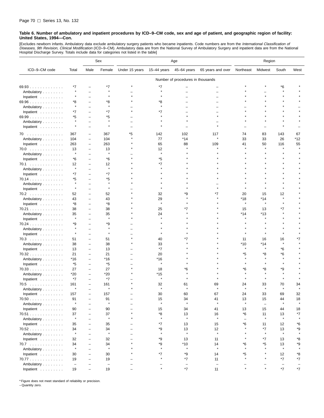[Excludes newborn infants. Ambulatory data exclude ambulatory surgery patients who became inpatients. Code numbers are from the *International Classification of*<br>*Diseases, 9th Revision, Clinical Modification* (ICD–9–CM). Hospital Discharge Survey. Totals include data for categories not listed in the table]

|                                  |                          |                          | Sex                      | Age                      |               |                                   | Region                   |                          |                          |              |         |
|----------------------------------|--------------------------|--------------------------|--------------------------|--------------------------|---------------|-----------------------------------|--------------------------|--------------------------|--------------------------|--------------|---------|
| ICD-9-CM code                    | Total                    | Male                     | Female                   | Under 15 years           | $15-44$ years | 45-64 years                       | 65 years and over        | Northeast                | Midwest                  | South        | West    |
|                                  |                          |                          |                          |                          |               | Number of procedures in thousands |                          |                          |                          |              |         |
| 69.93                            | *7                       |                          | *7                       |                          | *7            |                                   |                          |                          |                          | *6           |         |
| Ambulatory                       | $\star$                  |                          |                          |                          | $\star$       |                                   |                          |                          |                          |              |         |
| Inpatient                        | ×                        |                          | $\star$                  |                          |               |                                   |                          |                          |                          |              |         |
| 69.96                            | *8                       |                          | *8                       |                          | *8            |                                   |                          |                          |                          |              |         |
| Ambulatory                       | $\star$                  |                          | $\star$                  |                          |               |                                   |                          |                          |                          |              |         |
| Inpatient                        | *7                       |                          | *7                       |                          |               |                                   |                          |                          |                          |              |         |
| 69.99                            | *5                       |                          | *5                       |                          |               |                                   |                          |                          |                          |              |         |
| Ambulatory                       | $\star$                  |                          |                          |                          |               |                                   |                          |                          |                          |              |         |
|                                  |                          |                          |                          |                          |               |                                   |                          |                          |                          |              |         |
| Inpatient                        |                          |                          |                          |                          |               |                                   |                          |                          |                          |              |         |
| 70                               | 367                      | ÷                        | 367                      | *5                       | 142           | 102                               | 117                      | 74                       | 83                       | 143          | 67      |
| Ambulatory                       | 104                      | $\overline{\phantom{0}}$ | 104                      |                          | 77            | *14                               |                          | 33                       | 33                       | 26           | *12     |
| Inpatient                        | 263                      | $\overline{\phantom{0}}$ | 263                      |                          | 65            | 88                                | 109                      | 41                       | 50                       | 116          | 55      |
| 70.0                             | 13                       | ۳                        | 13                       |                          | 12            |                                   |                          |                          |                          |              |         |
| Ambulatory                       | $\pmb{\ast}$             |                          | $\pmb{\ast}$             |                          | $\star$       |                                   |                          |                          |                          |              |         |
| Inpatient                        | *6                       | $\overline{\phantom{0}}$ | *6                       |                          | *5            |                                   |                          |                          |                          |              |         |
| 70.1                             | 12                       | Ē,                       | 12                       |                          | *7            |                                   |                          |                          |                          |              |         |
| Ambulatory                       | $\pmb{\ast}$             |                          | $\pmb{\ast}$             |                          |               |                                   |                          |                          |                          |              |         |
| Inpatient                        | *7                       |                          | *7                       |                          |               |                                   |                          |                          |                          |              |         |
| 70.14                            | *5                       | $\overline{\phantom{0}}$ | *5                       |                          |               |                                   |                          |                          |                          |              |         |
| Ambulatory                       | $\star$                  |                          | $\pmb{\ast}$             |                          |               |                                   |                          |                          |                          |              |         |
| Inpatient                        | $\star$                  |                          |                          |                          |               |                                   |                          |                          |                          |              |         |
| 70.2                             | 52                       | $\overline{\phantom{0}}$ | 52                       |                          | 32            | ٠9                                |                          | 20                       | 15                       | 12           |         |
| Ambulatory                       | 43                       |                          | 43                       |                          | 29            |                                   |                          | *18                      | $*14$                    | $\star$      |         |
| Inpatient                        | *8                       | -                        | *8                       |                          |               |                                   |                          |                          |                          |              |         |
| 70.21                            | 38                       | $\overline{\phantom{0}}$ | 38                       |                          | 25            |                                   |                          | 15                       | 13                       | *7           |         |
| Ambulatory                       | 35                       | ÷                        | 35                       |                          | 24            |                                   |                          | $*14$                    | $*13$                    |              |         |
| Inpatient                        | $\star$                  |                          | $\star$                  |                          |               |                                   |                          |                          |                          |              |         |
| $70.24$                          | *9                       |                          | *9                       |                          |               |                                   |                          |                          |                          |              |         |
| Ambulatory                       | ×                        |                          |                          |                          |               |                                   |                          |                          |                          |              |         |
| Inpatient                        | $\star$                  |                          |                          |                          |               |                                   |                          |                          |                          |              |         |
| 70.3                             | 51                       | $\overline{\phantom{0}}$ | 51                       |                          | 40            |                                   |                          | 11                       | 16                       | 16           |         |
| Ambulatory                       | 38                       | L,                       | 38                       |                          | 33            |                                   |                          | *10                      | $*14$                    |              |         |
| Inpatient                        | 13                       | $\overline{\phantom{0}}$ | 13                       |                          | *7            |                                   |                          | $\star$                  |                          | *6           |         |
| 70.32                            | 21                       | $\overline{\phantom{0}}$ | 21                       |                          | 20            |                                   |                          | *5                       | *8                       | *6           |         |
| Ambulatory                       | $*16$                    | ۳                        | *16                      |                          | *16           |                                   |                          |                          |                          | $\star$      |         |
| Inpatient                        | *5                       | $\overline{\phantom{0}}$ | *5                       |                          |               |                                   |                          |                          |                          |              |         |
| 70.33                            | 27                       | $\overline{\phantom{0}}$ | 27                       |                          | 18            | *6                                |                          | *6                       | *8                       | *9           |         |
| Ambulatory                       | $*20$                    | $\overline{\phantom{0}}$ | $*20$                    |                          | *15           |                                   |                          |                          |                          |              |         |
| Inpatient                        | $*7$                     | $\overline{\phantom{0}}$ | *7                       |                          | $\star$       |                                   |                          |                          |                          |              |         |
| 70.5<br>.                        | 161                      | $\overline{\phantom{0}}$ | 161                      |                          | 32            | 61                                | 69                       | 24                       | 33                       | 70           | 34      |
| Ambulatory                       | $\star$                  | $\overline{\phantom{0}}$ | $\star$                  |                          |               |                                   |                          |                          |                          |              |         |
| Inpatient                        | 157                      |                          | 157                      |                          | 30            | 60                                | 67                       | 24                       | 33                       | 69           | 32      |
| 70.50                            | 91                       | $\overline{\phantom{0}}$ | 91                       | $\overline{\phantom{0}}$ | 15            | 34                                | 41                       | 13                       | 15                       | 44           | 18      |
| Ambulatory                       | $\star$                  |                          | $\pmb{\ast}$             |                          | $\star$       | $\star$                           | $\star$                  | $\star$                  | $\overline{\phantom{a}}$ | $\star$      | $\star$ |
| Inpatient $\ldots \ldots \ldots$ | 90                       |                          | 90                       |                          | 15            | 34                                | 41                       | 13                       | 15                       | 44           | 18      |
| 70.51                            | 37                       |                          | 37                       |                          | *8            | 13                                | 16                       | *6                       | 11                       | 13           | *7      |
| Ambulatory                       | $\pmb{\ast}$             |                          | $\pmb{\ast}$             |                          | $\star$       | $\star$                           | $\star$                  | $\overline{\phantom{a}}$ | $\star$                  | $\pmb{\ast}$ |         |
| Inpatient                        | 35                       |                          | 35                       |                          | *7            | 13                                | 15                       | *6                       | 11                       | 12           | *6      |
| 70.52                            | 34                       |                          | 34                       |                          | *9            | 13                                | 12                       |                          | $*7$                     | 13           | *9      |
| Ambulatory                       | $\star$                  | $\overline{\phantom{0}}$ | $\pmb{\ast}$             |                          | $\star$       | $\star$                           | $\star$                  |                          | $\star$                  | $\star$      | $\star$ |
| Inpatient $\ldots \ldots \ldots$ | 32                       |                          | 32                       |                          | *9            | 13                                | 11                       | $\star$                  | $*7$                     | 13           | *8      |
| 70.7                             | 34                       |                          | 34                       |                          | *9            | $*10$                             | 14                       | *6                       | *5                       | 13           | *9      |
| Ambulatory                       | $\star$                  |                          | $\star$                  |                          | $\star$       | $\star$                           | $\star$                  | $\star$                  |                          | $\star$      | $\star$ |
| Inpatient $\ldots \ldots \ldots$ | 30                       |                          | 30                       |                          | *7            | *9                                | 14                       | *5                       |                          | 12           | *8      |
| 70.77                            | 19                       | Ē,                       | 19                       |                          |               | $*7$                              | 11                       | $\star$                  |                          | $*7$         | *7      |
| Ambulatory                       | $\overline{\phantom{m}}$ |                          | $\overline{\phantom{a}}$ |                          |               | $\overline{\phantom{m}}$          | $\overline{\phantom{m}}$ |                          |                          |              |         |
| Inpatient $\ldots \ldots \ldots$ | 19                       | $\overline{\phantom{0}}$ | 19                       |                          |               | $*7$                              | 11                       |                          |                          | *7           | *7      |
|                                  |                          |                          |                          |                          |               |                                   |                          |                          |                          |              |         |

\* Figure does not meet standard of reliability or precision.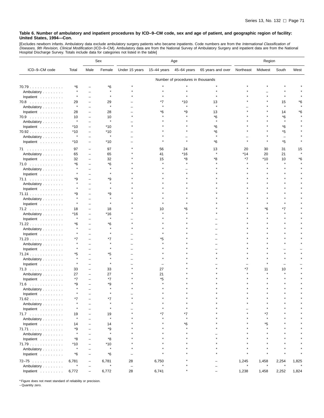[Excludes newborn infants. Ambulatory data exclude ambulatory surgery patients who became inpatients. Code numbers are from the *International Classification of*<br>*Diseases, 9th Revision, Clinical Modification* (ICD–9–CM).

|               |                  |                          | Sex              | Age                      |             |                                   | Region            |           |         |         |       |
|---------------|------------------|--------------------------|------------------|--------------------------|-------------|-----------------------------------|-------------------|-----------|---------|---------|-------|
| ICD-9-CM code | Total            | Male                     | Female           | Under 15 years           | 15-44 years | 45-64 years                       | 65 years and over | Northeast | Midwest | South   | West  |
|               |                  |                          |                  |                          |             | Number of procedures in thousands |                   |           |         |         |       |
| 70.79         | *6               |                          | *6               |                          |             |                                   |                   |           |         |         |       |
| Ambulatory    | $\star$          |                          | $\star$          |                          |             |                                   |                   |           |         |         |       |
| Inpatient     | $\star$          |                          | Å                |                          |             |                                   |                   |           |         |         |       |
| 70.8          | 29               |                          | 29               |                          | *7          | *10                               | 13                |           |         | 15      | *6    |
| Ambulatory    | $\star$          |                          | $\star$          |                          |             |                                   |                   |           |         | $\star$ |       |
| Inpatient     | 28               | -                        | 28               |                          | *6          | ٠9                                | 13                |           |         | 14      | ۴6    |
| 70.9          | 10               |                          | 10               |                          |             |                                   | *6                |           |         | *6      |       |
| Ambulatory    | $\star$          | -                        | Å                |                          |             |                                   |                   |           |         |         |       |
| Inpatient     | $*10$            | -                        | $*10$            |                          |             |                                   | *6                |           |         | *6      |       |
| 70.92         | $*10$            | $\overline{\phantom{0}}$ | $*10$            |                          |             |                                   | *6                |           |         | *5      |       |
| Ambulatory    | $\star$          |                          | $\star$          |                          |             |                                   |                   |           |         | L.      |       |
| Inpatient     | $*10$            | $\overline{\phantom{0}}$ | $*10$            |                          |             |                                   | *6                |           |         | *5      |       |
|               |                  |                          |                  |                          |             |                                   |                   |           |         |         |       |
| 71            | 97               | $\overline{\phantom{0}}$ | 97               |                          | 56          | 24                                | 13                | 20        | 30      | 31      | 15    |
| Ambulatory    | 65               | Ē,                       | 65               |                          | 41          | $*16$                             |                   | $*14$     | 20      | 21      |       |
| Inpatient     | 32               | $\overline{\phantom{0}}$ | 32               |                          | 15          | *8                                | *8                | *7        | *10     | 10      | *6    |
| 71.0          | *6               |                          | *6               |                          |             |                                   |                   |           | $\star$ |         |       |
| Ambulatory    |                  |                          |                  |                          |             |                                   |                   |           |         |         |       |
| Inpatient     |                  |                          |                  |                          |             |                                   |                   |           |         |         |       |
| 71.1          | *9               |                          | *9               |                          |             |                                   |                   |           |         |         |       |
| Ambulatory    |                  |                          | $\star$          |                          |             |                                   |                   |           |         |         |       |
| Inpatient     |                  |                          | $\star$          |                          |             |                                   |                   |           |         |         |       |
| 71.11         | *9               |                          | *9               |                          |             |                                   |                   |           |         |         |       |
| Ambulatory    |                  |                          |                  |                          |             |                                   |                   |           |         |         |       |
| Inpatient     |                  |                          |                  |                          |             |                                   |                   |           |         |         |       |
| 71.2          | 18               |                          | 18               |                          | 10          | *6                                |                   |           | *6      | *7      |       |
| Ambulatory    | *16              | $\overline{\phantom{0}}$ | $*16$            |                          |             |                                   |                   |           |         |         |       |
| Inpatient     | $\star$          |                          | $\star$          |                          |             |                                   |                   |           |         |         |       |
| 71.22         | *6               |                          | *6               |                          |             |                                   |                   |           |         |         |       |
| Ambulatory    |                  |                          |                  |                          |             |                                   |                   |           |         |         |       |
| Inpatient     |                  |                          |                  |                          |             |                                   |                   |           |         |         |       |
| 71.23         | *7               |                          | *7               |                          | *5          |                                   |                   |           |         |         |       |
| Ambulatory    |                  |                          |                  |                          |             |                                   |                   |           |         |         |       |
| Inpatient     |                  |                          | $\star$          |                          |             |                                   |                   |           |         |         |       |
| 71.24         | *5               |                          | *5               |                          |             |                                   |                   |           |         |         |       |
| Ambulatory    | $\star$          |                          | $\star$          |                          |             |                                   |                   |           |         |         |       |
| Inpatient     |                  |                          |                  |                          |             |                                   |                   |           |         |         |       |
| 71.3          | 33               | $\overline{\phantom{0}}$ | 33               |                          | 27          |                                   |                   | *7        | 11      | 10      |       |
| Ambulatory    | 27               | $\overline{\phantom{0}}$ | 27               |                          | 21          |                                   |                   |           |         |         |       |
| Inpatient     | *7               |                          | $*7$             |                          | *5          |                                   |                   |           |         |         |       |
| 71.6<br>.     | *9               | $\overline{\phantom{0}}$ | *9               |                          |             |                                   |                   |           |         |         |       |
| Ambulatory    |                  |                          | $\star$          |                          |             |                                   |                   |           |         |         |       |
| Inpatient     |                  |                          |                  |                          |             |                                   |                   |           |         |         |       |
| 71.62         | *7               |                          | *7               |                          |             |                                   |                   |           |         |         |       |
| Ambulatory    |                  |                          | $\star$          |                          |             |                                   |                   |           | $\star$ |         |       |
| Inpatient     |                  |                          | $\star$          |                          |             |                                   |                   |           |         |         |       |
| 71.7          | 19               |                          | 19               |                          | *7          | *7                                |                   |           | *7      |         |       |
| Ambulatory    | $\star$          |                          | $\star$          |                          |             |                                   |                   |           |         |         |       |
| Inpatient     | 14               |                          | 14               |                          |             | *6                                |                   |           | *5      |         |       |
| 71.71         | *9               |                          | *9               |                          |             |                                   |                   |           |         |         |       |
| Ambulatory    | $\star$          |                          | $\star$          |                          |             |                                   |                   |           |         |         |       |
| Inpatient     | *8               |                          | *8               |                          |             |                                   |                   |           |         |         |       |
| 71.79         | $*10$            |                          | $*10$            |                          |             |                                   |                   |           |         |         |       |
| Ambulatory    | $\star$          |                          | $\star$          |                          |             |                                   |                   |           |         |         |       |
| Inpatient     | *6               | -                        | *6               |                          |             |                                   |                   |           |         |         |       |
|               |                  |                          |                  |                          |             |                                   |                   |           |         |         |       |
| $72 - 75$     | 6,781<br>$\star$ | ÷                        | 6,781<br>$\star$ | 28                       | 6,750       |                                   |                   | 1,245     | 1,458   | 2,254   | 1,825 |
| Ambulatory    |                  |                          |                  | $\overline{\phantom{a}}$ |             |                                   |                   |           |         |         |       |
| Inpatient     | 6,772            |                          | 6,772            | 28                       | 6,741       |                                   |                   | 1,238     | 1,458   | 2,252   | 1,824 |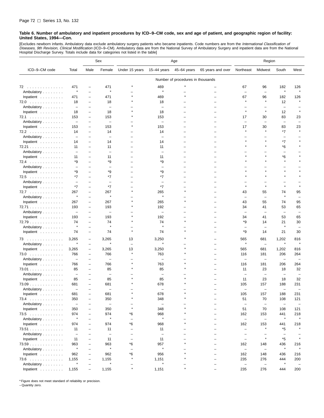[Excludes newborn infants. Ambulatory data exclude ambulatory surgery patients who became inpatients. Code numbers are from the *International Classification of*<br>*Diseases, 9th Revision, Clinical Modification* (ICD–9–CM). Hospital Discharge Survey. Totals include data for categories not listed in the table]

|                         |                                 |                               | Sex                             | Age                      |                          |                                   | Region                   |                          |                                |                                |                                |
|-------------------------|---------------------------------|-------------------------------|---------------------------------|--------------------------|--------------------------|-----------------------------------|--------------------------|--------------------------|--------------------------------|--------------------------------|--------------------------------|
| ICD-9-CM code           | Total                           | Male                          | Female                          | Under 15 years           | $15 - 44$ years          | 45-64 years                       | 65 years and over        | Northeast                | Midwest                        | South                          | West                           |
|                         |                                 |                               |                                 |                          |                          | Number of procedures in thousands |                          |                          |                                |                                |                                |
| 72                      | 471                             | -                             | 471                             |                          | 469                      |                                   |                          | 67                       | 96                             | 182                            | 126                            |
| Ambulatory              | $\star$                         | -                             | $\star$                         |                          | $\star$                  |                                   |                          | $\qquad \qquad -$        | $\overline{\phantom{0}}$       | $\star$                        |                                |
| Inpatient               | 471                             | -                             | 471                             |                          | 469                      |                                   |                          | 67                       | 96                             | 182                            | 126                            |
| 72.0                    | 18                              | $\overline{\phantom{0}}$      | 18                              |                          | 18                       |                                   |                          | $\star$                  | $\star$                        | 12                             |                                |
| Ambulatory              | $\overline{\phantom{a}}$        | -                             | $\overline{\phantom{m}}$        |                          | $\overline{\phantom{0}}$ |                                   |                          | $\overline{\phantom{0}}$ |                                | $\overline{\phantom{0}}$       |                                |
| Inpatient $\ldots$ ,    | 18                              | -                             | 18                              |                          | 18                       |                                   |                          | $\star$                  | $\star$                        | 12                             | $\star$                        |
| 72.1                    | 153                             | -                             | 153                             |                          | 153                      |                                   |                          | 17                       | 30                             | 83                             | 23                             |
| Ambulatory              | $\qquad \qquad -$               | $\overline{\phantom{0}}$      | $\overline{\phantom{m}}$        |                          | $\overline{\phantom{0}}$ |                                   |                          | $\overline{\phantom{0}}$ | ۳                              | $\overline{\phantom{0}}$       |                                |
| Inpatient               | 153                             | -                             | 153                             |                          | 153                      |                                   |                          | 17                       | 30                             | 83                             | 23                             |
| 72.2                    | 14                              | -                             | 14                              |                          | 14                       |                                   |                          |                          |                                | $*7$                           |                                |
| Ambulatory              | $\qquad \qquad -$               | -                             | $\overline{\phantom{m}}$        |                          | $\overline{\phantom{0}}$ |                                   |                          |                          |                                | $\overline{\phantom{0}}$       |                                |
| Inpatient               | 14                              | L,                            | 14                              |                          | 14                       |                                   |                          |                          | $\star$                        | $*7$                           |                                |
| 72.21                   | 11                              | -                             | 11                              |                          | 11                       |                                   |                          |                          |                                | *6                             |                                |
| Ambulatory              |                                 |                               | $\overline{\phantom{0}}$        |                          |                          |                                   |                          |                          |                                | $\overline{\phantom{0}}$       |                                |
| Inpatient               | 11                              | $\overline{\phantom{0}}$      | 11                              |                          | 11                       |                                   |                          |                          |                                | *6                             |                                |
| 72.4                    | *9                              | -                             | *9                              |                          | *9                       |                                   |                          |                          |                                | $\star$                        |                                |
| Ambulatory              | $\overline{\phantom{0}}$        |                               | $\overline{\phantom{m}}$        |                          | $\overline{\phantom{0}}$ |                                   |                          |                          |                                | $\star$                        |                                |
| Inpatient               | *9                              |                               | *9                              |                          | *9                       |                                   |                          |                          |                                | $\star$                        |                                |
| 72.5                    | *7                              | L,                            | *7                              |                          | *7                       |                                   |                          |                          |                                |                                |                                |
| Ambulatory              | $\overline{\phantom{a}}$        | -                             | $\overline{\phantom{0}}$        |                          | $\overline{\phantom{0}}$ |                                   |                          |                          | $\star$                        |                                |                                |
| Inpatient               | *7                              | -                             | $*7$                            |                          | *7                       |                                   |                          |                          |                                |                                |                                |
| 72.7                    | 267<br>$\star$                  | $\overline{\phantom{0}}$      | 267<br>$\star$                  |                          | 265<br>$\star$           |                                   |                          | 43                       | 55                             | 74<br>$\star$                  | 95                             |
| Ambulatory              |                                 | $\overline{\phantom{0}}$      |                                 |                          |                          | $\star$                           |                          | $\overline{\phantom{0}}$ | $\overline{\phantom{0}}$       |                                | $\overline{\phantom{0}}$       |
| Inpatient               | 267                             | $\overline{\phantom{0}}$      | 267                             |                          | 265                      |                                   |                          | 43                       | 55                             | 74                             | 95                             |
| 72.71                   | 193<br>$\overline{\phantom{0}}$ | -<br>$\overline{\phantom{0}}$ | 193<br>$\overline{\phantom{m}}$ |                          | 192<br>L.                |                                   |                          | 34<br>$\equiv$           | 41<br>$\overline{\phantom{0}}$ | 53<br>$\overline{\phantom{0}}$ | 65                             |
| Ambulatory              |                                 |                               |                                 |                          |                          |                                   |                          |                          |                                |                                |                                |
| Inpatient               | 193<br>74                       | $\overline{\phantom{0}}$      | 193<br>74                       |                          | 192<br>74                |                                   |                          | 34<br>*9                 | 41                             | 53<br>21                       | 65<br>30                       |
| 72.79                   | $\star$                         | -<br>$\overline{\phantom{0}}$ | $\star$                         |                          | $\star$                  |                                   |                          | $\overline{\phantom{0}}$ | 14<br>$\overline{\phantom{0}}$ |                                |                                |
| Ambulatory<br>Inpatient | 74                              | $\overline{\phantom{0}}$      | 74                              | $\star$                  | 74                       |                                   |                          | *9                       | 14                             | 21                             | 30                             |
|                         |                                 |                               |                                 |                          |                          |                                   |                          |                          |                                |                                |                                |
| 73                      | 3,265                           | -                             | 3,265                           | 13                       | 3,250                    |                                   |                          | 565                      | 681                            | 1,202                          | 816                            |
| Ambulatory              |                                 | -                             | $\star$                         | $\overline{\phantom{0}}$ |                          |                                   |                          | $\star$                  | $\overline{\phantom{0}}$       | $\star$                        |                                |
| Inpatient               | 3,265                           | $\overline{\phantom{a}}$      | 3,265                           | 13<br>$\star$            | 3,250                    |                                   |                          | 565                      | 681                            | 1,202                          | 816                            |
| 73.0                    | 766                             | $\overline{\phantom{0}}$      | 766                             |                          | 763                      |                                   |                          | 116                      | 181                            | 206                            | 264                            |
| Ambulatory              | $\overline{\phantom{0}}$        | $\overline{\phantom{0}}$      | $\overline{\phantom{m}}$        |                          | $\overline{\phantom{0}}$ |                                   |                          | L.                       | $\qquad \qquad -$              | ÷,                             |                                |
| Inpatient               | 766                             | -                             | 766                             |                          | 763                      |                                   |                          | 116                      | 181                            | 206                            | 264                            |
| 73.01                   | 85                              |                               | 85                              |                          | 85                       |                                   |                          | 11<br>L.                 | 23                             | 18                             | 32<br>$\overline{\phantom{0}}$ |
| Ambulatory              | $\overline{\phantom{m}}$        | $\overline{\phantom{0}}$      | $\overline{\phantom{a}}$        |                          | $\overline{\phantom{0}}$ |                                   |                          |                          | $\qquad \qquad -$              | $\overline{\phantom{m}}$       |                                |
| Inpatient               | 85                              | -<br>-                        | 85<br>681                       |                          | 85<br>678                |                                   |                          | 11<br>105                | 23<br>157                      | 18<br>188                      | 32<br>231                      |
| $73.09$<br>Ambulatory   | 681<br>$\overline{\phantom{0}}$ | $\overline{\phantom{0}}$      |                                 |                          |                          |                                   |                          |                          | ÷                              | L.                             |                                |
| Inpatient               | 681                             |                               | 681                             |                          | 678                      |                                   |                          | 105                      | 157                            | 188                            | 231                            |
| 73.4                    | 350                             | -                             | 350                             |                          | 348                      |                                   |                          | 51                       | 70                             | 108                            | 121                            |
| Ambulatory              | $\overline{\phantom{a}}$        |                               | $\overline{\phantom{a}}$        |                          | $\qquad \qquad -$        |                                   |                          | $\overline{\phantom{m}}$ | $\overline{\phantom{a}}$       | $\overline{\phantom{0}}$       | $\overline{\phantom{m}}$       |
| Inpatient               | 350                             | $\overline{\phantom{0}}$      | 350                             | $\star$                  | 348                      |                                   | $\overline{\phantom{0}}$ | 51                       | 70                             | 108                            | 121                            |
| 73.5                    | 974                             |                               | 974                             | *6                       | 968                      |                                   |                          | 162                      | 153                            | 441                            | 218                            |
| Ambulatory              | $\star$                         |                               | $\star$                         | $\qquad \qquad -$        | $\star$                  |                                   |                          | $\overline{\phantom{m}}$ | $\overline{\phantom{0}}$       | $\pmb{\ast}$                   |                                |
| Inpatient               | 974                             | -                             | 974                             | *6                       | 968                      |                                   |                          | 162                      | 153                            | 441                            | 218                            |
| 73.51                   | 11                              | $\overline{\phantom{0}}$      | 11                              | $\overline{\phantom{0}}$ | 11                       |                                   |                          | $\overline{\phantom{0}}$ | $\star$                        | *5                             |                                |
| Ambulatory              | $\overline{\phantom{m}}$        |                               | $\overline{\phantom{a}}$        | -                        | $\qquad \qquad -$        |                                   |                          | $\qquad \qquad -$        |                                | $\overline{\phantom{a}}$       |                                |
| Inpatient               | 11                              |                               | 11                              | -                        | 11                       |                                   |                          | $\overline{\phantom{0}}$ | $\star$                        | *5                             |                                |
| 73.59                   | 963                             | $\overline{\phantom{0}}$      | 963                             | *6                       | 957                      | $\star$                           | $\equiv$                 | 162                      | 148                            | 436                            | 216                            |
| Ambulatory              | $\star$                         |                               | $\star$                         | $\qquad \qquad -$        | $\star$                  |                                   |                          | $\overline{\phantom{a}}$ | $\qquad \qquad -$              | $\pmb{\ast}$                   |                                |
| Inpatient               | 962                             | $\overline{\phantom{0}}$      | 962                             | *6                       | 956                      |                                   |                          | 162                      | 148                            | 436                            | 216                            |
| 73.6                    | 1,155                           | -                             | 1,155                           | $\star$                  | 1,151                    |                                   |                          | 235                      | 276                            | 444                            | 200                            |
| Ambulatory              | $\star$                         | $\overline{\phantom{0}}$      | $\star$                         |                          |                          |                                   |                          | $\qquad \qquad -$        | $\qquad \qquad -$              |                                |                                |
| Inpatient               | 1,155                           | $\qquad \qquad -$             | 1,155                           | $\star$                  | 1,151                    | $\star$                           |                          | 235                      | 276                            | 444                            | 200                            |

\* Figure does not meet standard of reliability or precision.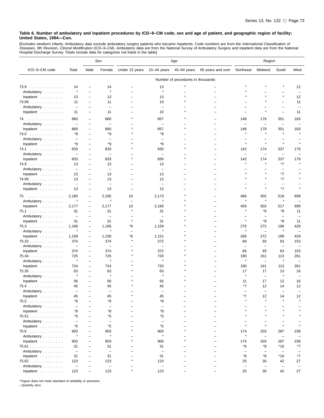[Excludes newborn infants. Ambulatory data exclude ambulatory surgery patients who became inpatients. Code numbers are from the *International Classification of*<br>*Diseases, 9th Revision, Clinical Modification* (ICD–9–CM).

|                                  |                          |                          | Sex                      | Age                      |                          |                                   | Region                   |                          |                          |                          |                          |
|----------------------------------|--------------------------|--------------------------|--------------------------|--------------------------|--------------------------|-----------------------------------|--------------------------|--------------------------|--------------------------|--------------------------|--------------------------|
| ICD-9-CM code                    | Total                    | Male                     | Female                   | Under 15 years           | 15-44 years              | 45-64 years                       | 65 years and over        | Northeast                | Midwest                  | South                    | West                     |
|                                  |                          |                          |                          |                          |                          | Number of procedures in thousands |                          |                          |                          |                          |                          |
| 73.9                             | 14                       | -                        | 14                       | -                        | 13                       |                                   |                          |                          |                          |                          | 12                       |
| Ambulatory                       | $\star$                  | $\overline{\phantom{0}}$ | $\star$                  |                          | $\star$                  |                                   |                          |                          |                          |                          |                          |
| Inpatient                        | 13                       | $\overline{\phantom{0}}$ | 13                       | L.                       | 13                       | $\star$                           |                          |                          |                          |                          | 12                       |
| $73.99$                          | 11                       | $\overline{\phantom{0}}$ | 11                       |                          | 10                       |                                   |                          |                          |                          |                          | 11                       |
| Ambulatory                       | $\overline{\phantom{m}}$ | -                        | $\qquad \qquad$          |                          | $\overline{\phantom{0}}$ |                                   |                          |                          |                          |                          |                          |
| Inpatient                        | 11                       | $\overline{\phantom{0}}$ | 11                       |                          | 10                       |                                   |                          |                          | $\star$                  | $\overline{\phantom{0}}$ | 11                       |
| 74                               | 860                      | $\overline{\phantom{0}}$ | 860                      |                          | 857                      |                                   |                          | 146                      | 179                      | 351                      | 183                      |
| Ambulatory                       | $\qquad \qquad -$        | -                        | $\overline{\phantom{m}}$ |                          | $\overline{\phantom{0}}$ |                                   |                          | L.                       | $\overline{\phantom{0}}$ | $\overline{\phantom{0}}$ |                          |
| Inpatient                        | 860                      | -                        | 860                      |                          | 857                      |                                   |                          | 146                      | 179                      | 351                      | 183                      |
| 74.0                             | *9                       | -                        | *9                       |                          | *8                       |                                   |                          | $\star$                  | $\star$                  |                          |                          |
| Ambulatory                       | $\overline{\phantom{0}}$ | -                        | $\overline{\phantom{0}}$ |                          | L.                       |                                   |                          |                          |                          |                          |                          |
| Inpatient                        | *9                       | -                        | *9                       |                          | *8                       |                                   |                          | $\star$                  | $\star$                  | $\star$                  |                          |
| 74.1                             | 833                      | -                        | 833                      |                          | 830                      | $\star$                           |                          | 142                      | 174                      | 337                      | 179                      |
| Ambulatory                       | $\qquad \qquad -$        | $\overline{\phantom{0}}$ | $\overline{\phantom{m}}$ |                          | $\overline{\phantom{0}}$ |                                   |                          | $\overline{\phantom{a}}$ | $\overline{\phantom{0}}$ | $\overline{\phantom{0}}$ | $\overline{\phantom{0}}$ |
| Inpatient                        | 833                      | $\overline{\phantom{0}}$ | 833                      |                          | 830                      |                                   | $\overline{\phantom{0}}$ | 142                      | 174                      | 337                      | 179                      |
| 74.9                             | 13                       | -                        | 13                       |                          | 13                       |                                   |                          | $\star$                  | $\star$                  | $*7$                     |                          |
| Ambulatory                       | $\overline{\phantom{a}}$ | -                        | $\overline{\phantom{0}}$ |                          | $\qquad \qquad -$        |                                   |                          |                          |                          | $\overline{\phantom{0}}$ |                          |
| Inpatient $\ldots$ ,             | 13                       | $\overline{\phantom{0}}$ | 13                       |                          | 13                       |                                   |                          |                          |                          | *7                       |                          |
| 74.99                            | 13                       | -                        | 13                       | $\overline{\phantom{0}}$ | 13                       |                                   | $\overline{\phantom{0}}$ |                          | $\star$                  | *7                       |                          |
| Ambulatory                       | $\qquad \qquad -$        | -                        | $\overline{\phantom{0}}$ |                          | $\overline{\phantom{0}}$ |                                   |                          |                          |                          |                          |                          |
| Inpatient $\ldots \ldots \ldots$ | 13                       | $\overline{\phantom{0}}$ | 13                       | $\overline{\phantom{0}}$ | 13                       |                                   |                          | $\star$                  | $\star$                  | $*7$                     |                          |
| 75                               | 2,185<br>$\star$         | $\overline{\phantom{0}}$ | 2,185<br>$\star$         | 10                       | 2,173                    |                                   |                          | 466<br>$\star$           | 502<br>$\star$           | 518<br>$\star$           | 699                      |
| Ambulatory                       |                          | $\overline{\phantom{0}}$ |                          | $\overline{\phantom{0}}$ |                          |                                   |                          |                          |                          |                          | $\overline{\phantom{0}}$ |
| Inpatient                        | 2,177                    | -                        | 2,177                    | 10<br>$\star$            | 2,166                    |                                   |                          | 459<br>$\star$           | 502                      | 517                      | 699                      |
| 75.1                             | 31                       | $\overline{\phantom{0}}$ | 31                       |                          | 31                       |                                   |                          |                          | *9                       | *8                       | 11                       |
| Ambulatory                       | $\qquad \qquad -$        | $\overline{\phantom{0}}$ | $\overline{\phantom{0}}$ | $\star$                  | $\overline{\phantom{0}}$ |                                   |                          | $\star$                  | L.                       | $\overline{\phantom{0}}$ |                          |
| Inpatient                        | 31                       | -                        | 31                       |                          | 31                       |                                   |                          |                          | *9                       | *8                       | 11                       |
| 75.3                             | 1,166                    | $\overline{\phantom{m}}$ | 1,166<br>$\star$         | *6                       | 1,159                    |                                   |                          | 275                      | 272                      | 190<br>$\pmb{\ast}$      | 429                      |
| Ambulatory                       |                          | $\overline{\phantom{0}}$ |                          | $\overline{\phantom{0}}$ |                          |                                   |                          |                          | $\overline{\phantom{0}}$ |                          | $\overline{\phantom{0}}$ |
| Inpatient                        | 1,158                    | $\overline{\phantom{0}}$ | 1,158                    | *6<br>$\star$            | 1,151                    |                                   |                          | 268                      | 272                      | 189                      | 429                      |
| 75.32                            | 374                      | $\overline{\phantom{0}}$ | 374                      |                          | 372                      |                                   |                          | 66                       | 93                       | 63                       | 153                      |
| Ambulatory                       | $\overline{\phantom{0}}$ | -                        | $\qquad \qquad -$        |                          | $\overline{\phantom{0}}$ |                                   |                          | $\overline{\phantom{0}}$ | $\overline{\phantom{0}}$ | $\overline{\phantom{0}}$ | $\overline{\phantom{0}}$ |
| Inpatient                        | 374                      | $\overline{\phantom{0}}$ | 374                      |                          | 372                      |                                   |                          | 66                       | 93                       | 63                       | 153                      |
| 75.34                            | 725                      | $\overline{\phantom{0}}$ | 725                      |                          | 720                      |                                   |                          | 190                      | 161                      | 113                      | 261                      |
| Ambulatory                       | $\star$                  | -                        | $\star$                  |                          | Å                        |                                   |                          | $\star$                  | $\overline{\phantom{0}}$ | $\pmb{\ast}$             | $\overline{\phantom{m}}$ |
| Inpatient                        | 724                      | $\overline{\phantom{0}}$ | 724                      |                          | 720                      |                                   |                          | 190                      | 161                      | 113                      | 261                      |
| 75.35                            | 63                       | $\qquad \qquad -$        | 63                       |                          | 63                       |                                   |                          | 17                       | 17                       | 13                       | 16                       |
| Ambulatory                       | $\star$                  | -                        | $\star$                  |                          | $\star$                  |                                   |                          | $\star$                  | $\overline{\phantom{0}}$ | $\star$                  |                          |
| Inpatient                        | 56                       |                          | 56                       |                          | 56                       |                                   |                          | 11                       | 17                       | 12                       | 16                       |
| 75.4                             | 45                       | L,                       | 45                       |                          | 45                       |                                   |                          | *7                       | 12                       | 14                       | 12                       |
| Ambulatory                       | $\overline{\phantom{m}}$ | $\overline{\phantom{0}}$ | $\equiv$                 |                          |                          |                                   |                          | $\overline{\phantom{0}}$ | ÷                        | $\overline{\phantom{0}}$ | $\overline{\phantom{0}}$ |
| Inpatient $\ldots \ldots \ldots$ | 45                       |                          | 45                       |                          | 45                       |                                   |                          | *7                       | 12                       | 14                       | 12                       |
| 75.5                             | *8                       |                          | *8                       |                          | *8                       |                                   |                          | $\star$                  | $\star$                  | $\star$                  | $\star$                  |
| Ambulatory                       | $\overline{\phantom{a}}$ |                          | $\overline{\phantom{m}}$ |                          | $\overline{\phantom{0}}$ | $\overline{\phantom{0}}$          | $\overline{\phantom{0}}$ |                          |                          |                          |                          |
| Inpatient                        | *8                       | L,                       | *8                       | $\overline{\phantom{0}}$ | *8                       | $\overline{\phantom{0}}$          | $\overline{\phantom{0}}$ | $\star$                  |                          | $\star$                  |                          |
| 75.51                            | *5                       |                          | *5                       |                          | *5                       |                                   |                          |                          |                          |                          |                          |
| Ambulatory                       | $\overline{\phantom{0}}$ |                          | $\overline{\phantom{0}}$ | -                        | $\overline{\phantom{0}}$ | $\overline{\phantom{0}}$          | $\overline{\phantom{0}}$ |                          | -                        | -                        |                          |
| Inpatient                        | *5                       | $\equiv$                 | *5                       | $\equiv$                 | *5                       | $\equiv$                          | $\equiv$                 | $\star$                  | $\star$                  | $\star$                  |                          |
| $75.6$                           | 903                      | $\overline{\phantom{0}}$ | 903                      | $\star$                  | 900                      | $\star$                           | $\overline{\phantom{0}}$ | 174                      | 203                      | 287                      | 239                      |
| Ambulatory                       | $\star$                  | -                        | $\star$                  |                          | $\star$                  |                                   |                          | $\star$                  | $\overline{\phantom{a}}$ | $\overline{\phantom{0}}$ |                          |
| Inpatient                        | 903                      | $\overline{\phantom{0}}$ | 903                      | $\star$                  | 900                      | $\star$                           | $\equiv$                 | 174                      | 203                      | 287                      | 239                      |
| 75.61                            | 31                       | -                        | 31                       |                          | 31                       |                                   |                          | *6                       | *8                       | $*10$                    | *7                       |
| Ambulatory                       | $\overline{\phantom{m}}$ |                          | $\overline{\phantom{a}}$ | -                        | $\overline{\phantom{0}}$ |                                   |                          | $\overline{\phantom{0}}$ | -                        | $\overline{\phantom{0}}$ | -                        |
| Inpatient                        | 31                       | $\overline{\phantom{0}}$ | 31                       | -                        | 31                       | $\overline{\phantom{0}}$          | $\overline{\phantom{0}}$ | *6                       | *8                       | *10                      | *7                       |
| 75.62                            | 123                      | $\overline{\phantom{0}}$ | 123                      | $\star$                  | 123                      |                                   | $=$                      | 25                       | 30                       | 42                       | 27                       |
| Ambulatory                       | $\overline{\phantom{a}}$ | $\overline{\phantom{0}}$ | $\overline{\phantom{a}}$ |                          | $\overline{\phantom{m}}$ |                                   |                          | $\overline{\phantom{m}}$ | $\overline{\phantom{m}}$ | $\overline{\phantom{m}}$ | $\overline{\phantom{0}}$ |
| Inpatient                        | 123                      |                          | 123                      | $\star$                  | 123                      |                                   |                          | 25                       | 30                       | 42                       | 27                       |

\* Figure does not meet standard of reliability or precision.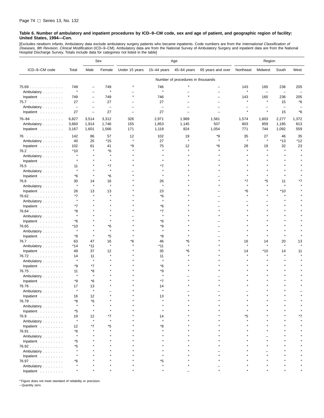[Excludes newborn infants. Ambulatory data exclude ambulatory surgery patients who became inpatients. Code numbers are from the *International Classification of*<br>*Diseases, 9th Revision, Clinical Modification* (ICD–9–CM). Hospital Discharge Survey. Totals include data for categories not listed in the table]

|               |                          |                          | Sex                      | Age            |                          |                                   | Region            |           |                          |                          |       |
|---------------|--------------------------|--------------------------|--------------------------|----------------|--------------------------|-----------------------------------|-------------------|-----------|--------------------------|--------------------------|-------|
| ICD-9-CM code | Total                    | Male                     | Female                   | Under 15 years | 15-44 years              | 45-64 years                       | 65 years and over | Northeast | Midwest                  | South                    | West  |
|               |                          |                          |                          |                |                          | Number of procedures in thousands |                   |           |                          |                          |       |
| $75.69$       | 749                      | -                        | 749                      |                | 746                      |                                   |                   | 143       | 165                      | 236                      | 205   |
| Ambulatory    | $\star$                  | $\overline{\phantom{0}}$ | $\star$                  |                | $\star$                  |                                   |                   | $\star$   | $\overline{\phantom{0}}$ | $\overline{\phantom{0}}$ |       |
| Inpatient     | 749                      | $\overline{\phantom{0}}$ | 749                      |                | 746                      |                                   |                   | 143       | 165                      | 236                      | 205   |
| 75.7          | 27                       | $\overline{\phantom{0}}$ | 27                       |                | 27                       |                                   |                   |           | $\pmb{\ast}$             | 15                       | *6    |
| Ambulatory    | $\overline{\phantom{m}}$ | $\overline{\phantom{0}}$ | $\overline{\phantom{m}}$ |                | $\overline{\phantom{0}}$ |                                   |                   |           |                          |                          |       |
| Inpatient     | 27                       | $\qquad \qquad -$        | 27                       |                | 27                       |                                   |                   |           | $\star$                  | 15                       | *6    |
| $76 - 84$     | 6,827                    | 3,514                    | 3,312                    | 326            | 2,971                    | 1,969                             | 1,561             | 1,574     | 1,603                    | 2,277                    | 1,372 |
| Ambulatory    | 3,660                    | 1,914                    | 1,746                    | 155            | 1,853                    | 1,145                             | 507               | 803       | 859                      | 1,185                    | 813   |
| Inpatient     | 3,167                    | 1,601                    | 1,566                    | 171            | 1,118                    | 824                               | 1,054             | 771       | 744                      | 1,092                    | 559   |
| 76            | 142                      | 86                       | 57                       | 12             | 102                      | 19                                | *9                | 35        | 27                       | 46                       | 35    |
| Ambulatory    | 40                       | 25                       | $*15$                    | $\lambda$      | 27                       |                                   |                   |           | $\pmb{\ast}$             | $*13$                    | *12   |
| Inpatient     | 102                      | 61                       | 41                       | *9             | 75                       | 12                                | *6                | 28        | 19                       | 32                       | 23    |
| 76.2          | $*10$                    | $\star$                  | *6                       |                |                          |                                   |                   |           | $\star$                  | $\star$                  |       |
| Ambulatory    | $\star$                  |                          | $\star$                  |                |                          |                                   |                   |           |                          |                          |       |
| Inpatient     | $\star$                  |                          |                          |                |                          |                                   |                   |           |                          |                          |       |
| 76.5          | 11                       |                          | *7                       |                | *7                       |                                   |                   |           |                          |                          |       |
| Ambulatory    | $\star$                  |                          | $\star$                  |                |                          |                                   |                   |           |                          |                          |       |
| Inpatient     | *6                       |                          | *6                       |                |                          |                                   |                   |           |                          |                          |       |
| 76.6          | 30                       | 14                       | 16                       |                | 26                       |                                   |                   | *7        | *5                       | 11                       | *7    |
| Ambulatory    | $\star$                  | $\star$                  | $\star$                  |                | $\star$                  |                                   |                   |           | $\star$                  | $\star$                  |       |
| Inpatient     | 26                       | 13                       | 13                       |                | 23                       |                                   |                   | *6        |                          | $*10$                    |       |
| $76.62$       | *7                       |                          |                          |                | *6                       |                                   |                   |           |                          | $\star$                  |       |
| Ambulatory    | $\star$                  |                          |                          |                |                          |                                   |                   |           |                          |                          |       |
| Inpatient     | *7                       |                          |                          |                | *6                       |                                   |                   |           |                          |                          |       |
| $76.64$       | *8                       |                          |                          |                | *7                       |                                   |                   |           |                          |                          |       |
| Ambulatory    | $\star$                  |                          |                          |                | $\star$                  |                                   |                   |           |                          |                          |       |
| Inpatient     | *6                       |                          |                          |                | *6                       |                                   |                   |           |                          |                          |       |
| 76.65         | *10                      |                          | *6                       |                | *9                       |                                   |                   |           |                          |                          |       |
| Ambulatory    | $\star$                  |                          | $\star$                  |                |                          |                                   |                   |           |                          |                          |       |
| Inpatient     | *8                       |                          | *5                       |                | *8                       |                                   |                   |           |                          |                          |       |
| 76.7          | 63                       | 47                       | 16                       | *6             | 46                       | *6                                |                   | 16        | 14                       | 20                       | 13    |
| Ambulatory    | *14                      | $*11$                    | $\star$                  |                | *11                      |                                   |                   |           | $\star$                  | $\star$                  |       |
| Inpatient     | 49                       | 37                       | 12                       |                | 35                       | 6'                                |                   | 14        | *10                      | 14                       | 11    |
| 76.72         | 14                       | 11                       | $\star$                  |                | 11                       |                                   |                   |           |                          |                          |       |
| Ambulatory    | $\star$                  | $\star$                  |                          |                | $\star$                  |                                   |                   |           |                          |                          |       |
| Inpatient     | *9                       | *7                       |                          |                | *6                       |                                   |                   |           |                          |                          |       |
| 76.75         | 11                       | *8                       |                          |                | *9                       |                                   |                   |           |                          |                          |       |
| Ambulatory    | $\star$                  | $\star$                  |                          |                | $\star$                  |                                   |                   |           |                          |                          |       |
| Inpatient     | *9                       | $*6$                     |                          |                | $*7$                     |                                   |                   |           |                          |                          |       |
| $76.76$       | 17                       | 13                       |                          |                | 14                       |                                   |                   |           |                          |                          |       |
| Ambulatory    |                          | $\star$                  |                          |                |                          |                                   |                   |           |                          |                          |       |
| Inpatient     | 16                       | 12                       |                          |                | 13                       |                                   |                   |           |                          |                          |       |
| 76.79         | *8                       | *6                       |                          |                |                          |                                   |                   |           |                          |                          |       |
| Ambulatory    | $\star$                  | $\star$                  |                          |                |                          |                                   |                   |           |                          |                          |       |
| Inpatient     | *5                       | $\star$                  |                          |                |                          |                                   |                   |           |                          |                          |       |
| 76.9          | 19                       | 12                       | *7                       |                | 14                       |                                   |                   | ۴5        |                          |                          |       |
| Ambulatory    | $\star$                  | $\star$                  |                          |                |                          |                                   |                   |           |                          |                          |       |
| Inpatient     | 12                       | $*7$                     | *5                       |                | *8                       |                                   |                   |           |                          |                          |       |
| 76.91         | *6                       |                          |                          |                |                          |                                   |                   |           |                          |                          |       |
| Ambulatory    | $\star$                  |                          |                          |                |                          |                                   |                   |           |                          |                          |       |
| Inpatient     | *5                       |                          |                          |                |                          |                                   |                   |           |                          |                          |       |
| 76.92         | *5                       |                          |                          |                |                          |                                   |                   |           |                          |                          |       |
| Ambulatory    |                          |                          |                          |                |                          |                                   |                   |           |                          |                          |       |
| Inpatient     |                          |                          |                          |                |                          |                                   |                   |           |                          |                          |       |
| 76.97         | *6                       |                          |                          |                | *5                       |                                   |                   |           |                          |                          |       |
| Ambulatory    |                          |                          |                          |                |                          |                                   |                   |           |                          |                          |       |
| Inpatient     |                          |                          |                          |                |                          |                                   |                   |           |                          |                          |       |

\* Figure does not meet standard of reliability or precision.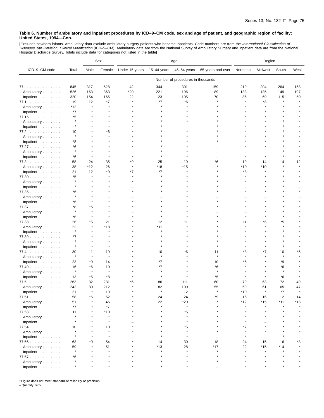[Excludes newborn infants. Ambulatory data exclude ambulatory surgery patients who became inpatients. Code numbers are from the *International Classification of*<br>*Diseases, 9th Revision, Clinical Modification* (ICD–9–CM).

|                                  |         |              | Sex          | Age            |               |                                   | Region            |           |         |              |      |
|----------------------------------|---------|--------------|--------------|----------------|---------------|-----------------------------------|-------------------|-----------|---------|--------------|------|
| ICD-9-CM code                    | Total   | Male         | Female       | Under 15 years | $15-44$ years | 45-64 years                       | 65 years and over | Northeast | Midwest | South        | West |
|                                  |         |              |              |                |               | Number of procedures in thousands |                   |           |         |              |      |
| 77                               | 845     | 317          | 528          | 42             | 344           | 301                               | 159               | 219       | 204     | 264          | 158  |
| Ambulatory                       | 526     | 163          | 363          | $*20$          | 221           | 196                               | 89                | 133       | 135     | 149          | 107  |
| Inpatient                        | 320     | 154          | 165          | 22             | 123           | 105                               | 70                | 86        | 69      | 115          | 50   |
| 77.1                             | 19      | 12           | *7           | $\star$        | *7            | *6                                |                   |           | *8      |              |      |
| Ambulatory                       | *12     | $\star$      |              |                |               |                                   |                   |           |         |              |      |
| Inpatient                        | *7      |              |              |                |               |                                   |                   |           |         |              |      |
| 77.15                            | *5      |              |              |                |               |                                   |                   |           |         |              |      |
| Ambulatory                       |         |              |              |                |               |                                   |                   |           |         |              |      |
| Inpatient                        |         |              |              |                |               |                                   |                   |           |         |              |      |
| 77.2                             | 10      |              | *6           |                |               |                                   |                   |           |         |              |      |
| Ambulatory                       |         |              |              |                |               |                                   |                   |           |         |              |      |
| Inpatient                        | *8      |              |              |                |               |                                   |                   |           |         |              |      |
| 77.27                            | *6      |              |              |                |               |                                   |                   |           |         |              |      |
| Ambulatory                       | $\star$ |              |              |                |               |                                   |                   |           |         |              |      |
| Inpatient                        | *6      |              |              |                |               |                                   |                   | $\star$   |         |              |      |
| 77.3                             | 58      | 24           | 35           | *9             | 25            | 19                                | *6                | 19        | 14      | 14           | 12   |
| Ambulatory                       | 38      | $*12$        | 26           | $\star$        | *18           | *15                               |                   | *10       | $*10$   |              |      |
| Inpatient                        | 21      | 12           | *9           | *7             | *7            |                                   |                   | *8        |         |              |      |
| 77.30                            | *5      | $\pmb{\ast}$ |              |                |               |                                   |                   |           |         |              |      |
| Ambulatory                       |         |              |              |                |               |                                   |                   |           |         |              |      |
| Inpatient                        | $\star$ |              |              |                |               |                                   |                   |           |         |              |      |
| 77.35                            | *6      |              |              |                |               |                                   |                   |           |         |              |      |
| Ambulatory                       |         |              |              |                |               |                                   |                   |           |         |              |      |
| Inpatient                        | *6      |              |              |                |               |                                   |                   |           |         |              |      |
| 77.37                            | *8      | *5           |              |                |               |                                   |                   |           |         |              |      |
| Ambulatory                       | $\star$ | ۸            |              |                |               |                                   |                   |           |         |              |      |
| Inpatient                        | *6      |              |              |                |               |                                   |                   |           |         |              |      |
| 77.38                            | 26      | *5           | 21           |                | 12            | 11                                |                   | 11        | *6      | *5           |      |
| Ambulatory                       | 22      | $\star$      | *18          |                | *11           |                                   |                   |           |         |              |      |
| Inpatient                        | $\star$ |              |              |                |               |                                   |                   |           |         |              |      |
| 77.39                            | *7      |              |              |                |               |                                   |                   |           |         |              |      |
| Ambulatory                       |         |              |              |                |               |                                   |                   |           |         |              |      |
| Inpatient                        | $\star$ | $\star$      |              |                |               |                                   |                   |           |         |              |      |
| 77.4                             | 30      | 11           | 19           |                | 10            | *6                                | 11                | *8        | *7      | 10           | *5   |
| Ambulatory                       | $\star$ | $\star$      | $\star$      |                |               |                                   | $\star$           | $\star$   |         | $\pmb{\ast}$ |      |
| Inpatient                        | 23      | *9           | 14           |                | *7            |                                   | 10                | *5        |         | *9           |      |
| 77.49                            | 16      | *6           | 10           |                | *7            |                                   | *6                |           |         | *6           |      |
| Ambulatory                       | $\star$ | $\star$      | $\star$      |                |               |                                   | $\star$           |           |         | $\pmb{\ast}$ |      |
| Inpatient                        | 13      | *5           | *8           |                |               |                                   | *5                |           |         | *6           |      |
| 77.5                             | 263     | 32           | 231          | 6'             | 86            | 111                               | 60                | 79        | 63      | 72           | 49   |
| Ambulatory                       | 242     | 30           | 212          |                | 82            | 100                               | 55                | 69        | 61      | 65           | 47   |
| Inpatient $\ldots \ldots \ldots$ | 21      | $\star$      | 19           |                |               | 12                                | $\star$           | $*10$     | $\star$ | $*7$         |      |
| 77.51                            | 58      | *6           | 52           |                | 24            | 24                                | *9                | 16        | 16      | 12           | 14   |
| Ambulatory                       | 51      |              | 45           |                | 22            | $*20$                             |                   | *12       | $*15$   | $*11$        | *13  |
| Inpatient                        | $*7$    |              | *7           |                | $\star$       | $\star$                           |                   | $\star$   |         |              |      |
| 77.53                            | 11      |              | $*10$        |                |               | *5                                |                   |           |         |              |      |
| Ambulatory                       |         |              | $\pmb{\ast}$ |                |               | $\star$                           |                   |           |         |              |      |
| Inpatient                        |         |              | $\pmb{\ast}$ |                |               | $\star$                           |                   |           |         |              |      |
| 77.54                            | 10      |              | 10           |                |               | *5                                |                   | *7        |         |              |      |
| Ambulatory                       |         |              | $\star$      |                |               | $\star$                           |                   |           |         |              |      |
| Inpatient                        |         |              | $\star$      |                |               |                                   |                   |           |         |              |      |
| 77.56                            | 63      | *9           | 54           |                | 14            | 30                                | 18                | 24        | 15      | 16           | *8   |
| Ambulatory                       | 59      |              | 51           |                | $*13$         | 28                                | $*17$             | 22        | $*15$   | $*14$        |      |
| Inpatient                        | $\star$ |              | $\star$      |                |               |                                   |                   | $\star$   |         |              |      |
| 77.57                            | *6      |              |              |                |               |                                   |                   |           |         |              |      |
| Ambulatory                       |         |              |              |                |               |                                   |                   |           |         |              |      |
| Inpatient.                       | $\star$ |              |              |                |               |                                   |                   |           |         |              |      |

\* Figure does not meet standard of reliability or precision.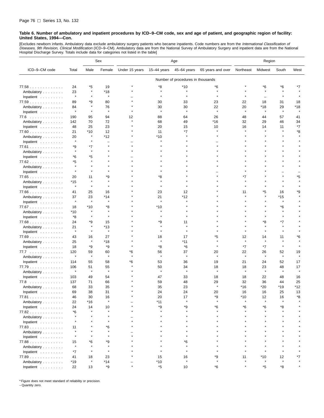[Excludes newborn infants. Ambulatory data exclude ambulatory surgery patients who became inpatients. Code numbers are from the *International Classification of*<br>*Diseases, 9th Revision, Clinical Modification* (ICD–9–CM). Hospital Discharge Survey. Totals include data for categories not listed in the table]

|                                  |               |                    | Sex                      | Age            |              |                                   | Region            |           |                |               |         |
|----------------------------------|---------------|--------------------|--------------------------|----------------|--------------|-----------------------------------|-------------------|-----------|----------------|---------------|---------|
| ICD-9-CM code                    | Total         | Male               | Female                   | Under 15 years | 15-44 years  | 45-64 years                       | 65 years and over | Northeast | Midwest        | South         | West    |
|                                  |               |                    |                          |                |              | Number of procedures in thousands |                   |           |                |               |         |
| 77.58                            | 24            | *5                 | 19                       |                | *8           | *10                               | *6                |           | *6             | *6            |         |
| Ambulatory                       | 23            | $\star$            | *18                      |                | ۸            |                                   |                   |           |                | $\star$       |         |
| Inpatient                        | $\star$       | $\star$            | $\star$                  |                |              |                                   |                   |           |                |               |         |
| 77.59                            | 89            | *9                 | 80                       |                | 30           | 33                                | 23                | 22        | 18             | 31            | 18      |
| Ambulatory                       | 84            | $\star$            | 76                       |                | 30           | 30                                | 22                | 20        | *18            | 29            | *18     |
| Inpatient                        | $\star$       | $\star$            | $\star$                  |                | $\star$      | $\pmb{\ast}$                      | $\pmb{\ast}$      | $\star$   | $\star$        | $\star$       | $\star$ |
| 77.6                             | 190           | 95                 | 94                       | 12             | 88           | 64                                | 26                | 48        | 44             | 57            | 41      |
| Ambulatory                       | 142           | 70                 | 72                       | $\star$        | 68           | 49                                | *16               | 32        | 29             | 46            | 34      |
| Inpatient                        | 48            | 25                 | 23                       |                | 20           | 15                                | 10                | 16        | 14             | 11            | *7      |
|                                  | 21            | *10                | 12                       |                | 11           | *7                                |                   |           |                |               | *8      |
| $77.60$                          |               |                    | *12                      |                | *10          |                                   |                   |           |                |               |         |
| Ambulatory                       | 20<br>$\star$ |                    | $\overline{\phantom{0}}$ |                |              |                                   |                   |           |                |               |         |
| Inpatient                        |               |                    | 大                        |                |              |                                   |                   |           |                |               |         |
| $77.61$                          | *9<br>$\star$ | *7                 |                          |                |              |                                   |                   |           |                |               |         |
| Ambulatory                       |               |                    |                          |                |              |                                   |                   |           |                |               |         |
| Inpatient                        | *6            | *5<br>$\star$      |                          |                |              |                                   |                   |           |                |               |         |
| 77.62                            | *5            |                    |                          |                |              |                                   |                   |           |                |               |         |
| Ambulatory                       | $\star$       |                    |                          |                |              |                                   |                   |           |                |               |         |
| Inpatient                        |               |                    |                          |                |              |                                   |                   |           |                |               |         |
| 77.65                            | 20            | 11                 | *9                       |                | *8           |                                   |                   | *7        |                |               | *5      |
| Ambulatory                       | *15           | $\star$            | $\star$<br>۸             |                |              |                                   |                   |           |                |               |         |
| Inpatient                        | $\star$       |                    |                          |                |              |                                   |                   |           |                |               |         |
| 77.66                            | 41            | 25                 | 16                       |                | 23           | 12                                |                   | 11        | *5             | 16            | *9      |
| Ambulatory                       | 37            | 23                 | *14                      |                | 21           | *12                               |                   |           |                | *15           |         |
| Inpatient                        | $\star$       | $\star$            | $\star$                  |                | $\pmb{\ast}$ |                                   |                   |           |                | $\star$       |         |
| 77.67                            | 18            | $*10$              | *8                       |                | *10          |                                   |                   |           |                | *6            |         |
| Ambulatory                       | *10           | $\star$            | $\star$                  |                | 大            |                                   |                   |           |                | $\star$       |         |
| Inpatient                        | *8            |                    | ۸                        |                |              |                                   |                   |           |                |               |         |
| 77.68                            | 24            | *9                 | 15                       |                | *9           | 11                                |                   |           | *8             | *7            |         |
| Ambulatory                       | 21            | $\star$            | *13                      |                | $\star$      |                                   |                   |           |                | $\star$       |         |
| Inpatient                        | $\star$       |                    | $\star$                  |                |              |                                   |                   |           |                | $\star$       |         |
| 77.69                            | 43            | 16                 | 27                       |                | 18           | 17                                | *5                | 12        | 14             | 11            | *6      |
| Ambulatory                       | 25            | $\pmb{\ast}$       | *18                      |                | $\star$      | *11                               | $\star$           | $\star$   | $\star$        | $\star$       |         |
| Inpatient                        | 18            | *9                 | *9                       |                | *8           | *6                                |                   | $*7$      | *7             | $\star$       |         |
| 77.7                             | 120           | 59                 | 60                       | *6             | 56           | 37                                | 20                | 22        | 26             | 52            | 19      |
| Ambulatory                       | $\star$       | $\star$            | $\star$                  |                | $\star$      | $\star$                           | $\star$           | $\star$   | $\star$        | $\star$       | $\star$ |
| Inpatient                        | 114           | 55                 | 58                       | *6             | 53           | 36                                | 19                | 21        | 24             | 52            | 17      |
| $77.79$                          | 106           | 51                 | 55                       |                | 50           | 34                                | 18                | 18        | 23             | 48            | 17      |
| Ambulatory                       | $\star$       | $\pmb{\ast}$       | $\star$                  |                | $\star$      | $\pmb{\ast}$                      | $\star$           | $\star$   | $\star$        | $\star$       | $\star$ |
| Inpatient                        | 103           | 49                 | 54                       |                | 47           | 33                                | 18                | 18        | 22             | 48            | 16      |
| 77.8                             | 137           | 71                 | 66                       |                | 59           | 48                                | 29                | 32        | 36             | 44            | 25      |
| Ambulatory                       | 68            | 33                 | 35                       |                | 35           | 23                                |                   | *16       | *20            | *19           | *12     |
| Inpatient                        | 69            | 38                 | 31                       |                | 24           | 24                                | 20                | 16        | 16             | 25            | 13      |
| 77.81                            | 46            | 30                 | 16                       |                | 20           | 17                                | *9                | *10       | 12             | 16            | *8      |
| Ambulatory                       | 22            | $*16$              | $\star$                  |                | $*11$        | $\pmb{\ast}$                      | $\star$           | $\star$   | $\star$        | $\star$       |         |
| Inpatient                        | 24            | 14                 | 10                       |                | *9           | *9                                | *6                | *6        | *6             | *8            |         |
| 77.82                            | *6            |                    |                          |                |              |                                   |                   |           |                |               |         |
| Ambulatory                       |               |                    |                          |                |              |                                   |                   |           |                |               |         |
| Inpatient $\ldots \ldots \ldots$ |               |                    | $\star$                  |                |              |                                   |                   |           |                |               |         |
| 77.83                            | 11            |                    | *6                       |                |              |                                   |                   |           |                |               |         |
| Ambulatory                       | $\star$       |                    | $\star$                  |                |              |                                   |                   |           |                |               |         |
| Inpatient                        | $\star$       |                    | $\star$                  |                |              |                                   |                   |           |                |               |         |
| 77.88                            |               | *6                 | *9                       |                |              | *6                                |                   |           |                |               |         |
| Ambulatory                       | 15<br>$\star$ |                    | $\star$                  |                |              |                                   |                   |           |                |               |         |
|                                  | *7            | $\pmb{\ast}$       | $\star$                  |                |              | $\star$                           |                   |           | $\star$        |               |         |
| Inpatient                        |               |                    | 23                       |                |              |                                   | *9                |           |                |               | *7      |
| $77.89$                          | 41            | 18<br>$\pmb{\ast}$ | $*14$                    |                | 15           | 16<br>$\star$                     | $\star$           | 11        | *10<br>$\star$ | 12<br>$\star$ |         |
| Ambulatory                       | $*19$         |                    |                          | $\star$        | $*10$        |                                   |                   |           |                |               |         |
| Inpatient                        | 22            | 13                 | *9                       |                | *5           | 10                                | *6                |           | *5             | *8            |         |

\* Figure does not meet standard of reliability or precision.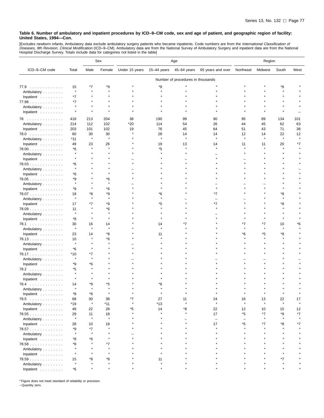[Excludes newborn infants. Ambulatory data exclude ambulatory surgery patients who became inpatients. Code numbers are from the *International Classification of*<br>*Diseases, 9th Revision, Clinical Modification* (ICD–9–CM).

|               |               |               | Sex           | Age            |             |                                   | Region                   |                   |              |              |         |
|---------------|---------------|---------------|---------------|----------------|-------------|-----------------------------------|--------------------------|-------------------|--------------|--------------|---------|
| ICD-9-CM code | Total         | Male          | Female        | Under 15 years | 15-44 years | 45-64 years                       | 65 years and over        | Northeast         | Midwest      | South        | West    |
|               |               |               |               |                |             | Number of procedures in thousands |                          |                   |              |              |         |
| 77.9          | 15            | *7            | *9            |                | *8          |                                   |                          |                   |              | *6           |         |
| Ambulatory    | $\star$       | $\star$       |               |                |             |                                   |                          |                   |              |              |         |
| Inpatient     | $*7$          |               |               |                |             |                                   |                          |                   |              |              |         |
| 77.98         | *7            |               |               |                |             |                                   |                          |                   |              |              |         |
| Ambulatory    | $\star$       | $\star$       |               |                |             |                                   |                          |                   |              |              |         |
| Inpatient     |               |               |               |                |             |                                   |                          |                   |              |              |         |
| 78            | 418           | 213           | 204           | 38             | 190         | 99                                | 90                       | 95                | 89           | 134          | 101     |
| Ambulatory    | 214           | 112           | 102           | $*20$          | 114         | 54                                | 26                       | 44                | 45           | 62           | 63      |
| Inpatient     | 203           | 101           | 102           | 19             | 76          | 45                                | 64                       | 51                | 43           | 71           | 38      |
| 78.0          | 60            | 30            | 30            |                | 28          | 14                                | 14                       | 12                | 14           | 22           | 12      |
| Ambulatory    | $*11$         | $\star$       | $\star$       |                | $\star$     |                                   |                          | $\star$           |              | $\pmb{\ast}$ |         |
| Inpatient     | 49            | 23            | 26            |                | 19          | 13                                | 14                       | 11                | 11           | 20           | *7      |
| 78.00         | *6            | $\star$       |               |                | *5          |                                   |                          |                   |              |              |         |
| Ambulatory    |               |               |               |                |             |                                   |                          |                   |              |              |         |
| Inpatient     |               |               |               |                |             |                                   |                          |                   |              |              |         |
| 78.03         | *6            |               |               |                |             |                                   |                          |                   |              |              |         |
| Ambulatory    |               |               |               |                |             |                                   |                          |                   |              |              |         |
| Inpatient     | *6            |               |               |                |             |                                   |                          |                   |              |              |         |
| 78.05         | *9            |               | *6            |                |             |                                   |                          |                   |              |              |         |
|               |               |               | $\star$       |                |             |                                   |                          |                   |              |              |         |
| Ambulatory    |               |               |               |                |             |                                   |                          |                   |              |              |         |
| Inpatient     | *9            |               | *6            |                |             |                                   |                          |                   |              |              |         |
| 78.07         | 18<br>$\star$ | *8<br>$\star$ | *9<br>$\star$ |                | *6          |                                   | *7                       |                   |              | *8           |         |
| Ambulatory    |               |               |               |                |             |                                   |                          |                   |              |              |         |
| Inpatient     | 17            | *7            | *9            |                | *5          |                                   | *7                       |                   |              | *8           |         |
| 78.09         | 11            |               | *6            |                |             |                                   |                          |                   |              |              |         |
| Ambulatory    | $\star$       |               |               |                |             |                                   |                          |                   |              |              |         |
| Inpatient     | *8            |               |               |                |             |                                   |                          |                   |              |              |         |
| 78.1          | 30            | 16            | 14            |                | 14          | *7                                |                          | *7                | *7           | 10           | *6      |
| Ambulatory    |               | $\star$       |               |                |             |                                   |                          |                   |              |              |         |
| Inpatient     | 23            | 14            | *8            |                | 11          |                                   |                          | *6                | *5           | *8           |         |
| 78.13         | 10            |               | *6            |                |             |                                   |                          |                   |              |              |         |
| Ambulatory    | $\star$       |               |               |                |             |                                   |                          |                   |              |              |         |
| Inpatient     | *6            |               |               |                |             |                                   |                          |                   |              |              |         |
| 78.17         | *10           | *7            |               |                |             |                                   |                          |                   |              |              |         |
| Ambulatory    | $\star$       | $\star$       |               |                |             |                                   |                          |                   |              |              |         |
| Inpatient     | *9            | *6            |               |                |             |                                   |                          |                   |              |              |         |
| 78.2          | *5            |               |               |                |             |                                   |                          |                   |              |              |         |
| Ambulatory    | $\star$       |               |               |                |             |                                   |                          |                   |              |              |         |
| Inpatient     |               |               |               |                |             |                                   |                          |                   |              |              |         |
| 78.4<br>.     | 14            | *9            | *5            |                | *6          |                                   |                          |                   |              |              |         |
| Ambulatory    |               | $\star$       | $\star$       |                |             |                                   |                          |                   |              |              |         |
| Inpatient     | *8            | *6            |               |                |             |                                   |                          |                   |              |              |         |
| 78.5          | 68            | 30            | 38            | *7             | 27          | 11                                | 24                       | 16                | 13           | 22           | 17      |
| Ambulatory    | $*19$         | $\star$       | $*11$         | $\pmb{\ast}$   | $*13$       | $\star$                           | $\star$                  | $\star$           | $\pmb{\ast}$ | $\pmb{\ast}$ | $\star$ |
| Inpatient     | 49            | 22            | 28            | *5             | 14          | *8                                | 22                       | 12                | 10           | 15           | 12      |
| 78.55         | 29            | 11            | 18            |                |             |                                   | 17                       | *5                | *7           | *9           | *7      |
| Ambulatory    | $\star$       | $\star$       | $\pmb{\ast}$  |                |             |                                   | $\overline{\phantom{0}}$ | $\qquad \qquad -$ | $\star$      | $\star$      |         |
| Inpatient     | 28            | 10            | 18            |                |             |                                   | 17                       | *5                | *7           | *8           | *7      |
| 78.57         | *9            | $*7$          | $\star$       |                |             |                                   |                          | $\star$           |              |              |         |
| Ambulatory    | $\star$       | ٠             |               |                |             |                                   |                          |                   |              |              |         |
| Inpatient     | *8            | *6            |               |                |             |                                   |                          |                   |              |              |         |
| 78.58         | *8            |               | *7            |                |             |                                   |                          |                   |              |              |         |
| Ambulatory    |               |               |               |                |             |                                   |                          |                   |              |              |         |
| Inpatient     |               |               |               |                |             |                                   |                          |                   |              |              |         |
| 78.59         | 15            | *8            | *8            |                | 11          |                                   |                          |                   |              | *7           |         |
| Ambulatory    | $\star$       |               |               |                |             |                                   |                          |                   |              |              |         |
|               | $*6$          |               |               |                |             |                                   |                          |                   |              |              |         |
| Inpatient     |               |               |               |                |             |                                   |                          |                   |              |              |         |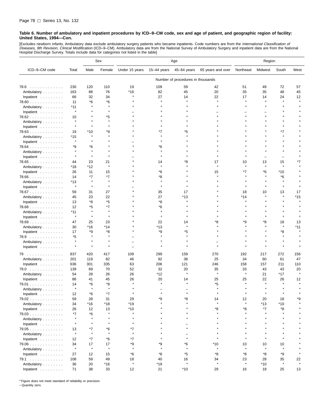[Excludes newborn infants. Ambulatory data exclude ambulatory surgery patients who became inpatients. Code numbers are from the *International Classification of*<br>*Diseases, 9th Revision, Clinical Modification* (ICD–9–CM). Hospital Discharge Survey. Totals include data for categories not listed in the table]

|                                  |                  |               | Sex                | Age            |               |                                   | Region            |               |               |               |               |
|----------------------------------|------------------|---------------|--------------------|----------------|---------------|-----------------------------------|-------------------|---------------|---------------|---------------|---------------|
| ICD-9-CM code                    | Total            | Male          | Female             | Under 15 years | $15-44$ years | 45-64 years                       | 65 years and over | Northeast     | Midwest       | South         | West          |
|                                  |                  |               |                    |                |               | Number of procedures in thousands |                   |               |               |               |               |
| 78.6                             | 230              | 120           | 110                | 19             | 109           | 59                                | 42                | 51            | 49            | 72            | 57            |
| Ambulatory                       | 163              | 88            | 76                 | $*16$          | 82            | 45                                | 20                | 35            | 35            | 48            | 45            |
| Inpatient                        | 66               | 32            | 34                 |                | 27            | 14                                | 22                | 17            | 14            | 24            | 12            |
| $78.60$                          | 11               | *6            | *6                 |                |               |                                   | $\star$           |               |               |               |               |
| Ambulatory                       | $*11$            | $\star$       | $\star$            |                |               |                                   |                   |               |               |               |               |
| Inpatient                        | $\star$          |               |                    |                |               |                                   |                   |               |               |               |               |
|                                  | 10               |               | *5                 |                |               |                                   |                   |               |               |               |               |
| 78.62                            |                  |               |                    |                |               |                                   |                   |               |               |               |               |
| Ambulatory                       | $\star$          |               |                    |                |               |                                   |                   |               |               |               |               |
| Inpatient                        |                  |               |                    |                |               |                                   |                   |               |               | $*7$          |               |
| 78.63                            | 19               | $*10$         | *9                 |                | *7            | *5                                |                   |               |               |               |               |
| Ambulatory                       | $*15$<br>$\star$ |               |                    |                |               |                                   |                   |               |               |               |               |
| Inpatient                        |                  |               |                    |                |               |                                   |                   |               |               |               |               |
| $78.64$                          | *9               | *6<br>$\star$ |                    |                | *6            |                                   |                   |               |               |               |               |
| Ambulatory                       |                  |               |                    |                |               |                                   |                   |               |               |               |               |
| Inpatient $\ldots \ldots \ldots$ | $\star$          | $\star$       |                    |                |               |                                   |                   |               |               |               |               |
| 78.65                            | 44               | 23            | 21                 |                | 14            | *8                                | 17                | 10            | 13            | 15            |               |
| Ambulatory                       | *18              | *12           | $\pmb{\ast}$       |                |               |                                   |                   | $\star$       | $\star$       | $\star$       |               |
| Inpatient                        | 26               | 11            | 15                 |                | *6            |                                   | 15                | *7            | *6            | *10           |               |
| 78.66                            | 14               | $*7$          | $*7$               |                | *8            |                                   |                   |               |               | *6            |               |
| Ambulatory                       | *13              | $\star$       |                    |                |               |                                   |                   |               |               |               |               |
| Inpatient                        | $\star$          | $\star$       | $\star$            |                |               |                                   |                   |               |               | $\star$       |               |
| 78.67                            | 59               | 31            | 27                 |                | 35            | 17                                |                   | 18            | 10            | 13            | 17            |
| Ambulatory                       | 45               | 23            | 22                 |                | 27            | *13                               |                   | *14           |               |               | $*15$         |
| Inpatient                        | 13               | *8            | *5                 |                | *8            |                                   |                   |               |               |               |               |
| 78.68                            | 12               | *5            | *7                 |                | *6            |                                   |                   |               |               |               |               |
| Ambulatory                       | $*11$            | $\star$       |                    |                |               |                                   |                   |               |               |               |               |
| Inpatient                        | $\star$          | $\star$       |                    |                |               |                                   |                   |               |               |               |               |
| 78.69                            | 47               | 25            | 23                 |                | 22            | 14                                | *8                | *9            | *8            | 18            | 13            |
| Ambulatory                       | 30               | $*16$         | $*14$              |                | $*13$         |                                   |                   |               |               | $\star$       | $*11$         |
| Inpatient $\ldots$ ,             | 17               | *9            | *8                 |                | *9            | *5                                |                   |               |               | *8            |               |
| 78.9                             | *5               | ۸             |                    |                |               |                                   |                   |               |               |               |               |
| Ambulatory                       |                  |               |                    |                |               |                                   |                   |               |               |               |               |
| Inpatient                        | $\star$          | $\star$       |                    |                |               |                                   |                   |               |               |               |               |
|                                  |                  |               |                    |                |               |                                   |                   |               |               |               |               |
| 79                               | 837              | 420           | 417                | 109            | 299           | 159                               | 270               | 192           | 217           | 272           | 156           |
| Ambulatory                       | 201              | 119           | 82                 | 46             | 92            | 38                                | 25                | 34            | 60            | 61            | 47            |
| Inpatient                        | 636              | 301           | 335                | 63             | 206           | 121                               | 246               | 158           | 157           | 211           | 110           |
| 79.0                             | 139              | 69            | 70                 | 52             | 32            | 20                                | 35                | 33            | 43            | 43            | 20            |
| Ambulatory                       | 54               | 28            | 26                 | 26             | *12           |                                   | $\star$           | $\star$       | 21            | *17           |               |
| Inpatient                        | 86               | 41            | 45                 | 26             | 20            | 14                                | 25                | 25            | 22            | 26            | 12            |
| 79.01                            | 14               | *6            | *8                 |                |               |                                   | *5                |               |               | $\star$       |               |
| Ambulatory                       | $\star$          | $\star$       | $\star$            |                |               |                                   |                   |               |               |               |               |
| Inpatient                        | 12               | *6            | *7                 |                |               |                                   |                   |               |               |               |               |
| 79.02                            | 59               | 28            | 31                 | 29             | *9            | *8                                | 14                | 12            | 20            | 18            | *9            |
| Ambulatory                       | 34               | $*16$         | *18                | $*19$          | $\star$       |                                   | $\star$           | $\star$       | $*13$         | $*10$         |               |
| Inpatient $\ldots \ldots \ldots$ | 26               | 12            | 13                 | $*10$          |               |                                   | *8                | *8            | *7            | *8            |               |
| $79.03$                          | *7               | *6            | $\star$            | $\star$        |               |                                   | $\star$           |               |               | $\star$       |               |
| Ambulatory                       | $\star$          | $\star$       | $\star$            | $\star$        |               |                                   |                   |               |               | $\star$       |               |
| Inpatient                        | $\star$          | $\star$       | $\star$            |                |               |                                   |                   |               |               |               |               |
| 79.05                            | 13               | *7            | *6                 | *7             |               |                                   |                   |               |               |               |               |
|                                  | $\star$          | $\star$       | $\star$            | $\star$        |               | $\equiv$                          |                   |               |               |               |               |
| Ambulatory                       |                  | $*7$          |                    |                |               | $\star$                           |                   |               | $\star$       | $\star$       |               |
| Inpatient                        | 12               |               | *6                 | *7             |               |                                   |                   |               |               |               |               |
| $79.06$                          | 34<br>$\star$    | 17<br>$\star$ | 17<br>$\pmb{\ast}$ | *9<br>$\star$  | *9<br>$\star$ | $^{\ast}6$<br>$\star$             | *10<br>$\star$    | 10<br>$\star$ | 10<br>$\star$ | 10<br>$\star$ |               |
| Ambulatory                       |                  |               |                    |                |               |                                   |                   |               |               |               |               |
| Inpatient                        | 27               | 12            | 15                 | *6             | *8            | *5                                | *8                | *8            | *8            | *9            |               |
| 79.1                             | 108              | 59            | 49                 | 18             | 40            | 16                                | 34                | 23            | 28            | 35            | 22<br>$\star$ |
| Ambulatory                       | 36               | 20            | $*16$              | $\star$        | $*19$         | $\star$                           | $\star$           | $\star$       | *10           | $\star$       |               |
| Inpatient $\ldots$ ,             | 71               | 38            | 33                 | 12             | 21            | $*10$                             | 29                | 16            | 18            | 25            | 13            |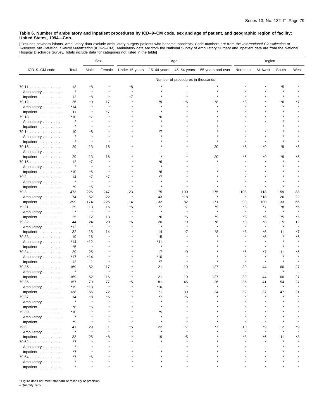[Excludes newborn infants. Ambulatory data exclude ambulatory surgery patients who became inpatients. Code numbers are from the *International Classification of*<br>*Diseases, 9th Revision, Clinical Modification* (ICD–9–CM).

|                                  |                          |                          | Sex                      | Age            |                          |                                   | Region            |                          |                          |                          |                          |
|----------------------------------|--------------------------|--------------------------|--------------------------|----------------|--------------------------|-----------------------------------|-------------------|--------------------------|--------------------------|--------------------------|--------------------------|
| ICD-9-CM code                    | Total                    | Male                     | Female                   | Under 15 years | 15-44 years              | 45-64 years                       | 65 years and over | Northeast                | Midwest                  | South                    | West                     |
|                                  |                          |                          |                          |                |                          | Number of procedures in thousands |                   |                          |                          |                          |                          |
| 79.11                            | 13                       | *8                       |                          | *8             |                          |                                   |                   |                          |                          | *5                       |                          |
| Ambulatory                       | $\star$                  | $\star$                  |                          | $\star$        |                          |                                   |                   |                          |                          | $\pmb{\ast}$             |                          |
| Inpatient                        | 12                       | *8                       |                          | *7             |                          |                                   |                   |                          |                          |                          |                          |
| 79.12                            | 26                       | *9                       | 17                       |                | *9                       | *6                                | *8                | ۴8                       |                          | *6                       | *7                       |
| Ambulatory                       | *14                      | $\star$                  | $\star$                  |                |                          |                                   |                   |                          |                          | $\star$                  |                          |
| Inpatient                        | 11                       |                          | *7                       |                |                          |                                   |                   |                          |                          |                          |                          |
| 79.13                            | *10                      | *7                       |                          |                | *6                       |                                   |                   |                          |                          |                          |                          |
| Ambulatory                       | $\star$                  | $\star$                  |                          |                |                          |                                   |                   |                          |                          |                          |                          |
| Inpatient                        | $\star$                  |                          |                          |                |                          |                                   |                   |                          |                          |                          |                          |
| 79.14                            | 10                       | *8                       |                          |                | *7                       |                                   |                   |                          |                          |                          |                          |
| Ambulatory                       | $\star$                  | $\star$                  |                          |                |                          |                                   |                   |                          |                          |                          |                          |
| Inpatient                        |                          | $\star$                  |                          |                |                          |                                   |                   |                          |                          |                          |                          |
| 79.15                            | 29                       | 13                       | 16                       |                |                          |                                   | 20                | *6                       | *9                       | *9                       | *5                       |
| Ambulatory                       | $\overline{\phantom{m}}$ | $\overline{\phantom{0}}$ | $\overline{\phantom{0}}$ |                |                          |                                   | ÷                 | $\overline{\phantom{a}}$ | $\overline{\phantom{0}}$ | $\overline{\phantom{0}}$ | $\overline{\phantom{0}}$ |
| Inpatient                        | 29                       | 13                       | 16<br>$\star$            |                |                          |                                   | 20                | *6                       | *9                       | *9                       | *5                       |
| 79.16                            | 12<br>$\star$            | *7<br>$\star$            |                          |                | *6<br>$\star$            |                                   |                   |                          |                          |                          |                          |
| Ambulatory                       |                          |                          |                          |                |                          |                                   |                   |                          |                          |                          |                          |
| Inpatient                        | *10                      | *6                       |                          |                | *6                       |                                   |                   |                          |                          |                          |                          |
| 79.2                             | 14<br>$\star$            | $*7$<br>$\star$          | $*7$                     |                | *7                       |                                   |                   |                          |                          |                          |                          |
| Ambulatory                       | *9                       | *5                       | $\pmb{\ast}$             |                | $\star$                  |                                   |                   |                          |                          |                          |                          |
| Inpatient                        | 473                      | 226                      | 247                      | 23             | 175                      | 100                               | 175               | 108                      | 118                      | 159                      | 88                       |
| 79.3<br>Ambulatory               | 74                       | 52                       | 22                       | $\star$        | 43                       | *18                               | $\star$           | $\star$                  | *18                      | 26                       | 22                       |
| Inpatient                        | 399                      | 174                      | 225                      | 14             | 132                      | 82                                | 171               | 99                       | 100                      | 133                      | 66                       |
| 79.31                            | 29                       | 13                       | 16                       | *5             | *7                       | $*7$                              | *9                | *8                       | *7                       | *8                       | *6                       |
| Ambulatory                       | $\star$                  | $\star$                  | $\star$                  |                | $\star$                  | $\star$                           |                   |                          | $\star$                  | $\star$                  | $\star$                  |
| Inpatient                        | 25                       | 12                       | 13                       |                | *6                       | *6                                | *9                | *8                       | *6                       | *5                       | *5                       |
| 79.32                            | 44                       | 24                       | 20                       | *6             | 20                       | *9                                | *8                | *9                       | *8                       | 15                       | 12                       |
| Ambulatory                       | *12                      | $\star$                  | $\star$                  |                | $\star$                  | $\star$                           |                   | $\star$                  | $\star$                  | $\pmb{\ast}$             | $\star$                  |
| Inpatient                        | 32                       | 18                       | 14                       |                | 14                       | *7                                | *8                | *8                       | *5                       | 11                       | *7                       |
| 79.33                            | 19                       | 16                       |                          |                | 15                       |                                   |                   |                          | *5                       |                          | *6                       |
| Ambulatory                       | *14                      | *12                      |                          |                | *11                      |                                   |                   |                          |                          |                          |                          |
| Inpatient                        | *5                       | $\star$                  |                          |                | $\pmb{\ast}$             |                                   |                   |                          | $\star$                  |                          |                          |
| 79.34                            | 29                       | 25                       |                          |                | 17                       | *9                                |                   | *6                       | *7                       | 11                       | *5                       |
| Ambulatory                       | *17                      | *14                      |                          |                | *10                      |                                   |                   |                          |                          |                          |                          |
| Inpatient                        | 12                       | 11                       | $\star$                  |                | *7                       |                                   |                   |                          | $\star$                  |                          |                          |
| 79.35                            | 169                      | 52                       | 117                      |                | 21                       | 19                                | 127               | 39                       | 44                       | 60                       | 27                       |
| Ambulatory                       | $\star$                  | $\overline{\phantom{m}}$ | $\star$                  |                | $\overline{\phantom{0}}$ |                                   |                   | $\overline{\phantom{0}}$ | $\overline{\phantom{a}}$ | $\pmb{\ast}$             | -                        |
| Inpatient                        | 169                      | 52                       | 116                      |                | 21                       | 19                                | 127               | 39                       | 44                       | 60                       | 27                       |
| $79.36$                          | 157                      | 79                       | 77                       | *5             | 81                       | 45                                | 26                | 35                       | 41                       | 54                       | 27                       |
| Ambulatory                       | *19                      | *13                      | $\pmb{\ast}$             |                | *10                      | Å                                 |                   | $\star$                  | $\star$                  | $\pmb{\ast}$             | $\star$                  |
| Inpatient $\ldots \ldots \ldots$ | 138                      | 66                       | 72                       |                | 71                       | 39                                | 24                | 32                       | 37                       | 47                       | 21                       |
| 79.37                            | 14                       | *8                       | *6                       |                | *7                       | *5                                |                   |                          |                          |                          |                          |
| Ambulatory                       |                          |                          |                          |                |                          |                                   |                   |                          |                          |                          |                          |
| Inpatient $\ldots \ldots \ldots$ | *8                       | *6                       |                          |                |                          |                                   |                   |                          |                          |                          |                          |
| 79.39                            | $*10$<br>$\star$         |                          |                          |                | *5                       |                                   |                   |                          |                          |                          |                          |
| Ambulatory                       |                          |                          |                          |                | $\star$                  |                                   |                   |                          |                          |                          |                          |
| Inpatient                        | *9                       |                          |                          |                |                          |                                   |                   |                          |                          |                          |                          |
| 79.6                             | 41<br>$\star$            | 29<br>$\star$            | 11                       | *5             | 22<br>$\star$            | *7                                |                   | 10                       | *9                       | 12                       | *9                       |
| Ambulatory                       |                          |                          |                          |                |                          | *5                                |                   | *8                       |                          |                          |                          |
| Inpatient                        | 33<br>*7                 | 25                       | *8                       |                | 19                       |                                   |                   |                          | *6                       | 11                       | *8                       |
| 79.62<br>Ambulatory              | $\star$                  |                          |                          |                |                          |                                   |                   |                          |                          |                          |                          |
| Inpatient                        | *7                       |                          |                          |                |                          |                                   |                   |                          |                          |                          |                          |
| 79.64                            | *7                       | *6                       |                          |                |                          |                                   |                   |                          |                          |                          |                          |
| Ambulatory                       |                          |                          |                          |                |                          |                                   |                   |                          |                          |                          |                          |
| Inpatient                        | $\star$                  |                          |                          |                |                          |                                   |                   |                          |                          |                          |                          |

\* Figure does not meet standard of reliability or precision.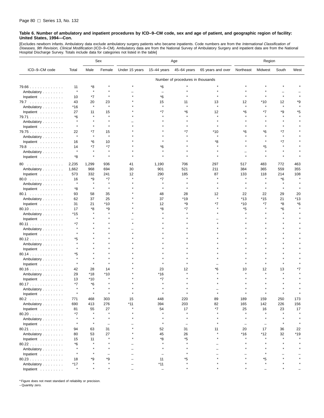[Excludes newborn infants. Ambulatory data exclude ambulatory surgery patients who became inpatients. Code numbers are from the *International Classification of*<br>*Diseases, 9th Revision, Clinical Modification* (ICD–9–CM). Hospital Discharge Survey. Totals include data for categories not listed in the table]

|                                  |               |              | Sex      | Age            |                          |                                   | Region            |                          |         |         |      |
|----------------------------------|---------------|--------------|----------|----------------|--------------------------|-----------------------------------|-------------------|--------------------------|---------|---------|------|
| ICD-9-CM code                    | Total         | Male         | Female   | Under 15 years | 15-44 years              | 45-64 years                       | 65 years and over | Northeast                | Midwest | South   | West |
|                                  |               |              |          |                |                          | Number of procedures in thousands |                   |                          |         |         |      |
| $79.66$                          | 11            | *8           |          |                | *6                       |                                   |                   |                          |         |         |      |
| Ambulatory                       | $\star$       | $\star$      |          |                | $\overline{\phantom{0}}$ |                                   |                   |                          |         |         |      |
| Inpatient                        | 10            | $*7$         |          |                | *6                       |                                   |                   |                          |         |         |      |
| 79.7                             | 43            | 20           | 23       |                | 15                       | 11                                | 13                | 12                       | $*10$   | 12      | *9   |
| Ambulatory                       | *16           | $\pmb{\ast}$ | $\star$  |                | $\star$                  |                                   |                   | $\star$                  | $\star$ | $\star$ |      |
| Inpatient                        | 27            | 11           | 15       |                | *7                       | *6                                | 12                | *6                       | *7      | *9      | *5   |
| 79.71                            | *6            |              |          |                |                          |                                   |                   |                          |         |         |      |
| Ambulatory                       |               |              |          |                |                          |                                   |                   |                          |         |         |      |
| Inpatient                        | $\star$       | $\star$      |          |                |                          |                                   |                   |                          |         |         |      |
| 79.75                            | 22            | *7           | 15       |                |                          | *7                                | *10               | *6                       | *6      | *7      |      |
| Ambulatory                       | $\star$       |              | $\star$  |                |                          |                                   |                   |                          |         | $\star$ |      |
| Inpatient                        | 16            | *6           | 10       |                |                          |                                   | *8                |                          |         | *7      |      |
| 79.8                             | 14            | *7           | *7       |                | 6'                       |                                   |                   |                          | *5      |         |      |
| Ambulatory                       | $\star$       |              |          |                |                          |                                   |                   |                          |         |         |      |
| Inpatient                        | *8            | $\star$      |          |                |                          |                                   |                   |                          |         |         |      |
| 80                               | 2,235         | 1,299        | 936      | 41             | 1,190                    | 706                               | 297               | 517                      | 483     | 772     | 463  |
| Ambulatory                       | 1,662         | 968          | 694      | 30             | 901                      | 521                               | 211               | 384                      | 365     | 559     | 355  |
| Inpatient                        | 573           | 332          | 241      | 12             | 290                      | 185                               | 87                | 133                      | 118     | 214     | 108  |
| 80.0                             | 16            | *9           | *7       |                | *7                       |                                   |                   |                          |         | *6      |      |
| Ambulatory                       | $\star$       | $\star$      | $\star$  |                |                          |                                   |                   |                          |         |         |      |
| Inpatient                        | *8            | $\star$      |          |                |                          |                                   |                   |                          |         |         |      |
| 80.1                             | 93            | 58           | 35       |                | 48                       | 28                                | 12                | 22                       | 22      | 29      | 20   |
| Ambulatory                       | 62            | 37           | 25       |                | 37                       | *19                               | $\star$           | $*13$                    | $*15$   | 21      | *13  |
| Inpatient                        | 31            | 21           | *10      |                | 12                       | *9                                | *7                | *10                      | *7      | *8      | *6   |
| 80.10                            | 17            | *8           | *9       |                | *8                       | $*7$                              |                   | *5                       |         | *6      |      |
| Ambulatory                       | *15           |              |          |                |                          |                                   |                   |                          |         |         |      |
| Inpatient                        | $\star$       |              |          |                |                          |                                   |                   |                          |         |         |      |
| 80.11                            | *7            |              |          |                |                          |                                   |                   |                          |         |         |      |
| Ambulatory                       |               |              |          |                |                          |                                   |                   |                          |         |         |      |
| Inpatient                        |               |              |          |                |                          |                                   |                   |                          |         |         |      |
| 80.12                            | *5            |              |          |                |                          |                                   |                   |                          |         |         |      |
| Ambulatory                       |               |              |          |                |                          |                                   |                   |                          |         |         |      |
| Inpatient                        |               |              |          |                |                          |                                   |                   |                          |         |         |      |
| 80.14                            | *5<br>$\star$ |              |          |                |                          |                                   |                   |                          |         |         |      |
| Ambulatory                       |               |              |          |                |                          |                                   |                   |                          |         |         |      |
| Inpatient<br>80.16               | 42            | 28           | 14       |                | 23                       | 12                                | *6                | 10                       | 12      | 13      |      |
| Ambulatory                       | 29            | *18          | $*10$    |                | *16                      |                                   |                   |                          |         |         |      |
| Inpatient                        | 13            | $*10$        |          |                | *7                       |                                   |                   |                          |         |         |      |
| 80.17                            | $*7$          | $*6$         |          |                |                          |                                   |                   |                          |         |         |      |
| Ambulatory                       |               | $\star$      |          |                |                          |                                   |                   |                          |         |         |      |
| Inpatient                        |               |              |          |                |                          |                                   |                   |                          |         |         |      |
| 80.2                             | 771           | 468          | 303      | 15             | 448                      | 220                               | 89                | 189                      | 159     | 250     | 173  |
| Ambulatory                       | 690           | 413          | 276      | $*11$          | 394                      | 203                               | 82                | 165                      | 142     | 226     | 156  |
| Inpatient $\ldots \ldots \ldots$ | 81            | 55           | 27       | $\star$        | 54                       | 17                                | *7                | 25                       | 16      | 23      | 17   |
| 80.20                            | *7            | $\star$      | $\star$  |                | $\star$                  | $\star$                           | $\star$           | $\star$                  | $\star$ | $\star$ |      |
| Ambulatory                       | $\star$       | $\star$      | $\star$  |                | $\star$                  | $\star$                           | $\star$           | $\star$                  | $\star$ | $\star$ |      |
| Inpatient                        | $\star$       | $\star$      | $\equiv$ |                | $\star$                  | $\equiv$                          |                   | $\overline{\phantom{0}}$ |         | $\star$ |      |
| 80.21                            | 94            | 63           | 31       |                | 52                       | 31                                | 11                | 20                       | 17      | 36      | 22   |
| Ambulatory                       | 80            | 53           | 27       |                | 45                       | 26                                |                   | $*16$                    | $*12$   | 32      | *19  |
| Inpatient                        | 15            | 11           | $\star$  |                | *8                       | *5                                |                   | $\star$                  | $\star$ | $\star$ |      |
| 80.22                            | *6            |              |          |                |                          |                                   |                   | $\star$                  |         |         |      |
| Ambulatory                       | $\star$       |              |          |                |                          |                                   |                   |                          |         |         |      |
| Inpatient                        | $\star$       |              |          |                | $\overline{\phantom{0}}$ | $\star$                           |                   |                          |         |         |      |
| 80.23                            | 18            | *9           | *9       |                | 11                       | *5                                |                   |                          | *5      |         |      |
| Ambulatory                       | *17           |              |          |                | $*11$                    | $\star$                           |                   |                          |         |         |      |
| Inpatient                        | $\star$       |              |          |                | $\qquad \qquad -$        | $\star$                           |                   |                          |         |         |      |

\* Figure does not meet standard of reliability or precision.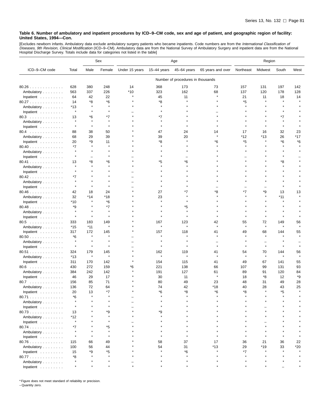[Excludes newborn infants. Ambulatory data exclude ambulatory surgery patients who became inpatients. Code numbers are from the *International Classification of*<br>*Diseases, 9th Revision, Clinical Modification* (ICD–9–CM).

|                    |                  |         | Sex           | Age            |             |                                   | Region            |           |                  |         |         |
|--------------------|------------------|---------|---------------|----------------|-------------|-----------------------------------|-------------------|-----------|------------------|---------|---------|
| ICD-9-CM code      | Total            | Male    | Female        | Under 15 years | 15-44 years | 45-64 years                       | 65 years and over | Northeast | Midwest          | South   | West    |
|                    |                  |         |               |                |             | Number of procedures in thousands |                   |           |                  |         |         |
| 80.26              | 628              | 380     | 248           | 14             | 368         | 173                               | 73                | 157       | 131              | 197     | 142     |
| Ambulatory         | 563              | 337     | 226           | *10            | 323         | 162                               | 68                | 137       | 120              | 178     | 128     |
| Inpatient          | 64               | 42      | 22            |                | 45          | 11                                |                   | 21        | 11               | 18      | 14      |
| 80.27              | 14               | *8      | *6            |                | *8          |                                   |                   | *5        |                  |         |         |
| Ambulatory         | *13              | $\star$ | $\pmb{\ast}$  |                |             |                                   |                   |           |                  |         |         |
| Inpatient          | $\pmb{\ast}$     | $\star$ | $\star$       |                |             |                                   |                   |           |                  |         |         |
| 80.3               | 13               | *6      | *7            |                | *7          |                                   |                   |           |                  | *7      |         |
| Ambulatory         | $\star$          |         | $\pmb{\ast}$  |                |             |                                   |                   |           |                  |         |         |
|                    | $\star$          | $\star$ | $\star$       |                |             |                                   |                   |           |                  | $\star$ |         |
| Inpatient          | 88               | 38      | 50            |                | 47          | 24                                | 14                | 17        | 16               |         | 23      |
| 80.4               |                  |         |               |                |             |                                   |                   | *12       |                  | 32      | $*17$   |
| Ambulatory         | 68               | 29      | 39            |                | 39          | 20                                |                   | *5        | $*13$<br>$\star$ | 26      |         |
| Inpatient          | 20               | *9      | 11<br>$\star$ |                | *8          |                                   | *6                |           |                  | *6      | *6      |
| 80.40              | *7<br>$\star$    |         |               |                |             |                                   |                   |           |                  |         |         |
| Ambulatory         | $\star$          |         |               |                |             |                                   |                   |           |                  |         |         |
| Inpatient          |                  | -       |               |                |             |                                   |                   |           |                  |         |         |
| 80.41              | 13               | *8      | *6            |                | *5          | *6                                |                   |           |                  | *8      |         |
| Ambulatory         | $\star$          |         |               |                |             |                                   |                   |           |                  |         |         |
| Inpatient          | $\star$          |         |               |                |             |                                   |                   |           |                  |         |         |
| 80.42              | *7               |         |               |                |             |                                   |                   |           |                  |         |         |
| Ambulatory         | $\star$          |         |               |                |             |                                   |                   |           |                  |         |         |
| Inpatient          | $\star$          | $\star$ |               |                |             |                                   |                   |           |                  |         |         |
| 80.46              | 42               | 18      | 24            |                | 27          | *7                                | *8                | *7        | *9               | 13      | 13      |
| Ambulatory         | 32               | *14     | *18           |                | 23          |                                   |                   |           |                  | $*11$   |         |
| Inpatient          | $*10$            | $\star$ | *6            |                |             |                                   |                   |           |                  |         |         |
| 80.48              | *9               |         | *7            |                |             | *5                                |                   |           |                  |         |         |
| Ambulatory         | $\star$          |         |               |                |             |                                   |                   |           |                  |         |         |
| Inpatient          | $\star$          | $\star$ |               |                |             |                                   |                   |           |                  |         |         |
| 80.5               | 333              | 183     | 149           |                | 167         | 123                               | 42                | 55        | 72               | 149     | 56      |
| Ambulatory         | *15              | $*11$   |               |                |             |                                   |                   | $\star$   | $\star$          |         |         |
| Inpatient          | 317              | 172     | 145           |                | 157         | 118                               | 41                | 49        | 68               | 144     | 55      |
| 80.50              | *6               | $\star$ | $\star$       |                |             |                                   |                   |           | $\star$          |         |         |
| Ambulatory         | $\star$          | ź,      |               |                |             |                                   |                   |           |                  |         |         |
| Inpatient          | $\star$          | $\star$ | $\star$       |                |             |                                   |                   |           | $\star$          |         |         |
| 80.51              | 324              | 179     | 145           |                | 162         | 119                               | 41                | 54        | 70               | 144     | 56      |
| Ambulatory         | $*13$            | $\star$ | $\pmb{\ast}$  |                | $\star$     | $\star$                           |                   | $\star$   | $\star$          | $\star$ | $\star$ |
| Inpatient          | 311              | 170     | 142           |                | 154         | 115                               | 41                | 49        | 67               | 141     | 55      |
| 80.6               | 430              | 272     | 159           | *6             | 221         | 138                               | 66                | 107       | 99               | 131     | 93      |
| Ambulatory         | 384              | 242     | 142           |                | 191         | 127                               | 61                | 89        | 91               | 120     | 84      |
| Inpatient          | 46               | 29      | 17            |                | 30          | 11                                |                   | 18        | *8               | 12      | *9      |
| 80.7               | 156              | 85      | 71            |                | 80          | 49                                | 23                | 48        | 31               | 49      | 28      |
| Ambulatory         | 136              | 72      | 64            |                | 74          | 42                                | *18               | 40        | 28               | 43      | 25      |
|                    | 20               | 13      | $*7$          |                | $*6$        | *8                                | *6                | *8        |                  | *5      | $\star$ |
| Inpatient<br>80.71 | *6               |         |               |                |             |                                   |                   |           |                  |         |         |
|                    |                  |         |               |                |             |                                   |                   |           |                  |         |         |
| Ambulatory         |                  |         |               |                |             |                                   |                   |           |                  |         |         |
| Inpatient          |                  |         |               |                |             |                                   |                   |           |                  |         |         |
| 80.73              | 13               |         | *9            |                | *9          |                                   |                   |           |                  |         |         |
| Ambulatory         | $*12$<br>$\star$ |         |               |                |             |                                   |                   |           |                  |         |         |
| Inpatient          |                  |         |               |                |             |                                   |                   |           |                  |         |         |
| 80.74              | *7<br>$\star$    |         | *5<br>$\star$ |                |             |                                   |                   |           |                  |         |         |
| Ambulatory         |                  |         |               |                |             |                                   |                   |           |                  |         |         |
| Inpatient          | $\star$          |         |               |                |             |                                   |                   |           |                  |         |         |
| 80.76              | 115              | 66      | 49            |                | 58          | 37                                | 17                | 36        | 21               | 36      | 22      |
| Ambulatory         | 100              | 56      | 44            |                | 54          | 31                                | $*13$             | 29        | $*19$            | 33      | $*20$   |
| Inpatient          | 15               | *9      | *5            |                |             | *6                                |                   | $*7$      |                  |         |         |
| 80.77              | *8               | $\star$ | $\star$       |                |             |                                   |                   |           |                  |         |         |
| Ambulatory         |                  |         |               |                |             |                                   |                   |           |                  |         |         |
| Inpatient          |                  |         |               |                |             |                                   |                   |           |                  |         |         |

\* Figure does not meet standard of reliability or precision.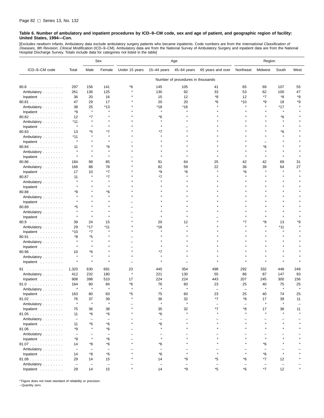[Excludes newborn infants. Ambulatory data exclude ambulatory surgery patients who became inpatients. Code numbers are from the *International Classification of*<br>*Diseases, 9th Revision, Clinical Modification* (ICD–9–CM). Hospital Discharge Survey. Totals include data for categories not listed in the table]

|                      |                          |                          | Sex                      | Age            |                          |                                   |                   | Region            |         |              |      |
|----------------------|--------------------------|--------------------------|--------------------------|----------------|--------------------------|-----------------------------------|-------------------|-------------------|---------|--------------|------|
| ICD-9-CM code        | Total                    | Male                     | Female                   | Under 15 years | $15 - 44$ years          | 45-64 years                       | 65 years and over | Northeast         | Midwest | South        | West |
|                      |                          |                          |                          |                |                          | Number of procedures in thousands |                   |                   |         |              |      |
| 80.8                 | 297                      | 156                      | 141                      | *6             | 145                      | 105                               | 41                | 65                | 69      | 107          | 55   |
| Ambulatory           | 261                      | 136                      | 125                      |                | 130                      | 92                                | 33                | 53                | 62      | 100          | 47   |
| Inpatient            | 36                       | 20                       | 16                       |                | 15                       | 12                                | *8                | 12                | *7      | *8           | *9   |
| 80.81                | 47                       | 29                       | 17                       |                | 20                       | 20                                | *6                | *10               | *9      | 18           | *9   |
| Ambulatory           | 38                       | 25                       | *13                      |                | *18                      | $*16$                             |                   | ÷                 |         | *17          |      |
| Inpatient            | *9                       | $\star$                  |                          |                |                          |                                   |                   |                   |         |              |      |
| 80.82                | 12                       | *7                       |                          |                | *6                       |                                   |                   |                   |         | *6           |      |
| Ambulatory           | *11                      | $\pmb{\ast}$             |                          |                |                          |                                   |                   |                   |         |              |      |
| Inpatient            | $\star$                  |                          |                          |                |                          |                                   |                   |                   |         |              |      |
| 80.83                | 13                       | *5                       | *7                       |                | *7                       |                                   |                   |                   |         | *6           |      |
| Ambulatory           | *11                      | 大                        |                          |                |                          |                                   |                   |                   |         |              |      |
| Inpatient            |                          |                          |                          |                |                          |                                   |                   |                   |         |              |      |
| 80.84                | 11                       |                          | *6                       |                |                          |                                   |                   |                   | *6      |              |      |
| Ambulatory           |                          |                          |                          |                |                          |                                   |                   |                   |         |              |      |
| Inpatient            |                          | ×                        |                          |                |                          |                                   |                   |                   |         |              |      |
| $80.86$              | 184                      | 99                       | 85                       |                | 91                       | 64                                | 25                | 42                | 42      | 69           | 31   |
| Ambulatory           | 166                      | 88                       | 78                       |                | 82                       | 59                                | 22                | 36                | 39      | 64           | 27   |
| Inpatient            | 17                       | 10                       | $*7$                     |                | *9                       | *6                                |                   | *6                |         |              |      |
| 80.87                | 11                       | $\pmb{\ast}$             | *7                       |                | *7                       |                                   |                   |                   |         |              |      |
| Ambulatory           |                          |                          |                          |                |                          |                                   |                   |                   |         |              |      |
| Inpatient            |                          |                          |                          |                |                          |                                   |                   |                   |         |              |      |
| 80.88                | *9                       |                          | *6                       |                |                          |                                   |                   |                   |         |              |      |
| Ambulatory           |                          |                          |                          |                |                          |                                   |                   |                   |         |              |      |
| Inpatient            |                          |                          |                          |                |                          |                                   |                   |                   |         |              |      |
| $80.89$              | *5                       |                          |                          |                |                          |                                   |                   |                   |         |              |      |
| Ambulatory           |                          |                          |                          |                |                          |                                   |                   |                   |         |              |      |
| Inpatient            |                          |                          |                          |                |                          |                                   |                   |                   |         |              |      |
| 80.9                 | 39                       | 24                       | 15                       |                | 20                       | 12                                |                   | *7                | *8      | 13           | *9   |
| Ambulatory           | 29                       | *17                      | *11                      |                | *16                      |                                   |                   |                   |         | *11          |      |
| Inpatient            | *10                      | $*7$                     | $\star$                  |                |                          |                                   |                   |                   |         |              |      |
| 80.91                | *8                       | *5                       |                          |                |                          |                                   |                   |                   |         |              |      |
| Ambulatory           |                          | 大                        |                          |                |                          |                                   |                   |                   |         |              |      |
| Inpatient            |                          | $\star$                  |                          |                |                          |                                   |                   |                   |         |              |      |
| $80.96$              | 10                       | *6                       |                          |                | *7                       |                                   |                   |                   |         |              |      |
| Ambulatory           |                          | $\pmb{\ast}$             |                          |                |                          |                                   |                   |                   |         |              |      |
| Inpatient            |                          | $\pmb{\ast}$             |                          |                |                          |                                   |                   |                   |         |              |      |
| 81                   | 1,320                    | 630                      | 691                      | 23             | 445                      | 354                               | 498               | 292               | 332     | 448          | 249  |
| Ambulatory           | 412                      | 232                      | 180                      | $\star$        | 221                      | 130                               | 55                | 86                | 87      | 147          | 93   |
| Inpatient            | 908                      | 398                      | 510                      | 17             | 224                      | 224                               | 443               | 207               | 245     | 300          | 156  |
| 81.0<br>.            | 164                      | 80                       | 84                       | *6             | 76                       | 60                                | 23                | 25                | 40      | 75           | 25   |
| Ambulatory           |                          | $\star$                  | $\star$                  | $\star$        |                          |                                   |                   |                   |         |              |      |
| Inpatient            | 163                      | 80                       | 83                       | *5             | 75                       | 60                                | 23                | 25                | 40      | 74           | 25   |
| 81.02                | 76                       | 37                       | 39                       |                | 36                       | 32                                | *7                | *8                | 17      | 39           | 11   |
| Ambulatory           |                          | $\star$                  | $\star$                  |                | $\pmb{\ast}$             | $\star$                           |                   | $\qquad \qquad -$ | $\star$ | $\pmb{\ast}$ |      |
| Inpatient            | 75                       | 36                       | 38                       |                | 35                       | 32                                | $*7$              | *8                | 17      | 38           | 11   |
| 81.05                | 11                       | *6                       | *6                       |                | *6                       | $\star$                           |                   | $\star$           | $\star$ | $\star$      |      |
| Ambulatory           | $\overline{\phantom{a}}$ | $\qquad \qquad -$        | $\overline{\phantom{0}}$ |                | $\overline{\phantom{0}}$ |                                   |                   |                   |         |              |      |
| Inpatient            | 11                       | *6                       | *6                       |                | *6                       |                                   |                   | $\star$           |         | $\star$      |      |
| $81.06$              | *9                       | $\star$                  | *6                       |                |                          |                                   |                   |                   |         |              |      |
| Ambulatory           | $\overline{\phantom{a}}$ |                          | $\overline{\phantom{0}}$ |                |                          |                                   |                   |                   |         |              |      |
| Inpatient            | *9                       | $\star$                  | *6                       |                | $\star$                  |                                   |                   |                   |         |              |      |
| 81.07                | 14                       | *8                       | *6                       |                | *6                       |                                   |                   |                   | *6      |              |      |
| Ambulatory           | $\overline{\phantom{0}}$ | $\overline{\phantom{0}}$ | $\overline{\phantom{0}}$ |                | $\overline{\phantom{0}}$ |                                   |                   |                   |         |              |      |
| Inpatient            | 14                       | $^\ast 8$                | *6                       |                | *6                       |                                   |                   |                   | *6      |              |      |
| 81.08                | 29                       | 14                       | 15                       |                | 14                       | *9                                | *5                | *6                | *7      | 12           |      |
| Ambulatory           | $\overline{\phantom{a}}$ | $\overline{\phantom{0}}$ | $\overline{\phantom{a}}$ |                | $\overline{\phantom{0}}$ |                                   |                   | $\qquad \qquad -$ |         |              |      |
| Inpatient $\ldots$ , | 29                       | 14                       | 15                       |                | 14                       | *9                                | $^{\star}5$       | *6                | $*7$    | 12           |      |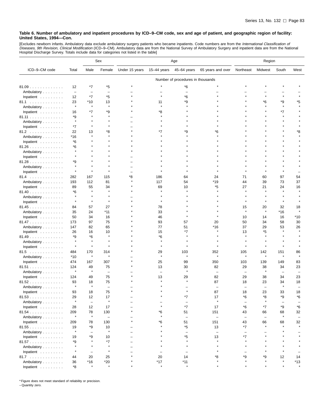[Excludes newborn infants. Ambulatory data exclude ambulatory surgery patients who became inpatients. Code numbers are from the *International Classification of*<br>*Diseases, 9th Revision, Clinical Modification* (ICD–9–CM).

|                                  |                          |                   | Sex                      | Age            |                          |                                   | Region                   |                   |                          |              |                          |
|----------------------------------|--------------------------|-------------------|--------------------------|----------------|--------------------------|-----------------------------------|--------------------------|-------------------|--------------------------|--------------|--------------------------|
| ICD-9-CM code                    | Total                    | Male              | Female                   | Under 15 years | $15-44$ years            | 45-64 years                       | 65 years and over        | Northeast         | Midwest                  | South        | West                     |
|                                  |                          |                   |                          |                |                          | Number of procedures in thousands |                          |                   |                          |              |                          |
| 81.09                            | 12                       | *7                | *5                       |                |                          | *6                                |                          |                   |                          |              |                          |
| Ambulatory                       | $\overline{\phantom{a}}$ | ۰                 | $\overline{\phantom{0}}$ |                |                          |                                   |                          |                   |                          |              |                          |
| Inpatient                        | 12                       | $*7$              | *5                       |                |                          | *6                                |                          |                   |                          |              |                          |
| 81.1                             | 23                       | *10               | 13                       |                | 11                       | *9                                |                          |                   | *6                       | *9           | *5                       |
| Ambulatory                       | $\star$                  | $\star$           | $\star$                  |                | $\star$                  |                                   |                          |                   |                          | $\star$      |                          |
| Inpatient                        | 16                       | *7                | *9                       |                | *8                       |                                   |                          |                   |                          | *7           |                          |
| 81.11                            | *9                       |                   |                          |                |                          |                                   |                          |                   |                          |              |                          |
| Ambulatory                       | $\star$                  |                   |                          |                |                          |                                   |                          |                   |                          |              |                          |
| Inpatient                        | *7                       | $\star$           |                          |                |                          |                                   |                          |                   |                          |              |                          |
| 81.2                             | 22                       | 13                | *8                       |                | *7                       | *9                                | *6                       |                   |                          |              | *8                       |
| Ambulatory                       | *16                      | $\star$           |                          |                |                          |                                   |                          |                   |                          |              |                          |
| Inpatient                        | *6                       |                   |                          |                |                          |                                   |                          |                   |                          |              |                          |
| $81.26$                          | *6                       |                   |                          |                |                          |                                   |                          |                   |                          |              |                          |
| Ambulatory                       |                          |                   |                          |                |                          |                                   |                          |                   |                          |              |                          |
| Inpatient                        | $\star$                  |                   |                          |                |                          |                                   |                          |                   |                          |              |                          |
| 81.28                            | *9                       |                   |                          |                |                          |                                   |                          |                   |                          |              |                          |
| Ambulatory                       | $\star$                  |                   |                          |                |                          |                                   |                          |                   |                          |              |                          |
| Inpatient                        | $\star$                  | $\star$           |                          |                |                          |                                   |                          |                   |                          |              |                          |
| 81.4                             | 282                      | 167               | 115                      | *8             | 186                      | 64                                | 24                       | 71                | 60                       | 97           | 54                       |
| Ambulatory                       | 193                      | 112               | 81                       |                | 117                      | 54                                | *19                      | 44                | 39                       | 73           | 37                       |
| Inpatient                        | 89                       | 55                | 34                       |                | 69                       | 10                                | *5                       | 27                | 21                       | 24           | 16                       |
| 81.40                            | *6                       | ×                 |                          |                |                          |                                   |                          |                   |                          |              |                          |
| Ambulatory                       | $\star$                  |                   |                          |                |                          |                                   |                          |                   |                          |              |                          |
| Inpatient                        | $\star$                  | $\star$           | $\pmb{\ast}$             |                | $\star$                  |                                   |                          |                   | $\star$                  | $\star$      |                          |
| 81.45                            | 84                       | 57                | 27                       |                | 78                       |                                   |                          | 15                | 20                       | 32           | 18                       |
| Ambulatory                       | 35                       | 24                | *11                      |                | 33                       |                                   |                          | $\star$           | $\star$                  | $*16$        |                          |
| Inpatient                        | 50                       | 34                | 16                       |                | 46                       |                                   |                          | 10                | 14                       | 16           | *10                      |
| 81.47                            | 173                      | 97                | 75                       |                | 93                       | 57                                | 20                       | 50                | 34                       | 58           | 30                       |
| Ambulatory                       | 147                      | 82                | 65                       |                | 77                       | 51                                | *16                      | 37                | 29                       | 53           | 26                       |
| Inpatient                        | 26                       | 16                | 10                       |                | 15                       | *7                                |                          | 13                | *5                       |              |                          |
| 81.49                            | *9                       | *6                |                          |                | *6                       |                                   |                          |                   |                          |              |                          |
| Ambulatory                       | $\star$                  |                   |                          |                |                          |                                   |                          |                   |                          |              |                          |
| Inpatient                        | $\star$                  | $\star$           | $\star$                  |                | $\star$                  |                                   |                          |                   | $\star$                  |              |                          |
| 81.5                             | 484                      | 170               | 314                      |                | 29                       | 103                               | 352                      | 105               | 142                      | 151          | 86                       |
| Ambulatory                       | $*10$                    | $\star$           | $\star$                  |                | $\pmb{\ast}$             | $\star$                           | $\star$                  | $\star$           | $\star$                  | $\star$      | $\star$                  |
| Inpatient                        | 474                      | 167               | 307                      |                | 25                       | 99                                | 350                      | 103               | 139                      | 149          | 83                       |
| 81.51                            | 124                      | 49                | 75                       |                | 13                       | 30                                | 82                       | 29                | 38                       | 34           | 23                       |
| Ambulatory                       | $\star$                  | $\star$           | $\overline{\phantom{a}}$ |                | $\overline{\phantom{0}}$ |                                   |                          |                   | $\star$                  | -            |                          |
| Inpatient                        | 124                      | 49                | 75                       |                | 13                       | 29                                | 82                       | 29                | 38                       | 34           | 23                       |
| 81.52                            | 93                       | 18                | 75                       |                |                          |                                   | 87                       | 18                | 23                       | 34           | 18                       |
| Ambulatory                       | $\star$                  | $\pmb{\ast}$      |                          |                |                          |                                   |                          |                   |                          |              |                          |
| Inpatient $\ldots \ldots \ldots$ | 93                       | 18                | 75                       |                |                          |                                   | 87                       | 18                | 23                       | 33           | 18                       |
| 81.53                            | 29                       | 12                | 17                       |                |                          | *7                                | 17                       | *6                | *8                       | *9           | *6                       |
| Ambulatory                       | $\star$                  | $\qquad \qquad -$ | $\star$                  |                |                          | $\qquad \qquad -$                 | ۸                        |                   | $\star$                  |              |                          |
| Inpatient                        | 28                       | 12                | 17                       |                |                          | *7                                | 17                       | *6                | *7                       | *9           | *6                       |
| 81.54                            | 209                      | 78                | 130                      | $\star$        | *6                       | 51                                | 151                      | 43                | 66                       | 68           | 32                       |
| Ambulatory                       | $\star$                  | $\star$           | $\qquad \qquad -$        |                | $\star$                  | $\overline{\phantom{m}}$          | $\qquad \qquad -$        | $\qquad \qquad -$ | $\overline{\phantom{a}}$ | $\pmb{\ast}$ | $\overline{\phantom{0}}$ |
| Inpatient                        | 209                      | 78                | 130                      |                | *6                       | 51                                | 151                      | 43                | 66                       | 68           | 32                       |
| 81.55                            | 19                       | *9                | 10                       |                |                          | *5                                | 13                       | *7                | $\star$                  |              | $\star$                  |
| Ambulatory                       | $\star$                  | -                 | $\star$                  |                |                          | -                                 | $\overline{\phantom{0}}$ | $\qquad \qquad -$ |                          |              |                          |
| Inpatient                        | 19                       | *9                | 10                       |                |                          | *5                                | 13                       | *7                |                          |              |                          |
| 81.57                            | *9                       |                   | *7                       |                |                          | $\star$                           | $\star$                  | $\star$           |                          |              |                          |
| Ambulatory                       | $\star$                  |                   |                          |                |                          | $\star$                           | $\star$                  |                   |                          |              |                          |
| Inpatient                        | $\star$                  | ÷                 | $\pmb{\ast}$             |                |                          |                                   |                          |                   |                          |              |                          |
| 81.7                             | 44                       | 20                | 25                       |                | 20                       | 14                                | *8                       | *9                | *9                       | 12           | 14                       |
| Ambulatory                       | 36                       | *16               | $*20$                    |                | $*17$                    | $*11$                             |                          |                   | $\star$                  | $\pmb{\ast}$ | $*13$                    |
| Inpatient                        | *8                       | $\star$           | $\pmb{\ast}$             |                | $\star$                  | $\star$                           | $\star$                  |                   | $\star$                  | $\star$      | $\star$                  |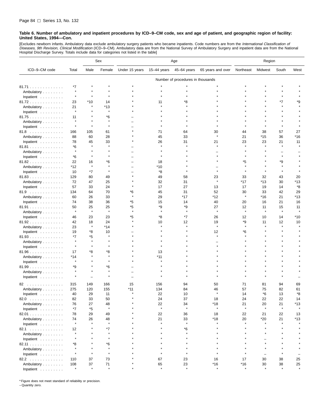[Excludes newborn infants. Ambulatory data exclude ambulatory surgery patients who became inpatients. Code numbers are from the *International Classification of*<br>*Diseases, 9th Revision, Clinical Modification* (ICD–9–CM). Hospital Discharge Survey. Totals include data for categories not listed in the table]

|                                  |               |               | Sex           | Age            |               |                                   |                   | Region        |               |               |         |
|----------------------------------|---------------|---------------|---------------|----------------|---------------|-----------------------------------|-------------------|---------------|---------------|---------------|---------|
| ICD-9-CM code                    | Total         | Male          | Female        | Under 15 years | $15-44$ years | 45-64 years                       | 65 years and over | Northeast     | Midwest       | South         | West    |
|                                  |               |               |               |                |               | Number of procedures in thousands |                   |               |               |               |         |
| 81.71                            | *7            |               |               |                |               |                                   |                   |               |               |               |         |
| Ambulatory                       | $\star$       |               |               |                |               |                                   |                   |               |               |               |         |
| Inpatient                        | $\star$       | $\star$       |               |                |               |                                   |                   |               |               |               |         |
| 81.72                            | 23            | $*10$         | 14            |                | 11            | *8                                |                   |               |               | *7            | *9      |
| Ambulatory                       | 21            | $\star$       | $*13$         |                |               |                                   |                   |               |               |               |         |
| Inpatient                        | $\star$       |               | $\star$       |                |               |                                   |                   |               |               |               |         |
| 81.75                            | 11            |               | *6            |                |               |                                   |                   |               |               |               |         |
| Ambulatory                       |               |               |               |                |               |                                   |                   |               |               |               |         |
| Inpatient                        | $\star$       | $\star$       | $\star$       |                |               |                                   |                   |               |               | $\star$       |         |
| 81.8                             | 166           | 105           | 61            |                | 71            | 64                                | 30                | 44            | 38            | 57            | 27      |
| Ambulatory                       | 88            | 60            | 28            |                | 45            | 33                                | $\star$           | 21            | *15           | 36            | *16     |
| Inpatient                        | 78            | 45            | 33            |                | 26            | 31                                | 21                | 23            | 23            | 21            | 11      |
| 81.81                            | *6            |               | $\star$       |                |               |                                   |                   |               |               |               |         |
| Ambulatory                       | $\star$       |               |               |                |               |                                   |                   |               |               |               |         |
| Inpatient                        | *6            | $\star$       |               |                |               |                                   |                   |               |               |               |         |
| 81.82                            | 22            | 16            | *6            |                | 18            |                                   |                   | *5            |               | *9            |         |
| Ambulatory                       | *12           | $\star$       | $\pmb{\ast}$  |                | *10           |                                   |                   |               |               |               |         |
| Inpatient                        | 10            | $*7$          | $\pmb{\ast}$  |                | *8            |                                   |                   |               |               |               |         |
| 81.83                            | 129           | 80            | 49            |                | 49            | 58                                | 23                | 33            | 32            | 43            | 20      |
|                                  | 72            | 47            | 25            |                | 32            | 31                                |                   | *17           | *13           | 30            | *13     |
| Ambulatory<br>Inpatient          | 57            |               | 24            |                | 17            | 27                                |                   | 17            | 19            |               | *8      |
|                                  | 134           | 33            | 70            | *6             |               | 31                                | 13<br>52          | 30            | 33            | 14            | 29      |
| 81.9                             |               | 64<br>26      | 33            |                | 45<br>29      | *17                               | *12               | $\star$       | *16           | 42<br>21      | *13     |
| Ambulatory                       | 60            |               |               |                |               |                                   |                   |               |               |               |         |
| Inpatient                        | 74            | 38            | 36            | *5             | 15            | 14                                | 40                | 20            | 16            | 21            | 16      |
| 81.91                            | 50<br>$\star$ | 25<br>$\star$ | 25<br>$\star$ | *5             | *9            | *9<br>$\star$                     | 27<br>$\star$     | 12<br>$\star$ | 11<br>$\star$ | 15<br>$\star$ | 11      |
| Ambulatory                       |               |               |               |                |               |                                   |                   |               |               |               |         |
| Inpatient                        | 46            | 23            | 23            | *5             | *8            | *7                                | 26                | 12            | 10            | 14            | *10     |
| 81.92                            | 42            | 18<br>ź,      | 24            |                | 10            | 12                                | 19<br>$\star$     | *9            | 11            | 12            | 10      |
| Ambulatory                       | 23            |               | $*14$         |                |               |                                   |                   |               |               |               |         |
| Inpatient                        | 19            | *8            | 10<br>$\star$ |                |               |                                   | 12<br>$\star$     | *6            |               |               |         |
| 81.93                            | *7<br>$\star$ | *5            |               |                |               |                                   |                   |               |               |               |         |
| Ambulatory                       | $\star$       |               |               |                |               |                                   |                   |               |               |               |         |
| Inpatient                        |               |               |               |                |               |                                   |                   |               |               |               |         |
| 81.96                            | 17            | *8            | *8            |                | 13            |                                   |                   |               |               |               |         |
| Ambulatory                       | $*14$         |               | $\star$       |                | *11           |                                   |                   |               |               |               |         |
| Inpatient                        | $\star$       |               |               |                |               |                                   |                   |               |               |               |         |
| 81.99                            | *9            |               | *6            |                |               |                                   |                   |               |               |               |         |
| Ambulatory                       | $\star$       |               | $\star$       |                |               |                                   |                   |               |               |               |         |
| Inpatient                        |               |               |               |                |               |                                   |                   |               |               |               |         |
| .<br>82                          | 315           | 149           | 166           | 15             | 156           | 94                                | 50                | 71            | 81            | 94            | 69      |
| Ambulatory                       | 275           | 120           | 155           | *11            | 134           | 84                                | 46                | 57            | 75            | 82            | 61      |
| Inpatient                        | 40            | 29            | 11            |                | 22            | 10                                |                   | 14            | *6            | 13            | *8      |
| 82.0                             | 82            | 33            | 50            |                | 24            | 37                                | 18                | 24            | 22            | 22            | 14      |
| Ambulatory                       | 76            | 27            | 48            |                | 22            | 34                                | *18               | 21            | 20            | 21            | *13     |
| Inpatient $\ldots \ldots \ldots$ | $*7$          | *5            | $\star$       |                | $\pmb{\ast}$  | $\star$                           | $\pmb{\ast}$      | $\star$       | $\star$       | $\star$       |         |
| 82.01                            | 78            | 29            | 49            |                | 22            | 36                                | 18                | 22            | 21            | 22            | 13      |
| Ambulatory                       | 74            | 26            | 48            |                | 21            | 33                                | *18               | 20            | *20           | 21            | *13     |
| Inpatient                        | $\star$       | $\star$       | $\pmb{\ast}$  |                | $\star$       | $\star$                           |                   |               |               |               |         |
| 82.1                             | 12            |               | $*7$          |                |               | *6                                |                   |               |               |               |         |
| Ambulatory                       | $\star$       |               | $\star$       |                |               |                                   |                   |               |               |               |         |
| Inpatient $\ldots \ldots \ldots$ | $\star$       |               | $\star$       |                |               |                                   |                   |               |               |               |         |
| 82.11                            | *8            |               | *6            |                |               |                                   |                   |               |               |               |         |
| Ambulatory                       | $\star$       |               | $\star$       |                |               |                                   |                   |               |               |               |         |
| Inpatient $\ldots \ldots \ldots$ | $\star$       | $\star$       | $\star$       |                |               | $\star$                           |                   |               | $\equiv$      |               |         |
| 82.2                             | 110           | 37            | 73            |                | 67            | 23                                | 16                | 17            | 30            | 38            | 25      |
| Ambulatory                       | 108           | 37            | 71            |                | 65            | 23                                | $*16$             | $*16$         | 30            | 38            | 25      |
| Inpatient                        | $\star$       | $\star$       | $\star$       |                | $\star$       | $\star$                           | $\star$           |               |               |               | $\star$ |

\* Figure does not meet standard of reliability or precision.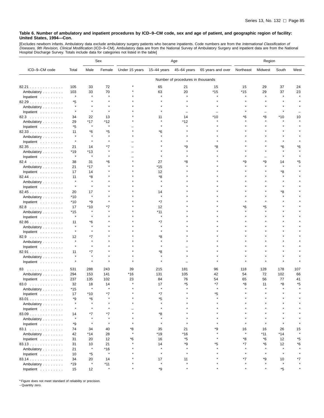[Excludes newborn infants. Ambulatory data exclude ambulatory surgery patients who became inpatients. Code numbers are from the *International Classification of*<br>*Diseases, 9th Revision, Clinical Modification* (ICD–9–CM).

|               |                     |                | Sex          | Age            |              |                                   | Region            |              |         |                      |      |
|---------------|---------------------|----------------|--------------|----------------|--------------|-----------------------------------|-------------------|--------------|---------|----------------------|------|
| ICD-9-CM code | Total               | Male           | Female       | Under 15 years | 15-44 years  | 45–64 years                       | 65 years and over | Northeast    | Midwest | South                | West |
|               |                     |                |              |                |              | Number of procedures in thousands |                   |              |         |                      |      |
| 82.21         | 105                 | 33             | 72           |                | 65           | 21                                | 15                | 15           | 29      | 37                   | 24   |
| Ambulatory    | 103                 | 33             | 70           |                | 63           | 20                                | $*15$             | $*15$        | 29      | 37                   | 23   |
| Inpatient     | $\star$             | $\star$        | $\pmb{\ast}$ |                | $\star$      |                                   |                   | $\star$      | $\star$ | $\star$              |      |
| 82.29         | *5                  |                |              |                |              |                                   |                   |              |         |                      |      |
| Ambulatory    | $\star$             |                |              |                |              |                                   |                   |              |         |                      |      |
| Inpatient     | $\star$             | $\star$        |              |                |              |                                   |                   |              |         |                      |      |
| 82.3          | 34                  | 22             | 13           |                | 11           | 14                                | *10               | *6           | *8      | *10                  | 10   |
| Ambulatory    | 29                  | $*17$          | $*12$        |                |              | $*12$                             |                   |              |         |                      |      |
| Inpatient     | *5                  | $\star$        | $\star$      |                |              |                                   |                   |              |         |                      |      |
| 82.33         | 11                  | *6             | *5           |                | *6           |                                   |                   |              |         |                      |      |
| Ambulatory    | $\star$             | ×              | $\star$      |                |              |                                   |                   |              |         |                      |      |
| Inpatient     | $\star$             | $\star$        |              |                |              |                                   |                   |              |         |                      |      |
| 82.35         | 21                  | 14             | *7           |                |              | *9                                | *8                |              |         | *6                   | *6   |
| Ambulatory    | *19                 | *13            |              |                |              |                                   |                   |              |         |                      |      |
| Inpatient     | $\pmb{\ast}$        | $\pmb{\ast}$   |              |                |              |                                   |                   |              |         |                      |      |
| 82.4          | 38                  | 31             | *6           |                | 27           | *8                                |                   | ٠9           | ٠9      | 14                   | *5   |
| Ambulatory    | 21                  | *17            | $\star$      |                | $*15$        |                                   |                   |              |         | $\star$              |      |
| Inpatient     | 17                  | 14             |              |                | 12           |                                   |                   |              |         | *8                   |      |
| 82.44         | 11                  | *8             |              |                | *8           |                                   |                   |              |         |                      |      |
|               | $\star$             |                |              |                |              |                                   |                   |              |         |                      |      |
| Ambulatory    | $\star$             | $\star$        |              |                |              |                                   |                   |              |         |                      |      |
| Inpatient     |                     |                |              |                |              |                                   |                   |              |         |                      |      |
| 82.45         | 20                  | 17<br>$\star$  |              |                | 14           |                                   |                   |              |         | *8                   |      |
| Ambulatory    | *10                 |                |              |                |              |                                   |                   |              |         |                      |      |
| Inpatient     | $*10$               | *9             |              |                | *7           |                                   |                   |              |         |                      |      |
| 82.8          | 17                  | *10<br>$\star$ | *7           |                | 12           |                                   |                   | *6           | *5      |                      |      |
| Ambulatory    | *15<br>$\pmb{\ast}$ |                |              |                | *11          |                                   |                   |              |         |                      |      |
| Inpatient     |                     |                |              |                |              |                                   |                   |              |         |                      |      |
| 82.86         | 11<br>$\star$       | *6<br>$\star$  |              |                | *7           |                                   |                   |              |         |                      |      |
| Ambulatory    | $\star$             |                |              |                |              |                                   |                   |              |         |                      |      |
| Inpatient     |                     |                |              |                |              |                                   |                   |              |         |                      |      |
| 82.9          | 12<br>$\star$       | *7<br>$\star$  |              |                | *8           |                                   |                   |              |         |                      |      |
| Ambulatory    | $\star$             |                |              |                |              |                                   |                   |              |         |                      |      |
| Inpatient     |                     |                |              |                |              |                                   |                   |              |         |                      |      |
| 82.91         | 11                  | *7<br>$\star$  |              |                | *8           |                                   |                   |              |         |                      |      |
| Ambulatory    | $\star$             | $\star$        |              |                |              |                                   |                   |              |         |                      |      |
| Inpatient     | $\star$             |                |              |                |              |                                   |                   |              |         |                      |      |
| 83            | 531                 | 288            | 243          | 39             | 215          | 181                               | 96                | 118          | 128     | 178                  | 107  |
| Ambulatory    | 294                 | 153            | 141          | *16            | 131          | 105                               | 42                | 54           | 72      | 102                  | 66   |
| Inpatient     | 237                 | 135            | 102          | 23             | 84           | 76                                | 54                | 65           | 56      | 77                   | 41   |
| 83.0<br>.     | 32                  | 18             | 14           |                | 17           | *5                                | *7                | *8           | 11      | *8                   | *5   |
| Ambulatory    | *15                 | $\star$        | $\star$      |                |              |                                   |                   |              |         |                      |      |
| inpatient     | 17                  | *10            | $*$          |                |              |                                   |                   |              |         |                      |      |
| 83.01         | *9                  | *6             |              |                | *5           |                                   |                   |              |         |                      |      |
| Ambulatory    | $\star$             | $\star$        |              |                | $\star$      |                                   |                   |              |         |                      |      |
| Inpatient     | $\star$             |                |              |                |              |                                   |                   |              |         |                      |      |
| 83.09         | 14                  | *7             | *7           |                | *8           |                                   |                   |              |         |                      |      |
| Ambulatory    | $\star$             | $\star$        | $\star$      |                |              |                                   |                   |              |         |                      |      |
| Inpatient     | *9                  | $\star$        | $\star$      |                | $\star$      |                                   |                   |              |         |                      |      |
| 83.1          | 74                  | 34             | 40           | *8             | 35           | 21                                | ٠9                | 16           | 16      | 26                   | 15   |
| Ambulatory    | 42                  | $*14$          | 28           |                | *19          | $*16$                             |                   | $\pmb{\ast}$ | *11     | $*14$                |      |
| Inpatient     | 31                  | 20             | 12           | *6             | 16           | *5                                |                   | *8           | *6      | 12                   | *5   |
| 83.13         | 31                  | 10             | 21           |                | 14           | *9                                | *5                | *7           | *6      | 12                   | *6   |
| Ambulatory    | 21                  | $\star$        | $*16$        |                |              |                                   |                   |              |         | $\star$              |      |
| Inpatient     | 10                  | *5             | $\star$      |                | $\star$      | $\star$                           |                   |              |         | $\star$              |      |
| 83.14         | 34                  | 20             | 14           |                | 17           | 11                                |                   | *7           | *9      | 10                   | *7   |
| Ambulatory    | $*19$               | $\star$        | $*11$        |                | $\pmb{\ast}$ | $\star$                           |                   |              |         |                      |      |
| Inpatient     | 15                  | 12             | $\star$      |                | *9           |                                   |                   |              |         | $\boldsymbol{^{*}5}$ |      |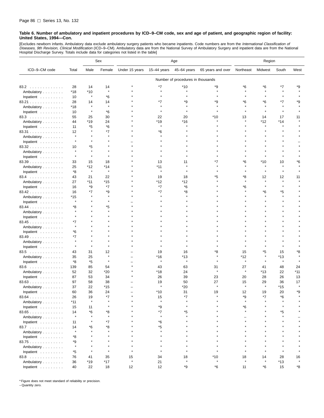[Excludes newborn infants. Ambulatory data exclude ambulatory surgery patients who became inpatients. Code numbers are from the *International Classification of*<br>*Diseases, 9th Revision, Clinical Modification* (ICD–9–CM). Hospital Discharge Survey. Totals include data for categories not listed in the table]

|               |               |                       | Sex            | Age            |                |                                   | Region            |           |         |           |         |
|---------------|---------------|-----------------------|----------------|----------------|----------------|-----------------------------------|-------------------|-----------|---------|-----------|---------|
| ICD-9-CM code | Total         | Male                  | Female         | Under 15 years | $15-44$ years  | 45-64 years                       | 65 years and over | Northeast | Midwest | South     | West    |
|               |               |                       |                |                |                | Number of procedures in thousands |                   |           |         |           |         |
| 83.2          | 28            | 14                    | 14             |                | *7             | $*10$                             | *9                | *6        | *6      | *7        | *9      |
| Ambulatory    | *18           | $*10$                 | $\star$        |                | $\star$        | $\star$                           |                   |           |         |           |         |
| Inpatient     | 10            | $\star$               | *6             |                |                |                                   |                   |           |         |           |         |
| 83.21         | 28            | 14                    | 14             |                | *7             | *9                                | *9                | *6        | *6      | *7        | *9      |
| Ambulatory    | *18           | $\star$               | $\star$        |                | $\star$        |                                   |                   |           |         |           |         |
| Inpatient     | 10            | $\star$               | *6             |                | $\star$        |                                   |                   |           |         |           |         |
| 83.3          | 55            | 25                    | 30             |                | 22             | 20                                | $*10$             | 13        | 14      | 17        | 11      |
| Ambulatory    | 44            | *19                   | 24             |                | *19            | *16                               |                   |           | *12     | *14       |         |
| Inpatient     | 11            | *5                    | *6             |                | $\star$        |                                   |                   |           |         |           |         |
|               | 12            |                       | *7             |                | *6             |                                   |                   |           |         |           |         |
| 83.31         | $\star$       |                       |                |                |                |                                   |                   |           |         |           |         |
| Ambulatory    | $\star$       |                       |                |                |                |                                   |                   |           |         |           |         |
| Inpatient     |               |                       |                |                |                |                                   |                   |           |         |           |         |
| 83.32         | 10<br>$\star$ | *5<br>$\star$         |                |                |                |                                   |                   |           |         |           |         |
| Ambulatory    | $\star$       | $\star$               |                |                |                |                                   |                   |           |         |           |         |
| Inpatient     |               |                       |                |                |                |                                   |                   |           |         |           |         |
| 83.39         | 33            | 15                    | 18             |                | 13             | 11                                |                   | *6        | *10     | 10        | *6      |
| Ambulatory    | 25            | $*12$<br>$\pmb{\ast}$ | *14<br>$\star$ |                | *11<br>$\star$ |                                   |                   |           |         |           |         |
| Inpatient     | *8            |                       |                |                |                |                                   |                   |           |         |           |         |
| 83.4          | 43            | 21                    | 22             |                | 19             | 18                                | *5                | *8        | 12      | 12        | 11      |
| Ambulatory    | 27            | *11                   | *15            |                | *12            | *12                               |                   |           |         |           |         |
| Inpatient     | 16            | *9                    | *7             |                | *7             | *6                                |                   | *6        |         |           |         |
| 83.42         | 16            | *7                    | *9             |                | *7             | *8                                |                   |           | *6      | *5        |         |
| Ambulatory    | *15           |                       | $\star$        |                |                |                                   |                   |           |         | $\bullet$ |         |
| Inpatient     | $\star$       |                       |                |                |                |                                   |                   |           |         |           |         |
| 83.44         | *8            |                       | *5             |                |                |                                   |                   |           |         |           |         |
| Ambulatory    | $\star$       |                       |                |                |                |                                   |                   |           |         |           |         |
| Inpatient     |               |                       |                |                |                |                                   |                   |           |         |           |         |
| 83.45         | *7            |                       |                |                |                |                                   |                   |           |         |           |         |
| Ambulatory    | $\star$       |                       |                |                |                |                                   |                   |           |         |           |         |
| Inpatient     | *6            |                       |                |                |                |                                   |                   |           |         |           |         |
| 83.49         | *7            |                       |                |                |                |                                   |                   |           |         |           |         |
| Ambulatory    | $\star$       |                       |                |                |                |                                   |                   |           |         |           |         |
| Inpatient     | $\star$       | $\pmb{\ast}$          |                |                |                |                                   |                   |           |         |           |         |
| 83.5          | 43            | 31                    | 12             |                | 19             | 16                                | *8                | 15        | *5      | 15        | *8      |
| Ambulatory    | 35            | 25                    | $\star$        |                | *16            | *13                               |                   | *12       |         | *13       |         |
| Inpatient     | *8            | *5                    | $\star$        |                | $\star$        | $\star$                           |                   | $\star$   |         | $\star$   |         |
| 83.6          | 139           | 85                    | 54             |                | 43             | 63                                | 31                | 27        | 41      | 48        | 24      |
| Ambulatory    | 52            | 32                    | $*20$          |                | *18            | 24                                |                   |           | *13     | 22        | *11     |
| Inpatient     | 87            | 53                    | 34             |                | 26             | 39                                | 23                | 20        | 28      | 26        | 13      |
| 83.63         | 97            | 58                    | 38             |                | 19             | 50                                | 27                | 15        | 29      | 36        | 17      |
| Ambulatory    | 37            | 22                    | *15            |                |                | *20                               |                   |           | $\star$ | *15       |         |
| Inpatient     | 60            | 36                    | 24             |                | $*10$          | 31                                | 19                | 12        | 19      | 20        | *9      |
| 83.64         | 26            | 19                    | *7             |                | 15             | *7                                |                   | *9        | *7      | *6        |         |
| Ambulatory    | $*11$         | $\star$               | $\star$        |                | $\star$        |                                   |                   | $\star$   |         |           |         |
| Inpatient     | 15            | 11                    | $\star$        |                | *9             |                                   |                   | *6        |         |           |         |
| 83.65         | 14            | *6                    | *8             |                | *7             | *5                                |                   |           |         | *5        |         |
| Ambulatory    | $\star$       |                       | $\star$        |                | $\star$        |                                   |                   |           |         |           |         |
| Inpatient     | 11            |                       | *7             |                | *6             |                                   |                   |           |         |           |         |
| 83.7          | 14            | *6                    | *8             |                | *5             |                                   |                   |           |         |           |         |
| Ambulatory    | $\star$       |                       | $\star$        |                | $\star$        |                                   |                   |           |         |           |         |
| Inpatient     | *8            |                       |                |                |                |                                   |                   |           |         |           |         |
| 83.75         | *9            |                       |                |                |                |                                   |                   |           |         |           |         |
| Ambulatory    | $\star$       |                       |                |                |                |                                   |                   |           |         |           |         |
| Inpatient     | *5            | $\star$               |                |                |                |                                   |                   |           |         |           |         |
| 83.8          | 76            | 41                    | 35             | 15             | 34             | 18                                | *10               | 18        | 14      | 28        | 16      |
| Ambulatory    | 36            | $*19$                 | $*17$          | $\star$        | 21             | $\star$                           | $\star$           | $\star$   | $\star$ | $*13$     | $\star$ |
| Inpatient     | 40            | 22                    | 18             | 12             | 12             | *9                                | *6                | 11        | *6      | 15        | *8      |
|               |               |                       |                |                |                |                                   |                   |           |         |           |         |

\* Figure does not meet standard of reliability or precision.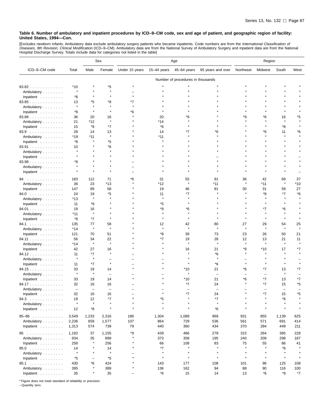[Excludes newborn infants. Ambulatory data exclude ambulatory surgery patients who became inpatients. Code numbers are from the *International Classification of*<br>*Diseases, 9th Revision, Clinical Modification* (ICD–9–CM).

|                         |                          |                          | Sex                | Age                |                 |                                   |                          | Region             |               |                          |            |
|-------------------------|--------------------------|--------------------------|--------------------|--------------------|-----------------|-----------------------------------|--------------------------|--------------------|---------------|--------------------------|------------|
| ICD-9-CM code           | Total                    | Male                     | Female             | Under 15 years     | 15-44 years     | 45-64 years                       | 65 years and over        | Northeast          | Midwest       | South                    | West       |
|                         |                          |                          |                    |                    |                 | Number of procedures in thousands |                          |                    |               |                          |            |
| 83.82                   | *10                      |                          | *5                 |                    |                 |                                   |                          |                    |               |                          |            |
| Ambulatory              |                          |                          |                    |                    |                 |                                   |                          |                    |               |                          |            |
| Inpatient               | *8                       |                          |                    |                    |                 |                                   |                          |                    |               |                          |            |
| 83.85                   | 13                       | *5                       | *8                 | *7                 |                 |                                   |                          |                    |               |                          |            |
| Ambulatory              | $\star$                  |                          |                    |                    |                 |                                   |                          |                    |               |                          |            |
| Inpatient               | *8                       |                          |                    | *6                 |                 |                                   |                          |                    |               |                          |            |
| 83.88                   | 36                       | 20                       | 16                 |                    | 20              |                                   |                          | ٠9                 | *6            | 16                       | *5         |
| Ambulatory              | 21                       | *12                      |                    |                    | *14             |                                   |                          |                    |               |                          |            |
| Inpatient               | 15                       | *9                       | $*7$               |                    | $*6$            |                                   |                          |                    |               | *8                       |            |
| 83.9                    | 28                       | 14                       | 13                 |                    | 14              |                                   | *6                       |                    | *6            | 11                       | *6         |
| Ambulatory              | *19                      | $*11$                    | $\star$            |                    | *11             |                                   |                          |                    |               |                          |            |
| Inpatient               | *8                       |                          | *5                 |                    |                 |                                   |                          |                    |               |                          |            |
| 83.91                   | 10                       |                          | *6                 |                    |                 |                                   |                          |                    |               |                          |            |
| Ambulatory              |                          |                          |                    |                    |                 |                                   |                          |                    |               |                          |            |
| Inpatient               |                          |                          |                    |                    |                 |                                   |                          |                    |               |                          |            |
| 83.98                   | *8                       |                          |                    |                    |                 |                                   |                          |                    |               |                          |            |
| Ambulatory              |                          |                          |                    |                    |                 |                                   |                          |                    |               |                          |            |
| Inpatient               |                          |                          |                    |                    |                 |                                   |                          |                    |               |                          |            |
| 84<br>.                 | 183                      | 112                      | 71                 | *6                 | 31              | 55                                | 91                       | 36                 | 42            | 69                       | 37         |
| Ambulatory              | 36                       | 23                       | $*13$              |                    | *12             | $\star$                           | $*11$                    | $\star$            | $*11$         | $\star$                  | $*10$      |
| Inpatient               | 147                      | 89                       | 58                 |                    | 19              | 46                                | 81                       | 30                 | 31            | 59                       | 27         |
| 84.0                    | 24                       | 19                       | *5                 |                    | 11<br>$\lambda$ | *7                                |                          |                    | *8            | *7                       | *6         |
| Ambulatory              | $*13$                    | $\pmb{\ast}$             |                    |                    |                 |                                   |                          |                    |               |                          |            |
| Inpatient               | 11                       | *9                       |                    |                    | *5              |                                   |                          |                    |               |                          |            |
| 84.01                   | 19                       | 16                       |                    |                    | *9              | *6                                |                          |                    | *7            | *6                       |            |
| Ambulatory              | *11                      |                          |                    |                    |                 |                                   |                          |                    |               |                          |            |
| Inpatient               | *8                       | $*7$                     |                    |                    |                 |                                   |                          |                    |               |                          |            |
| 84.1<br>Ambulatory      | 135<br>*14               | 77<br>$\pmb{\ast}$       | 58<br>$\lambda$    |                    | 12<br>$\lambda$ | 42<br>۸                           | 80                       | 27                 | 29<br>$\star$ | 54                       | 25         |
| Inpatient               | 121                      | 70                       | 51                 |                    | *8              | 39                                | 73                       | 23                 | 26            | 50                       | 21         |
| 84.11                   | 56                       | 34                       | 22                 |                    | *7              | 19                                | 28                       | 12                 | 13            | 21                       | 11         |
| Ambulatory              | $*14$                    | $\star$                  | $\star$            |                    |                 | $\pmb{\ast}$                      | $\star$                  | $\star$            | $\star$       | $\star$                  |            |
| Inpatient               | 42                       | 27                       | 16                 |                    |                 | 16                                | 21                       | *9                 | $*10$         | 17                       | *7         |
| 84.12.                  | 11                       | *7                       |                    |                    |                 |                                   | *6                       |                    |               |                          |            |
| Ambulatory              | $\star$                  | $\pmb{\ast}$             |                    |                    |                 |                                   | $\star$                  |                    |               |                          |            |
| Inpatient               | 11                       | *7                       |                    |                    |                 |                                   | *6                       |                    |               |                          |            |
| 84.15                   | 33                       | 19                       | 14                 |                    |                 | *10                               | 21                       | *6                 | *7            | 13                       | *7         |
| Ambulatory              | $\star$                  | $\pmb{\ast}$             |                    |                    |                 |                                   | $\overline{\phantom{a}}$ |                    |               |                          |            |
| Inpatient               | 33                       | 19                       | 14                 |                    |                 | *10                               | 21                       | *6                 | *7            | 13                       | *7         |
| 84.17                   | 32                       | 16                       | 16                 |                    |                 | *7                                | 24                       |                    | *7            | 15                       | *5         |
| Ambulatory              | $\overline{\phantom{0}}$ | $\overline{\phantom{m}}$ | $\equiv$           |                    |                 |                                   |                          |                    |               | $\overline{\phantom{0}}$ |            |
| Inpatient               | 32                       | 16                       | 16                 |                    |                 |                                   | 24                       |                    |               | 15                       |            |
| 84.3                    | 19                       | 12                       | *7                 |                    | *5              |                                   | *7                       |                    |               | *6                       |            |
| Ambulatory<br>Inpatient | $\star$<br>12            | $\star$<br>*8            | $\star$<br>$\star$ | $\star$<br>$\star$ |                 | $\star$                           | $\star$<br>*6            | $\star$<br>$\star$ |               |                          |            |
|                         |                          |                          |                    |                    |                 |                                   |                          |                    |               |                          |            |
| $85 - 86$               | 3,549                    | 1,233                    | 2,316              | 186                | 1,304           | 1,089                             | 969                      | 931                | 855           | 1,139                    | 625        |
| Ambulatory              | 2,236                    | 659                      | 1,577              | 107                | 864             | 729                               | 536                      | 561                | 571           | 691                      | 414        |
| Inpatient               | 1,313                    | 574                      | 739                | 79                 | 440             | 360                               | 434                      | 370                | 284           | 449                      | 211        |
| 85                      | 1,192                    | 37                       | 1,155              | *9<br>$\star$      | 439             | 466                               | 278                      | 315                | 264           | 385                      | 228        |
| Ambulatory              | 934                      | 35<br>$\star$            | 899                |                    | 373             | 358                               | 195                      | 240                | 209           | 298                      | 187        |
| Inpatient               | 258                      |                          | 256                |                    | 66              | 108<br>$\star$                    | 83<br>$\star$            | 75                 | 55<br>$\star$ | 86                       | 41         |
| 85.0                    | 14<br>$\star$            | $\star$                  | 14<br>$\star$      |                    | *7<br>$\star$   | $\star$                           | $\star$                  | $\star$            |               | *6                       |            |
| Ambulatory              |                          | ÷                        |                    | $\star$            | $\star$         | $\star$                           | $\star$                  | $\star$            | $\star$       | $\star$                  |            |
| Inpatient               | *5                       | *6                       | *5                 |                    |                 |                                   |                          |                    |               |                          |            |
| 85.1                    | 430<br>395               |                          | 424<br>389         |                    | 143<br>136      | 177<br>162                        | 108<br>94                | 101<br>88          | 96<br>90      | 125<br>116               | 108<br>100 |
| Ambulatory<br>Inpatient | 35                       | $\pmb{\ast}$             | 35                 |                    | $^{\star}6$     | 15                                | 14                       | 13                 | *6            | *9                       | $*7$       |
|                         |                          |                          |                    |                    |                 |                                   |                          |                    |               |                          |            |

\* Figure does not meet standard of reliability or precision.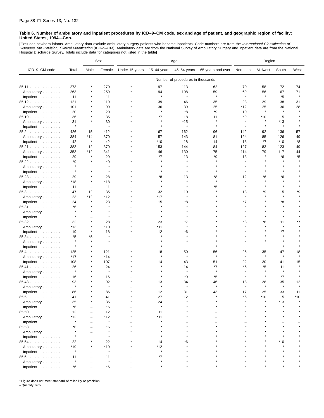[Excludes newborn infants. Ambulatory data exclude ambulatory surgery patients who became inpatients. Code numbers are from the *International Classification of*<br>*Diseases, 9th Revision, Clinical Modification* (ICD–9–CM). Hospital Discharge Survey. Totals include data for categories not listed in the table]

|               |         |                          | Sex                      | Age            |               |                                   | Region            |           |         |              |         |
|---------------|---------|--------------------------|--------------------------|----------------|---------------|-----------------------------------|-------------------|-----------|---------|--------------|---------|
| ICD-9-CM code | Total   | Male                     | Female                   | Under 15 years | $15-44$ years | 45-64 years                       | 65 years and over | Northeast | Midwest | South        | West    |
|               |         |                          |                          |                |               | Number of procedures in thousands |                   |           |         |              |         |
| 85.11         | 273     |                          | 270                      |                | 97            | 113                               | 62                | 70        | 58      | 72           | 74      |
| Ambulatory    | 263     |                          | 259                      |                | 94            | 108                               | 59                | 69        | 56      | 67           | 71      |
| Inpatient     | 11      |                          | 11                       |                | $\pmb{\ast}$  | $\star$                           | $\star$           | $\star$   | $\star$ | *5           | $\star$ |
| 85.12.        | 121     |                          | 119                      |                | 39            | 46                                | 35                | 23        | 29      | 38           | 31      |
| Ambulatory    | 101     |                          | 99                       |                | 36            | 39                                | 25                | *12       | 25      | 36           | 28      |
| Inpatient     | 20      |                          | 20                       |                | $\star$       | *8                                | *9                | 10        | $\star$ | $\star$      |         |
| 85.19         | 36      |                          | 35                       |                | *7            | 18                                | 11                | *9        | *10     | 15           |         |
| Ambulatory    | 31      |                          | 30                       |                |               | *15                               |                   |           | $\star$ | *13          |         |
| Inpatient     | $\star$ | $\overline{\phantom{0}}$ | $\star$                  |                | $\star$       | $\star$                           | $\star$           | $\star$   | $\star$ | $\star$      |         |
| 85.2          | 426     | 15                       | 412                      |                | 167           | 162                               | 96                | 142       | 92      | 136          | 57      |
| Ambulatory    | 384     | *14                      | 370                      |                | 157           | 143                               | 81                | 124       | 85      | 126          | 49      |
| Inpatient     | 42      | $\pmb{\ast}$             | 42                       |                | $*10$         | 18                                | 14                | 18        | *7      | $*10$        | *8      |
| 85.21         | 383     | 12                       | 370                      |                | 153           | 144                               | 84                | 127       | 83      | 123          | 49      |
| Ambulatory    | 353     | $*12$                    | 341                      |                | 146           | 130                               | 75                | 114       | 79      | 117          | 44      |
| Inpatient     | 29      |                          | 29                       |                | *7            | 13                                | *9                | 13        |         | *6           | *5      |
| 85.22         | *9      |                          | *9                       |                |               |                                   |                   | À         |         |              |         |
| Ambulatory    | $\star$ |                          | $\pmb{\ast}$             |                |               |                                   |                   |           |         |              |         |
| Inpatient     | $\star$ | $\pmb{\ast}$             | $\pmb{\ast}$             |                |               |                                   |                   |           |         |              |         |
| 85.23         | 29      | $\star$                  | 28                       |                | *8            | 13                                | *8                | 12        | *6      | *6           |         |
| Ambulatory    | *18     | $\star$                  | *18                      |                |               |                                   |                   |           |         |              |         |
| Inpatient     | 11      | $\overline{\phantom{0}}$ | 11                       |                |               | $\star$                           | *5                | $\star$   |         | $\star$      |         |
| 85.3          | 47      | 12                       | 35                       |                | 32            | 10                                |                   | 13        | *9      | 15           | *9      |
| Ambulatory    | 23      | *12                      | $*12$                    |                | $*17$         | $\star$                           |                   | $\star$   |         | $\star$      |         |
| Inpatient     | 24      | $\star$                  | 23                       |                | 15            | *8                                |                   | *7        |         | *8           |         |
| 85.31         | *6      |                          | $\star$                  |                |               |                                   |                   |           |         |              |         |
| Ambulatory    | $\star$ |                          |                          |                |               |                                   |                   |           |         |              |         |
| Inpatient     |         |                          | $\pmb{\ast}$             |                |               |                                   |                   |           |         |              |         |
| 85.32         | 32      | $\star$                  | 28                       |                | 23            | *7                                |                   | *8        | *6      | 11           | *7      |
| Ambulatory    | *13     |                          | $*10$                    |                | *11           |                                   |                   |           |         |              |         |
| Inpatient     | 19      |                          | 18                       |                | 12            | *6                                |                   |           |         | *7           |         |
| 85.34         | *5      | *5                       | $\star$                  |                |               |                                   |                   |           |         | $\star$      |         |
| Ambulatory    | $\star$ | $\star$                  | $\pmb{\ast}$             |                |               |                                   |                   |           |         |              |         |
| Inpatient     | $\star$ |                          | $\overline{\phantom{0}}$ |                |               |                                   |                   |           |         | $\star$      |         |
| 85.4          | 125     |                          | 121                      |                | 18            | 50                                | 56                | 25        | 35      | 47           | 18      |
| Ambulatory    | $*17$   |                          | $*14$                    |                | $\pmb{\ast}$  | $\star$                           | $\pmb{\ast}$      | $\star$   | $\star$ | $\star$      |         |
| Inpatient     | 108     |                          | 107                      |                | 14            | 43                                | 51                | 22        | 30      | 41           | 15      |
| 85.41         | 26      |                          | 24                       |                |               | 14                                | *7                | *6        | *5      | 11           |         |
| Ambulatory    | $\star$ |                          | $\pmb{\ast}$             |                |               | $\star$                           | $\star$           | À         |         | $\pmb{\ast}$ |         |
| Inpatient     | 16      |                          | 16                       |                |               | *9                                | *5                |           | $\star$ | *7           |         |
| 85.43         | 93      |                          | 92                       |                | 13            | 34                                | 46                | 18        | 28      | 35           | 12      |
| Ambulatory    | $\star$ |                          | $\star$                  |                |               |                                   |                   |           |         |              |         |
| Inpatient     | 86      |                          | 86                       |                | 12            | 31                                | 43                | 17        | 25      | 33           | 11      |
| 85.5          | 41      |                          | 41                       |                | 27            | 12                                |                   | *6        | *10     | 15           | *10     |
| Ambulatory    | 35      |                          | 35                       |                | 24            |                                   |                   |           |         | *13          |         |
| Inpatient     | $*6$    |                          | *6                       |                | $\star$       |                                   |                   |           |         |              |         |
| 85.50         | 12      | $\overline{\phantom{0}}$ | 12                       |                | 11            |                                   |                   |           |         |              |         |
| Ambulatory    | $*12$   |                          | *12                      |                | $*11$         |                                   |                   |           |         |              |         |
| Inpatient     | $\star$ |                          | $\pmb{\ast}$             |                |               |                                   |                   |           |         |              |         |
| 85.53         | *6      |                          | *6                       |                |               |                                   |                   |           |         |              |         |
| Ambulatory    | $\star$ |                          | $\star$                  |                |               |                                   |                   |           |         |              |         |
| Inpatient     | $\star$ |                          |                          |                |               |                                   |                   |           |         |              |         |
| 85.54         | 22      |                          | 22                       |                | 14            | *6                                |                   |           |         | *10          |         |
| Ambulatory    | *19     |                          | *19                      |                | $*12$         |                                   |                   |           |         |              |         |
| Inpatient     | $\star$ |                          | $\pmb{\ast}$             |                | $\pmb{\ast}$  |                                   |                   |           |         |              |         |
| 85.6          | 11      |                          | 11                       |                | $*7$          |                                   |                   |           |         |              |         |
| Ambulatory    | $\star$ |                          | $\pmb{\ast}$             |                |               |                                   |                   |           |         |              |         |
| Inpatient     | *6      |                          | *6                       |                |               |                                   |                   |           |         |              |         |

\* Figure does not meet standard of reliability or precision.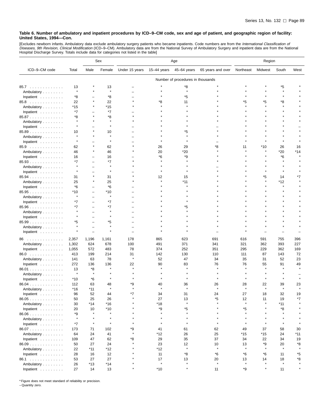[Excludes newborn infants. Ambulatory data exclude ambulatory surgery patients who became inpatients. Code numbers are from the *International Classification of*<br>*Diseases, 9th Revision, Clinical Modification* (ICD–9–CM).

|                                  |               |                          | Sex           | Age            |             | Region                            |                   |           |         |         |         |
|----------------------------------|---------------|--------------------------|---------------|----------------|-------------|-----------------------------------|-------------------|-----------|---------|---------|---------|
| ICD-9-CM code                    | Total         | Male                     | Female        | Under 15 years | 15-44 years | 45-64 years                       | 65 years and over | Northeast | Midwest | South   | West    |
|                                  |               |                          |               |                |             | Number of procedures in thousands |                   |           |         |         |         |
| 85.7                             | 13            |                          | 13            |                |             | *8                                |                   |           |         | *5      |         |
| Ambulatory                       | $\star$       |                          | $\star$       |                |             | $\star$                           |                   |           |         |         |         |
| Inpatient                        | *8            |                          | *8            |                |             | *5                                |                   |           |         |         |         |
| 85.8                             | 22            |                          | 22            |                | *8          | 11                                |                   | *5        | *5      | *8      |         |
| Ambulatory                       | *15           |                          | *15           |                |             |                                   |                   |           |         | $\star$ |         |
| Inpatient                        | *7            |                          | *7            |                |             |                                   |                   |           |         |         |         |
| 85.87                            | *8            |                          | *8            |                |             |                                   |                   |           |         |         |         |
| Ambulatory                       |               |                          | $\star$       |                |             |                                   |                   |           |         |         |         |
| Inpatient                        |               |                          | $\star$       |                |             |                                   |                   |           |         |         |         |
| 85.89                            | 10            |                          | 10            |                |             | *5                                |                   |           |         |         |         |
| Ambulatory                       |               |                          | $\star$       |                |             |                                   |                   |           |         |         |         |
| Inpatient                        |               |                          | $\star$       |                |             |                                   |                   |           |         |         |         |
| 85.9                             | 62            |                          | 62            |                | 26          | 29                                | *8                | 11        | *10     | 26      | 16      |
| Ambulatory                       | 46            |                          | 46            |                | 20          | *20                               |                   |           |         | $*20$   | *14     |
| Inpatient                        | 16            |                          | 16            |                | *6          | *9                                |                   |           |         | *6      |         |
| 85.93                            | *7            |                          | *7            |                |             |                                   |                   |           |         |         |         |
|                                  | $\star$       |                          | $\star$       |                |             |                                   |                   |           |         |         |         |
| Ambulatory<br>Inpatient          |               |                          |               |                |             |                                   |                   |           |         |         |         |
| $85.94$                          | 31            |                          | 31            |                | 12          | 15                                |                   |           | *5      | 14      |         |
|                                  | 25            |                          | 25            |                |             | $*11$                             |                   |           |         | *12     |         |
| Ambulatory                       | *6            |                          | *6            |                |             |                                   |                   |           |         |         |         |
| Inpatient                        |               |                          | *10           |                |             |                                   |                   |           |         |         |         |
| 85.95                            | *10           | $\overline{\phantom{0}}$ | $\star$       |                |             |                                   |                   |           |         |         |         |
| Ambulatory                       | $*7$          |                          | *7            |                |             |                                   |                   |           |         |         |         |
| Inpatient                        |               |                          |               |                |             |                                   |                   |           |         |         |         |
| $85.96$                          | *7            | -                        | *7<br>$\star$ |                |             | *5                                |                   |           |         |         |         |
| Ambulatory                       |               |                          | $\star$       |                |             |                                   |                   |           |         |         |         |
| Inpatient                        |               |                          |               |                |             |                                   |                   |           |         |         |         |
| 85.99                            | *5<br>$\star$ |                          | *5<br>$\star$ |                |             |                                   |                   |           |         |         |         |
| Ambulatory                       |               | $\overline{\phantom{a}}$ |               |                |             |                                   |                   |           |         |         |         |
| Inpatient                        |               |                          |               |                |             |                                   |                   |           |         |         |         |
| 86<br>.                          | 2,357         | 1,196                    | 1,161         | 178            | 865         | 623                               | 691               | 616       | 591     | 755     | 396     |
| Ambulatory                       | 1,302         | 624                      | 678           | 100            | 491         | 371                               | 341               | 321       | 362     | 393     | 227     |
| Inpatient                        | 1,055         | 572                      | 483           | 78             | 374         | 252                               | 351               | 295       | 229     | 362     | 169     |
| 86.0                             | 413           | 199                      | 214           | 31             | 142         | 130                               | 110               | 111       | 87      | 143     | 72      |
| Ambulatory                       | 141           | 63                       | 78            | Å              | 52          | 47                                | 34                | 35        | 31      | 52      | 23      |
| Inpatient                        | 272           | 136                      | 136           | 22             | 90          | 83                                | 76                | 76        | 55      | 91      | 49      |
| 86.01                            | 13            | *8                       | $\star$       |                |             |                                   |                   |           |         |         |         |
| Ambulatory                       | $\star$       | $\star$                  |               |                |             |                                   |                   |           |         |         |         |
| Inpatient                        | *10           | *6                       |               |                |             |                                   |                   |           |         |         |         |
| $86.04$                          | 112           | 63                       | 48            | *9             | 40          | 36                                | 26                | 28        | 22      | 39      | 23      |
| Ambulatory                       | *16           | *11                      | $\star$       |                |             |                                   |                   |           |         |         |         |
| Inpatient                        | 96            | 52                       | 44            |                | 34          | 31                                | 24                | 27        | 18      | 32      | 19      |
| 86.05                            | 50            | 25                       | 26            |                | 27          | 13                                | *5                | 12        | 11      | 19      | *7      |
| Ambulatory                       | 30            | $*14$                    | $*16$         |                | $*18$       | $\star$                           | $\star$           | $\star$   |         | *11     |         |
| Inpatient                        | 20            | 10                       | $*10$         |                | *9          | $^\star 5$                        |                   | *5        |         | *8      |         |
| $86.06$                          | *9            | $\star$                  | $\star$       |                | $\star$     | $\star$                           |                   | $\star$   |         | $\star$ |         |
| Ambulatory                       | $\star$       | $\star$                  | $\star$       |                |             | $\star$                           |                   | $\star$   |         | $\star$ |         |
| Inpatient                        | *7            | $\star$                  | $\star$       |                | $\star$     |                                   |                   | $\star$   |         | $\star$ |         |
| 86.07                            | 173           | 71                       | 102           | *9             | 41          | 61                                | 62                | 49        | 37      | 58      | 30      |
| Ambulatory                       | 64            | 24                       | 41            | $\star$        | *12         | 26                                | 25                | $*15$     | $*15$   | 24      | *11     |
| Inpatient $\ldots \ldots \ldots$ | 109           | 47                       | 62            | *8             | 29          | 35                                | 37                | 34        | 22      | 34      | 19      |
| 86.09                            | 50            | 27                       | 24            |                | 23          | 12                                | 10                | 13        | *9      | 20      | *8      |
| Ambulatory                       | 22            | $*11$                    | *12           |                | *12         | $\star$                           | $\star$           | $\star$   | $\star$ | $\star$ | $\star$ |
| Inpatient                        | 28            | 16                       | 12            |                | 11          | *8                                | $^*6$             | *6        | *6      | 11      | *5      |
| 86.1                             | 53            | 27                       | 27            |                | 17          | 13                                | 20                | 13        | 14      | 18      | *8      |
| Ambulatory                       | 26            | $*13$                    | $*14$         |                | $\star$     | $\star$                           | $\star$           | $\star$   | $\star$ |         |         |
| Inpatient $\ldots$ ,             | 27            | 14                       | 13            | $\star$        | $*10$       | $\star$                           | 11                | *9        | $\star$ | 11      | $\star$ |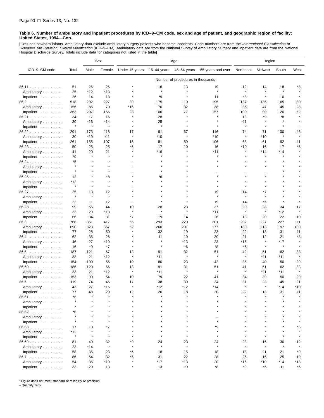[Excludes newborn infants. Ambulatory data exclude ambulatory surgery patients who became inpatients. Code numbers are from the *International Classification of*<br>*Diseases, 9th Revision, Clinical Modification* (ICD–9–CM). Hospital Discharge Survey. Totals include data for categories not listed in the table]

|               |         |         | Sex                | Age            |              |                                   | Region            |                    |               |                |                    |
|---------------|---------|---------|--------------------|----------------|--------------|-----------------------------------|-------------------|--------------------|---------------|----------------|--------------------|
| ICD-9-CM code | Total   | Male    | Female             | Under 15 years | 15-44 years  | 45-64 years                       | 65 years and over | Northeast          | Midwest       | South          | West               |
|               |         |         |                    |                |              | Number of procedures in thousands |                   |                    |               |                |                    |
| 86.11         | 51      | 26      | 26                 |                | 16           | 13                                | 19                | 12                 | 14            | 18             | *8                 |
| Ambulatory    | 25      | *12     | $*13$              |                | $\star$      | $\star$                           | $\star$           | $\star$            | $\star$       | $\star$        |                    |
| Inpatient     | 26      | 14      | 13                 |                | *9           |                                   | 11                | *8                 | $\star$       | 10             |                    |
| 86.2          | 518     | 292     | 227                | 39             | 175          | 110                               | 195               | 137                | 136           | 165            | 80                 |
| Ambulatory    | 156     | 85      | 70                 | *16            | 70           | 32                                | 38                | 36                 | 47            | 45             | 28                 |
| Inpatient     | 363     | 207     | 156                | 23             | 106          | 77                                | 157               | 100                | 90            | 120            | 52                 |
| 86.21         | 34      | 17      | 16                 |                | 28           | $\star$                           | $\star$           | 13                 | *9            | *8             | $\star$            |
| Ambulatory    | 30      | *16     | $*14$              |                | 25           |                                   |                   | *11                |               |                |                    |
| Inpatient     | $\star$ | $\star$ | $\pmb{\ast}$       |                | $\star$      |                                   | $\star$           | $\star$            | $\star$       | $\star$        |                    |
|               |         |         |                    |                |              |                                   |                   |                    |               |                |                    |
| 86.22         | 291     | 173     | 118                | 17<br>$\star$  | 91           | 67<br>$\star$                     | 116<br>$*10$      | 74<br>$\star$      | 71            | 100<br>$\star$ | 46                 |
| Ambulatory    | 30      | $*19$   | $*11$              |                | $*10$        |                                   |                   |                    | $*10$         |                |                    |
| Inpatient     | 261     | 155     | 107                | 15             | 81           | 59                                | 106               | 68                 | 61            | 92             | 41                 |
| 86.23         | 50      | 25      | 25                 | *6             | 17           | 10                                | 16                | *10<br>Å           | 16            | 17             | *6                 |
| Ambulatory    | 41      | 20      | 21<br>$\pmb{\ast}$ |                | $*16$        |                                   | $*11$             |                    | $*14$         | $*14$          |                    |
| Inpatient     | *9      |         |                    |                |              |                                   |                   |                    |               |                |                    |
| 86.24         | *5      |         |                    |                |              |                                   |                   |                    |               |                |                    |
| Ambulatory    | $\star$ |         | $\star$            |                |              |                                   |                   |                    |               |                |                    |
| Inpatient     | $\star$ |         |                    |                |              |                                   |                   |                    |               |                |                    |
| 86.25         | 12      |         | *8                 | $\star$        | *6           |                                   |                   |                    |               |                |                    |
| Ambulatory    | *12     |         | $\pmb{\ast}$       |                |              |                                   |                   |                    |               |                |                    |
| Inpatient     | $\star$ | $\star$ | $\pmb{\ast}$       |                |              |                                   |                   |                    |               |                |                    |
| 86.27         | 25      | 13      | 12                 |                |              |                                   | 19                | 14                 | *7            |                |                    |
| Ambulatory    | $\star$ | $\star$ | $\star$            |                |              |                                   | $\star$           | $\star$            | $\star$       |                |                    |
| Inpatient     | 22      | 11      | 12                 |                |              |                                   | 19                | 14                 | *5            | $\star$        |                    |
| 86.28         | 99      | 55      | 44                 | 10             | 28           | 23                                | 37                | 20                 | 28            | 34             | 17                 |
| Ambulatory    | 33      | 20      | $*13$              | $\star$        | $\star$      | $\star$                           | $*11$             | $\star$            | $\star$       | *12            | $\star$            |
| Inpatient     | 66      | 34      | 31                 | *7             | 19           | 14                                | 26                | 13                 | 20            | 22             | 10                 |
| 86.3          | 768     | 351     | 417                | 55             | 293          | 220                               | 201               | 202                | 227           | 227            | 111                |
| Ambulatory    | 690     | 323     | 367                | 52             | 260          | 201                               | 177               | 180                | 213           | 197            | 100                |
| Inpatient     | 77      | 28      | 50                 | $\star$        | 32           | 19                                | 23                | 22                 | 13            | 31             | 11                 |
| 86.4          | 62      | 36      | 26                 |                | 11           | 19                                | 30                | 21                 | 12            | 21             | *8                 |
| Ambulatory    | 46      | 27      | $*19$              |                |              | *13                               | 23                | *15                | $\star$       | *17            | $\star$            |
| Inpatient     | 16      | *9      | *7                 |                | $\pmb{\ast}$ | *6                                | *8                | *6                 | $\star$       | $\star$        |                    |
| 86.5          | 187     | 121     | 67                 | 13             | 91           | 32                                | 51                | 42                 | 51            | 62             | 33                 |
|               | 33      | 21      | *12                | $\pmb{\ast}$   | *11          | $\star$                           | $\star$           | $\star$            | $*11$         | *11            | $\star$            |
| Ambulatory    | 154     | 100     | 55                 | 10             | 80           | 23                                | 42                | 35                 | 40            | 50             | 29                 |
| Inpatient     |         |         |                    |                |              | 31                                | 51                |                    |               |                |                    |
| 86.59         | 186     | 120     | 66                 | 13<br>$\star$  | 91           | $\star$                           | $\star$           | 41<br>$\pmb{\ast}$ | 51            | 62             | 33<br>$\pmb{\ast}$ |
| Ambulatory    | 33      | 21      | *12                | 10             | *11          | 22                                |                   | 34                 | *11           | *11            |                    |
| Inpatient     | 153     | 99      | 54                 |                | 79           |                                   | 41                |                    | 39            | 50             | 29                 |
| 86.6          | 119     | 74      | 45                 | 17             | 38           | 30                                | 34                | 31<br>$\lambda$    | 23<br>$\star$ | 45             | 21                 |
| Ambulatory    | 43      | 27      | *16                |                | *12          | *12                               | *14               |                    |               | *14            | *10                |
| Inpatient     | 77      | 48      | 29                 | 12             | 26           | 18                                | 20                | 22                 | 13            | 31             | 11                 |
| 86.61         | *6      |         |                    |                |              |                                   |                   |                    |               |                |                    |
| Ambulatory    |         |         |                    |                |              |                                   |                   |                    |               |                |                    |
| Inpatient     |         |         |                    |                |              |                                   |                   |                    |               |                |                    |
| 86.62         | *6      |         |                    |                |              |                                   |                   |                    |               |                |                    |
| Ambulatory    | $\star$ |         |                    |                |              |                                   |                   |                    |               |                |                    |
| Inpatient     | $\star$ |         |                    |                |              |                                   | $\star$           |                    |               |                |                    |
| 86.63         | 17      | 10      | *7                 |                |              |                                   | *9                |                    |               |                | *5                 |
| Ambulatory    | *12     | $\star$ | $\star$            |                |              |                                   | $\star$           |                    |               | $\star$        |                    |
| Inpatient     | $\star$ | $\star$ | $\star$            |                |              |                                   | $\star$           | $\star$            | $\star$       | $\star$        |                    |
| 86.69         | 81      | 49      | 32                 | *9             | 24           | 23                                | 24                | 23                 | 16            | 30             | 12                 |
| Ambulatory    | 23      | *14     | $\star$            |                | $\star$      | $\star$                           | $\star$           | $\star$            | $\star$       |                |                    |
| Inpatient     | 58      | 35      | 23                 | *6             | 18           | 15                                | 18                | 18                 | 11            | 21             | *9                 |
| 86.7          | 86      | 54      | 32                 | *5             | 31           | 22                                | 28                | 26                 | 16            | 25             | 19                 |
| Ambulatory    | 54      | 35      | $*19$              |                | *17          | *13                               | 20                | *16                | $*10$         | *14            | *13                |
| Inpatient     | 33      | 20      | 13                 | $\star$        | 13           | *9                                | *8                | *9                 | *6            | 11             | *6                 |

\* Figure does not meet standard of reliability or precision.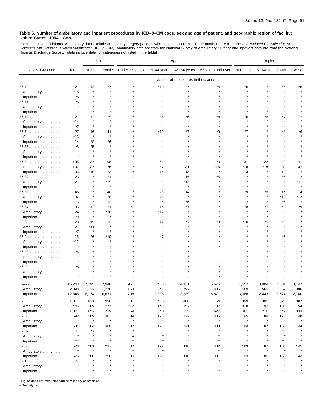[Excludes newborn infants. Ambulatory data exclude ambulatory surgery patients who became inpatients. Code numbers are from the *International Classification of*<br>*Diseases, 9th Revision, Clinical Modification* (ICD–9–CM).

|                                  |                |              | Sex     | Age                      |             |                                   | Region            |           |         |              |       |
|----------------------------------|----------------|--------------|---------|--------------------------|-------------|-----------------------------------|-------------------|-----------|---------|--------------|-------|
| ICD-9-CM code                    | Total          | Male         | Female  | Under 15 years           | 15-44 years | 45-64 years                       | 65 years and over | Northeast | Midwest | South        | West  |
|                                  |                |              |         |                          |             | Number of procedures in thousands |                   |           |         |              |       |
| 86.70                            | 21             | 13           | *7      |                          | $*10$       |                                   | *6                | *6        |         | *6           | 6'    |
| Ambulatory                       | *15            | $\star$      |         |                          |             |                                   |                   |           |         |              |       |
| Inpatient $\ldots \ldots \ldots$ | *6             |              |         |                          |             |                                   |                   |           |         |              |       |
| 86.71                            | *5             |              |         |                          |             |                                   |                   |           |         |              |       |
| Ambulatory                       | $\star$        |              |         |                          |             |                                   |                   |           |         |              |       |
| Inpatient                        | $\star$        |              |         |                          |             |                                   |                   |           |         |              |       |
| 86.72                            | 21             | 12           | *9      |                          | ۴6          |                                   |                   | *6        | *6      | *7           |       |
| Ambulatory                       | *14            |              |         |                          |             |                                   |                   |           |         |              |       |
| Inpatient                        | $*7$           | $\star$      | $\star$ |                          |             |                                   |                   |           |         |              |       |
| 86.74                            | 27             | 16           | 11      |                          | $*10$       |                                   | ٠9                | *7        |         | *8           | *6    |
| Ambulatory                       | *13            | $\star$      | $\star$ |                          |             |                                   |                   |           |         |              |       |
| Inpatient                        | 14             | *8           | *6      |                          |             |                                   |                   |           |         |              |       |
| 86.75                            | *8             | *5           |         |                          |             |                                   |                   |           |         |              |       |
| Ambulatory                       |                |              |         |                          |             |                                   |                   |           |         |              |       |
| Inpatient                        | $\star$        | $\star$      |         |                          |             |                                   |                   |           |         |              |       |
| 86.8                             | 135            | 37           | 98      | 11                       | 61          | 44                                | 20                | 31        | 22      | 42           | 41    |
| Ambulatory                       | 102            | 27           | 75      |                          | 47          | 31                                | *16               | *18       | *18     | 30           | 37    |
| Inpatient                        | 33             | *10          | 23      |                          | 14          | 13                                | $\star$           | 13        |         | 12           |       |
| 86.82                            | 23             | $\star$      | 21      |                          |             | 15                                | *5                |           |         | *5           | 12    |
| Ambulatory                       | 21             |              | *19     |                          |             | *13                               |                   |           |         |              | *11   |
| Inpatient                        | $\star$        |              | $\star$ |                          |             | $\star$                           |                   |           |         |              |       |
| 86.83                            | 45             |              | 40      |                          | 28          | 14                                |                   | *9        | *6      | 16           | 14    |
| Ambulatory                       | 32             |              | 28      |                          | 21          | ×                                 |                   |           |         | *10          | $*13$ |
| Inpatient                        | 13             | $\star$      | 12      |                          | *6          | *6                                |                   |           |         | *6           |       |
| $86.84$                          | 33             | 12           | 21      | *7                       | 16          | *7                                |                   | ۴8        | *7      | *9           | ٠9    |
| Ambulatory                       | 24             | $\star$      | *16     |                          | *12         |                                   |                   |           |         |              |       |
| Inpatient $\ldots$ ,             | *9             | $\star$      | Å       |                          | $\lambda$   |                                   |                   |           |         |              |       |
| 86.89                            | 28             | 15           | 13      |                          | 12          |                                   | *8                | *10       | *5      | *9           |       |
| Ambulatory                       | 21             | $*11$        | Å       |                          |             |                                   |                   |           |         |              |       |
| Inpatient                        | $*7$           | $\pmb{\ast}$ |         |                          |             |                                   |                   |           |         |              |       |
| 86.9                             | 15             | *6           | *10     |                          | *7          |                                   |                   |           |         | *6           |       |
| Ambulatory                       | *12<br>$\star$ |              |         |                          |             |                                   |                   |           |         |              |       |
| Inpatient                        |                |              |         |                          |             |                                   |                   |           |         |              |       |
| 86.93                            | *5             |              |         |                          |             |                                   |                   |           |         |              |       |
| Ambulatory                       |                |              |         |                          |             |                                   |                   |           |         |              |       |
| Inpatient                        |                |              |         |                          |             |                                   |                   |           |         |              |       |
| $86.99$                          | *8             |              |         |                          |             |                                   |                   |           |         |              |       |
| Ambulatory                       |                |              |         |                          |             |                                   |                   |           |         |              |       |
| Inpatient                        |                |              |         |                          |             |                                   |                   |           |         |              |       |
| 87-99<br>.                       | 15,243         | 7,295        | 7,948   | 951                      | 3,485       | 4,131                             | 6,676             | 4,557     | 3,009   | 4,531        | 3,147 |
| Ambulatory                       | 2,398          | 1,122        | 1,276   | 153                      | 647         | 792                               | 806               | 589       | 565     | 857          | 386   |
| Inpatient                        | 12,845         | 6,174        | 6,671   | 798                      | 2,838       | 3,339                             | 5,871             | 3,968     | 2,443   | 3,674        | 2,760 |
| 87                               | 1,817          | 821          | 996     | 81                       | 486         | 486                               | 764               | 499       | 305     | 626          | 387   |
| Ambulatory                       | 446            | 169          | 277     | $*12$                    | 145         | 152                               | 137               | 118       | 90      | 185          | 54    |
| Inpatient                        | 1,371          | 652          | 719     | 69                       | 340         | 335                               | 627               | 381       | 216     | 442          | 333   |
| 87.0                             | 592            | 289          | 303     | 39                       | 126         | 122                               | 305               | 185       | 89      | 170          | 148   |
| Ambulatory                       | $\star$        | $\pmb{\ast}$ | $\star$ | $\star$                  | $\star$     | $\pmb{\ast}$                      | $\star$           | $\star$   | $\star$ | $\pmb{\ast}$ |       |
| Inpatient                        | 584            | 284          | 300     | 37                       | 123         | 121                               | 303               | 184       | 87      | 168          | 144   |
| 87.02                            | 11             | *7           |         | $\star$                  |             |                                   |                   |           |         | *6           |       |
| Ambulatory                       | $\star$        | $\star$      | $\star$ | $\overline{\phantom{0}}$ | $\star$     | $\star$                           | $\star$           | $\star$   |         | $\star$      |       |
| Inpatient $\ldots \ldots \ldots$ | *7             | $\star$      | $\star$ | $\star$                  |             | $\star$                           | $\star$           |           | $\star$ | *6           |       |
| 87.03                            | 578            | 281          | 297     | 37                       | 122         | 118                               | 302               | 183       | 87      | 163          | 145   |
| Ambulatory                       | $\star$        | $\star$      | $\star$ | $\star$                  | $\star$     | $\star$                           | $\star$           | $\star$   | $\star$ | $\star$      |       |
| Inpatient                        | 576            | 280          | 296     | 36                       | 121         | 118                               | 301               | 183       | 86      | 163          | 143   |
| 87.1                             | *7             | $\star$      |         |                          |             |                                   |                   |           |         |              |       |
| Ambulatory                       |                |              | $\star$ |                          |             |                                   |                   |           |         |              |       |
| Inpatient                        | $\star$        | $\star$      | $\star$ | $\star$                  |             |                                   | $\star$           |           |         |              |       |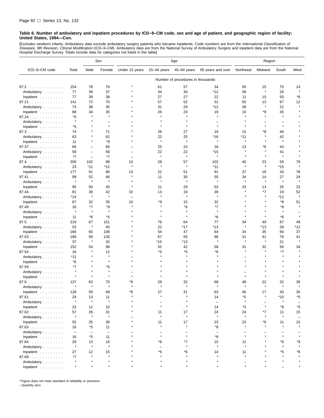[Excludes newborn infants. Ambulatory data exclude ambulatory surgery patients who became inpatients. Code numbers are from the *International Classification of*<br>*Diseases, 9th Revision, Clinical Modification* (ICD–9–CM). Hospital Discharge Survey. Totals include data for categories not listed in the table]

|                                  |                          |                          | Sex               | Age                      |                          |                                   | Region            |               |         |              |                          |
|----------------------------------|--------------------------|--------------------------|-------------------|--------------------------|--------------------------|-----------------------------------|-------------------|---------------|---------|--------------|--------------------------|
| ICD-9-CM code                    | Total                    | Male                     | Female            | Under 15 years           | 15-44 years              | 45-64 years                       | 65 years and over | Northeast     | Midwest | South        | West                     |
|                                  |                          |                          |                   |                          |                          | Number of procedures in thousands |                   |               |         |              |                          |
| 87.2                             | 154                      | 78                       | 76                |                          | 61                       | 57                                | 34                | 50            | 15      | 75           | 14                       |
| Ambulatory                       | 77                       | 39                       | 37                |                          | 34                       | 30                                | *12               | 39            | $\star$ | 26           | $\star$                  |
| Inpatient                        | 77                       | 39                       | 38                |                          | 27                       | 27                                | 22                | 11            | 10      | 50           | *6                       |
| 87.21                            | 141                      | 72                       | 70                |                          | 57                       | 52                                | 31                | 50            | 13      | 67           | 12                       |
| Ambulatory                       | 73                       | 38                       | 35                |                          | 31                       | 29                                | *12               | 39            | $\star$ | 22           |                          |
| Inpatient                        | 68                       | 34                       | 35                |                          | 26                       | 23                                | 19                | 10            | *9      | 45           |                          |
| 87.24                            | *5                       | $\star$                  | $\pmb{\ast}$      |                          | $\pmb{\ast}$             |                                   |                   |               |         | $\pmb{\ast}$ |                          |
| Ambulatory                       | $\star$                  |                          | -                 |                          |                          |                                   |                   |               |         |              |                          |
| Inpatient                        | *5                       |                          | $\pmb{\ast}$      |                          | $\star$                  |                                   | $\star$           |               |         | $\star$      |                          |
| 87.3                             | 74                       | $\star$                  | 71                |                          | 26                       | 27                                | 19                | 15            | *8      | 46           |                          |
| Ambulatory                       | 63                       |                          | 62                |                          | 22                       | 25                                | *16               | *11           |         | 42           |                          |
| Inpatient                        | 11                       | $\star$                  | *9                |                          | $\star$                  | $\star$                           | $\star$           | $\star$       |         | $\star$      |                          |
| 87.37                            | 66                       | $\overline{\phantom{0}}$ | 66                |                          | 25                       | 24                                | 18                | 13            | *6      | 43           |                          |
| Ambulatory                       | 59                       | -                        | 59                |                          | 22                       | 22                                | *15               |               |         | 41           |                          |
| Inpatient                        | *7                       | $\overline{\phantom{a}}$ | *7                | $\overline{\phantom{0}}$ | $\star$                  | $\star$                           | $\star$           | $\star$       | $\star$ | $\star$      |                          |
| 87.4                             | 200                      | 102                      | 98                | 13                       | 28                       | 57                                | 102               | 40            | 23      | 59           | 79                       |
| Ambulatory                       | 23                       | $*11$                    | *12               | $\star$                  | $\star$                  | $\star$                           | $*11$             | $\star$       | $\star$ | *15          | $\star$                  |
| Inpatient                        | 177                      | 91                       | 86                | 13                       | 22                       | 51                                | 91                | 37            | 18      | 43           | 78                       |
| 87.41                            | 99                       | 52                       | 46                | $\star$                  | 11                       | 30                                | 55                | 34            | 14      | 27           | 24                       |
| Ambulatory                       | $\star$                  | $\star$                  | $\pmb{\ast}$      |                          | $\star$                  | $\star$                           | $\pmb{\ast}$      | $\star$       | $\star$ | $\star$      | $\star$                  |
| Inpatient                        | 95                       | 50                       | 45                | $\star$                  | 11                       | 29                                | 53                | 33            | 13      | 25           | 23                       |
| 87.44                            | 81                       | 39                       | 42                | 10                       | 13                       | 19                                | 39                |               | *7      | 19           | 52                       |
| Ambulatory                       | *14                      | $\pmb{\ast}$             | $\pmb{\ast}$      | ÷                        | $\star$                  | $\star$                           | $\star$           |               | $\star$ | *12          | $\star$                  |
| Inpatient                        | 67                       | 32                       | 35                | 10                       | *9                       | 15                                | 32                |               |         | *8           | 51                       |
| 87.49                            | 16                       | *7                       | *9                | ٠                        |                          | *6                                | $*7$              |               |         | *8           |                          |
| Ambulatory                       | $\star$                  | $\star$                  | $\star$           |                          |                          |                                   | $\star$           |               |         | $\star$      |                          |
| Inpatient                        | 11                       | *6                       | *5                |                          | $\star$                  |                                   | *6                |               | $\star$ | *6           |                          |
| 87.5                             | 219                      | 67                       | 151               |                          | 76                       | 64                                | 77                | 34            | 49      | 87           | 49                       |
| Ambulatory                       | 53                       | $\pmb{\ast}$             | 45                |                          | 22                       | *17                               | *13               | $\star$       | *13     | 28           | *12                      |
| Inpatient                        | 166                      | 60                       | 106               |                          | 54                       | 47                                | 64                | 34            | 35      | 60           | 37                       |
| 87.53                            | 189                      | 59                       | 130               |                          | 67                       | 55                                | 66                | 31            | 41      | 76           | 41                       |
| Ambulatory                       | 37                       | $\star$                  | 32                |                          | *15                      | *13                               | ۸                 | $\star$       | $\star$ | 21           |                          |
| Inpatient                        | 152                      | 54                       | 98                |                          | 52                       | 42                                | 58                | 31            | 32      | 56           | 34                       |
| 87.54                            | 16                       |                          | 12                |                          | *5                       | *5                                | $*6$              |               |         | $*7$         |                          |
| Ambulatory                       | *11                      |                          | $\star$           |                          |                          |                                   |                   |               |         |              |                          |
| Inpatient                        | *6                       |                          | $\pmb{\ast}$      |                          |                          |                                   |                   |               |         |              |                          |
| 87.59                            | *7                       |                          | *6                |                          |                          |                                   |                   |               |         |              |                          |
| Ambulatory                       | $\star$                  |                          | $\pmb{\ast}$      |                          |                          |                                   |                   |               |         |              |                          |
| Inpatient                        | $\star$                  | $\star$                  | $\star$           |                          |                          |                                   |                   |               |         |              |                          |
| 87.6                             | 137                      | 63                       | 75                | *9                       | 28                       | 32                                | 68                | 48            | 22      | 32           | 36                       |
| Ambulatory                       |                          |                          | $\pmb{\ast}$      |                          |                          |                                   |                   |               |         |              |                          |
| Inpatient $\ldots \ldots \ldots$ | 128                      | 59                       | 69                | *8                       | 27                       | 31                                | 63                | 46            | 17      | 30           | 35                       |
| $87.61$                          | 24                       | 13<br>$\star$            | 11                |                          |                          |                                   | 14                | *5            |         | $*10$        | *5                       |
| Ambulatory                       | $\star$                  |                          | $\pmb{\ast}$      |                          |                          |                                   | $\qquad \qquad -$ |               |         |              |                          |
| Inpatient $\ldots \ldots \ldots$ | 23                       | 12                       | 10                |                          |                          |                                   | 14                | *5            |         | *9           | *5                       |
| 87.62                            | 57                       | 26                       | 31                |                          | 11                       | 17                                | 24                | 24            | *7      | 11           | 15                       |
| Ambulatory                       | $\star$                  | $\star$                  | $\pmb{\ast}$      |                          | $\star$                  | $\star$                           | $\star$           | $\star$       | $\star$ | $\pmb{\ast}$ | $\overline{\phantom{0}}$ |
| Inpatient                        | 55                       | 25                       | 30                |                          | 11<br>$\star$            | 17<br>$\star$                     | 23                | 23<br>$\star$ | *6      | 11           | 15                       |
| 87.63                            | 16                       | *5                       | 11                |                          |                          |                                   | *8                |               |         |              | $\star$                  |
| Ambulatory                       | $\overline{\phantom{a}}$ | $\overline{\phantom{0}}$ | $\qquad \qquad -$ |                          | $\star$                  | $\star$                           | $\qquad \qquad -$ | $\star$       |         |              |                          |
| Inpatient                        | 16                       | *5                       | 11                |                          |                          |                                   | *8                |               |         |              |                          |
| 87.64                            | 29                       | 13                       | 16                |                          | *6                       | *7                                | 15                | 11            |         | *6           | *9                       |
| Ambulatory                       | $\star$                  | $\star$                  | $\pmb{\ast}$      |                          | $\overline{\phantom{0}}$ |                                   | $\star$           |               |         |              |                          |
| Inpatient $\ldots \ldots \ldots$ | 27                       | 12<br>$\star$            | 15<br>$\star$     |                          | *6<br>$\star$            | *6                                | 14                | 11            |         | *5           | *8                       |
| $87.69$                          | *7                       |                          | $\star$           |                          |                          |                                   |                   |               |         |              |                          |
| Ambulatory                       | $\star$                  |                          | $\star$           |                          |                          |                                   |                   |               |         |              |                          |
| Inpatient                        |                          |                          |                   |                          |                          |                                   |                   |               |         |              |                          |

\* Figure does not meet standard of reliability or precision.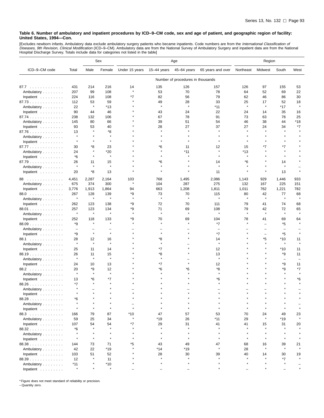[Excludes newborn infants. Ambulatory data exclude ambulatory surgery patients who became inpatients. Code numbers are from the *International Classification of*<br>*Diseases, 9th Revision, Clinical Modification* (ICD–9–CM).

|                                  |                    |              | Sex           | Age            |             |                                   | Region            |           |               |                          |               |
|----------------------------------|--------------------|--------------|---------------|----------------|-------------|-----------------------------------|-------------------|-----------|---------------|--------------------------|---------------|
| ICD-9-CM code                    | Total              | Male         | Female        | Under 15 years | 15-44 years | 45-64 years                       | 65 years and over | Northeast | Midwest       | South                    | West          |
|                                  |                    |              |               |                |             | Number of procedures in thousands |                   |           |               |                          |               |
| 87.7                             | 431                | 214          | 216           | 14             | 135         | 126                               | 157               | 126       | 97            | 155                      | 53            |
| Ambulatory                       | 207                | 99           | 108           | $\star$        | 53          | 70                                | 78                | 64        | 52            | 69                       | 22            |
| Inpatient                        | 224                | 116          | 108           | *7             | 82          | 56                                | 79                | 62        | 46            | 86                       | 30            |
| 87.73                            | 112                | 53           | 59            |                | 49          | 28                                | 33                | 25        | 17            | 52                       | 18            |
| Ambulatory                       | 22                 | $\pmb{\ast}$ | *13           |                | $\star$     | $\star$                           | $*11$             | $\star$   | $\star$       | $*17$                    | $\star$       |
| Inpatient                        | 90                 | 44           | 46            |                | 43          | 24                                | 22                | 24        | 14            | 35                       | 16            |
| 87.74                            | 238                | 132          | 106           |                | 67          | 78                                | 91                | 73        | 63            | 78                       | 25            |
| Ambulatory                       | 145                | 80           | 66            |                | 39          | 51                                | 54                | 46        | 38            | 44                       | *18           |
| Inpatient                        | 93                 | 53           | 40            |                | 28          | 27                                | 37                | 27        | 24            | 34                       | *7            |
| 87.76                            | 13                 | $\star$      | *8            |                |             |                                   |                   |           |               | $\star$                  |               |
| Ambulatory                       | $\star$            |              | $\star$       |                |             |                                   |                   |           |               |                          |               |
| Inpatient                        | $\star$            |              | $\star$       |                |             |                                   |                   |           |               |                          |               |
| 87.77                            | 30                 | *8           | 23            |                | *6          | 11                                | 12                | 15        | *7            | *7                       |               |
| Ambulatory                       | 24                 | $\star$      | *20           |                |             | *11                               |                   | $*13$     |               |                          |               |
| Inpatient                        | *6                 | $\star$      | $\star$       |                |             |                                   |                   |           |               |                          |               |
| 87.79                            | 26                 | 11           | 15            |                | *6          |                                   | 14                | *6        |               | 14                       |               |
| Ambulatory                       | $\star$            | $\star$      | $\star$       |                |             |                                   |                   |           |               |                          |               |
| Inpatient                        | 20                 | *8           | 13            |                |             |                                   | 11                |           | $\star$       | 13                       |               |
| 88<br>.                          | 4,451              | 2,287        | 2,164         | 103            | 768         | 1,495                             | 2,086             | 1,143     | 929           | 1,446                    | 933           |
| Ambulatory                       | 675                | 374          | 300           | $\star$        | 104         | 287                               | 275               | 132       | 167           | 225                      | 151           |
| Inpatient                        | 3,776              | 1,913        | 1,864         | 94             | 663         | 1,208                             | 1,811             | 1,011     | 762           | 1,221                    | 782           |
| 88.0                             | 267                | 128          | 139           | *9             | 73          | 70                                | 115               | 80        | 42            | 77                       | 68            |
| Ambulatory                       | $\star$            | $\pmb{\ast}$ | $\star$       | $\star$        | $\star$     | $\pmb{\ast}$                      | $\star$           |           | $\star$       | $\star$                  | $\pmb{\ast}$  |
| Inpatient                        | 262                | 123          | 138           | *9             | 72          | 70                                | 111               | 79        | 41            | 74                       | 68            |
| 88.01                            | 257                | 123          | 134           | *9             | 71          | 69                                | 108               | 79        | 42            | 72                       | 65            |
| Ambulatory                       | $\star$            | $\star$      | $\star$       |                | $\star$     | $\star$                           | $\star$           |           | $\star$       | $\star$                  |               |
| Inpatient                        | 252                | 118          | 133           | *9             | 70          | 69                                | 104               | 78        | 41            | 69                       | 64            |
| $88.09$                          | *9                 | $\star$      | $\star$       |                |             |                                   | *7                |           |               | *5                       |               |
| Ambulatory                       | $\qquad \qquad -$  |              |               |                |             |                                   |                   |           |               | L.                       |               |
| Inpatient                        | *9                 | $\star$      | $\star$       |                |             |                                   | $*7$              |           | L,            | *5                       |               |
| 88.1                             | 28                 | 12           | 16            |                | *8          |                                   | 14                |           | *5            | $*10$                    | 11            |
| Ambulatory                       | $\star$            | $\star$      | $\star$       |                |             |                                   | $\star$           |           | $\star$       | $\star$                  |               |
| Inpatient                        | 25                 | 11           | 14            |                | $*7$        |                                   | 12                |           |               | $*10$                    | 11            |
| 88.19.                           | 26                 | 11           | 15            |                | *8          |                                   | 13                |           |               | *9                       | 11            |
| Ambulatory                       | $\star$            | $\star$      | $\star$       |                | $\star$     |                                   | $\star$           |           |               | $\overline{\phantom{0}}$ |               |
| Inpatient                        | 24                 | 10           | 13            |                | *7          |                                   | 12                |           |               | *9                       | 11            |
| 88.2                             | 20                 | *9           | 12            |                | *6          |                                   | *8                |           |               | *9                       | *7            |
| Ambulatory                       | $\star$            | $\pmb{\ast}$ | $\star$       |                |             |                                   |                   |           |               |                          |               |
| Inpatient                        | 13                 | $*6$         | *7            |                |             |                                   | *6                |           |               |                          | *6            |
| 88.26                            | $*7$               | $\star$      |               |                |             |                                   |                   |           |               |                          |               |
| Ambulatory                       |                    |              |               |                |             |                                   |                   |           |               |                          |               |
| Inpatient                        |                    |              |               |                |             |                                   |                   |           |               |                          |               |
| 88.28                            | *6                 |              |               |                |             |                                   |                   |           |               |                          |               |
| Ambulatory                       | $\star$<br>$\star$ |              | $\star$       | $\star$        |             |                                   |                   |           |               |                          |               |
| Inpatient                        |                    |              |               |                |             |                                   |                   |           |               |                          |               |
| 88.3                             | 166                | 79           | 87            | *10            | 47          | 57                                | 53                | 70        | 24            | 49                       | 23            |
| Ambulatory                       | 59                 | 25           | 34            | $\star$        | $*19$       | 26                                | $*11$             | 29        | $\star$       | $*19$                    | $\star$       |
| Inpatient                        | 107                | 54           | 54<br>$\star$ | *7             | 29          | 31<br>$\star$                     | 41                | 41        | 15<br>$\star$ | 31                       | 20            |
| 88.32                            | *6                 |              |               |                |             |                                   |                   |           |               |                          |               |
| Ambulatory                       | $\star$            | $\star$      | $\star$       | $\star$        |             | $\star$                           |                   |           |               |                          |               |
| Inpatient                        | $\star$            | $\star$      | $\star$       | $\star$        |             |                                   |                   |           | $\star$       | $\star$                  |               |
| 88.38                            | 144                | 73           | 71            | *5             | 43          | 49                                | 47<br>$\star$     | 68        | 16<br>$\star$ | 39<br>$\star$            | 21<br>$\star$ |
| Ambulatory                       | 42                 | 22           | *19           |                | *14         | *19                               |                   | 28        |               |                          |               |
| Inpatient $\ldots \ldots \ldots$ | 103                | 51           | 52            |                | 28          | 30                                | 39                | 40        | 14            | 30                       | 19            |
| 88.39                            | 12                 |              | 11            |                |             |                                   |                   |           |               | *7                       |               |
| Ambulatory                       | *11                |              | $*10$         |                |             |                                   |                   |           |               |                          |               |
| Inpatient                        | $\star$            |              | $\star$       |                |             |                                   |                   |           |               |                          |               |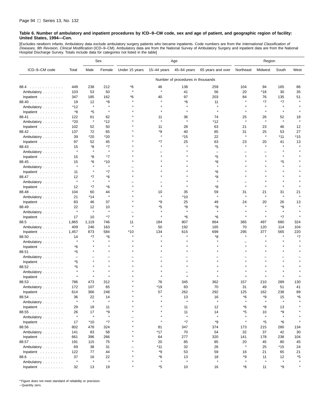[Excludes newborn infants. Ambulatory data exclude ambulatory surgery patients who became inpatients. Code numbers are from the *International Classification of*<br>*Diseases, 9th Revision, Clinical Modification* (ICD–9–CM). Hospital Discharge Survey. Totals include data for categories not listed in the table]

|                                  |               |               | Sex           | Age            |               |                                   | Region            |               |               |               |         |
|----------------------------------|---------------|---------------|---------------|----------------|---------------|-----------------------------------|-------------------|---------------|---------------|---------------|---------|
| ICD-9-CM code                    | Total         | Male          | Female        | Under 15 years | $15-44$ years | 45-64 years                       | 65 years and over | Northeast     | Midwest       | South         | West    |
|                                  |               |               |               |                |               | Number of procedures in thousands |                   |               |               |               |         |
| 88.4<br>.                        | 449           | 238           | 212           | *6             | 46            | 138                               | 259               | 104           | 94            | 165           | 86      |
| Ambulatory                       | 103           | 53            | 50            |                | $\star$       | 41                                | 56                | 20            | *18           | 30            | 35      |
| Inpatient                        | 347           | 185           | 162           | *6             | 40            | 97                                | 203               | 84            | 76            | 135           | 51      |
| 88.40                            | 19            | 12            | *8            |                |               | *6                                | 11                |               | *7            | *7            |         |
| Ambulatory                       | *12           | $\star$       |               |                |               |                                   |                   |               |               |               |         |
| Inpatient                        | *8            | *5            | $\star$       |                |               |                                   |                   |               |               |               |         |
| 88.41                            | 122           | 61            | 62            |                | 11            | 36                                | 74                | 25            | 26            | 52            | 18      |
| Ambulatory                       | *20           | $\star$       | *12           |                |               |                                   | *12               |               | $\star$       | $\star$       |         |
| Inpatient                        | 102           | 52            | 50            |                | 11            | 28                                | 63                | 21            | 23            | 46            | 12      |
| 88.42                            | 137           | 72            | 65            |                | *9            | 40                                | 85                | 31            | 25            | 53            | 27      |
| Ambulatory                       | 39            | *20           | $*20$         |                | $\star$       | *15                               | 22                | $\pmb{\ast}$  | $\star$       | $*11$         | $*15$   |
| Inpatient                        | 97            | 52            | 45            |                | *7            | 25                                | 63                | 23            | 20            | 41            | 13      |
| 88.43                            | 15            | *8            | *7            |                |               |                                   | *5                | $\star$       | $\star$       |               |         |
| Ambulatory                       | $\star$       | $\star$       | $\pmb{\ast}$  |                |               |                                   |                   |               |               |               |         |
| Inpatient                        | 15            | *8            | *7            |                |               |                                   | *5                |               |               |               |         |
|                                  | 15            | *6            | $*10$         |                |               |                                   | *8                |               |               | *5            |         |
| 88.45                            |               |               | $\star$       |                |               |                                   | $\star$           |               |               |               |         |
| Ambulatory                       |               | $\star$       | $*7$          |                |               |                                   |                   |               |               |               |         |
| Inpatient                        | 11            |               |               |                |               |                                   | *6                |               |               |               |         |
| 88.47                            | 12<br>$\star$ | *7            | *6<br>$\star$ |                |               |                                   | *8                |               |               |               |         |
| Ambulatory                       |               |               |               |                |               |                                   |                   |               |               |               |         |
| Inpatient                        | 12            | *7            | *6            |                |               |                                   | *8                |               |               |               |         |
| 88.48                            | 104           | 60            | 44<br>$\star$ |                | 10<br>$\star$ | 35                                | 59<br>$\star$     | 31<br>$\star$ | 21<br>$\star$ | 31<br>$\star$ | 21      |
| Ambulatory                       | 21            | *14           |               |                |               | $*10$                             |                   |               |               |               |         |
| Inpatient                        | 83            | 46            | 37            |                | *9            | 25                                | 49                | 24            | 20<br>$\star$ | 26            | 13      |
| 88.49                            | 22<br>$\star$ | 12<br>$\star$ | 10<br>$\star$ |                | *5<br>$\star$ | *8<br>$\star$                     | *9<br>$\star$     |               |               | *9<br>$\star$ |         |
| Ambulatory                       |               |               |               |                |               |                                   |                   |               |               |               |         |
| Inpatient                        | 17            | 10            | *7            |                |               | *6                                | *6                |               | $\star$       | *7            |         |
| 88.5                             | 1,865         | 1,119         | 746           | 11             | 184           | 807                               | 864               | 365           | 497           | 680           | 324     |
| Ambulatory                       | 409           | 246           | 163           |                | 50            | 192                               | 165               | 70            | 120           | 114           | 104     |
| Inpatient                        | 1,457         | 873           | 584           | *10            | 134           | 615                               | 699               | 295           | 377           | 565           | 220     |
| 88.50                            | 14            | *7            | *6            |                |               |                                   | *8                | $\star$       |               | $\star$       | *7      |
| Ambulatory                       | $\star$       |               |               |                |               |                                   |                   |               |               |               |         |
| Inpatient                        | *6            |               |               |                |               |                                   |                   |               |               |               |         |
| 88.51                            | *5            |               |               |                |               |                                   |                   |               |               |               |         |
| Ambulatory                       |               |               |               |                |               |                                   |                   |               |               |               |         |
| Inpatient                        | *5            |               |               |                |               |                                   |                   |               |               |               |         |
| 88.52                            | *5            |               |               |                |               |                                   |                   |               |               |               |         |
| Ambulatory                       | $\star$       |               |               |                |               |                                   |                   |               |               |               |         |
| Inpatient                        |               |               |               |                |               |                                   |                   |               |               |               |         |
| 88.53                            | 786           | 473           | 312           |                | 76            | 345                               | 362               | 157           | 210           | 289           | 130     |
| Ambulatory                       | 172           | 107           | 65            |                | *19           | 83                                | 70                | 31            | 49            | 51            | 41      |
| Inpatient                        | 614           | 366           | 248           |                | 57            | 262                               | 292               | 125           | 162           | 238           | 89      |
| 88.54                            | 36            | 22            | 14            |                |               | 13                                | 16                | *6            | *9            | 15            | *6      |
| Ambulatory                       | $\star$       | $\star$       | $\star$       |                |               | $\star$                           | $\star$           | $\star$       | $\star$       | $\star$       |         |
| Inpatient $\ldots \ldots \ldots$ | 29            | 18            | 11            |                |               | 11                                | 12                | *6            | *8            | 13            |         |
| 88.55                            | 26            | 17            | *9            |                |               | 11                                | 14                | *5            | 10            | *9            |         |
| Ambulatory                       | $\star$       | $\star$       | $\star$       |                |               | $\star$                           | $\star$           | $\star$       | $\star$       | $\star$       |         |
| Inpatient $\ldots \ldots \ldots$ | 17            | *10           | *7            |                |               | $*7$                              | *9                | $\star$       | *5            | *6            |         |
| 88.56                            | 802           | 478           | 324           |                | 81            | 347                               | 374               | 173           | 215           | 280           | 134     |
| Ambulatory                       | 141           | 83            | 58            |                | *17           | 70                                | 54                | 32            | 37            | 42            | 30      |
| Inpatient                        | 661           | 396           | 266           |                | 64            | 277                               | 320               | 141           | 178           | 238           | 104     |
| 88.57                            | 191           | 115           | 75            |                | 20            | 85                                | 85                | 20            | 45            | 80            | 45      |
| Ambulatory                       | 69            | 38            | 31            |                | *11           | 32                                | 26                | $\star$       | 25            | *15           | 24      |
| Inpatient                        | 122           | 77            | 44            |                | *9            | 53                                | 59                | 16            | 21            | 65            | 21      |
| 88.6                             | 37            | 16            | 22            |                | *6            | 13                                | 18                | *9            | 11            | 12            | *5      |
| Ambulatory                       | $\star$       | $\star$       | $\star$       |                | $\star$       | $\star$                           | $\star$           | $\star$       | $\star$       | $\star$       |         |
| Inpatient                        | 32            | 13            | 19            | $\star$        | *5            | 10                                | 16                | *8            | 11            | *9            | $\star$ |

\* Figure does not meet standard of reliability or precision.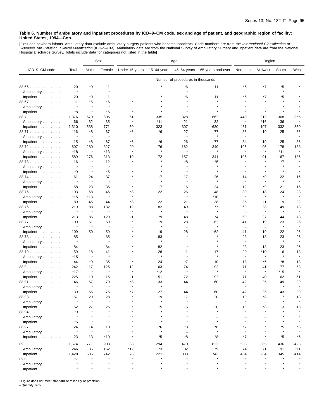[Excludes newborn infants. Ambulatory data exclude ambulatory surgery patients who became inpatients. Code numbers are from the *International Classification of*<br>*Diseases, 9th Revision, Clinical Modification* (ICD–9–CM).

|                                           |               |                          | Sex                     | Age                      |                          |                                   | Region                   |                          |                          |                          |                    |
|-------------------------------------------|---------------|--------------------------|-------------------------|--------------------------|--------------------------|-----------------------------------|--------------------------|--------------------------|--------------------------|--------------------------|--------------------|
| ICD-9-CM code                             | Total         | Male                     | Female                  | Under 15 years           | $15-44$ years            | 45-64 years                       | 65 years and over        | Northeast                | Midwest                  | South                    | West               |
|                                           |               |                          |                         |                          |                          | Number of procedures in thousands |                          |                          |                          |                          |                    |
| 88.66                                     | 20            | *9                       | 11                      |                          |                          | *6                                | 11                       | *6                       | *7                       | *5                       |                    |
| Ambulatory                                | $\star$       | $\overline{\phantom{0}}$ | $\pmb{\ast}$            |                          |                          | $\star$                           | $\equiv$                 | $\overline{\phantom{0}}$ | $\overline{\phantom{m}}$ | $\star$                  |                    |
| Inpatient                                 | 20            | *9                       | 11                      | $\overline{\phantom{0}}$ |                          | *6                                | 11                       | *6                       | *7                       | *5                       |                    |
| 88.67                                     | 11            | *5                       | *6                      |                          |                          |                                   | ×                        |                          |                          | $\star$                  |                    |
| Ambulatory                                | $\star$       | $\star$                  | $\pmb{\ast}$            |                          |                          |                                   | $\star$                  |                          |                          |                          |                    |
| Inpatient                                 | *8            | $\star$                  | *5                      |                          |                          |                                   |                          |                          | $\star$                  | $\star$                  |                    |
| 88.7                                      | 1,376         | 570                      | 806                     | 51                       | 335                      | 328                               | 662                      | 440                      | 213                      | 368                      | 355                |
| Ambulatory                                | 66            | 32                       | 35                      |                          | *11                      | 21                                | 32                       |                          | *16                      | 36                       |                    |
| Inpatient                                 | 1,310         | 538                      | 771                     | 50                       | 323                      | 307                               | 630                      | 431                      | 197                      | 332                      | 350                |
| 88.71                                     | 116           | 48<br>$\star$            | 67<br>$\star$           | *6                       | *6                       | 27<br>$\star$                     | 77<br>$\star$            | 35<br>$\star$            | 19                       | 25                       | 36<br>$\pmb{\ast}$ |
| Ambulatory                                | $\star$       |                          |                         | $\overline{\phantom{m}}$ | $\overline{\phantom{0}}$ |                                   |                          |                          | $\overline{\phantom{0}}$ | $\overline{\phantom{0}}$ |                    |
| Inpatient                                 | 115           | 48                       | 67                      | *6                       | *6                       | 26                                | 77                       | 34                       | 19                       | 25                       | 36                 |
| 88.72                                     | 607           | 280<br>$\star$           | 327                     | 20                       | 76<br>$\star$            | 162<br>$\star$                    | 349<br>$\star$           | 196                      | 95<br>$\star$            | 178                      | 138<br>$\star$     |
| Ambulatory                                | *18           |                          | *13                     |                          |                          |                                   |                          |                          |                          | *11                      |                    |
| Inpatient                                 | 589           | 276                      | 313                     | 19                       | 72                       | 157                               | 341                      | 195                      | 91                       | 167                      | 136                |
| 88.73                                     | 16<br>$\star$ | $\pmb{\ast}$             | 12<br>$\star$           |                          |                          | *8<br>$\star$                     | *5<br>$\star$            |                          |                          | $*7$                     |                    |
| Ambulatory                                | *9            | $\star$                  | *5                      |                          |                          | $\star$                           |                          |                          |                          |                          |                    |
| Inpatient $\ldots$ ,<br>88.74             | 61            | 24                       | 37                      |                          | 17                       | 17                                | 26                       | 14                       | *9                       | 22                       | 16                 |
| Ambulatory                                | $\star$       | $\star$                  | $\star$                 |                          | $\star$                  | $\star$                           |                          |                          | $\star$                  | $\star$                  |                    |
| Inpatient                                 | 58            | 23                       | 35                      |                          | 17                       | 16                                | 24                       | 12                       | *9                       | 21                       | 15                 |
| 88.75                                     | 103           | 58                       | 45                      | *8                       | 22                       | 26                                | 48                       | 39                       | 18                       | 24                       | 23                 |
| Ambulatory                                | *15           | *13                      | $\pmb{\ast}$            |                          | $\overline{\phantom{m}}$ | $\star$                           | *10                      | $\pmb{\ast}$             |                          | $\star$                  | $\star$            |
| Inpatient                                 | 89            | 45                       | 44                      | *8                       | 22                       | 21                                | 38                       | 35                       | 11                       | 19                       | 22                 |
| 88.76                                     | 219           | 88                       | 132                     | 12                       | 82                       | 49                                | 77                       | 69                       | 28                       | 49                       | 73                 |
| Ambulatory                                | $\star$       | $\star$                  | $\star$                 | $\star$                  | $\pmb{\ast}$             | $\star$                           | $\star$                  | $\overline{\phantom{0}}$ | $\star$                  | $\star$                  |                    |
| Inpatient                                 | 213           | 85                       | 129                     | 11                       | 79                       | 48                                | 74                       | 69                       | 27                       | 44                       | 73                 |
| 88.77                                     | 109           | 51                       | 59                      |                          | 19                       | 28                                | 62                       | 41                       | 19                       | 23                       | 26                 |
| Ambulatory                                | $\star$       | $\pmb{\ast}$             | $\pmb{\ast}$            |                          | $\star$                  | $\overline{\phantom{0}}$          | $\pmb{\ast}$             | $\overline{\phantom{0}}$ | $\overline{\phantom{0}}$ | $\pmb{\ast}$             | $\star$            |
| Inpatient                                 | 109           | 50                       | 59                      |                          | 19                       | 28                                | 62                       | 41                       | 19                       | 22                       | 26                 |
| 88.78                                     | 85            | $\qquad \qquad -$        | 85                      |                          | 83                       | $\star$                           |                          | 23                       | 13                       | 23                       | 26                 |
| Ambulatory                                | ×             | $\qquad \qquad -$        | $\pmb{\ast}$            |                          | $\star$                  |                                   |                          |                          | $\overline{\phantom{0}}$ | $\pmb{\ast}$             | $\star$            |
| Inpatient                                 | 84            | $\qquad \qquad -$        | 84                      |                          | 82                       | $\star$                           |                          | 23                       | 13                       | 23                       | 26                 |
| 88.79                                     | 59            | 18                       | 41                      |                          | 28                       | 11                                | 17                       | 20                       | *10                      | 16                       | 13                 |
| Ambulatory                                | *15           | $\star$                  | $\pmb{\ast}$            |                          | $\pmb{\ast}$             | $\star$                           | $\star$                  | $\star$                  |                          | $\star$                  | $\star$            |
| Inpatient                                 | 44            | *9                       | 35                      |                          | 24                       | *7                                | 10                       | 18                       | *6                       | *8                       | 13                 |
| 88.9                                      | 242           | 117                      | 125                     | 12                       | 63                       | 74                                | 92                       | 71                       | 41                       | 77                       | 53                 |
| Ambulatory                                | *17           | $\star$                  | $\star$                 | $\star$                  | *12                      | $\star$                           | $\star$                  | $\star$                  | $\star$                  | *15                      | $\star$            |
| Inpatient                                 | 225           | 110                      | 115                     | 11                       | 51                       | 72                                | 92                       | 71                       | 40                       | 62                       | 51                 |
| 88.91                                     | 146           | 67                       | 79                      | *8                       | 33                       | 44                                | 60                       | 42                       | 25                       | 49                       | 29                 |
| Ambulatory                                | ×             | ×                        | $\pmb{\ast}$            |                          |                          |                                   |                          |                          | $\overline{\phantom{m}}$ |                          |                    |
| Inpatient                                 | 139           | 65                       | 75                      | $*7$                     | 27                       | 44                                | 60                       | 42                       | 25                       | 43                       | 29                 |
| 88.93                                     | 57<br>$\star$ | 29<br>$\star$            | 28<br>$\star$           |                          | 19<br>$\star$            | 17<br>$\star$                     | 20                       | 19<br>$\star$            | *8                       | 17<br>$\star$            | 13<br>$\star$      |
| Ambulatory                                |               |                          |                         |                          |                          |                                   | $\overline{\phantom{0}}$ |                          |                          |                          |                    |
| Inpatient $\ldots \ldots \ldots$          | 52            | 27<br>$\pmb{\ast}$       | 26                      |                          | 15                       | 16                                | 20                       | 19                       | *8                       | 13                       | 13                 |
| 88.94                                     | *9<br>$\star$ |                          |                         |                          |                          | $\star$                           |                          |                          |                          |                          |                    |
| Ambulatory                                | *5            |                          |                         |                          |                          | $\star$                           | $\star$                  | $\star$                  |                          |                          |                    |
| Inpatient $\ldots \ldots \ldots$<br>88.97 | 24            | 14                       | 10                      |                          | *6                       | *8                                | *8                       | *7                       |                          | *5                       | *6                 |
| Ambulatory                                | $\star$       | $\star$                  | $\star$                 |                          | $\star$                  | $\equiv$                          | $\star$                  | $\star$                  |                          | $\star$                  |                    |
| Inpatient                                 | 23            | 13                       | $*10$                   |                          | *5                       | *8                                | *8                       | $*7$                     |                          | *5                       | *6                 |
|                                           |               |                          |                         |                          |                          |                                   |                          |                          |                          |                          |                    |
| 89                                        | 1,674         | 771                      | 903                     | 88                       | 294                      | 470                               | 822                      | 508                      | 305                      | 436                      | 425                |
| Ambulatory                                | 246           | 85                       | 162                     | *12                      | 73                       | 82                                | 79                       | 74                       | 71                       | 91                       | *11                |
| Inpatient                                 | 1,428         | 686                      | 742                     | 76                       | 221                      | 388                               | 743                      | 434                      | 234                      | 345                      | 414                |
| 89.0                                      | *7<br>$\star$ |                          | $\pmb{\ast}$<br>$\star$ |                          |                          | $\star$                           | $\star$                  |                          |                          |                          |                    |
| Ambulatory                                |               |                          | $\star$                 |                          |                          | $\star$                           | $\star$                  |                          |                          |                          |                    |
| Inpatient                                 |               |                          |                         |                          |                          |                                   |                          |                          |                          |                          |                    |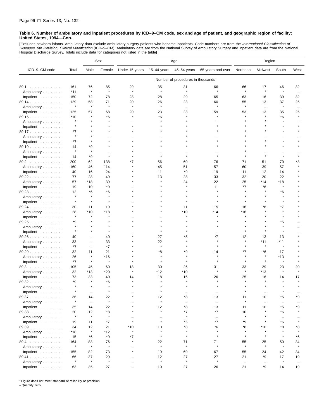[Excludes newborn infants. Ambulatory data exclude ambulatory surgery patients who became inpatients. Code numbers are from the *International Classification of*<br>*Diseases, 9th Revision, Clinical Modification* (ICD–9–CM). Hospital Discharge Survey. Totals include data for categories not listed in the table]

|                                  |              |                          | Sex          | Age            |                          |                                   | Region                   |                          |                          |                          |                          |
|----------------------------------|--------------|--------------------------|--------------|----------------|--------------------------|-----------------------------------|--------------------------|--------------------------|--------------------------|--------------------------|--------------------------|
| ICD-9-CM code                    | Total        | Male                     | Female       | Under 15 years | $15-44$ years            | 45-64 years                       | 65 years and over        | Northeast                | Midwest                  | South                    | West                     |
|                                  |              |                          |              |                |                          | Number of procedures in thousands |                          |                          |                          |                          |                          |
| 89.1                             | 161          | 76                       | 85           | 29             | 35                       | 31                                | 66                       | 66                       | 17                       | 46                       | 32                       |
| Ambulatory                       | $*11$        | $\star$                  | $\star$      | $\star$        | $\star$                  | $\star$                           | $\star$                  | $\star$                  | $\star$                  | $\star$                  | $\overline{\phantom{0}}$ |
| Inpatient                        | 150          | 72                       | 78           | 28             | 28                       | 29                                | 65                       | 63                       | 16                       | 39                       | 32                       |
| 89.14                            | 129          | 58                       | 71           | 20             | 26                       | 23                                | 60                       | 55                       | 13                       | 37                       | 25                       |
| Ambulatory                       | $\pmb{\ast}$ | $\star$                  | $\star$      | $\star$        | $\star$                  |                                   | $\star$                  | $\star$                  | $\overline{\phantom{0}}$ | $\star$                  |                          |
| Inpatient                        | 125          | 57                       | 68           | 20             | 23                       | 23                                | 59                       | 53                       | 13                       | 35                       | 25                       |
| 89.15                            | $*10$        |                          | *6           |                | *6                       |                                   |                          |                          |                          | *6                       |                          |
| Ambulatory                       | $\star$      |                          |              |                |                          |                                   |                          |                          |                          |                          |                          |
| Inpatient                        | $\star$      |                          |              |                |                          |                                   |                          |                          |                          |                          |                          |
| 89.17                            | *7           |                          |              |                |                          |                                   |                          |                          |                          |                          |                          |
| Ambulatory                       | $\star$      |                          |              |                |                          |                                   |                          |                          |                          |                          |                          |
| Inpatient                        | *7           |                          |              |                |                          |                                   |                          |                          |                          |                          |                          |
| 89.19                            | 14           | *9                       |              |                |                          |                                   |                          |                          |                          |                          |                          |
| Ambulatory                       | $\star$      | $\star$                  |              |                |                          |                                   |                          |                          |                          |                          |                          |
| Inpatient                        | 14           | *9                       | $\star$      |                | $\star$                  |                                   |                          |                          |                          | $\star$                  |                          |
| 89.2                             | 200          | 62                       | 138          | *7             | 56                       | 60                                | 76                       | 71                       | 51                       | 70                       | *8                       |
| Ambulatory                       | 160          | 46                       | 114          |                | 45                       | 51                                | 57                       | 60                       | 39                       | 57                       |                          |
| Inpatient                        | 40           | 16                       | 24           |                | 11                       | *9                                | 19                       | 11                       | 12                       | 14                       |                          |
| 89.22                            | 77           | 28                       | 49           |                | 13                       | 28                                | 33                       | 32                       | 20                       | 22                       |                          |
| Ambulatory                       | 57           | *18                      | 39           |                |                          | 24                                | 22                       | 25                       | *14                      | *18                      |                          |
| Inpatient                        | 19           | 10                       | *9           |                |                          |                                   | 11                       | *7                       | *6                       |                          |                          |
| 89.23                            | 12           | *6                       | *6           |                |                          |                                   |                          |                          |                          | *6                       |                          |
| Ambulatory                       | $\star$      | $\star$                  | $\pmb{\ast}$ |                |                          |                                   |                          |                          |                          |                          |                          |
| Inpatient                        | $\star$      | $\pmb{\ast}$             |              |                |                          |                                   |                          |                          |                          | 大                        |                          |
| 89.24                            | 30           | 11                       | 19           |                |                          | 11                                | 15                       | 16                       | *6                       | *7                       |                          |
| Ambulatory                       | 28           | *10                      | *18          |                |                          | *10                               | $*14$                    | *16                      |                          | $\star$                  |                          |
| Inpatient                        | $\star$      |                          |              |                |                          |                                   |                          |                          |                          |                          |                          |
| 89.25                            | *9           |                          |              |                |                          |                                   |                          |                          |                          | *5                       |                          |
| Ambulatory                       | $\star$      |                          |              |                |                          |                                   |                          |                          |                          | $\star$                  |                          |
| Inpatient                        | $\star$      |                          |              |                |                          |                                   |                          |                          |                          |                          |                          |
| 89.26                            | 40           | -                        | 40           |                | 27                       | *5                                | *7                       | 12                       | 13                       | 13                       |                          |
| Ambulatory                       | 33           | $\qquad \qquad -$        | 33           |                | 22                       |                                   |                          |                          | *11                      | *11                      |                          |
| Inpatient                        | *7           | $\overline{\phantom{0}}$ | *7           |                | $\pmb{\ast}$             |                                   |                          |                          | $\star$                  | $\star$                  |                          |
| 89.29                            | 32           | 11                       | 21           |                | *8                       | *9                                | 14                       | *7                       | *6                       | 17                       |                          |
| Ambulatory                       | 26           | $\pmb{\ast}$             | $*16$        |                |                          |                                   |                          |                          |                          | *13                      |                          |
| Inpatient                        | $*7$         | $\star$                  | $\pmb{\ast}$ |                |                          |                                   |                          | $\star$                  | $\star$                  | $\star$                  |                          |
| 89.3                             | 105          | 45                       | 60           | 18             | 30                       | 26                                | 31                       | 33                       | 29                       | 23                       | 20                       |
| Ambulatory                       | 32           | *13                      | $*20$        |                | *12                      | *10                               |                          |                          | $*13$                    | $\pmb{\ast}$             | Å                        |
| Inpatient                        | 73           | 33                       | 40           | 14             | 18                       | 16                                | 26                       | 25                       | 16                       | 14                       | 17                       |
| 89.32                            | *9           |                          | *6           |                |                          |                                   |                          |                          |                          |                          |                          |
| Ambulatory                       |              |                          |              |                |                          |                                   |                          |                          |                          |                          |                          |
| Inpatient                        |              |                          |              |                |                          |                                   |                          |                          |                          |                          |                          |
| 89.37                            | 36           | 14                       | 22           |                | 12                       | *8                                | 13                       | 11                       | 10                       | *5                       | *9                       |
| Ambulatory                       | $\star$      | $\overline{\phantom{0}}$ | $\pmb{\ast}$ |                | $\star$                  | $\overline{\phantom{0}}$          | $\overline{\phantom{0}}$ | $\star$                  | $\overline{\phantom{0}}$ | L,                       |                          |
| Inpatient $\ldots \ldots \ldots$ | 35           | 14                       | 22           |                | 12                       | *8                                | 13                       | 11                       | 10                       | *5                       | *9                       |
| 89.38                            | 20           | 12                       | *8           |                | $\star$                  | *7                                | *7                       | 10                       |                          | *6                       |                          |
| Ambulatory                       | $\star$      | $\star$                  | $\pmb{\ast}$ | $\equiv$       | $\overline{\phantom{0}}$ | $\pmb{\ast}$                      | $\overline{\phantom{a}}$ | $\star$                  |                          | $\overline{\phantom{0}}$ |                          |
| Inpatient $\ldots \ldots \ldots$ | 19           | 11                       | $*7$         | $\star$        | $\star$                  | *5                                | $*7$                     | *9                       |                          | $*6$                     | $\star$                  |
| 89.39                            | 34           | 12                       | 21           | *10            | 10                       | *8                                | $^*6$                    | *8                       | *10                      | *8                       | *8                       |
| Ambulatory                       | *18          | $\star$                  | $*12$        | $\star$        | $\star$                  | $\star$                           | $\star$                  | $\star$                  | $\star$                  | $\star$                  | $\star$                  |
| Inpatient                        | 15           | $*6$                     | *9           | *7             | $\star$                  | $\star$                           | $\star$                  | $\star$                  | $\star$                  | $\star$                  | *6                       |
| 89.4                             | 164          | 88                       | 76           |                | 22                       | 71                                | 71                       | 55                       | 25                       | 50                       | 34                       |
| Ambulatory                       | $\star$      | $\pmb{\ast}$             | $\pmb{\ast}$ |                | $\star$                  | $\star$                           | $\star$                  | $\star$                  | $\star$                  | $\star$                  | $\star$                  |
| Inpatient                        | 155          | 82                       | 73           | $\star$        | 19                       | 69                                | 67                       | 55                       | 24                       | 42                       | 34                       |
| 89.41                            | 66           | 37                       | 29           |                | 12                       | 27                                | 27                       | 21                       | *9                       | 17                       | 19                       |
| Ambulatory                       | $\star$      | $\star$                  | $\star$      |                | $\star$                  | $\star$                           | $\star$                  | $\overline{\phantom{m}}$ | $\qquad \qquad -$        | $\star$                  | $\overline{\phantom{0}}$ |
| Inpatient                        | 63           | 35                       | 27           |                | 10                       | 27                                | 26                       | 21                       | *9                       | 14                       | 19                       |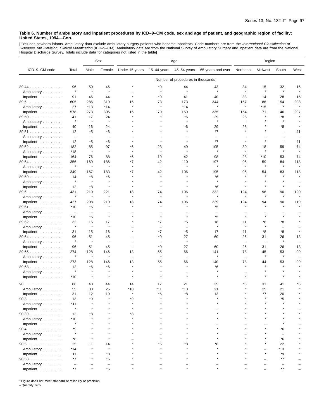[Excludes newborn infants. Ambulatory data exclude ambulatory surgery patients who became inpatients. Code numbers are from the *International Classification of*<br>*Diseases, 9th Revision, Clinical Modification* (ICD–9–CM).

|                                  |                          |                   | Sex                      | Age            |                          |                                   | Region                   |                          |                          |                          |         |
|----------------------------------|--------------------------|-------------------|--------------------------|----------------|--------------------------|-----------------------------------|--------------------------|--------------------------|--------------------------|--------------------------|---------|
| ICD-9-CM code                    | Total                    | Male              | Female                   | Under 15 years | $15-44$ years            | 45-64 years                       | 65 years and over        | Northeast                | Midwest                  | South                    | West    |
|                                  |                          |                   |                          |                |                          | Number of procedures in thousands |                          |                          |                          |                          |         |
| 89.44                            | 96                       | 50                | 46                       |                | *9                       | 44                                | 43                       | 34                       | 15                       | 32                       | 15      |
| Ambulatory                       | $\star$                  | $\star$           | $\star$                  |                | $\star$                  | $\star$                           | $\star$                  | $\star$                  | $\star$                  | $\star$                  | $\star$ |
| Inpatient                        | 91                       | 46                | 44                       |                | *9                       | 41                                | 40                       | 33                       | 14                       | 28                       | 15      |
| 89.5                             | 605                      | 286               | 319                      | 15             | 73                       | 173                               | 344                      | 157                      | 86                       | 154                      | 208     |
| Ambulatory                       | 27                       | *13               | *14                      | $\star$        | $\pmb{\ast}$             | $*14$                             | $\star$                  | $\star$                  | *15                      | $\pmb{\ast}$             |         |
| Inpatient                        | 578                      | 273               | 305                      | 15             | 70                       | 159                               | 335                      | 154                      | 71                       | 146                      | 207     |
| 89.50                            | 41                       | 17                | 24                       |                |                          | *6                                | 29                       | 28                       | Å                        | *8                       |         |
| Ambulatory                       | $\star$                  | $\star$           | $\star$                  |                |                          | À                                 | ٨                        | $\overline{\phantom{0}}$ |                          |                          |         |
| Inpatient                        | 40                       | 16                | 24                       |                |                          | *6                                | 29                       | 28                       |                          | *8                       |         |
| 89.51                            | 12                       | *5                | *6                       |                |                          |                                   | $*7$                     |                          |                          | $\overline{\phantom{0}}$ | 11      |
| Ambulatory                       | $\overline{\phantom{m}}$ | $\qquad \qquad -$ | $\overline{\phantom{0}}$ |                |                          |                                   | $\overline{\phantom{0}}$ |                          |                          | $\overline{\phantom{0}}$ |         |
| Inpatient                        | 12                       | *5                | *6                       |                |                          | $\star$                           | *7                       | $\star$                  | $\star$                  | $\overline{\phantom{0}}$ | 11      |
| 89.52                            | 182                      | 85                | 97                       | *6             | 23                       | 49                                | 105                      | 30                       | 18                       | 59                       | 74      |
| Ambulatory                       | *18                      | $\star$           | $\star$                  |                | $\star$                  | $\star$                           | $\star$                  | $\star$                  | $\star$                  | $\star$                  |         |
| Inpatient                        | 164                      | 76                | 88                       | *6             | 19                       | 42                                | 98                       | 28                       | *10                      | 53                       | 74      |
| 89.54                            | 356                      | 169               | 186                      | *7             | 42                       | 110                               | 197                      | 95                       | 59                       | 84                       | 118     |
| Ambulatory                       | $\star$                  | $\star$           | $\star$                  |                | $\qquad \qquad -$        | $\star$                           | $\star$                  | $\star$                  | $\star$                  | $\star$                  | $\star$ |
| Inpatient                        | 349                      | 167               | 183                      | *7             | 42                       | 106                               | 195                      | 95                       | 54                       | 83                       | 118     |
| 89.59                            | 14                       | *8                | *6                       |                | $\star$                  | $\star$                           | *6                       | $\star$                  | $\star$                  | $\star$                  |         |
| Ambulatory                       | $\star$                  | $\star$           | $\pmb{\ast}$             |                |                          |                                   |                          |                          |                          |                          |         |
| Inpatient                        | 12                       | *8                | $\pmb{\ast}$             |                | $\star$                  | $\star$                           | *6                       |                          | $\star$                  |                          |         |
| 89.6                             | 431                      | 210               | 221                      | 18             | 74                       | 106                               | 232                      | 124                      | 96                       | 90                       | 120     |
| Ambulatory                       | $\star$                  | $\star$           |                          | $\star$        | $\star$                  | $\star$                           | $\star$                  | $\star$                  | $\star$                  | $\pmb{\ast}$             |         |
| Inpatient                        | 427                      | 208               | 219                      | 18             | 74                       | 106                               | 229                      | 124                      | 94                       | 90                       | 119     |
| 89.61                            | $*10$                    | *6                | $\pmb{\ast}$             |                | $\star$                  | $\star$                           | *5                       | $\star$                  | $\star$                  | $\star$                  |         |
| Ambulatory                       | $\overline{\phantom{a}}$ | -                 |                          |                |                          |                                   |                          |                          |                          |                          |         |
| Inpatient                        | *10                      | *6                | $\star$                  |                | $\star$                  | $\star$                           | *5                       |                          | $\star$                  |                          |         |
| 89.62                            | 32                       | 15                | 17                       |                | $*7$                     | *5                                | 18                       | 11                       | *8                       | *8                       |         |
| Ambulatory                       | $\star$                  | ×                 |                          |                | $\overline{\phantom{0}}$ | $\overline{\phantom{0}}$          | ×                        |                          | $\star$                  | ÷                        |         |
| Inpatient                        | 31                       | 15                | 16                       |                | $*7$                     | *5                                | 17                       | 11                       | *8                       | *8                       | $\star$ |
| $89.64$                          | 96                       | 51                | 45                       |                | *9                       | 27                                | 60                       | 26                       | 31                       | 26                       | 13      |
| Ambulatory                       |                          | $\pmb{\ast}$      | $\qquad \qquad -$        |                | -                        | Å                                 |                          | $\overline{\phantom{0}}$ | $\overline{\phantom{a}}$ | $\pmb{\ast}$             |         |
| Inpatient                        | 96                       | 51                | 45                       |                | *9                       | 27                                | 60                       | 26                       | 31                       | 26                       | 13      |
| 89.65                            | 274                      | 128               | 146                      | 13             | 55                       | 66                                | 141                      | 78                       | 45                       | 53                       | 99      |
| Ambulatory                       | $\star$                  | $\star$           | $\pmb{\ast}$             |                | $\star$                  | $\overline{\phantom{0}}$          | $\star$                  | $\qquad \qquad -$        | $\star$                  | $\star$                  |         |
| Inpatient                        | 273                      | 128               | 146                      | 13             | 55                       | 66                                | 140                      | 78                       | 44                       | 53                       | 99      |
| 89.68                            | 12                       | *6                | *6                       |                | $\star$                  | $\star$                           | *6                       | $\star$                  |                          |                          |         |
|                                  | $\star$                  | $\pmb{\ast}$      | $\pmb{\ast}$             |                |                          |                                   |                          |                          |                          |                          |         |
| Ambulatory<br>Inpatient          | *10                      | $\pmb{\ast}$      |                          |                |                          |                                   |                          |                          |                          |                          |         |
|                                  |                          |                   |                          |                |                          |                                   |                          |                          |                          |                          |         |
| 90<br>.                          | 86                       | 43                | 44                       | 14             | 17                       | 21                                | 35                       | *8                       | 31                       | 41                       | *6      |
| Ambulatory                       | 55                       | 30                | 25                       | *10            | *11                      | *13                               | 21                       | $\star$                  | 25                       | 21                       | $\star$ |
| Inpatient                        | 31                       | 12                | 19                       |                | $*_{6}$                  | *R                                | 13                       |                          | $*7$                     | 20                       |         |
| 90.3                             | 13                       | *9                |                          | *9             |                          |                                   |                          |                          |                          | *5                       |         |
| Ambulatory                       | $*11$                    |                   |                          |                |                          |                                   |                          |                          |                          |                          |         |
| Inpatient $\ldots \ldots \ldots$ | $\pmb{\ast}$             |                   |                          |                |                          |                                   |                          |                          |                          |                          |         |
| 90.39                            | 12                       | *8                |                          | *8             |                          |                                   |                          |                          |                          |                          |         |
| Ambulatory                       | $*10$                    |                   |                          |                |                          |                                   |                          |                          |                          |                          |         |
| Inpatient                        |                          |                   |                          |                |                          |                                   |                          |                          |                          |                          |         |
| 90.4                             | *9                       |                   |                          |                |                          |                                   |                          |                          |                          | *6                       |         |
| Ambulatory                       |                          |                   |                          |                |                          |                                   |                          |                          |                          |                          |         |
| Inpatient                        | *8                       |                   |                          |                |                          |                                   |                          |                          |                          | *6                       |         |
| $90.5$                           | 25                       | 11                | 14                       |                | *6                       | *8                                | *8                       |                          |                          | 22                       |         |
| Ambulatory                       | $*14$                    |                   | $\star$                  |                |                          |                                   |                          |                          |                          | $*13$                    |         |
| Inpatient $\ldots \ldots \ldots$ | 11                       |                   | *8                       |                |                          |                                   |                          |                          |                          | *9                       |         |
| 90.53                            | *7                       |                   | *6                       |                |                          |                                   |                          |                          |                          | *7                       |         |
| Ambulatory                       | $\overline{\phantom{m}}$ |                   |                          |                |                          |                                   |                          |                          |                          |                          |         |
| Inpatient                        | *7                       |                   | *6                       |                |                          |                                   |                          |                          |                          | $*7$                     |         |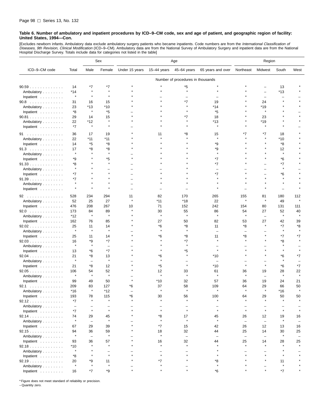[Excludes newborn infants. Ambulatory data exclude ambulatory surgery patients who became inpatients. Code numbers are from the *International Classification of*<br>*Diseases, 9th Revision, Clinical Modification* (ICD–9–CM). Hospital Discharge Survey. Totals include data for categories not listed in the table]

|                                  |                          |                          | Sex          | Age            |                          |                                   | Region                   |                          |                          |                          |                          |
|----------------------------------|--------------------------|--------------------------|--------------|----------------|--------------------------|-----------------------------------|--------------------------|--------------------------|--------------------------|--------------------------|--------------------------|
| ICD-9-CM code                    | Total                    | Male                     | Female       | Under 15 years | 15-44 years              | 45-64 years                       | 65 years and over        | Northeast                | Midwest                  | South                    | West                     |
|                                  |                          |                          |              |                |                          | Number of procedures in thousands |                          |                          |                          |                          |                          |
| 90.59                            | 14                       | *7                       | *7           |                |                          | *5                                |                          |                          |                          | 13                       |                          |
| Ambulatory                       | $*14$                    | $\star$                  | $\pmb{\ast}$ |                |                          | $\star$                           |                          |                          |                          | *13                      |                          |
| Inpatient                        | $\pmb{\ast}$             | $\star$                  | $\star$      |                |                          |                                   |                          |                          | $\overline{\phantom{a}}$ | $\overline{\phantom{0}}$ |                          |
| 90.8                             | 31                       | 16                       | 15           |                |                          | $*7$                              | 19                       |                          | 24                       |                          |                          |
| Ambulatory                       | 23                       | *13                      | $*10$        |                |                          |                                   | *14                      |                          | *19                      |                          |                          |
| Inpatient                        | *8                       | $\pmb{\ast}$             | *5           |                |                          |                                   | *5                       |                          | $\star$                  |                          |                          |
| $90.81$                          | 29                       | 14                       | 15           |                |                          | $*7$                              | 18                       |                          | 23                       |                          |                          |
| Ambulatory                       | 22                       | *12                      | $\star$      |                |                          |                                   | *13                      |                          | *19                      |                          |                          |
| Inpatient                        | *7                       | $\star$                  | $\star$      |                |                          |                                   | $\star$                  |                          | $\star$                  |                          |                          |
| 91                               | 36                       | 17                       | 19           |                | 11                       | *8                                | 15                       | *7                       | *7                       | 18                       |                          |
| Ambulatory                       | 22                       | $*11$                    | *11          |                |                          |                                   | $\star$                  |                          |                          | *10                      |                          |
| Inpatient                        | 14                       | *5                       | *8           |                |                          |                                   | *9                       |                          |                          | *8                       |                          |
| 91.3                             | 17                       | *8                       | *8           |                |                          |                                   | *9                       |                          |                          | 12                       |                          |
| Ambulatory                       | $\star$                  |                          | $\star$      |                |                          |                                   | $\star$                  |                          |                          | $\star$                  |                          |
| Inpatient                        | *9                       |                          | *5           |                |                          |                                   | *7                       |                          |                          | *6                       |                          |
| 91.33                            | *8                       |                          | $\star$      |                |                          |                                   | *7                       |                          |                          | *7                       |                          |
| Ambulatory                       | $\star$                  |                          |              |                |                          |                                   | $\equiv$                 |                          |                          | $\star$                  |                          |
| Inpatient                        | *7                       |                          |              |                |                          |                                   | $*7$                     |                          |                          | *6                       |                          |
| 91.39                            | *7                       |                          |              |                |                          |                                   |                          |                          |                          |                          |                          |
| Ambulatory                       | $\star$                  | $\star$                  |              |                |                          |                                   |                          |                          |                          | $\star$                  |                          |
| Inpatient                        | $\star$                  | $\star$                  |              |                |                          |                                   |                          |                          |                          |                          |                          |
| 92                               | 528                      | 234                      | 294          | 11             | 82                       | 170                               | 265                      | 155                      | 81                       | 180                      | 112                      |
| Ambulatory                       | 52                       | 25                       | 27           | $\star$        | *11                      | *18                               | 22                       | $\star$                  | $\star$                  | 49                       |                          |
| Inpatient                        | 476                      | 208                      | 267          | 10             | 71                       | 152                               | 242                      | 154                      | 80                       | 131                      | 111                      |
| 92.0                             | 173                      | 84                       | 89           |                | 30                       | 55                                | 86                       | 54                       | 27                       | 52                       | 40                       |
| Ambulatory                       | *12                      | $\pmb{\ast}$             | $\star$      |                | $\star$                  | $\star$                           | $\star$                  | $\star$                  | $\overline{\phantom{0}}$ | $\star$                  | $\star$                  |
| Inpatient                        | 162                      | 76                       | 85           |                | 27                       | 50                                | 82                       | 53                       | 27                       | 42                       | 39                       |
| 92.02                            | 25                       | 11                       | 14           |                | *6                       | *8                                | 11                       | *8                       |                          | *7                       | *8                       |
| Ambulatory                       | $\star$                  | $\star$                  | $\star$      |                | $\star$                  | $\star$                           | $\overline{\phantom{0}}$ | $\overline{\phantom{0}}$ |                          | $\pmb{\ast}$             |                          |
| Inpatient                        | 25                       | 11                       | 14           |                | *6                       | *8                                | 11                       | *8                       |                          | *7                       | *7                       |
| $92.03$                          | 16                       | *9                       | $*7$         |                |                          | $*7$                              | $\star$                  | $\star$                  |                          | *8                       |                          |
| Ambulatory                       | $\pmb{\ast}$             | $\star$                  | L.           |                |                          | $\star$                           |                          |                          |                          | $\star$                  |                          |
| Inpatient                        | 13                       | *6                       | $*7$         |                |                          | *5                                | $\star$                  |                          |                          |                          |                          |
| $92.04$                          | 21                       | *8                       | 13           |                | *6                       |                                   | *10                      |                          |                          | *6                       | *7                       |
| Ambulatory                       | $\star$                  | $\qquad \qquad -$        | $\star$      |                |                          |                                   | $\overline{\phantom{0}}$ |                          |                          |                          |                          |
| Inpatient                        | 21                       | *8                       | 12           |                | *5                       | $\star$                           | *10                      | $\star$                  | $\star$                  | *6                       | *7                       |
| 92.05                            | 106                      | 54                       | 52           |                | 12                       | 33                                | 61                       | 36                       | 19                       | 28                       | 22                       |
| Ambulatory                       | $\star$                  | $\star$                  | $\pmb{\ast}$ |                | $\star$                  | $\star$                           | $\star$                  | $\star$                  | $\overline{\phantom{0}}$ | $\star$                  | $\star$                  |
| Inpatient                        | 99                       | 49                       | 50           |                | *10                      | 32                                | 57                       | 36                       | 19                       | 24                       | 21                       |
| 92.1                             | 209                      | 83                       | 127          | *6             | 37                       | 58                                | 109                      | 64                       | 29                       | 66                       | 50                       |
| Ambulatory                       | *16                      | $\star$                  | $*12$        |                | $\star$                  | $\star$                           | $\star$                  | $\star$                  | $\star$                  | *16                      |                          |
| Inpatient                        | 193                      | 78                       | 115          | *6             | 30                       | 56                                | 100                      | 64                       | 29                       | 50                       | 50                       |
| 92.12                            | *7                       | $\star$                  | $\star$      |                | $\star$                  | $\star$                           | $\star$                  | $\star$                  | $\star$                  | $\star$                  |                          |
| Ambulatory                       | $\overline{\phantom{m}}$ | $\overline{\phantom{0}}$ | Ē,           |                | $\overline{\phantom{0}}$ | $\overline{\phantom{0}}$          | $\overline{\phantom{0}}$ | $\overline{\phantom{0}}$ |                          |                          |                          |
| Inpatient                        | *7                       | $\star$                  | $\star$      |                | $\star$                  | $\star$                           | $\star$                  | $\star$                  | $\star$                  | $\star$                  | $\star$                  |
| 92.14                            | 74                       | 29                       | 45           |                | *8                       | 17                                | 45                       | 26                       | 12                       | 19                       | 16                       |
| Ambulatory                       | $\star$                  | $\overline{\phantom{a}}$ | $\star$      |                | $\star$                  | $\star$                           | $\star$                  | $\qquad \qquad -$        | $\qquad \qquad -$        | $\pmb{\ast}$             |                          |
| Inpatient $\ldots \ldots \ldots$ | 67                       | 29                       | 39           |                | *7                       | 15                                | 42                       | 26                       | 12                       | 13                       | 16                       |
| 92.15                            | 94                       | 36                       | 59           |                | 18                       | 32                                | 44                       | 25                       | 14                       | 30                       | 25                       |
| Ambulatory                       | $\star$                  | $\overline{\phantom{0}}$ | $\pmb{\ast}$ |                | $\star$                  | $\qquad \qquad -$                 | $\overline{\phantom{0}}$ | $\qquad \qquad -$        | $\overline{\phantom{0}}$ | $\pmb{\ast}$             | $\overline{\phantom{0}}$ |
| Inpatient $\ldots \ldots \ldots$ | 93                       | 36                       | 57           |                | 16                       | 32                                | 44                       | 25                       | 14                       | 28                       | 25                       |
| 92.18                            | *10                      | $\star$                  | $\star$      |                | $\star$                  | $\star$                           | $\star$                  | $\star$                  | $\star$                  |                          | $\star$                  |
| Ambulatory                       | $\star$                  |                          |              |                |                          |                                   | $\star$                  |                          |                          |                          |                          |
| Inpatient                        | *8                       |                          | $\star$      |                | $\star$                  |                                   | $\star$                  |                          |                          |                          |                          |
| 92.19                            | 20                       | *9                       | 11           |                | *7                       |                                   | *8                       |                          |                          | 11                       |                          |
| Ambulatory                       | $\star$                  |                          | $\pmb{\ast}$ |                |                          |                                   | $\star$                  |                          |                          |                          |                          |
| Inpatient                        | 16                       | *7                       | *9           | $\star$        |                          |                                   | *6                       |                          |                          | $*7$                     |                          |

\* Figure does not meet standard of reliability or precision.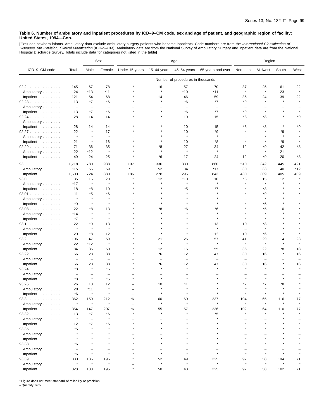[Excludes newborn infants. Ambulatory data exclude ambulatory surgery patients who became inpatients. Code numbers are from the *International Classification of*<br>*Diseases, 9th Revision, Clinical Modification* (ICD–9–CM).

|                                    |                          |                          | Sex                      |                |               | Age                               |                          | Region                         |               |              |         |
|------------------------------------|--------------------------|--------------------------|--------------------------|----------------|---------------|-----------------------------------|--------------------------|--------------------------------|---------------|--------------|---------|
| ICD-9-CM code                      | Total                    | Male                     | Female                   | Under 15 years | 15–44 years   | 45-64 years                       | 65 years and over        | Northeast                      | Midwest       | South        | West    |
|                                    |                          |                          |                          |                |               | Number of procedures in thousands |                          |                                |               |              |         |
| 92.2                               | 145                      | 67                       | 78                       |                | 16            | 57                                | 70                       | 37                             | 25            | 61           | 22      |
| Ambulatory                         | 24                       | $*13$                    | $*11$                    |                | $\star$       | $*10$                             | $*11$                    | $\star$                        | $\star$       | 23           |         |
| Inpatient                          | 121                      | 54                       | 68                       |                | 14            | 46                                | 59                       | 36                             | 24            | 39           | 22      |
| 92.23                              | 13                       | *7                       | *6                       |                |               | *6                                | *7                       | *9                             | $\star$       | $\star$      | $\star$ |
| Ambulatory                         | $\qquad \qquad -$        | ۳                        | $\overline{\phantom{0}}$ |                |               |                                   |                          |                                |               |              |         |
| Inpatient                          | 13                       | *7                       | *6                       |                |               | *6                                | $*7$                     | *9                             |               |              |         |
| 92.24                              | 28                       | 14                       | 14                       |                |               | 10                                | 15                       | *8                             | *8            |              | *9      |
| Ambulatory                         | $\qquad \qquad -$        | $\qquad \qquad -$        | $\qquad \qquad -$        |                |               | $\overline{\phantom{m}}$          | $\overline{\phantom{m}}$ | -                              |               |              |         |
| Inpatient                          | 28                       | 14                       | 14                       |                |               | 10                                | 15                       | *8                             | *8            |              | *9      |
| 92.27                              | 22                       | $\star$                  | 17                       |                |               | 10                                | *9                       |                                |               | *9           |         |
| Ambulatory                         | $\star$                  | $\star$                  | $\pmb{\ast}$             |                |               | $\star$                           | $\star$                  |                                |               | $\star$      |         |
| Inpatient                          | 21                       | $\star$                  | 16                       |                |               | 10                                | *8                       | $\star$                        |               | *9           |         |
| 92.29                              | 71                       | 36                       | 35                       |                | *8            | 27<br>$\star$                     | 34                       | 12                             | *9            | 42           | *8      |
| Ambulatory                         | 22                       | *12                      | $\pmb{\ast}$             |                |               |                                   | $\star$                  | $\overline{\phantom{0}}$       | $\star$       | 21           |         |
| Inpatient                          | 49                       | 24                       | 25                       |                | *6            | 17                                | 24                       | 12                             | *9            | 20           | *8      |
| 93                                 | 1,718                    | 780                      | 938                      | 197            | 330           | 330                               | 860                      | 510                            | 342           | 445          | 421     |
| Ambulatory                         | 115                      | 56                       | 59                       | $*11$          | 52            | 34                                | *17                      | 30                             | 33            | 40           | *12     |
| Inpatient                          | 1,603                    | 724                      | 880                      | 186            | 278           | 296                               | 843                      | 480                            | 309           | 405          | 409     |
| 93.0                               | 35                       | 15                       | 20                       |                | 12            | *10                               | 10                       | *6                             | 15            | 12           |         |
| Ambulatory                         | *17                      | $\pmb{\ast}$             | $\star$                  |                |               | $\star$                           | $\star$                  |                                | $\star$       |              |         |
| Inpatient                          | 18                       | *8                       | 10                       |                |               | *5                                | *7                       |                                | *8            |              |         |
| $93.01$                            | 11                       | *5                       | *6                       |                |               |                                   |                          |                                | *9            |              |         |
| Ambulatory                         | $\star$                  | $\star$                  |                          |                |               |                                   |                          |                                | $\star$       |              |         |
| Inpatient                          | *9                       |                          |                          |                |               |                                   |                          |                                | *6            |              |         |
| $93.08$                            | 22                       | *8<br>$\star$            | 13<br>$\star$            |                | *8            | *6                                | *6                       |                                | *5<br>$\star$ | 10           |         |
| Ambulatory                         | *14                      | $\star$                  | $\star$                  |                |               |                                   | $\star$                  |                                |               |              |         |
| Inpatient $\ldots$ ,               | *7                       | *9                       |                          |                |               |                                   |                          |                                | *8            |              |         |
| 93.1                               | 22<br>$\star$            | $\star$                  | 13<br>$\star$            |                |               |                                   | 13                       | 10<br>$\overline{\phantom{0}}$ |               |              |         |
| Ambulatory<br>Inpatient $\ldots$ , | 20                       | *8                       | 12                       |                |               |                                   | 12                       | 10                             | *6            |              |         |
| 93.2                               | 106                      | 47                       | 59                       |                | 21            | 26                                | 57                       | 41                             | 29            | 14           | 23      |
| Ambulatory                         | 22                       | *12                      | $\star$                  |                | $\star$       | $\star$                           | $\star$                  | $\star$                        | $\star$       | $\star$      |         |
| Inpatient $\ldots$ ,               | 84                       | 35                       | 50                       |                | 12            | 16                                | 55                       | 36                             | 22            | *8           | 18      |
| 93.22                              | 66                       | 28                       | 38                       |                | *6            | 12                                | 47                       | 30                             | 16            |              | 16      |
| Ambulatory                         | $\overline{\phantom{0}}$ | ۳                        | $\overline{\phantom{0}}$ |                |               | -                                 |                          |                                |               |              |         |
| Inpatient $\ldots$ ,               | 66                       | 28                       | 38                       |                | *6            | 12                                | 47                       | 30                             | 16            |              | 16      |
| 93.24                              | *8                       | $\star$                  | *5                       |                |               | $\star$                           |                          |                                | $\star$       |              |         |
| Ambulatory                         | $\overline{\phantom{0}}$ | ۳                        | $\overline{\phantom{0}}$ |                |               |                                   |                          |                                |               |              |         |
| Inpatient                          | *8                       | $\star$                  | *5                       |                |               |                                   |                          |                                |               | $\star$      |         |
| 93.26                              | 26                       | 13                       | 12                       |                | 10            | 11                                |                          | *7                             | *7            | *8           |         |
| Ambulatory                         | 20                       | *11                      | $\pmb{\ast}$             |                |               |                                   |                          |                                |               |              |         |
| Inpatient                          | *6                       |                          |                          |                |               |                                   |                          |                                |               |              |         |
| 93.3                               | 362                      | 150                      | 212                      | *6             | 60            | 60                                | 237                      | 104                            | 65            | 116          | 77      |
| Ambulatory                         | $\star$                  | $\star$                  | $\star$                  |                | $\pmb{\ast}$  | $\star$                           | $\star$                  | $\star$                        | $\star$       | $\star$      | $\star$ |
| Inpatient                          | 354                      | 147                      | 207                      | *6<br>$\star$  | 55<br>$\star$ | 57<br>$\star$                     | 236                      | 102<br>$\star$                 | 64            | 110          | 77      |
| 93.32                              | 13<br>$\star$            | *7                       | *6<br>$\star$            |                |               |                                   | *5                       |                                |               |              |         |
| Ambulatory                         |                          | $\overline{\phantom{0}}$ |                          |                |               |                                   |                          |                                |               |              |         |
| Inpatient<br>93.35                 | 12<br>*5                 | *7<br>$\star$            | *5<br>$\star$            |                |               |                                   |                          |                                |               |              |         |
| Ambulatory                         | $\star$                  |                          |                          |                |               |                                   |                          |                                |               |              |         |
| Inpatient                          |                          |                          |                          |                |               |                                   |                          |                                |               |              |         |
| 93.38                              | *6                       |                          |                          |                |               |                                   |                          |                                |               |              |         |
| Ambulatory                         | $\qquad \qquad -$        |                          |                          |                |               |                                   |                          |                                |               |              |         |
| Inpatient                          | *6                       | $\star$                  | $\star$                  |                |               |                                   |                          |                                | $\star$       |              |         |
| 93.39                              | 330                      | 135                      | 195                      |                | 52            | 49                                | 225                      | 97                             | 58            | 104          | 71      |
| Ambulatory                         | $\star$                  | $\star$                  | $\pmb{\ast}$             |                | $\star$       |                                   | $\star$                  | $\star$                        | $\star$       | $\pmb{\ast}$ |         |
| Inpatient $\ldots$ ,               | 328                      | 133                      | 195                      |                | 50            | 48                                | 225                      | 97                             | 58            | 102          | 71      |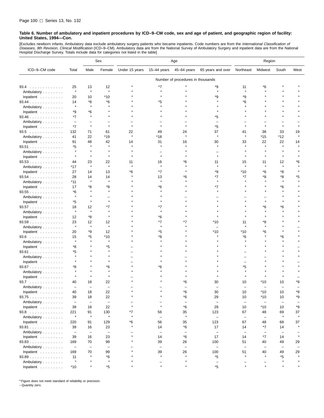[Excludes newborn infants. Ambulatory data exclude ambulatory surgery patients who became inpatients. Code numbers are from the *International Classification of*<br>*Diseases, 9th Revision, Clinical Modification* (ICD–9–CM). Hospital Discharge Survey. Totals include data for categories not listed in the table]

|                                  |                          |                          | Sex                      | Age            |                          |                                   | Region                   |                          |                          |                          |                          |
|----------------------------------|--------------------------|--------------------------|--------------------------|----------------|--------------------------|-----------------------------------|--------------------------|--------------------------|--------------------------|--------------------------|--------------------------|
| ICD-9-CM code                    | Total                    | Male                     | Female                   | Under 15 years | 15-44 years              | 45-64 years                       | 65 years and over        | Northeast                | Midwest                  | South                    | West                     |
|                                  |                          |                          |                          |                |                          | Number of procedures in thousands |                          |                          |                          |                          |                          |
| 93.4                             | 25                       | 13                       | 12                       |                | *7                       |                                   | *9                       | 11                       | *6                       |                          |                          |
| Ambulatory                       | $\star$                  | $\star$                  | $\pmb{\ast}$             |                | $\star$                  |                                   | $\star$                  | $\star$                  |                          |                          |                          |
| Inpatient                        | 20                       | 10                       | $*10$                    |                |                          |                                   | *9                       | *9                       |                          |                          |                          |
| $93.44$                          | 14                       | *8                       | *6                       |                | *5                       |                                   |                          | *6                       |                          |                          |                          |
| Ambulatory                       | $\star$                  | $\star$                  |                          |                |                          |                                   |                          |                          |                          |                          |                          |
| Inpatient                        | *9                       | *6                       |                          |                |                          |                                   |                          |                          |                          |                          |                          |
| 93.46                            | *7                       | $\star$                  |                          |                |                          |                                   | *5                       |                          |                          |                          |                          |
| Ambulatory                       | $\overline{\phantom{m}}$ | -                        |                          |                |                          |                                   |                          |                          |                          |                          |                          |
| Inpatient                        | $*7$                     | $\star$                  | $\star$                  |                |                          |                                   | *5                       |                          |                          | $\star$                  |                          |
| 93.5                             | 132                      | 71                       | 61                       | 22             | 49                       | 24                                | 37                       | 41                       | 38                       | 33                       | 19                       |
| Ambulatory                       | 41                       | 22                       | $*19$                    | $\star$        | *18                      | $\star$                           | $\star$                  | $\star$                  | $*15$                    | $*12$                    | $\star$                  |
| Inpatient                        | 91                       | 48                       | 42                       | 14             | 31                       | 16                                | 30                       | 33                       | 22                       | 22                       | 14                       |
| 93.51                            | *5                       |                          | $\star$                  |                |                          |                                   |                          |                          |                          |                          |                          |
| Ambulatory                       | $\star$                  | $\star$                  |                          |                |                          |                                   |                          |                          |                          |                          |                          |
| Inpatient                        | $\star$                  | $\star$                  | $\star$                  |                | $\star$                  |                                   |                          |                          |                          |                          |                          |
| 93.53                            | 44                       | 23                       | 22                       | 11             | 16                       | *6                                | 11                       | 15                       | 11                       | 12                       | *6                       |
| Ambulatory                       | *17                      | $\star$                  | $\star$                  |                | $\star$                  |                                   | $\star$                  | $\star$                  | $\star$                  | $\pmb{\ast}$             |                          |
| Inpatient                        | 27                       | 14                       | 13                       | *6             | *7                       |                                   | *9                       | $*10$                    | *6                       | *8                       |                          |
| 93.54                            | 28                       | 14                       | 14                       |                | 13                       | *6                                | *7                       | *7                       | *8                       | *8                       | *5                       |
| Ambulatory                       | *11                      | $\star$                  | $\star$                  |                |                          |                                   |                          |                          |                          |                          |                          |
| Inpatient                        | 17                       | *8                       | *8                       |                | *6                       |                                   | *7                       |                          |                          | *6                       |                          |
| 93.55                            | *6                       | $\star$                  | $\star$                  |                |                          |                                   |                          |                          |                          |                          |                          |
| Ambulatory                       | $\star$                  | $\star$                  |                          |                |                          |                                   |                          |                          |                          |                          |                          |
| Inpatient                        | *5                       | $\star$                  | $\star$                  |                |                          |                                   |                          |                          |                          |                          |                          |
| 93.57                            | 18                       | 12                       | *7                       |                | *7                       |                                   |                          |                          | *6                       | *6                       |                          |
| Ambulatory                       | $\star$                  | $\star$                  | $\star$                  |                |                          |                                   |                          |                          |                          |                          |                          |
| Inpatient                        | 12                       | *8                       |                          |                | *6                       |                                   |                          |                          |                          |                          |                          |
| 93.59                            | 23                       | 12                       | 12                       |                | *7                       | *7                                | *10                      | 11                       | *8                       |                          |                          |
| Ambulatory                       | $\star$                  | $\star$                  | $\pmb{\ast}$             |                |                          |                                   |                          |                          |                          |                          |                          |
| Inpatient                        | 20                       | *9                       | 12                       |                | *5                       |                                   | *10                      | *10                      | *6                       |                          |                          |
| 93.6                             | 15                       | *5                       | $*10$                    |                | *8                       |                                   |                          | *6                       |                          | *6                       |                          |
| Ambulatory                       | $\star$                  |                          | $\star$                  |                |                          |                                   |                          |                          |                          |                          |                          |
| Inpatient                        | *8                       |                          | *5                       |                |                          |                                   |                          |                          |                          |                          |                          |
| $93.61$                          | *5                       |                          |                          |                |                          |                                   |                          |                          |                          |                          |                          |
| Ambulatory                       | $\star$                  |                          |                          |                |                          |                                   |                          |                          |                          |                          |                          |
| Inpatient                        |                          |                          |                          |                |                          |                                   |                          |                          |                          |                          |                          |
| 93.67                            | *8                       |                          | *6                       |                | *6                       |                                   |                          | *5                       |                          |                          |                          |
| Ambulatory                       | $\star$                  |                          | $\pmb{\ast}$             |                |                          |                                   |                          |                          |                          |                          |                          |
| Inpatient                        |                          |                          |                          |                |                          |                                   |                          |                          |                          |                          |                          |
| 93.7                             | 40                       | 18                       | 22                       |                |                          | Έ6                                | 30                       | 10                       | *10                      | 10                       | *9                       |
| Ambulatory                       | $\overline{\phantom{0}}$ | $\overline{\phantom{0}}$ | $\overline{\phantom{0}}$ |                |                          |                                   |                          |                          |                          |                          |                          |
| Inpatient                        | 40                       | 18                       | 22                       |                |                          | *6                                | 30                       | 10                       | $*10$                    | 10                       | *9                       |
| 93.75                            | 39                       | 18                       | 22                       |                |                          | *6                                | 29                       | 10                       | *10                      | 10                       | *9                       |
| Ambulatory                       | $\overline{\phantom{a}}$ | $\overline{\phantom{a}}$ | $\overline{\phantom{0}}$ |                |                          | $\equiv$                          | $\overline{\phantom{a}}$ | $\overline{\phantom{m}}$ | $\overline{\phantom{a}}$ | $\qquad \qquad -$        | $\overline{\phantom{0}}$ |
| Inpatient $\ldots \ldots \ldots$ | 39                       | 18                       | 22                       |                | $\star$                  | *6                                | 29                       | 10                       | *10                      | 10                       | *9                       |
| $93.8$                           | 221                      | 91                       | 130                      | *7             | 56                       | 35                                | 123                      | 67                       | 48                       | 69                       | 37                       |
| Ambulatory                       | $\star$                  | $\star$                  | $\pmb{\ast}$             | $\star$        | $\overline{\phantom{m}}$ | $\star$                           | $\overline{\phantom{m}}$ | $\overline{\phantom{m}}$ | $\overline{\phantom{m}}$ | $\star$                  | $\star$                  |
| Inpatient                        | 220                      | 91                       | 129                      | *6             | 56                       | 35                                | 123                      | 67                       | 48                       | 68                       | 37                       |
| 93.81                            | 39                       | 16                       | 23                       | $\star$        | 14                       | *6                                | 17                       | 14                       | *7                       | 14                       | $\star$                  |
| Ambulatory                       | $\overline{\phantom{a}}$ | $\overline{\phantom{m}}$ | $\overline{\phantom{a}}$ |                | $\overline{\phantom{a}}$ | $\equiv$                          | $\overline{\phantom{m}}$ | $\overline{\phantom{m}}$ | $\overline{\phantom{0}}$ | $\overline{\phantom{0}}$ |                          |
| Inpatient                        | 39                       | 16                       | 23                       |                | 14                       | *6                                | 17                       | 14                       | *7                       | 14                       | $\star$                  |
| 93.83                            | 169                      | 70                       | 99                       |                | 39                       | 26                                | 100                      | 51                       | 40                       | 49                       | 29                       |
| Ambulatory                       | $\equiv$                 | $\overline{\phantom{m}}$ | $\overline{\phantom{a}}$ |                | $\overline{\phantom{m}}$ | $\overline{\phantom{m}}$          | $\overline{\phantom{m}}$ | $\overline{\phantom{m}}$ | $\overline{\phantom{m}}$ | $\overline{\phantom{m}}$ | $\overline{\phantom{0}}$ |
| Inpatient                        | 169                      | 70                       | 99                       |                | 39                       | 26                                | 100                      | 51                       | 40                       | 49                       | 29                       |
| 93.89                            | 11                       | $\star$                  | *6                       |                | $\star$                  |                                   | *5                       | $\pmb{\ast}$             | $\star$                  | $*5$                     | $\star$                  |
| Ambulatory                       | $\star$                  | $\star$                  | $\star$                  |                |                          | $\star$                           | $\overline{\phantom{a}}$ |                          |                          | $\star$                  | $\star$                  |
| Inpatient                        | $*10$                    | $\star$                  | $^\star 5$               |                | $\star$                  |                                   | *5                       | $\star$                  | $\star$                  |                          | $\star$                  |
|                                  |                          |                          |                          |                |                          |                                   |                          |                          |                          |                          |                          |

\* Figure does not meet standard of reliability or precision.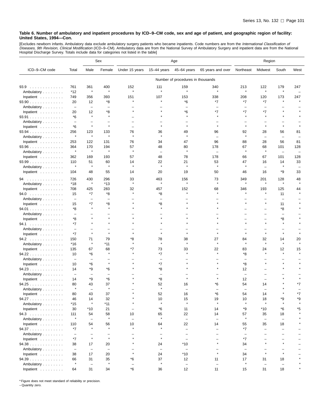[Excludes newborn infants. Ambulatory data exclude ambulatory surgery patients who became inpatients. Code numbers are from the *International Classification of*<br>*Diseases, 9th Revision, Clinical Modification* (ICD–9–CM).

|                                  |                                |                          | Sex                      | Age            |                          |                                   | Region                   |                          |                          |                                |                          |
|----------------------------------|--------------------------------|--------------------------|--------------------------|----------------|--------------------------|-----------------------------------|--------------------------|--------------------------|--------------------------|--------------------------------|--------------------------|
| ICD-9-CM code                    | Total                          | Male                     | Female                   | Under 15 years | 15-44 years              | 45-64 years                       | 65 years and over        | Northeast                | Midwest                  | South                          | West                     |
|                                  |                                |                          |                          |                |                          | Number of procedures in thousands |                          |                          |                          |                                |                          |
| 93.9                             | 761                            | 361                      | 400                      | 152            | 111                      | 159                               | 340                      | 213                      | 122                      | 179                            | 247                      |
| Ambulatory                       | $*12$                          | $\star$                  | $\star$                  | $\star$        | $\pmb{\ast}$             | $\star$                           | $\star$                  | $\star$                  | $\star$                  | $\star$                        | $\overline{\phantom{a}}$ |
| Inpatient                        | 749                            | 356                      | 393                      | 151            | 107                      | 153                               | 338                      | 208                      | 120                      | 173                            | 247                      |
| $93.90$                          | 20                             | 12                       | *8                       | $\star$        | $\star$                  | *6                                | *7                       | *7                       | *7                       | $\star$                        |                          |
| Ambulatory                       | $\overline{\phantom{m}}$       | $\equiv$                 |                          |                |                          | $\equiv$                          |                          | $\overline{\phantom{0}}$ |                          |                                |                          |
| Inpatient                        | 20                             | 12                       | *8                       |                |                          | *6                                | $*7$                     | *7                       | *7                       |                                |                          |
| 93.91                            | *6                             | $\star$                  |                          |                |                          |                                   |                          |                          |                          |                                |                          |
| Ambulatory                       | $\overline{\phantom{m}}$       | -                        |                          |                |                          |                                   |                          |                          |                          |                                |                          |
| Inpatient                        | *6                             | $\star$                  | $\pmb{\ast}$             |                |                          | $\star$                           | $\star$                  | $\star$                  | $\star$                  |                                |                          |
| $93.94$                          | 256                            | 123                      | 133                      | 76             | 36                       | 49<br>$\star$                     | 96                       | 92                       | 28                       | 56                             | 81                       |
| Ambulatory                       | $\star$                        | $\star$                  | $\star$                  | $\star$        | $\star$                  |                                   |                          | $\star$                  | $\overline{\phantom{0}}$ | $\overline{\phantom{0}}$       |                          |
| Inpatient                        | 253                            | 122                      | 131                      | 76             | 34                       | 47                                | 96                       | 88                       | 28                       | 56                             | 81                       |
| 93.96                            | 364<br>$\star$                 | 170<br>$\star$           | 194<br>$\star$           | 57<br>$\star$  | 48                       | 80<br>$\star$                     | 178                      | 67<br>$\star$            | 68<br>$\star$            | 101                            | 128                      |
| Ambulatory                       |                                |                          |                          |                | $\overline{\phantom{0}}$ |                                   | $\overline{\phantom{m}}$ |                          |                          | $\overline{\phantom{0}}$       |                          |
| Inpatient                        | 362                            | 169                      | 193                      | 57             | 48                       | 78                                | 178                      | 66                       | 67                       | 101                            | 128                      |
| $93.99$<br>Ambulatory            | 110<br>$\star$                 | 51<br>$\star$            | 60<br>$\star$            | 14<br>$\star$  | 22<br>$\star$            | 21<br>$\star$                     | 53<br>$\star$            | 47<br>$\star$            | 16<br>÷                  | 14<br>$\star$                  | 33                       |
| Inpatient                        | 104                            | 48                       | 55                       | 14             | 20                       | 19                                | 50                       | 46                       | 16                       | *9                             | 33                       |
|                                  |                                |                          |                          |                |                          |                                   |                          |                          |                          |                                |                          |
| 94<br>.                          | 726                            | 430                      | 296                      | 33             | 463                      | 156                               | 73                       | 349                      | 201                      | 128                            | 48                       |
| Ambulatory                       | $*18$                          | $\star$                  | $*13$                    | $\star$        | $\pmb{\ast}$             | $\star$                           | $\star$                  | $\star$                  | $\star$                  | $\star$                        |                          |
| Inpatient                        | 708                            | 425                      | 283                      | 32             | 457                      | 152                               | 68                       | 346                      | 193                      | 125                            | 44                       |
| 94.0                             | 15                             | *7                       | *8                       | $\star$        | *8                       | $\star$                           |                          |                          | $\star$                  | 11                             |                          |
| Ambulatory                       | $\overline{\phantom{a}}$       | $\overline{\phantom{0}}$ | $\overline{\phantom{0}}$ |                |                          |                                   |                          |                          | $\star$                  | $\overline{\phantom{0}}$       |                          |
| Inpatient                        | 15                             | *7<br>$\star$            | *8<br>$\pmb{\ast}$       | $\star$        | *8<br>$\star$            |                                   |                          |                          |                          | 11                             |                          |
| 94.01                            | *8                             |                          |                          |                |                          |                                   |                          |                          |                          | *8                             |                          |
| Ambulatory<br>Inpatient          | $\overline{\phantom{m}}$<br>*8 | $\star$                  |                          |                |                          |                                   |                          |                          |                          | *8                             |                          |
| 94.1                             | *7                             | $\star$                  |                          |                |                          |                                   |                          |                          |                          | $\star$                        |                          |
| Ambulatory                       | $\overline{\phantom{0}}$       |                          |                          |                |                          |                                   |                          |                          |                          |                                |                          |
| Inpatient                        | *7                             | $\star$                  | $\pmb{\ast}$             |                |                          |                                   |                          |                          | $\star$                  | $\star$                        |                          |
| 94.2                             | 150                            | 71                       | 79                       | *8             | 78                       | 38                                | 27                       | 84                       | 32                       | 14                             | 20                       |
| Ambulatory                       | $*16$                          | $\star$                  | *11                      | $\star$        | $\pmb{\ast}$             | $\star$                           | $\star$                  | $\star$                  | $\star$                  | $\star$                        |                          |
| Inpatient                        | 135                            | 67                       | 68                       | *7             | 73                       | 33                                | 22                       | 83                       | 24                       | 12                             | 15                       |
| 94.22                            | 10                             | *6                       | $\star$                  |                | *7                       |                                   | $\star$                  | *8                       | $\star$                  | $\star$                        |                          |
| Ambulatory                       | $\overline{\phantom{m}}$       | $\overline{\phantom{0}}$ |                          |                | $\overline{\phantom{0}}$ |                                   |                          | $\overline{\phantom{0}}$ |                          |                                |                          |
| Inpatient                        | 10                             | *6                       | $\pmb{\ast}$             |                | *7                       |                                   |                          | *8                       |                          |                                |                          |
| 94.23                            | 14                             | *9                       | *6                       |                | *8                       |                                   |                          | 12                       |                          |                                |                          |
| Ambulatory                       | $\overline{\phantom{m}}$       | $\overline{\phantom{0}}$ | $\overline{\phantom{0}}$ |                | $\overline{\phantom{0}}$ |                                   |                          | $\overline{\phantom{0}}$ |                          |                                |                          |
| Inpatient                        | 14                             | *9                       | *6                       |                | *8                       |                                   |                          | 12                       |                          |                                |                          |
| 94.25                            | 80                             | 43                       | 37                       |                | 52                       | 16                                | *6                       | 54                       | 14                       |                                | *7                       |
| Ambulatory                       | $\star$                        | $\overline{\phantom{0}}$ | $\star$                  |                |                          |                                   |                          |                          |                          |                                |                          |
| Inpatient                        | 80                             | 43                       | 37                       |                | 52                       | 16                                | *6                       | 54                       | 14                       |                                |                          |
| 94.27                            | 46                             | 14                       | 32                       | $\star$        | 10                       | 15                                | 19                       | 10                       | 18                       | *9                             | *9                       |
| Ambulatory                       | $*15$                          | $\star$                  | $*11$                    |                | $\star$                  | $\star$                           | $\star$                  | $\star$                  | $\star$                  | $\pmb{\ast}$                   |                          |
| Inpatient $\ldots \ldots \ldots$ | 30                             | $*10$                    | 21                       |                | *6                       | 11                                | 14                       | *9                       | $*10$                    | *6                             | *5                       |
| 94.3                             | 111<br>$\star$                 | 54                       | 58<br>$\star$            | 10             | 65<br>$\pmb{\ast}$       | 22                                | 14                       | 57<br>$\star$            | 35                       | 18                             |                          |
| Ambulatory                       |                                | $\equiv$                 |                          | $\equiv$<br>10 | 64                       | $\overline{\phantom{m}}$<br>22    | $\equiv$<br>14           |                          | $\overline{\phantom{a}}$ | $\overline{\phantom{0}}$<br>18 |                          |
| Inpatient<br>94.37               | 110<br>*7                      | 54<br>$\star$            | 56<br>$\star$            | $\star$        | $\star$                  | $\overline{\phantom{0}}$          | $\qquad \qquad$          | 55<br>*7                 | 35                       | $\overline{\phantom{0}}$       |                          |
| Ambulatory                       | $\overline{\phantom{m}}$       | $\overline{\phantom{0}}$ | $\overline{\phantom{0}}$ | $\equiv$       | $\overline{\phantom{0}}$ | $\equiv$                          | $\equiv$                 | $\overline{\phantom{a}}$ |                          | $\equiv$                       |                          |
| Inpatient $\ldots \ldots \ldots$ | $*7$                           | $\star$                  | $\pmb{\ast}$             | $\star$        | $\pmb{\ast}$             |                                   |                          | $*7$                     |                          |                                |                          |
| 94.38                            | 38                             | 17                       | 20                       | $\star$        | 24                       | *10                               | $\star$                  | 34                       |                          |                                |                          |
| Ambulatory                       | $\overline{\phantom{a}}$       | $\overline{\phantom{m}}$ | $\overline{\phantom{a}}$ |                | $\overline{\phantom{m}}$ | $\overline{\phantom{0}}$          |                          | $\overline{\phantom{m}}$ |                          |                                |                          |
| Inpatient $\ldots \ldots \ldots$ | 38                             | 17                       | 20                       | $\star$        | 24                       | $*10$                             | $\star$                  | 34                       | $\star$                  | $\star$                        |                          |
| 94.39                            | 66                             | 31                       | 35                       | *6             | 37                       | 12                                | 11                       | 17                       | 31                       | 18                             |                          |
| Ambulatory                       | $\star$                        | $\overline{\phantom{m}}$ | $\star$                  |                | $\star$                  | $\overline{\phantom{0}}$          | $\overline{\phantom{0}}$ | $\star$                  | $\overline{\phantom{m}}$ | $\overline{\phantom{0}}$       |                          |
| Inpatient                        | 64                             | 31                       | 34                       | *6             | 36                       | 12                                | 11                       | 15                       | 31                       | 18                             |                          |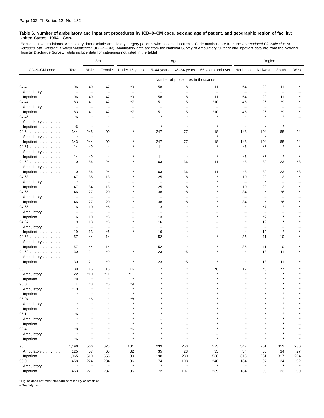[Excludes newborn infants. Ambulatory data exclude ambulatory surgery patients who became inpatients. Code numbers are from the *International Classification of*<br>*Diseases, 9th Revision, Clinical Modification* (ICD–9–CM). Hospital Discharge Survey. Totals include data for categories not listed in the table]

|                                  |                          |                          | Sex                      | Age                      |                          |                                   | Region                   |                          |                          |                          |      |
|----------------------------------|--------------------------|--------------------------|--------------------------|--------------------------|--------------------------|-----------------------------------|--------------------------|--------------------------|--------------------------|--------------------------|------|
| ICD-9-CM code                    | Total                    | Male                     | Female                   | Under 15 years           | $15-44$ years            | 45-64 years                       | 65 years and over        | Northeast                | Midwest                  | South                    | West |
|                                  |                          |                          |                          |                          |                          | Number of procedures in thousands |                          |                          |                          |                          |      |
| 94.4<br>.                        | 96                       | 49                       | 47                       | *9                       | 58                       | 18                                | 11                       | 54                       | 29                       | 11                       |      |
| Ambulatory                       | $\overline{\phantom{m}}$ | $\overline{\phantom{m}}$ | $\overline{\phantom{0}}$ |                          | $\overline{\phantom{0}}$ | $\overline{\phantom{0}}$          |                          | $\overline{\phantom{0}}$ | $\overline{\phantom{0}}$ | $\overline{\phantom{0}}$ |      |
| Inpatient                        | 96                       | 49                       | 47                       | *9                       | 58                       | 18                                | 11                       | 54                       | 29                       | 11                       |      |
| $94.44$                          | 83                       | 41                       | 42                       | *7                       | 51                       | 15                                | $*10$                    | 46                       | 26                       | *9                       |      |
| Ambulatory                       | $\overline{\phantom{a}}$ | $\overline{\phantom{0}}$ | L.                       | $\overline{\phantom{0}}$ | $\overline{\phantom{0}}$ | $\overline{\phantom{0}}$          | $\overline{\phantom{0}}$ | $\overline{\phantom{0}}$ | $\overline{\phantom{0}}$ | $\overline{\phantom{0}}$ |      |
| Inpatient                        | 83                       | 41                       | 42                       | *7                       | 51                       | 15                                | $*10$                    | 46                       | 26                       | *9                       |      |
| 94.46                            | $*6$                     | $\pmb{\ast}$             | $\star$                  |                          |                          | $\star$                           |                          |                          | $\bullet$                |                          |      |
| Ambulatory                       | $\overline{\phantom{0}}$ | $\overline{\phantom{0}}$ |                          |                          |                          | -                                 |                          |                          |                          |                          |      |
| Inpatient                        | *6                       | $\star$                  | $\star$                  |                          | $\star$                  | $\star$                           | $\star$                  | $\star$                  | $\star$                  | $\star$                  |      |
| $94.6$                           | 344                      | 245                      | 99                       | $\star$                  | 247                      | 77                                | 18                       | 148                      | 104                      | 68                       | 24   |
| Ambulatory                       | $\star$                  | $\star$                  | L.                       |                          | L,                       |                                   |                          | L.                       | $\star$                  | $\overline{\phantom{0}}$ |      |
| Inpatient                        | 343                      | 244                      | 99                       |                          | 247                      | 77                                | 18                       | 148                      | 104                      | 68                       | 24   |
| 94.61                            | 14                       | *9                       | $\pmb{\ast}$             |                          | 11                       |                                   |                          | *6                       | *6                       |                          |      |
| Ambulatory                       | $\overline{\phantom{0}}$ | $\overline{\phantom{0}}$ |                          |                          | ÷                        |                                   |                          |                          |                          |                          |      |
| Inpatient                        | 14                       | *9                       | $\star$                  |                          | 11                       | $\star$                           | $\star$                  | *6                       | *6                       | $\star$                  |      |
| 94.62                            | 110                      | 86                       | 24                       |                          | 63                       | 36                                | 11                       | 48                       | 30                       | 23                       | *8   |
| Ambulatory                       | $\overline{\phantom{m}}$ | $\equiv$                 | ÷,                       |                          | $\overline{\phantom{0}}$ | $\overline{\phantom{0}}$          |                          | $\overline{\phantom{0}}$ | ÷,                       | $\overline{\phantom{0}}$ |      |
| Inpatient                        | 110                      | 86                       | 24                       |                          | 63                       | 36                                | 11                       | 48                       | 30                       | 23                       | *8   |
| 94.63                            | 47                       | 35                       | 13                       |                          | 25                       | 18                                |                          | 10                       | 20                       | 12                       |      |
| Ambulatory                       | $\star$                  | $\star$                  | $\overline{\phantom{0}}$ |                          | $\overline{\phantom{0}}$ |                                   |                          | $\overline{\phantom{0}}$ | $\star$                  | $\overline{\phantom{m}}$ |      |
| Inpatient                        | 47                       | 34                       | 13                       |                          | 25                       | 18                                |                          | 10                       | 20                       | 12                       |      |
| 94.65                            | 46                       | 27                       | 20                       |                          | 38                       | *8                                |                          | 34                       |                          | *6                       |      |
| Ambulatory                       | $\overline{\phantom{0}}$ | $\qquad \qquad -$        | $\overline{\phantom{0}}$ |                          | $\overline{\phantom{0}}$ | $\overline{\phantom{0}}$          |                          | $\overline{\phantom{0}}$ |                          | $\overline{\phantom{0}}$ |      |
| Inpatient                        | 46                       | 27                       | 20                       |                          | 38                       | *8                                |                          | 34                       |                          | *6                       |      |
| $94.66$                          | 16                       | 10                       | *6                       |                          | 13                       |                                   |                          | $\star$                  | *7                       | $\star$                  |      |
| Ambulatory                       | $\overline{\phantom{a}}$ | $\qquad \qquad -$        | L,                       |                          |                          |                                   |                          |                          |                          |                          |      |
| Inpatient                        | 16                       | 10                       | *6                       |                          | 13                       |                                   |                          |                          | *7                       |                          |      |
| 94.67                            | 19                       | 13                       | *6                       | $\star$                  | 16                       |                                   |                          | $\star$                  | 12                       | $\star$                  |      |
| Ambulatory                       | $\overline{\phantom{m}}$ | $\overline{\phantom{m}}$ | L.                       |                          | $\overline{\phantom{0}}$ |                                   |                          |                          | $\overline{\phantom{0}}$ |                          |      |
| Inpatient                        | 19                       | 13                       | *6                       |                          | 16                       |                                   |                          | $\star$                  | 12                       | $\star$                  |      |
| 94.68                            | 57                       | 44                       | 14                       |                          | 52                       |                                   |                          | 35                       | 11                       | 10                       |      |
| Ambulatory                       | $\overline{\phantom{a}}$ | $\qquad \qquad -$        |                          |                          | $\overline{\phantom{0}}$ |                                   |                          |                          | $\overline{\phantom{0}}$ |                          |      |
| Inpatient                        | 57                       | 44                       | 14                       |                          | 52                       |                                   |                          | 35                       | 11                       | 10                       |      |
| 94.69                            | 30                       | 21                       | *9                       | $\star$                  | 23                       | *5                                |                          | $\star$                  | 13                       | 11                       |      |
| Ambulatory                       |                          | $\overline{\phantom{0}}$ | -                        | $\star$                  | $\overline{\phantom{0}}$ |                                   |                          | $\star$                  | $\overline{\phantom{0}}$ |                          |      |
| Inpatient                        | 30                       | 21                       | *9                       |                          | 23                       | *5                                |                          |                          | 13                       | 11                       |      |
| 95                               | 30                       | 15                       | 15                       | 16                       |                          |                                   | *6                       | 12                       | *6                       | *7                       |      |
| Ambulatory                       | 22                       | *10                      | *11                      | *11                      |                          |                                   |                          |                          |                          |                          |      |
| Inpatient                        | *8                       | ×                        | $\pmb{\ast}$             | $\star$                  |                          |                                   |                          |                          |                          |                          |      |
| 95.0<br>.                        | 14                       | *8                       | *6                       | *9                       |                          |                                   |                          |                          |                          |                          |      |
| Ambulatory                       | *13                      | $\star$                  |                          |                          |                          |                                   |                          |                          |                          |                          |      |
| Inpatient                        | $\star$                  |                          |                          |                          |                          |                                   |                          |                          |                          |                          |      |
| 95.04                            | 11                       | *6                       |                          | *8                       |                          |                                   |                          |                          |                          |                          |      |
| Ambulatory                       |                          | $\star$                  | $\star$                  |                          |                          |                                   |                          |                          |                          |                          |      |
| Inpatient $\ldots \ldots \ldots$ | $\star$                  |                          |                          | $\star$                  |                          |                                   |                          |                          |                          |                          |      |
| 95.1                             | *6                       |                          |                          |                          |                          |                                   |                          |                          |                          |                          |      |
| Ambulatory                       |                          |                          |                          | $\star$                  |                          |                                   |                          |                          |                          |                          |      |
| Inpatient                        |                          |                          |                          | $\star$                  |                          |                                   |                          |                          |                          |                          |      |
| 95.4                             | *8                       |                          |                          | *6                       |                          |                                   |                          |                          |                          |                          |      |
| Ambulatory                       | $\star$                  |                          | $\star$                  | $\star$                  |                          |                                   | $\overline{\phantom{0}}$ |                          |                          |                          |      |
| Inpatient $\ldots \ldots \ldots$ | *6                       | $\star$                  | $\star$                  | $\star$                  | $\star$                  | $\star$                           | $\star$                  | $\star$                  | $\star$                  | $\star$                  |      |
| 96                               | 1,190                    | 566                      | 623                      | 131                      | 233                      | 253                               | 573                      | 347                      | 261                      | 352                      | 230  |
| Ambulatory                       | 125                      | 57                       | 68                       | 32                       | 35                       | 23                                | 35                       | 34                       | 30                       | 34                       | 27   |
| Inpatient                        | 1,065                    | 510                      | 555                      | 99                       | 198                      | 230                               | 538                      | 313                      | 231                      | 317                      | 204  |
| 96.0                             | 458                      | 224                      | 234                      | 36                       | 74                       | 108                               | 240                      | 134                      | 97                       | 134                      | 92   |
| Ambulatory                       | $\star$                  | $\star$                  | $\pmb{\ast}$             | $\star$                  | $\pmb{\ast}$             | $\star$                           | $\star$                  | $\pmb{\ast}$             | $\pmb{\ast}$             | $\pmb{\ast}$             |      |
| Inpatient                        | 453                      | 221                      | 232                      | 35                       | 72                       | 107                               | 239                      | 134                      | 96                       | 133                      | 90   |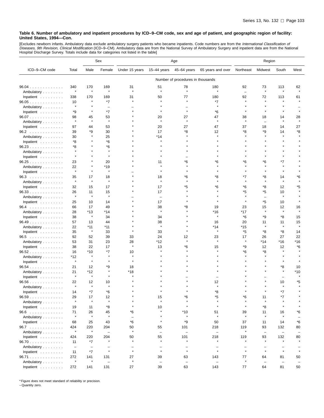[Excludes newborn infants. Ambulatory data exclude ambulatory surgery patients who became inpatients. Code numbers are from the *International Classification of*<br>*Diseases, 9th Revision, Clinical Modification* (ICD–9–CM).

|                                  |                          |                   | Sex                      | Age                      |                          |                                   |                          | Region                   |                          |                          |         |
|----------------------------------|--------------------------|-------------------|--------------------------|--------------------------|--------------------------|-----------------------------------|--------------------------|--------------------------|--------------------------|--------------------------|---------|
| ICD-9-CM code                    | Total                    | Male              | Female                   | Under 15 years           | 15-44 years              | 45-64 years                       | 65 years and over        | Northeast                | Midwest                  | South                    | West    |
|                                  |                          |                   |                          |                          |                          | Number of procedures in thousands |                          |                          |                          |                          |         |
| $96.04$                          | 340                      | 170               | 169                      | 31                       | 51                       | 78                                | 180                      | 92                       | 73                       | 113                      | 62      |
| Ambulatory                       | $\star$                  | $\star$           | $\pmb{\ast}$             | $\star$                  | $\star$                  | $\star$                           | $\star$                  | $\overline{\phantom{m}}$ | $\star$                  | $\pmb{\ast}$             | $\star$ |
| Inpatient                        | 338                      | 170               | 169                      | 31                       | 50                       | 77                                | 180                      | 92                       | 72                       | 113                      | 61      |
| 96.05                            | 10                       | $\star$           | *7                       | $\star$                  | $\star$                  | $\star$                           | *7                       |                          | $\star$                  |                          |         |
| Ambulatory                       | $\star$                  | $\star$           | $\overline{\phantom{0}}$ |                          |                          |                                   | $\star$                  |                          | $\star$                  |                          |         |
| Inpatient                        | *9                       | ×                 | $*7$                     |                          |                          | $\star$                           | *6                       |                          |                          |                          |         |
| 96.07                            | 98                       | 45                | 53                       |                          | 20                       | 27                                | 47                       | 38                       | 18                       | 14                       | 28      |
| Ambulatory                       | $\star$                  | $\pmb{\ast}$      | $\pmb{\ast}$             |                          | $\star$                  | À                                 |                          |                          | $\overline{\phantom{0}}$ |                          |         |
| Inpatient                        | 97                       | 44                | 53                       |                          | 20                       | 27                                | 47                       | 37                       | 18                       | 14                       | 27      |
| 96.2                             | 39                       | *9                | 30                       |                          | 17                       | *8                                | 12                       | *8                       | *9                       | 14                       | *8      |
| Ambulatory                       | 30                       |                   | 25                       |                          | *14                      |                                   | ۸                        |                          |                          |                          |         |
| Inpatient                        | *8                       |                   | *6                       |                          | $\star$                  |                                   |                          |                          |                          |                          |         |
| 96.23                            | *8                       |                   | *6                       |                          |                          |                                   |                          |                          |                          |                          |         |
| Ambulatory                       |                          |                   |                          |                          |                          |                                   |                          |                          |                          |                          |         |
| Inpatient                        | $\star$                  |                   | $\star$                  |                          |                          |                                   |                          |                          |                          |                          |         |
| 96.25                            | 23                       |                   | 20                       |                          | 11                       | *6                                | *6                       | *6                       | *6                       | *7                       |         |
| Ambulatory                       | 22                       |                   | *19                      |                          | $\star$                  |                                   |                          |                          |                          |                          |         |
| Inpatient                        | $\star$                  | $\star$           | $\pmb{\ast}$             |                          |                          |                                   |                          |                          |                          |                          |         |
| 96.3                             | 35                       | 17                | 18                       |                          | 18                       | *6                                | *8                       | *7                       | *8                       | 14                       | *6      |
| Ambulatory                       | $\star$                  | $\star$           | $\pmb{\ast}$             |                          | $\pmb{\ast}$             |                                   |                          |                          | $\star$                  | $\lambda$                |         |
| Inpatient $\ldots$ ,             | 32                       | 15                | 17                       |                          | 17                       | *5                                | *6                       | *6                       | *8                       | 12                       | *5      |
| 96.33                            | 26                       | 11                | 15                       |                          | 17                       |                                   |                          | *5                       | *5                       | 10                       |         |
| Ambulatory                       | $\star$                  | $\star$           | $\star$                  |                          | ÷                        |                                   |                          |                          | L.                       | $\star$                  |         |
| Inpatient                        | 25                       | 10                | 14                       |                          | 17                       |                                   |                          | $\star$                  | *5                       | 10                       |         |
| 96.4                             | 66                       | 17                | 49                       |                          | 38                       | *8                                | 19                       | 23                       | 15                       | 12                       | 16      |
| Ambulatory                       | 28                       | *13               | *14                      |                          | $\star$                  |                                   | *16                      | *17                      | $\star$                  | $\star$                  |         |
| Inpatient                        | 38                       | $\star$           | 34                       |                          | 34                       |                                   | $\star$                  | *6                       | *9                       | *8                       | 15      |
| 96.49                            | 57                       | 13                | 44                       |                          | 38                       |                                   | 16                       | 20                       | 11                       | 11                       | 15      |
| Ambulatory                       | 22                       | *11               | $*11$                    |                          | $\star$                  |                                   | $*14$                    | *15                      | $\star$                  | $\star$                  | $\star$ |
| Inpatient                        | 35                       | $\star$           | 33                       |                          | 33                       |                                   | $\star$                  | *5                       | *8                       | *8                       | 14      |
| $96.5$                           | 92                       | 52                | 39                       | 33                       | 24                       | 12                                | 23                       | 17                       | 26                       | 27                       | 22      |
| Ambulatory                       | 53                       | 31                | 23                       | 28                       | *12                      |                                   | ٨                        |                          | *14                      | *16                      | *16     |
| Inpatient                        | 38                       | 22                | 17                       |                          | 13                       | *6                                | 15                       | *9                       | 12                       | 12                       | *6      |
| 96.52                            | 16                       | $*10$             | $*7$                     | 10                       |                          |                                   |                          | *6                       | *8                       |                          |         |
| Ambulatory                       | *12                      | $\star$           | $\pmb{\ast}$             |                          |                          |                                   |                          |                          |                          |                          |         |
| Inpatient                        | $\star$                  | $\star$           |                          |                          |                          |                                   |                          |                          |                          |                          |         |
| 96.54                            | 21                       | 12                | *9                       | 18                       |                          |                                   |                          |                          |                          | *8                       | 10      |
| Ambulatory                       | 21                       | *12               | $\star$                  | *18                      |                          |                                   |                          |                          |                          | $\star$                  | *10     |
| Inpatient                        | $\star$                  | $\star$           |                          |                          |                          |                                   |                          |                          |                          | $\overline{\phantom{0}}$ |         |
| $96.56$                          | 22                       | 12                | 10                       |                          |                          |                                   | 12                       |                          |                          | 10                       | *5      |
| Ambulatory                       |                          | $\star$           |                          |                          |                          |                                   |                          |                          |                          |                          |         |
| Inpatient $\ldots \ldots \ldots$ | 14                       | *7                | *6                       |                          |                          |                                   | *8                       |                          |                          | $*7$                     |         |
| 96.59                            | 29                       | 17                | 12                       |                          | 15                       | *6                                | *5                       | *6                       | 11                       | *7                       |         |
| Ambulatory                       | $\star$                  | $\star$           | $\star$                  |                          | $\star$                  | $\star$                           | $\star$                  |                          | $\star$                  |                          |         |
| Inpatient $\ldots \ldots \ldots$ | 19                       | 11                | *8                       |                          | 10                       | $\star$                           | $\star$                  | $\star$                  | *8                       | $\star$                  |         |
| $96.6$                           | 71                       | 26                | 45                       | *6                       | $\star$                  | $*10$                             | 51                       | 39                       | 11                       | 16                       | *6      |
| Ambulatory                       | $\star$                  | $\star$           | $\star$                  | $\overline{\phantom{m}}$ |                          | $\star$                           | $\star$                  | $\pmb{\ast}$             | $\star$                  | $\star$                  |         |
| Inpatient                        | 68                       | 25                | 43                       | *6                       | $\star$                  | *9                                | 50                       | 37                       | 11                       | 14                       | *6      |
| 96.7                             | 424                      | 220               | 204                      | 50                       | 55                       | 101                               | 218                      | 119                      | 93                       | 132                      | 80      |
| Ambulatory                       | $\star$                  | $\star$           | $\overline{\phantom{0}}$ | $\star$                  | $\overline{\phantom{0}}$ | $\overline{\phantom{m}}$          |                          | $\star$                  | $\overline{\phantom{a}}$ | $\overline{\phantom{0}}$ |         |
| Inpatient                        | 424                      | 220               | 204                      | 50                       | 55                       | 101                               | 218                      | 119                      | 93                       | 132                      | 80      |
| 96.70                            | 11                       | $*7$              | $\star$                  | $\star$                  | $\star$                  | $\star$                           | $\star$                  | $\star$                  | $\star$                  | $\star$                  |         |
| Ambulatory                       | $\overline{\phantom{a}}$ | $\qquad \qquad -$ | $\overline{\phantom{0}}$ | $\overline{\phantom{0}}$ | $\overline{\phantom{0}}$ | $\overline{\phantom{0}}$          | $\overline{\phantom{m}}$ | $\overline{\phantom{0}}$ | $\overline{\phantom{0}}$ | Ē,                       |         |
| Inpatient $\ldots \ldots \ldots$ | 11                       | $*7$              | $\star$                  | $\star$                  | $\star$                  | $\star$                           | $\star$                  | $\star$                  | $\star$                  | $\star$                  |         |
| 96.71                            | 272                      | 141               | 131                      | 27                       | 39                       | 63                                | 143                      | 77                       | 64                       | 81                       | 50      |
| Ambulatory                       | $\star$                  | $\star$           | $\qquad \qquad -$        | $\star$                  | $\overline{\phantom{a}}$ | $\overline{\phantom{a}}$          | $\overline{\phantom{a}}$ | $\pmb{\ast}$             | $\overline{\phantom{a}}$ |                          |         |
| Inpatient                        | 272                      | 141               | 131                      | 27                       | 39                       | 63                                | 143                      | 77                       | 64                       | 81                       | 50      |

\* Figure does not meet standard of reliability or precision. – Quantity zero.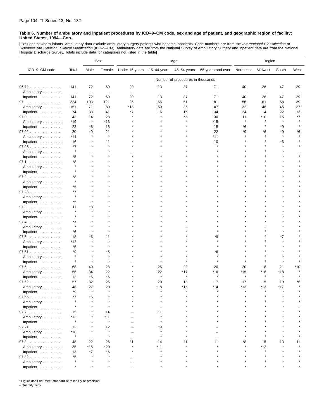[Excludes newborn infants. Ambulatory data exclude ambulatory surgery patients who became inpatients. Code numbers are from the *International Classification of*<br>*Diseases, 9th Revision, Clinical Modification* (ICD–9–CM). Hospital Discharge Survey. Totals include data for categories not listed in the table]

|                             |                          |                          | Sex                      | Age                      |                          |                                   |                   | Region            |                          |                          |      |
|-----------------------------|--------------------------|--------------------------|--------------------------|--------------------------|--------------------------|-----------------------------------|-------------------|-------------------|--------------------------|--------------------------|------|
| ICD-9-CM code               | Total                    | Male                     | Female                   | Under 15 years           | 15-44 years              | 45-64 years                       | 65 years and over | Northeast         | Midwest                  | South                    | West |
|                             |                          |                          |                          |                          |                          | Number of procedures in thousands |                   |                   |                          |                          |      |
| 96.72                       | 141                      | 72                       | 69                       | 20                       | 13                       | 37                                | 71                | 40                | 26                       | 47                       | 29   |
| Ambulatory                  | $\overline{\phantom{a}}$ | $\overline{\phantom{m}}$ | $\overline{\phantom{0}}$ | $\overline{\phantom{0}}$ | $\overline{\phantom{m}}$ | $\overline{\phantom{0}}$          | L.                | $\qquad \qquad -$ | $\overline{\phantom{a}}$ | $\overline{\phantom{0}}$ | Ē,   |
| Inpatient                   | 141                      | 72                       | 69                       | 20                       | 13                       | 37                                | 71                | 40                | 26                       | 47                       | 29   |
| 97                          | 224                      | 103                      | 121                      | 26                       | 66                       | 51                                | 81                | 56                | 61                       | 68                       | 39   |
| Ambulatory                  | 151                      | 71                       | 80                       | *18                      | 50                       | 35                                | 47                | 32                | 46                       | 45                       | 27   |
| Inpatient                   | 74                       | 33                       | 41                       | *7                       | 16                       | 16                                | 34                | 24                | 14                       | 22                       | 12   |
| 97.0                        | 42                       | 14                       | 28                       |                          | $\star$                  | *5                                | 30                | 11                | *10                      | 15                       | *7   |
| Ambulatory                  | *19                      | $\star$                  | $*13$                    |                          |                          |                                   | *15               |                   |                          | $\star$                  |      |
| Inpatient                   | 23                       | *8                       | 16                       |                          |                          |                                   | 15                | *6                |                          | *9                       |      |
| 97.02                       | 30                       | *9                       | 21                       |                          |                          |                                   | 22                | *9                | *6                       | *9                       | *6   |
| Ambulatory                  | *14                      | $\star$                  | $\star$                  |                          |                          |                                   | *11               |                   |                          | $\star$                  |      |
| Inpatient                   | 16                       |                          | 11                       |                          |                          |                                   | 10                |                   |                          | *6                       |      |
| 97.05                       | *7                       |                          |                          |                          |                          |                                   |                   |                   |                          |                          |      |
| Ambulatory                  | $\star$                  |                          |                          |                          |                          |                                   |                   |                   |                          |                          |      |
| Inpatient                   | *5                       |                          |                          |                          |                          |                                   |                   |                   |                          |                          |      |
| 97.1                        | *8                       |                          |                          |                          |                          |                                   |                   |                   |                          |                          |      |
| Ambulatory                  | $\star$                  |                          |                          |                          |                          |                                   |                   |                   |                          |                          |      |
| Inpatient                   |                          |                          |                          |                          |                          |                                   |                   |                   |                          |                          |      |
| 97.2                        | *8                       |                          |                          |                          |                          |                                   |                   |                   |                          |                          |      |
| Ambulatory                  | $\star$                  |                          |                          |                          |                          |                                   |                   |                   |                          |                          |      |
| Inpatient                   | *5                       |                          |                          |                          |                          |                                   |                   |                   |                          |                          |      |
| 97.23                       | *7                       |                          |                          |                          |                          |                                   |                   |                   |                          |                          |      |
| Ambulatory                  | $\star$                  |                          |                          |                          |                          |                                   |                   |                   |                          |                          |      |
| Inpatient                   | *5                       |                          |                          |                          |                          |                                   |                   |                   |                          |                          |      |
| 97.3                        | 11                       | *8                       |                          |                          |                          |                                   |                   |                   |                          |                          |      |
| Ambulatory                  | $\star$                  |                          |                          |                          |                          |                                   |                   |                   |                          |                          |      |
| Inpatient                   |                          |                          |                          |                          |                          |                                   |                   |                   |                          |                          |      |
| 97.4                        | *7                       |                          |                          |                          |                          |                                   |                   |                   |                          |                          |      |
| Ambulatory                  | $\star$                  |                          |                          |                          |                          |                                   |                   |                   |                          |                          |      |
| Inpatient                   | *6                       |                          |                          |                          |                          |                                   |                   |                   |                          |                          |      |
| 97.5                        | 18                       | *6                       | 11                       |                          |                          |                                   | *9                |                   |                          | *7                       |      |
| Ambulatory                  | *12                      |                          | $\star$                  |                          |                          |                                   |                   |                   |                          |                          |      |
| Inpatient                   | *5                       |                          | $\star$                  |                          |                          |                                   | $\star$           |                   |                          |                          |      |
| 97.51                       | *9                       |                          | *5                       |                          |                          |                                   | *6                |                   |                          |                          |      |
| Ambulatory                  | $\star$                  |                          | $\star$                  |                          |                          |                                   |                   |                   |                          |                          |      |
| Inpatient                   | $\star$                  | $\star$                  | $\star$                  |                          |                          |                                   |                   |                   |                          |                          |      |
| $97.6$                      | 68                       | 40                       | 28                       |                          | 25                       | 22                                | 20                | 20                | 18                       | 21                       | *10  |
| Ambulatory                  | 56                       | 34                       | 22                       |                          | 22                       | *17                               | *16               | $*15$             | *16                      | *18                      |      |
| Inpatient                   | 12                       | *6                       | *6                       |                          | $\star$                  | $\star$                           | $\star$           | $\star$           | $\star$                  |                          |      |
| 97.62                       | 57                       | 32                       | 25                       |                          | 20                       | 18                                | 17                | 17                | 15                       | 19                       | *6   |
| Ambulatory                  | 48                       | 27                       | 20                       |                          | *18                      | $*15$                             | $*14$             | $*13$             | *13                      | $*17$                    |      |
| Inpatient $\dots\dots\dots$ | *9                       | $\star$                  | $\star$                  |                          | $\star$                  | $\star$                           | $\star$           | $\star$           | $\star$                  | $\star$                  |      |
| 97.65                       | *7                       | *6                       |                          |                          |                          |                                   |                   |                   |                          |                          |      |
| Ambulatory                  |                          |                          |                          |                          |                          |                                   |                   |                   |                          |                          |      |
| Inpatient                   | $\star$                  |                          |                          |                          |                          |                                   |                   |                   |                          |                          |      |
| 97.7                        | 15                       |                          | 14                       |                          | 11                       |                                   |                   |                   |                          |                          |      |
| Ambulatory                  | *12                      |                          | *11                      |                          |                          |                                   |                   |                   |                          |                          |      |
| Inpatient                   | $\star$                  |                          | $\star$                  |                          |                          |                                   |                   |                   |                          |                          |      |
| 97.71                       | 12                       |                          | 12                       |                          | *9                       |                                   |                   |                   |                          |                          |      |
| Ambulatory                  | $*10$                    |                          | $\star$                  |                          |                          |                                   |                   |                   |                          |                          |      |
| Inpatient                   | $\pmb{\ast}$             | -                        | $\star$                  |                          |                          |                                   |                   |                   |                          |                          |      |
| 97.8                        | 48                       | 22                       | 26                       | 11                       | 14                       | 11                                | 11                | ۴8                | 15                       | 13                       | 11   |
| Ambulatory                  | 35                       | $*15$                    | $*20$                    |                          | *11                      |                                   |                   |                   | *12                      |                          |      |
| Inpatient                   | 13                       | *7                       | *6                       |                          |                          |                                   |                   |                   |                          |                          |      |
| 97.82                       | *5                       | $\star$                  | $\star$                  |                          |                          |                                   |                   |                   |                          |                          |      |
| Ambulatory                  |                          |                          |                          |                          |                          |                                   |                   |                   |                          |                          |      |
| Inpatient                   |                          |                          |                          |                          |                          |                                   |                   |                   |                          |                          |      |

\* Figure does not meet standard of reliability or precision. – Quantity zero.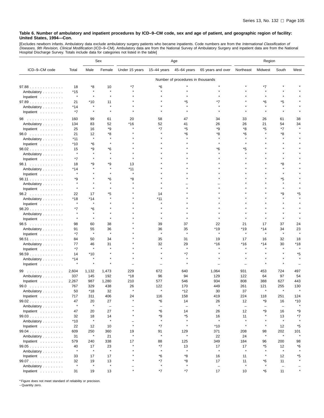[Excludes newborn infants. Ambulatory data exclude ambulatory surgery patients who became inpatients. Code numbers are from the *International Classification of*<br>*Diseases, 9th Revision, Clinical Modification* (ICD–9–CM).

|                                                                                                                                                                                                                                      |               |                     | Sex                      | Age                                 |                          |                                   |                                | Region         |                          |                          |                       |
|--------------------------------------------------------------------------------------------------------------------------------------------------------------------------------------------------------------------------------------|---------------|---------------------|--------------------------|-------------------------------------|--------------------------|-----------------------------------|--------------------------------|----------------|--------------------------|--------------------------|-----------------------|
| ICD-9-CM code                                                                                                                                                                                                                        | Total         | Male                | Female                   | Under 15 years                      | $15-44$ years            | 45-64 years                       | 65 years and over              | Northeast      | Midwest                  | South                    | West                  |
|                                                                                                                                                                                                                                      |               |                     |                          |                                     |                          | Number of procedures in thousands |                                |                |                          |                          |                       |
| 97.88                                                                                                                                                                                                                                | 18            | *8                  | 10                       | *7                                  | *6                       |                                   |                                |                | *7                       |                          |                       |
| Ambulatory                                                                                                                                                                                                                           | *15           | $\star$             | $\star$                  |                                     | $\star$                  |                                   |                                |                |                          |                          |                       |
| Inpatient                                                                                                                                                                                                                            | $\star$       | $\star$             | A                        |                                     |                          |                                   |                                |                |                          |                          |                       |
| 97.89                                                                                                                                                                                                                                | 21            | *10                 | 11                       |                                     |                          | *5                                |                                |                | *6                       | *5                       |                       |
| Ambulatory                                                                                                                                                                                                                           | *14           | $\star$             | $\star$                  |                                     |                          |                                   |                                |                |                          |                          |                       |
| Inpatient                                                                                                                                                                                                                            | *7            | $\star$             |                          |                                     |                          |                                   |                                |                |                          |                          |                       |
| 98<br>$\sim$ 100 km and 100 km and 100 km and 100 km and 100 km and 100 km and 100 km and 100 km and 100 km and 100 km and 100 km and 100 km and 100 km and 100 km and 100 km and 100 km and 100 km and 100 km and 100 km and 100 km | 160           | 99                  | 61                       | 20                                  | 58                       | 47                                | 34                             | 33             | 26                       | 61                       | 38                    |
| Ambulatory                                                                                                                                                                                                                           | 134           | 83                  | 52                       | *16                                 | 52                       | 41                                | 26                             | 26             | 21                       | 54                       | 34                    |
| Inpatient                                                                                                                                                                                                                            | 25            | 16                  | *9                       | $\star$                             | *7                       | *5                                | *9                             | *8             | *5                       | *7                       |                       |
| 98.0                                                                                                                                                                                                                                 | 21            | 12                  | *8                       |                                     |                          | *6                                | *8                             | *6             |                          | *8                       |                       |
| Ambulatory                                                                                                                                                                                                                           | $*11$         | $\star$             | A                        |                                     |                          |                                   |                                |                |                          |                          |                       |
| Inpatient                                                                                                                                                                                                                            | *10           | *6                  |                          |                                     |                          |                                   |                                |                |                          |                          |                       |
| 98.02                                                                                                                                                                                                                                | 15            | *9                  | *6                       |                                     |                          |                                   | *6                             | *5             |                          |                          |                       |
| Ambulatory                                                                                                                                                                                                                           | $\star$       | $\star$             | $\star$                  |                                     |                          |                                   |                                |                |                          |                          |                       |
| Inpatient $\ldots$ ,                                                                                                                                                                                                                 | *7            | $\star$             | ×                        |                                     |                          |                                   |                                |                |                          |                          |                       |
| 98.1                                                                                                                                                                                                                                 | 18            | *9                  | *9                       | 13                                  |                          |                                   |                                |                |                          | *8                       |                       |
| Ambulatory                                                                                                                                                                                                                           | *14           |                     | $\star$                  | *11                                 |                          |                                   |                                |                |                          |                          |                       |
| Inpatient                                                                                                                                                                                                                            | $\star$       |                     | $\star$                  | $\star$                             |                          |                                   |                                |                |                          |                          |                       |
| 98.11                                                                                                                                                                                                                                | *9            |                     | *6                       | *8                                  |                          |                                   |                                |                |                          | *5                       |                       |
| Ambulatory                                                                                                                                                                                                                           |               |                     | $\star$                  |                                     |                          |                                   |                                |                |                          | $\star$                  |                       |
| Inpatient                                                                                                                                                                                                                            | $\star$       | $\star$             | $\star$                  |                                     |                          |                                   |                                |                |                          | $\star$                  |                       |
| 98.2                                                                                                                                                                                                                                 | 22            | 17                  | *5                       |                                     | 14                       |                                   |                                |                |                          | *9                       |                       |
| Ambulatory                                                                                                                                                                                                                           | *18           | *14                 |                          |                                     | *11                      |                                   |                                |                |                          |                          |                       |
| Inpatient                                                                                                                                                                                                                            | $\star$       | $\pmb{\ast}$        |                          |                                     |                          |                                   |                                |                |                          |                          |                       |
| 98.20                                                                                                                                                                                                                                | *7            | *6                  |                          |                                     |                          |                                   |                                |                |                          |                          |                       |
| Ambulatory                                                                                                                                                                                                                           | $\star$       | $\star$<br>$\star$  |                          |                                     |                          |                                   |                                |                |                          |                          |                       |
| Inpatient                                                                                                                                                                                                                            |               |                     |                          |                                     |                          |                                   |                                |                |                          |                          |                       |
| 98.5                                                                                                                                                                                                                                 | 98            | 60                  | 38                       |                                     | 39                       | 37                                | 22                             | 21             | 17                       | 37                       | 24                    |
| Ambulatory                                                                                                                                                                                                                           | 91            | 55<br>$\star$       | 36<br>À                  |                                     | 36<br>$\pmb{\ast}$       | 35<br>$\star$                     | *19<br>$\star$                 | *19<br>$\star$ | *14<br>$\star$           | 34<br>$\star$            | 23                    |
| Inpatient                                                                                                                                                                                                                            | *7            |                     |                          |                                     |                          |                                   |                                |                |                          |                          |                       |
| 98.51                                                                                                                                                                                                                                | 84            | 50                  | 34                       |                                     | 35                       | 31                                | 19                             | 17             | 16                       | 32                       | 18                    |
| Ambulatory                                                                                                                                                                                                                           | 77<br>$*7$    | 46<br>$\star$       | 31<br>A                  |                                     | 32<br>$\star$            | 29<br>$\star$                     | *16                            | *16            | $*14$                    | 30                       | *18<br>$\star$        |
| Inpatient                                                                                                                                                                                                                            |               | *10                 |                          |                                     |                          | *7                                |                                |                |                          |                          | *5                    |
| 98.59                                                                                                                                                                                                                                | 14<br>*14     | $\star$             | $\star$                  |                                     |                          |                                   |                                |                |                          |                          |                       |
| Ambulatory                                                                                                                                                                                                                           | ۸             | $\star$             |                          |                                     |                          |                                   |                                |                |                          |                          |                       |
| Inpatient                                                                                                                                                                                                                            |               |                     |                          |                                     |                          |                                   |                                |                |                          |                          |                       |
| 99<br>.                                                                                                                                                                                                                              | 2,604         | 1,132               | 1,473                    | 229                                 | 672                      | 640                               | 1,064                          | 931            | 453                      | 724                      | 497                   |
| Ambulatory                                                                                                                                                                                                                           | 337           | 145                 | 192                      | *18                                 | 96                       | 94                                | 129                            | 122            | 64                       | 97                       | 54                    |
| Inpatient $\ldots$ ,                                                                                                                                                                                                                 | 2,267         | 987                 | 1,280                    | 210                                 | 577                      | 546                               | 934                            | 808            | 388                      | 627                      | 443                   |
| 99.0                                                                                                                                                                                                                                 | 767           | 329                 | 438                      | 26<br>$\star$                       | 122<br>$\star$           | 170                               | 449                            | 261            | 121<br>$\star$           | 255<br>$\star$           | 130<br>$\star$        |
| Ambulatory                                                                                                                                                                                                                           | 50            | *18                 | 32                       |                                     |                          | *12                               | 30                             | 37             |                          |                          |                       |
| Inpatient $\ldots \ldots \ldots$                                                                                                                                                                                                     | 717           | 311                 | 406                      | 24<br>$\star$                       | 116                      | 158                               | 419                            | 224            | 118                      | 251                      | 124                   |
| 99.02                                                                                                                                                                                                                                | 47<br>$\star$ | 20<br>$\star$       | 27                       |                                     | *6                       | 14                                | 26<br>$\pmb{\ast}$             | 12             | *9                       | 16                       | $*10$<br>$\pmb{\ast}$ |
| Ambulatory                                                                                                                                                                                                                           |               |                     | $\overline{\phantom{a}}$ | L,<br>$\star$                       | $\overline{\phantom{a}}$ | $\overline{\phantom{0}}$          |                                | $\equiv$       | $\overline{\phantom{0}}$ | $\overline{\phantom{0}}$ |                       |
| Inpatient                                                                                                                                                                                                                            | 47            | 20                  | 27                       | $\star$                             | *6                       | 14                                | 26                             | 12             | *9<br>$\star$            | 16                       | *9                    |
| 99.03                                                                                                                                                                                                                                | 32            | 18<br>$\pmb{\ast}$  | 14<br>$\star$            |                                     | *9<br>$\star$            | *5<br>$\star$                     | 16<br>$\star$                  | 11<br>$\star$  |                          | 13<br>$\star$            | *7                    |
| Ambulatory                                                                                                                                                                                                                           | *10           |                     |                          | $\overline{\phantom{0}}$<br>$\star$ |                          | $\star$                           |                                | $\star$        | $\star$                  |                          |                       |
| Inpatient                                                                                                                                                                                                                            | 22            | 12                  | 10                       |                                     | $*7$                     |                                   | $*10$                          |                |                          | 12                       | *5                    |
| 99.04                                                                                                                                                                                                                                | 609           | 250<br>$\pmb{\ast}$ | 360                      | 19<br>$\star$                       | 91<br>$\star$            | 129<br>$\star$                    | 371                            | 208            | 98<br>$\star$            | 202<br>$\pmb{\ast}$      | 101                   |
| Ambulatory                                                                                                                                                                                                                           | 31            |                     | 21                       |                                     |                          |                                   | 22                             | 24             |                          |                          |                       |
| Inpatient                                                                                                                                                                                                                            | 579           | 240                 | 338                      | 17<br>$\star$                       | 88                       | 125                               | 349                            | 184            | 96                       | 200                      | 98                    |
| 99.05                                                                                                                                                                                                                                | 40<br>$\star$ | 17<br>$\pmb{\ast}$  | 23<br>$\star$            | $\star$                             | *7<br>$\star$            | 13<br>$\star$                     | 17<br>$\pmb{\ast}$             | 17<br>$\star$  | *5<br>$\star$            | 12<br>$\pmb{\ast}$       | *6                    |
| Ambulatory                                                                                                                                                                                                                           |               |                     |                          |                                     |                          |                                   |                                |                | $\star$                  |                          |                       |
| Inpatient                                                                                                                                                                                                                            | 33            | 17                  | 17                       |                                     | *6                       | *8                                | 16                             | 11             |                          | 12                       | *5                    |
| 99.07                                                                                                                                                                                                                                | 32<br>$\star$ | 19<br>$\pmb{\ast}$  | 13<br>$\star$            |                                     | *7<br>$\pmb{\ast}$       | *8<br>$\star$                     | 17                             | 11<br>$\star$  | *6<br>$\star$            | 11                       |                       |
| Ambulatory<br>Inpatient                                                                                                                                                                                                              | 31            | 19                  | 13                       | $\star$                             | *7                       | *7                                | $\overline{\phantom{a}}$<br>17 | 10             | *6                       | $\qquad \qquad -$<br>11  | $\star$               |
|                                                                                                                                                                                                                                      |               |                     |                          |                                     |                          |                                   |                                |                |                          |                          |                       |

\* Figure does not meet standard of reliability or precision. – Quantity zero.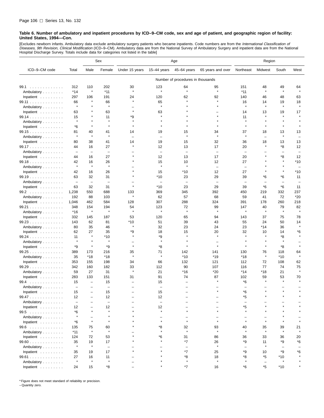[Excludes newborn infants. Ambulatory data exclude ambulatory surgery patients who became inpatients. Code numbers are from the *International Classification of*<br>*Diseases, 9th Revision, Clinical Modification* (ICD–9–CM). Hospital Discharge Survey. Totals include data for categories not listed in the table]

|                                  |                                |                                 | Sex                      | Age                      |                          |                                   |                          | Region                   |                          |                          |               |
|----------------------------------|--------------------------------|---------------------------------|--------------------------|--------------------------|--------------------------|-----------------------------------|--------------------------|--------------------------|--------------------------|--------------------------|---------------|
| ICD-9-CM code                    | Total                          | Male                            | Female                   | Under 15 years           | 15-44 years              | 45-64 years                       | 65 years and over        | Northeast                | Midwest                  | South                    | West          |
|                                  |                                |                                 |                          |                          |                          | Number of procedures in thousands |                          |                          |                          |                          |               |
| 99.1                             | 312                            | 110                             | 202                      | 30                       | 123                      | 64                                | 95                       | 151                      | 48                       | 49                       | 64            |
| Ambulatory                       | *14                            | $\star$                         | $*11$                    | $\star$                  | $\pmb{\ast}$             | $\star$                           | $\star$                  | $*11$                    | $\star$                  | $\star$                  | $\star$       |
| Inpatient                        | 297                            | 106                             | 191                      | 24                       | 120                      | 62                                | 92                       | 140                      | 46                       | 48                       | 63            |
| 99.11                            | 66                             | $\star$                         | 66                       | $\star$                  | 65                       | $\star$                           | $\star$                  | 16                       | 14                       | 19                       | 18            |
| Ambulatory                       | $\star$                        | $\star$                         | $\pmb{\ast}$             |                          | $\star$                  |                                   | $\star$                  | $\star$                  | $\star$                  | $\star$                  | $\star$       |
| Inpatient                        | 63                             |                                 | 63                       | $\star$                  | 63                       |                                   |                          | 14                       | 13                       | 19                       | 17            |
| 99.14                            | 15                             |                                 | 11                       | *9                       |                          |                                   |                          | 11                       | $\star$                  |                          |               |
| Ambulatory                       | $\star$                        | $\star$                         | $\star$                  |                          |                          |                                   |                          |                          |                          |                          |               |
| Inpatient                        | *6                             | $\star$                         | $\star$                  | $\star$                  |                          |                                   |                          | $\star$                  | $\star$                  | $\star$                  |               |
| 99.15                            | 81                             | 40                              | 41                       | 14                       | 19                       | 15                                | 34                       | 37                       | 18                       | 13                       | 13            |
| Ambulatory                       | $\star$                        | $\star$                         | $\star$                  | $\overline{\phantom{0}}$ | $\overline{\phantom{0}}$ | $\star$                           | $\star$                  | $\star$                  | $\overline{\phantom{0}}$ | $\star$                  |               |
| Inpatient                        | 80                             | 38                              | 41                       | 14                       | 19                       | 15                                | 32                       | 36                       | 18                       | 13                       | 13            |
| 99.17                            | 44                             | 16                              | 27                       |                          | 12                       | 13                                | 17                       | 20                       | $\star$                  | *8                       | 12            |
| Ambulatory                       | $\overline{\phantom{m}}$       | $\overline{\phantom{m}}$        | $\overline{\phantom{0}}$ | $\star$                  | $\overline{\phantom{m}}$ | $\overline{\phantom{0}}$          | $\overline{\phantom{m}}$ | $\overline{\phantom{0}}$ |                          | $\overline{\phantom{0}}$ |               |
| Inpatient                        | 44                             | 16                              | 27                       |                          | 12                       | 13                                | 17                       | 20                       |                          | *8<br>$\star$            | 12            |
| 99.18                            | 42<br>$\star$                  | 16<br>$\star$                   | 26<br>$\star$            |                          | 15<br>$\star$            | 10<br>$\star$                     | 12                       | 27                       |                          | $\star$                  | *10           |
| Ambulatory                       |                                |                                 |                          |                          |                          |                                   | $\equiv$                 | $\overline{\phantom{0}}$ |                          |                          |               |
| Inpatient                        | 42<br>63                       | 16<br>32                        | 26<br>31                 |                          | 15<br>*10                | *10<br>23                         | 12<br>29                 | 27<br>39                 | *6                       | *6                       | *10<br>11     |
| 99.19                            |                                |                                 | $\overline{\phantom{a}}$ |                          | $\overline{\phantom{0}}$ | $\overline{\phantom{0}}$          | $\overline{\phantom{m}}$ | $\overline{\phantom{0}}$ | -                        | $\overline{\phantom{0}}$ |               |
| Ambulatory<br>Inpatient          | $\overline{\phantom{a}}$<br>63 | $\overline{\phantom{a}}$<br>32  | 31                       | $\star$                  | $*10$                    | 23                                | 29                       | 39                       | *6                       | *6                       | 11            |
| 99.2                             | 1,238                          | 550                             | 688                      | 133                      | 369                      | 345                               | 392                      | 450                      | 219                      | 332                      | 237           |
| Ambulatory                       | 192                            | 88                              | 103                      | $\star$                  | 62                       | 57                                | 68                       | 59                       | 41                       | 72                       | *20           |
| Inpatient                        | 1,046                          | 462                             | 584                      | 128                      | 307                      | 288                               | 324                      | 391                      | 178                      | 260                      | 218           |
| 99.21                            | 348                            | 154                             | 194                      | 54                       | 123                      | 72                                | 99                       | 147                      | 40                       | 79                       | 82            |
| Ambulatory                       | *16                            | $\star$                         | $\pmb{\ast}$             | $\star$                  | $\star$                  | $\star$                           | $\star$                  | $\pmb{\ast}$             | $\star$                  | $\star$                  | $\star$       |
| Inpatient                        | 332                            | 145                             | 187                      | 53                       | 120                      | 65                                | 94                       | 143                      | 37                       | 75                       | 78            |
| 99.23                            | 143                            | 62                              | 81                       | *10                      | 51                       | 39                                | 43                       | 55                       | 24                       | 50                       | 14            |
| Ambulatory                       | 80                             | 35                              | 46                       | $\star$                  | 32                       | 23                                | 24                       | 23                       | *14                      | 36                       | $\star$       |
| Inpatient                        | 62                             | 27                              | 35                       | *9                       | 18                       | 15                                | 20                       | 32                       | 10                       | 14                       | *6            |
| 99.24                            | 11                             | $\star$                         | $*10$                    |                          | *9                       |                                   |                          | $\star$                  | $\star$                  | *8                       |               |
| Ambulatory                       | $\star$                        | $\star$                         | $\star$                  |                          |                          |                                   |                          |                          |                          |                          |               |
| Inpatient                        | *9                             | $\star$                         | *9                       | $\star$                  | *8                       | $\star$                           | $\star$                  | $\star$                  | $\star$                  | *8                       |               |
| 99.25                            | 389                            | 173                             | 216                      | 35<br>$\star$            | 71<br>$\star$            | 142                               | 141                      | 130                      | 76                       | 118                      | 64<br>$\star$ |
| Ambulatory                       | 35                             | $*18$                           | $*18$                    |                          |                          | $*10$                             | *19                      | *18                      | $\star$                  | $*10$                    |               |
| Inpatient                        | 353                            | 155                             | 198                      | 34                       | 66                       | 132                               | 121                      | 112                      | 72                       | 108                      | 62            |
| 99.29                            | 342                            | 160                             | 182                      | 33<br>$\star$            | 112                      | 90                                | 107                      | 116                      | 77                       | 74                       | 75<br>$\star$ |
| Ambulatory<br>Inpatient          | 59                             | 27                              | 31<br>151                | 31                       | 21<br>91                 | *16<br>74                         | *20<br>87                | $*14$<br>102             | *18<br>59                | 21                       | 70            |
| 99.4                             | 283<br>15                      | 133<br>$\overline{\phantom{0}}$ | 15                       |                          | 15                       |                                   |                          | *6                       |                          | 53<br>$\star$            |               |
| Ambulatory                       | $\overline{\phantom{a}}$       | ۳                               | $\overline{\phantom{0}}$ |                          |                          |                                   |                          |                          |                          |                          |               |
| Inpatient $\ldots \ldots \ldots$ | 15                             | $\overline{\phantom{0}}$        | 15                       |                          | 15                       |                                   |                          | *6                       |                          |                          |               |
| 99.47                            | 12                             |                                 | 12                       |                          | 12                       |                                   |                          | *5                       |                          |                          |               |
| Ambulatory                       | $\overline{\phantom{0}}$       |                                 | $\qquad \qquad -$        |                          | $\overline{\phantom{a}}$ |                                   |                          | -                        |                          |                          |               |
| Inpatient $\ldots \ldots \ldots$ | 12                             |                                 | 12                       |                          | 12                       |                                   |                          | *5                       |                          |                          |               |
| 99.5                             | *6                             | $\star$                         | $\star$                  |                          | $\star$                  | $\star$                           | $\star$                  | $\star$                  |                          |                          |               |
| Ambulatory                       | $\star$                        |                                 |                          |                          |                          |                                   |                          |                          |                          |                          |               |
| Inpatient                        | *6                             | $\star$                         | $\star$                  |                          | $\star$                  | $\star$                           | $\star$                  | $\star$                  | $\star$                  |                          |               |
| 99.6                             | 135                            | 75                              | 60                       |                          | *8                       | 32                                | 93                       | 40                       | 35                       | 39                       | 21            |
| Ambulatory                       | $*11$                          | $\pmb{\ast}$                    | $\pmb{\ast}$             |                          |                          | $\star$                           | $\star$                  | $\star$                  | $\star$                  | $\star$                  |               |
| Inpatient                        | 124                            | 72                              | 53                       |                          | *6                       | 31                                | 86                       | 36                       | 33                       | 36                       | 20            |
| $99.60$                          | 35                             | 19                              | 17                       |                          |                          | *7                                | 26                       | *9                       | 11                       | *9                       | *6            |
| Ambulatory                       | $\star$                        | $\star$                         | $\overline{\phantom{a}}$ |                          |                          | $\qquad \qquad -$                 | $\star$                  | $\qquad \qquad -$        |                          | $\qquad \qquad -$        |               |
| Inpatient                        | 35                             | 19                              | 17                       |                          |                          | *7                                | 25                       | *9                       | 10                       | *9                       | *6            |
| 99.61                            | 27<br>$\star$                  | 16<br>$\star$                   | 11<br>$\pmb{\ast}$       |                          |                          | *8<br>$\star$                     | 18<br>$\star$            | *8<br>$\star$            | *5                       | *10                      |               |
| Ambulatory<br>Inpatient          | 24                             | 15                              | *8                       |                          |                          | *7                                | 16                       | $*6$                     | $\qquad \qquad -$<br>*5  | $*10$                    |               |
|                                  |                                |                                 |                          |                          |                          |                                   |                          |                          |                          |                          |               |

\* Figure does not meet standard of reliability or precision.

– Quantity zero.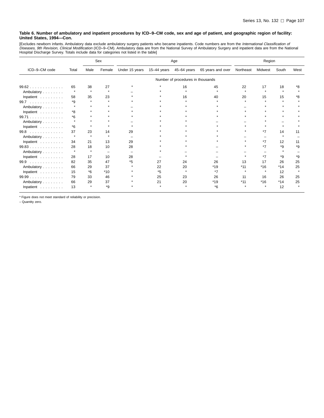[Excludes newborn infants. Ambulatory data exclude ambulatory surgery patients who became inpatients. Code numbers are from the *International Classification of*<br>*Diseases, 9th Revision, Clinical Modification* (ICD–9–CM).

|                                   | Sex     |           |         |                | Age           |                                   | Region            |           |         |           |      |
|-----------------------------------|---------|-----------|---------|----------------|---------------|-----------------------------------|-------------------|-----------|---------|-----------|------|
| ICD-9-CM code                     | Total   | Male      | Female  | Under 15 years | $15-44$ years | 45-64 years                       | 65 years and over | Northeast | Midwest | South     | West |
|                                   |         |           |         |                |               | Number of procedures in thousands |                   |           |         |           |      |
| 99.62                             | 65      | 38        | 27      |                |               | 16                                | 45                | 22        | 17      | 18        |      |
| Ambulatory                        | $\star$ | $\star$   | $\star$ |                |               |                                   |                   | $\star$   | $\star$ | $\bullet$ |      |
| Inpatient                         | 58      | 35        | 23      |                |               | 16                                | 40                | 20        | 15      | 15        | *8   |
| 99.7<br>.                         | *9      |           |         |                |               |                                   |                   |           |         |           |      |
| Ambulatory                        | 4       |           |         |                |               |                                   |                   |           |         |           |      |
| Inpatient                         | *8      |           |         |                |               |                                   |                   |           |         |           |      |
| 99.71                             | *6      |           |         |                |               |                                   |                   |           |         |           |      |
| Ambulatory                        | 4       | ٠         |         |                |               |                                   |                   |           |         |           |      |
| Inpatient                         | *6      | $\star$   |         |                |               |                                   |                   |           |         |           |      |
| 99.8<br>distribution distribution | 37      | 23        | 14      | 29             |               |                                   |                   |           | *7      | 14        | 11   |
| Ambulatory                        | $\star$ | $\bullet$ |         |                |               |                                   |                   |           |         |           |      |
| Inpatient                         | 34      | 21        | 13      | 29             |               |                                   |                   |           | *7      | 12        | 11   |
| 99.83                             | 28      | 18        | 10      | 28             |               |                                   |                   |           | $*7$    | $*q$      | *9   |
| Ambulatory                        | $\star$ | $\star$   |         |                |               |                                   |                   |           |         |           |      |
| Inpatient                         | 28      | 17        | 10      | 28             |               |                                   |                   |           | $*7$    | *9        | *9   |
| 99.9<br>.                         | 82      | 35        | 47      | *5             | 27            | 24                                | 26                | 13        | 17      | 26        | 25   |
| Ambulatory                        | 66      | 29        | 37      |                | 22            | 20                                | $*19$             | $*11$     | $*16$   | $*14$     | 25   |
| Inpatient                         | 15      | $*6$      | $*10$   |                | *5            | $\bullet$                         | $*7$              |           |         | 12        |      |
| 99.99<br>.                        | 79      | 33        | 46      |                | 25            | 23                                | 26                | 11        | 16      | 26        | 25   |
| Ambulatory                        | 66      | 29        | 37      |                | 21            | 20                                | $*19$             | $*11$     | $*16$   | $*14$     | 25   |
| Inpatient                         | 13      |           | *9      |                |               |                                   | $*6$              |           |         | 12        |      |

\* Figure does not meet standard of reliability or precision.

– Quantity zero.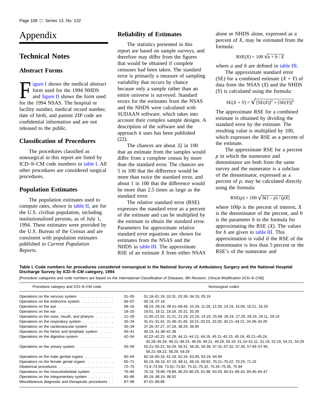# Appendix

## **Technical Notes**

## **Abstract Forms**

[Figure I](#page-114-0) shows the medical abstract<br>form used for the 1994 NHDS<br>and [figure II](#page-116-0) shows the form used<br>for the 1004 NSAS. The hequital or form used for the 1994 NHDS for the 1994 NSAS. The hospital or facility number, medical record number, date of birth, and patient ZIP code are confidential information and are not released to the public.

## **Classification of Procedures**

The procedures classified as nonsurgical in this report are listed by ICD–9–CM code numbers in table I. All other procedures are considered surgical procedures.

## **Population Estimates**

The population estimates used to compute rates, shown in [table II, a](#page-117-0)re for the U.S. civilian population, including institutionalized persons, as of July 1, 1994. These estimates were provided by the U.S. Bureau of the Census and are consistent with population estimates published in *Current Population Reports.*

## **Reliability of Estimates**

The statistics presented in this report are based on sample surveys, and therefore may differ from the figures that would be obtained if complete censuses had been taken. The standard error is primarily a measure of sampling variability that occurs by chance because only a sample rather than an entire universe is surveyed. Standard errors for the estimates from the NSAS and the NHDS were calculated with SUDAAN software, which takes into account their complex sample designs. A description of the software and the approach it uses has been published (22).

The chances are about 32 in 100 that an estimate from the samples would differ from a complete census by more than the standard error. The chances are 5 in 100 that the difference would be more than twice the standard error, and about 1 in 100 that the difference would be more than 2.5 times as large as the standard error.

The relative standard error (RSE) expresses the standard error as a percent of the estimate and can be multiplied by the estimate to obtain the standard error. Parameters for approximate relative standard error equations are shown for estimates from the NSAS and the NHDS in [table III. T](#page-118-0)he approximate RSE of an estimate *X* from either NSAS

alone or NHDS alone, expressed as a percent of *X,* may be estimated from the formula:

$$
RSE(X) = 100 \sqrt{a + b / X}
$$

where *a* and *b* are defined in [table III.](#page-118-0)

The approximate standard error (SE) for a combined estimate  $(X + Y)$  of data from the NSAS (*X*) and the NHDS (*Y*) is calculated using the formula:

$$
SE(X + Y) = \sqrt{[SE(X)]^{2} + [SE(Y)]^{2}}
$$

The approximate RSE for a combined estimate is obtained by dividing the standard error by the estimate. The resulting value is multiplied by 100, which expresses the RSE as a percent of the estimate.

The approximate RSE for a percent *p* in which the numerator and denominator are both from the same survey and the numerator is a subclass of the denominator, expressed as a percent of *p*, may be calculated directly using the formula:

$$
RSE(p) = 100 \sqrt{\frac{b(1-p)}{(pX)}}
$$

where 100*p* is the percent of interest, *X* is the denominator of the percent, and *b* is the parameter *b* in the formula for approximating the RSE *(X)*. The values for *b* are given in [table III. T](#page-118-0)his approximation is valid if the RSE of the denominator is less than 5 percent or the RSE's of the numerator and

**Table I. Code numbers for procedures considered nonsurgical in the National Survey of Ambulatory Surgery and the National Hospital Discharge Survey by ICD–9–CM category, 1994**

[Procedure categories and code numbers are based on the International Classification of Diseases, 9th Revision, Clinical Modification (ICD-9-CM)]

| Procedure category and ICD-9-CM code                |           | Nonsurgical codes                                                                                                                                                         |
|-----------------------------------------------------|-----------|---------------------------------------------------------------------------------------------------------------------------------------------------------------------------|
| Operations on the nervous system                    | $01 - 05$ | 01.18-01.19, 03.31, 03.39, 04.19, 05.19                                                                                                                                   |
| Operations on the endocrine system                  | $06 - 07$ | 06.19, 07.19                                                                                                                                                              |
|                                                     | $08 - 16$ | 08.19, 09.19, 09.41–09.49, 10.29, 11.29, 12.29, 14.19, 15.09, 16.21, 16.29                                                                                                |
|                                                     | 18-20     | 18.01, 18.11, 18.19, 20.31, 20.39                                                                                                                                         |
| Operations on the nose, mouth, and pharynx          | $21 - 29$ | 21.00-21.02, 21.21, 21.29, 22.19, 24.19, 25.09, 26.19, 27.29, 28.19, 29.11, 29.19                                                                                         |
| Operations on the respiratory system                | $30 - 34$ | 31.41-31.42, 31.48-31.49, 33.21-33.23, 33.29, 34.21-34.22, 34.28-34.29                                                                                                    |
| Operations on the cardiovascular system             | $35 - 39$ | 37.26-37.27, 37.29, 38.29, 39.95                                                                                                                                          |
| Operations on the hemic and lymphatic system        | 40–41     | 40.19, 41.38-41.39                                                                                                                                                        |
| Operations on the digestive system                  | 42–54     | 42.22–42.23, 42.29, 44.11–44.13, 44.19, 45.11–45.13, 45.19, 45.21–45.24,<br>45.28-45.29, 48.21-48.23, 48.29, 49.21, 49.29, 50.19, 51.10-51.11, 51.19, 52.19, 54.21, 54.29 |
| Operations on the urinary system                    | $55 - 59$ | 55.21-55.22, 55.29, 56.31, 56.35, 56.39, 57.31-57.32, 57.39, 57.94-57.95,<br>58.21-58.22, 58.29, 59.29                                                                    |
| Operations on the male genital organs $\ldots$ ,    | 60-64     | 60.18-60.19, 61.19, 62.19, 63.09, 64.19, 64.94                                                                                                                            |
| Operations on the female genial organs              | $65 - 71$ | 65.19, 66.19, 67.19, 68.11, 68.19, 69.92, 70.21-70.22, 70.29, 71.19                                                                                                       |
|                                                     | $72 - 75$ | 73.4-73.59, 73.91-73.92, 75.31-75.32, 75.34-75.35, 75.94                                                                                                                  |
| Operations on the musculoskeletal system            | 76–84     | 76.19, 78.80-78.89, 80.20-80.29, 81.98, 83.29, 84.41-84.43, 84.45-84.47                                                                                                   |
| Operations on the integumentary system              | 85–86     | 85.19, 86.19, 86.92                                                                                                                                                       |
| Miscellaneous diagnostic and therapeutic procedures | $87 - 99$ | 87.01-99.99                                                                                                                                                               |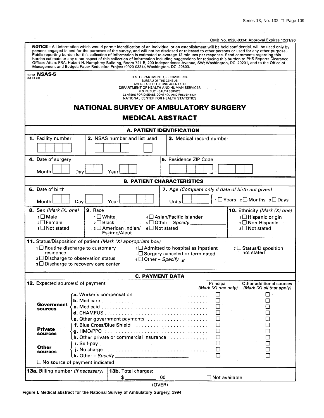$\overline{\phantom{a}}$ 

### OMB No. 0920-0334: Approval Expires 12/31/96

<span id="page-114-0"></span>

|                                                                            | Management and Budget; Paper Reduction Project (0920-0334), Washington, DC 20503.                                                                                                        | NOTICE - All information which would permit identification of an individual or an establishment will be held confidential, will be used only by<br>persons engaged in and for the purposes of the survey, and will not be disclosed or released to other persons or used for any other purpose.<br>Public reporting burden for this collection of information is estimated to average 12 minutes per response. Send comments regarding this<br>burden estimate or any other aspect of this collection of information including suggestions for reducing this burden to PHS Reports Clearance<br>Officer: Atten: PRA: Hubert H. Humphrey Building, Room 721-B; 200 Independence Avenue, SW; Washington, DC 20201, and to the Office of |  |
|----------------------------------------------------------------------------|------------------------------------------------------------------------------------------------------------------------------------------------------------------------------------------|---------------------------------------------------------------------------------------------------------------------------------------------------------------------------------------------------------------------------------------------------------------------------------------------------------------------------------------------------------------------------------------------------------------------------------------------------------------------------------------------------------------------------------------------------------------------------------------------------------------------------------------------------------------------------------------------------------------------------------------|--|
| FORM NSAS-5<br>$(12-14-93)$                                                |                                                                                                                                                                                          | U.S. DEPARTMENT OF COMMERCE<br><b>BUREAU OF THE CENSUS</b><br>ACTING AS COLLECTING AGENT FOR<br>DEPARTMENT OF HEALTH AND HUMAN SERVICES<br>U.S. PUBLIC HEALTH SERVICE<br>CENTERS FOR DISEASE CONTROL AND PREVENTION<br>NATIONAL CENTER FOR HEALTH STATISTICS<br><b>NATIONAL SURVEY OF AMBULATORY SURGERY</b><br><b>MEDICAL ABSTRACT</b>                                                                                                                                                                                                                                                                                                                                                                                               |  |
|                                                                            |                                                                                                                                                                                          | A. PATIENT IDENTIFICATION                                                                                                                                                                                                                                                                                                                                                                                                                                                                                                                                                                                                                                                                                                             |  |
| 1. Facility number                                                         | 2. NSAS number and list used                                                                                                                                                             | 3. Medical record number                                                                                                                                                                                                                                                                                                                                                                                                                                                                                                                                                                                                                                                                                                              |  |
| 4. Date of surgery<br>Month                                                | Day<br>Year                                                                                                                                                                              | 5. Residence ZIP Code                                                                                                                                                                                                                                                                                                                                                                                                                                                                                                                                                                                                                                                                                                                 |  |
|                                                                            |                                                                                                                                                                                          | <b>B. PATIENT CHARACTERISTICS</b>                                                                                                                                                                                                                                                                                                                                                                                                                                                                                                                                                                                                                                                                                                     |  |
| 6. Date of birth                                                           |                                                                                                                                                                                          | 7. Age (Complete only if date of birth not given)                                                                                                                                                                                                                                                                                                                                                                                                                                                                                                                                                                                                                                                                                     |  |
| Month                                                                      | Day<br>Year                                                                                                                                                                              | 1 <sup>1</sup> Years 2 <sup>1</sup> Months 3 <sup>1</sup> Days<br>Units                                                                                                                                                                                                                                                                                                                                                                                                                                                                                                                                                                                                                                                               |  |
| 8. Sex (Mark $(X)$ one)<br>1□ Male<br>$2 \square$ Female<br>3 □ Not stated | 9. Race<br>1□ White<br>$_2 \square$ Black<br>3 □ American Indian/<br>Eskimo/Aleut                                                                                                        | 10. Ethnicity (Mark (X) one)<br>4 Asian/Pacific Islander<br>1 □ Hispanic origin<br>$5 \Box$ Other - Specify _<br>2 □ Non-Hispanic<br>$6 \square$ Not stated<br>$3 \Box$ Not stated                                                                                                                                                                                                                                                                                                                                                                                                                                                                                                                                                    |  |
| residence                                                                  | 11. Status/Disposition of patient (Mark (X) appropriate box)<br>1 Routine discharge to customary<br>$2 \square$ Discharge to observation status<br>3 □ Discharge to recovery care center | $4 \square$ Admitted to hospital as inpatient<br>7 □ Status/Disposition<br>not stated<br>5 Surgery canceled or terminated<br>6 Other – Specify $\mathbf{z}$                                                                                                                                                                                                                                                                                                                                                                                                                                                                                                                                                                           |  |
|                                                                            |                                                                                                                                                                                          | <b>C. PAYMENT DATA</b>                                                                                                                                                                                                                                                                                                                                                                                                                                                                                                                                                                                                                                                                                                                |  |
| <b>12.</b> Expected source(s) of payment                                   |                                                                                                                                                                                          | Principal<br>Other additional sources<br>(Mark $(X)$ one only)<br>(Mark $(X)$ all that apply)                                                                                                                                                                                                                                                                                                                                                                                                                                                                                                                                                                                                                                         |  |
| Government<br><b>sources</b>                                               |                                                                                                                                                                                          | <b>a.</b> Worker's compensation $\ldots \ldots \ldots \ldots \ldots \ldots \ldots \ldots$<br>⊔<br>$\overline{\phantom{a}}$<br>$\Box$<br>□<br>$d.$ CHAMPUS $\ldots \ldots \ldots \ldots \ldots \ldots \ldots \ldots \ldots \ldots \ldots$<br>П<br>$\Box$                                                                                                                                                                                                                                                                                                                                                                                                                                                                               |  |
| <b>Private</b><br><b>sources</b><br>Other                                  |                                                                                                                                                                                          | $\Box$<br>$\Box$<br>$\Box$<br>h. Other private or commercial insurance<br>□<br>П<br>□<br>□<br>$\mathbf{i}$ . No charge $\ldots \ldots \ldots \ldots \ldots \ldots \ldots \ldots \ldots \ldots \ldots$<br>$\Box$                                                                                                                                                                                                                                                                                                                                                                                                                                                                                                                       |  |
| sources                                                                    | $\square$ No source of payment indicated                                                                                                                                                 | ⊓                                                                                                                                                                                                                                                                                                                                                                                                                                                                                                                                                                                                                                                                                                                                     |  |
| <b>13a.</b> Billing number (If necessary)                                  | 13b. Total charges:                                                                                                                                                                      |                                                                                                                                                                                                                                                                                                                                                                                                                                                                                                                                                                                                                                                                                                                                       |  |
|                                                                            | \$__                                                                                                                                                                                     | $\Box$ Not available<br>.00                                                                                                                                                                                                                                                                                                                                                                                                                                                                                                                                                                                                                                                                                                           |  |
|                                                                            |                                                                                                                                                                                          | (OVER)                                                                                                                                                                                                                                                                                                                                                                                                                                                                                                                                                                                                                                                                                                                                |  |

**Figure I. Medical abstract for the National Survey of Ambulatory Surgery, 1994**

 $\bar{z}$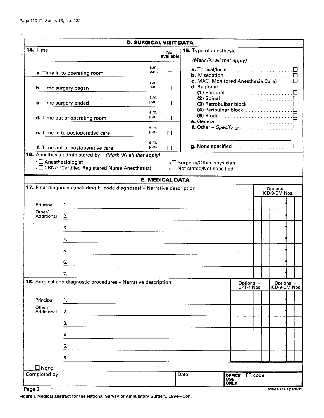$\tilde{\mathbf{r}}$ 

|                                 |                                                                                                                        | <b>D. SURGICAL VISIT DATA</b> |                         |                                                                                              |                              |                         |         |  |           |                            |  |
|---------------------------------|------------------------------------------------------------------------------------------------------------------------|-------------------------------|-------------------------|----------------------------------------------------------------------------------------------|------------------------------|-------------------------|---------|--|-----------|----------------------------|--|
| <b>14. Time</b>                 |                                                                                                                        |                               | <b>Not</b><br>available | 15. Type of anesthesia<br>(Mark $(X)$ all that apply)                                        |                              |                         |         |  |           |                            |  |
|                                 | a. Time in to operating room                                                                                           | a.m.<br>p.m.                  | П                       |                                                                                              |                              |                         |         |  |           |                            |  |
|                                 | <b>b.</b> Time surgery began                                                                                           | a.m.<br>p.m.                  | П                       | d. Regional<br>(1) Epidural $\ldots \ldots \ldots \ldots \ldots \ldots \square$              |                              |                         |         |  |           |                            |  |
|                                 | c. Time surgery ended                                                                                                  | a.m.<br>p.m.                  | П                       | (2) Spinal $\ldots \ldots \ldots \ldots \ldots \ldots \ldots \square$                        |                              |                         |         |  |           |                            |  |
|                                 | d. Time out of operating room                                                                                          | a.m.<br>p.m.                  | П                       | (4) Peribulbar block<br>(5) Block $\ldots \ldots \ldots \ldots \ldots \ldots \ldots \square$ |                              |                         |         |  |           |                            |  |
|                                 | e. Time in to postoperative care                                                                                       | a.m.<br>p.m.                  | П                       |                                                                                              |                              |                         |         |  |           |                            |  |
|                                 | f. Time out of postoperative care                                                                                      | a.m.<br>p.m.                  | П                       |                                                                                              |                              |                         |         |  |           |                            |  |
| 1 <sup>1</sup> Anesthesiologist | <b>16.</b> Anesthesia administered by $-$ (Mark (X) all that apply)<br>2 CRNA 'Certified Registered Nurse Anesthetist) |                               |                         | 3 Surgeon/Other physician<br>4 Not stated/Not specified                                      |                              |                         |         |  |           |                            |  |
|                                 |                                                                                                                        |                               | <b>E. MEDICAL DATA</b>  |                                                                                              |                              |                         |         |  |           |                            |  |
|                                 | 17. Final diagnoses (including E- code diagnoses) - Narrative description                                              |                               |                         |                                                                                              |                              |                         |         |  | Optional- | ICD-9-CM Nos.              |  |
| Principal                       | 1.                                                                                                                     |                               |                         |                                                                                              |                              |                         |         |  |           |                            |  |
| Other/<br>Additional            | 2.1                                                                                                                    |                               |                         |                                                                                              |                              |                         |         |  |           |                            |  |
|                                 | 3.                                                                                                                     |                               |                         |                                                                                              |                              |                         |         |  |           |                            |  |
|                                 | 4.<br>5.                                                                                                               |                               |                         |                                                                                              |                              |                         |         |  |           |                            |  |
|                                 | 6.                                                                                                                     |                               |                         |                                                                                              |                              |                         |         |  |           |                            |  |
|                                 | ι.                                                                                                                     |                               |                         |                                                                                              |                              |                         |         |  |           |                            |  |
|                                 | 18. Surgical and diagnostic procedures - Narrative description                                                         |                               |                         |                                                                                              |                              | Optional-<br>CPT-4 Nos. |         |  |           | Optional-<br>ICD-9-CM Nos. |  |
| Principal<br>Other/             | 1.                                                                                                                     |                               |                         |                                                                                              |                              |                         |         |  |           |                            |  |
| Additional                      | 2.                                                                                                                     |                               |                         |                                                                                              |                              |                         |         |  |           |                            |  |
|                                 | 3.<br>4.                                                                                                               |                               |                         |                                                                                              |                              |                         |         |  |           |                            |  |
|                                 | 5.                                                                                                                     |                               |                         |                                                                                              |                              |                         |         |  |           |                            |  |
|                                 | 6.                                                                                                                     |                               |                         |                                                                                              |                              |                         |         |  |           |                            |  |
| $\square$ None                  |                                                                                                                        |                               |                         |                                                                                              |                              |                         |         |  |           |                            |  |
| Completed by                    |                                                                                                                        |                               |                         | Date<br><b>USE</b>                                                                           | <b>OFFICE</b><br><b>ONLY</b> |                         | FR code |  |           |                            |  |
| Page 2<br>$\infty$ .            |                                                                                                                        |                               |                         |                                                                                              |                              |                         |         |  |           | FORM NSAS-5 (12-14-93)     |  |

**Figure I. Medical abstract for the National Survey of Ambulatory Surgery, 1994—Con.**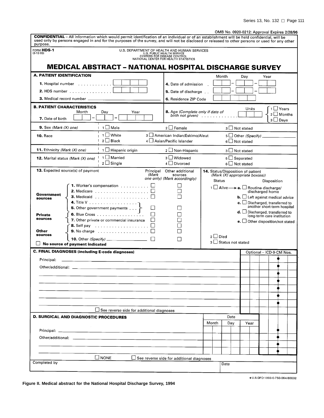| OMB No. 0920-0212: Approval Expires 2/28/96 |  |  |
|---------------------------------------------|--|--|
|                                             |  |  |

<span id="page-116-0"></span>

| <b>CONFIDENTIAL</b> - All information which would permit identification of an individual or of an establishment will be held confidential, will be<br>used only by persons engaged in and for the purposes of the survey, and will not be disclosed or released to other persons or used for any other<br>purpose. |                                                  |                                                                                                                                                                                                                                                              |                                                                               |                                    | OMB No. 0920-0212: Approval Expires 2/28/96   |  |
|--------------------------------------------------------------------------------------------------------------------------------------------------------------------------------------------------------------------------------------------------------------------------------------------------------------------|--------------------------------------------------|--------------------------------------------------------------------------------------------------------------------------------------------------------------------------------------------------------------------------------------------------------------|-------------------------------------------------------------------------------|------------------------------------|-----------------------------------------------|--|
| FORM HDS-1<br>$(3-12-93)$                                                                                                                                                                                                                                                                                          |                                                  | U.S. DEPARTMENT OF HEALTH AND HUMAN SERVICES<br>U.S. PUBLIC HEALTH SERVICE<br>CENTERS FOR DISEASE CONTROL<br>NATIONAL CENTER FOR HEALTH STATISTICS                                                                                                           |                                                                               |                                    |                                               |  |
| <b>MEDICAL ABSTRACT - NATIONAL HOSPITAL DISCHARGE SURVEY</b>                                                                                                                                                                                                                                                       |                                                  |                                                                                                                                                                                                                                                              |                                                                               |                                    |                                               |  |
| A. PATIENT IDENTIFICATION                                                                                                                                                                                                                                                                                          |                                                  |                                                                                                                                                                                                                                                              | Month                                                                         | Day                                | Year                                          |  |
| <b>1.</b> Hospital number $\ldots$ , $\ldots$ , $\ldots$                                                                                                                                                                                                                                                           |                                                  | 4. Date of admission                                                                                                                                                                                                                                         |                                                                               |                                    |                                               |  |
| 2. HDS number                                                                                                                                                                                                                                                                                                      |                                                  | 5. Date of discharge                                                                                                                                                                                                                                         |                                                                               |                                    |                                               |  |
| 3. Medical record number _                                                                                                                                                                                                                                                                                         |                                                  | 6. Residence ZIP Code                                                                                                                                                                                                                                        |                                                                               |                                    |                                               |  |
| <b>B. PATIENT CHARACTERISTICS</b><br>Month<br>7. Date of birth                                                                                                                                                                                                                                                     | Day<br>Year<br>-                                 |                                                                                                                                                                                                                                                              | 8. Age (Complete only if date of<br>birth not given) $\ldots$ , $\ldots$      | Units                              | 1 ∐ Years<br>$2 \Box$ Months<br>$3 \Box$ Days |  |
| <b>9.</b> Sex (Mark $(X)$ one)                                                                                                                                                                                                                                                                                     | 1 Male                                           | $2 \square$ Female                                                                                                                                                                                                                                           |                                                                               | 3 □ Not stated                     |                                               |  |
| <b>10. Race</b>                                                                                                                                                                                                                                                                                                    | $\sqcup$ White<br>$\mathbf{1}$<br>$2 \Box$ Black | 3 American Indian/Eskimo/Aleut<br>4 Asian/Pacific Islander                                                                                                                                                                                                   |                                                                               | 6 J Not stated                     |                                               |  |
| 11. Ethnicity (Mark (X) one)                                                                                                                                                                                                                                                                                       | 1 □ Hispanic origin                              | 2 Non-Hispanic                                                                                                                                                                                                                                               |                                                                               | 3 ⊔ Not stated                     |                                               |  |
| <b>12.</b> Marital status (Mark (X) one)                                                                                                                                                                                                                                                                           | $1 \Box$ Married<br>$2 \square$ Single           | 3 ∟ Widowed<br>4 □ Divorced                                                                                                                                                                                                                                  |                                                                               | $5 \Box$ Separated<br>6 Not stated |                                               |  |
| <b>13.</b> Expected source(s) of payment                                                                                                                                                                                                                                                                           |                                                  | Principal<br>Other additional<br>(Mark<br>sources<br>one only) (Mark accordingly)                                                                                                                                                                            | 14. Status/Disposition of patient<br>(Mark (X) appropriate box(es))<br>Status |                                    | Disposition                                   |  |
| Government<br>sources<br>4. Title V<br>5. Other government payments<br><b>Private</b><br>sources<br>7. Other private or commercial insurance<br>Other<br><b>9.</b> No charge $\ldots \ldots \ldots \ldots \ldots$<br>sources<br>No source of payment indicated                                                     | $2$ Died                                         | <b>b.</b> $\Box$ Left against medical advice<br><b>c.</b> $\Box$ Discharged, transferred to<br>another short-term hospital<br>$d.$ Discharged, transferred to<br>long-term care institution<br>e. $\Box$ Other disposition/not stated<br>3 Status not stated |                                                                               |                                    |                                               |  |
| C. FINAL DIAGNOSES (including E-code diagnoses)                                                                                                                                                                                                                                                                    |                                                  |                                                                                                                                                                                                                                                              |                                                                               |                                    | Optional - ICD-9-CM Nos.                      |  |
| Principal:                                                                                                                                                                                                                                                                                                         |                                                  |                                                                                                                                                                                                                                                              |                                                                               |                                    |                                               |  |
| Other/additional:                                                                                                                                                                                                                                                                                                  |                                                  |                                                                                                                                                                                                                                                              |                                                                               |                                    |                                               |  |
|                                                                                                                                                                                                                                                                                                                    |                                                  |                                                                                                                                                                                                                                                              |                                                                               |                                    |                                               |  |
|                                                                                                                                                                                                                                                                                                                    |                                                  |                                                                                                                                                                                                                                                              |                                                                               |                                    |                                               |  |
|                                                                                                                                                                                                                                                                                                                    |                                                  |                                                                                                                                                                                                                                                              |                                                                               |                                    |                                               |  |
|                                                                                                                                                                                                                                                                                                                    |                                                  |                                                                                                                                                                                                                                                              |                                                                               |                                    |                                               |  |
|                                                                                                                                                                                                                                                                                                                    | See reverse side for additional diagnoses        |                                                                                                                                                                                                                                                              |                                                                               |                                    |                                               |  |
| <b>D. SURGICAL AND DIAGNOSTIC PROCEDURES</b>                                                                                                                                                                                                                                                                       |                                                  |                                                                                                                                                                                                                                                              | Date                                                                          |                                    |                                               |  |
|                                                                                                                                                                                                                                                                                                                    |                                                  |                                                                                                                                                                                                                                                              | Month<br>Day                                                                  | Year                               |                                               |  |
| Principal: _                                                                                                                                                                                                                                                                                                       |                                                  |                                                                                                                                                                                                                                                              |                                                                               |                                    |                                               |  |
|                                                                                                                                                                                                                                                                                                                    |                                                  |                                                                                                                                                                                                                                                              |                                                                               |                                    |                                               |  |
|                                                                                                                                                                                                                                                                                                                    |                                                  |                                                                                                                                                                                                                                                              |                                                                               |                                    |                                               |  |
|                                                                                                                                                                                                                                                                                                                    | ∐ NONE                                           | $\Box$ See reverse side for additional diagnoses                                                                                                                                                                                                             |                                                                               |                                    |                                               |  |
| Completed by                                                                                                                                                                                                                                                                                                       |                                                  |                                                                                                                                                                                                                                                              |                                                                               |                                    |                                               |  |

★U.S.GPO:1993-0-750-064/80032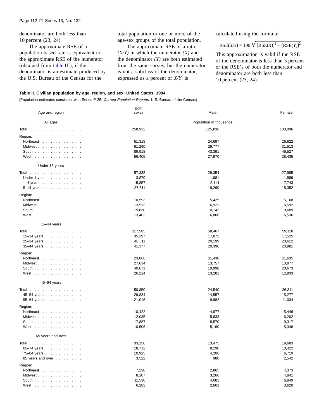<span id="page-117-0"></span>denominator are both less than 10 percent (23, 24).

The approximate RSE of a population-based rate is equivalent to the approximate RSE of the numerator (obtained from [table III\), i](#page-118-0)f the denominator is an estimate produced by the U.S. Bureau of the Census for the

total population or one or more of the age-sex groups of the total population.

The approximate RSE of a ratio *(X/Y)* in which the numerator *(X)* and the denominator *(Y)* are both estimated from the same survey, but the numerator is not a subclass of the denominator, expressed as a percent of *X/Y*, is

calculated using the formula:

$$
RSE(X/Y) = 100 \sqrt{[RSE(X)]^{2} + [RSE(Y)]^{2}}
$$

This approximation is valid if the RSE of the denominator is less than 5 percent or the RSE's of both the numerator and denominator are both less than 10 percent (23, 24).

#### **Table II. Civilian population by age, region, and sex: United States, 1994**

[Population estimates consistent with Series P-25, Current Population Reports, U.S. Bureau of the Census]

| Age and region                                   | <b>Both</b><br>sexes | Male                    | Female  |
|--------------------------------------------------|----------------------|-------------------------|---------|
| All ages                                         |                      | Population in thousands |         |
|                                                  | 258,932              | 125,836                 | 133,096 |
| Region:                                          |                      |                         |         |
| Northeast                                        | 51,319               | 24,697                  | 26,622  |
| Midwest                                          | 61,290               | 29,777                  | 31,513  |
| South $\ldots \ldots \ldots \ldots \ldots$       | 89,918               | 43,391                  | 46,527  |
| West                                             | 56,405               | 27,970                  | 28,435  |
| Under 15 years                                   |                      |                         |         |
|                                                  | 57,338               | 29,354                  | 27,985  |
| Under 1 year $\dots\dots\dots\dots$              | 3,870                | 1,981                   | 1,889   |
| $1-4$ years                                      | 15,857               | 8,114                   | 7,743   |
| $5-14$ years $\ldots$ $\ldots$ $\ldots$ $\ldots$ | 37,611               | 19,260                  | 18,352  |
| Region:                                          |                      |                         |         |
| Northeast                                        | 10,593               | 5,425                   | 5,168   |
| Midwest                                          | 13,513               | 6,921                   | 6,592   |
| South                                            | 19,830               | 10,142                  | 9,689   |
| West                                             | 13,402               | 6,866                   | 6,536   |
|                                                  |                      |                         |         |
| 15-44 years                                      |                      |                         |         |
|                                                  | 117,585              | 58,467                  | 59,118  |
| 15-24 years                                      | 35,397               | 17,872                  | 17,525  |
| 25-34 years                                      | 40,811               | 20,199                  | 20,612  |
| 35-44 years                                      | 41,377               | 20,396                  | 20,981  |
| Region:                                          |                      |                         |         |
| Northeast                                        | 23,066               | 11,430                  | 11,635  |
| Midwest                                          | 27,634               | 13,757                  | 13,877  |
| South                                            | 40,671               | 19,998                  | 20,673  |
| West                                             | 26,214               | 13,281                  | 12,933  |
| 45-64 years                                      |                      |                         |         |
|                                                  | 50,850               | 24,540                  | 26,311  |
|                                                  | 29,834               | 14,557                  | 15,277  |
| 45-54 years                                      | 21,016               | 9,982                   | 11,034  |
| 55-64 years                                      |                      |                         |         |
| Region:                                          |                      |                         |         |
| Northeast                                        | 10,422               | 4,977                   | 5,446   |
| Midwest                                          | 12,035               | 5,833                   | 6,202   |
| South                                            | 17,887               | 8,570                   | 9,317   |
| West                                             | 10,506               | 5,160                   | 5,346   |
| 65 years and over                                |                      |                         |         |
|                                                  | 33,158               | 13,475                  | 19,683  |
| 65-74 years                                      | 18,712               | 8,290                   | 10,422  |
| 75-84 years                                      | 10,925               | 4,206                   | 6,719   |
| 85 years and over                                | 3,522                | 980                     | 2,542   |
| Region:                                          |                      |                         |         |
| Northeast                                        | 7,238                | 2,865                   | 4,373   |
| Midwest                                          | 8,107                | 3,266                   | 4,841   |
| South $\ldots \ldots \ldots \ldots \ldots$       | 11,530               | 4,681                   | 6,849   |
| West                                             | 6,283                | 2,663                   | 3,620   |
|                                                  |                      |                         |         |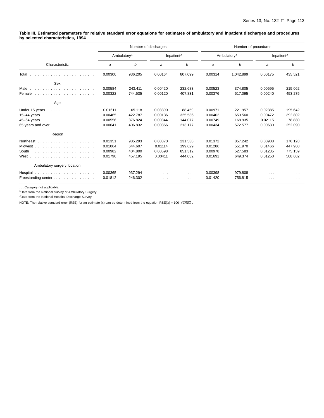#### <span id="page-118-0"></span>**Table III. Estimated parameters for relative standard error equations for estimates of ambulatory and inpatient discharges and procedures by selected characteristics, 1994**

|                                                  |         |                         | Number of discharges |                        |         | Number of procedures    |                      |                        |
|--------------------------------------------------|---------|-------------------------|----------------------|------------------------|---------|-------------------------|----------------------|------------------------|
|                                                  |         | Ambulatory <sup>1</sup> |                      | Inpatient <sup>2</sup> |         | Ambulatory <sup>1</sup> |                      | Inpatient <sup>2</sup> |
| Characteristic                                   | a       | b                       | a                    | b                      | a       | b                       | a                    | b                      |
| Total                                            | 0.00300 | 936.205                 | 0.00164              | 807.099                | 0.00314 | 1.042.899               | 0.00175              | 435.521                |
| Sex                                              |         |                         |                      |                        |         |                         |                      |                        |
| Male                                             | 0.00584 | 243.411                 | 0.00420              | 232.683                | 0.00523 | 374.805                 | 0.00595              | 215.062                |
| Female                                           | 0.00322 | 744.535                 | 0.00120              | 407.831                | 0.00376 | 617.095                 | 0.00240              | 453.275                |
| Age                                              |         |                         |                      |                        |         |                         |                      |                        |
| Under 15 years                                   | 0.01611 | 65.118                  | 0.03390              | 88.459                 | 0.00971 | 221.957                 | 0.02385              | 195.642                |
| 15-44 years $\ldots \ldots \ldots \ldots \ldots$ | 0.00465 | 422.787                 | 0.00136              | 325.536                | 0.00402 | 650.560                 | 0.00472              | 392.802                |
|                                                  | 0.00556 | 376.824                 | 0.00344              | 144.077                | 0.00749 | 168.935                 | 0.02115              | 78.880                 |
| 65 years and over                                | 0.00641 | 406.832                 | 0.00366              | 213.177                | 0.00434 | 572.577                 | 0.00630              | 252.090                |
| Region                                           |         |                         |                      |                        |         |                         |                      |                        |
|                                                  | 0.01351 | 985.293                 | 0.00370              | 231.538                | 0.01372 | 857.242                 | 0.00908              | 170.128                |
|                                                  | 0.01064 | 644.607                 | 0.01114              | 199.629                | 0.01286 | 551.970                 | 0.01466              | 447.980                |
| South                                            | 0.00982 | 404.800                 | 0.00598              | 851.312                | 0.00978 | 527.583                 | 0.01235              | 775.159                |
|                                                  | 0.01790 | 457.195                 | 0.00411              | 444.032                | 0.01691 | 649.374                 | 0.01250              | 508.682                |
| Ambulatory surgery location                      |         |                         |                      |                        |         |                         |                      |                        |
|                                                  | 0.00365 | 937.294                 | $\sim$ $\sim$ $\sim$ | $\sim 100$             | 0.00398 | 979.808                 | $\sim$ $\sim$ $\sim$ | $\cdots$               |
| Freestanding center                              | 0.01812 | 246.302                 | $\sim$ $\sim$ $\sim$ | $\sim$ $\sim$ $\sim$   | 0.01420 | 756.815                 | $\cdots$             | $\cdots$               |

. . . Category not applicable. 1Data from the National Survey of Ambulatory Surgery.

2Data from the National Hospital Discharge Survey.

NOTE: The relative standard error (RSE) for an estimate (x) can be determined from the equation RSE(X) = 100  $\sqrt{a+b}$ .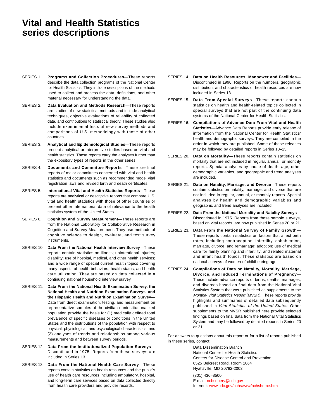## **Vital and Health Statistics series descriptions**

- SERIES 1. **Programs and Collection Procedures**—These reports describe the data collection programs of the National Center for Health Statistics. They include descriptions of the methods used to collect and process the data, definitions, and other material necessary for understanding the data.
- SERIES 2. **Data Evaluation and Methods Research**—These reports are studies of new statistical methods and include analytical techniques, objective evaluations of reliability of collected data, and contributions to statistical theory. These studies also include experimental tests of new survey methods and comparisons of U.S. methodology with those of other countries.
- SERIES 3. **Analytical and Epidemiological Studies**—These reports present analytical or interpretive studies based on vital and health statistics. These reports carry the analyses further than the expository types of reports in the other series.
- SERIES 4. **Documents and Committee Reports**—These are final reports of major committees concerned with vital and health statistics and documents such as recommended model vital registration laws and revised birth and death certificates.
- SERIES 5. **International Vital and Health Statistics Reports**—These reports are analytical or descriptive reports that compare U.S. vital and health statistics with those of other countries or present other international data of relevance to the health statistics system of the United States.
- SERIES 6. **Cognition and Survey Measurement**—These reports are from the National Laboratory for Collaborative Research in Cognition and Survey Measurement. They use methods of cognitive science to design, evaluate, and test survey instruments.
- SERIES 10. **Data From the National Health Interview Survey**—These reports contain statistics on illness; unintentional injuries; disability; use of hospital, medical, and other health services; and a wide range of special current health topics covering many aspects of health behaviors, health status, and health care utilization. They are based on data collected in a continuing national household interview survey.
- SERIES 11. **Data From the National Health Examination Survey, the National Health and Nutrition Examination Surveys, and the Hispanic Health and Nutrition Examination Survey**— Data from direct examination, testing, and measurement on representative samples of the civilian noninstitutionalized population provide the basis for (1) medically defined total prevalence of specific diseases or conditions in the United States and the distributions of the population with respect to physical, physiological, and psychological characteristics, and (2) analyses of trends and relationships among various measurements and between survey periods.
- SERIES 12. **Data From the Institutionalized Population Surveys** Discontinued in 1975. Reports from these surveys are included in Series 13.
- SERIES 13. **Data From the National Health Care Survey**—These reports contain statistics on health resources and the public's use of health care resources including ambulatory, hospital, and long-term care services based on data collected directly from health care providers and provider records.
- SERIES 14. **Data on Health Resources: Manpower and Facilities** Discontinued in 1990. Reports on the numbers, geographic distribution, and characteristics of health resources are now included in Series 13.
- SERIES 15. **Data From Special Surveys**—These reports contain statistics on health and health-related topics collected in special surveys that are not part of the continuing data systems of the National Center for Health Statistics.
- SERIES 16. **Compilations of Advance Data From Vital and Health Statistics**—Advance Data Reports provide early release of information from the National Center for Health Statistics' health and demographic surveys. They are compiled in the order in which they are published. Some of these releases may be followed by detailed reports in Series 10–13.
- SERIES 20. **Data on Mortality**—These reports contain statistics on mortality that are not included in regular, annual, or monthly reports. Special analyses by cause of death, age, other demographic variables, and geographic and trend analyses are included.
- SERIES 21. **Data on Natality, Marriage, and Divorce**—These reports contain statistics on natality, marriage, and divorce that are not included in regular, annual, or monthly reports. Special analyses by health and demographic variables and geographic and trend analyses are included.
- SERIES 22. **Data From the National Mortality and Natality Surveys** Discontinued in 1975. Reports from these sample surveys, based on vital records, are now published in Series 20 or 21.
- SERIES 23. **Data From the National Survey of Family Growth** These reports contain statistics on factors that affect birth rates, including contraception, infertility, cohabitation, marriage, divorce, and remarriage; adoption; use of medical care for family planning and infertility; and related maternal and infant health topics. These statistics are based on national surveys of women of childbearing age.
- SERIES 24. **Compilations of Data on Natality, Mortality, Marriage, Divorce, and Induced Terminations of Pregnancy**— These include advance reports of births, deaths, marriages, and divorces based on final data from the National Vital Statistics System that were published as supplements to the Monthly Vital Statistics Report (MVSR). These reports provide highlights and summaries of detailed data subsequently published in Vital Statistics of the United States. Other supplements to the MVSR published here provide selected findings based on final data from the National Vital Statistics System and may be followed by detailed reports in Series 20 or 21.

For answers to questions about this report or for a list of reports published in these series, contact:

> Data Dissemination Branch National Center for Health Statistics Centers for Disease Control and Prevention 6525 Belcrest Road, Room 1064 Hyattsville, MD 20782-2003 (301) 436–8500 E-mail: [nchsquery@cdc.gov](http://www.cdc.gov/nchswww/qscf/qscf.htm) Internet: [www.cdc.gov/nchswww/nchshome.htm](http://www.cdc.gov/nchswww/nchshome.htm)